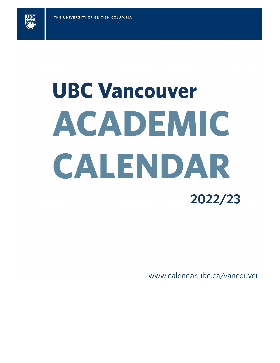

# **UBC Vancouver** ACADEMIC CALENDAR 2022/23

www.calendar.ubc.ca/vancouver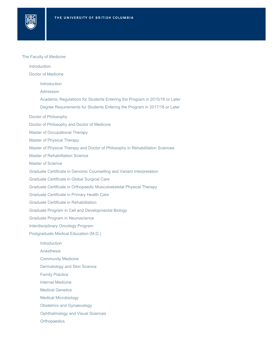### The Faculty of Medicine

**JB** 

[Introduction](#page-4-0) [Doctor of Medicine](#page-4-1) [Doctor of Philosophy](#page-11-0) [Doctor of Philosophy and Doctor of Medicine](#page-11-1) [Master of Occupational Therapy](#page-11-2) [Master of Physical Therapy](#page-11-3) [Master of Physical Therapy and Doctor of Philosophy in Rehabilitation Sciences](#page-12-0) [Master of Rehabilitation Science](#page-12-1) [Master of Science](#page-12-2) [Graduate Certificate in Genomic Counselling and Variant Interpretation](#page-12-3) [Graduate Certificate in Global Surgical Care](#page-13-0) [Graduate Certificate in Orthopaedic Musculoskeletal Physical Therapy](#page-13-1) [Graduate Certificate in Primary Health Care](#page-14-0) [Graduate Certificate in Rehabilitation](#page-15-0) [Graduate Program in Cell and Developmental Biology](#page-15-1) [Graduate Program in Neuroscience](#page-16-0) [Interdisciplinary Oncology Program](#page-16-1) [Postgraduate Medical Education \(M.D.\)](#page-16-2) [Introduction](#page-4-2) [Admission](#page-4-3) [Academic Regulations for Students Entering the Program in 2015/16 or Later](#page-8-0) [Degree Requirements for Students Entering the Program in 2017/18 or Later](#page-9-0) **[Introduction](#page-16-3)** [Anesthesia](#page-17-0) [Community Medicine](#page-17-1) [Dermatology and Skin Science](#page-17-2) [Family Practice](#page-18-0) [Internal Medicine](#page-18-1) [Medical Genetics](#page-18-2) [Medical Microbiology](#page-18-3) [Obstetrics and Gynaecology](#page-18-4) [Ophthalmology and Visual Sciences](#page-19-0) **[Orthopaedics](#page-19-1)**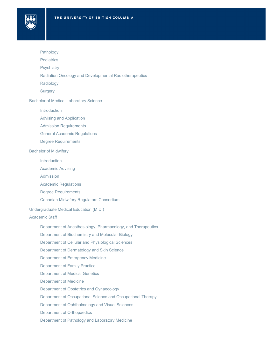

**JBC** 

- **[Pediatrics](#page-19-3)**
- **[Psychiatry](#page-19-4)**
- [Radiation Oncology and Developmental Radiotherapeutics](#page-20-0)
- [Radiology](#page-21-0)
- **[Surgery](#page-21-1)**

[Bachelor of Medical Laboratory Science](#page-22-0)

- **[Introduction](#page-22-1)**
- [Advising and Application](#page-22-2)
- [Admission Requirements](#page-22-3)
- [General Academic Regulations](#page-23-0)
- [Degree Requirements](#page-24-1)

### [Bachelor of Midwifery](#page-24-0)

- [Introduction](#page-25-0)
- [Academic Advising](#page-25-1)
- [Admission](#page-25-2)
- [Academic Regulations](#page-26-0)
- [Degree Requirements](#page-26-1)
- [Canadian Midwifery Regulators Consortium](#page-29-2)
- [Undergraduate Medical Education \(M.D.\)](#page-29-0)

### [Academic Staff](#page-29-1)

- [Department of Anesthesiology, Pharmacology, and Therapeutics](#page-29-3)
- [Department of Biochemistry and Molecular Biology](#page-37-0)
- [Department of Cellular and Physiological Sciences](#page-38-0)
- [Department of Dermatology and Skin Science](#page-39-0)
- [Department of Emergency Medicine](#page-41-0)
- [Department of Family Practice](#page-47-0)
- [Department of Medical Genetics](#page-94-0)
- [Department of Medicine](#page-97-0)
- [Department of Obstetrics and Gynaecology](#page-120-0)
- [Department of Occupational Science and Occupational Therapy](#page-124-0)
- [Department of Ophthalmology and Visual Sciences](#page-130-0)
- [Department of Orthopaedics](#page-133-0)
- [Department of Pathology and Laboratory Medicine](#page-136-0)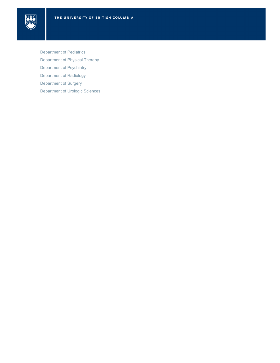

[Department of Pediatrics](#page-141-0) [Department of Physical Therapy](#page-148-0) [Department of Psychiatry](#page-151-0) [Department of Radiology](#page-161-0) [Department of Surgery](#page-164-0) [Department of Urologic Sciences](#page-172-0)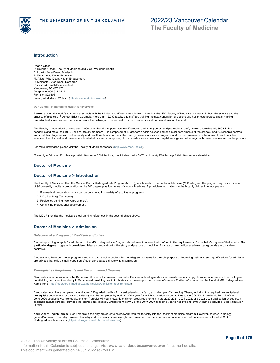

### <span id="page-4-0"></span>**Introduction**

Dean's Office D. Kelleher, Dean, Faculty of Medicine and Vice-President, Health C. Lovato, Vice-Dean, Academic R. Wong, Vice-Dean, Education M. Allard, Vice-Dean, Health Engagement R. McMaster, Vice-Dean, Research 317 - 2194 Health Sciences Mall Vancouver, BC V6T 1Z3 Telephone: 604.822.2421 Fax: 604.822.6061 Faculty of Medicine Website (<http://www.med.ubc.ca/about>)

**Our Vision: To Transform Health for Everyone.**

Ranked among the world's top medical schools with the fifth-largest MD enrolment in North America, the UBC Faculty of Medicine is a leader in both the science and the practice of medicine <sup>1</sup>. Across British Columbia, more than 12,000 faculty and staff are training the next generation of doctors and health care professionals, making<br>remarkable discoveries, and helping to create the path

The Faculty — comprised of more than 2,000 administrative support, technical/research and management and professional staff, as well approximately 650 full-time academic and more than 10,000 clinical faculty members — is composed of 19 academic basic science and/or clinical departments, three schools, and 23 research centres and institutes. Together with its University and Health Authority partners, the Faculty delivers innovative programs and conducts research in the areas of health and life<br>sciences. Faculty, staff and trainees are located a

For more information please visit the Faculty of Medicine website [\(http://www.med.ubc.ca](http://www.med.ubc.ca)).

<sup>1</sup>Times Higher Education 2021 Rankings: 30th in life sciences & 39th in clinical, pre-clinical and health QS World University 2020 Rankings: 29th in life sciences and medicine.

### <span id="page-4-1"></span>**Doctor of Medicine**

### <span id="page-4-2"></span>**Doctor of Medicine > Introduction**

The Faculty of Medicine offers the Medical Doctor Undergraduate Program (MDUP), which leads to the Doctor of Medicine (M.D.) degree. The program requires a minimum of 90 university credits in preparation for the MD degree plus four years of study in Medicine. A physician's education can be broadly divided into four phases:

1. Pre-medical preparation, which can be completed in a variety of faculties or programs.

- 2. MDUP training (four years).
- 3. Residency training (two years or more).
- 4. Continuing professional development.

The MDUP provides the medical school training referenced in the second phase above.

### <span id="page-4-3"></span>**Doctor of Medicine > Admission**

### *Selection of a Program of Pre-Medical Studies*

Students planning to apply for admission to the MD Undergraduate Program should select courses that conform to the requirements of a bachelor's degree of their choice. **No particular degree program is considered ideal** as preparation for the study and practice of medicine. A variety of pre-medical academic backgrounds are considered desirable.

Students who have completed programs and who then enrol in unclassified non-degree programs for the sole purpose of improving their academic qualifications for admission are advised that only a small proportion of such candidates ultimately gain admission.

*Prerequisites Requirements and Recommended Courses*

Candidates for admission must be Canadian Citizens or Permanent Residents. Persons with refugee status in Canada can also apply, however admission will be contingent on attaining permanent residency in Canada and providing proof of this status two weeks prior to the start of classes. Further information can be found at MD Undergraduate<br>Admissions (http://mdprogram.med.ubc.ca/admissions Admissions (http://mdprogram.med.ubc.ca/admis

Candidates must have completed a minimum of 90 graded credits of university-level study (e.g., excluding pass/fail credits). These, including the required university-level<br>prerequisite coursework (or their equivalents) mus assigned pass/fail grades (provided the courses are passed). Grades from Term 2 of the 2019-2020 academic year (or equivalent term) will not be included in the calculation of GPA.

A full year of English (minimum of 6 credits) is the only prerequisite coursework required for entry into the Doctor of Medicine program. However, courses in biology,<br>general/inorganic chemistry, organic chemistry and bioc Undergraduate Admissions ( <http://mdprogram.med.ubc.ca/admissions/>).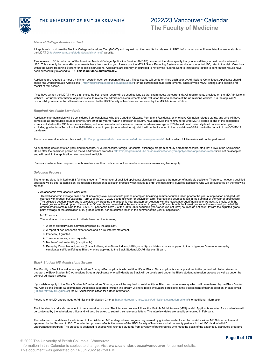

### *Medical College Admission Test*

All applicants must take the Medical College Admissions Test (MCAT) and request that their results be released to UBC. Information and online registration are available on the MCAT (<http://www.aamc.org/students/applying/mcat/>) website

Please note: UBC is not a part of the American Medical College Application Service (AMCAS). You must therefore specify that you would like your test results released to UBC. This can only be done **after** your results have been sent to you. Please use the MCAT Score Reporting System to send your scores to UBC; refer to the Help Questions<br>within the Score Reporting System for specific instr been successfully released to UBC. **This is not done automatically.**

Applicants are required to meet a minimum score in each component of the test. These scores will be determined each year by Admissions Committees. Applicants should check MD Undergraduate Admissions ( <http://mdprogram.med.ubc.ca/admissions/>) for the current minimum requirements, dates of valid MCAT sittings, and deadline for receipt of test scores.

lf you have written the MCAT more than once, the best overall score will be used as long as that exam meets the current MCAT requirements provided on the MD Admissions<br>website. For further information, applicants should re responsibility to ensure that all results are released to the UBC Faculty of Medicine and received by the MD Admissions Office.

### *Required Academic Standards*

Applications for admission will be considered from candidates who are Canadian Citizens, Permanent Residents, or who have Canadian refugee status, and who will have completed all prerequisite courses prior to April 30 of the year for which admission is sought, have achieved the minimum required MCAT scores in one of the acceptable exams as listed on the MD Admissions website, and who have attained a minimum overall academic average of 70% based on all university-level courses attempted,<br>excluding grades from Term 2 of the 2019-2020 academic year (or pandemic.

There is an overall academic threshold ([http://mdprogram.med.ubc.ca/admissions/admission-requirements/](http://mdprogram.med.ubc.ca/admissions/admission-requirements/ ) ) below which full file review will not be performed.

All supporting documentation (including transcripts, AP/IB transcripts, foreign transcripts, exchange program or study abroad transcripts, etc.) that arrive in the Admissions Office after the deadlines posted on the MD Admissions website ( <http://mdprogram.med.ubc.ca/admissions/when-you-apply/online-application-system>) will not be accepted and will result in the application being rendered ineligible.

Persons who have been required to withdraw from another medical school for academic reasons are **not** eligible to apply.

### *Selection Process*

The entering class is limited to 288 full-time students. The number of qualified applicants significantly exceeds the number of available positions. Therefore, not every qualified applicant will be offered admission. Admission is based on a selection process which strives to enrol the most highly qualified applicants who will be evaluated on the following criteria:

An academic evaluations is calculated:

Overall academic average based on all university-level courses with grades attempted (including summer courses taken prior to the year of application and graduate<br>courses with grades, but excluding Term 2 of the 2019-2020

MCAT scores.

- The evaluation of non-academic criteria based on the following:
	- 1. A list of extracurricular activities prepared by the applicant.
	- 2. A report of non-academic experiences and a rural interest statement.
	- 3. Interview, if granted.
	- 4. Three references, when requested.
	- 5. Northern/rural suitability (if applicable).
	- 6. Essay by Canadian Indigenous (Status Indians, Non-Status Indians, Métis, or Inuit) candidates who are applying to the Indigenous Stream; or essay by<br>candidates self-identifying as Black who are applying to the Black Stu

### *Black Student MD Admissions Stream*

The Faculty of Medicine welcomes applications from qualified applicants who self-identify as Black. Black applicants can apply either to the general admission stream or through the Black Student MD Admissions Stream. Applicants who self-identify as Black will be considered under the Black student admission process as well as under the general admission process.

If you wish to apply to the Black Student MD Admissions Stream, you will be required to self-identify as Black and write an essay which will be reviewed by the Black Student MD Admissions Stream Subcommittee. Applicants supported through this stream will have Black evaluators participate in the assessment of their application. Please email<br>( [BlackPathway.MD@ubc.ca](mailto:BlackPathway.MD@ubc.ca)) the MD Admissions Office for

Please refer to MD Undergraduate Admissions Evaluation Criteria [\(http://mdprogram.med.ubc.ca/admissions/evaluation-criteria/](http://mdprogram.med.ubc.ca/admissions/evaluation-criteria/)) for additional information.

The interview is a critical component of the admission process. The interview process follows the Multiple Mini-Interview (MMI) model. Applicants selected for an interview will be contacted by the admissions office and will also be asked to submit their reference letters. The interview dates are usually scheduled in February.

The selection of candidates for admission to the distributed MD undergraduate program is governed by guidelines established by the Admissions MD Subcommittee and<br>approved by the Senate of UBC. The selection process reflect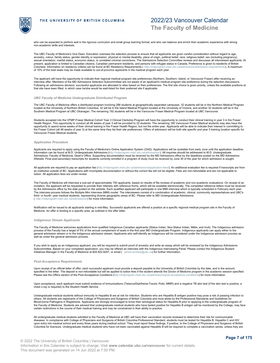who can be expected to perform well in the rigorous curriculum and small group learning format; and who can balance and enrich their academic experience with strong non-academic skills and interests.

The UBC Faculty of Medicine's Vice Dean, Education oversees the selection process to ensure that all applicants are given careful consideration without regard to age,<br>ancestry, colour, family status, gender identity or exp sexual orientation, marital status, economic status, or unrelated criminal convictions. The Admissions Selection Committee reviews and discusses all interviewed applicants. At present, application is limited to Canadian citizens, Canadian permanent residents, and persons with refugee status in Canada. Preference is given to residents of British<br>Columbia. Information on residency criteria can be of 10% of the total seats may be made available to out-of-province applicants in the medical program each year.

The applicant will have the opportunity to indicate their regional medical program site preferences (Northern, Southern, Island, or Vancouver Fraser) after receiving an interview offer. Members of the MD Admissions Selection Subcommittee are not aware of an applicant's medical program site preference during the selection discussions. Following an admissions decision, successful applicants are allocated to sites based on their preferences. The first site choice is given priority, unless the available positions at that site have been filled, in which case he/she would be wait-listed for their preferred site if applicable.

### *UBC Faculty of Medicine Undergraduate Distributed Program*

The UBC Faculty of Medicine offers a distributed program involving 288 students at geographically separated campuses. 32 students will be in the Northern Medical Program<br>located at the University of Northern British Columb Southern Medical Program at UBC Okanagan. The remaining 192 students will be in the Vancouver Fraser Medical Program located at UBC Vancouver.

Students accepted into the VFMP-Fraser Medical Cohort Year 3 Clinical Clerkship Program will have the opportunity to conduct their clinical training in year 3 in the Fraser Health Region. This opportunity to conduct all 48 weeks of year 3 will be provided to 32 students. The remaining 160 Vancouver Fraser Medical students may also have the opportunity to spend some weeks of their clinical training in the Fraser Health Region, but not the entire year. Applicants will be able to indicate their interest in committing to<br>the Fraser Cohort (all 48 weeks of year 3 Vancouver Fraser Medical students.

### *Application Procedure*

Applicants are required to apply using the Faculty of Medicine's Online Application System (OAS). Applications will be available from early June until the application deadline. Information can be found at M.D. Undergraduate Admissions [\(http://mdprogram.med.ubc.ca/admissions/](http://mdprogram.med.ubc.ca/admissions/)). All inquiries should be addressed to M.D. Undergraduate Admissions, Faculty of Medicine, Dean's Office. Supporting documentation must be received by the MD Admissions office by the deadlines posted on the MD Admissions<br>Website. Final post-secondary transcripts for students curr

All applicants are required to pay an application fee (<http://mdprogram.med.ubc.ca/admissions/application-fees/>). An additional evaluation fee is required if transcripts are from<br>an institution outside of BC. Applications tuition. All application fees are under review.

The Faculty of Medicine will interview a sub-set of approximately 700 applicants, based on results of file reviews of academic and non-academic evaluations. On receipt of an invitation, the applicant will be requested to provide their referees with reference forms, which will be available electronically. The completed reference letters must be received<br>by the Admissions office by the date post The interview process follows the Multiple Mini Interview (MMI) model. The interviewers consist of a combination of academic, clinical, community representatives and UBC's third- or fourth- year medical students, representing diverse geographic areas of BC. Please refer to MD Undergraduate Admissions<br>( <http://mdprogram.med.ubc.ca/admissions/>) for more information.

Notification will be issued to all applicants starting in mid-May. Successful applicants are offered a position at a specific regional medical program site in the Faculty of<br>Medicine. An offer is binding to a specific area

### *Indigenous Stream Applicants*

The Faculty of Medicine welcomes applications from qualified Indigenous Canadian applicants (Status Indian, Non-Status Indian, Métis, and Inuit). The Indigenous admission process of the Faculty has a target of 5% of the annual complement of seats in the first year MD Undergraduate Program. Indigenous applicants can apply either to the<br>general admission stream or to the Indigenous admission

If you wish to apply as an Indigenous applicant, you will be required to submit proof of ancestry and write an essay which will be reviewed by the Indigenous Admissions Subcommittee. Based on your completed application, you may be offered an interview with the Indigenous Interviewing Panel. Please contact the Indigenous Student<br>Initiatives Manager in the Faculty of Medicine at 604.822.82

### *Post-Acceptance Requirements*

Upon receipt of an official letter of offer, each successful applicant must provide a deposit payable to the University of British Columbia by the date, and in the amount, specified in the letter. The deposit is non-refundable but will be applied to tuition fees if the student attends the Doctor of Medicine program in the academic session specified. Please see the Offers section of the Post-Acceptance Conditions [\(http://mdprogram.med.ubc.ca/admissions/post-acceptance-conditions/](http://mdprogram.med.ubc.ca/admissions/post-acceptance-conditions/)) for more information.

Upon acceptance, each applicant must submit evidence of immunizations (Tetanus/Diphtheria-Toxoid, Polio, MMR) and a negative TB skin test (if the skin test is positive, a<br>chest x-ray is required) to the Student Health Serv

Undergraduate medical students without immunity to Hepatitis B are at risk for infection. Students who are Hepatitis B antigen positive may pose a risk of passing infection to others. All students are registrants of the College of Physicians and Surgeons of British Columbia and must abide by the Professional Standards and Guidelines for Blood-borne Pathogens in Registrants. Applicants are strongly encouraged to know their serological status for Hepatitis B prior to applying to the undergraduate program of<br>the Faculty of Medicine. Students are advised that certain restrictions in the course of their medical training and may be constrained in their ability to practice.

All undergraduate medical students admitted to the Faculty of Medicine at UBC will have their vaccination records reviewed to determine their risk for communicable diseases. In compliance with College of Physicians and Surgeons of British Columbia Professional Standard, students must be tested for Hepatitis B, Hepatitis C and HIV upon entry into medical school and every three years during medical school. They must report these findings, if positive, to the College of Physicians and Surgeons of British<br>Columbia for licensure. Undergraduate medical s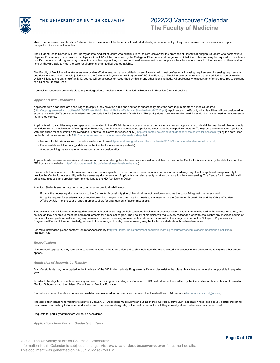

able to demonstrate their Hepatitis B status. Sero-conversion will be tested in all medical students, either upon entry if they have received prior vaccination, or upon completion of a vaccination series.

The Student Health Service will test undergraduate medical students who continue to fail to sero-convert for the presence of Hepatitis B antigen. Students who demonstrate<br>Hepatitis B infectivity or are positive for Hepatit modified course of training and may pursue their studies only as long as their continued involvement does not pose a health or safety hazard to themselves or others and as long as they are able to meet the core requirements for a medical degree at UBC.

The Faculty of Medicine will make every reasonable effort to ensure that a modified course of training will meet professional licensing requirements. Licensing requirements and decisions are within the sole jurisdiction of the College of Physicians and Surgeons of BC. The Faculty of Medicine cannot guarantee that a modified course of training<br>which will lead to the granting of an M.D. degree to a Criminal Record Check.

Counselling resources are available to any undergraduate medical student identified as Hepatitis B, Hepatitis C or HIV positive.

### *Applicants with Disabilities*

Applicants with disabilities are encouraged to apply if they have the skills and abilities to successfully meet the core requirements of a medical degree (http://morprogram.med.ubc.ca/files/files/scare/files/skills-and-Application-Standards-April-2013.pdf). Applicants to the Faculty with disabilities will be considered in accordance with UBC's policy on Academic Accommodation for Students with Disabilities. This policy does not eliminate the need for evaluation or the need to meet essential learning outcomes.

Applicants with disabilities may seek special consideration in the MD Admissions process. In exceptional circumstances, applicants with disabilities may be eligible for special consideration in the calculation of their grades. However, even in these circumstances applicants must meet the competitive average. To request accommodation, applicants with disabilities must submit the following documents to the Centre for Accessibility ( <http://students.ubc.ca/about-student-services/centre-for-accessibility>) by the date listed<br>on the MD Admissions website (http://mdprog or our am.med.ubc.ca/admissions/who-should-apply

- . Request for MD Admissions: Special Consideration Form [\(http://med-fom-ugrad.sites.olt.ubc.ca/files/2020/05/Accommodation-Request-Form.pdf](http://med-fom-ugrad.sites.olt.ubc.ca/files/2020/05/Accommodation-Request-Form.pdf))
- Documentation of disability (guidelines on the Centre for Accessibility website)
- A letter outlining the rationale for requesting special consideration.

Applicants who receive an interview and seek accommodation during the interview process must submit their request to the Centre for Accessibility by the date listed on the MD Admissions website (<http://mdprogram.med.ubc.ca/admissions/who-should-apply/>).

Please note that academic or interview accommodations are specific to individuals and the amount of information required may vary. It is the applicant's responsibility to provide the Centre for Accessibility with the necessary documentation. Applicants must also specify what accommodation they are seeking. The Centre for Accessibility will adjudicate requests and provide recommendations to the MD Admissions Office.

Admitted Students seeking academic accommodation due to disability must:

- Provide the necessary documentation to the Centre for Accessibility (the University does not provide or assume the cost of diagnostic services), and
- . Bring the request for academic accommodation or for changes in accommodation needs to the attention of the Centre for Accessibility and the Office of Student Affairs by July 1, of the year of entry in order to allow for arrangement of accommodations.

Students with disabilities are encouraged to pursue their studies as long as their continued involvement does not pose a health or safety hazard to themselves or others, and as long as they are able to meet the core requirements for a medical degree. The Faculty of Medicine will make every reasonable effort to ensure that any modified course of<br>training will meet professional licensing require Surgeons of British Columbia. Similarly, access to the full-range of post-graduate training may be limited for students with certain disabilities.

For more information please contact Centre for Accessibility [\(http://students.ubc.ca/enrolment/academic-learning-resources/academic-accommodations-disabilities](http://students.ubc.ca/enrolment/academic-learning-resources/academic-accommodations-disabilities)), 604.822.5844.

### *Reapplications*

Unsuccessful applicants may reapply in subsequent years without prejudice, although candidates who are repeatedly unsuccessful are encouraged to explore other career options.

### *Admission of Students by Transfer*

Transfer students may be accepted to the third year of the MD Undergraduate Program only if vacancies exist in that class. Transfers are generally not possible in any other year.

In order to be eligible, students requesting transfer must be in good standing in a Canadian or US medical school accredited by the Committee on Accreditation of Canadian Medical Schools and/or the Liaison Committee on Medical Education.

Students who meet the above criteria and wish to be considered for transfer should contact the Assistant Dean, Admissions [\(deanadmissions.md@ubc.ca](mailto:deanadmissions.md@ubc.ca)).

The application deadline for transfer students is January 31. Applicants must submit an outline of their University curriculum, application fees (see above), a letter indicating their reasons for wishing to transfer, and a letter from the dean (or designate) of the medical school which they currently attend. Interviews may be required.

Requests for partial year transfers will not be considered.

*Applications from Current Graduate Students*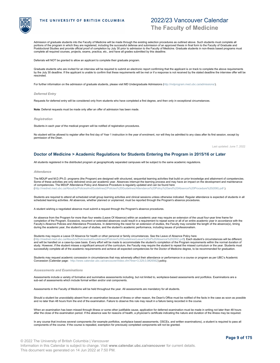

Admission of graduate students into the Faculty of Medicine will be made through the existing selection procedures as outlined above. Such students must complete all portions of the program in which they are registered, including the successful defense and submission of an approved thesis in final form to the Faculty of Graduate and<br>Postdoctoral Studies and provide official proof of co complete all required courses, projects, exams, practica, etc., and have all grades submitted by this deadline.

Deferrals will NOT be granted to allow an applicant to complete their graduate program.

Graduate students who are invited for an interview will be required to submit an electronic report confirming that the applicant is on track to complete the above requirements by the July 30 deadline. If the applicant is unable to confirm that these requirements will be met or if a response is not received by the stated deadline the interview offer will be rescinded.

For further information on the admission of graduate students, please visit MD Undergraduate Admissions [\(http://mdprogram.med.ubc.ca/admissions/](http://mdprogram.med.ubc.ca/admissions/)).

### *Deferred Entry*

Requests for deferred entry will be considered only from students who have completed a first degree, and then only in exceptional circumstances.

**Note**: Deferral requests must be made only after an offer of admission has been made.

### *Registration*

Students in each year of the medical program will be notified of registration procedures.

No student will be allowed to register after the first day of Year 1 instruction in the year of enrolment, nor will they be admitted to any class after its first session, except by permission of the Dean.

Last updated: June 7, 2022

### <span id="page-8-0"></span>**Doctor of Medicine > Academic Regulations for Students Entering the Program in 2015/16 or Later**

All students registered in the distributed program at geographically separated campuses will be subject to the same academic regulations.

### *Attendance*

The MDUP and M.D./Ph.D. programs (the Program) are designed with structured, sequential learning activities that build on prior knowledge and attainment of competencies. Some of these activities are only delivered once per academic year. Absences interrupt the learning process and may have an impact on the development and maintenance<br>of competencies. The MDUP Attendance Policy and Absence ([http://mednet.med.ubc.ca/AboutUs/PoliciesAndGuidelines2/Policies%20Guidelines/Attendance%20Policy%20and%20Absence%20Procedure%20\(006\).pdf](http://mednet.med.ubc.ca/AboutUs/PoliciesAndGuidelines2/Policies%20Guidelines/Attendance%20Policy%20and%20Absence%20Procedure%20(006).pdf ) ).

Students are required to attend all scheduled small group learning activities and clinical sessions unless otherwise indicated. Regular attendance is expected of students in all scheduled learning activities. All absences, whether planned or unplanned, must be reported through the Program's absence procedures.

A student wishing a negotiated absence must submit a request through the Program's absence procedures.

An absence from the Program for more than four weeks (Leave Of Absence) within an academic year may require an extension of the usual four-year time frame for completion of the Program. Excessive, recurrent or extended absences could result in a requirement to repeat some or all of an entire academic year in accordance with the Faculty's Absence Policies and Attendance Procedures. In determining the need for an extension of studies, the Faculty may consider the length of the absence(s), timing during the academic year, the student's year of studies, and the student's academic performance, including issues of professionalism.

Students may require a Leave Of Absence for health or other personal or family circumstances. See the Leave of Absence Policy here<br>(http://mednet.med.ubc.ca/AboutUs/PoliciesAndGuidelines2/Policies%20Guidelines/Leave%20of%2

blicies%20Guidelines/Leave%20of%20Absence%20(002).pdf**). Each student's circumstances will be different**, and will be handled on a case-by-case basis. Every effort will be made to accommodate the student's completion of the Program requirements within the normal duration of study. However, if the student misses a significant amount of the curriculum, the Faculty may require the student to repeat the missed curriculum or the year. Students must successfully complete all of the academic requirements and achieve all expected competencies for the Doctor of Medicine degree, to be recommended for graduation.

Students may request academic concession in circumstances that may adversely affect their attendance or performance in a course or program as per UBC's Academic Concession (Calendar page: <http://www.calendar.ubc.ca/vancouver/index.cfm?tree=3,329,0,0#26562>) policy.

### *Assessments and Examinations*

Assessments include a variety of formative and summative assessments including, but not limited to, workplace-based assessments and portfolios. Examinations are a sub-set of assessments which include formal written and/or oral components.

Assessments in the Faculty of Medicine will be held throughout the year. All assessments are mandatory for all students.

Should a student be unavoidably absent from an examination because of illness or other reason, the Dean's Office must be notified of the facts in the case as soon as possible and no later than 48 hours from the end of the examination. Failure to observe this rule may result in a failure being recorded in the course.

When an examination has been missed through illness or some other justifiable cause, application for deferred examination must be made in writing not later than 48 hours after the close of the examination period. If the absence was for reasons of health, a physician's certificate indicating the nature and duration of the illness may be required.

In any course that involves several components (for example portfolios, workplace based assessments, OSCEs, and written examinations), a student is required to pass all components of the course. If the course is repeated, exemption for previously completed components will not be granted.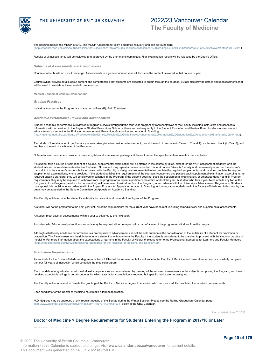

# 2022/23 Vancouver Calendar

**The Faculty of Medicine**

The passing mark in the MDUP is 60%. The MDUP Assessment Policy is updated regularly and can be found here<br>(http://mednet.med.ubc.ca/AboutUs/PoliciesAndGuidelines2/Policies%20Guidelines/Assessment%20Grading%20a (ssessment%20Grading%20and%20Standards%20of%20Achievement%20(004).pdf

Results of all assessments will be reviewed and approved by the promotions committee. Final examination results will be released by the Dean's Office.

*Subjects of Assessments and Examinations*

Course content builds on prior knowledge. Assessments in a given course or year will focus on the content delivered in that course or year.

Course syllabi provide details about content and competencies that students are expected to obtain through the courses. Syllabi also provide details about assessments that will be used to validate achievement of competencies.

**Medical Council of Canada Examinations**

*Grading Practices*

Individual courses in the Program are graded on a Pass (P), Fail (F) system.

*Academic Performance Review and Advancement*

Student academic performance is reviewed at regular intervals throughout the four-year program by representatives of the Faculty including instructors and assessors. Information will be provided to the Regional Student Promotions Subcommittees and subsequently to the Student Promotion and Review Board for decisions on student advancement as set out in the Policy on Advancement, Promotion, Graduation and Academic Standing ([http://mednet.med.ubc.ca/AboutUs/PoliciesAndGuidelines2/Policies%20Guidelines/Advancement%20Promotion%20Graduation%20Academic%20Standing%20\(014\).pdf](http://mednet.med.ubc.ca/AboutUs/PoliciesAndGuidelines2/Policies%20Guidelines/Advancement%20Promotion%20Graduation%20Academic%20Standing%20(014).pdf)).

Two kinds of formal academic performance review takes place to consider advancement, one at the end of term one (in Years 1, 2, and 4) or after each block (in Year 3), and another at the end of each year of the Program.

Criteria for each course are provided in course syllabi and assessment packages. A failure to meet the specified criteria results in course failure.

If a student fails a course or component of a course, supplemental examination will be offered in the course(s) failed, except for the WBA assessment modality, or if the<br>student fails a course while on Academice Probation. transcript. It is the student's responsibility to consult with the Faculty or designated representative to complete the required supplemental work, and to complete the required supplemental examinations, where provided. If the student satisfies the requirements of the course(s) concerned and passes each supplemental examination according to the<br>required passing standard, they will be allowed to c requirements, they may be required to withdraw from the program or to repeat a portion or the entire work of the year. A student who fails a year twice or fails any two of the four years of the Program (need not be consecutive) will be required to withdraw from the Program, in accordance with the University's Advancement Regulations. Students<br>may appeal this decision in accordance with the Appea dean may be appealed to the Senate Committee on Appeals on Academic Standing.

The Faculty will determine the student's suitability for promotion at the end of each year of the Program.

A student will not be promoted to the next year until all of the requirements for the current year have been met, including remedial work and supplemental assessments.

A student must pass all assessments within a year to advance to the next year.

A student who fails to meet promotion standards may be required either to repeat all or part of a year of the program or withdraw from the program.

Although satisfactory academic performance is a prerequisite to advancement it is not the sole criterion in the consideration of the suitability of a student for promotion or graduation. The Faculty reserves the right to require a student to withdraw from the Faculty if the student is considered to be unsuited to proceed with the study or practice of medicine. For more information about the expectations of learners in the Faculty of Medicine, please refer to the Professional Standards for Learners and Faculty Members ( <http://med.ubc.ca/files/2012/02/Professional-Standards-for-the-Faculties-of-Medicine-and-Dentistry.pdf>).

### *Graduation Requirements*

A candidate for the Doctor of Medicine degree must have fulfilled all the requirements for entrance to the Faculty of Medicine and have attended and successfully completed the four full years of instruction which comprise the medical program.

Each candidate for graduation must meet all exit competencies as demonstrated by passing all the required assessments in the subjects comprising the Program, and have received acceptable ratings in certain courses for which satisfactory completion is required but specific marks are not assigned.

The Faculty will recommend to Senate the granting of the Doctor of Medicine degree to a student who has successfully completed the academic requirements.

Each candidate for the Doctor of Medicine must make a formal application.

M.D. degrees may be approved at any regular meeting of the Senate during the Winter Session. Please see the Rolling Graduation (Calendar page: <http://www.calendar.ubc.ca/vancouver/index.cfm?tree=3,44,0,0#21001>) policy in the UBC Calendar.

Last updated: June 7, 2022

### <span id="page-9-0"></span>**Doctor of Medicine > Degree Requirements for Students Entering the Program in 2017/18 or Later**

MEDD 411 will be based at the distributed campuses of the MDUP (Vancouver, Island, Northern and Southern Medical Programs) and includes a one-week orientation at the

© 2022 The University of British Columbia | Vancouver Information in this Calendar is subject to change. Visit **www.calendar.ubc.ca/vancouver** for current details. This document was generated on 14 Jun 2022 at 7:50 PM.

**Page 10 of 175**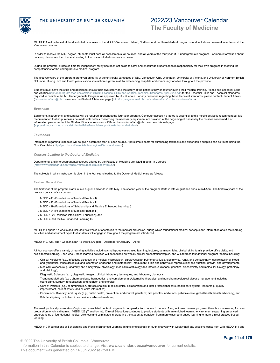

MEDD 411 will be based at the distributed campuses of the MDUP (Vancouver, Island, Northern and Southern Medical Programs) and includes a one-week orientation at the Vancouver campus.

In order to receive the M.D. degree, students must pass all assessments, all courses, and all years of the four-year M.D. undergraduate program. For more information about<br>courses, please see the Courses Leading to the Doc

During the program, protected time for independent study has been set aside to allow and encourage students to take responsibility for their own progress in meeting the competencies for the undergraduate medical program.

The first two years of the program are given primarily at the university campuses of UBC Vancouver, UBC Okanagan, University of Victoria, and University of Northern British Columbia. During third and fourth years, clinical instruction is given in affiliated teaching hospitals and community facilities throughout the province.

Students must have the skills and abilities to ensure their own safety and the safety of the patients they encounter during their medical training. Please see Essential Skills<br>and Abilities [ttp://mdprogram.med.ubc.ca/file and Abilities (http://mdprogram.med.ubc.ca/files/2013/05/Essential-Skills-and-Abilit required to complete the MD Undergraduate Program, as approved by UBC Senate. For any questions regarding these technical standards, please contact Student Affairs<br>([fao.studentaffairs@ubc.ca](mailto:fao.studentaffairs@ubc.ca)) **or see the Student Affairs we** 

### *Expenses*

Equipment, instruments, and supplies will be required throughout the four-year program. Computer access via laptop is essential, and a mobile device is recommended. It is recommended that no purchases be made until details concerning the necessary equipment are provided at the beginning of classes by the courses concerned. For information please contact the Student Financial Assistance Officer: foa.studentaffairs@ubc.ca or see this webpage [\(http://mdprogram.med.ubc.ca/student-affairs/financial-support/cost-of-an-md-student](http://mdprogram.med.ubc.ca/student-affairs/financial-support/cost-of-an-md-student))

### *Textbooks*

Information regarding textbooks will be given before the start of each course. Approximate costs for purchasing textbooks and expendable supplies can be found using the Cost Calculator [\(http://you.ubc.ca/financial-planning/cost/#cost-calculator](http://you.ubc.ca/financial-planning/cost/#cost-calculator)).

*Courses Leading to the Doctor of Medicine*

Departmental and interdepartmental courses offered by the Faculty of Medicine are listed in detail in Courses (<http://www.calendar.ubc.ca/vancouver/courses.cfm?code=MEDD>).

The subjects in which instruction is given in the four years leading to the Doctor of Medicine are as follows:

### **First and Second Year**

The first year of the program starts in late August and ends in late May. The second year of the program starts in late August and ends in mid-April. The first two years of the program consist of six courses:

- MEDD 411 (Foundations of Medical Practice I)
- MEDD 412 (Foundations of Medical Practice II
- MEDD 419 (Foundations of Scholarship and Flexible Enhanced Learning I)
- MEDD 421 (Foundations of Medical Practice III)
- MEDD 422 (Transition into Clinical Education), and
- MEDD 429 (Flexible Enhanced Learning II)

MEDD 411 spans 17 weeks and includes two weeks of orientation to the medical profession, during which foundational medical concepts and information about the learning activities and assessment types that students will engage in throughout the program are introduced.

MEDD 412, 421, and 422 each span 15 weeks (August – December or January – April)

All four courses offer a variety of learning activities including small group case-based learning, lectures, seminars, labs, clinical skills, family practice office visits, and self-directed learning. Each week, these learning activities will be focused on weekly clinical presentations/topics, and will address foundational program themes including:

- Clinical Medicine (e.g., infectious diseases and medical microbiology; cardiovascular; pulmonary; fluids, electrolytes, renal, and genitourinary; gastrointestinal; blood and lymphatics; musculoskeletal and locomotor; endocrine and metabolism; integument; brain and behaviour; reproduction; and nutrition, growth, and development),
- Medical Sciences (e.g., anatomy and embryology, physiology, medical microbiology and infectious disease, genetics, biochemistry and molecular biology, pathology, and histology),
- Diagnostic Sciences (e.g., diagnostic imaging, clinical laboratory techniques, and laboratory diagnosis),
- Treatment Methods (e.g., pharmacology, therapeutics, and complementary/alternative therapies; and non-pharmacological disease management including counselling, surgery, rehabilitation, and nutrition and exercise),
- Care of Patients (e.g., communication, professionalism, medical ethics, collaboration and inter-professional care, health care system, leadership, quality improvement, patient safety, and eHealth informatics),
- Populations, Diversity, and Equity (e.g., public health, prevention, and control; geriatrics; first peoples; addictions; palliative care; global health; health advocacy), and Scholarship (e.g., scholarship and evidence-based medicine).

The weekly clinical presentations/topics and associated content progress in complexity from course to course. Also, as these courses progress, there is an increasing focus on preparation for clinical training. MEDD 422 (Transition into Clinical Education) continues to provide students with an enriched learning environment supporting enhanced understanding of foundational medical sciences and culminates in preparing the student to transition from more classroom-based learning to more clinical practice-based learning.

MEDD 419 (Foundations of Scholarship and Flexible Enhanced Learning I) runs longitudinally through first year with weekly half-day sessions concurrent with MEDD 411 and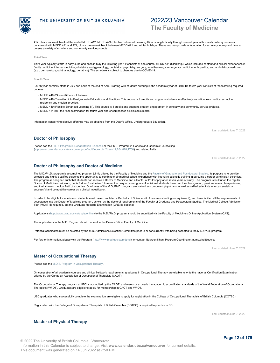412, plus a six week block at the end of MEDD 412. MEDD 429 (Flexible Enhanced Learning II) runs longitudinally through second year with weekly half-day sessions

2022/23 Vancouver Calendar

**The Faculty of Medicine**

concurrent with MEDD 421 and 422, plus a three-week block between MEDD 421 and winter holidays. These courses provide a foundation for scholarly inquiry and time to pursue a variety of scholarly and community service projects.

### **Third Year**

Third year typically starts in early June and ends in May the following year. It consists of one course, MEDD 431 (Clerkship), which includes content and clinical experiences in family medicine, internal medicine, obstetrics and gynecology, pediatrics, psychiatry, surgery, anesthesiology, emergency medicine, orthopedics, and ambulatory medicine<br>(e.g., dermatology, ophthalmology, geriatrics). The s

### **Fourth Year**

Fourth year normally starts in July and ends at the end of April. Starting with students entering in the academic year of 2018-19, fourth year consists of the following required courses:

- MEDD 440 (24 credit) Senior Electives.
- MEDD 448 (Transition into Postgraduate Education and Practice). This course is 9 credits and supports students to effectively transition from medical school to residency and medical practice.
- . MEDD 449 (Flexible Enhanced Learning III). This course is 4 credits and supports student engagement in scholarly and community service projects.
- MEDD 451 (0) the final examination for fourth year and encompasses all clinical subjects.

[\(http://www.calendar.ubc.ca/vancouver/proof/edit/index.cfm?tree=12,204,828,1706](http://www.calendar.ubc.ca/vancouver/proof/edit/index.cfm?tree=12,204,828,1706)) and related fields.

<span id="page-11-1"></span>**Doctor of Philosophy and Doctor of Medicine**

Information concerning elective offerings may be obtained from the Dean's Office, Undergraduate Education.

Please see the Ph.D. Program in Rehabilitation Sciences or the Ph.D. Program in Genetic and Genomic Counselling

Last updated: June 7, 2022

Last updated: June 7, 2022

The M.D./Ph.D. program is a combined program jointly offered by the Faculty of Medicine and the Faculty of Graduate and Postdoctoral Studies. Its purpose is to provide selected and highly qualified students the opportunity to combine their medical school experience with intensive scientific training in pursuing a career as clinician-scientists. The program is designed such that students can receive a Doctor of Medicine and a Doctor of Philosophy after seven years of study. The program is built upon the regular Doctor of Medicine curriculum, but is further "customized" to meet the unique career goals of individual students based on their background, previous research experience,<br>and their chosen medical field of expertise. Gradua successful and competitive career as a clinical investigator.

In order to be eligible for admission, students must have completed a Bachelor of Science with first-class standing (or equivalent), and have fulfilled all the requirements of acceptance into the Doctor of Medicine program, as well as the doctoral requirements of the Faculty of Graduate and Postdoctoral Studies. The Medical College Admission Test (MCAT) is required, but the Graduate Records Examination (GRE) is optional.

Applications [\(http://www.grad.ubc.ca/apply/online](http://www.grad.ubc.ca/apply/online)) to the M.D./Ph.D. program should be submitted via the Faculty of Medicine's Online Application System (OAS).

The applications to the M.D. Program should be sent to the Dean's Office, Faculty of Medicine.

Potential candidates must be selected by the M.D. Admissions Selection Committee prior to or concurrently with being accepted to the M.D./Ph.D. program.

For further information, please visit the Program (<http://www.med.ubc.ca/mdphd>), or contact Naureen Khan, Program Coordinator, at md.phd@ubc.ca

Last updated: June 7, 2022

### <span id="page-11-2"></span>**Master of Occupational Therapy**

<span id="page-11-3"></span>**Master of Physical Therapy**

Please see the M.O.T. Program in Occupational Therapy.

On completion of all academic courses and clinical fieldwork requirements, graduates in Occupational Therapy are eligible to write the national Certification Examination offered by the Canadian Association of Occupational Therapists (CAOT).

The Occupational Therapy program at UBC is accredited by the CAOT, and meets or exceeds the academic accreditation standards of the World Federation of Occupational Therapists (WFOT). Graduates are eligible to apply for membership in CAOT and WFOT.

UBC graduates who successfully complete the examination are eligible to apply for registration in the College of Occupational Therapists of British Columbia (COTBC).

Registration with the College of Occupational Therapists of British Columbia (COTBC) is required to practice in BC.

Last updated: June 7, 2022

<span id="page-11-0"></span>**Doctor of Philosophy**



**Page 12 of 175**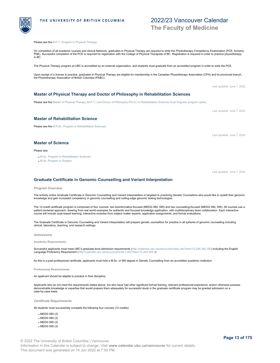Please see the M.P.T. Program in Physical Therapy.

On completion of all academic courses and clinical fieldwork, graduates in Physical Therapy are required to write the Physiotherapy Competency Examination (PCE, formerly PNE). Successful completion of the PCE is required for registration with the College of Physical Therapists of BC. Registration is required in order to practice physiotherapy in BC.

The Physical Therapy program at UBC is accredited by an external organization, and students must graduate from an accredited program in order to write the PCE.

Upon receipt of a license to practice, graduates in Physical Therapy are eligible for membership in the Canadian Physiotherapy Association (CPA) and its provincial branch,<br>the Physiotherapy Association of British Columbia

### <span id="page-12-0"></span>**Master of Physical Therapy and Doctor of Philosophy in Rehabilitation Sciences**

Please see the Master of Physical Therapy (M.P.T.) and Doctor of Philosophy (Ph.D.) in Rehabilitation Sciences Dual Degrees program option.

### <span id="page-12-1"></span>**Master of Rehabilitation Science**

Please see the M.R.Sc. Program in Rehabilitation Sciences.

### <span id="page-12-2"></span>**Master of Science**

Please see:

- M.Sc. Program in Rehabilitation Sciences
- M.Sc. Program in Surgery

### <span id="page-12-3"></span>**Graduate Certificate in Genomic Counselling and Variant Interpretation**

### *Program Overview*

The entirely online Graduate Certificate in Genomic Counselling and Variant Interpretation is targeted to practicing Genetic Counsellors who would like to upskill their genomic knowledge and gain increased competency in genomic counselling and cutting-edge genomic testing technologies.

The 12-credit certificate program is composed of four courses, two bioinformatics-focused (MEDG 580, 585) and two counselling-focused (MEDG 590, 595). All courses use a patient-centered approach, drawing from real world examples for authentic and focused knowledge application, with multidisciplinary team collaboration. Each interactive course will include case-based learning, interactive modules from subject matter experts, application assignments, and formal evaluations.

The Graduate Certificate in Genomic Counselling and Variant Interpretation will prepare genetic counsellors for practice in all spheres of genomic counselling including clinical, laboratory, teaching, and research settings.

### *Admissions*

**Academic Requirements:**

Successful applicants must meet UBC's graduate-level admission requirements (<http://calendar.ubc.ca/vancouver/index.cfm?tree=12,204,340,182>) including the English Language Proficiency Requirement (<http://calendar.ubc.ca/vancouver/inde x.cfm?tree=12,204,345,0>)

As this is a post-professional certificate, applicants must hold a M.Sc. or MS degree in Genetic Counselling from an accredited academic institution.

### **Professional Requirements:**

An applicant should be eligible to practice in their discipline.

Applicants who do not meet the requirements stated above, but who have had other significant formal training, relevant professional experience, and/or otherwise possess<br>demonstrable knowledge or expertise that would prepar case-by-case basis.

### *Certificate Requirements*

All students must successfully complete the following four courses (12 credits):

- MEDG 580 (3)
- MEDG 585 (3)
- MEDG 590 (3)
- MEDG 595 (3)

# 2022/23 Vancouver Calendar

**The Faculty of Medicine**

Last updated: June 7, 2022

Last updated: June 7, 2022

Last updated: June 7, 2022

Last updated: June 7, 2022

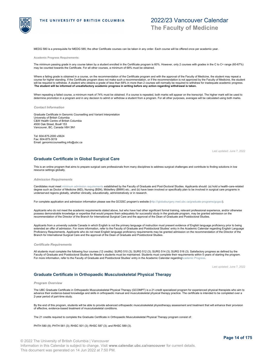

MEDG 580 is a prerequisite for MEDG 585; the other Certificate courses can be taken in any order. Each course will be offered once per academic year.

**Academic Progress Requirements:**

The minimum passing grade in any course taken by a student enrolled in the Certificate program is 60%. However, only 2 courses with grades in the C to C+ range (60-67%) may be counted towards the Certificate. For all other courses, a minimum of 68% must be obtained.

Where a failing grade is obtained in a course, on the recommendation of the Certificate program and with the approval of the Faculty of Medicine, the student may repeat a course for higher standing. If the Certificate program does not make such a recommendation, or if the recommendation is not approved by the Faculty of Medicine, the student will be required to withdraw. A student who obtains a grade of less than 68% in more than 2 courses will normally be required to withdraw for inadequate academic progress. **The student will be informed of unsatisfactory academic progress in writing before any action regarding withdrawal is taken.**

When repeating a failed course, a minimum mark of 74% must be obtained. If a course is repeated, both marks will appear on the transcript. The higher mark will be used to determine promotion in a program and in any decision to admit or withdraw a student from a program. For all other purposes, averages will be calculated using both marks.

*Contact Information*

Graduate Certificate in Genomic Counselling and Variant Interpretation University of British Columbia C&W Health Centre of British Columbia 4500 Oak Street, Box# 153 Vancouver, BC, Canada V6H 3N1

Tel: 604-875-2000 x5624 Fax: 604-875-3019 Email: genomiccounselling.info@ubc.ca

Last updated: June 7, 2022

### <span id="page-13-0"></span>**Graduate Certificate in Global Surgical Care**

This is an online program that aims to prepare surgical care professionals from many disciplines to address surgical challenges and contribute to finding solutions in low resource settings globally.

*Admission Requirements*

Candidates must meet minimum admission requirements established by the Faculty of Graduate and Post-Doctoral Studies. Applicants should: (a) hold a health-care-related degree such as Doctor of Medicine (MD), Nursing (BSN), Midwifery (BMW) etc.; and (b) have been involved or specifically plan to be involved in surgical care programs in underserved regions globally, whether clinically, educationally, administratively or in research.

For complete application and admission information please see the GCGSC program's website [\(http:///globalsurgery.med.ubc.ca/graduate-programs/gcgsc/](http:///globalsurgery.med.ubc.ca/graduate-programs/gcgsc/)).

Applicants who do not meet the academic requirements stated above, but who have had other significant formal training, relevant professional experience, and/or otherwise possess demonstrable knowledge or expertise that would prepare them adequately for successful study in the graduate program, may be granted admission on the<br>recommendation of the Director of the Branch for International Su

Applicants from a university outside Canada in which English is not the primary language of instruction must present evidence of English language proficiency prior to being<br>extended an offer of admission. For more informat Proficiency Requirements. Applicants who do not meet English language proficiency requirements may be granted admission on the recommendation of the Director of the Branch for International Surgical Care and the approval of the Dean of Graduate and Postdoctoral Studies.

### *Certificate Requirements*

All students must complete the following four courses (12 credits): SURG 510 (3); SURG 512 (3); SURG 514 (3); SURG 516 (3). Satisfactory progress as defined by the Faculty of Graduate and Postdoctoral Studies for Master's students must be maintained. Students must complete their requirements within 5 years of starting the program.<br>For more information, refer to the Faculty of Gradua

Last updated: June 7, 2022

### <span id="page-13-1"></span>**Graduate Certificate in Orthopaedic Musculoskeletal Physical Therapy**

### *Program Overview*

The UBC Graduate Certificate in Orthopaedic Musculoskeletal Physical Therapy (GCOMPT) is a 21-credit specialized program for experienced physical therapists who aim to advance their evidence-based knowledge and skills in orthopaedic manual and musculoskeletal physical therapy practice. The certificate is intended to be completed over a 2-year period of part-time study.

By the end of this program, students will be able to provide advanced orthopaedic musculoskeletal physiotherapy assessment and treatment that will enhance their provision of effective, evidence-based treatment of musculoskeletal conditions.

The 21 credits required to complete the Graduate Certificate in Orthopaedic Musculoskeletal Physical Therapy program consist of:

PHTH 580 (9); PHTH 581 (3); RHSC 501 (3); RHSC 587 (3); and RHSC 589 (3).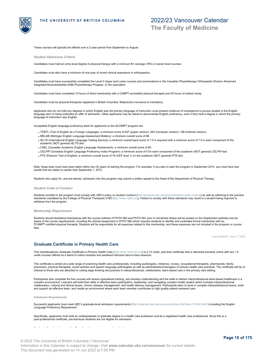

# 2022/23 Vancouver Calendar **The Faculty of Medicine**

These courses will typically be offered over a 2-year period from September to August.

*Student Admission Criteria*

Candidates must hold an entry-level degree in physical therapy with a minimum B+ average (76%) in senior level courses.

Candidates must also have a minimum of one-year of recent clinical experience in orthopaedics.

Candidates must have successfully completed the Level II Upper and Lower courses and examinations in the Canadian Physiotherapy Orthopaedic Division Advanced Integrated Musculoskeletal (AIM) Physiotherapy Program, or the equivalent.

Candidates must have completed 10 hours of direct mentorship with a CAMPT-accredited physical therapist and 20 hours of indirect study.

Candidates must be physical therapists registered in British Columbia. Malpractice insurance is mandatory.

Applicants who do not hold any degrees in which English was the primary language of instruction must present evidence of competence to pursue studies in the English language prior to being extended an offer of admission. Other applicants may be asked to demonstrate English proficiency, even if they hold a degree in which the primary language of instruction was English.

Acceptable English language proficiency tests for applicants to the GCOMPT program are:

- TOEFL (Test of English as a Foreign Language): a minimum score of 627 (paper version); 263 (computer version); 108 (Internet version).
- MELAB (Michigan English Language Assessment Battery): a minimum overall score of 88.
- IELTS (International English Language Testing Service): a minimum overall band score of 7.5 is required with a minimum score of 7.0 in each component of the academic (NOT general) IELTS test.
- CAEL (Canadian Academic English Language Assessment): a minimum overall score of 80.
- CELPIP (Canadian English Language Proficiency Index Program): a minimum score of 5 for each component of the academic (NOT general) CELPIP test.
- . PTE (Pearson Test of English): a minimum overall score of 76 (CEF level 1) on the academic (NOT general) PTE test.

Note: these tests must have been taken within two (2) years of starting the program. For example, if you plan to start the program in September 2014, you must have test results that are dated no earlier than September 1, 2012.

Students who apply for, and are denied, admission into this program may submit a written appeal to the Head of the Department of Physical Therapy.

### *Student Code of Conduct*

Students enrolled in the program must comply with UBC's policy on student conduct [\(http://students.ubc.ca/campus/student-code-conduct](http://students.ubc.ca/campus/student-code-conduct)) as well as adhering to the practice standards mandated by the College of Physical Therapists of BC [\(http://www.cptbc.org](http://www.cptbc.org)). Failure to comply with these standards may result in a student being required to withdraw from the program.

*Mentorship Requirement*

Students should familiarize themselves with the course outlines of PHTH 580 and PHTH 581 prior to enrolment (these will be posted on the Department website) and be aware of the course requirements, including the clinical assignment in PHTH 580 which requires students to identify and undertake formal mentorship with an FCAMPT-certified physical therapist. Students will be responsible for all expenses related to this mentorship, and these expenses are not included in the program or course fees.

Last updated: June 7, 2022

### <span id="page-14-0"></span>**Graduate Certificate in Primary Health Care**

This interdisciplinary Graduate Certificate in Primary Health Care (<http://prhc.med.ubc.ca/>) is a 12 credit, part-time certificate that is delivered primarily online with two 1.5 credit courses offered as a blend of online modules and weekend intensive face-to-face sessions.

This certificate is aimed at a wide range of practicing health care professionals, including audiologists, midwives, nurses, occupational therapists, pharmacists, family physicians, physical therapists, social workers and speech language pathologists as well as administrators/managers of primary health care practices. The certificate will be of interest to those who are attracted to cutting edge thinking and practice in interprofessional, collaborative, team-based care in the primary care setting.

Participants who complete the five courses will receive specialized training, and develop understanding and the skills to deliver interprofessional team-based healthcare in a<br>complex environment. Learners will build their collaboration, cultural and ethical issues, chronic disease management, and health delivery management. Participants learn to work in complex interprofessional teams, build and support an effective team, and create an environment where each team member contributes to high quality patient-centered care.

**Admission Requirements**

Successful applicants must meet UBC's graduate-level admission requirements (<http://calendar.ubc.ca/vancouver/index.cfm?tree=12,204,340,0>) including the English Language Proficiency Requirement.

Specifically, applicants must hold an undergraduate or graduate degree in a health care profession and be a registered health care professional. Since this is a post-professional certificate, pre-licensure students are not eligible for admission.

Applicants for admission must be Canadian citizens or permanent residents.

© 2022 The University of British Columbia | Vancouver Information in this Calendar is subject to change. Visit **www.calendar.ubc.ca/vancouver** for current details. This document was generated on 14 Jun 2022 at 7:50 PM.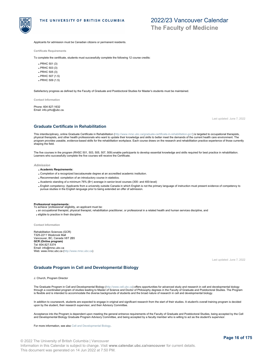

**The Faculty of Medicine**

Applicants for admission must be Canadian citizens or permanent residents.

**Certificate Requirements**

To complete the certificate, students must successfully complete the following 12 course credits:

- PRHC 501 (3)
- PRHC 503 (3)
- PRHC 505 (3)
- PRHC 507 (1.5)
- PRHC 509 (1.5)

Satisfactory progress as defined by the Faculty of Graduate and Postdoctoral Studies for Master's students must be maintained.

**Contact Information**

Phone: 604 827-1632 Email: info.prhc@ubc.ca.

Last updated: June 7, 2022

### <span id="page-15-0"></span>**Graduate Certificate in Rehabilitation**

This interdisciplinary, online Graduate Certificate in Rehabilitation [\(http://www.mrsc.ubc.ca/graduate-certificate-in-rehabilitation-gcr/](http://www.mrsc.ubc.ca/graduate-certificate-in-rehabilitation-gcr/)) is targeted to occupational therapists, physical therapists, and other health professionals who want to update their knowledge and skills to better meet the demands of the current health care environment. The<br>program provides useable, evidence-based skills for t shaping the field.

The five courses in the program (RHSC 501, 503, 505, 507, 509) enable participants to develop essential knowledge and skills required for best practice in rehabilitation. Learners who successfully complete the five courses will receive the Certificate.

### *Admission*

- **Academic Requirements:**
- Completion of a recognized baccalaureate degree at an accredited academic institution.
- Recommended: completion of an introductory course in statistics.
- Academic standing of a minimum 76% (B+) average in senior-level courses (300- and 400-level)
- English competency: Applicants from a university outside Canada in which English is not the primary language of instruction must present evidence of competency to<br>pursue studies in the English language prior to being exten

- **Professional requirements:** To achieve 'professional' eligibility, an applicant must be:
- an occupational therapist, physical therapist, rehabilitation practitioner, or professional in a related health and human services discipline, and
- eligible to practice in their discipline.

**Contact Information**

Rehabilitation Sciences (GCR) T325-2211 Wesbrook Mall Vancouver, BC, Canada V6T 2B5 **GCR (Online program)** Tel: 604.827.5374 Email: info@mrsc.ubc.ca Web: www.mrsc.ubc.ca [\(http://www.mrsc.ubc.ca](http://www.mrsc.ubc.ca))

Last updated: June 7, 2022

### <span id="page-15-1"></span>**Graduate Program in Cell and Developmental Biology**

J. Church, Program Director

The Graduate Program in Cell and Developmental Biology [\(http://www.cell.ubc.ca](http://www.cell.ubc.ca)) offers opportunities for advanced study and research in cell and developmental biology through a coordinated program of studies leading to Master of Science and Doctor of Philosophy degrees in the Faculty of Graduate and Postdoctoral Studies. The Program is flexible and is intended to accommodate the diverse backgrounds of students and the broad nature of research in cell and developmental biology.

In addition to coursework, students are expected to engage in original and significant research from the start of their studies. A student's overall training program is decided<br>upon by the student, their research superviso

Acceptance into the Program is dependent upon meeting the general entrance requirements of the Faculty of Graduate and Postdoctoral Studies, being accepted by the Cell<br>and Developmental Biology Graduate Program Advisory Co

For more information, see also Cell and Developmental Biology.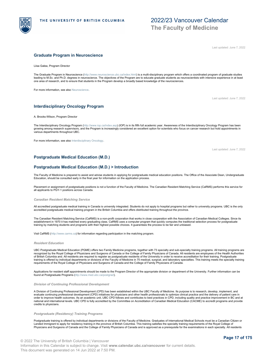

Last updated: June 7, 2022

### <span id="page-16-0"></span>**Graduate Program in Neuroscience**

Liisa Galea, Program Director

The Graduate Program in Neuroscience [\(http://www.neuroscience.ubc.ca/index.html](http://www.neuroscience.ubc.ca/index.html)) is a multi-disciplinary program which offers a coordinated program of graduate studies<br>leading to M.Sc. and Ph.D. degrees in neuroscience. Th one area of research, and to ensure that students in the Program develop a broadly based knowledge of the neurosciences.

For more information, see also Neuroscience.

Last updated: June 7, 2022

### <span id="page-16-1"></span>**Interdisciplinary Oncology Program**

A. Brooks-Wilson, Program Director

The Interdisciplinary Oncology Program [\(http://www.iop.ca/index.asp](http://www.iop.ca/index.asp)) (IOP) is in its fifth full academic year. Awareness of the Interdisciplinary Oncology Program has been growing among research supervisors, and the Program is increasingly considered an excellent option for scientists who focus on cancer research but hold appointments in various departments throughout UBC.

For more information, see also Interdisciplinary Oncology.

Last updated: June 7, 2022

### <span id="page-16-2"></span>**Postgraduate Medical Education (M.D.)**

### <span id="page-16-3"></span>**Postgraduate Medical Education (M.D.) > Introduction**

The Faculty of Medicine is prepared to assist and advise students in applying for postgraduate medical education positions. The Office of the Associate Dean, Undergraduate<br>Education, should be consulted early in the final

Placement or assignment of postgraduate positions is not a function of the Faculty of Medicine. The Canadian Resident Matching Service (CaRMS) performs this service for all applicants to PGY-1 positions across Canada.

### *Canadian Resident Matching Service*

All accredited postgraduate medical training in Canada is university integrated. Students do not apply to hospital programs but rather to university programs. UBC is the only accredited postgraduate medical training program in the British Columbia and offers distributed training throughout the province.

The Canadian Resident Matching Service (CaRMS) is a non-profit corporation that works in close cooperation with the Association of Canadian Medical Colleges. Since its<br>establishment in 1970 it has matched every graduating

Visit CaRMS (<http://www.carms.ca>) for information regarding participation in the matching program.

### *Resident Education*

UBC Postgraduate Medical Education (PGME) offers two Family Medicine programs, together with 73 specialty and sub-specialty training programs. All training programs are recognized by the Royal College of Physicians and Surgeons of Canada or the College of Family Physicians of Canada. All residents are employees of the Health Authorities<br>of British Columbia and. All residents are required training is offered by individual departments or divisions of the Faculty of Medicine in 75 medical, surgical, and laboratory specialties. This training meets the specialty training<br>requirements of the Royal College of Phy

Applications for resident staff appointments should be made to the Program Director of the appropriate division or department of the University. Further information can be found at Postgraduate Programs [\(http://www.med.ubc.ca/postgrad](http://www.med.ubc.ca/postgrad)).

### *Division of Continuing Professional Development*

A Division of Continuing Professional Development (CPD) has been established within the UBC Faculty of Medicine. Its purpose is to research, develop, implement, and evaluate continuing professional development (CPD) initiatives for physicians and other health professionals to optimize clinical practice and the delivery of patient care in<br>order to improve health outcomes. As an academi national and international levels. UBC CPD is fully accredited by the Committee on Accreditation of Canadian Medical Education (CACME) to accredit programs and provide credits to physicians.

### *Postgraduate (Residency) Training Programs*

Postgraduate training is offered by individual departments or divisions of the Faculty of Medicine. Graduates of International Medical Schools must be a Canadian Citizen or Landed Immigrant to apply for residency training in the province of British Columbia. This training satisfies the specialty training requirements of the Royal College of Physicians and Surgeons of Canada and the College of Family Physicians of Canada and is approved as a prerequisite for the examinations in each specialty. All residents

© 2022 The University of British Columbia | Vancouver Information in this Calendar is subject to change. Visit **www.calendar.ubc.ca/vancouver** for current details. This document was generated on 14 Jun 2022 at 7:50 PM.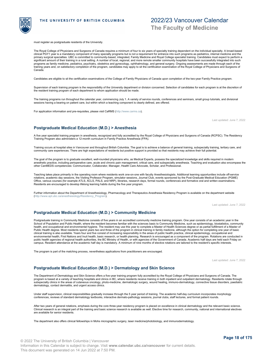must register as postgraduate residents of the University.

The Royal College of Physicians and Surgeons of Canada requires a minimum of four to six years of specialty training dependent on the individual specialty. A broad-based clinical PGY1 year is a mandatory component of many specialty programs but is not a requirement for entrance into such programs as pediatrics, internal medicine and the<br>primary surgical specialties. UBC is committed to com significant amount of their training in a rural setting. A number of local, regional, and more remote smaller community hospitals have been successfully integrated into such programs as family medicine, pediatrics, psychiatry, obstetrics and gynecology, ophthalmology, and general surgery. Ongoing assessments are made through each of the<br>training years and, on satisfactory completion of the pro **Canada** 

2022/23 Vancouver Calendar

**The Faculty of Medicine**

Candidates are eligible to sit the certification examinations of the College of Family Physicians of Canada upon completion of the two-year Family Practice program.

Supervision of each training program is the responsibility of the University department or division concerned. Selection of candidates for each program is at the discretion of the resident training program of each department to whom application should be made.

The training programs run throughout the calendar year, commencing July 1. A variety of service rounds, conferences and seminars, small group tutorials, and divisional sessions having a bearing on patient care, but within which a teaching component is clearly defined, are offered.

For application information and pre-requisites, please visit CaRMS (<http://www.carms.ca>).

### <span id="page-17-0"></span>**Postgraduate Medical Education (M.D.) > Anesthesia**

A five year specialist training program in anesthesia, recognized and fully accredited by the Royal College of Physicians and Surgeons of Canada (RCPSC). The Residency Training Program also administers a 12-month curriculum in Family Practice Anesthesia (FPA).

Training occurs at hospital sites in Vancouver and throughout British Columbia. The goal is to achieve a balance of general training, subspecialty training, tertiary care, and community care experiences. There are high expectations of residents but positive support is provided so that residents may achieve their full potential.

The goal of the program is to graduate excellent, well-rounded physicians who, as Medical Experts, possess the specialized knowledge and skills required in modern anesthetic practice, including perioperative care, acute and chronic pain management, critical care, and subspecialty anesthesia. Teaching and evaluation also encompass the<br>other CanMEDS competencies: Communicator, Collabo

Teaching takes place primarily in the operating room where residents work one-on-one with faculty Anesthesiologists. Additional learning opportunities include off-service rotations, academic day sessions, the Visiting Professor Program, simulator sessions, Journal Club, events sponsored by the Post-Graduate Medical Education (PGME)<br>Office, various courses (for example ATLS, ACLS, PALS, and Residents are encouraged to develop lifelong learning habits during the five year program.

Further information about the Department of Anesthesiology, Pharmacology and Therapeutics Anesthesia Residency Program is available on the department website ([http://www.apt.ubc.ca/anesthesiology/Residency\\_Program](http://www.apt.ubc.ca/anesthesiology/Residency_Program)).

### <span id="page-17-1"></span>**Postgraduate Medical Education (M.D.) > Community Medicine**

Postgraduate training in Community Medicine consists of five years in an accredited community medicine training program. One year consists of an academic year in the School of Population and Public Health, where the resident becomes familiar with the sciences basic to Community Medicine, such as epidemiology, biostatistics, community health, and occupational and environmental hygiene. The resident may use this year to complete a Master of Health Sciences degree or as partial fulfillment of a Master of<br>Public Health degree. Most residents spend years tw clinical training is also available. Years four and five consist of increasing responsibility in the areas of public health practice, clinical epidemiology, occupational and environmental health, First Nations and Inuit health, basic research, or health planning. Research is encouraged as a component of the program. Rotations are conducted in<br>public health agencies of regional health authoriti campus. Resident attendance at the academic half day is mandatory. A minimum of nine months of elective rotations are tailored to the resident's specific interests.

The program is part of the matching process, nevertheless applications from practitioners are encouraged.

dermatology, contact dermatitis, and urgent access clinics.

The Department of Dermatology and Skin Science offers a five-year training program fully accredited by the Royal College of Physicians and Surgeons of Canada. The program is based at a variety of teaching hospitals and clinics in BC, where residents receive training in both inpatient and outpatient dermatology. Residents rotate through<br>subspecialty clinics in the areas of cutaneous

Under staff supervision, clinical responsibilities gradually increase through the 5 year period of training. The academic half-day curriculum incorporates morphology conferences, reviews of standard dermatology textbooks, interactive dermato-pathology sessions, journal clubs, staff lectures, and formal patient rounds.

After two years of general rotations, emphasis during the core three-year residency program is placed on excellence in clinical dermatology and the relevant basic science. Clinical research is an integral part of the training and basic science research is available as well. Elective time for research, community, national and international electives are available for senior residents.

<span id="page-17-2"></span>**Postgraduate Medical Education (M.D.) > Dermatology and Skin Science**

The department also offers clinical fellowships in Mohs micrographic surgery, laser medicine/photobiology, and immunodermatology.

Last updated: June 7, 2022

Last updated: June 7, 2022



Last updated: June 7, 2022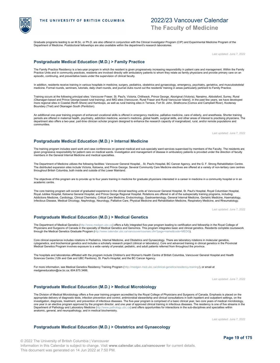

Graduate programs leading to an M.Sc. or Ph.D. are also offered in conjunction with the Clinical Investigator Program (CIP) and Experimental Medicine Program of the Department of Medicine. Postdoctoral fellowships are also available within the department's research laboratories.

Last updated: June 7, 2022

### <span id="page-18-0"></span>**Postgraduate Medical Education (M.D.) > Family Practice**

The Family Practice Residency is a two-year program in which the resident is given progressively increasing responsibility in patient care and management. Within the Family Practice Units and in community practices, residents are involved directly with ambulatory patients to whom they relate as family physicians and provide primary care on an Practice Units and in community practices, residen episodic, continuing, and preventative basis under the supervision of clinical faculty.

In addition, residents receive training in various hospitals in medicine, surgery, pediatrics, obstetrics and gynaecology, emergency, psychiatry, geriatrics, and musculoskeletal medicine. Formal rounds, seminars, tutorials, daily chart rounds, and journal clubs round out the residents' training in areas particularly pertinent to Family Practice.

Training occurs at the following principal sites: Vancouver Fraser, St. Paul's, Victoria, Chilliwack, Prince George, Aboriginal (Victoria), Nanaimo, Abbotsford, Surrey, Rural (Okanagan-based and Prince George-based rural training), and IMG sites (Vancouver, Rural Fraser and Rural Vancouver Island). In the past few years, we have developed more regional sites in Coastal (North Shore) and Kamloops, as well as rural training sites in Terrace, Fort St. John, Strathcona (Comox and Campbell River), Kootenay Boundary (Trail) and Okanagan South (Penticton).

An additional one-year training program of enhanced vocational skills is offered in emergency medicine, palliative medicine, care of elderly, and anesthesia. Shorter training periods are offered in maternal health, psychiatry, addiction medicine, women's medicine, global health, surgical skills, and other areas of interest to practising physicians. The department also offers a two-year, part-time clinician scholar program designed to enhance the research capacity of marginalized, rural, and/or remote populations and communities.

Last updated: June 7, 2022

### <span id="page-18-1"></span>**Postgraduate Medical Education (M.D.) > Internal Medicine**

The training program includes ward work and case conferences on general medical and sub-specialty ward services supervised by members of the Faculty. The residents are given progressive responsibility for patient care on medical wards. Investigation and management of disease in ambulatory patients is provided under the direction of faculty members in the General Internal Medicine and medical specialties.

The Department of Medicine utilizes the following facilities: Vancouver General Hospital, , St. Paul's Hospital, BC Cancer Agency, and the G. F. Strong Rehabilitation Centre.<br>The distributed expansion sites include Victori throughout British Columbia, both inside and outside of the Lower Mainland.

The objectives of this program are to provide up to four years training in medicine for graduate physicians interested in a career in medicine in a community hospital or in an academic centre.

The core training program will consist of graduated experience in the clinical teaching units at Vancouver General Hospital, St. Paul's Hospital, Royal Columbian Hospital, Royal Jubilee Hospital, Kelowna General Hospital, and Prince George Regional Hospital. Rotations are offered in all of the subspecialty training programs, including:<br>Addictions Medicine, Cardiology, Clinical Chemistry, Cri Infectious Disease, Medical Oncology, Nephrology, Neurology, Palliative Care, Physical Medicine and Rehabilitation Medicine, Respiratory Medicine, and Rheumatology.

Last updated: June 7, 2022

### <span id="page-18-2"></span>**Postgraduate Medical Education (M.D.) > Medical Genetics**

The Department of Medical Genetics [\(http://www.medgen.ubc.ca](http://www.medgen.ubc.ca)) offers a fully integrated five-year program leading to certification and fellowship in the Royal College of Physicians and Surgeons of Canada in the specialty of Medical Genetics and Genomics. This program integrates basic and clinical genetics. Residents complete coursework<br>through the Medical Genetics Graduate Program (nttp:/

Core clinical experience includes rotations in Pediatrics, Internal Medicine, and Obstetrics and Gynaecology. There are laboratory rotations in molecular genetics, cytogenetics, and biochemical genetics and includes a scholarly research project (clinical or laboratory). Core and advanced training in clinical genetics in the Provincial Medical Genetics Program involves exposure to a wide variety of prenatal, pediatric, and adult patients referred from throughout the province.

The hospitals and laboratories affiliated with the program include Children's and Women's Health Centre of British Columbia, Vancouver General Hospital and Health Sciences Centre (12th and Oak and UBC Pavilions), St. Paul's Hospital, and the BC Cancer Agency.

For more information, see Medical Genetics Residency Training Program (<http://medgen.med.ubc.ca/clinical-genetics/residency-training/>), or email at medgeneducation@cw.bc.ca; 604.875.3486.

Last updated: June 7, 2022

### <span id="page-18-3"></span>**Postgraduate Medical Education (M.D.) > Medical Microbiology**

The Division of Medical Microbiology offers a five-year training program accredited by the Royal College of Physicians and Surgeons of Canada. Emphasis is placed on the<br>appropriate delivery of diagnostic tests, infection p investigation, diagnosis, treatment, and prevention of infectious diseases. The five-year program is comprised of a basic clinical year, two core years of medical microbiology, one year in an elective program approved by the program director, and one year of approved clinical training in infectious diseases. The residency is one of five streams in the<br>Department of Pathology and Laboratory Medici anatomic, general, and neuropathology, and in medical biochemistry.

Last updated: June 7, 2022

### <span id="page-18-4"></span>**Postgraduate Medical Education (M.D.) > Obstetrics and Gynaecology**

© 2022 The University of British Columbia | Vancouver Information in this Calendar is subject to change. Visit **www.calendar.ubc.ca/vancouver** for current details. This document was generated on 14 Jun 2022 at 7:50 PM.

**Page 19 of 175**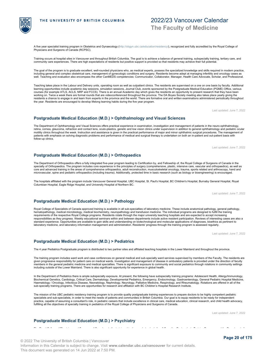© 2022 The University of British Columbia | Vancouver Information in this Calendar is subject to change. Visit **www.calendar.ubc.ca/vancouver** for current details. This document was generated on 14 Jun 2022 at 7:50 PM.

### <span id="page-19-4"></span>**Postgraduate Medical Education (M.D.) > Psychiatry**

# <span id="page-19-3"></span>**Postgraduate Medical Education (M.D.) > Pediatrics**

The 4 year Pediatrics Postgraduate program is distributed to two partner sites and affiliated teaching hospitals in the Lower Mainland and throughout the province.

laboratory medicine, and laboratory information management and administration. Residents' progress through the training program is assessed regularly.

The training program includes ward work and case conferences on general medical and sub-specialty ward services supervised by members of the Faculty. The residents are given progressive responsibility for patient care on medical wards. Investigation and management of disease in ambulatory patients is provided under the direction of faculty members in the general pediatric medicine and medical specialties. There is significant exposure to community and social pediatrics through rotations in community settings<br>including outside of the Lower Mainland. There is

In the Department of Pediatrics there is ample subspecialty exposure. At present, the following have subspecialty training programs: Adolescent Health, Allergy/Immunology,<br>Biochemical Genetics, Cardiology, Critical Care, D Haematology / Oncology, Infectious Disease, Neonatology, Nephrology, Neurology, Palliative Medicine, Respirology, and Rheumatology. Rotations are offered in all of the<br>sub-specialty training programs. There are opportuniti

The mission of the UBC pediatric residency training program is to provide quality postgraduate training experiences to prepare doctors to be highly competent pediatric<br>specialists and sub-specialists, in order to meet the practice, capable of assuming a consultant's role, in pediatric careers that include excellence in clinical care, medical education, clinical research, and child health advocacy,<br>fulfilling all the objectives of specialty

The Royal College of Physicians and Surgeons of Canada sets the training objectives and standards for all Canadian Postgraduate Training Programs and the Department of

Last updated: June 7, 2022

THE UNIVERSITY OF BRITISH COLUMBIA

A five year specialist training program in Obstetrics and Gynaecology [\(http://obgyn.ubc.ca/education/residency/](http://obgyn.ubc.ca/education/residency/)**), recognized and fully accredited by the Royal College of**<br>Physicians and Surgeons of Canada (RCPSC).

Training occurs at hospital sites in Vancouver and throughout British Columbia. The goal is to achieve a balance of general training, subspecialty training, tertiary care, and community care experiences. There are high expectations of residents but positive support is provided so that residents may achieve their full potential.

The goal of the program is to graduate excellent, well-rounded physicians who, as medical experts, possess the specialized knowledge and skills required in modern practice. including general and complex obstetrical care, management of gynecologic conditions and surgery. Residents become adept at managing infertility and oncology cases as well. Teaching and evaluation also encompass the other CanMEDS competencies: Communicator, Collaborator, Manager, Health Care Advocate, Scholar, and Professional.

Teaching takes place in the Labour and Delivery units, operating room as well as outpatient clinics. The residents are supervised on a one on one basis by faculty. Additional<br>learning opportunities include academic day ses working on. Twice a week there are formal rounds that are videoconferenced throughout the province. The DA Boyes Society meeting also takes place yearly giving the residents a chance to engage in and learn from experts in the province and the world. There are formative oral and written examinations administered periodically throughout the year. Residents are encouraged to develop lifelong learning habits during the five year program.

Last updated: June 7, 2022

2022/23 Vancouver Calendar

**The Faculty of Medicine**

### <span id="page-19-0"></span>**Postgraduate Medical Education (M.D.) > Ophthalmology and Visual Sciences**

The Department of Ophthamology and Visual Sciences offers practical experience in examination, investigation and management of patients in the neuro-ophthalmology, retina, cornea, glaucoma, refraction and contact lens, oculo-plastics, genetic and low vision clinics under supervision in addition to general ophthalmology and pediatric ocular motility clinics throughout the week. Instruction and assistance is given in the practical performance of major and minor ophthalmic surgical procedures. The management of patients with emphasis on solving diagnostic problems and performance of medical and surgical therapy is undertaken on both an in-patient and out-patient basis with follow-up clinics.

The Department of Orthopaedics offers a fully integrated five-year program leading to Certification by, and Fellowship of, the Royal College of Surgeons of Canada in the specialty of Orthopaedics. The program includes core experience in the principles of surgery (comprehensive, plastic, intensive care, vascular and orthopaedics), as well as<br>core and advanced training in the areas of compre microvascular, spine and pediatric orthopaedics (including trauma). Additionally, protected time in basic research (such as biology or bioengineering) is encouraged.

The hospitals affiliated with the program include Vancouver General Hospital, UBC Hospital, St. Paul's Hospital, BC Children's Hospital, Burnaby General Hospital, Royal

Royal College of Specialists of Canada approved training is available in all sub-specialties of laboratory medicine. These include anatomical pathology, general pathology,<br>hematopathology, medical microbiology, medical bio responsibilities as they progress. Weekly educational seminars within and between departments include active resident participation. Reviews of interesting cases are also a<br>standard experience. Opportunities are available

Last updated: June 7, 2022

<span id="page-19-1"></span>**Postgraduate Medical Education (M.D.) > Orthopaedics**

Columbian Hospital, Eagle Ridge Hospital, and University Hospital of Northern BC.

<span id="page-19-2"></span>**Postgraduate Medical Education (M.D.) > Pathology**



Last updated: June 7, 2022

Last updated: June 7, 2022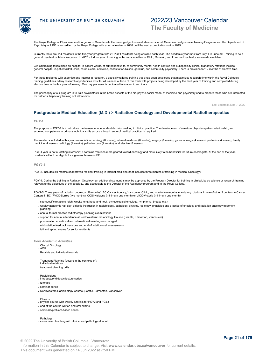

# 2022/23 Vancouver Calendar **The Faculty of Medicine**

The Royal College of Physicians and Surgeons of Canada sets the training objectives and standards for all Canadian Postgraduate Training Programs and the Department of Psychiatry at UBC is accredited by the Royal College with external review in 2016 until the next accreditation visit in 2019.

Currently there are 114 residents in the five-year program with 22 PGY1 residents being enrolled each year. The academic year runs from July 1 to June 30. Training to be a<br>general psychiatrist takes five years. In 2012 a f

Clinical training takes place on hospital in-patient wards, at out-patient units, at community mental health centres and subspecialty clinics. Mandatory rotations include:<br>general hospital in-patient/OPD, child, chronic ca

For those residents with expertise and interest in research, a specially tailored training track has been developed that maximizes research time within the Royal College's training guidelines. Many research opportunities exist for all trainees outside of this track with projects being developed by the third year of training and completed during elective time in the last year of training. One day per week is dedicated to academic seminars.

The philosophy of our program is to train psychiatrists in the broad aspects of the bio-psycho-social model of medicine and psychiatry and to prepare those who are interested for further subspecialty training or Fellowships.

Last updated: June 7, 2022

### <span id="page-20-0"></span>**Postgraduate Medical Education (M.D.) > Radiation Oncology and Developmental Radiotherapeutics**

### <span id="page-20-1"></span>*PGY-1*

The purpose of PGY-1 is to introduce the trainee to independent decision-making in clinical practice. The development of a mature physician-patient relationship, and acquired competence in primary technical skills across a broad range of medical practice, is required.

The rotations included in this year are radiation oncology (8 weeks), internal medicine (8 weeks), surgery (8 weeks), gyne-oncology (4 weeks), pediatrics (4 weeks), family medicine (4 weeks), radiology (4 weeks), palliative care (4 weeks), and elective (8 weeks).

PGY-1 year is not a rotating internship; it contains rotations more geared toward oncology and more likely to be beneficial for future oncologists. At the end of the year, residents will not be eligible for a general license in BC.

### *PGY2-5*

PGY-2. Includes six months of approved resident training in internal medicine (that includes three months of training in Medical Oncology).

PGY-4. During the training in Radiation Oncology, an additional six months may be approved by the Program Director for training in clinical, basic science or research training relevant to the objectives of the specialty, and acceptable to the Director of the Residency program and to the Royal College.

PGY2-5. Three years of radiation oncology (36 months): BC Cancer Agency, Vancouver Clinic, and one to two months mandatory rotations in one of other 3 centers in Cancer<br>Centers in BC (FVCC-Surrey (two months), CCSI-Kelowna

- site-specific rotations (eight weeks long: head and neck, gynecological oncology, lymphoma, breast, etc.)
- . weekly academic half day: didactic instruction in radiobiology, pathology, physics, radiology, principles and practice of oncology and radiation oncology treatment planning
- annual formal practice radiotherapy planning examinations
- support for annual attendance at Northwestern Radiobiology Course (Seattle, Edmonton, Vancouver)
- presentation at national and international meetings encouraged
- mid-rotation feedback sessions and end of rotation oral assessments
- fall and spring exams for senior residents

*Core Academic Activities*

Clinical Oncology ACU

- Bedside and individual tutorials
- Treatment Planning (occurs in the contexts of):
- individual rotations
- treatment planning drills
- 
- Radiobiology introductory didactic lecture series
- tutorials
- seminar series
- Northwestern Radiobiology Course (Seattle, Edmonton, Vancouver)

Physics

- physics course with weekly tutorials for PGY2 and PGY3
- end of the course written and oral exams
- seminars/problem-based series

Pathology case-based teaching with clinical and pathological input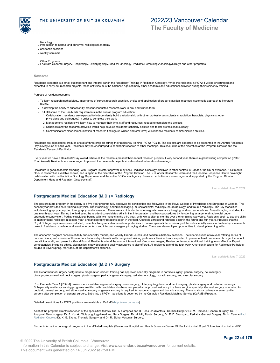

**The Faculty of Medicine**

- 
- Radiology introduction to normal and abnormal radiological anatomy
- academic sessions
- weekly seminars
- 
- Other Programs Facilitate General Surgery, Respirology, Otolaryngology, Medical Oncology, Pediatric/Hematology/Oncology/OBGyn and other programs.

### *Research*

Residents' research is a small but important and integral part in the Residency Training in Radiation Oncology. While the residents in PGY2-4 will be encouraged and<br>expected to carry out research projects, these activities

Purpose of resident research:

- To learn research methodology, importance of correct research question, choice and application of proper statistical methods, systematic approach to literature review.
- To develop the ability to successfully present conducted research work in oral and written form.
- To fulfill some of the Can Meds requirements in the overall program education:
	- Collaboration: residents are expected to independently build a relationship with other professionals (scientists, radiation therapists, physicists, other 1. physicians and colleagues) in order to complete their work.
	- 2. Management: residents will learn how to manage their time, staff and resources needed to complete the projects.
	- 3. Scholasticism: the research activities would help develop residents' scholarly abilities and foster professional curiosity
	- 4. Communication: clear communication of research findings (in written and oral form) will enhance residents communication abilities.

Residents are expected to produce a total of three projects during their residency training (PGY2-PGY4). The projects are expected to be presented at the Annual Residents Day in May/June of each year. Residents may be encouraged to send their research to other meetings. This should be at the discretion of the Program Director and the Residents Research Facilitator.

Every year we have a Residents' Day Award, where all the residents present their annual research projects. Every second year, there is a grant writing competition (Peter<br>Poon Award). Residents are encouraged to present the

Residents in good academic standing, with Program Director approval, may seek Radiation Oncology electives in other centres in Canada, the US or overseas. A six month block in research is available as well, and is again at the discretion of the Program Director. The BC Cancer Research Centre and the Genome Sequence Centre have tight collaboration with the Radiation Oncology Department and the entire BC Cancer Agency. Research activities are encouraged and supported by the Program Director, Department Head and Radiation Oncology staff.

Last updated: June 7, 2022

### <span id="page-21-0"></span>**Postgraduate Medical Education (M.D.) > Radiology**

The postgraduate program in Radiology is a five-year program fully approved for certification and fellowship in the Royal College of Physicians and Surgeons of Canada. The<br>second year provides core training in physics, che include radiography, computed tomography, and ultrasound. There are also introductions to magnetic resonance imaging, and nuclear medicine. Breast imaging is studied for one month each year. During the third year, the resident consolidates skills in film interpretation and basic procedures by functioning as a general radiologist under<br>appropriate supervision. Pediatric radiology begins wit in interventional radiology in second year, and angiography rotations begin in the third. Obstetric ultrasound rotations occur in the fourth and fifth years. Provided that the Royal College requirements are satisfied, these last two years also provide opportunities to pursue special interests in any of the sub-specialty areas, or to develop a research<br>project. Residents provide on-call service t

The academic program consists of daily sub-specialty rounds, and weekly Grand Rounds, and academic half-day sessions. The latter includes a two-year rotating series of core seminars, and a series of three or four lectures by internationally recognized visiting professors. Residents are expected to pursue at least one research project, conduct<br>one clinical audit, and present a Grand Round competencies, including ethics, biostatistics, study design and quality assurance is also offered. All residents attend the four-week American Institute for Radiologic Pathology course in Silver Spring, Maryland, at the department's expense.

Last updated: June 7, 2022

### <span id="page-21-1"></span>**Postgraduate Medical Education (M.D.) > Surgery**

The Department of Surgery postgraduate program for resident training has approved specialty programs in cardiac surgery, general surgery, neurosurgery, otolaryngology-head and neck surgery, plastic surgery, pediatric general surgery, radiation oncology, thoracic surgery, and vascular surgery.

Post Graduate Year 1 [PGY-1] positions are available in general surgery, neurosurgery, otolaryngology-head and neck surgery, plastic surgery and radiation oncology Subspecialty residency training programs are filled with candidates who have completed an approved residency in a base surgical specialty. General surgery is required for<br>pediatric general surgery; and either cardiac surge surgery after completion of general surgery. Entry into all PGY-1 positions is governed by the Canadian Resident Matching Service (CaRMS) Program.

Detailed descriptions for PGY1 positions are available at CaRMS [\(http://www.carms.ca](http://www.carms.ca)).

A list of the program directors for each of the specialties follows: Drs. A. Campbell and R. Cook [co-directors], Cardiac Surgery; Dr. M. Hameed, General Surgery; Dr. R. Akagami, Neurosurgery; Dr. F. Kozak, Otolaryngology-Head and Neck Surgery; Dr. M. Hill, Plastic Surgery; Dr. E. D. Skarsgard, Pediatric General Surgery; Dr. H. CarolanRad [Radiation Oncolog](#page-20-1)yDr. K. G. Evans, Thoracic Surgery; and Dr. R. Sidhu, Vascular Surgery.

Further information on surgical programs in the affiliated hospitals (Vancouver Hospital and Health Sciences Centre, St. Paul's Hospital, Royal Columbian Hospital, and BC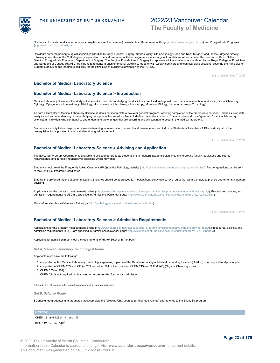# **The Faculty of Medicine**

2022/23 Vancouver Calendar

Children's Hospital in addition to numerous hospitals across the province) is available at Department of Surgery ( <http://www.surgery.ubc.ca>) and Postgraduate Programs [\(http://www.med.ubc.ca/postgrad](http://www.med.ubc.ca/postgrad)).

Residents enter the primary surgical specialties (Cardiac Surgery, General Surgery, Neurosurgery, Otolaryngology-Head and Neck Surgery, and Plastic Surgery) directly<br>following completion of the M.D. degree or equivalent. T Director, Postgraduate Education, Department of Surgery. The Surgical Foundations in Surgery incorporates clinical rotations as mandated by the Royal College of Physicians and Surgeons of Canada (RCPSC) training requirements in each entry-level discipline, together with weekly seminars and technical skills sessions, covering the Principles of<br>Surgery curriculum and leading to eligibility for

Last updated: June 7, 2022

### <span id="page-22-0"></span>**Bachelor of Medical Laboratory Science**

### <span id="page-22-1"></span>**Bachelor of Medical Laboratory Science > Introduction**

Medical Laboratory Science is the study of the scientific principles underlying the disciplines practised in diagnostic and medical research laboratories (Clinical Chemistry, Cytology, Cytogenetics, Haematology, Histology, Histochemistry, Microbiology, Microscopy, Molecular Biology, Immunopathology, Toxicology).

To earn a Bachelor of Medical Laboratory Science students must complete a two-year general program, following completion of the prerequisite courses. Emphasis is on data<br>analysis and an understanding of the underlying prin scientist, an individual who can adapt to and understand the changes that are occurring and will continue to occur in the medical laboratory.

Students are amply trained to pursue careers in teaching, administration, research and development, and industry. Students will also have fulfilled virtually all of the prerequisites for application to medical, dental, or graduate school.

Last updated: June 7, 2022

### <span id="page-22-2"></span>**Bachelor of Medical Laboratory Science > Advising and Application**

The B.M.L.Sc. Program Coordinator is available to assist undergraduate students in their general academic planning, in interpreting faculty regulations and course requirements, and in resolving academic problems which may arise.

Students should read the Frequently Asked Questions (FAQ) on the Pathology website [\(http://pathology.ubc.ca/educational-programs/bmlsc/](http://pathology.ubc.ca/educational-programs/bmlsc/)). Further questions can be sent<br>to the B.M.L.Sc. Program Coordinator.

Email is the preferred means of communication. Enquiries should be addressed to: medlab@pathology.ubc.ca. We regret that we are unable to provide one-on-one, in person advising.

Applications for the program must be made online [\(http://www.pathology.ubc.ca/educational-programs/bmlsc/prospective-students/how-to-apply/](http://www.pathology.ubc.ca/educational-programs/bmlsc/prospective-students/how-to-apply/)). Procedures, policies, and admission requirements to UBC are specified in Admissions (Calendar page: <http://www.calendar.ubc.ca/vancouver/index.cfm?tree=2,27,0,0#24063>).

More information is available from Pathology [\(http://pathology.ubc.ca/educational-programs/bmlsc/](http://pathology.ubc.ca/educational-programs/bmlsc/)).

Last updated: June 7, 2022

### <span id="page-22-3"></span>**Bachelor of Medical Laboratory Science > Admission Requirements**

Applications for the program must be made online [\(http://www.pathology.ubc.ca/educational-programs/bmlsc/prospective-students/how-to-apply/](http://www.pathology.ubc.ca/educational-programs/bmlsc/prospective-students/how-to-apply/)). Procedures, policies, and admission requirements to UBC are specified in Admissions (Calendar page: <http://www.calendar.ubc.ca/vancouver/index.cfm?tree=2,27,0,0#24063>).

Applicants for admission must meet the requirements of **either** Set A or B (not both).

*Set A, Medical Laboratory Technologist Route*

Applicants must have the following<sup>1</sup>:

1. completion of the Medical Laboratory Technologist (general) diploma of the Canadian Society of Medical Laboratory Science (CSMLS) or an equivalent diploma, plus

- 2. completion of CHEM 233 and 235 (or 203 and either 204 or the combined CHEM 213 and CHEM 245) (Organic Chemistry); plus
- 3. CHEM 205 (or 201).
- 4. CHEM 211 is not required but is **strongly recommended** for program admission.

<sup>1</sup>CHEM 211 is not required but is strongly recommended for program admission

*Set B, Science Route*

Science undergraduates and graduates must complete the following UBC courses (or their equivalents) prior to entry to the B.M.L.Sc. program:

**First Year** 

BIOL 112, 121 and 140 $^2$ 



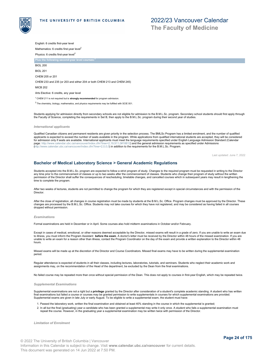

**The Faculty of Medicine**

English: 6 credits first-year level Mathematics: 6 credits first-year level<sup>2</sup> Physics: 6 credits first-year level<sup>2</sup>

**Plus the following second-year level course** 

BIOL 200 BIOL 201

CHEM 205 or 201

CHEM 233 and 235 (or 203 and either 204 or both CHEM 213 and CHEM 245)

MICB 202

Arts Elective: 6 credits, any year level

<sup>1</sup> CHEM 211 is not required but is **strongly recommended** for program admission.

 $2$  The chemistry, biology, mathematics, and physics requirements may be fulfilled with SCIE 001.

Students applying for admission directly from secondary schools are not eligible for admission to the B.M.L.Sc. program. Secondary school students should first apply through the Faculty of Science, completing the requirements in Set B, then apply to the B.M.L.Sc. program during their second year of studies.

### *International applicants*

Qualified Canadian citizens and permanent residents are given priority in the selection process. The BMLSc Program has a limited enrolment, and the number of qualified<br>applicants is expected to exceed the number of seats a for admission only if seats are available. International applicants must meet the language requirements specified under English Language Admission Standard (Calendar<br>page: http://www.calendar.ubc.ca/vancouver/index.cfm?tre endar.ubc.ca/vancouver/index.cfm?tree=2,19,911,0#18812) and the general admission requirements as specified under Admissions [\(http://www.calendar.ubc.ca/vancouver/index.cfm?tree=2,0,0,0](http://www.calendar.ubc.ca/vancouver/index.cfm?tree=2,0,0,0)) in addition to the requirements for the B.M.L.Sc. Program.

Last updated: June 7, 2022

### <span id="page-23-0"></span>**Bachelor of Medical Laboratory Science > General Academic Regulations**

Students accepted into the B.M.L.Sc. program are expected to follow a strict program of study. Changes to the required program must be requested in writing to the Director any time prior to the commencement of classes or up to two weeks after the commencement of classes. Students who change their program of study without the written permission of the Director shall suffer the consequences of rescheduling, timetable changes, and cancelled courses which in subsequent years may result in lengthening the time to complete the program.

After two weeks of lectures, students are not permitted to change the program for which they are registered except in special circumstances and with the permission of the Director.

After the close of registration, all changes in course registration must be made by students at the B.M.L.Sc. Office. Program changes must be approved by the Director. These changes are processed by the B.M.L.Sc. Office. Students may not take courses for which they have not registered, and may be considered as having failed in all courses dropped without permission.

### *Examinations*

Formal examinations are held in December or in April. Some courses also hold midterm examinations in October and/or February.

Except in cases of medical, emotional, or other reasons deemed acceptable by the Director, missed exams will result in a grade of zero. If you are unable to write an exam due to illness, you must inform the Program Assistant **before the exam**. A doctor's letter must be received by the Director within 48 hours of the missed examination. If you are unable to write an exam for a reason other than illness, contact the Program Coordinator on the day of the exam and provide a written explanation to the Director within 48 hours.

Missed exams will be made up at the discretion of the Director and Course Coordinators. Missed final exams may have to be written during the supplemental examination period.

Regular attendance is expected of students in all their classes, including lectures, laboratories, tutorials, and seminars. Students who neglect their academic work and assignments may, on the recommendation of the Head of the department, be excluded by the Dean from the final examinations.

No failed course may be repeated more than once without special permission of the Dean. This does not apply to courses in first-year English, which may be repeated twice.

### *Supplemental Examinations*

Supplemental examinations are not a right but a **privilege** granted by the Director after consideration of a student's complete academic standing. A student who has written final examinations but failed a course or courses may be granted permission to write supplementals in courses for which supplemental examinations are provided.<br>Supplemental exams are given in late July or early August. To

1. Passed the laboratory work, written the final examination and obtained at least 40% standing in the course in which the supplemental is granted;

2. In all but the final (graduating) year a candidate who has been granted a supplemental may write it only once. A student who fails a supplemental examination must<br>repeat the course. However, in the graduating year a sup

*Limitation of Enrolment*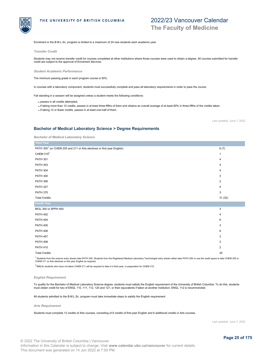

# 2022/23 Vancouver Calendar **The Faculty of Medicine**

Enrolment in the B.M.L.Sc. program is limited to a maximum of 24 new students each academic year.

### *Transfer Credit*

Students may not receive transfer credit for courses completed at other institutions where those courses were used to obtain a degree. All courses submitted for transfer credit are subject to the approval of Enrolment Services.

### *Student Academic Performance*

The minimum passing grade in each program course is 50%.

In courses with a laboratory component, students must successfully complete and pass all laboratory requirements in order to pass the course.

Fail standing in a session will be assigned unless a student meets the following conditions:

passes in all credits attempted;

- if taking more than 12 credits, passes in at least three-fifths of them and obtains an overall average of at least 60% in three-fifths of the credits taken;
- if taking 12 or fewer credits, passes in at least one-half of them.

Last updated: June 7, 2022

### <span id="page-24-1"></span>**Bachelor of Medical Laboratory Science > Degree Requirements**

| <b>Third Year</b>                                                                   |                         |
|-------------------------------------------------------------------------------------|-------------------------|
| PATH 300 <sup>1</sup> (or CHEM 205 and 211 or Arts electives or first year English) | 6(7)                    |
| CHEM $315^2$                                                                        | 1                       |
| <b>PATH 301</b>                                                                     | 4                       |
| <b>PATH 303</b>                                                                     | 4                       |
| <b>PATH 304</b>                                                                     | 4                       |
| <b>PATH 305</b>                                                                     | 3                       |
| <b>PATH 306</b>                                                                     | 2                       |
| <b>PATH 327</b>                                                                     | 4                       |
| <b>PATH 375</b>                                                                     | 3                       |
| <b>Total Credits</b>                                                                | 31(32)                  |
| <b>Fourth Year</b>                                                                  |                         |
| BIOL 300 or SPPH 400                                                                | 3                       |
| <b>PATH 402</b>                                                                     | 4                       |
| <b>PATH 404</b>                                                                     | 6                       |
| <b>PATH 405</b>                                                                     | 3                       |
| <b>PATH 406</b>                                                                     | 6                       |
| <b>PATH 407</b>                                                                     | 3                       |
| <b>PATH 408</b>                                                                     | 3                       |
| <b>PATH 415</b>                                                                     | $\overline{\mathbf{c}}$ |
| <b>Total Credits</b>                                                                | 30                      |

່ Students from the science entry stream take PATH 300. Students from the Registered Medical Laboratory Technologist entry stream either take PATH 300 or use the credit space to take CHEM 205 or<br>CHEM 211 or Arts electives 1

 $^2$  BMLSc students who have not taken CHEM 211 will be required to take it in third year, in preparation for CHEM 315.

### *English Requirement*

To qualify for the Bachelor of Medical Laboratory Science degree, students must satisfy the English requirement of the University of British Columbia. To do this, students must obtain credit for two of ENGL 110, 111, 112, 120 and 121, or their equivalents if taken at another institution. ENGL 112 is recommended.

All students admitted to the B.M.L.Sc. program must take immediate steps to satisfy the English requirement.

### *Arts Requirement*

<span id="page-24-0"></span>Students must complete 12 credits of Arts courses, consisting of 6 credits of first-year English and 6 additional credits in Arts courses.

Last updated: June 7, 2022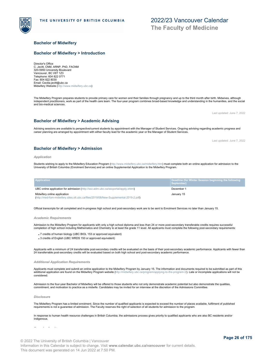### **Bachelor of Midwifery**

### <span id="page-25-0"></span>**Bachelor of Midwifery > Introduction**

Director's Office C. Jevitt, CNM, ARNP, PhD, FACNM 320-5950 University Boulevard Vancouver, BC V6T 1Z3 Telephone: 604 822 0771 Fax: 604 822 8030 Email: Cecilia.jevitt@ubc.ca Midwifery Website [\(http://www.midwifery.ubc.ca](http://www.midwifery.ubc.ca))

The Midwifery Program prepares students to provide primary care for women and their families through pregnancy and up to the third month after birth. Midwives, although independent practitioners, work as part of the health care team. The four-year program combines broad-based knowledge and understanding in the humanities, and the social and bio-medical sciences.

Advising sessions are available to perspective/current students by appointment with the Manager of Student Services. Ongoing advising regarding academic progress and

career planning are arranged by appointment with either faculty lead for the academic year or the Manager of Student Services.

### <span id="page-25-1"></span>**Bachelor of Midwifery > Academic Advising**

# <span id="page-25-2"></span>**Bachelor of Midwifery > Admission**

Students wishing to apply to the Midwifery Education Program [\(http://www.midwifery.ubc.ca/midwifery.htm](http://www.midwifery.ubc.ca/midwifery.htm)) must complete both an online application for admission to the<br>University of British Columbia (Enrolment Services) and

| <b>Application</b>                                                                                                    | Deadline (for Winter Session beginning the following<br>September) |
|-----------------------------------------------------------------------------------------------------------------------|--------------------------------------------------------------------|
| UBC online application for admission (http://ssc.adm.ubc.ca/sscportal/apply.xhtml)                                    | December 1                                                         |
| Midwifery online application<br>(http://med-fom-midwifery.sites.olt.ubc.ca/files/2019/08/New-Supplemental-2019-2.pdf) | January 15                                                         |

Official transcripts for all completed and in-progress high school and post-secondary work are to be sent to Enrolment Services no later than January 15.

*Academic Requirements*

*Application*

Admission to the Midwifery Program for applicants with only a high school diploma and less than 24 or more post-secondary transferable credits requires successful completion of high school including Mathematics and Chemistry to at least the grade 11 level. All applicants must complete the following post-secondary requirements:

7 credits of human biology (UBC BIOL 153 or approved equivalent)

3 credits of English (UBC WRDS 150 or approved equivalent)

Applicants with a minimum of 24 transferrable post-secondary credits will be evaluated on the basis of their post-secondary academic performance. Applicants with fewer than<br>24 transferrable post-secondary credits will be e

### *Additional Application Requirements*

Applicants must complete and submit an online application to the Midwifery Program by January 15. The information and documents required to be submitted as part of this additional application are found on the Midwifery Program website [\(http://midwifery.ubc.ca/program/applying-to-the-program-2/](http://midwifery.ubc.ca/program/applying-to-the-program-2/)). Late or incomplete applications will not be considered.

Admission to the four-year Bachelor of Midwifery will be offered to those students who not only demonstrate academic potential but also demonstrate the qualities, commitment, and motivation to practice as a midwife. Candidates may be invited for an interview at the discretion of the Admissions Committee.

### *Disclosure*

The Midwifery Program has a limited enrolment. Since the number of qualified applicants is expected to exceed the number of places available, fulfilment of published requirements is not a guarantee of admission. The Faculty reserves the right of selection of all students for admission to the program.

In response to human health resource challenges in British Columbia, the admissions process gives priority to qualified applicants who are also BC residents and/or Indigenous.

Last updated: June 7, 2022

Last updated: June 7, 2022



**The Faculty of Medicine**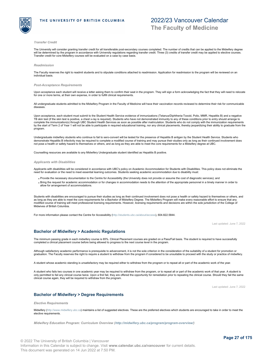

### *Transfer Credit*

The University will consider granting transfer credit for all transferable post-secondary courses completed. The number of credits that can be applied to the Midwifery degree will be determined by the program in accordance with University regulations regarding transfer credit. Three (3) credits of transfer credit may be applied to elective courses.<br>Transfer credit for core Midwifery courses wil

### *Readmission*

The Faculty reserves the right to readmit students and to stipulate conditions attached to readmission. Application for readmission to the program will be reviewed on an individual basis.

### *Post-Acceptance Requirements*

Upon acceptance each student will receive a letter asking them to confirm their seat in the program. They will sign a form acknowledging the fact that they will need to relocate for one or more terms, at their own expense, in order to fulfill clinical requirements.

All undergraduate students admitted to the Midwifery Program in the Faculty of Medicine will have their vaccination records reviewed to determine their risk for communicable diseases.

Upon acceptance, each student must submit to the Student Health Service evidence of immunizations (Tetanus/Diphtheria-Toxoid, Polio, MMR, Hepatitis B) and a negative TB skin test (if the skin test is positive, a chest x-ray is required). Students who have not demonstrated immunity to any of these conditions prior to entry should arrange to complete the immunization(s) through UBC Student Health Services as soon as possible after matriculation. Students who do not comply with the immunization requirements by the start of Term 2 of Year 1 will not be able to participate in required educational training, nor any clinical placements, thereby jeopardizing their ability to graduate from the program.

Undergraduate midwifery students who continue to fail to sero-convert will be tested for the presence of Hepatitis B antigen by the Student Health Service. Students who<br>demonstrate Hepatitis B infectivity may be required t

Counselling resources are available to any Midwifery Undergraduate student identified as Hepatitis B positive.

### *Applicants with Disabilities*

Applicants with disabilities will be considered in accordance with UBC's policy on Academic Accommodation for Students with Disabilities. This policy does not eliminate the need for evaluation or the need to meet essential learning outcomes. Students seeking academic accommodation due to disability must:

- Provide the necessary documentation to the Centre for Accessibility (the University does not provide or assume the cost of diagnostic services); and
- Bring the request for academic accommodation or for changes in accommodation needs to the attention of the appropriate personnel in a timely manner in order to allow for arrangement of accommodations.

Students with disabilities are encouraged to pursue their studies as long as their continued involvement does not pose a health or safety hazard to themselves or others, and<br>as long as they are able to meet the core requir modified course of training will meet professional licensing requirements. However, licensing requirements and decisions are within the sole jurisdiction of the College of Midwives of British Columbia.

For more information please contact the Centre for Accessibility [\(http://students.ubc.ca/about/access](http://students.ubc.ca/about/access)), 604.822.5844.

Last updated: June 7, 2022

### <span id="page-26-0"></span>**Bachelor of Midwifery > Academic Regulations**

The minimum passing grade in each midwifery course is 65%. Clinical Placement courses are graded on a Pass/Fail basis. The student is required to have successfully completed a clinical placement course before being allowed to progress to the next course level in the program.

Although satisfactory academic performance is prerequisite to advancement, it is not the sole criterion in the consideration of the suitability of a student for promotion or graduation. The Faculty reserves the right to require a student to withdraw from the program if considered to be unsuitable to proceed with the study or practice of midwifery.

A student whose academic standing is unsatisfactory may be required either to withdraw from the program or to repeat all or part of the academic work of the year.

A student who fails two courses in one academic year may be required to withdraw from the program, or to repeat all or part of the academic work of that year. A student is only permitted to fail any clinical course twice. Upon a first fail, they are offered the opportunity for remediation prior to repeating the clinical course. Should they fail the same clinical course again, they will be required to withdraw from the program.

Last updated: June 7, 2022

### <span id="page-26-1"></span>**Bachelor of Midwifery > Degree Requirements**

*Elective Requirements*

Midwifery [\(http://www.midwifery.ubc.ca](http://www.midwifery.ubc.ca)) maintains a list of suggested electives. These are the preferred electives which students are encouraged to take in order to meet the elective requirements.

*Midwifery Education Program: Curriculum Overview (<http://midwifery.ubc.ca/program/program-overview/>)*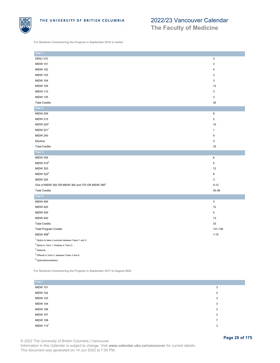

**The Faculty of Medicine**

**For Students Commencing the Program in September 2016 or earlier**

| Year 1                                                               |                           |
|----------------------------------------------------------------------|---------------------------|
| <b>GRSJ 310</b>                                                      | $\ensuremath{\mathsf{3}}$ |
| <b>MIDW 101</b>                                                      | 3                         |
|                                                                      | $\overline{4}$            |
| <b>MIDW 102</b>                                                      |                           |
| <b>MIDW 103</b>                                                      | 3                         |
| <b>MIDW 104</b>                                                      | 3                         |
| <b>MIDW 105</b>                                                      | 13                        |
| <b>MIDW 110</b>                                                      | 3                         |
| <b>MIDW 125</b>                                                      | 3                         |
| <b>Total Credits</b>                                                 | 35                        |
| Year 2                                                               |                           |
| <b>MIDW 205</b>                                                      | 8                         |
| <b>MIDW 215</b>                                                      | $\overline{2}$            |
| MIDW 2201                                                            | $10$                      |
| MIDW 221 $1$                                                         | $\mathbf{1}$              |
| <b>MIDW 240</b>                                                      | 9                         |
| Elective                                                             | 3                         |
| <b>Total Credits</b>                                                 | 33                        |
| Year 3                                                               |                           |
| <b>MIDW 305</b>                                                      | 6                         |
| MIDW 310 <sup>2</sup>                                                | 5                         |
| <b>MIDW 320</b>                                                      | 12                        |
| MIDW 322 <sup>3</sup>                                                | 8                         |
| <b>MIDW 325</b>                                                      | 3                         |
| One of MIDW 350 OR MIDW 360 and 370 OR MIDW 380 <sup>4</sup>         | $4 - 12$                  |
| <b>Total Credits</b>                                                 | 30-38                     |
| Year 4                                                               |                           |
| <b>MIDW 405</b>                                                      | 3                         |
| <b>MIDW 420</b>                                                      | 12                        |
| <b>MIDW 430</b>                                                      | 5                         |
| <b>MIDW 440</b>                                                      | 13                        |
| <b>Total Credits</b>                                                 | 33                        |
| <b>Total Program Credits</b>                                         | 131-139                   |
| MIDW 499 <sup>5</sup>                                                | $1 - 15$                  |
| <sup>1</sup> Option to take in summer between Years 1 and 2.         |                           |
| $2$ Starts in Term 1, finishes in Term 2.                            |                           |
| $3$ Optional.                                                        |                           |
| <sup>4</sup> Offered in Term 3, between Years 3 and 4.               |                           |
| $5$ Optional/remediation.                                            |                           |
|                                                                      |                           |
| For Students Commencing the Program in September 2017 to August 2022 |                           |

| Year 1          |   |
|-----------------|---|
| <b>MIDW 101</b> | 3 |
| <b>MIDW 102</b> | 4 |
| <b>MIDW 103</b> | 3 |
| <b>MIDW 104</b> | 3 |
| <b>MIDW 106</b> | 3 |
| <b>MIDW 107</b> | 3 |
| <b>MIDW 108</b> |   |
| MIDW $115^1$    | 3 |

© 2022 The University of British Columbia | Vancouver Information in this Calendar is subject to change. Visit **www.calendar.ubc.ca/vancouver** for current details. This document was generated on 14 Jun 2022 at 7:50 PM.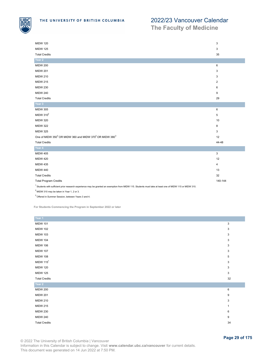

**The Faculty of Medicine**

| <b>MIDW 120</b>                                                                                                                                                     | 3                       |
|---------------------------------------------------------------------------------------------------------------------------------------------------------------------|-------------------------|
| <b>MIDW 125</b>                                                                                                                                                     | 3                       |
| <b>Total Credits</b>                                                                                                                                                | 35                      |
| Year 2                                                                                                                                                              |                         |
|                                                                                                                                                                     |                         |
| <b>MIDW 200</b>                                                                                                                                                     | 6                       |
| <b>MIDW 201</b>                                                                                                                                                     | 3                       |
| <b>MIDW 210</b>                                                                                                                                                     | 3                       |
| <b>MIDW 215</b>                                                                                                                                                     | $\overline{\mathbf{c}}$ |
| <b>MIDW 230</b>                                                                                                                                                     | 6                       |
| <b>MIDW 240</b>                                                                                                                                                     | 9                       |
| <b>Total Credits</b>                                                                                                                                                | 29                      |
| Year 3                                                                                                                                                              |                         |
| <b>MIDW 305</b>                                                                                                                                                     | 6                       |
| MIDW 310 <sup>2</sup>                                                                                                                                               | 5                       |
| <b>MIDW 320</b>                                                                                                                                                     | 10                      |
| <b>MIDW 322</b>                                                                                                                                                     | 8                       |
| <b>MIDW 325</b>                                                                                                                                                     | 3                       |
| One of MIDW 350 <sup>3</sup> OR MIDW 360 and MIDW 370 <sup>3</sup> OR MIDW 380 <sup>3</sup>                                                                         | 12                      |
| <b>Total Credits</b>                                                                                                                                                | 44-48                   |
| Year 4                                                                                                                                                              |                         |
| <b>MIDW 405</b>                                                                                                                                                     | 3                       |
| <b>MIDW 420</b>                                                                                                                                                     | 12                      |
| <b>MIDW 435</b>                                                                                                                                                     | 4                       |
| <b>MIDW 440</b>                                                                                                                                                     | 13                      |
| <b>Total Credits</b>                                                                                                                                                | 32                      |
| <b>Total Program Credits</b>                                                                                                                                        | 140-144                 |
| <sup>1</sup> Students with sufficient prior research experience may be granted an exemption from MIDW 115. Students must take at least one of MIDW 115 or MIDW 310. |                         |
| $2$ MIDW 310 may be taken in Year 1, 2 or 3.                                                                                                                        |                         |

 $3$  Offered in Summer Session, between Years 3 and 4.

**For Students Commencing the Program in September 2022 or later**

| Year 1               |    |
|----------------------|----|
| <b>MIDW 101</b>      | 3  |
| <b>MIDW 102</b>      | 3  |
| <b>MIDW 103</b>      | 3  |
| <b>MIDW 104</b>      | 3  |
| <b>MIDW 106</b>      | 3  |
| <b>MIDW 107</b>      | 3  |
| <b>MIDW 108</b>      | 5  |
| MIDW $1151$          | 3  |
| <b>MIDW 120</b>      | 3  |
| <b>MIDW 125</b>      | 3  |
| <b>Total Credits</b> | 32 |
| Year 2               |    |
| <b>MIDW 200</b>      | 6  |
| <b>MIDW 201</b>      | 9  |
| <b>MIDW 210</b>      | 3  |
| <b>MIDW 215</b>      | 1  |
| <b>MIDW 230</b>      | 6  |
| <b>MIDW 240</b>      | 9  |
| <b>Total Credits</b> | 34 |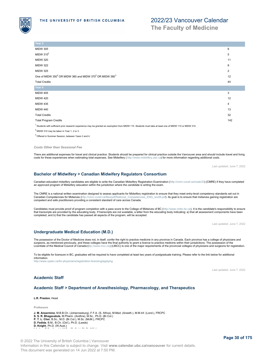

**The Faculty of Medicine**

| Year 3                                                                                                                                                              |                |
|---------------------------------------------------------------------------------------------------------------------------------------------------------------------|----------------|
| <b>MIDW 305</b>                                                                                                                                                     | 6              |
| MIDW $310^2$                                                                                                                                                        | 5              |
| <b>MIDW 320</b>                                                                                                                                                     | 11             |
| <b>MIDW 322</b>                                                                                                                                                     | 8              |
| <b>MIDW 325</b>                                                                                                                                                     | $\overline{2}$ |
| One of MIDW 350 <sup>3</sup> OR MIDW 360 and MIDW 370 <sup>3</sup> OR MIDW 380 <sup>3</sup>                                                                         | 12             |
| <b>Total Credits</b>                                                                                                                                                | 44             |
| Year 4                                                                                                                                                              |                |
| <b>MIDW 405</b>                                                                                                                                                     | 3              |
| <b>MIDW 420</b>                                                                                                                                                     | 12             |
| <b>MIDW 435</b>                                                                                                                                                     | 4              |
| <b>MIDW 440</b>                                                                                                                                                     | 13             |
| <b>Total Credits</b>                                                                                                                                                | 32             |
| <b>Total Program Credits</b>                                                                                                                                        | 142            |
| <sup>1</sup> Students with sufficient prior research experience may be granted an exemption from MIDW 115. Students must take at least one of MIDW 115 or MIDW 310. |                |

 $2$  MIDW 310 may be taken in Year 1, 2 or 3.

 $3$  Offered in Summer Session, between Years 3 and 4.

### *Costs Other than Sessional Fee*

There are additional expenses for travel and clinical practice. Students should be prepared for clinical practice outside the Vancouver area and should include travel and living costs for these experiences when estimating total expenses. See Midwifery ( <http://www.midwifery.ubc.ca>) for more information regarding additional costs.

Last updated: June 7, 2022

### <span id="page-29-2"></span>**Bachelor of Midwifery > Canadian Midwifery Regulators Consortium**

Canadian-educated midwifery candidates are eligible to write the Canadian Midwifery Registration Examination [\(http://cmrc-ccosf.ca/node/23](http://cmrc-ccosf.ca/node/23)) (CMRE) if they have completed<br>an approved program of Midwifery education within t

The CMRE is a national written examination designed to assess applicants for Midwifery registration to ensure that they meet entry-level competency standards set out in<br>Canadian Competencies for Midwives (http://cmrc-ccosf Canadian Competencies for Midwives [\(http://cmrc-ccosf.ca/files/pdf/National\\_Competencies\\_ENG\\_rev08.pdf](http://cmrc-ccosf.ca/files/pdf/National_Competencies_ENG_rev08.pdf)). Its goal is to ensure that midwives gaining registration are<br>competent and safe practitioners providing a consistent

Candidates must provide proof of program completion with a pass score to the College of Midwives of BC [\(http://www.cmbc.bc.ca](http://www.cmbc.bc.ca)). It is the candidate's responsibility to ensure<br>that transcripts are provided by the educating completed; and b) that the candidate has passed all aspects of the program, will be accepted.

Last updated: June 7, 2022

### <span id="page-29-0"></span>**Undergraduate Medical Education (M.D.)**

The possession of the Doctor of Medicine does not, in itself, confer the right to practice medicine in any province in Canada. Each province has a college of physicians and surgeons, as mentioned previously, and these colleges have the final authority to grant a licence to practice medicine within their jurisdictions. The possession of the Licentiate of the Medical Council of Canada [\(http://www.mcc.ca](http://www.mcc.ca)) (LMCC) is one of the major requirements of the provincial colleges of physicians and surgeons for registration.

To be eligible for licensure in BC, graduates will be required to have completed at least two years of postgraduate training. Please refer to the link below for additional information.

<http://www.cpsbc.ca/for-physicians/registration-licensing/applying>

Last updated: June 7, 2022

### <span id="page-29-1"></span>**Academic Staff**

### <span id="page-29-3"></span>**Academic Staff > Department of Anesthesiology, Pharmacology, and Therapeutics**

**L.R. Preston**, Head

**Professors**

**J. M. Ansermino**, M.B.B.Ch. (Johannesburg), F.F.A. (S. Africa), M.Med. (Anesth.), M.M.Inf. (Lond.), FRCPC **S. S. R. Bhagavatula**, M.Pharm. (Andhra), M.Sc., Ph.D. (Br.Col.) **P. T. L. Choi**, B.Sc., M.D. (Br.Col.), M.Sc. (McM.), FRCPC **D. Fedida**, B.M., B.Ch. (Oxf.), Ph.D. (Leeds) **D. Knight**, Ph.D. (W.Aust.)<br>**I. Laherry, B.S. (Br.Col.), Ph.D. (Br.Col.), Ph.D. (Br.Col.), Ph.D. (Br.Col.), Ph.D.**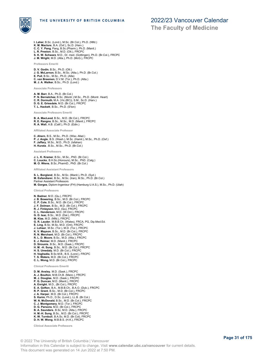

# 2022/23 Vancouver Calendar

**The Faculty of Medicine**

**I. Laher**, B.Sc. (Lond.), M.Sc. (Br.Col.), Ph.D. (Nfld.) **K. M. Maclure**, B.A. (Oxf.), Sc.D. (Harv.) **C. C. Y. Pang**, Pang, B.Sc.(Pharm.), Ph.D. (Manit.) **L. R. Preston**, B.Sc., M.D. (Ott.), FRCPC **S. K. W. Schwarz**, M.D., Dr. med. (Gottingen), Ph.D. (Br.Col.), FRCPC **J. M. Wright**, M.D. (Alta.), Ph.D. (McG.), FRCPC

**Professors Emeriti**

**D. V. Godin**, B.Sc., Ph.D. (Ott.) **J. G. McLarnon**, B.Sc., M.Sc. (Alta.), Ph.D. (Br.Col.) **E. Puil**, B.Sc., M.Sc., Ph.D. (Alta) **C. van Breemen**, D.V.M. (Tor.), Ph.D. (Alta.) **M. J. A. Walker**, B.Sc., Ph.D. (Lond.)

**Associate Professors**

- 
- **A. M. Barr**, B.A., Ph.D. (Br.Col.) **P. N. Bernatchez**, B.Sc. (Montr.) M.Sc., Ph.D. (Montr. Heart) **C. R. Dormuth**, M.A. (Vic.(BC)), S.M., Sc.D. (Harv.)
- 
- **D. G. E. Griesdale**, M.D. (Br.Col.), FRCPC **T. L. Hackett**, B.Sc., Ph.D. (S'ton)

**Associate Professors Emeriti**

- **B. A. MacLeod**, B.Sc., M.D. (Br.Col.), FRCPC **R. E. Rangno**, B.Sc., M.Sc., M.D. (Manit.), FRCPC
- **R. A. Wall**, A.B. (Calif.), Ph.D. (Edin.)

**Affiliated Associate Professor**

**C. Ahern**, B.S., M.Sc., Ph.D. (Wisc.-Mad.) **P. J. Angle**, B.S. (Wash.), M.Sc. (Hamil.), M.Sc., Ph.D. (Oxf.) **F. Jaffary**, M.Sc., M.D., Ph.D. (Isfahan) **H. Kurata** , B.Sc., M.Sc., Ph.D. (Br.Col.)

**Assistant Professors**

**J. L. K. Kramer**, B.Sc., M.Sc., PhD. (Br.Col.) **C. Loucks**, B.H.Sc.(Honours), M.Sc., PhD. (Calg.) **M. O. Wiens**, B.Sc.,PharmD., PhD. (Br.Col.)

**Affiliated Assistant Professors**

**S. L. Borgland**, B.Sc., M.Sc. (Manit.), Ph.D. (Syd.) **M. Esfandiarei**, B.Sc., M.Sc. (Iran), M.Sc., Ph.D. (Br.Col.) Partner Assistant Professors **M. Gorges**, Diplom-Ingenieur (FH) (Hamburg U.A.S.), M.Sc., Ph.D. (Utah)

**Clinical Professors**

**N. Badner**, M.D. (Qu.), FRCPC **J. B. Bowering**, B.Sc., M.D. (Br.Col.), FRCPC **C. P. Cole**, B.Sc., M.D. (Br.Col.), FRCPC **J. F. Dolman**, B.Sc., M.D. (Br.Col.), FRCPC **R. J. Finlayson**, M.D. (Qu), FRCPC **C. L. Henderson**, M.D. (W.Ont.), FRCPC **G. D. Isac**, B.Sc., M.D. (Dal.), FRCPC **M. Klas**, M.D. (Nfld.), FRCPC **G. R. Lauder**, M.B.B.Ch. (Wales), FRCA, PG, Dip.Med.Ed. **E. Ling**, B.Sc. M.Sc, M.D. (Ont), FRCPC **J. Lohser**, M.Sc. (Tor.), M.D. (Tor.), FRCPC **K. V. Mayson**, B.Sc., M.D. (Br.Col.), FRCPC **R. N. Merchant**, M.D. (Br.Col.), FRCPC **R. L. D. Moore**, B.Sc., M.D. (Alta.), FRCPC **E. J. Reimer**, M.D. (Manit.), FRCPC **D. Sirounis**, B.Sc., M.D. (Sask.), FRCPC **H. M. -H. Sung**, B.Sc., M.D. (Br.Col.), FRCPC **H. S. Umedaly**, M.D. (Br.Col.), FRCPC **H. Vaghadia**, B.Sc.M.B., B.S. (Lond.), FRCPC **T. S. Waters**, M.D. (Br.Col.), FRCPC **C. L. Wong**, M.D. (Br.Col.), FRCPC

**Clinical Professors Emeriti**

**D. M. Ansley**, M.D. (Sask.), FRCPC **A. J. Boulton**, M.B.Ch.B. (Manc.), FRCPC M. J. Douglas, M.D. (Sask.), FRCPC<br>P. G. Duncan, M.D. (Manit.), FRCPC<br>A. Enright, M.D., (Br.Col.), FRCPC<br>E. A. Gofton, B.A., M.B.B.Ch., B.A.O. (Dub.), FRCPC<br>R. P. Grant, B.Sc., M.D. (Br.Col.), FRCPC<br>J. A. Harper, M.D. (Br. **S. Karim**, Ph.D., D.Sc. (Lond.), LL.B. (Br.Col.) **W. N. McDonald**, B.Sc., M.D. (Br.Col.), FRCPC **C. J. Montgomery**, M.D. (Tor.), FRCPC **D. G. Parsons**, M.D. (Br.Col.), FRCPC **B. A. Saunders**, B.Sc, M.D. (Alta.), FRCPC **H. M.-H. Sung**, B.Sc., M.D. (Br.Col.), FRCPC **K. W. Turnbull**, B.A.Sc, M.D. (Br.Col), FRCPC **D. H. W. Wong**, M.B.B.S. (H.K.), FRCPC

**Clinical Associate Professors**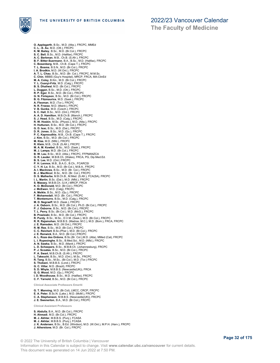

**The Faculty of Medicine**

**O. Applegarth**, B.Sc., M.D. (Alta.), FRCPC, MMEd **C. L. -S. Au**, M.D. (Ott.), FRCPC **K. M. Bailey**, B.Sc., M.D. (Br.Col.), FRCPC **S. C. Bell**, B.Sc., M.D. (Halifax), FRCPC **A. C. Berkman**, M.B., Ch.B. (S.Afr.), FRCPC **B. F. Bitter-Suermann**, B.A., B.Sc., M.D. (Halifax), FRCPC **C. Bosenberg**, M.B., Ch.B. (Cape T.), FRCPC **T. L. Bosma**, B.S.N., M.D. (Br.Col.), FRCPC **I. A. Brodkin**, M.D. (W.Ont.), FRCPC **A. T. L. Chau**, B.Sc., M.D. (Br. Col.), FRCPC, M.M.Sc. **C. Chin**, MBBS (Guy's Hospital), MRCP, FRCA, MA-ClinEd **M. A. Coley**, B.Kin., M.D. (Br.Col.), FRCPC **Y. L. Csanyi-Fritz**, M.D. (Calg.), FRCPC **B. S. Dhaliwal**, M.D. (Br.Col.), FRCPC **L. Duggan**, B.Sc., M.D. (Ott.), FRCPC **R. P. Eger**, B.Sc., M.D. (Br.Col.), FRCPC **G. N. Finlayson**, B.Sc., M.D. (Br.Col.), FRCPC **B. G. Fitzmaurice**, M.D. (Sask.), FRCPC **A. Flexman**, M.D. (Tor.), FRCPC **N. R. Froese**, M.D. (Manit.), FRCPC **V. B. Gunka**, M.D. (Czech.), FRCPC **S. C. Hall**, B.Sc., M.D. (Ont.), FRCPC **A. A. D. Hamilton**, M.B.Ch.B. (Manch.), FRCPC **S. J. Head**, B.Sc., M.D. (Calg.), FRCPC **R. W. Hoskin**, M.Sc. (Physio.), M.D. (Alta.), FRCPC **H. Huttunen**, B.Sc., M.D. (Br.Col.), FRCPC G. D. Isac, B.Sc., M.D. (Dal.), FRCPC<br>D. R. Jones, B.Sc., M.D. (Qu.), FRCPC<br>P. C. Kapnoudhis, M.B., Ch.B. (Cape T.), FRCPC<br>J. Kim, B.Sc., M.D. (Br.Col.), FRCPC<br>M. Klas, M.D. (Nifl.), FRCPC<br>R. Klein, M.B., Ch.B. (S.Afr.), F **M. A. M. Kowbel**, B.Sc., M.D. (Sask.), FRCPC **M. J. Lampa**, M.D. (Br.Col.), FRCPC **B. W. Lau**, B.Sc., M.D. (Alta.), FRCPC, FFPMANZCA **G. R. Lauder**, M.B.B.Ch. (Wales), FRCA, PG, Dip.Med.Ed. **B. S. Lee**, M.D. (Ont.) FRCPC **P. H. Lennox**, M.B., B.A.O., B.Ch., FCARCSI **C. Y. H. Lo**, B.Sc., M.D. (Br.Col.), M.B.A., FRCPC **A. I. MacInnes**, B.Sc., M.D. (Br. Col.), FRCPC **B. J. MacNicol**, B.Sc., M.D. (Br. Col.), FRCPC **D. S. Malherbe**, M.B.Ch.B., M.Med. (S.Afr.), FCA(SA), FRCPC **I. L. Martin**, B.Sc. (Dal.), M.D. (Nfld.), FRCPC **S. Massey**, M.B.B.Ch. (U.K.) MRCP, FRCA **K. O. McDonald**, M.D. (Br.Col.), FRCPC **J. McEwen**, M.D. (Calg), FRCPC **A. Meikle**, B.Sc., M.D. (Qu.), FRCPC **F. Mohamedali**, M.D. (Br. Col.), FRCPC **T. Montemurro**, B.Sc., M.D. (Calg.), FRCPC **M. D. Negraeff**, M.D. (Sask.), FRCPC **J. A. Osborn**, B.Sc., M.D. (Br.Col.), Ph.D. (Br.Col.), FRCPC **P. J. Osborne**, B.Sc., M.D. (Br.Col.), FRCPC **T. L. Perry**, B.Sc. (Br.Col.), M.D. (McG.), FRCPC **B. Prasloski**, B.Sc., M.D. (Br.Col.), FRCPC **R. Purdy**, B.Sc., M.Sc., D.V.M. (Sask.), M.D. (Br.Col.), FRCPC **R. R. Rajamohan**, M.B.B.S. (Madras..M.C.), M.D. (Bom.), FRCA, FRCPC<br>**J. E. Ramsden**, M.D. (W.Ont.), FRCPC<br>**R. M. Ree**, B.Sc., M.D. (Br.Col.), FRCPC **C. C. Reichert**, B.Sc.(Phar.), M.D. (Br.Col.), FRCPC **J. E. Renwick**, B.A., M.D. (Br.Col.) FRCPC **A. L. Roze des Ordons**, B.Sc.(Br. Col.),M.D. (Alta), MMed (Cal), FRCPC **L. I. Rupesinghe**, B.Sc., B.Med.Sci., M.D. (Nfld.), FRCPC **A. N. Sawka**, B.Sc., M.D. (Manit.), FRCPC **L. D. Scheepers**, B.Sc., M.B.B.Ch. (Johannesburg), FRCPC **P. J. Scoates**, B.Sc., M.D. (Br.Col.), FRCPC **P. A. Swart**, M.B.Ch.B. (S.Afr.), FRCPC **L. Takeuchi**, B.Sc., M.D. (Ont.), M.Sc., FRCPC **R. Tang**, B.Sc., M.Sc., (Br.Col.), M.D. (Tor.) FRCPC **S. Thobani**, M.B.B.S. (Lond.), FRCPC **G. C. Villar**, M.D. (Brazil), FRCPC **S. D. Whyte**, M.B.B.S. (Newcastle(UK)), FRCA **G. G. Wood**, M.D. (Qu.), FRCPC **I. D. Woodhouse**, B.Sc., M.D. (Halifax), FRCPC **C. F. Yarnold**, B.Sc., M.D. (Br.Col.), FRCPC **Clinical Associate Professors Emeriti**

**G. T. Manning**, M.D. (Br.Col), LMCC, CRCP, FRCPC **E. A. Peter**, B.Sc.N. (Lake.), M.D. (McM.), FRCPC **C. A. Stephenson**, M.B.B.S. (Newcastle(UK)), FRCPC **J. E. Swenerton**, B.A., M.D. (Br.Col.), FRCPC **Clinical Assistant Professors**

**S. Abdulla**, B.A., M.D. (Br.Col.), FRCPC **H. Ahmadi**, M.D. (Br.Col.), FRCPC **M. J. Akhtar**, M.B.B.S. (Punj.), FCASA **M. J. Akhtar**, M.B.B.S. (Punj.), FCASA **J. K. Andersen**, B.Sc., B.Ed. (Windsor), M.D. (W.Ont.), M.P.H. (Harv.), FRCPC **J. Atherstone**, M.D. (Br. Col.), FRCPC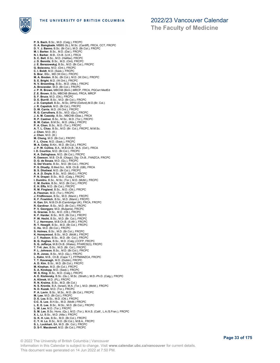

# 2022/23 Vancouver Calendar

**The Faculty of Medicine**

**P. S. Bach**, B.Sc., M.D. (Calg.), FRCPC **O. A. Bamgbade**, MBBS (Ib.), M.Sc. (Cardiff), FRCA, CCT, FRCPC **D. Y. J. Banno**, B.Sc. (Br.Col.), M.D. (Br.Col.), FRCPC **M. I. Barker**, B.Sc., M.D. (Dal.), FRCPC **N. I. Barker**, M.B., Ch.B. (U.K.), FRCA **S. C. Bell**, B.Sc., M.D. (Halifax), FRCPC **J. D. Bennitz**, B.Sc., M.D. (Ont), FRCPC **J. E. Berezowskyj**, B.Sc., M.D. (Br.Col.), FRCPC **G. Boisvenu**, M.D. (Ont.), FRCPC **C. I. Boldt**, M.D. (Sask.), FRCPC **S. Brar**, BSc., MD (W.Ont.). FRCPC M. A. Breden, B.Sc. (Br.Col.), M.D. (W.Ont.), FRCPC<br>S. E. Bright, M.D. (W.Ont.), FRCPC<br>N. V. Broemling, B.Sc., M.D. (Alta.), FRCPC<br>A. Brovender, M.D. (Br.Col.), FRCPC<br>J. P. R. Brown, MBChB (Birm.) MRCP, FRCA, PGCert MedEd **Z .E. Brown**, B.Sc, MBChB (Bristol), FRCA, MRCP **S. F. Bruce**, M.D. (Ott.), FRCPC **D. E. Burrill**, B.Sc., M.D. (Br.Col.), FRCPC **J. D. Campbell**, B.Sc., M.Sc, DPhil (Oxford),M.D.(Br. Col.) **J. R. Capstick**, M.D. (Br.Col.), FRCPC **D. W. Carrie**, M.D. (W.Ont.), FRCPC **R. G. Carruthers**, B.Sc., M.D. (Qu.), FRCPC **J. A. M. Cassidy**, B.Sc., MBChB (Glas.), FRCA **R. P. Castner**, B.Sc., M.Sc., M.D. (Tor.), FRCPC **B. W. Caton**, B.M.Sc., M.D. (Alta.), FRCPC **P. A. Chan**, B.Sc., M.D. (Tor.), FRCPC **A. T. L. Chau**, B.Sc., M.D. (Br. Col.), FRCPC, M.M.Sc. **J. Chen**, M.D. (Ill.) **J. Chen**, M.D. (Ill.) **M. Cheng**, M.D. (Br.Col.), FRCPC **F. L. Chow**, M.D. (Sask.), FRCPC **M. A. Coley**, B.Kin., M.D. (Br.Col.), FRCPC **J. P. W. Collins**, B.A., M.B.Ch.B., M.A. (Oxf.), FRCA **I. D. Courtice**, M.D. (Br.Col.), FRCPC **K. A. Dalinghaus**, M.D. (Br.Col.), FRCPC **K. Dawson**, M.B. Ch.B. (Otago), Dip. Ch.B., FANZCA, FRCPC **D. G. de Souza**, M.D. (Qu.), FRCPC **G. Del Vicario**, B.Sc., M.D. (Br.Col.), FRCPC **P. S. Dhadly**, B.Med.Sci., M.B. Ch.B. (GB), FRCA **B. S. Dhaliwal**, M.D. (Br.Col.), FRCPC **A. A .D. Doyle**, B.Sc., M.D. (McG.), FRCPC **P. N. Draper**, B.Sc., M.D. (Calg.), FRCPC **I. Dumitru**, B.Sc., M.Sc. (Tor.), M.D. (McM.), FRCPC **C. M. Durkin**, B.Sc., M.D. (Br.Col.), FRCPC **E. H. Effa**, M.D. (Br.Col.), FRCPC **R. M. Fingland**, B.Sc., M.D. (Ott.), FRCPC **A. Flexman**, M.D. (Tor.), FRCPC **J. Fridfinnson**, B.Sc., M.D. (Manit.), FRCPC **K. F. Froehlich**, B.Sc., M.D. (Manit.), FRCPC **H. Gan**, BA, M.B.Ch.B (Cambridge UK), FRCA, FRCPC **R. Gardiner**, B.Sc., M.D. (Br.Col.), FRCPC **P. V. Georgyev**, M.D. (Bulgaria), FRCPC **G. Gracias**, B.Sc., M.D. (Ott.), FRCPC **K. F. Harder**, B.Sc., M.D. (Br.Col.), FRCPC **P. W. Hecht**, B.Sc., M.D. (Br. Col.), FRCPC **T. J. Herrmann**, M.B.Ch.B. (S.Afr.), FRCPC **R. T. Hewgill**, B.Sc., M.D. (Br.Col.), FRCPC **C. Ho**, M.D. (Br.Col.), FRCPC **S. Holmes**, B.Sc., M.D. (Br.Col.), FRCPC **K. Honeywood**, B.Sc., M.D. (McM.), FRCPC **J. T. Hudson**, B.Sc., M.D. (Br. Col.), FRCPC **B. G. Hughes**, B.Sc., M.D. (Calg.),CCFP, FRCPC **S. G. Jefferys**, M.B.Ch.B. (Wales), FFARCS(I)), FRCPC **T. T-H. Jen**, B.Sc., M.D. (Br. Col.), FRCPC **P. L. Johnson**, B.Sc., M.D. (Br.Col.), FRCPC **D. R. Jones**, B.Sc., M.D. (Qu.), FRCPC L. Kahn, M.B., Ch.B. (Cape T.), FFPMANZCA, FRCPC<br>T. T. Kavanagh, M.D. (Dublin), FRCPC<br>**A. D. Kim,** B.Sc., M.D. (Br.Col.), FRCPC<br>**M. Kinahan**, M.D. (Br.Col.), FRCPC<br>**S. A. Kindopp**, M.D. (Sask.), FRCPC **W. S. King**, B.Sc., M.D. (Calg.), FRCPC **A. E. Kisilevsky**, B.Sc. (Qu.), M.Sc. (Strath.), M.D.-Ph.D. (Calg.), FRCPC **A. Klimek**, M.D. (PL), FRCPC **R. N. Kraima**, B.Sc., M.D. (Br.Col.)<br>**N. S. Kronitz**, B.A. (Israel), M.A. (Tor.), M.D. (McM.), FRCPC<br>**N. D. Kuzak**, M.D. (Tor.), FRCPC<br>**P. A. Lavin**, B.Sc., M.Sc., M.D. (Br.Col.), FRCPC<br>**M. Law**, M.D. (Br.Col.), FRCPC **D. E. Lea**, B.Sc., M.D. (Ott.), FRCPC **C-C. S. Lee**, B.H.Sc., M.D. (McM.) FRCPC **L. E. E. Lee**, B.Sc., M.Sc., M.D. (Br.Col.), FRCPC **L. W. Lee**, M.D. (Tor.), FRCPC **S. M. Lee**, B.Sc. Hons. (Qu.), M.D. (Tor.), M.A.S. (Calif., L.A./S.Fran.), FRCPC<br>**X. L. Li,** B.Sc., M.D. (Alta.), FRCPC<br>**G. K. H. Lin,** B.Sc., M.D. (Br.Col.), FRCPC<br>**C. Y. H. Lo**, B.Sc., M.D. (Br.Col.), M.B.A., FRCPC **S. L. Lockhart**, BA, M.D. (Br. Col.), FRCPC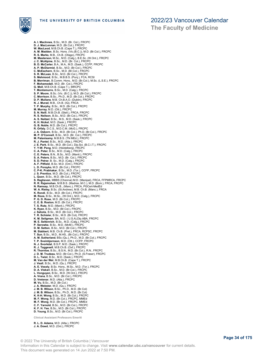



**The Faculty of Medicine**

**A. I. MacInnes**, B.Sc., M.D. (Br. Col.), FRCPC **D. J. MacLennan**, M.D. (Br.Col.), FRCPC **W. MacLeod**, M.B.Ch.B. (Cape T.), FRCPC **A. M. Madden**, B.Sc. Hons. (Vic.(B.C.)), M.D. (Br.Col.), FRCPC **R. S. Marks**, M.B., Ch.B. (Otago), FRCPC **M. Masterson**, M.Sc., M.D. (Calg.), B.E.Sc. (W.Ont.), FRCPC **J. C. McAlpine**, B.Sc., M.D. (Br. Col.), FRCPC<br>**B. D. McCarter**, B.A., M.A., M.D. (Sask.), CCFP, FRCPC<br>**A. P. McDiarmid**, B.Sc., M.D. (Br.Col.), FRCPC<br>**C. McEachern**, B.Sc., M.D. (Br.Col.), FRCPC<br>**S. R. McLean**, B.Sc., M. **S. Mehmood**, B.Sc., M.B.B.S. (Punj.), FCA, RCSI<br>**B. Merriman**, B.Comm. Hons., M.D. (Br.Col.), M.Sc. (L.S.E.), FRCPC<br>**F. Mohamedali**, M.D. (Br. Col.), FRCPC **G. Moll**, M.B.Ch.B. (Cape T.), MRCPC<br>**T. Montemurro,** B.Sc., M.D. (Calg.), FRCPC<br>**S. P. Moore,** B.Sc. (Vic. (B.C.)), M.D. (Br.Col.), FRCPC<br>**C. Morrison**, B.Sc., Ph.D., M.D. (Br.Col.), FRCPC<br>**D. P. Mullane,** M.B. Ch.B.A.O. **N. J. Murad**, M.B., Ch.B. (IQ), FRCA **T. P. Murphy**, B.Sc., M.D. (Br.Col.), FRCPC **M. Murray**, M.D. (Ott.), FRCPC **S. N. Neill**, M.B.Ch.B. (Stell.), FRCA, FRCPC **R. S. Neilson**, B.Sc., M.D. (Br.Col.), FRCPC **A. S. Neitzel**, B.Sc., M.S., M.D. (Sask.), FRCPC **K. H. Nickel**, M.D. (Sask.), FRCPC **G. B. Noble**, M.D. (Br.Col.), FRCPC **R. Orfaly**, D.C.S., M.D.C.M. (McG.), FRCPC **J. A. Osborn**, B.Sc., M.D. (Br.Col.), Ph.D. (Br.Col.), FRCPC **M. P. O'Connell**, B.Sc., M.D. (Br. Col.), FRCPC **M. Palanisamy**, M.B.B.S. (TN MEd.), FRCPC **R. J. Pantel**, B.Sc., M.D. (Alta.), FRCPC **J. E. Park**, B.Sc., M.D. (Br.Col.), Dip.Sci. (B.C.I.T.), FRCPC **Y. Y-W. Peng**, M.D. (Heidelberg), FRCPC **C. A. Peter**, B.Sc., M.D. (Calg.), FRCPC **C. E. Peters**, B.N., B.Sc., M.D. (Manit.), FRCPC **S. A. Peters**, B.Sc., M.D. (Br. Col.), FRCPC **S. D. Petrar**, B. Sc., M.D. (Calg.), FRCPC **A. F. Pitfield**, B.Sc. M.D. (Ont.), FRCPC **L. D. Porayko**, M.D. (Br.Col.), FRCPC **C. P-K. Prabhakar**, B.Sc., M.D. (Tor.), CCFP, FRCPC **J. S. Prentice**, M.D. (Br.Col.), FRCPC **L. Quon**, B.Sc., M.D. (Br.Col.), FRCPC **S. Raghavan**, MBBS (Chennai) M.D. (Manipal), FRCA, FFPMRCA, FRCPC **R. R. Rajamohan**, M.B.B.S. (Madras..M.C.), M.D. (Bom.), FRCA, FRCPC **N. Ramsay**, M.B.Ch.B., (Manc.), FRCA, PGCert-MedEd **W. A. Rieley**, B.Sc. (St.Andrew), M.B. Ch.B. (Manc.), FRCA **K. Rondi**, B.Sc., M.D. (Br.Col.), FRCPC **M. Roos**, B.Sc., M.Sc., (W.Ont.), M.D. (Calg.), FRCPC **P. G. D. Rose**, M.D. (Br.Col.), FRCPC **C. E. B. Roston**, M.D. (Br.Col.), FRCPC **T. S. Ruta**, M.D. (Manit.), FRCPC **K. Ryan**, B.Sc., M.D. (Br.Col.), FRCPC **J. Sahota**, B.Sc., M.D. (Br.Col.), FRCPC **T. R. Schisler**, B.Sc., M.D. (Br.Col), FRCPC **K. M. Seligman**, BA, M.D. ( U.S.A),Dip.ABA, FRCPC **M. E. Seltenrich**, B.Sc., M.D. (Calg.), FRCPC **P. Serowka**, B.Sc., M.D. (McM.), FRCPC **D. M. Setton**, B.Sc., M.D. (Br.Col.), FRCPC **M. Slabbert**, M.B. Ch.B. (Pret.), FRCA, RCPSC, FRCPC **T. Sun**, B.Sc., M.D., M.HS., (Br.Col.), FRCPC **A. M. Sutherland**, BSc (Qu.), Ph.D., M.D. (Br.Col.), FRCPC **T. P. Sveinbjornson**, M.D. (Ott.), CCFP, FRCPC **N. J. Svorkdal**, B.S.P, M.D. (Sask.), FRCPC **R. J. Taggesell**, M.B.Ch.B. (Oxf.), FRCPC **R. Thornloe**, B.Sc., B.S.N., M.D. (Br.Col.), R.N., FRCPC **J. D. M. Trudeau**, M.D. (Br.Col.), Ph.D. (S.Fraser), FRCPC **D. L. Twist**, B.Sc., M.D. (Sask.), FRCPC **M. Van der Wal**, M.B.Ch.B. (Cape T.), FRCPC J. Veall, B.Sc., M.D. (Qu.), FRCPC<br>A. E. Vesely, B.Sc. Hons., M.Sc., M.D. (Tor.), FRCPC<br>D. A. Viskari, B.Sc., M.D. (Br.Col.), FRCPC<br>L. Vonguyen, B.Sc., M.D. (W.Ont.), FRCPC<br>A. Vrana, B.Sc., M.D. (Br.Col.), FRCPC<br>D. Vretena M. Vu, B.Sc., M.D. (Br.Col.)<br>J. M. B. Webster, M.D. (Qu.), FRCPC<br>J. M. B. Wilson, B.Sc., Ph.D., M.D. (Br.Col)<br>J. M. B. Wilson, B.Sc., Ph.D., M.D. (Br.Col)<br>K. K.H. Wong, B.Sc., M.D. (Br.Col.), FRCPC<br>M. F. Wong, M.D. (Br.Col

**Clinical Assistant Professors Emeriti**

**R. L. D. Adams**, M.D. (Alta.), FRCPC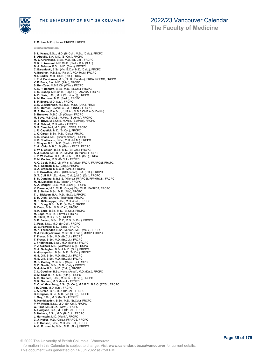

**T. M. Lau**, M.B. (China), CRCPC, FRCPC

**The Faculty of Medicine**

**Clinical Instructors S. L. Kraus**, B.Sc., M.D. (Br.Col.), M.Sc. (Calg.), FRCPC **S. Abdulla**, B.A., M.D. (Br.Col.), FRCPC **M. J. Atherstone**, B.Sc., M.D. (Br. Col.), FRCPC **C. R. J. Avenant**, M.B.Ch.B. (Stell.), D.A. (S.Af.) B. A. Balaton, B.Sc., M.D. (Sask), FRCPC<br>C. Baranieski, B.Sc. (Vic.(B.C.)), M.D. (Calg.), FRCPC<br>A. Bardhan, M.B.B.S. (Rajsh.), FCA-RCSI, FRCPC<br>N. I. Barker, M.B., Ch.B. (U.K.), FRCA<br>J. E. J. Barnbrook, M.B., Ch.B. (Dundee) **V. P. Beck**, B.A., M.D. (Alta.), FRCPC **S. Ben-Zeev**, M.B.B.Ch. (Witw.), FRCPC **K. E. P. Bennett**, B.Sc., M.D. (Br.Col.), FRCPC **E. C. Bishop**, M.B.Ch.B. (Cape T.), FANZCA, FRCPC **A. P. Blais**, B.Sc., M.D. (Vic. (Can.)), FRCPC **A. M. Bouzane**, M.D. (Sask.), FRCPC **S. F. Bruce**, M.D. (Ott.), FRCPC **C. E. G. Burlinson**, M.B.B.S., M.Sc, (U.K.), FRCA **D. G. Burnell**, B.Med.Sci., M.D. (Nfld.), FRCPC **M. A. Burns**, B.A.Eco., (U.S.A.), M.B.B.Ch.B.A.O (Dublin) **S. Burrows**, M.B.Ch.B. (Otago), FRCPC **M. Buys**, M.B.Ch.B., M.Med. (S.Africa), FRCPC **W. F. Buys**, M.B.Ch.B. M.Med. (S.Africa), FRCPC **R. A. Calvert**, M.D. (Alta.), FRCPC **D. S. Campbell**, M.D. (Ott.), CCFP, FRCPC **J. R. Capstick**, M.D. (Br.Col.), FRCPC **J. K. Carter**, B.Sc., M.D. (Calg.), FRCPC **K. S. Chana**, M.D. (Southampton), FRCPC **K. S. Chatterson**, B.Sc., M.D. (McM.), FRCPC **J. Chayka**, B.Sc., M.D. (Sask.), FRCPC **C. -L. Chiu**, M.B.Ch.B. (Glas.), FRCA, FRCPC **E. W-T. Chuah**, B.Sc., M.D. (Br. Col.), FRCPC **A. J. Cohen**, M.B.B.Ch., M.Med., (S.Africa), FRCPC **J. P. W. Collins**, B.A., M.B.Ch.B., M.A. (Oxf.), FRCA **R. M. Collins**, M.D. (Br.Col.), FRCPC **A. C. Cook**, M.B.Ch.B. (Wits. S.Africa), FRCA, FFARCSI, FRCPC **M. S. Cosman**, M.D. (Calg.), FRCPC **B. A. Crépeau**, M.D.C.M. (McG.), FRCPC **J. E. Crowther**, MBBS (UCLondon), D.A. (U.K.), FRCPC **G. T. Cull**, B.Ph.Ed. Hons. (Calg.), M.D. (Qu.), FRCPC **S. K. Dandina**, M.B.B.S. (M'lore.), FFARCSI, FFPMRCSI, FRCPC **M. M. Danelice**, M.D. (Montr.), FRCPC **A. A. Dangor**, B.Sc., M.D. (Sask.), FRCPC **K. Dawson**, M.B. Ch.B. (Otago), Dip. Ch.B., FANZCA, FRCPC **M. S. Defoe**, B.Sc., M.D. (Alta), FRCPC **T. J. Dickson**, B.A., M.D. (Br.Col), FRCPC **E. H. Diehl**, Dr.med. (Tubingen), FRCPC **M. E. DiGiuseppe**, B.Sc., M.D. (Ont.), FRCPC **G. L. Dong**, B.Sc., M.D. (W.Ont.), FRCPC **B. Duan**, B.Sc., M.D. (Dal.), FRCPC **R. K. Earle**, B.Sc., M.D. (Br.Col.), FRCPC **M. Edge**, M.B.Ch.B. (Pret.), FRCPC **M. Elliott**, M.D. (Tor.), FRCPC **S. B. Farren**, B.Sc., PhD, M.D.(Br.Col.), FRCPC **C. Fast**, B.Sc., M.D. (Br.Col.), FRCPC **W. C. Fawcett**, M.D. (Sask.), FRCPC **M. K. Fernandez**, B.Sc., M.Arch., M.D. (McG.), FRCPC **N. J. Findlay-Shirras**, M.B.B.S. (Lond.), MRCP, FRCPC **T. Fraser**, B.Sc., M.D. (Br.Col.), FRCPC **T. Fraser**, B.Sc., M.D. (Br.Col.), FRCPC J. Fridfinnson, B.Sc., M.D. (Manit.), FRCPC<br>P. J. Gajecki, M.D. (Warsaw (Pol.), FRCPC<br>C. A. Gallagher, B.ScH. M.D. (Ont.), FRCPC<br>A. Gharapetian, B.Sc., M.D. (Br.Col.), FRCPC<br>H. S. Gill, B.Sc., M.D. (Br.Col.), FRCPC<br>M. B. G **D. Goldie**, B.Sc., M.D. (Calg.), FRCPC **C. L. Goodine**, B.Sc. Hons. (Acad.), M.D. (Dal.), FRCPC **C. M. Graf**, B.Sc., M.D. (Alta.), FRCPC **A. D. Graham**, B.Sc., M.B.Ch.B. (Edin.), FRCPC **C. R. Graham**, M.D. (Manit.), FRCPC **C. C. -Y. Gramberg**, B.Sc. (Br.Col.), M.B.B.Ch.B.A.O. (RCSI), FRCPC<br>**I. R. Greant**, M.D. (Ott.), FRCPC<br>**J. A. Green**, B.A., M.D. (Br.Col.), FRCPC<br>**B. Gregson**, B.Sc., M.D. (Vic.(B.C.)), FRCPC **J. Guy**, B.Sc., M.D. (McG.), FRCPC **R. Hamidizadeh**, B.Sc., M.D. (Br.Col.), FRCPC **P. W. Hecht**, B.Sc., M.D. (Br. Col.), FRCPC **G. Hirst**, M.B.B.Ch. (Witw.), FRCPC **A. Hodgson**, B.A., M.D. (Br.Col.), FRCPC **S. Holmes**, B.Sc., M.D. (Br.Col.), FRCPC **J. Hornstein**, M.D. (Manit.), FRCPC **C. J. Huber**, M.D. (Calg.), FFARCS, FRCPC **J. T. Hudson**, B.Sc., M.D. (Br. Col.), FRCPC **A. G. R. Humble**, B.Sc., M.D. (Alta.), FRCPC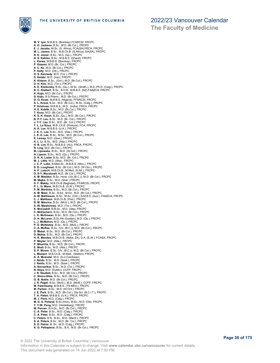

**The Faculty of Medicine**

**M. V. Iyer**, M.B.B.S. (Bombay) FCARCSI, FRCPC **A. D. Jackson**, B.Sc., M.D. (Br.Col.), FRCPC **E. J. Jacobs**, M.Sc. (S. Africa), FCA(SA),FRCA, FRCPC **M. L. James**, B.Sc., M.B.Ch.B. (S.Africa), DA(SA), FRCPC<br>**R. E. Joiner**, B.Sc., M.D. (Qu.), FRCPC<br>**N. S. Kahlon**, B.Sc., M.B.B.S. (Q'land), FRCPC **L. Karwa**, M.B.B.S. (Bombay), FRCPC **P. Kazemi**, M.D. (Br. Col.), FRCPC **X. C. Ke**, M.D. (Br.Col.), FRCPC **P. Kelly**, M.D. (Ott.), FRCPC **D. S. Kennedy**, M.D. (Tor.), FRCPC **S. Ketabi**, M.D. (Iran), FRCPC K. Kidson, B.Sc., (Ont.), M.D. (Br.Col.), FRCPC<br>D. H. Kim, M.D. (Tor.), FRCPC<br>A. E. Kisilevsky, B.Sc. (Qu.), M.Sc. (Strath.), M.D.-Ph.D. (Calg.), FRCPC<br>B. C. Klaibert, B.Sc., B.H.B., M.B.B.S. (NZ),FANZCA, FRCPC<br>K. Kojic, M **S. Kojic**, B.S.Pharm., M.D. (Br.Col.), FRCPC **O. O. Kowe**, M.B.B.S. (Nigeria), FFARCSI, FRCPC **S. L. Kraus**, B.Sc., M.D. (Br.Col.), M.Sc. (Calg.), FRCPC **P. Krishnan**, M.B.B.S., M.D., (India), FRCA, FRCPC **H. E. Kublik**, B.Sc., M.D. (Br.Col.), FRCPC **T. Kuca**, M.D. (Br.Col.), FRCPC **K. S. K. Kwan**, B.Sc. (Qu.), M.D. (Br.Col.), FRCPC **B. P-T. Lau**, B.Sc., M,D. (Br. Col.), FRCPC **J. T-Y. Lau**, B.Sc., M.D. (Br. Col.), FRCPC **T. L. Le Roux**, M.B. Ch.B. (Pretoria), FCA, FRCPC **A. K. Lee**, M.B.B.S. (U.K.), FRCPC **J. K. C. Lee**, B.Sc., M.D. (Alta.), FRCPC **L. E. E. Lee**, B.Sc., M.Sc., M.D. (Br.Col.), FRCPC **E. Lemay**, M.D. (Que.), FRCPC **X. L. Li**, B.Sc., M.D. (Alta.), FRCPC **H. B. Lim**, B.Sc., M.B.B.S. (AU), FRCA, FRCPC **R. Ling**, M.D. (Br.Col.), FRCPC **M. Lipowska**, B.Sc., M.D. (W.Ont.), FRCPC **A. Lipson**, B.Sc., M.D. (Qu.), FRCPC **D. R. A. Lister**, B.Sc. M.D. (Br. Col.), FRCPC **M. J. Little**, M.D. (Alta)., FRCPC **J. C. P. Loke**, B.Med.Sc., M.B.B.S. (Mon.), FRCPC **S. D. Lougheed**, B.Sc. (Br.Col.), M.D. (W.Ont.), FRCPC **A. P. Lutsch**, M.B.Ch.B., M.Med. (S.Afr.), FRCPC **D. S-Y. Macdonell**, M.D. (Br.Col.), FRCPC **A. M. Madden**, B.Sc. Hons. (Vic.(B.C.)), M.D. (Br.Col.), FRCPC **M. Majka**, B.Sc., M.D. (Sher.) FRCPC **S. F. Makky**, M.B.Ch.B (Baghdad), FFARCSI, FRCPC **P. L. G. Mans**, M.B.Ch.B. (S.Af.), FRCPC **P. M. Martinka,** B.Sc., M.D. (Br.Col.), FRCPC<br>**K. M. Mast,** B.Sc., B.Ed., M.Ed., M.D. (Br.Col.), FRCPC<br>**A. M. Mathieson**, B.Sc., M.Sc. (Ont.), B.M.B.S. (Aus.), FANZCA, FRCPC **C. J. Mattheus**, M.B.Ch.B. (Pret.), FRCPC **R. M. Maurice**, B.Sc. (McG.), M.D. (Br.Col.), FRCPC **S. W. Mawhinney**, M.D. (Tor.), FRCPC **K. McCaskill**, B.M.Sc., M.D. (Alta), FRCPC **C. McEachern**, B.Sc., M.D. (Br.Col.), FRCPC **L. K. McGowan**, B.Sc., M.D. (Qu.), FRCPC **D. H. McLaren**, B.Sc.HK (Guelph), M.D. (Qu.), FRCPC **L. J. McMahon**, M.D. (Qu.), FRCPC **P. D. McNeeley**, B.Sc., M.D. (McG.), FRCPC **C. A. McRae**, B.Sc. (Vic. (B.C.)), M.D. (Br.Col.), FRCPC **D. Mebel**, B.Sc., M.D. (Br.Col.), FRCPC **D. Mehta**, B.Sc., M.D. (Br.Col.), FRCPC **H. R. Mendes**, M.B.Ch.B. (Natal, ZA), D.A. (S.Af.), FCASA, FRCPC **P. Meyler**, M.D. (Alta.), FRCPC **P. Missirlis**, B.Sc., M.D. (Br.Col.), FRCPC **E. Modi**, B.Sc., M.D. (Alta.), FRCPC **S. P. Moore**, B.Sc. (Vic. (B.C.)), M.D. (Br.Col.), FRCPC **L. Mostert**, M.B.Ch.B., M.Med., (Stellen), FRCPC **K. A. Muendel**, M.D. (A.U.Carribean) **J. Naidu**, B.Sc., M.D. (Sask.), FRCPC **J. Naidu**, B.Sc., M.D. (Sask.), FRCPC **A. Navsarikar**, B.Sc., M.D. (Tor.), FRCPC **N. Naya**, M.D. (Dublin), CCFP, FRCPC J. R. Neufeld, B.Sc., M.D. (Br.Col.), FRCPC<br>C. Nixon-Giles, B.Sc., M.D. (Br.Col.), FRCPC<br>G. B. Noble, M.D. (Br.Col.), FRCPC<br>J. R. Paget, B.Sc. (McG.), M.D. (McM.), CCFP, FRCPC<br>J. R. Paget, B.Sc. (McG.), M.D. (McM.), FRCPC<br> M. J. Peck, M.D. (Calg.), FRCPC<br>M. D. A. Pelland, B.Sc.(Hon), M.Sc., M.D. (Ott), FRCPC<br>Y. Y-W. Peng, M.D. (Heidelberg), FRCPC<br>M. Penner, B.A.Sc., M.D. (Br.Col.), FRCPC<br>C. A. Peter, B.Sc., M.D. (Calg.), FRCPC<br>C. A. Peters, **S. D. Petrar**, B. Sc., M.D. (Calg.), FRCPC **K. G. Pettapiece**, B.Sc., B.A., M.D. (Br.Col.), FRCPC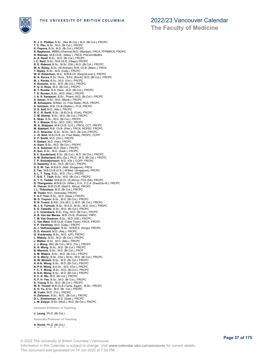THE UNIVERSITY OF BRITISH COLUMBIA



**R. J. C. Phillips**, B.Sc., (Nor.Br.Col.), M.D. (Br.Col.), FRCPC **T. C. Phu**, B.Sc., M.D. (Br.Col.), FRCPC **K. Popova**, B.Sc, M.D. (Br.Col.), FRCPC **S. Raghavan**, MBBS (Chennai) M.D. (Manipal), FRCA, FFPMRCA, FRCPC<br>**N. Ramsay**, M.B.Ch.B., (Manc.), FRCA, PGCert-MedEd<br>**A. A. Read,** B.Sc., M.D. (Br.Col.), FRCPC l. C. Reid, B.Sc., M.B.Ch.B. (Otago) FRCPC<br>R. E. Rideout, B.Sc., M.Sc. (Ott.), M.D. (Br.Col.), FRCPC<br>W. A. Rieley, B.Sc. (St.Andrew), M.B. Ch.B. (Manc.), FRCA<br>T. Ripley, B.Sc., M.D. (Calg.), FRCPC<br>W. D. Robertson, M.A., M. **M. J. Roche**, B.Sc., M.D. (Ont.), FRCPC **K. Romano**, B.Sc., M.D. (Br.Col.), FRCPC **P. G. D. Rose**, M.D. (Br.Col.), FRCPC **B. T. Runkle**, B.A. Hons., M.D. (Br.Col.), FRCPC **T. D. Runzer**, B.Sc., M.D. (Alta.), FRCPC<br>**J. A. S. Sampson**, B.Sc., Pharm, M.D. (Br.Col.), FRCPC<br>**A. Sanan**, B.Sc., M.D. (Manit.), FRCPC<br>**M. Scheepers**, M.Med. (U. Free State), RCA, FRCPC **S. Schülein**, M.B. Ch.B.(Stellen.), FCA, FRCPC **D. D. Self**, M.D. (Alta.), FRCPC **R. C. R. Senft**, B.Sc., M.B.Ch.B. (Cork), FRCPC **C. M. Shamji**, B.Sc., M.D. (Br.Col.), FRCPC **E. Shao**, B.Sc., M.D. (Br.Col.), FRCPC **R. J. Sharpe**, B.Sc., M.D. (Ott.), FRCPC **W. A. Shippam**, M.B.Ch.B. (U.K.), FRCA, CCT, FRCPC **M. Slabbert**, M.B. Ch.B. (Pret.), FRCA, RCPSC, FRCPC **A. C. Smecher**, B.Sc., M.Sc., M.D. (Br.Col.) FRCPC **J. -H. Smit**, M.B.Ch.B. (U. Free State), FRCPC, CCFP **K. F. Smith**, M.D. (Ont.), FRCPC **P. Soltani**, M.D. (Iran), FRCPC **A. Suen**, B.Sc., M.D. (Br.Col.), FRCPC **A. A. Suleman**, M.D. (Nair.), FRCPC **K. Sun**, B.Sc., M.D. (Sask.), FRCPC **S. F. Sunderland**, B.Sc. (Br.Col.), M.D. (W.Ont.), FRCPC **A. M. Sutherland**, BSc (Qu.), Ph.D., M.D. (Br.Col.), FRCPC **T. P. Sveinbjornson**, M.D. (Ott.), CCFP, FRCPC **D. Sweeney**, B.Sc., M.D. (Br.Col.), FRCPC **S. S. W. Tan**, M.B.B.S. (Natl. Singapore), FRCA **Z. Tan**, M.B.Ch.B.(U.K.), M.Med. (Singapore), FRCPC **S. L. T. Tang**, B.Sc., M.D. (Tor.), FRCPC **T. Q-G. T. Tauh**, B.Sc., M.D. (Br.Col.), FRCPC **A. T. C. Tedder**, M.B.B.Ch. (S.Africa), FCA (SA), FRCPC **D. Thangavelu**, M.B.B.Ch. (Witw.), D.A., F.C.A. (KwaZulu-N.), FRCPC **R. Theron**, M.B.Ch.B. (Stell.S. Africa), FRCPC **L L. Thibodeau**, M.D. (Br.Col.), FRCPC **M. Tholin**, M.D. (Grenada), FRCPC **T. A-T. Tran**, B.Sc., M.D. (Sask.), FRCPC **M. D. Traynor**, B.Sc., M.D. (Br.Col.), FRCPC **R. N. Truant**, B.ASc. (Vic.(B.C.)), M.D. (Br.Col.), FRCPC **M. J. E. Turnock**, B.Sc., M.S.S., M.Sc., M.D. (Ont.), FRCPC **S. D. Tweedle**, B.Sc., M.D. (Br.Col.), FRCPC **J. C. Ursenbach**, B.Sc. Eng., M.D. (Br.Col.), FRCPC **A. B. Van der Merwe**, M.B. Ch.B. (Pretoria), FRPC **T. M. Van Oostrom**, B.Sc., M.D. (Ott.), FRCPC **C. Van West**, M.B.Ch.B. (Cape Town), FRCA. FRCPC **V. P. Varshney**, M.D. (Calg.), FRCPC **A. J. Vethanayagam**, B.Sc., M.B.B.S. (Kings), FRCPC **D. D. Vincent**, M.D. (Alta.), FRCPC **O. Vvedensky**, B.Sc., M.D. (UP), FRCPC **L. Wakely**, B.Sc., M.D. (Br.Col.), FRCPC **J. Walker**, B.Sc., M.D. (Alta.), FRCPC **J. J. Wang**, BSc (Br.Col.), M.D. (Tor.), FRCPC **K. H. Wang**, B.Sc., M.D. (Br.Col.), FRCPC **B. Warnick**, B.Sc., M.D. (Br.Col.), FRCP **S. M. Waters**, B.Sc., M.D. (Br.Col.), FRCPC **D. G. Werry**, B.Sc. (Ont.), M.Sc., M.D. (Br.Col.), FRCPC **N. W. Wickett**, B.Sc., M.D. (Br.Col.), FRCPC **A. K-K. Wong**, B.Sc., M.D. (Br.Col.), FRCPC **A. P-H. Wong**, B.H.Sc., M.D. (Ont.), FRCPC **F. C. Y. Wong**, B.Sc., M.D. (Br.Col.), FRCPC K. K-H. Wong, B.Sc., M.D. (Br.Col.), FRCPC<br>S. C. K. Wu, M.D. (Br.Col.), FRCPC<br>K. F. H. Yee, B.Sc., M.D. (Br.Col.), FRCPC<br>D. Young, B.Sc., M.D. (Br.Col.), FRCPC<br>W. S. Yousef, M.B.Ch.B (Tanta, Egypt) , M.Sc., FRCPC<br>A. H. Yu, **D. L. Zimmerman**, M.D. (Sask.), FRCPC **L. M. Zolpys**, B.Sc. (McG.), M.D. (Br.Col.), FRCPC **Assistant Professor of Teaching J. Leung**, Ph.D. (Br.Col.)

**Associate Professor of Teaching**

**A. Horne**, Ph.D. (Br.Col.) **J. Shabbits**, Ph.D. (Br.Col.)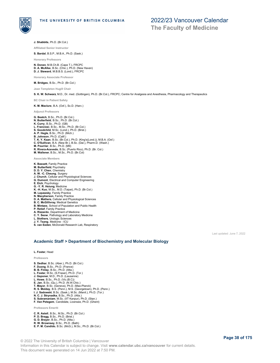

**J. Shabbits**, Ph.D. (Br.Col.)

**Affiliated Senior Instructor**

**S. Bardal**, B.S.P., M.B.A., Ph.D. (Sask.)

**Honorary Professors**

**N. Donen**, M.B.Ch.B. (Cape T.), FRCPC **D. A. McAfee**, B.Sc. (Chic.), Ph.D. (New Haven) **D. J. Steward**, M.B.B.S. (Lond.), FRCPC

**Honorary Associate Professo** 

**M. Bridges**, B.Sc., Ph.D. (Br.Col.) **Jean Templeton Hugill Chair**

**S. K. W. Schwarz**, M.D., Dr. med. (Gottingen), Ph.D. (Br.Col.), FRCPC; Centre for Analgesia and Anesthesia, Pharmacology and Therapeutics

**BC Chair in Patient Safety**

**K. M. Maclure**, B.A. (Oxf.), Sc.D. (Harv.)

#### **Adjunct Professors**

**G. Beatch**, B.Sc., Ph.D. (Br.Col.) **N. Butterfield**, B.Sc., Ph.D. (Br.Col.) **K. Curry**, B.Sc., Ph.D. (GB) **L. Franciosi**, B.Sc., M.Sc., Ph.D. (Br.Col.) **S. Goodchild**, M.Sc. (Lond.), Ph.D. (Brist.) **A. P. Hegle**, B.Sc., Ph.D. (Mich.) **B. Johnson**, Ph.D. (Calif.) **T. K. Y. Kaan**, B.Sc. (Br.Col.), Ph.D. (King's(Lond.)), M.B.A. (Oxf.) **C. O'Sullivan**, B.A. (New Br.), B.Sc. (Dal.), Pharm.D. (Wash.) **M. Pourrier**, B.Sc., Ph.D. (Mtl) **R. Rivera-Acevedo**, B.Sc. (Puerto Rico), Ph.D. (Br. Col.) **M. Wallener**, B.Sc., M.Sc., Ph.D. (Br.Col)

**Associate Members**

- **K. Bassett**, Family Practice
- **M. Butterfield**, Psychiatry
- **D. D. Y. Chen**, Chemistry
- 
- **A. W. -C. Cheung**, Surgery **J. Church**, Cellular and Physiological Sciences
- **G. Dumont**, Electrical and Computer Engineering
- **E. Eich**, Psychology **G. -Y. R. Hsiung**, Medicine
- 
- **K. -H. Kuo**, M.Sc., M.D. (Taipei), Ph.D. (Br.Col.)
- **M. Lepawsky**, Family Practice **N. Macpherson**, Family Practice
- 
- 
- **D. A. Mathers**, Cellular and Physiological Sciences **B. C. McGillivray**, Medical Genetics **B. Mintzes**, School of Population and Public Health
- **P. Retief**, Family Practice
- **A. Rizzardo**, Department of Medicine
- **C. Y. Seow**, Pathology and Laboratory Medicine
- **L. Stothers**, Urologic Sciences **J. Y. Tsang**, Medicine - ICU
- **S. van Eeden**, McDonald Research Lab, Respiratory

Last updated: June 7, 2022

### **Academic Staff > Department of Biochemistry and Molecular Biology**

#### **L. Foster**, Head

**Professors**

**S. Dedhar**, B.Sc. (Aber.), Ph.D. (Br.Col.) **F. Duong**, B.Sc., Ph.D. (France) **B. B. Finlay**, B.Sc., Ph.D. (Alta.) **L. Foster**, M.Sc. (S.Fraser), Ph.D. (Tor.) **J. Gsponer**, M.D., Ph.D. (Lausanne) **L. Howe**, B.Sc., Ph.D. (Vic.(B.C)) **E. Jan**, B.Sc. (Qu.), Ph.D. (N.W.Chic.) **T. Mayor**, B.Sc. (Geneva), Ph.D. (Max-Planck) **R. S. Molday**, B.S. (Penn.), M.S. (Georgetown), Ph.D. (Penn.) **I. J. Sadowski**, B.Sc. (Sask.), M.Sc. (Manit.), Ph.D. (Tor.) **N. C. J. Strynadka**, B.Sc., Ph.D. (Alta.) **S. Subramaniam**, M.Sc. (IIT Kanpur), Ph.D. (Stan.) **F. Van Petegem**, Candidate, Licensee, Ph.D. (Ghent) **Professors Emeriti**

**C. R. Astell**, B.Sc., M.Sc., Ph.D. (Br.Col.) **P. D. Bragg**, B.Sc., Ph.D. (Brist.) **G. D. Brayer**, B.Sc., Ph.D. (Alta.) **R. W. Brownsey**, B.Sc., Ph.D. (Bath) **E. P. M. Candido**, B.Sc. (McG.), M.Sc., Ph.D. (Br.Col.)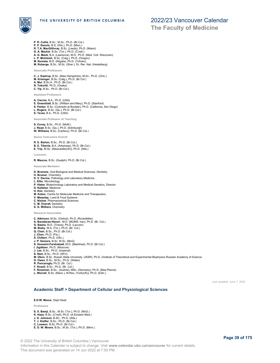

THE UNIVERSITY OF BRITISH COLUMBIA

### 2022/23 Vancouver Calendar

**The Faculty of Medicine**

- **P. R. Cullis**, B.Sc., M.Sc., Ph.D. (Br.Col.)
- **P. P. Dennis**, B.S. (Wis.), Ph.D. (Minn.) **R. T.A. MacGillivray**, B.Sc. (Leeds), Ph.D. (Miami)
- **G. A. Mackie**, B.Sc. (Tor.), Ph.D. (C'nell.)
- **A. G. Mauk**, B.A. (Lawrence), M.D., Ph.D. (Med. Coll. Wisconsin) **L. P. McIntosh**, B.Sc. (Calg.), Ph.D. (Oregon) **M. Numata**, M.D. (Niigata), Ph.D. (Tohoku)
- 
- **M. Roberge**, B.Sc., M.Sc. (Sher.), Dr. Rer. Nat. (Heidelberg)

### **Associate Professors**

- **C. J. Kastrup**, B.Sc. (New Hampshire), M.Sc., Ph.D. (Chic.)<br>**M. Krisinger**, B.Sc. (Calg.), Ph.D. (Br.Col.)<br>**A. Mui**, B.Sc.H., Ph.D. (Br.Col.)
- 
- 
- **N. Tokuriki**, Ph.D. (Osaka) **C. Yip**, B.Sc., Ph.D. (Br.Col.)
- **Assistant Professors**
- **A. Ciernia**, B.A., Ph.D. (USA) **E. Greenblatt**, B.Sc. (William and Mary), Ph.D. (Stanford) **S. Parker**, B.Sc. (Colorado at Boulder), Ph.D. (California, San Diego) **L. Rogers**, B.Sc. (Qu.), Ph.D. (Br.Col.) **S. Teves**, B.A., Ph.D. (USA)

**Associate Professor of Teaching**

#### **S. Covey**, B.Sc., Ph.D. (McM.)

**J. Read**, B.Sc. (Qu.), Ph.D. (Edinburgh)<br>**W. Williams**, B.Sc. (Cariboo), Ph.D. (Br.Col.)

**Senior Instructors Emeriti**

**R. E. Barton**, B.Sc., Ph.D. (Br.Col.) **B. E. Tiberiis**, B.A. (Arkansas), Ph.D. (Br.Col.) **E. Trip**, M.Sc. (Newcastle(UK)), Ph.D. (Alta.)

**Lecturers**

**R. Maurus**, B.Sc. (Guelph), Ph.D. (Br.Col.)

**Associate Members**

- **D. Bromme**, Oral Biological and Medical Sciences, Dentistry
- 
- **H. Brumer**, Chemistry **D. V. Devine**, Pathology and Laboratory Medicine
- **L. Eltis**, Microbiology
- **P. Hieter**, Biotechnology Laboratory and Medical Genetics, Director **D. Kelleher**, Medicine
- **H. Kim**, Dentistry
- 
- **M. Kobor**, Centre for Molecular Medicine and Therapeutics **V. Measday**, Land & Food Systems
- **C. Nislow**, Pharmaceutical Sciences
- **C. M. Overall**, Dentistry
- **S. G. Withers**, Chemistry

**Research Associates**

**C. Atkinson**, M.Sc. (Oxford), Ph.D. (Rockefeller) **A. Baradaran-Heravi** , M.D. (MUMS, Iran), Ph.D. (Br. Col.) **G. Basha**, M.D. (Tirana), Ph.D. (Leuven) **M. Bixby**, M.A. (Tor.), Ph.D. (Br. Col.) **Q. Chan**, B.Sc., Ph.D. (Br.Col.) **J. Chen**, Ph.D. (Fla.) **S. Chittori**, Ph.D. (IISc.) **J. P. Demers**, B.Sc. M.Sc. (McG) **S. Hosseini-Farahabadi**, M.D. (Mashhad), Ph.D. (Br.Col.) **I. Jigaltsev**, Ph.D. (Moscow) **J. Lee**, B.Sc., Ph.D. (Imperial) **S. Nam**, B.Sc., Ph.D. (SFU) **M. Okon**, B.Sc. (Kazan State University, USSR), Ph.D. (Institute of Theoretical and Experimental Biophysics Russian Academy of Science **G. Owen**, B.Sc., M.Sc., Ph.D. (Wales) **R. Pancaroglu**, Ph.D. (Br. Col.)<br>**F. Rosell,** B.Sc., Ph.D. (Br. Col.)<br>**F. Rossman**, B.Sc., (Austria), MSc. (Germany), Ph.D. (Max-Planck)

- 
- **L. Worrall**, B.Sc. (Manc.), M.Res. (York(UK)), Ph.D. (Edin.)

Last updated: June 7, 2022

### **Academic Staff > Department of Cellular and Physiological Sciences**

### **E.D.W. Moore**, Dept Head

#### **Professors**

**S. X. Bamji**, B.Sc., M.Sc. (Tor.), Ph.D. (McG.) **K. Haas**, B.Sc. (C'nell), Ph.D. (A.Einstein Med.)

- **J. D. Johnson**, B.SC., Ph.D. (Alta.) **T. J. Kieffer**, B.Sc., Ph.D. (Br.Col.)
- 

**C. Loewen**, B.Sc, Ph.D. (Br.Col.)

**E. D. W. Moore**, B.Sc., M.Sc. (Tor.), Ph.D. (Minn.)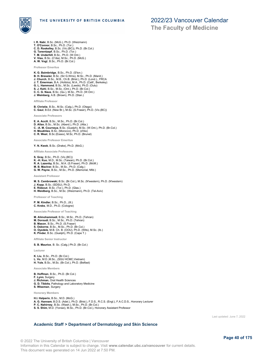

**The Faculty of Medicine**

**I. R. Nabi**, B.Sc. (McG.), Ph.D. (Weizmann) **T. O'Connor**, B.Sc., Ph.D. (Tor.) **C. D. Roskelley**, B.Sc. (Vic.(BC)), Ph.D. (Br.Col.) **G. Tanentzapf**, B.Sc., Ph.D. (Tor.) **T. M. Underhill**, B.Sc., Ph.D. (W.Ont.) **V. Viau**, B.Sc. (C'dia), M.Sc., Ph.D. (McG.) **A. W. Vogl**, B.Sc., Ph.D. (Br.Col.)

**Professor Emeritus**

- **K. G. Baimbridge**, B.Sc., Ph.D. (S'ton.)
- **B. H. Bressler**, B.Sc. (Sir G.Wms), M.Sc., Ph.D. (Manit.) **J. Church**, B.Sc., M.B., Ch.B. (Brist.), Ph.D. (Lond.)., FRCA **J. T. Emerman**, B.A. (Hofstra), M.A., Ph.D. (Calif., Berkeley)
- 
- **G. L. Hammond**, B.Sc., M.Sc. (Leeds), Ph.D. (Oulu) **S. J. Kehl**, B.Sc., M.Sc. (Ont.), Ph.D. (Br.Col.)
- **C. C. G. Naus**, B.Sc. (Qu.), M.Sc., Ph.D. (W.Ont.)
- **J. Weinberg**, A.B. (Brown), Ph.D. (Stan.)

**Affiliate Professor**

**B. Christie**, B.Sc., M.Sc. (Calg.), Ph.D. (Otago) **C. Gaul**, B.Ed. (New Br.), M.Sc. (S.Fraser), Ph.D. (Vic.(BC))

**Associate Professors**

- **E. A. Accili**, B.Sc., M.Sc., Ph.D. (Br.Col.) **D. Allan**, B.Sc., M.Sc. (Aberd.), Ph.D. (Alta.) **C. -A. M. Courneya**, B.Sc. (Guelph), M.Sc. (W.Ont.), Ph.D. (Br.Col.) **H. Moukhles**, B.Sc. (Morocco), Ph.D. (d'Aix)
- **C. R. West**, B.Sc (Essex), M.Sc, Ph.D. (Brunel)
- 

**Associate Professor Emeritus**

**Y. N. Kwok**, B.Sc. (Drake), Ph.D. (McG.)

**Affiliate Associate Professors**

**S. Gray**, B.Sc., Ph.D. (Vic.(BC)) **K. -H. Kuo**, M.D., M.Sc. (Taiwan), Ph.D. (Br.Col.)<br>**R. A. Lazenby,** B.Sc., M.A. (S.Fraser), Ph.D. (McM.)<br>**M. B. MacIver**, B.Sc., M.Sc., Ph.D. ((Calg.)<br>**G. W. Payne**, B.Sc., M.Sc., Ph.D. (Memorial, Nfld.)

#### **Assistant Professor**

- **M. S. Cembrowski**, B.Sc. (Br.Col.), M.Sc. (N'western), Ph.D. (N'western)
- **J. Kopp**, B.Sc. (SDSU), Ph.D. **E. Rideout**, B.Sc. (Tor.), Ph.D. (Glas.)
- **H. Weidberg**, B.Sc., M.Sc. (Weizmann), Ph.D. (Tel-Aviv)

**Professor of Teaching**

**P. M. Kindler**, B.Sc., Ph.D., (Ill.) **C. Krebs**, M.D., Ph.D. (Cologne)

**Associate Professor of Teaching**

- 
- **M. Alimohammadi**, B.Sc., M.Sc., Ph.D. (Tehran) **M. Doroudi**, B.Sc., M.Sc., Ph.D. (Tehran)
- **B. Mason**, B.Sc., Ph.D. (S.Fraser)
- **S. Osborne**, B.Sc., M.Sc., Ph.D. (Br.Col.) **O. Oyedele**, M.B. Ch. B. (OOU), Ph.D. (Wits), M.Sc. (Ib.)
- 
- **K. Pinder**, B.Sc. (Guelph), Ph.D. (Cape T.)

**Affiliate Senior Instructor**

**S. B. Maurice**, B. Sc. (Calg.) Ph.D. (Br.Col.)

**Lecturer**

**K. Liu**, B.Sc., Ph.D. (Br.Col.) **L. Vo**, M.D.,M.Sc., (SGU HCMC,Vietnam) **H. Yule**, B.Sc., M.Sc. (Br.Col.), Ph.D. (Belfast)

**Associate Members**

- **B. Hoffman**, B.Sc., Ph.D. (Br.Col.)
- **F. Lynn**, Surgery
- **J. Richman**, Oral Health Sciences
- **G. D. Tibbits**, Pathology and Laboratory Medicine **S. Wiseman**, Surgery

**Honorary Members**

- 
- **H.I. Halperin,** B.Sc., M.D. (McG.)<br>**A. G. Hannam**, B.D.S. (Adel.), Ph.D. (Brist.), F.D.S., R.C.S. (Engl.), F.A.C.D.S., Honorary Lecturer<br>**P. C. Nahirney**, B.Sc. (Wash.), M.Sc., Ph.D. (Br.Col.)
- **S. S. Shim**, M.D. (Yonsei), M.Sc., Ph.D. (Br.Col.), Honorary Assistant Professor

Last updated: June 7, 2022

### **Academic Staff > Department of Dermatology and Skin Science**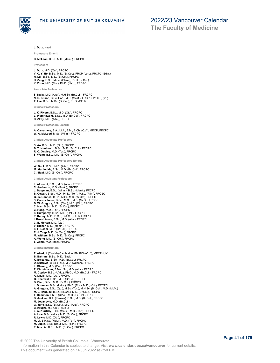

**J. Dutz**, Head

**Professors Emeriti**

**D. McLean**, B.Sc., M.D. (Manit.), FRCPC

**Professors**

- **J. Dutz**, M.D. (Qu.), FRCPC **V. C. Y. Ho**, B.Sc., M.D. (Br.Col.), FRCP (Lon.), FRCPC (Edin.)
- **H. Lui**, B.Sc., M.D. (Br.Col.), FRCPC **H. Zeng**, B.Sc., M.Sc. (China), Ph.D (Br.Col.)
- 
- **Y. Zhou**, M.D. (Tor.), Ph.D. (NYU), FRCPC

**Associate Professors**

**S. Kalia**, M.D. (Alta.), M.H.Sc. (Br.Col.), FRCPC **N. C. Kitson**, B.Sc. Hon., M.D. (McM.), FRCPC, Ph.D. (Syd.) **T. Lee**, B.Sc., M.Sc. (Br.Col.), Ph.D. (SFU)

**Clinical Professors**

**J. K. Rivers**, B.Sc., M.D. (Ott.), FRCPC **L. Warshawski**, B.Sc., M.D. (Br.Col.), FRCPC **D. Zloty**, M.D. (Alta.), FRCPC

**Clinical Professors Emeriti**

**A. Carruthers**, B.A., M.A., B.M., B.Ch. (Oxf.), MRCP, FRCPC **W. A. McLeod**, M.Sc. (Minn.), FRCPC

**Clinical Associate Professors**

**S. Au**, B.Sc., M.D. (Ott.), FRCPC **B. T. Kunimoto**, B.Sc., M.D. (Br. Col.), FRCPC **R. C. Ongley**, M.D. (Tor.), FRCPC **S. Wong**, B.Sc., M.D. (Br.Col.), FRCPC

**Clinical Associate Professors Emeriti**

**W. Buck**, B.Sc., M.D. (Alta.), FRCPC **M. Martindale**, B.Sc., M.D. (Br. Col.), FRCPC **C. Sigal**, M.D. (Br.Col.), FRCPC

**Clinical Assistant Professors**

- **L. Albrecht**, B.Sc., M.D. (Alta.), FRCPC **C. Anderson**, M.D. (Sask.), FRCPC **J. Bergman**, B.Sc. (Winn.), B.Sc. (Manit.), FRCPC **B. Cowan**, B.Sc., M.D., Ph.D. (Tor.), M.Sc. (Prin.), FRCSC **G. de Gannes**, B.Sc., M.Sc, M.D. (W.Ont), FRCPC S. Garnis Jones, B.Sc., M.Sc., M.D. (McG.), FRCPC<br>B. W. Gregory, B.Sc. (Car.), M.D. (Ott.), FRCPC<br>C. Han, B.Sc., M.D. (Br.Col.), FRCPC<br>C. Han, B.Sc., M.D. (Rr.Col.), FRCPC<br>S. Humphrey, B.Sc., M.D. (Dal.), FRCPC<br>P. Kenny, M **C. E. Morton**, M.D. (Qu.) **V. Richer**, M.D. (Montr.), FRCPC **S. F. Rossi**, M.D. (Br.Col.), FRCPC **E. J. Tuyp**, M.D. (W.Ont.), FRCPC **M. Withers**, B.Sc., M.D. (Br.Col.), FRCPC **A. Wong**, M.D. (Br.Col.), FRCPC **S. Zandi**, M.D. (Iran), FRCPC **Clinical Instructors T. Ahad**, A (Cantab) Cambridge, BM BCh (Oxf.), MRCP (UK) **B. Bahrani**, B.Sc., M.D. (Sask.) **K. Beleznay**, B.Sc., M.D. (Br.Col.), FRCPC **D. Burrows**, B.Sc. (Tor.), M.D. (Queens), FRCPC **L. Cheung**, M.D. (Qu.), FRCPC **T. Christensen**, B.Med.Sc., M.D. (Alta.), FRCPC **M. Copley**, B.Sc. (UVic.), Ph.D., M.D. (Br.Col.), FRCPC **A. Davis**, M.D. (Ott.), FRCPC
- 
- 
- **G. Dhadwal**, B.Sc., M.D. (Br.Col.), FRCPC **D. Diao**, B.Sc., M.D. (Br.Col.), FRCPC
- 
- **J. Donovan**, B.Sc. (Lake.), Ph.D. (Tor.), M.D., (Ott.), FRCPC
- **A. Gregory**, B.Sc. (Qu.), M.Sc. (Tor.), M.H.Sc. (Br.Col.), M.D. (McM.) **M. L. Haiducu**, B.Sc. (Br.Col.), M.D. (Br.Col.), FRCPC
- **T. Hamilton**, Ph.D. (UVic.), M.D. (Br. Col.), FRCPC
- 
- **D. Jenkins**, B.A. (Kansas), B.Sc., M.D. (Br.Col.), FRCPC **M. Jovanovic**, M.D. (Br.Col.)
- **G. Jung**, B.Sc. (Br.Col.), M.D. (Alta.), FRCPC
- 
- **B. Kruger**, M.B.Ch.B. (Stell.)<br>**L. A. Kuritzky**, B.Sc. (McG.), M.D. (Tor.), FRCPC<br>**A. Law**, B.Sc. (Alta.), M.D. (Br.Col.), FRCPC
- 
- **R. Lewis**, M.D. (Ott.), FRCPC **M. Li**, B.H.Sc. (McM.), M.D. (Tor.), FRCPC
- **M. Lupin**, B.Sc. (Dal.), M.D. (Tor.), FRCPC
- **P. Moccia**, B.Sc., M.D. (Br.Col.), FRCPC
- © 2022 The University of British Columbia | Vancouver Information in this Calendar is subject to change. Visit **www.calendar.ubc.ca/vancouver** for current details. This document was generated on 14 Jun 2022 at 7:50 PM.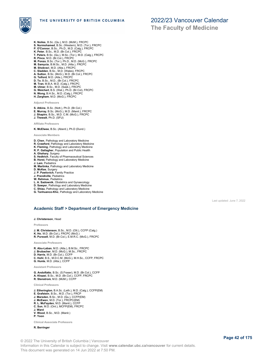

**The Faculty of Medicine**

- **K. Noiles**, B.Sc. (Qu.), M.D. (McM.), FRCPC
- **S. Nurmohamed**, B.Sc. (Western), M.D. (Tor.), FRCPC **P. O'Connor**, B.Sc., Ph.D., M.D. (Calg.), FRCPC
- 
- **K. Peter**, B.Sc., M.D. (Br.Col.), FRCPC **T. Peters**, B.Sc. (Qu.), M.Sc. (Tor.), M.D. (Calg.), FRCPC **R. Pinca**, M.D. (Br.Col.), FRCPC
- 
- **M. Ponzo**, B.Sc. (Tor.), Ph.D., M.D. (McG.), FRCPC **M. Samycia**, B.M.Sc., M.D. (Alta.), FRCPC
- 
- 
- **M. Shokravi**, M.D. (Alta.), FRCPC<br>**C. Sladde**n, B.Sc., M.D. (Wales), FRCPC<br>**A. Sutton**, B.Sc. (McG.), M.D. (Br.Col.), FRCPC<br>**G. Telford**, M.D. (Alta.), FRCPC
- 
- 
- 
- **D. To**, B.Sc., M.D., (Br.Col.), FRCPC **M. Tran**, M.B.A. M.D. (Calg.), FRCPC **M. Ulmer**, B.Sc., M.D. (Sask.), FRCPC
- 
- **G. Weichert**, B.S. (Wat.), Ph.D. (Br.Col), FRCPC **N. Wong**, B.H.Sc., M.D. (Calg.), FRCPC
- **H. Zargham**, M.D. (McG.), FRCPC

**Adjunct Professors**

**S. Atkins**, B.Sc. (Nott.), Ph.D. (Br.Col.) **E. Murray**, B.Sc. (McG.), M.D. (Manit.), FRCPC **J. Shapiro**, B.Sc., M.D. C.M. (McG.), FRCPC **J. Thewalt**, Ph.D. (SFU)

**Affiliate Professors**

**K. McElwee**, B.Sc. (Aberd.), Ph.D (Dund.)

**Associate Members**

- **D. Chen**, Pathology and Laboratory Medicine
- **R. Crawford**, Pathology and Laboratory Medicine
- **K. Fleming**, Pathology and Laboratory Medicine **R. P. Gallagher**, Population and Public Health
- 
- **A. Ghahary**, Surgery
- **S. Hedtrich**, Faculty of Pharmaceutical Sciences **B. Horst**, Pathology and Laboratory Medicine
- **J. Lam**, Pediatrics
- **M. Martinka**, Pathology and Laboratory Medicine
- **D. McKee**, Surgery
- **J. P. Pawlovich**, Family Practice
- **J. Prendiville**, Pediatrics
- **W. Rehmus**, Pediatrics
- **L. A. Sadownik**, Obstetrics and Gynaecology
- **D. Sawyer**, Pathology and Laboratory Medicine
- **C. Shiau**, Pathology and Laboratory Medicine **G. Tanhuanco-Kho**, Pathology and Laboratory Medicine
- 

Last updated: June 7, 2022

### **Academic Staff > Department of Emergency Medicine**

**J. Christenson**, Head

**Professors**

- **J. M. Christenson**, B.Sc., M.D. (Ott.), CCFP (Calg.)
- **K. Ho**, M.D. (Br.Col.), FRCPC (McG.)
- **R. Purssell**, M.D. (Br.Col.), E.M.R.C. (McG.), FRCPC

**Associate Professors**

- **R. Abu-Laban**, M.D. (Alta.), B.M.Sc., FRCPC **J. Brubacher**, M.D. (McG.), M.Sc., FRCPC **D. Harris**, M.D. (Br.Col.), CCFP **C. Hohl**, B.S., M.D.C.M. (McG.), M.H.Sc., CCFP, FRCPC
- **G. Hunte**, M.D. (Alta.), CCFP

**Assistant Professors**

- 
- **G. Andolfatto**, B.Sc. (S.Fraser), M.D. (Br.Col.), CCFP **A. Khazei**, B.Sc., M.D. (Br.Col.), CCFP, FRCPC
- **R. Stenstrom**, M.D. (McM.), CCFP

**Clinical Professors**

- **J. Etherington**, B.A.Sc. (Leth.), M.D. (Calg.), CCFP(EM)
- 
- **E. Grafstein**, B.Sc., M.D. (Tor.), FRCP<br>**J. Marsden**, B.Sc., M.D. (Qu.), CCFP(EM)<br>**J. McEwen**, M.D. (Tor.), FRCPC(EM)<br>**R. L. McFayden**, M.D. (Manit.), CCFP
- 
- **C. Sun**, M.D. (Ont.), MCFP(EM), FRCPC
- **J. Ward**
- **V. Wood**, B.Sc., M.D. (Manit.)
- **P. Yoon**

**Clinical Associate Professors**

#### **R. Berringer**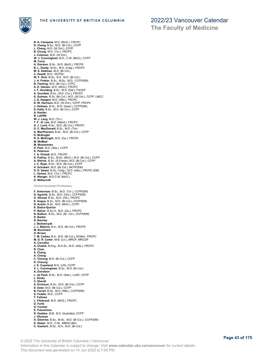

**B. A. Campana**, M.D. (McG.), FRCPC **D. Chang**, B.Sc., M.D. (Br.Col.), CCFP **L. Cheng**, M.D. (W.Ont.), CCFP **B. Chung**, M.D. (Tor.), FRCPC **J. Coleman**, M.D. (W.Ont.) **W. J. Cunningham**, M.D., C.M. (McG.), CCFP **M. Curry A. Davison**, B.Sc., M.D. (McG.), FRCPS<br>**B. L. Deady**, M.Sc., M.D. (Calg.), FRCPC<br>**M. S. Dettman**, M.D. (Br.Col.)<br>**C. Dewitt**, M.D., RCPSC W. F. Dick, B.Sc., B.S., M.D. (Br.Col.)<br>J. H. Finkler, B.Sc., M.Sc., M.D., CCFP(EM)<br>B. Fleming, M.D. (Br.Col.), CFPC<br>A. E. Gareau, M.D. (Br.Col.), CFPC<br>J. F. Goulding, B.Sc., M.D. (Tor.), FRCPC<br>A. Grunfeld, B.Sc., M.D. (To **S. Gutman**, B.Sc. (Br.Col.), M.D. (W.Ont.), CCFP, LMCC **J. G. Haegert**, M.D. (Nfld.), FRCPC **D. W. Harrison**, M.D. (W.Ont.), CCFP, FRCPC **J. Heilman**, B.Sc., M.D. (Sask.), CCFP(EM) **D. Kalla**, B.Sc., M.D. (Br.Col.), CCFP **A. Kestler B. LaHiffe W. J. Lang**, M.D. (Tor.) **T. F. -S. Lee**, M.D. (Manit.), FRCPC **A. J. Lund**, B.Sc., M.D. (Br.Col.), FRCPC **D. C. MacDonald**, B.Sc., M.D. (Tor) **A. MacPherson**, B.Sc., M.D. (Br.Col.), CCFP **D. McKnight R. D. McKnight**, M.D. (Qu.), FRCPC **M. McMeel M. Moestrenko H. Park**, M.D. (Alta.), CCFP **K. Peterson T. A. Pickett**, M.D., FRCPC **S. Pulfrey**, B.Sc., M.Sc. (McG.), M.D. (Br.Col.), CCFP **A. Ritchie**, B.Sc. (S.Fraser), M.D. (Br.Col.), CCFP **J. C. Ryan**, B.Sc., M.D. (Br.Col.), CCFP **H. Schubert**, M.D. (Br.Col.), MCFP(EM) **D. D. Sweet**, B.Sc. (Calg.), M.D. (Alta.), FRCPC (EM) **L. Vertesi**, M.D. (Tor.), FRCPC **K. Wanger**, M.D.C.M. (McG.) **D. Williscroft Clinical Assistant Professors F. Ackerman**, B.Sc., M.D. (Tor.), CCFP(EM) **D. Agulnik**, B.Sc., M.D. (Ont.), CCFP(EM) **O. Ahmad**, B.Sc., M.D. (Ott.), FRCPC **E. Angus**, B.Sc., M.D. (Br.Col.), CCFP(EM) **N. Austin**, B.Sc., M.D. (McG.), CCFP **K. Badra-Quirion P. Balcar**, B.Sc.H., M.D. (Qu.), FRCPC **N. Balfour**, B.Sc., M.D. (Br. Col.), CCFP(EM) **D. Barbic N. Barclay J. Bednarcyzk J. J. Bijlsma**, B.A., M.D. (Br.Col.), FRCPS **M. Bouchard D. Brown T. M. Cadieu**, B.A., M.D. (Br.Col.), M.Med., FRCPC **M. G. R. Carter**, M.B. (Liv.), MRCP, MRCGP **A. Carvalho A. Chahal**, B.Eng., M.A.Sc., M.D. (Alta.), FRCPC **R. Chan S. Chang A. Cheng C. Cheung**, M.D. (Br.Col.), CCFP **K. Cheung J. E. Copeland**, M.D. (US), CCFP **V. L. Cunningham**, B.Sc., M.D. (Br.Col.) **A. Davidson L. de Paoli**, B.Sc., M.D. (Alta.), LLMC, CCFP **L. Dindo C. Eberdt A. Erickson**, B.Sc., M.D. (Br.Col.), CCFP **D. Esler**, M.D. (Br.Col.), CCFP **B. Farrell**, B.Sc., M.D. (Nfld.), CCFP(EM) **S. Fedder**, M.D., CCFP **T. Fellows L. Filiatrault**, M.D. (McG.), FRCPC **D. Forth O. Frenkel E. Fukushima R. Geddes**, M.B., B.S. (Australia), CCFP **J. Ghuman A. Gilchrist**, B.Sc., M.Sc., M.D. (Br.Col.), CCFP(EM) **S. Glazer**, M.D., C.M., ABEM (I&II) **C. Goetsch**, B.Sc., M.A., M.D. (Br.Col.)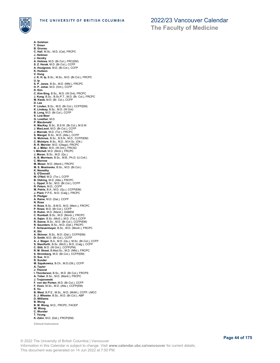

**A. Golshan**

# 2022/23 Vancouver Calendar

**The Faculty of Medicine**

**T. Green B. Grunau C. Hall**, M.Sc., M.D. (Cal), FRCPC **J. Heilman J. Hendry A. Holmes**, M.D. (Br.Col.), FRC(EM) **S. Z. Horak**, M.D. (Br.Col.), CCFP **A. Houlgrave**, M.D. (Br.Col.), CCFP **K. Hudson V. Hung J. K. H. Ip**, B.Sc., M.Sc., M.D. (Br.Col.), FRCPC **U. Ip S. P. Janes**, B.Sc., M.D. (Nfld.), FRCPC **H. P. Johar**, M.D. (Ont.), CCFP **D. Kim C. Kim-Sing**, B.Sc., M.D. (W.Ont), FRCPC **J. Kung**, B.Sc., B.Sc.P.T., M.D. (Br. Col.), FRCPC **M. Kwok**, M.D. (Br. Col.), CCFP **D. Lee P. Linden**, B.Sc., M.D. (Br.Col.), CCFP(EM) **K. Lindsay**, B.Sc., M.D. (W.Ont) **B. Long**, M.D. (Br.Col.), CCFP **S. Low-Beer G. Lowther**, M.D. **P. Macdonald K. MacKay**, B.Sc., B.S.W. (Br.Col.), M.S.W. **J. MacLeod**, M.D. (Br.Col.), CCFP **J. Macnab**, M.D. (Tor.), FRCPC **S. Mangal**, B.Sc., M.D. (Alta.), CCFP **G. McInnes**, B.Sc., B.S.N., M.D., CCFP(EM) **C. McIntyre**, B.Sc., M.D., M.H.Sc. (Ott.) **R. R. Mercier**, M.D. (Otago), FRCPC **B. J. Miller**, M.D. (W.Ont.), FRCSC **I. Mitchell**, M.D. (McG.), FRCPC **J. Moran**, B.Sc., M.D. (Qu.) **A. B. Morrison**, B.Sc., M.B., Ph.D. (U.Coll.) **C. Morrow M. Moser**, M.D. (Manit.), FRCPC **M. S. Mostrenko**, B.Sc., M.D. (Br.Col.) **K. Nemethy S. O'Donnell M. O'Neil**, M.D. (Tor.), CCFP **B. Oldring**, M.D. (Alta.), FRCPC **L. Oppel**, B.Sc., M.D. (Br.Col.), CCFP **R. Peters**, M.D., CCFP **M. Petrie**, B.A., M.D. (Qu.), CCFP(EM) **J. Plant**, P.P.E., M.D. (Calg.), FRCPC **D. Pledger A. Raine**, M.D. (Dal.), CCFP **N. Rose H. Ross**, B.Sc., B.M.S., M.D. (Mem.), FRCPC **P. Rowe**, M.D. (Br.Col.), CCFP **D. Rubin**, M.D. (Manit.), DABEM **C. Rumball**, B.Sc., M.D. (Montr.), FRCPC **A. Sajan**, B.Sc. (McG.), M.D. (Tor.), CCFP **R. Saona**, B.Sc., M.D. (Br.Col.), CCFP(EM) **R. Saunders**, B.Sc., M.D. (Dal.), FRCPC **F. Scheuermeyer**, B.Sc., M.D. (Montr.), FRCPC **K. Shi A. Skinner**, B.Sc., M.D. (Dal.), CCFP(EM) **D. Smith**, M.D. (Br.Col.), CCFP **A. J. Stager**, B.A., M.D. (Qu.), M.Sc. (Br.Col.), CCFP **S. Staniforth**, B.Sc. (McG.), M.D. (Calg.), CCFP **C. Stitt**, M.D. (W.Ont.), CCFP(FM) **R. M. Street**, B.Med.Sc., M.D. (Nfld.), FRCPC **S. Stromberg**, M.D. (Br.Col.), CCFP(EM) **D. Sue**, M.D. **R. Sunder M. Szpakowicz**, B.Ch., M.D.(Ott.), CCFP **A. Taylor J. Theoret I. Thordarson**, B.Sc., M.D. (Br.Col.), FRCPS **A. Tober**, B.Sc., M.D. (Manit.), FRCPC **J. Trojanowski F. von der Porten**, M.D. (Br.Col.), CCFP **F. Voon**, M.Sc., M.D. (Alta.), CCFP(EM) **E. Vu B. West**, B.P.E., M.Sc., M.D. (McM.), CCFP, LMCC **S. J. Wheeler**, B.Sc., M.D. (Br.Col.), ABP **D. Williams B. Wong B. M. Wong**, M.D., FRCPC, FACEP **W. Wong C. Wurster T. Yeung K. Zahn**, M.D. (Dal.), FRCP(EM) **Clinical Instructors**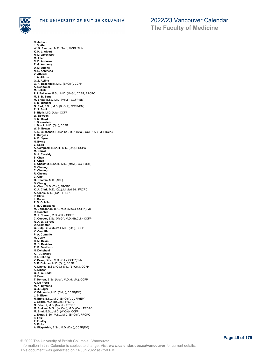

**The Faculty of Medicine**

**C. Achiam J. S. Ahn W. G. Akeroyd**, M.D. (Tor.), MCFP(EM) **K. K. L. Albert N. M. Alexander M. Allan C. D. Andrews R. G. Anthony D. M. Ariano N. E. Ashmead V. Athaide J. A. Atkins G. Z. Ayling G. R. Baxendale**, M.D. (Br.Col.), CCFP **A. Behboudi M. Belisle P. I. Beliveau**, B.Sc., M.D. (McG.), CCFP, FRCPC **M. E. B. Berg M. Bhatt**, B.Sc., M.D. (McM.), CCFP(EM) **S. M. Bianchi G. Bird**, B.Sc., M.D. (Br.Col.), CCFP(EM) **R. S. Birdi S. Blyth**, M.D. (Alta), CCFP **W. Bowden S. M. Boyd J. Braunstein J. Brock**, M.D. (Qu.), CCFP **W. S. Brown K. D. Buchanan**, B.Med.Sc., M.D. (Alta.), CCFP, ABEM, FRCPC **T. Burgess A. P. Byrne N. Byrne L. Caira A. Campbell**, B.Sc.H., M.D. (Ott.), FRCPC **M. Carroll B. A. Cassidy S. Chen S. Chen S. Chestnut**, B.Sc.H., M.D. (McM.), CCFP(EM) **C. Cheung C. Cheung R. Cheyne C. Choi G. Chomin**, M.D. (Alta.) **D. Chong A. Chou**, M.D. (Tor.), FRCPC **K. A. Clark**, M.D. (Qu.), M.Med.Ed., FRCPC **A. Clarke**, M.D. (Tor.), FRCPC **P. Cleve L. Cohen P. V. Colella T. N. Compagna M. Concannon**, B.A., M.D. (McG.), CCFP(EM) **R. Conchie M. J. Conrad**, M.D. (Ott.), CCFP **C. Cooper**, B.Sc. (McG.), M.D. (Br.Col.), CCFP **R. A. W. Cordes D. Crompton G. Culp**, B.Sc. (McM.), M.D. (Ott.), CCFP **K. Cunniffe P. A. Cunniffe M. Curry C. M. Dakin M. C. Davidson R. B. Davidson N. Dehghani A. T. Delaney R. I. DeLong V. Desai**, B.Sc., M.D. (Ott.), CCFP(EM) **S. P. Dhiman**, M.D. (Qu.), CCFP **A. Digney**, B.Sc. (Qu.), M.D. (Br.Col.), CCFP **K. Dinesh G. A. A. Dodd U. Doran T. Dorran**, B.Sc. (Alta.), M.D. (McM.), CCFP **A. Du Preez M. N. Dymond G. J. Edgar K. Edmonds**, M.D. (Calg.), CCFP(EM) **J. S. Eisen H. Enns**, B.Sc., M.D. (Br.Col.), CCFP(EM) **J. Eppler,** M.D. (Br.Col.), FRCPC<br>**G. Erhardt**, M.D. (Manit.), FRCPC<br>**M. Erskine**, M.Sc. (W.Ont.), M.D. (Qu.), FRCPC<br>**M. Ertel**, B.Sc., M.D. (W.Ont), CCFP **J. Exner**, B.Sc., M.Sc., M.D. (Br.Col.), FRCPC **S. Falz T. Findlay S. Finke A. Fitzpatrick**, B.Sc., M.D. (Dal.), CCFP(EM)

© 2022 The University of British Columbia | Vancouver Information in this Calendar is subject to change. Visit **www.calendar.ubc.ca/vancouver** for current details. This document was generated on 14 Jun 2022 at 7:50 PM.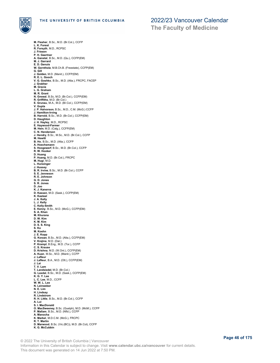

**The Faculty of Medicine**

**M. Flesher**, B.Sc., M.D. (Br.Col.), CCFP **L. K. Forest R. Forsyth**, M.D., RCPSC **J. Friesen P. H. Gaertner A. Ganstal**, B.Sc., M.D. (Qu.), CCFP(EM) **M. J. Garrard E. D. Genuis W. Gerntholz**, M.B.Ch.B. (Freestate), CCFP(EM) **G. Gill J. Golden**, M.D. (Manit.), CCFP(EM) **R. E. L. Gooch V. G. Goshko**, B.Sc., M.D. (Alta.), FRCPC, FACEP **J. Grabher M. Gracia L. G. Graham M. R. Grant N. Grewal**, B.Sc, M.D. (Br.Col.), CCFP(EM) **R. Griffiths**, M.D. (Br.Col.) **E. Grunau**, M.A., M.D. (Br.Col.), CCFP(EM) **V. Gupta J. P. Halvorson**, B.Sc., M.D., C.M. (McG.) CCFP **J. Hamilton-Irving B. Harrold**, B.Sc., M.D. (Br.Col.), CCFP(EM) **D. Haughton J. H. Hayley**, M.D., RCPSC **E. Haywood-Farmer M. Hein**, M.D. (Calg.), CCFP(EM) **C. N. Henderson J. Hendry**, B.Sc., M.Sc., M.D. (Br.Col.), CCFP **M. Hewitt B. Ho**, B.Sc., M.D. (Alta.), CCFP **A. Hoechsmann S. Hoogewerf**, B.Sc., M.D. (Br.Col.), CCFP **R. W. Hooker D. Huang P. Huang**, M.D. (Br.Col.), FRCPC **M. Hugi**, M.D. **L. Hunsinger J. Hussey B. R. Irvine**, B.Sc., M.D. (Br.Col.), CCFP **S. E. Jenneson R. E. Johnson G. D. Jones S. R. Jones D. Joo K. J. Kanerva D. Kassen**, M.D. (Sask.), CCFP(EM) **K. Kasteel J. A. Kelly L. J. Kelly C. Kelly-Smith E. Kenny**, B.Sc., M.D. (McG.), CCFP(EM) **S. A. Khan M. Khurana D. W. Kim K. M. Kim D. S. S. King S. Ko M. Koehn J. E. Kopp G. Korzan**, B.Sc., M.D. (Alta.), CCFP(EM) **V. Krajina**, M.D. (Dal.) **P. Krampl**, B.Eng., M.D. (Tor.), CCFP **C. S. Krause D. Krishna**, M.D. (W.Ont.), CCFP(EM) **A. Kuan**, M.Sc., M.D. (Manit.), CCFP **J. Lafleur J. Lafleur**, B.A., M.D. (Ott.), CCFP(EM) **J. Lai T. V. Lam T. Landsiedel**, M.D. (Br.Col.) **G. Laxdal**, B.Sc., M.D. (Sask.), CCFP(EM) **K. G. Y. Lee L. C. Lee**, M.D., CCFP **W. W. L. Lee N. Leinweber N. E. Lim H. Lindsay R. Lindstrom R. H. Little**, B.Sc., M.D. (Br.Col.), CCFP **A. Lui S. I. MacDonald O. MacSweeney**, B.Sc. (Guelph), M.D. (McM.), CCFP **P. Mallam**, B.Sc., M.D. (Nfld.), CCFP **A. Manocha K. Markel**, M.D.C.M. (McG.), FRCPC **R. T. Martin D. Marwood**, B.Sc. (Vic.(BC)), M.D. (Br.Col), CCFP **K. G. McCubbin**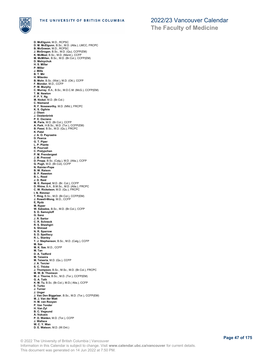

**The Faculty of Medicine**

**D. McElgunn**, M.D., RCPSC **D. M. McElgunn**, B.Sc., M.D. (Alta.), LMCC, FRCPC **B. McGowan**, M.D., RCPSC **J. McGrogan**, B.Sc., M.D. (Qu), CCFP(EM) **K. McMeel**, B.Sc., M.D. (Manit.), CCFP **M. McMillan**, B.Sc., M.D. (Br.Col.), CCFP(EM) **D. Melnychuk H. S. Millar P. Miller J. Mills B. T. Mir H. Mitenko B. Mohr**, B.Sc. (Wat.), M.D. (Ott.), CCFP **F. Mondor**, M.D., CCFP **P. M. Murphy C. Murray**, B.A., B.Sc., M.D.C.M. (McG.), CCFP(EM) **T. M. Newton P. P. Y. Ng M. Nickel**, M.D. (Br.Col.) **C. Niemand R. F. Noseworthy**, M.D. (Nfld.), FRCPC **K. S. Ogilvie J. Olsen J. Oostenbrink P. E. Oxciano M. Paris**, M.D. (Br.Col.), CCFP **A. Park**, H.B.Sc., M.D. (Tor.), CCFP(EM) **B. Passi**, B.Sc., M.D. (Qu.), FRCPC **K. Patel J. A. O. Payrastre D. Pearce G. T. Piper L. P. Plante R. Pourvali C. Prelypchan P. M. Prendergast J. M. Prevost D. Propp**, B.Sc. (Calg.), M.D. (Alta.), CCFP **G. Pugh**, M.D. (Br.Col), CCFP **N. Rainier-Pope B. W. Raison B. P. Rawston B. L. Read J. D. Reid M. E. Rempel**, M.D. (Br. Col.), CCFP **D. Rhine**, B.A., B.M.Sc., M.D. (Alta.), FRCPC **C. W. Ricketson**, M.D. (Qu.), FRCPC **I. N. Rimmer T. Ring**, B.Sc., M.D. (Br.Col.), CCFP(EM) **J. Rowell-Wong**, M.D., CCFP **E, Rydz M. Ryper W. Sabados**, B.Sc., M.D. (Br.Col.), CCFP **S. D. Samoyloff G. Sanz J. R. Sartor C. R. Schneck R. S. Sheshgiri S. Shirzad N. R. Sparrow S. D. Spelliscy R. L. Stanley T. J. Stephenson**, B.Sc., M.D. (Calg.), CCFP **M. Sze M. K. Sze**, M.D., CCFP **M. Tan D. A. Tedford M. Teixeira M. Teixeria**, M.D. (Qu.), CCFP **J. A. Tercier S. C. Thicke J. Thompson**, B.Sc., M.Sc., M.D. (Br.Col.), FRCPC **M. W. B. Thomson M. J. Thorne**, B.Sc., M.D. (Tor.), CCFP(EM) **G. A. Toth K. M. Tu**, B.Sc. (Br.Col.), M.D.( Alta.), CCFP **E. Turko J. Turner J. Unger J. Van Den Biggelaar**, B.Sc., M.D. (Tor.), CCFP(EM) **M. J. Van der Watt H. M. van Rooyen P. Van Tonder H. Van Zyl B. C. Vegsund A. Vukusic P. D. Walden**, M.D. (Tor.), CCFP **J. Wallace W. C. Y. Wan D. E. Watson**, M.D. (W.Ont.)

© 2022 The University of British Columbia | Vancouver Information in this Calendar is subject to change. Visit **www.calendar.ubc.ca/vancouver** for current details. This document was generated on 14 Jun 2022 at 7:50 PM.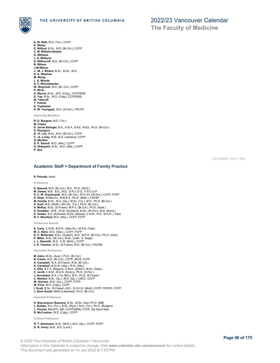

**The Faculty of Medicine**

- **A. M. Watt**, M.D. (Tor.), CCFP
- **K. Wiebe**
- **E. Wilford**, B.Sc., M.D. (Br.Col.), CCFP **C. M. Wilhelm-Boyles**
- **A. Williams**
- **J. A. Williams**
- **D. Williscroft**, M.D. (Br.Col.), CCFP
- **B. Wilson**
- **J-M Wilson J. -M. J. Wilson**, B.Sc., M.Sc., M.D.
- **K. A. Wishlow**
- **M. Wong**
- 
- **L. A. Woods S. C. Wormsbecker**
- **W. Woychuk**, M.D. (Br. Col.), CCFP **P. Wroz**
- 
- **A. Wynne**, B.Sc., M.D. (Calg.), CCFP(EM)
- **D. Yap**, B.Sc., M.D. (Calg.), CCFP(EM) **M. Yatscoff**
- **T. Yokota**
- **K. Yoshitomi**
- **R. W. Youngash**, M.D. (W.Ont.), FRCPC

**Associate Members**

- **R. D. Burgess**, M.D. (Tor.)
- **M. Clarke**
- **S. Jarvis-Selinger**, B.A., H.B.A., B.Ed., M.Ed., Ph.D. (Br.Col.)
- 
- **S. Khangura B. -K. Lim**, B.Sc., M.D. (Br.Col.), CCFP **C. -A. Lucky**, M.B., B.S. (Jamaica), CCFP
- **G. Meckler**
- 
- **D. P. Samoil**, M.D. (Alta.), CCFP **G. Sheppard**, B.Sc., M.D. (Alta.), CCFP
- **P. Zed**

### **Academic Staff > Department of Family Practice**

#### **R. Petrella**, Head

**Professors**

- 
- 
- **K. Bassett**, M.D. (Br.Col.), M.A., Ph.D. (McG.)<br>**M. Dawes,** M.B., B.S., M.D., D.R.C.O.G., F.R.C.G.P.<br>**S. C. W. Grzybowski,** M.D. (Br.Col.), M.Cl.Sc. (W.Ont.), CCFP, FCFP
- **K. Khan**, B.Med.Sc., M.B.B.S., Ph.D. (Melb.), FACSP **M. Koehle**, B.Sc., M.S. (Qu.), M.Sc. (Tor.), M.D., Ph.D. (Br.Col.)
- 
- **D. Kuhl**, M.D. (McM.), M.H.Sc. (Tor.), Ph.D. (Br.Col.)
- **H. McKay**, B.Sc. (S.Fraser), M.P.E. (Br.Col.), Ph.D. (Sask.) **D. Snadden** , M.B., Ch.B. (Scotland), M.Sc. (W.Ont.), M.D. (Dund.)
- **S. Vedam**, B.A. (Amherst), M.Ed. (Massa), C.N.M., R.N., M.S.N. ( Yale)
- **R. F. Woollard**, M.D. (Alta.), CCFP, FCFP

**Professors Emeriti**

- 
- **E. Carty**, C.N.M., B.S.N., (New Br.), M.S.N. (Yale) **M. C. Klein**, M.D. (Stan.), CCFP, FCFP
- **D. C. McKenzie**, B.Sc. (Guelph), M.D., M.P.E. (Br.Col.), Ph.D. (Ohio)
- **P. Miller**, B.Sc. (Br.Col.), M.Sc. (Calif., S. Diego) **L. L. Nasmith**, M.D., C.M. (McG.), CCFP
- **J. E. Taunton**, M.Sc. (S.Fraser), M.D. (Br.Col.), FACSM

#### **Associate Professors**

**M. Ashe**, M.Sc. (Aust.), Ph.D. (Br.Col.) **B. Calam**, M.D. (Br.Col.), CCFP, MCIS, FCFP **A. Campbell**, M.A. (S.Fraser), R.M. (Br.Col.) **K. Campbell**, B.Sc.N. (Alta.), R.M. (Alta.) **C. Ellis**, B.F.A. (Regina), D.Nurs. (SIAST), M.Sc. (Sask.) **C. Jevitt**, C.N.M., M.S.N. (Emory), Ph.D. (S.Flor.) **J. Kornelsen**, B.A. ( Vic.(BC)), M.A., Ph.D. (S.Fraser) **C. Newton**, B.Sc. (Qu.), M.D. (Qu.), LMCC, CCFP **W. Norman**, M.D. (Qu.), CCFP, FCFP<br>**M. Price,** M.D. (Calg.), CCFP<br>**I. Scott**, B.Sc. (S.Fraser), M.D., D.O.H.S. (McM.) CCFP, FRCPC, FCFP **J. Sims Gould**, MSW (Lakehead), Ph.D. (Br.Col.)

**Assistant Professors**

- **H. Bayrampour Basmenj**, B.Sc., M.Sc. (Iran) Ph.D. (MB)
- **L. Butska**, B.A. (Tor.), B.Sc. (Ryer.), M.A. (Tor.), Ph.D. (Rutgers)
- **L. Fischer**, BSc(PT), MD, CCFP(SEM), FCFP, Dip Sport Med. **R. McCracken**, M.D. (Calg.), CCFP

**Clinical Professors**

- **R. T. Abrahams**, B.Sc. (McG.), M.D. (Qu.), CCFP, FCFP **G. R. Avery**, M.B., B.S. (Lond.)
-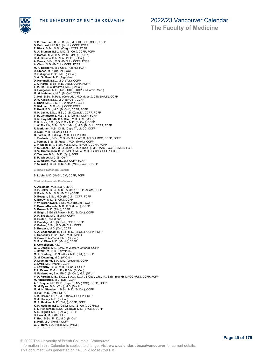

**S. B. Beerman**, B.Sc., B.S.R., M.D. (Br.Col.), CCFP, FCFP **D. Behroozi**, M.B.B.S. (Lond.), CCFP, FCFP **F. Black**, B.Sc., M.D., (Calg.), CCFP, FCFP **R. A. Bluman**, B.Sc., M.D. (Br.Col.), CCFP, FCFP P. Boston, M.A., B.A., Ph.D. (McG.), RN(NY)<br>D. A. Browne, B.A., M.A., Ph.D. (Br.Col.)<br>A. Burak, B.Sc., M.D. (Br.Col.), CCFP, FCFP<br>A. Chan, M.D. (Br.Col.), CCFP, FCFP<br>M. A. Docherty, M.B.Ch.B. (Aberd.), FCFP<br>D. Etches, M.D. **S. A. Guillemi**, M.D. (Argentina)<br>**D. Hammell**, B.Sc., M.D. (Tor.), CCFP<br>**J. K. Harris**, B.Sc., M.D. (Alta.), CCFP, FCFP **T. M. Ho**, B.Sc. (Pharm.), M.D. (Br.Col.) **B. Hougesen**, M.D. (Tor.), CCFP, RCPSC (Comm. Med.) **M. M. Hubinette**, M.D. (Br.Col.) CCFP **C. Hull**, B.Sc., M.Ped., (Colorado), M.D. (Mem.), DTM&H(UK), CCFP **D. V. Kason**, B.Sc., M.D. (Br.Col.), CCFP **S. Khan**, M.B., B.S. (F J Women's), CCFP **C. Kirkham**, M.D. (Qu.), CCFP, FCFP **E. Knell**, B.Sc., M.D. (Br.Col.), CCFP, FCFP N. K. Levitt, B.Sc., M.B., Ch.B. (Zambia), CCFP, FCFP<br>V. H. Livingstone, M.B., B.S. (Lond.), CCFP, FCFP<br>D. R. Lloyd-Smith, B.A. (Qu.), M.D., C.M. (McG.)<br>R. R. Love, B.Sc. (Vic.B.C.), M.D. (Br.Col.), CCFP **J. W. Mackie**, B.Sc., M.Sc. (Mich.), M.D. (Br.Col.), CCFP, FCFP **R. Markham**, M.B., Ch.B. (Cape T.), LMCC, CCFP **D. Ngui**, M.D. (Br.Col.), CCFP **G. Parhar**, M.D. (Calg.), M.D., CCFP, CIME **J. Pawlovich**, B.Sc., M.D. (Br.Col.), ATLS, ACLS, LMCC, CCFP, FCFP **J. Penner**, B.Sc. (S.Fraser), M.D., (McM.), CCFP **J. P. Sloan**, B.A., B.Sc., M.Sc., M.D. (Br.Col.), CCFP, FCFP **P. S. Sohal**, B.Sc., M.Sc. (India), Ph.D. (Sask.), M.D. (Alta.), CCFP, LMCC, FCFP **H. V. Thommasen**, B.Sc. (McG.), M.Sc., M.D. (Br.Col.), CCFP, FCFP **K. Trouton**, B.Sc., M.D. (Qu.), FCFP **E. R. Wiebe**, M.D. (Br.Col.) **J. G. Wilson**, M.D. (Br.Col.). CCFP, FCFP **P. C. Wong**, B.Sc., M.D., C.M. (McG.), CCFP, FCFP **Clinical Professors Emeriti S. Lubin**, M.D. (McG.), CM, CCFP, FCFP **Clinical Associate Professors A. Alexiadis**, M.D. (Dal.), LMCC<br>**R. P. Baker**, B.Sc., M.D. (W.Ont.), CCFP, ASAM, FCFP<br>**N. Baria**, B.Sc., M.D. (Br.Col.) CCFP **D. Beegan**, B.Sc., M.D. (Br.Col.), CCFP, FCFP **K. Blouw**, M.D. (Br.Col.), CCFP **P. W. Boronowski**, B.Sc., M.D. (Br.Col.), CCFP **P. Bowen-Roberts**, M.B., B.S. (Lond.), CCFP **S. Brears**, M.D. (Alta.), CCFP **H. Bright**, B.Ed. (S.Fraser), M.D. (Br.Col.), CCFP **D. R. Brook**, M.D. (Sask.), CCFP **C. Broten**, R.M. (Laur.) H. Buckley, M.D. (Br.Col.), CCFP, FCFP<br>K. Bulher, B.Sc., M.D. (Br.Col.), CCFP<br>S. Burgess, M.D. (Qu.), CCFP<br>K. A. Cadenhead, B.H.Ec., M.D. (Br.Col.), CCFP, FCFP<br>E. Cadeskey, B.Sc. (Tor.), M.D. (McG.)<br>D. Gave, B.A. (York), P **E. Cornelissen**, R.D. G. L. Deagle, M.D. (Univ. of Western Ontario), CCFP<br>J. DeWet, M.B.Ch.B. (Pretoria)<br>M. J. Donlevy, B.S.N. (Alta.), M.D. (Calg.), CCFP<br>G. M. Downing, M.D. (W.Ont.)<br>D. Drummond, B.A., M.D. (Western), CCFP **C. Dyck**, M.D. (Manit.), CCFP **J. Edworthy**, B.Sc., M.D. (Br.Col.), CCFP **T. L. Evans**, R.M. (U.K.), B.S.N. (Br.Col.) **N. Fairbrother**, B.A., Ph.D. (Br.Col.), M.A. (SFU) **P. A. Farnan**, M.B., B.C.L., B.A.O., D.Ch., B.Obs., L.R.C.P., S.(I) (Ireland), MPCGP(UK), CCFP, FCFP **M. Fitzmaurice**, M.D. (Ott.), CCFP **A.F. Frayne**, M.B.Ch.B. (Cape T.) MV (RMC), CCFP, FCFP<br>**G. M. Fyles**, B.Sc. (Tor.), M.D. (Manit.)<br>**M. M. H. Glanzberg**, B.Sc., M.D. (Br.Col.), CCFP<br>**R. Hall,** M.D. (Ont.), CFPC **K. K. Harder**, B.Ed., M.D. (Sask.), CCFP, FCFP **C. A. Harvey**, M.D. (Br.Col.) **M. P. Haskins**, M.D. (Calg.), CCFP, FCFP **K. R. Hatlelid**, B.Sc. (Calg.), M.D. (Br.Col.), CCFP(C) **S. L. Henderson**, B.Sc. (Vic.(BC)), M.D. (Br.Col.), CCFP **A. B. Hignell**, M.D. (Br.Col.), CCFP **D. Horvat**, M.D. (Br.Col.) **F. Hou**, B.Sc., Ph.D., M.D. (Br.Col.) **B. Huff**, M.D. (McM.), CCFP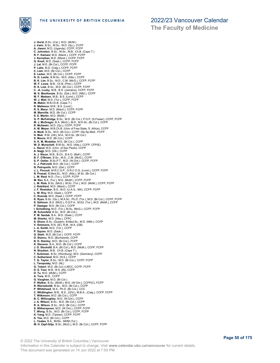

**J. Hurst**, B.Sc. (Car.), M.D. (McM.) **J. Irwin**, B.Sc., M.Sc., M.D. (Qu.), CCFP **A. Jiwani**, M.D. (Uganda), CCFP, FCFP **C. Johnston**, B.Sc., M.Sc., M.B., Ch.B. (Cape T.)<br>**R. F. Kamani**, M.D. (Manit.), CCFP, FCFP<br>**J. Kernahan**, M.D. (Manit.), CCFP, FCFP<br>**G. Knoll**, M.D. (Sask.), CCFP, FCFP **J. Lai**, M.D. (Br.Col.), CCFP, FCFP **P. Lake**, M.D. (Calg.), CCFP, FCFP **C. Lam**, M.D. (Br.Col.), CCFP **E. Leduc**, M.D. (Br.Col.), CCFP, FCFP **N. G. Leslie**, B.M.Sc., M.D. (Alta.), CCFP **B. K. Lim**, B.Sc., M.D., C.M. (McG.), CCFP, FCFP **W. F. Louw**, M.B., Ch.B. (Pret.), CCFP **R. S. Low**, B.Sc., M.D. (Br.Col.), CCFP, FCFP **C. -A. Lucky**, M.B., B.S. (Jamaica), CCFP, FCFP **M. S. MacKenzie**, B.Sc. (Dal.), M.D. (Nfld.), CCFP **M. F. Madsen**, M.B., B.S. (Lond.), CCFP **W. J. Mail**, M.D. (Tor.), CCFP, FCFP **M. Makin**, M.B.Ch.B. (Cape T.) **R. Malleson**, M.B., B.S. (Lond.) **R. S. Mann**, M.D. (Manit.), CCFP, FCFP **M. Manville**, M.D. (Br.Col.), CCFP **S. E. Martin**, M.D. (McM.) **G. P. McFetridge**, B.Sc., M.D. (Br.Col.), P.D.P. (S.Fraser), CCFP, FCFP **M. J. McGregor**, B.A. (McG.), M.D., M.H.Sc. (Br.Col.), CCFP **R. McIlwain**, M.D. (Qu.), CCFP, FCFP **A. M. Meyer**, M.B.Ch.B. (Univ of Free State, S. Africa), CCFP **A. Modi**, B.Sc., M.D. (Br.Col.), CCFP, Dip.Sp.Med., FCFP **H. Mok**, R.M. (UK), M.A., M.H.Sc. (Br.Col.) **S. Moore**, M.D. (Br.Col.), CCFP **A. K. M. Mudaliar**, M.D. (Br.Col.), CCFP **W. D. Murschell**, B.M.Sc., M.D. (Alta.), CCFP, CFP(E) **L. Nacul**, M.D. (Univ. of Sao Paulo), CCFP **A. Nagji**, M.D. (Ott.), CCFP **A. J. Nixon**, M.B., B.Ch., B.A.O. (Belf.), CCFP **B. F. O'Briain**, B.Sc., M.D., C.M. (McG.), CCFP **S. P. Ostler**, B.Sc.P.T., M.D. (W.Ont.), CCFP, FCFP **C. J. Patricelli**, M.D. (Br.Col.), CCFP **N. Petropolis**, M.D. (Dal.), CCFP **J. L. Pocock**, M.R.C.G.P., D.R.C.O.G. (Lond.), CCFP, FCFP **N. Prasad**, B.Med.Sc., M.D. (Alta.), M.Sc. (Br.Col.) **L. M. Reid**, M.D. (Tor.), CCFP, FCFP **M. Rev**, B.A. (Tor.), M.D. (McM.), CCFP, FCFP **L. M. Rieb**, B.Sc. (McG.), M.Sc. (Tor.), M.D. (McM.), CCFP, FCFP **J. Robillard**, M.D. (Manit.), CCFP **J. F. Rostoker**, B.S., M.D. (U.A.G., MX), CCFP, FCFP **L. W. Roy**, M.D. (Sask.), CCFP **C. Rusnak**, M.D. (Sask.), CCFP, FCFP **K. Ryan**, B.Sc. (Qu.), M.A.Sc., Ph.D. (Tor.), M.D. (Br.Col.), CCFP, FCFP **S. Salloum**, B.A. (McG.), D.S.P.A., M.Ed. (Tor.), M.D. (McM.), CCFP **P. Sazegar**, M.D. (Br.Col.), CCFP **I. Schokking**, M.D. (Tor.), M.Sc. (McG.), CCFP, FCFP **M. Schonfeld**, B.Sc., M.D. (Br.Col.) **P. M. Sestak**, B.A., M.D. (Sask.), CCFP **M. Sharko**, M.D. (Alta.), CFPC **S. Shore**, B.Sc. (Guelph), B.Med.Sc., M.D. (Nfld.), CCFP **V. Simmons**, R.N. (IE), R.M., M.A. (GB) **L. A. Smith**, M.D. (Tor.), CCFP **P. Squire**, M.D. (Sask.) **G. Stahl**, M.D. (Br.Col.), CCFP, FCFP **D. Stancu**, M.D. (Bucharest), CCFP **B. D. Stanley**, M.D. (Br.Col.), FCFP **K. Stevens**, B.A., M.D. (Br.Col.), CCFP **J. D. Stockdill**, B.A. (Br.Col.), M.D. (McM.), CCFP, FCFP **N. Strydom**, M.B., Ch.B. (Cape T.) **T. Suleiman**, B.Sc. (Würzburg), M.D. (Germany), CCFP **C. Sutherland**, M.D. (N.S.), CCFP **T. G. Taylor**, B.Sc., M.D. (Br.Col.), CCFP, FCFP L. Tereposky, M.D. (NL)<br>**G. Tobert**, M.D. (Br.Col.) LMCC, CCFP, FCFP<br>**D. S. Toor**, M.B., B.S. (IN), CCFP<br>**D. Tu**, M.D. (McM.), CCFP<br>**A. Tura**, M.D. (Br.Col.)<br>**G. Vaughan,** M.D. (Br.Col.) P. Walker, B.Sc. (McM.), M.D. (W.Ont.), CCFP(C), FCFP<br>R. Warneboldt, B.Sc., M.D. (Br.Col.), CCFP<br>P. Whitehead, M.A., Ph.D. (Br.Col.), CCC<br>C. Whittington, M.B., B.S., (Q'ld.), M.B.A., (Calg.), CCFP, FCFP<br>T. Wilkinson, M.D. **B. C. Willoughby**, M.D. (W.Ont.), CCFP **J. A. Wilson**, B.Sc., M.D. (Br.Col.), CCFP **R. A. Wilson**, B.Sc., M.D. (Br.Col.), CCFP **S. Witherspoon**, M.D. (W.Ont.), CCFP, FCFP **T. Wong**, B.Sc., M.D. (Br.Col.), CCFP, FCFP **K. Yang**, M.D. (Taiwan), CCFP, FCFP **S. Yau**, M.D. (Br.Col.), CCFP **L. Yeates**, B.A., BHSc., MHM (Tor.) **M. H. Zapf-Gilje**, B.Sc. (McG.), M.D. (Br.Col.), CCFP, FCFP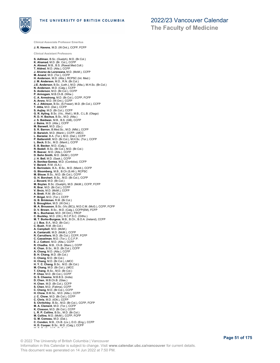

**Clinical Associate Professor Emeritus J. R. Havens**, M.D. (W.Ont.), CCFP, FCFP **The Faculty of Medicine**

**Clinical Assistant Professors S. Adilman**, B.Sc. (Guelph), M.D. (Br.Col.) **K. Ahamad**, M.D. (Br. Col.), CCFP **A. Ahmed**, M.B., B.S. (Rawal.Med.Coll.) **T. Aldred**, M.D. (Alta.), CCFP **J. Alvarez de Lorenzana**, M.D. (McM.), CCFP **M. Anand**, M.D. (Tor.), CCFP **H. Anderson**, M.D. (Alta.), RCPSC (Int. Med.) **J. M. Anderson**, M.D., R.N. (Br.Col.) **J.E. Anderson**, B.Sc. (Leth.), M.D. (Alta.), M.H.Sc. (Br.Col.) **N. Anderson**, M.D. (Calg.), CCFP **S. Anderson**, M.D. (Br.Col.), CCFP **P. Armogam**, M.B.Ch.B. (Witw.) **C. A. Armstrong**, M.D. (Br.Col.), CCFP, FCFP **A. Arora**, M.D. (W.Ont.), CCFP **K. J. Atkinson**, B.Sc. (S.Fraser), M.D. (Br.Col.), CCFP **T. Attia**, M.D. (Dal.), CCFP **S. Aujlay**, M.D. (Br.Col.), CCFP **G. R. Ayling**, B.Sc. (Vic., Well.), M.B., C.L.B. (Otago) **R. D. H. Backus**, B.Sc., M.D. (Alta.) **J. S. Baidwan**, M.B., B.S. (GB), CCFP **J. Bains**, M.D. (Alta.), CCFP **M. Banwell**, M.D. (Qu.) **S. R. Barron**, B.Med.Sc., M.D. (Nfld.), CCFP **D. Barwich**, M.D. (Manit.), CCFP, LMCC **L. Barzelai**, B.A. (Tor.), M.D. (Dal.), CCFP **P. Battershill**, M.D. (Br.Col.), M.H.Sc. (Tor.), CCFP **L. Beck**, B.Sc., M.D. (Manit.), CCFP **E. B. Becker**, M.D. (Calg.).<br>**R. Bedell**, B.Sc. (Br.Col.), M.D. (Br.Col.)<br>**R. Beever**, M.D. (Alta.), CCFP<br>**D. Behn Smith**, M.D. (McM.), CCFP<br>**J. H. Bell**, M.D. (Sask.), CCFP **A. Benitez-Gomez**, M.D. (Cordoba), CCFP **V. Berard**, R.M. (S.A.) **E. Berinstein**, B.A., B.Sc., M.D. (Manit.), CCFP **G. Bloomberg**, M.B., B.Ch (S.Afr.), RCPSC **M. Blouw**, B.Sc., M.D. (Br.Col.), CCFP **G. H. Borchert**, B.Sc., M.D. (Br.Col.), CCFP **J. Bovard**, M.D. (Br.Col.)<br>**M. Boylan**, B.Sc. (Guelph), M.D. (McM.), CCFP, FCFP<br>**R. Brar**, M.D. (Br.Col.), CCFP<br>**V. Brcic**, M.D. (McM.), CCFP **A. Brett**, R.M. (Br.Col.) **P. Brigel**, M.D. (Tor.), CCFP **G. B. Brinkman**, R.M. (Br.Col.) **S. Broughton**, M.D. (W.Ont.) **M. A. Brousson**, B.Sc. (Vic.(BC)), M.D.C.M. (McG.), CCFP, FCFP **D. V. Brown**, B.Sc., M.D. (Calg.), CCFP(EM), FCFP **M. L. Buchanan**, M.D. (W.Ont.), FRCP **C. Buckley**, M.D. (Ott.), R.C.P.S.C. (Ortho.) **M. T. Burke-Burgess**, M.B., B.Ch., B.O.A. (Ireland), CCFP **J. I. Bus**, B.A., M.D. (Br.Col.) **C. Bush**, R.M. (Br.Col.) **A. Campbell**, M.D. (McM.) **A. Cantarutti**, M.D. (McM.), CCFP **R. Carruthers**, M.D. (Br.Col.), CCFP, FCFP **C. Casselman**, M.D. (Tor.), C.C.F.P. **E. J. Cattoni**, M.D. (Alta.), CCFP **R. Chadha**, M.B., Ch.B. (Manc.), CCFP **K. Chan**, B.Sc., M.D. (Br.Col.), CCFP **A. Chang**, M.D. (Alta.), CCFP **B. H. Chang**, M.D. (Br.Col.) **C. Chang**, M.D. (Br.Col.) **H. Chang**, M.D. (Br.Col.), LMCC **H. Y. C. Chang**, B.Sc.. M.D. (Br.Col.) **M. Chang**, M.D. (Br.Col.), LMCC **T. Chang**, B.Sc., M.D. (Br.Col.) **P. Chee**, M.D. (Br.Col.), CCFP **G. S. Cheema**, M.B.B.S. (India) **D. Chen**, M.B.Ch.B. (Glas.) **H. Chen**, M.D. (Br.Col.), CCFP **S. Chen**, M.D. (Fatima), CCFP **C. Cheng**, M.D. (Br.Col.), CCFP **H. Chow**, B.M.Sc., M.D. (Alta.), CCFP **J. C. Chow**, M.D. (Br.Col.), CCFP **C. Chris**, M.D. (tOtt.), CCFP **S. Chritchley**, B.Sc., M.D. (Br.Col.), CCFP, FCFP **M. A. Clement**, M.D. (Tor.), CCFP **K. Closson**, M.D. (Br.Col.), CCFP **L. R. P. Collins**, B.Sc., M.D. (Br.Col.) **M. Collins**, M.D. (McM.), CCFP, FCFP **G. M. Comeau,** M.D. (Dal.).<br>**C. Condon**, M.B., Ch.B. (Liv.), D.O. (Eng.), CCFP<br>**H. D. Cooper,** B.Sc., M.D. (Calg.), CCFP<br>-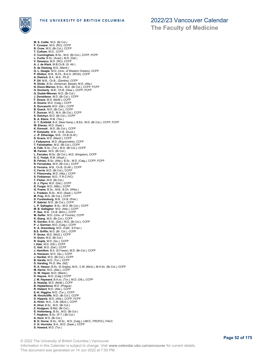

**M. S. Cottle**, M.D. (Br.Col.) **F. Covaser**, M.D. (RO), CCFP **R. Crow**, M.D. (Br.Col.), CCFP **T. Culham**, M.D., CCFP **C. Cunningham,** B.Sc., M.D. (Br.Col.), CCFP, FCFP<br>**L. Curtis**, B.Sc. (Acad.), M.D. (Dal.)<br>**V. Danescu,** M.D. (RO), CCFP<br>**A. J. de Klerk**, M.B.Ch.B. (S. Afr.) S. de Vlaming, M.D. (Manit.)<br>G. L. Deagle, M.D. (Univ. of Western Ontario), CCFP<br>P. Dhillon, M.B., B.Ch., B.A.O. (RCSI), CCFP<br>A. Dietrich, B.A., M.A., Ph.D.<br>P. Dil, M.B., Ch.B., (Zambia), CCFP<br>R. Dindo, B.Sc. (American, Be **J. Donaldson**, M.D. (Br.Col.). CCFP **F. Dossa**, M.D. (McM.), CCFP **D. Downe**, M.D. (Calg.), CCFP **S. Ducceschi**, M.D. (Ott.), CCFP **B. Dueck**, M.D. (Br.Col.), CCFP **F. Duncan**, M.D., M.A. (Br.Col.), CCFP **S. Dutchyn**, M.D. (Br.Col.), CCFP **B. A. Ebers**, R.M. (Tex.) **C. T. Eckfeldt**, B.A. (New Hamp.), B.Ed., M.D. (Br.Col.), CCFP, FCFP **W. Ehman**, M.D. (Sask.) **K. Emmott** , M.D. (Br.Col.), CCFP **P. Entwistle**, M.B., Ch.B. (Dund.) **J. -P. Etheridge**, M.B., Ch.B (S.Af.) **D. Evans**, M.D. (Manit.), CCFP **I. Fadyeyeva**, M.D. (Bogomolets), CCFP **T. Fairweather**, M.D. (Br.Col.), CCFP **A. Falk**, B.Sc. (Tor.), M.D. (Br.Col.), CCFP **M. Farmer**, M.D. (Br.Col.) **L. Farrales**, M.Sc. (Br.Col.), M.D. (Kingston), CCFP **S. C. Fedyk**, R.M. (Wash.) **B. Fehlau**, B.Sc. (Alta.), B.Sc., M.D. (Calg.), CCFP, FCFP **R. Fernandez**, M.D. (Br.Col.), CCFP **S. Ferreira**, M.B., Ch.B. (S.Afr.), CCFP **C. Ferris**, M.D. (Br.Col.), CCFP **Y. Filanovsky**, M.D. (Alta.), CCFP **S. Finkleman**, M.D., F.R.C.P(C) **T. Fisher**, M.D. (Br.Col.) **D. J. Flynn**, M.D. (Dal.), CCFP **K. Forgie**, M.D. (Nfld.), CCFP **G. Frame**, B.Sc., M.B., B.Ch. (Witw.) **L. Fredeen**, B.Sc., M.D. (Sask.), CCFP **M. Frey**, M.D. (Br.Col.), CCFP **D. Furstenburg**, M.B., Ch.B. (Pret.) **P. Gabriel**, M.D. (Br.Col.), CCFP **L. P. Gallagher**, B.Sc., M.D. (Br.Col.), CCFP **M. B. Gallagher**, M.D. (Alta.), CCFP **P. Gee**, M.B., Ch.B. (Birm.), CCFP **M. Gelfer**, M.D. (Univ. of Toronto), CCFP **K. Giang**, M.D. (Br.Col.), CCFP **R. Gordon**, B.Sc. (Dal.), M.D. (Br.Col.), CCFP **P. J. Gorman**, M.D. (Calg.), CCFP **K. A. Greenberg**, M.D. (Calif., S.Fran.) **B.S. Griffin**, M.D. (Br. Col.), CCFP **P. Gross**, M.D. (McG.), CCFP **H. Gunn**, M.D. (Br.Col.) **R. Gupta**, M.D. (Qu.), CCFP **I. Hale**, M.D. (Ott.), CCFP **C. Hall**, M.D. (Dal.), CCFP **J. Hamilton**, B.A. (S.Fraser), M.D. (Br.Col.), CCFP **A. Hansson**, M.D. (Qu.), CCFP **J. Hardial**, M.D. (Br.Col.), CCFP **B. Hardie**, M.D. (Tor.), CCFP **D. Harding**, Ph.D. Mw. (NZ) **R. A. Harpur**, B.Sc. (E.Anglia), M.D., C.M. (McG.), M.H.Sc. (Br.Col.), CCFP **M. Harris**, M.D. (Alta.), CCFP **G. W. Hayes**, M.D. (Manit.)<br>**D. Hayres**, M.D. (Calg.) CCFP<br>**J. M. Hayward**, B.A.sc. (Tor.), M.D. (Ott.), CCFP<br>**A. Heaslip,** M.D. (McM.), CCFP<br>**B. Hejdankova**, M.D. (Prague) **R. Hiebert**, M.D. (Alta.), CCFP **E.-K. Higgins**, M.D. (Tor.), CCFP **M. Hinchcliffe**, M.D. (Br.Col.), CCFP **D. Hippola**, M.D. (Alta.), CCFP, FCFP **A. Hirsh**, M.D., C.M. (McG.), CCFP **K. Hirst**, B.Sc., M.D. (Br.Col.) **Z. Hodgson**, B.Mid. (Br.Col.) **S. Hollenberg**, B.Sc., M.D. (Br.Col.) **T. Hopkins**, B.Sc. (P.T.) (Br.Col.) **A. Horii**, M.D. (Br.Col.) **B. D. Horne**, B.Sc., M.Sc., M.D. (Calg.), LMCC, FRCP(C), FACC **C. H. Horricks**, B.A., M.D. (Sask.), CCFP **S. Howard**, M.D. (Tor.)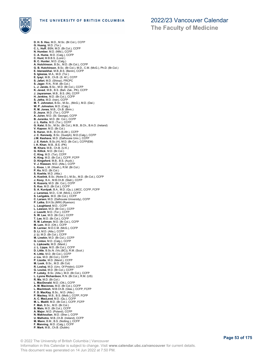

**The Faculty of Medicine**

**D. H. S. Hsu**, M.D., M.Sc. (Br.Col.), CCFP **G. Huang**, M.D. (Tor.) **C. L. Huff**, BSN, M.D. (Br.Col.), CCFP **N. Humber**, M.D. (Nfld.), CCFP **C. A. Hume**, M.D. (Calg.), CCFP **C. Hunt**, M.B.B.S. (Lond.) **B. C. Hunter**, M.D. (Calg.) A. Hutchinson, B.Sc., M.D. (Br.Col.), CCFP<br>G. B. Hutchinson, B.Sc. (Br.Col.), M.D., C.M. (McG.), Ph.D. (Br.Col.)<br>E. Idanwekhai, M.B.,B.S. (Benin), CCFP<br>S. Iglesias, M.A., M.D. (Tor.)<br>E. Iyayi, M.B., Ch.B. (S. Af.), CCFP<br>S. **L. J. Jando**, B.Sc., M.D. (Br.Col.), CCFP **K. Javed**, M.B., B.S. (Bah. Zak., PK), CCFP **J. Jayaraman**, M.B., B.S. (IN), CCFP **H. Jenkins**, M.D. (Br.Col.), CCFP **S. Jetha**, M.D. (Iran), CCFP **M. T. Johnston**, B.Sc., M.Sc., (McG.), M.D. (Dal.) **W. P. Johnston**, M.D. (Calg.) **R. M. Jones**, M.B., Ch.B. (Birm.) **D. Joyce**, M.D. (Tor.), CCFP **A. Juren**, M.D. (St. George), CCFP **B. Jurenka**, M.D. (Br. Col.), CCFP **J. L. Kailia**, M.D. (Tor.), CCFP **G. Kalsi**, B.Sc., M.Sc. (Br.Col.), M.B., B.Ch., B.A.O. (Ireland) **V. Kapoor**, M.D. (Br.Col.) **S. Karon**, M.B., B.Ch (S.Afr.), CCFP **J. C. Kennedy**, B.Sc. (Guelph), M.D.(Calg.), CCFP **J.M. Keshava**, M.D. (Dalhousie Univ.), CCFP **J. E. Ketch**, B.Sc.(H), M.D. (Br.Col.), CCFP(EM) **I. H. Khan**, M.B., B.S. (PK) **M. Khara**, M.B., Ch.B. (U.K.) **G. Killick**, M.D. (Br.Col.) **C. King**, M.D. (Tor), CCFP **K. King**, M.D. (Br.Col.), CCFP, FCFP **D. Kingsford**, M.B., B.S. (Auck.) **V. J. Klassen**, M.D. (Alta.), CCFP **L. Knox**, L.M. (Wash.), R.M. (Br.Col.) **P. Ko**, M.D. (Br.Col.) **S. Koehle**, M.D. (Alta.) **A. Koelink**, B.Sc. (Notre D.), M.Sc., M.D. (Br.Col.), CCFP **J. Kooy**, B.A., M.B.Ch.B. (Stell.), CCFP **K. Kozoriz**, M.D. (Br. Col.), CCFP **S. Kuo**, M.D. (Br.Col.), CCFP **S. A. Kurdyak**, B.A., M.D. (Qu.), LMCC, CCFP, FCFP **J. Laramee**, M.D., C.M. (McG.), CCFP **S. Larigakis**, M.D. (Br.Col.), CCFP **C. Larsen**, M.D. (Dalhousie University), CCFP **P. Latka**, B.H.Sc.(MW) (Ryerson) **L. Laughland**, M.D., CCFP **L. Lawson**, M.D. (Br.Col.), CCFP **J. Leavitt**, M.D. (Tor.), CCFP **S. W. Lee**, M.D. (Br.Col.), CCFP **T. Lee**, M.D. (Br.Col.), CCFP **R. M. Lehman**, M.D. (Br.Col.), CCFP **M. Lem**, M.D. (Ott.), CCFP **B. Lermer**, M.D.C.M. (McG.), CCFP **D. Li**, M.D. (Alta.), CCFP **J. Li**, M.D. (Br.Col.), CCFP **M. Linekin**, M.D. (Br.Col.), CCFP **G. Linton**, M.D. (Calg.), CCFP **L. Lipkowitz**, M.D. (Manit.) **J. L. Lippa**, M.D. (Br.Col.), CCFP **D. Little**, B.Sc.N. (Vic.(BC)), R.M. (Scot.) **K. Little**, M.D. (Br.Col.), CCFP **J. Liu**, M.D. (Br.Col.), CCFP **P. Lizotte**, M.D. (Manit.), CCFP **M. Look**, B.Sc., M.D. (Br.Col) **R. Loshaj**, M.D. (Unv. Of Pristini), CCFP **G. Louise**, M.D. (Br.Col.), CCFP **P. Lutsky**, B.Sc. (Alta.), M.D. (Br.Col.), CCFP **L. Lyons Richardson**, R.N. (Br.Col.), R.M. (US) **R. Ma**, M.D. (Br.Col.) **L. MacDonald**, M.D. (Ott.), CCFP **A. M. Macinnes**, M.D. (Br.Col.), CCFP **L. MacIntosh**, M.B.Ch.B. (Glas.), CCFP, FCFP F. D. MacKay, B.Sc., M.D. (Alta.)<br>P. Mackey, M.B., B.S. (Melb.), CCFP, FCFP<br>A. C. MacLeod, M.D. (Qu.), CCFP<br>M. L. Madill, M.D. (Br.Col.), CCFP, FCFP<br>F. Mah, B.Sc., M.D. (Br.Col.)<br>B. Main, M.D. (Br.Col.), CCFP<br>A. Makhoulian **U. Malhotra**, M.B.,Ch.B. (Ireland), CCFP **M. Mann**, B.M., B.S. (Notting.), CCFP **F. Manning**, M.D. (Calg.), CCFP **P. Mark**, M.B., Ch.B. (Dublin)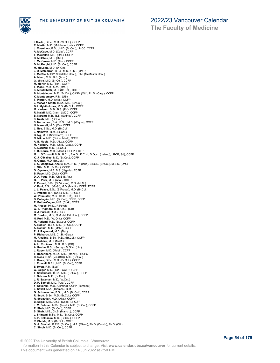

**I. Martin**, B.Sc., M.D. (W.Ont.), CCFP **R. Martin**, M.D. (McMaster Univ.), CCFP **J. Masuhara**, B.Sc., M.D. (Br.Col.), LMCC, CCFP **A. McCabe**, M.D. (Calg.), CCFP **T. McCallan**, M.D. (Dal.), CCFP **D. McGhee**, M.D. (Dal.) **J. McKeown**, M.D. (Tor.), CCFP **D. McKnight**, M.D. (Br.Col.), CCFP **M. McLean**, M.D. (W.Ont.) **J. D. McMorran**, B.Sc., M.D., C.M., (McG.) **L. McRae**, M.SW. 9Carleton Univ.), R.M. (McMaster Univ.) **A. Mead**, M.B., B.S. (Aust.) **G. Mitra**, M.D. (Br.Col.), CCFP<br>**M. Moher**, M.D. (Tor.), CCFP<br>**K. Monk**, M.D., C.M. (McG.)<br>**K. Montalbetti**, M.D. (Br.Col.), CCFP<br>**B. Monteleone**, M.D. (Br.Col.), CASM (Ott.), Ph.D. (Calg.), CCFP **K. Montgomery**, R.M. (US) **T. Morton**, M.D. (Alta.), CCFP **J. Morwen-Smith**, B.Sc., M.D. (Br.Col.) **B.J. Myhill-Jones**, M.D. (Br.Col.), CCFP **M. Nadeem**, M.B., B.S. (PK), CCFP **R. Najafi**, M.D. (Iran), LMCC, CCFP **B. Narang**, M.B., B.S. (Sydney), CCFP **S. Nash**, M.D. (Br.Col.) **S. Nathanson**, B.A., B.Sc., M.D. (Wayne), CCFP **N. Nazerali**, M.D. (Qu), CCFP **L. Nee**, B.Sc., M.D. (Br.Col.) **J. Nemrava**, R.M. (Br.Col.) **B. Ng**, M.D. (N'western), CCFP **N. Nikoo**, M.D. (Shiraz Med.), CCFP **A. B. Noble**, M.D. (Alta.), CCFP **M. Norbury**, M.B., Ch.B. (Glas.), CCFP **K. Nordahl**, M.D. (Br.Col.) **F. R. Norrie**, M.D. (Manit.), CCFP, FCFP<br>**M. L. O'Driscoll**, M.B., B.Ch., B.A.O., D.C.H., D.Obs., (Ireland), LRCP, S(I), CCFP<br>**K. J. O'Malley**, M.D. (Br.Col.), CCFP **H. Oetter**, M.D. (Br.Col.) **E. O. Ohajekwe-Aneke**, R.M., R.N. (Nigeria), B.Sc.N. (Br.Col.), M.S.N. (Ont.) **J. Otte**, M.D. (Br.Col.), CCFP **O. Oyelese**, M.B. B.S. (Nigeria), FCFP **B. Pace**, M.D. (Dal.), CCFP **D. A. Page**, M.B., Ch.B (S.Afr.) **G. H. Park**, M.D. (Alta.), CCFP<br>**T. Parnell,** B.Sc. (St.Vincent), M.D. (McM.)<br>**V. Paul**, B.Sc. (McG.), M.D. (Manit.), CCFP, FCFP **J. L. Peace**, B.Sc. (S.Fraser), M.D. (Br.Col.) **J. Petzold**, B.A. (Carl.), M.D. (Br.Col.) **W. Phimister**, M.B., Ch.B. (UK), CCFP **D. Poteryko**, M.D. (Br.Col.), CCFP, FCFP **R. Potter-Cogan**, M.B. (Cork), CCFP **M. Preece**, Ph.D., R.Psych **G. T. Prigmore**, M.B. Ch.B. (GB) **B. J. Purcell**, R.M. (Tas.) **M. Purdon**, M.D., C.M. (McGill Univ.), CCFP **N. Puri**, M.D. (W. Ont.), CCFP **M. Putland**, M.D. (Br.Col.), CCFP **A. Rabien**, B.Sc., M.D. (Br.Col.), CCFP **A. Rankin**, M.D. (McM.), CCFP **R. J. Raymond**, M.D. (Dal.) **P. Richards**, M.B. Ch.B. (Glas.) **M. Riesling**, B.Sc., M.D., (Br.Col.), CCFP **B. Roback**, M.D. (McM.) **A. H. Robinson**, M.B., B.S. (GB) **A. Roche**, B.Sc. (Surrey), M.S.W. (Liv.) **J. Roger**, M.D. (McM.), CCFP **T. Rosenberg**, M.Sc., M.D. (Manit.), FRCPC **C. Ross**, B.Sc. (Vic.(BC)), M.D. (Br.Col.) **L. Rossi**, B.Sc., M.D. (Br.Col.), CCFP **J. Russell**, B.Ed., M.D. (Br.Col.), CCFP **E. Ryan**, R.M. (Syd.) **G. Saiger**, M.D. (Tor.), CCFP, FCFP T**. Sakakibara**, B.Sc., M.D. (Br.Col.), CCFP<br>**L. Salvino**, M.D. (Br.Col.)<br>**J. R. Salzman**, M.D. (W.Ont.)<br>**D. P. Samoil**, M.D. (Alta.), CCFP<br>**Y. Savchuk**, M.D. (Ukraine), CCFP (Ternopol) **L. Saxell**, M.A. (Thames), R.M. **G. Schumacher**, B.Sc., M.D. (Br.Col.), CCFP **R. Scott**, B.Sc., M.D. (Br.Col.), CCFP **R. Sebastian**, M.D. (Alta.), CCFP **B. Segal**, M.B., Ch.B. (Cape T.), C.FP **J. M. Sehmer**, M.Sc. (Lond.), M.D. (Br.Col.), CCFP **R. Shah**, M.D. (Br.Col.), CCFP **S. Shah**, M.B., Ch.B. (Manch.), CCFP **J. Shintani**, B.Sc., M.D. (Br.Col.), CCFP **K. P. Shklanka**, M.D. (Br.Col.), CCFP **R. Shukla**, M.D. (Br.Col.), CCFP **D. A. Sinclair**, B.P.E. (Br.Col.), M.A. (Miami), Ph.D. (Camb.), Ph.D. (Ott.) **C. Singh**, M.D. (Br.Col.), CCFP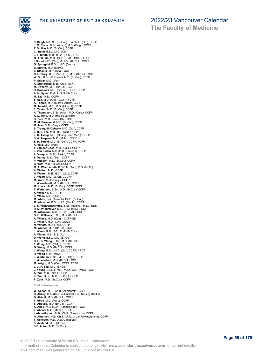

**The Faculty of Medicine**

**S. Singh**, M.H.Sc. (Br.Col.), B.A., M.D. (Qu.), CCFP **J. M. Slater**, B.Sc. (Acad.), M.D. (Calg.), CCFP **T. Smillie**, M.D. (Br.Col.), CCFP **C. Smith**, B.Sc., M.D. (Alta.) **J. T. Smith**, M.B., B.Ch. (Dub.), FRCPC **Q. A. Smith**, M.B., Ch.B. (S.Af.), CCFP, FCFP **I. Sobol**, M.D. (Qu.), M.H.Sc. (Br.Col.), CCFP **G. Spangehl**, B.Sc., M.D. (Sask.) B. Spring, M.D. (McM.)<br>S. Stasiuk, M.D. (Alta.), CCFP<br>C. L. Story, B.Sc. (Vic.B.C.), M.D. (Br.Col.), CCFP<br>W. Su, B.Sc. (S.Fraser), M.D. (Br.Col.), CCFP<br>P. Sugar, M.D. (Tor.)<br>K. Sutherland, M.B., Ch.B. (U.K.) **M. Sweeny**, M.D. (Br.Col.), CCFP **H. Swinkels**, M.D. (Br.Col.), CCFP, FCFP **A. M. Syme**, R.M., M.S.N. (Br.Col.) **M. Sze**, M.D., CCFP **S. Sze**, M.D. (Alta.), CCFP, FCFP **A. Tannis**, M.D. (McM.), ABHM, CCFP<br>**M. Terwiel**, M.B., M.D. (Utrecht), CCFP<br>**C. Textor**, M.D. (Br.Col.), CCFP<br>**A. Thompson**, B.Sc. (Alta.), M.D. (Calg.), CCFP **K. L. Tong**, M.D. (Rio de Janeiro) **H. Toor**, M.D. (Ross, DM), CCFP **M. M. Townsend**, M.D. (Br.Col.), CCFP **M. Tran**, M.D. (Calg.), CCFP **S. Tranquilli-Doherty**, M.D. (Ott.), CCFP **L. B. S. Tse**, M.B., B.S. (CN), CCFP **L. O. Tseng**, M.D. (Chung Shan Med.), CCFP **S. A. Turgeon**, M.D. (McM.), CCFP **E. R. Turski**, M.D. (Br.Col.), CCFP, FCFP **A. Vala**, M.D. (Iran) **T. van der Goes**, M.D. (Calg.), CCFP **J. Van Eeden**, M.B.Ch.B. (Pretoria), CCFP **A. Vasquez**, M.D. (Sask.), CCFP **S. Verma**, M.D. (Tor.), CCFP **P. Vizsolyi**, M.D. (Br.Col.), CCFP **B. Voth**, M.D. (Br.Col.), CCFP **M. A. Wachsmuth**, B.S.C.N. (Tor.), M.D. (McM.) **A. Walton**, M.D., CCFP **N. Walton**, M.B., B.Ch. (Liv.), CCFP **C. Wang**, M.D. (W.Ont.), CCFP **M. Ward**, M.D. (Calg.), CCFP **J. Warneboldt**, M.D. (Br.Col.), CCFP **M. J. Watt**, M.D. (Br.Col.), CCFP, FCFP **T. Watterson**, B.Sc., M.D. (Br.Col.), CCFP **A. Weber**, M.D., CCFP **K. White**, M.D. (Glas.) **M. White**, B.A. (Antioch), Ph.D. (Br.Col.) **M. Wickman**, B.Sc., M.D. (Manit.), CCFP **L. S. Wickremasinghe**, B.Sc. (Regina), M.D. (Sask.) **H. M. Wiedmeyer**, M.D., C.M. (McG.), CCFP **M. Wilkinson**, M.B., B. Ch. (S.Af.), CCFP **D. G. Williams**, B.Sc., M.D. (Br.Col.) **A. Willms**, M.D. (Calg.), CCFP(EM) **C. Wilson**, M.D., C.M. (McG.) **N. Winata**, M.D. (Tor.), CCFP **M. Winder**, M.D. (Br.Col.), CCFP **J. Wines**, R.N. (GB), R.M. (Br.Col.) **A. Wolak**, M.B., B.S. (AU) **D. Wong**, B.Sc., M.D. (Br.Col.) **D. H. K. Wong**, B.Sc., M.D. (Br.Col.) **F. Wong**, M.D. (Calg.), CCFP **G. Wong**, M.D. (Br.Col.), CCFP **L. Wong**, B.Sc., M.D. (Qu.), CCFP, ARCT **H. Wood**, R.M. (McM.) **J. Wortman**, B.Sc., M.D., (Calg.), CCFP **J. Wouterloot**, M.D. (Br.Col.), CCFP **M. Wright**, M.D. (Qu.), CCFP, FCFP **J. C. P. Yap**, M.D. (Br.Col.) **J. Young**, B.Sc. (Trent), M.Sc., M.D. (McM.), CCFP **A. Yue**, M.D. (Alta.), CCFP **K. Yue**, B.Sc., M.D. (Br.Col.), CCFP **P. Zack**, M.D. (Br.Col.), CCFP **Clinical Instructors**

**W. Abbas**, M.B., Ch.B. (Al-Nahrain), CCFP **D. Abbey**, B.A. (Univ. of Guelph), Dip. Nursing (Selkirk) **B. Abbott**, M.D. (Br.Col.), CCFP **T. Abbu**, M.D. (Man.), CCFP **S. Abdulla**, M.D. (Br.Col.), CCFP **A. Abed**, M.B.,B.Ch. (Zagazig Univ.), CCFP **Z. Abhari**, M.D. (Manit.), CCFP **I. Abou-Gareeb**, M.B., Ch.B. (Alexandria), CCFP **N. Abraham**, M.B.,Ch.B. (Univ. of the Witwatersrand), CCFP **T. Acheson**, M.D. (A.U. Caribbean) **S. Ackland**, M.D. (Br.Col.) **S.E. Acton**, M.D. (Br.Col.)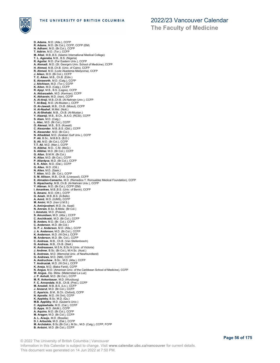

**D. Adams**, M.D. (Alta.), CCFP **R. Adams**, M.D. (Br.Col.), CCFP, CCFP (EM) **N. Adhami**, M.D. (Br.Col.), CCFP **T. Adirim**, M.D. (Tor.), CCFP **M. Afzal**, M.B.,B.S. (Islamic International Medical College) **T. L. Aganaba**, M.B., B.S. (Nigeria) **R. Aguilar**, M.D. (Far Eastern Univ.), CCFP **A. Ahmadi**, M.D. (St. George's Univ. School of Medicine), CCFP **H. Ahmed**, M.B.,Ch.B. (Univ. of Cairo), CCFP **R. Ahmed**, M.D. (Lodz Akademia Medyczna), CCFP **J. Aiken**, M.D. (Br.Col.), CCFP **T. C. Aiken**, M.B., Ch.B. (Edin.) **E. Ainsworth**, M.D. (Calg.), CCFP **J. Aitchison**, M.D. (Tor.), CCFP **K. Aiton**, M.D. (Calg.), CCFP **R. Ajayi**, M.B., B.S. (Lagos), CCFP **A. Akbarzadeh**, M.D. (Kerman), CCFP **K. Akhavein,** M.D. (Iran), CCFP<br>**A. Al-Araji**, M.B.,Ch.B. (Al-Nahrain Univ.), CCFP<br>**T. Al-Baaj,** M.D. (Al-Mustan.), CCFP<br>**O. Al-Jawadi,** M.B., Ch.B. (Mosul), CCFP<br>**H. Al-Nashef**, M.Mid. (Nott.) A. Al-Shehabi, M.B., Ch.B. (Al-Mustan.)<br>Y. Alaaraji, M.B., B.Ch., B.A.O. (RCSI), CCFP<br>S. Alam, M.D. (Calg.)<br>L. Alec, M.D. (Calg.)<br>O. Alenezi, M.B., B.S. (Kuwait)<br>C. Alexander, M.B.,B.S. (Qld.), CCFP **K. Alexander**, M.D. (Br.Col.) **N. Alhaddad**, M.D. (Arabian Gulf Univ.), CCFP **P. Ali**, B.Sc., M.B.B.S. (B.D.) **S. Ali**, M.D. (Br.Col.), CCFP **T.T. Ali**, M.D. (Man.), CCFP **H. Alibhai**, M.D., C.M. (McG.) **S. Alibhai**, M.D. (Br.Col.), CCFP **G. Allan**, B.M.W. (Br.Col.) **K. Allan**, M.D. (Br.Col.), CCFP **P. Allardyce**, M.D. (Br.Col.), CCFP **E. K. Allen**, M.D. (Dal.), CCFP **G. Allen**, M.D. (Ott.) **N. Allen**, M.D. (Sask.) **T. Allen**, M.D. (Br. Col.), CCFP **S. M. Allison**, M.B., Ch.B. (Liverpool), CCFP **E. Almaden-Camacho**, M.D. (Remedios T. Romualdez Medical Foundation), CCFP<br>**S. Alpachachy**, M.B.,Ch.B. (Al-Nahrain Univ.), CCFP<br>**Y. Altman**, M.D. (Br.Col.), CCFP (EM) **I. Amankwe**, M.B.,B.S. (Univ. of Benin), CCFP **S. Amarsi**, M.D. (Ott.), CCFP **G. Ameh**, M.B.,B.S. (A.Bello) **A. Amid**, M.D. (IUMS), CCFP **M. Amini**, M.D. (Iran U.M.S.) **A. Aminjavaheri**, M.D. (Is. Azad) **N. Amram**, B.Sc, B.Midw. (Br.Col.) **I. Amstutz**, M.D. (Poland) **S. Amundsen**, M.D. (Alta.), CCFP **C. Anchikoski**, M.D. (Br.Col.), CCFP **B. Anders**, M.D. (Br. Col.), CCFP **C. Anderson**, M.D. (Br.Col.) **G. P. J. Anderson**, M.D. (Alta.), CCFP **J. A. Anderson**, M.D. (Br.Col.), CCFP **K. Anderson**, M.D. (W.Ont.), CCFP M. Anderson, M.D. (Br. Col.), CCFP<br>**C. Andreas**, M.B., Ch.B. (Van Stellenbosch)<br>**G. Andreas,** M.B., Ch.B. (Stell.)<br>**K. Andreassen**, M.S.N, B.Sc.N (Univ. of Victoria)<br>**J. Andrew**, B.Sc. (Br.Col.), M.H.Sc. (Aust.) **E. Andrews**, M.D. (Memorial Univ. of Newfoundland) G. Andrews, M.D. (NM), CCFP<br>A. Andruchow , B.Sc., M.D. (Alta.), CCFP<br>T**. Andrusiak**, M.D. (W.Ont.), CCFP<br>**K. Aneja,** M.D. (Baba Farid), CCFP<br>**K. Angus**, M.D. (American Univ. of the Caribbean School of Medicine), CCFP<br>**N. A** W. Angus, Dip. Midw. (Maternidad La Luz)<br>J. P. Anholt, M.D. (Br.Col.), CCFP<br>M. R. Ankenbauer, M.D. (Wurzburg)<br>F. C. Ankenbauer, M.D. (Wurzburg)<br>F. C. Anrant, M.D. (Br.Col.), CCFP<br>J. Anzarut, M.D. (Br.Col.), CCFP<br>C. Aparici **D. Apps**, M.D. (McM.), CCFP **A. Aquino**, M.D. (Br.Col.), CCFP **M. Aragon**, M.D. (Br.Col.), CCFP **A. L. Araujo**, M.D. (Brasilia) **D. I. Arbuckle**, M.D. (Dal.), CCFP **M. Archdekin**, B.Sc.(Br.Col.), M.Sc., M.D. (Calg.), CCFP, FCFP **B. Arduini**, M.D. (Br.Col.), CCFP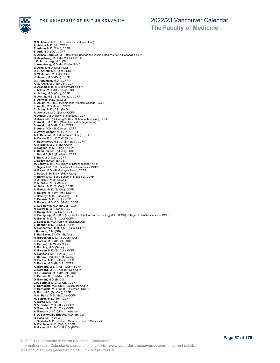

**The Faculty of Medicine**

**M.N. Arham** , M.B.,B.S. (Bahuddin Zakaria Univ.) **A. Ariana**, M.D. (Ill.), CCFP **E. Ariano**, M.D. (Alta.), CCFP **S. Arif**, M.D. (Ott.), CCFP **A. Armas Enriquez**, M.D. (Instituto Superior de Ciencias Medicas de La Habana), CCFP **B. Armstrong**, M.D. (McM.), CCFP (EM) **J.G. Armstrong**, M.D. (Ott.) **L. Armstrong**, M.D. (McMaster Univ.)<br>**B. Arnold**, M.D. (Alta.), CCFP<br>**D. H. Arnold**, M.D. (Tor.), CCFP<br>**D. W. Arnold**, M.D. (Br.Col.) **K. Arnold**, M.D. (Dal.), CCFP **G. Aronshtam**, M.D., CCFP **A. S. Arora**, M.D. (Br.Col.), CCFP **U. Arshad**, M.B., B.S. (Peshwar), CCFP **J. Arthur**, M.D. (St. George), CCFP **A. Ashley**, M.D. (Cal.), CCFP **N. Ashraf**, M.B., B.S. (Nishtar), CCFP **S. Ashwell**, M.D. (Br.Col.) **S. Aslam**, M.B.,B.S. (Allama Iqbal Medical College), CCFP **L. Asplin**, M.D. (Man.), CCFP **C. Astley**, M.D., C.M. (McG.) **A. Atchison**, M.D. (Sask.), CCFP **N. Atmuri** , M.D. (Univ. of Manitoba), CCFP **H. Aujla**, M.D. (St George's Univ. School of Medicine), CCFP **P. Aulakh**, M.B.,B.S. (Govt. Medical College, India) **S. Aulakh**, M.D. (Br.Col.), CCFP **S. Aung**, M.D. (St. George), CCFP **C. Avery-Cooper**, M.D. (Tor.), CCFP **A.A. Bacenas**, M.D. (Laurentian Univ.), CCFP **A. Bacon**, B.Sc., B.M.W. (Br.Col.) **F. Badenhorst**, M.B., Ch.B. (Stell.), CCFP **K. J. Baerg**, M.D. (Tor.), CCFP **B. Bagdan**, M.D. (Calg.), CCFP **T. Bahri Irai**, M.D. (Uludag), CCFP **J. Bai**, M.B.,B.S. (Zhejiang), CCFP **S. Baik**, M.D. (Qu.), CCFP **J. Bailey**, B.M.W. (Br.Col.) **M. Bailey**, M.B.,Ch.B. (Univ. of Stellenbosch), CCFP **J. Bajela**, M.B.,B.S. (Obafemi Awolowo Univ.), CCFP **H. Bajwa**, M.D. (St. George's Univ.), CCFP<br>**J. Baker**, B.Sc. Midw. (Midw.Utah)<br>**P. Baker**, M.D. (Saba School of Medicine), CCFP **R. A. Baker**, M.D. (Manit.) **R. N. Baker**, M. D. (Sher.) **W. Baker**, M.D. (Br.Col.), CCFP **A. Bakker**, M.D. (Br.Col.), CCFP **S. Bakker**, M.D. (W.Ont.), CCFP **J. Bakonyi**, M.D. (Budapest), CCFP **E. Balaisis**, M.D. (Ott.), CCFP **S. Balass**, M.D.,C.M. (McG.), CCFP **C. L. Baldwin**, M.D. (Br.Col.), CCFP **N. Baldwin**, M.D. (Calg.), CCFP **S. Balog** , M.D. (W.Ont.), CCFP **K. Bamigboje**, M.B.,B.S. (Ladoke Akintola Univ. of Technology (LAUTECH) College of Health Sciences), CCFP **R. Banas**, M.D. (Br. Col.), CCFP **J. Banaszek**, M.D. (Univ. of Saskatchewan) **L. Banner**, M.D. (Br.Col.), CCFP **A. Bannerman**, M.B., Ch.B. (GB), CCFP **I. Bantock**, B.M. (GB) **S. Bar-Sever**, B.M.W. (Br.Col.) **N. Baradaran**, M.D. (Is. Azad), CCFP **K. Barber**, M.D. (Br.Col.), CCFP **S. Barber**, B.M.W. (Br.Col.) **S. Barclay**, M.D. (Sask.) **K. Barden**, M.D. (Br. Col.), CCFP **A. Baribeau**, M.D. (Br.Col.), CCFP **L. Barlow**, Cert. (Sea. Midwifery) **N. Barlow**, M.D. (Br.Col.), CCFP **S. Barlow**, M.D. (Br.Col.), CCFP **A. Barnard**, M.B. (Pret.), CCFP, FCFP **C. Barnard**, M.B., Ch.B. (OFS), CCFP **H. F. Barnard**, M.D. (Br.Col.), CCFP **E. Barnes**, B.Sc. Midw (Br.Col.) **D. Barnett**, M.D. (Br.Col.) **J.A. Barnhill**, M.D. (W.Ont.), CCFP **E. Barnsdale**, M.B.,Ch.B. (Leicester), CCFP **P. Barnsdale**, M.B., Ch.B. (Leicester), CCFP **S. Barr**, M.D. (Br. Col.), CCFP **N. M. Barre**, M.D. (Br.Col.), CCFP **M. Barron**, M.D. (Tor.), CCFP<br>**A. Barss** M.D. (Alb.) **A. Barss**, M.D. (Alb.)<br>**N. V. Bartell**, M.D. (Alta.), CCFP<br>**D. Basco**, M.D. (Br. Col.), CCFP<br>**A. Bascom** , M.D. (Univ. of Alberta)<br>**S. A. Baskerville-Bridges**, M.D. (Br. Col.) **B. Bass**, M.D. (Br.Col.) **J. Bastedo**, M.D. (Northern Ontario School of Medicine) **B. Batchelor**, M.D. (Calg.), CCFP **B. Bauer**, M.B., B.Ch., B.A.O. (RCSI)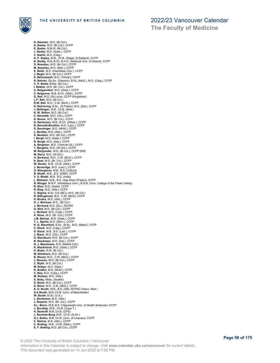

**The Faculty of Medicine**

**G. Bauman**, M.D. (Br.Col.) **A. Baxter**, M.D. (Br.Col.), CCFP **E. Baxter**, B.M.W. (Br.Col.) **J. Baxter**, M.D. (Sask.), CCFP C. Bazilli, M.D. (Calg.)<br>K. P. Bazley, M.B., Ch.B. (Otago, N.Zealand), CCFP<br>N. Beatty, M.B.,B.Ch.,B.A.O. (National Univ. of Ireland), CCFP<br>D. Beaulieu, M.D. (Br.Col.), CCFP<br>M. Beaulieu, M.D. (Man.), CCFP<br>E. Bedir, M.D. (Ha **S. Behmanesh**, M.D. (Tehran), CCFP **R. Behren**, Dip.Sc. (Dawson), B.Sc. (McG.), M.D. (Calg.), CCFP **C. P. Beitel**, B.Mw. (Br.Col.) **I. Bekker**, M.D. (Br. Col.), CCFP **U. Belgaumkar**, M.D. (Sask.), CCFP **C. Belgraver**, M.B. B.Ch. (Stell.), CCFP **G. Bell**, M.D. (St.Lucia), CCFP (Kingstown)<br>**L.P. Bell**, M.D. (Br.Col.)<br>**R.W. Bell**, M.D., C.M. (McG.), CCFP<br>**K. Bell-Irving**, B.Sc., (S.Fraser), M.D. (Dal.), CCFP<br>**J. Bellingar**, M.B., Ch.B. (Stell.)<br>**K. W. Belton**, M.D. **C. Benedek**, M.D. (Ott.), CCFP **A. Benes**, M.D. (Br.Col.), CCFP **G. Benloulou**, M.B., B.Ch. (Witsw.), CCFP **N. Bennett-Boutilier**, M.D. (Laur.), CCFP **S. Benninger**, M.D. (McM.), CCFP **J. Bentley**, M.D. (Alta.), CCFP **S. Bentzon**, M.D. (Br.Col.), CCFP **I. Bergh**, M.D. (Sask.), CCFP **N. Bergh**, M.D. (Alta.), CCFP **A. Bergman**, M.D. (Yerevan St.), CCFP **T. Bergstra**, M.D. (W.Ont.), CCFP **M. Bergunder**, M.D. (Br.Col.), CCFP (EM) **M. Berry**, M.D. (W.Ont.) **H. Bertrand**, M.D., C.M. (McG.), CCFP **K. Best**, M.D. (Br. Col.), CCFP **W. Bester**, M.B., Ch.B. (Stell.), CCFP **J. Beveridge**, M.D. (Laur.), CCFP **O. Bhargavan**, M.B., B.S. (Calicut) **B. Bhatti**, M.B., B.S. (GND), CCFP **V. S. Bhatti**, M.B., B.S. (India) **L. Bhimani**, M.B., B.S. (Aga Khan (P'stan)), CCFP **N. Bhogal**, M.N.P. (Athabasca Univ.), B.S.N. (Univ. College of the Fraser Valley) **R. Bhui**, M.D. (Saba), CCFP **R. Bieg**, M.D. (Alta.), CCFP **C. Biglow**, B.Sc. (Vic.(BC)), M.D. (Br.Col.) **R. Billinghurst**, M.D., C.M. (McG), CCFP **H. Bindra**, M.D. (Alta.), CCFP **D. J. Bircham**, M.D., (Br.Col.) **J. Birchard**, M.D. (Qu.), RCPSC **G. Bird**, M.D. (Br.Col.), CCFP **L. Birdsell**, M.D. (Calg.), CCFP **A. Birse**, M.D. (Br. Col.), CCFP **J.M. Bishop**, M.D. (Sask.), CCFP **T. L. Bjerke**, M.D. (Minn.), CCFP **K. G. Blachford**, B.Sc., M.Sc., M.D. (Manit.), FCFP **C. Black**, M.D. (Calg.), CCFP **D. Black**, M.B., B.S. (Leic.), CCFP **J. Black**, M.D. (Ott.), CCFP **G. Blackburn**, M.D. (Br.Col.), CCFP **B. Blacklaws**, M.D. (Dal.), CCFP **N. J. Blackmore**, R.N. (Selkirk Coll.) **K. Blackstock**, M.D. (Sask.), CCFP **K. Blake**, R.M. (Br.Col.) **M. Blinkhorn**, M.D. (Br.Col.) **B. Bloom**, M.D., C.M. (McG.), CCFP **J. Bluman**, M.D. (Br.Col.), CCFP **C. Blyth**, M.D. (Br.Col.) **M. Bobyn**, M.D. (Sask.) **K. Bodkin**, M.D. (McM.), CCFP **C. Boe**, M.D. (Calg.), CCFP **M. Boileau**, M.D. (Alta.) **S. Boily**, Midw. (Seattle) D. Bond, M.D. (Br.Col.), CCFP<br>A. Boon, M.D., C.M. (McG.), CCFP<br>A. D. Booth, M.B., B.S. (GB), RCPSC (Intern. Med.)<br>S.A Booth, M.B., B.S. (GB), RCPSC (Intern. Med.)<br>W. Booth, M.Sc. (U.K.)<br>J. Bootsman, M.D. (Atta.)<br>J. Boparai **C. Botting**, M.B., Ch.B. (Stell.), CCFP<br>**E. F. Botting**, M.D. (Br.Col.), CCFP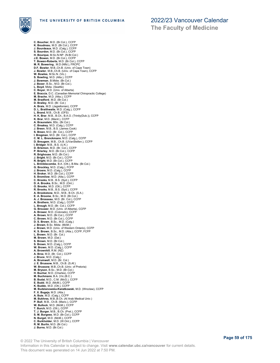

**The Faculty of Medicine**

**C. Boucher**, M.D. (Br.Col.), CCFP **K. Boudreau**, M.D. (Br.Col.), CCFP **J. Bourdeaux**, M.D. (Calg.), CCFP **S. Bourdon**, M.D. (Br.Col.), CCFP **H. Bourque**, M.Sc.N.NP. (N.Br.Col.) **J.E. Bowen**, M.D. (Br.Col.), CCFP T. Bowen-Roberts, M.D. (Br.Col.), CCFP<br>M. R. Bowering , M.D. (Nfld.), FRCPC<br>D.F. Bowler, M.B.,Ch.B. (Univ. of Cape Town)<br>J. Bowler, M.B.,Ch.B. (Univ. of Cape Town), CCFP<br>W. Bowles, M.Sc.N. (Vic.) **S. Bowling**, M.D. (Alta.), CCFP **J. Bowman**, B.Midw. (Br.Col.) **J. Boxer**, B.Sc., M.D. (Br.Col.). **L. Boyd**, Midw. (Seattle)<br>**C. Boyer**, M.D. (Univ. of Alberta)<br>**E. Braccia**, D.C. (Canadian Memorial Chiropractic College)<br>**M. Bradford**, M.D. (Br.Col.)<br>**M. Bradford**, M.D. (Br.Col.) **D. Brailey**, M.D. (Br. Col.) **A. Brais**, M.D. (Jagiellonian), CCFP **D. L. Braithwaite**, M.D. (Calg.), CCFP **L. Brand**, M.B., Ch.B. (OFS) **H. K. Brar**, M.B., B.Ch., B.A.O. (Trinity(Dub.)), CCFP **K. Brar**, M.D. (Manit.), CCFP **A. Braunstein**, BSc. (Br.Col.) **C. Breakey**, M.D. (Calg.), CCFP **J. Breen**, M.B., B.S. (James Cook) **S. Breen**, M.D. (Br. Col.), CCFP **I. Bregman**, M.D. (Br. Col.), CCFP **C. M. L. Brenckmann**, M.D. (Calg.), CCFP **D. Breugem**, M.B., Ch.B. (UVanStellen.), CCFP **I. Bridger**, M.B., B.S. (U.K.) **D. Briemon**, M.D. (Br. Col.), CCFP **P. Brierley**, M.D. (Br.Col.), CCFP **R. Brighouse**, M.D. (Br.Col.) **J. Bright**, M.D. (Br.Col.), CCFP **R. Bright**, M.D. (Br.Col.), CCFP **L. Brimblecombe**, B.A. (Ott.), B.Mw. (Br.Col.) **G. Brockley**, M.D. (Calg.), FCFP **J. Broere**, M.D. (Calg.), CCFP **H. Broker**, M.D. (Br.Col.), CCFP **S. Bromilow**, M.D. (Alta.), CCFP **C. Brooks**, M.B., B.S. (Syd.), CCFP **D. A. Brooks**, B.Sc., M.D. (Ont.) **O. Brooks**, M.D. (Ott.), CCFP **R. Brooks**, M.B., B.S. (Syd.), CCFP **A. Brookstone**, M.D., M.B., B.Ch. (S.A.) **E. A. Broome**, B.Sc., M.D. (Br.Col.) **A. J. Brosseau**, M.D. (Br. Col.), CCFP **A. Brothers**, M.D. (Calg.), CCFP **L. Brough**, M.D. (Br. Col.), CCFP **G. Brouwer**, M.D. (Univ. of Alberta), CCFP **A. Brower**, M.D. (Colorado), CCFP **A. Brown**, M.D. (Br.Col.), CCFP **C. Brown**, M.D. (Br.Col.), CCFP **D. S. Brown**, B.Sc., M.D. (Calg.) **J. Brown**, B.Sc. Midw. (McM.) **J. Brown**, M.D. (Univ. of Western Ontario), CCFP **K. S. Brown**, B.Sc., M.D. (Alta.), CCFP, FCFP **L. Brown**, M.D. (Br. Col.) **M. Brown**, M.D. (Dal.) **S. Brown**, M.D. (Br.Col.) **S. Brown**, M.D. (Calg.), CCFP **W. Brown**, M.D. (Calg.), CCFP **A. Brownhill**, R.M. (NZ) **A. Brox**, M.D. (Br. Col.), CCFP **J. Bruce**, M.D. (Calg.) **A. Brumwell**, M.D. (Br. Col.) **J. E. Brussow**, M.B., Ch.B. (S.Af.)<br>**W. Brussow**, M.B.,Ch.B. (Univ. of Pretoria)<br>**M. Bryson**, B.Sc., M.D. (Br.Col.) **H. Buchar**, M.D. (Charles), CCFP **M. Buchmann**, B.A. (Vic.(B.C.) **B. Budai**, M.D., C.M. (McG.), CCFP **E. Budd**, M.D. (McM.), CCFP **K. Buddo**, M.D. (Ott.), CCFP **M. Budzianowska-Kwiatkowski**, M.D. (Wroclaw), CCFP **F. X. Bugeja**, M.D. (Alta.) **A. Buie**, M.D. (Calg.), CCFP **M. Bukhres**, M.B.,B.Ch. (Al Arab Medical Univ.) **P. Bull**, M.B., Ch.B. (Manc.), CCFP **W. Bullock**, M.D. (McM.), CCFP **T. Burch**, M.D. (Ott.), CCFP **T. J. Burger**, M.B., B.Ch. (Pret.), CCFP **S. M. Burgess**, M.D. (Br.Col.), CCFP **N. Burget**, M.D. (McM.), CCFP **C. Burkholder**, M.D. (W.Ont.), CCFP **R. M. Burlin**, M.D. (Br.Col.) **J. Burns**, M.D. (Br.Col.)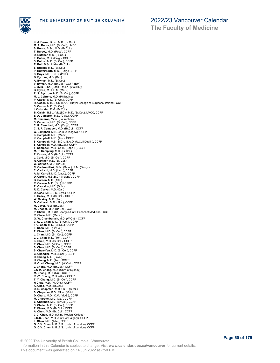

**The Faculty of Medicine**

**K. J. Burns**, B.Sc., M.D. (Br.Col.) **M. A. Burns**, M.D. (Br.Col.), LMCC **S. Burns**, B.Sc., M.D. (Br.Col.) **T. Bursey**, M.D. (Ross), CCFP **D. Butcher**, M.D. (Br.Col.) **E. Butler**, M.D. (Calg.), CCFP **S. Butow**, M.D. (Br.Col.), CCFP **E. Butt**, B.Sc. Midw. (Br.Col.) **S. Butters**, M.D. (Br.Col.) **P. Butterworth**, M.D. (Calg.),CCFP **S. Buys**, M.B., Ch.B. (Pret.) B. Byczko, M.D. (Dal.)<br>A. Byman, M.D. (Br.Col.)<br>V. Byman, M.D. (Br.Col.), CCFP (EM)<br>J. Byra, B.Sc. (Sask.), M.Ed. (Vic.(BC))<br>B. Byrne, M.D. (M.C.Ol.), CCFP<br>R. S. Bystrom, M.D. (Br.Col.), CCFP **M. L. Cabrera**, M.D. (Philippines)<br>**P. Caddy**, M.D. (Br.Col.), CCFP<br>**R. Caden**, M.B.,B.Ch.,B.A.O. (Royal College of Surgeons, Ireland), CCFP **S. Cairns**, M.D. (Br.Col.) **I. Callander**, R.M. (Br.Col.) **B. Calvin**, B.Sc. (Vic.(BC)), M.D. (Br.Col.), LMCC, CCFP **E. A. Cameron**, M.D. (Calg.), CCFP **M. Cameron**, Midw. (Laurentian) **S. Cameron**, M.D. (Br.Col.), CCFP **C. R. Campbell**, M.D. (Calg.), CCFP **C. S. F. Campbell**, M.D. (Br.Col.), CCFP **G. Campbell**, M.B.,Ch.B. (Glasgow), CCFP **K. Campbell**, M.D. (Manit.) **K. Campbell**, M.D. (Tor.), CCFP **S. Campbell**, M.B., B.Ch., B.A.O. (U.Coll.Dublin), CCFP **S. Campbell**, M.D. (Br.Col.), CCFP **T. Campbell**, M.B., Ch.B. (Cape T.), CCFP **M. R. Campling**, M.D. (Br.Col.) **T. Canale**, M.D. (Br.Col.), CCFP **J. Card**, M.D. (Br.Col.), CCFP **R. Carkner**, M.D. (Br. Col.) **W. Carlson**, M.D. (Br.Col.) **C. Carlson-Rink**, B.Sc. (Sask.), R.M. (Bastyr) **C. Carlucci**, M.D. (Laur.), CCFP **A. M. Carroll**, M.D. (Laur.), CCFP **D. Carroll**, M.B.,B.Ch (Ireland), CCFP **B. Carson**, M.D. (Alta.) **R. Carson**, M.D. (Qu.), RCPSC **R. Carvalho**, M.D. (Dub.) **R. D. Carver**, M.D. (Dal.) **D. Case**, M.B., B.S. (Syd.), CCFP **E. Casey**, M.D. (Br.Col.), CCFP **W. Caskey**, M.D. (Tor.) **D. Catterall**, M.D. (Alta.), CCFP **M. Cayer**, R.M. (Br.Col.) **M. Chabot**, M.D. (Br.Col.), CCFP **P. Chahal**, M.D. (St George's Univ. School of Medicine), CCFP **R. Chale**, M.D. (Manit.) **G. W. Chamberlain**, M.D. (W.Ont.), CCFP **C W. L. Chan**, M.D. (Br.Col.), CCFP **F-C. Chan**, M.D. (Br.Col.), CCFP **F. Chan**, M.D. (Br.Col.) **F. Chan**, M.D. (Br.Col.), CCFP **J. Chan**, M.D. (Br. Col.), CCFP **J. J. Chan**, M.D. (Tor.), CCFP **K. Chan**, M.D. (Br.Col.), CCFP **P. Chan**, M.D. (W.Ont.), CCFP **S. Chan**, M.D. (Br.Col.), CCFP **S. Chan-Yan**, M.D. (Br.Col.), CCFP C. Chandler, M.D. (Sask.), CCFP<br>D. Chang, M.D. (Laval)<br>H. Chang, M.D. (Laval)<br>H. C. H. Chang, M.D. (W.Ont.), CCFP<br>J. Chang, M.D. (Br.Col.), CCFP<br>J. C-M. Chang, M.D. (Univ. of Sydney)<br>M. Chang, M.D. (Qu.), CCFP<br>R. Y. Chang, **D. B. Chapman**, M.B.,Ch.B. (S.Afr.) **S. Chapman**, B.Sc.Midw. (McM.) **D. Chard**, M.D., C.M. (McG.), CCFP **M. Charette**, M.D. (Ott.), CCFP **E. Charman**, M.D. (Br.Col.), CCFP **S. Chater**, M.D. (Br.Col.), CCFP **T. Cheek**, M.D. (Br.Col.), CCFP **A. Chen**, M.D. (Br. Col.), CCFP **C-C. Chen**, M.D. (China Medical College) **J.C-C. Chen**, M.D. (Univ. of Calgary), CCFP **L. Chen**, M.D. (Alta.), CCFP **O. C-Y. Chen**, M.B.,B.S. (Univ. of London), CCFP **O. C-Y. Chen**, M.B.,B.S. (Univ. of London), CCFP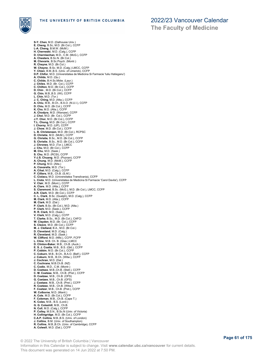



**S-Y. Chen**, M.D. (Dalhousie Univ.) **E. Cheng**, B.Sc, M.D. (Br.Col.), CCFP **L-A. Cheng**, B.M.W. (McM.) **H. Cherneski**, M.D. (Calg.), CCFP **D. Cherniwchan**, M.D., C.M. (McG.), CCFP **A. Chesters**, B.Sc.N. (Br.Col.) **M. Chevarie,** B.Sc.Psych. (Montr.)<br>**R. Cheyne**, M.D. (Br.Col.)<br>**W. Cheyne,** B.Sc. M.D. (Calg.) LMCC, CCFP<br>**Y. Chien,** B.M.,B.S. (Univ. of Limerick), CCFP<br>**D.P. Chifor**, M.D. (Universitatea de Medicina Si Farmacie 'Iuliu H **A. Childs**, M.D. (Qu.) **C. Childs**, B.H.Sc.Midw. (Laur.) **J. Chiles**, M.D. (Br. Col.), CCFP **C. Chilton**, M.D. (Br.Col.), CCFP **D. Chin** , M.D. (Br.Col.), CCFP **G. Chin**, M.B.,B.S. (WI), CCFP **L. Chin**, M.D. (Tor.) **J. C. Ching**, M.D. (Alta.), CCFP **A. Chiu**, M.B., B.Ch., B.A.O. (N.U.I.), CCFP **D. Chiu**, M.D. (Br.Col.), CCFP **K. Cho**, M.D. (Alta.), CCFP **A. Chodyra**, M.D. (Warsaw), CCFP **J. Choi**, M.D. (Br. Col.), CCFP **J.Y. Choi**, M.D. (Br.Col.), CCFP **T.L. Chong**, M.D. (Br.Col.), CCFP **I. Chorny**, M.D. (UP), CCFP **J. Chow**, M.D. (Br.Col.), CCFP **L. B. Christensen**, M.D. (Br.Col.), RCPSC **D. Christie**, M.D. (McM.), CCFP **G. Christie**, B.Sc., M.D. (Br.Col.), CCFP **S. Christie**, B.Sc., M.D. (Br.Col.), CCFP **J. Chrones**, M.D. (Tor.), LMCC **J. Chu**, M.D. (Br.Col.), CCFP **M. Chu**, M.D. (Sask.) **S. Chu**, M.D. (RCSI), CCFP **Y-J.S. Chuang**, M.D. (Poznan), CCFP **A. Chung**, M.D. (McM.), CCFP **P. Chung**, M.D. (Alta.) **A. Ciavarella**, M.D. (Tor.) **A. Cihal**, M.D. (Calg.), CCFP **P. Cilliers**, M.B., Ch.B. (S.Af.) **C. Ciolacu**, M.D. (Universitatea Transilvania), CCFP **L. Ciota**, M.D. (Universitatea de Medicina Si Farmacie 'Carol Davila'), CCFP **V. Clair**, M.D. (Mont.), CCFP **A. Clare**, M.D. (Alta.), CCFP **S. Claremont**, B.Sc. (McG.), M.D. (Br.Col.), LMCC, CCFP **A.R. Clark**, M.D. (Br.Col.), CCFP **C. L. Clark**, B.Sc. (Guelph), M.D. (Calg.), CCFP **M. Clark**, M.D. (Alta.), CCFP **M. Clark**, M.D. (Dal.) **P. Clark**, B.Sc. (Br.Col.), M.D. (Alta.) **P. Clark**, M.D. (Sask.), CCFP **R. R. Clark**, M.D. (Sask.) **V. Clark**, M.D. (Calg.), CCFP **T. Clarke**, B.Sc., M.D. (Br.Col.), CAFCI **W. Clayden**, M.D. (Br. Col.), CCFP **S. Cleave**, M.D. (Br.Col.), CCFP **M. J. Clelland**, B.A., M.D. (Br.Col.) **D. Cleveland**, M.D. (Calg.) **R. Cleveland**, M.D. (Sask.) **W. Clifford**, M.D. (Nfld.), CCFP, FCFP **L. Cline**, M.B. Ch. B. (Glas.) LMCC **D. Clinton-Baker**, M.B., Ch.B. (Auck.) **E. S. J. Coatta**, M.B., B.S. (Qld.), CCFP **P. Cobbin**, M.D. (Br.Col.), CCFP **C. Coburn**, M.B., B.Ch., B.A.O. (Belf.), CCFP **J. Coburn**, M.B., B.Ch. (Witw.), CCFP **J. Cochran**, M.D. (Dal.) **C. Cochrane**, M.B.Ch.B. (NZ) **C. Codio**, M.D., C.M. (Montr.) **D. Coetsee**, M.B.,Ch.B. (Stell.), CCFP C. M. Coetzee, M.B., Ch.B. (Pret.), CCFP<br>D. Coetzee, M.B., Ch.B. (OFS)<br>G. Coetzee, M.B., Ch.B. (OFS)<br>J. Coetzee, M.B., Ch.B. (OFS)<br>R. Coetzee, M.B., Ch.B. (Vilw.)<br>F. Coetzer, M.B., Ch.B. (Pret.), CCFP **W. Colborne**, M.D. (Manit.) **A. Cole**, M.D. (Br.Col.), CCFP **F. Coleman**, M.B., Ch.B. (Cape T.) **K. Coles**, M.B., B.S. (Lond.) **G. G. Coleshill**, M.B., Ch.B. **N. Coll**, M.D. (Calg.), CCFP **P. Colley**, M.S.N., B.Sc.N (Univ. of Victoria) **H. Collingridge**, M.D. (Br.Col.), CCFP **C.A.P. Collins**, M.B.,B.S. (Univ. of London) **J. Collins**, B.M. (Univ. of Southampton) **R. Collins**, M.B.,B.Ch. (Univ. of Cambridge), CCFP **A. Colwell**, M.D. (Dal.), CCFP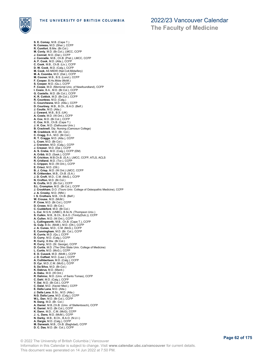

**S. E. Comay**, M.B. (Cape T.) **N. Comeau**, M.D. (Sher.), CCFP **R. Comfort**, B.Mw. (Br.Col.) **M. Conly**, M.D. (Br.Col.), LMCC, CCFP **J. Conrad**, M.D. (Dal.), CCFP **J. Conradie**, M.B., Ch.B. (Pret.), LMCC, CCFP **A. F. Cook**, M.D. (Alta.), CCFP **C. Cook**, M.B., Ch.B. (Liv.), CCFP **D. W. Cook**, M.D. (Calg.), CCFP **M. Cook**, AS MIDW (Nat.Coll.Midwifery) **M. A. Coombs**, M.D. (Dal.), CCFP **M. Cooner**, M.B., B.S. (Lond.), CCFP **F. Cooper**, B.Hs.Midw (McM.) **S. Cooper**, M.D. (Qu.), CCFP **F. Cooze**, M.D. (Memorial Univ. of Newfoundland), CCFP **I. Cosio**, B.A., M.D. (Br.Col.), CCFP **G. Costello**, M.D. (Br.Col.), CCFP **K. R. Cottick**, M.D. (Br.Col.), CCFP **R. Countess**, M.D. (Calg.) **C. Courchesne**, M.D. (Atla.), CCFP **D. Courtney**, M.B., B.Ch., B.A.O. (Belf.) **J. Coutts**, M.D. (Alta.) **J. Coward**, M.B., B.S. (UK) **A. Cowie**, M.D. (W.Ont.), CCFP **A. Cox**, M.D. (Br.Col.), CCFP **C. Cox**, M.B., Ch.B. (Cape T.) **J. H. Cox**, M.D. (Dalhousie Univ.) **B. Cracknell**, Dip. Nursing (Camosun College) **M. Craddock**, M.D. (Br. Col.) **C. Cragg**, B.A., M.D. (Br.Col.) **R. T. Craggs**, M.D. (Alta.), CCFP **L. Cram**, M.D. (Br.Col.) **J. Cranston**, M.D. (Calg.), CCFP **J. Creaser**, M.D. (Dal.), CCFP **A. S. Creba**, M.D. (Calg.), CCFP (EM) **A. Cribb**, M.D. (Sask.), CCFP **R. Crichton**, M.B.Ch.B. (S.A.), LMCC, CCFP, ATLS, ACLS **R. Cridland**, M.D. (Tor.), CCFP **C. Crippen**, M.D. (W.Ont.), CCFP **E. Crisci**, M.D. (Ott.) **B. J. Crisp**, M.D. (W.Ont.) LMCC, CCFP **R. Crittenden**, M.B., Ch.B. (S.A.) **J. D. Croft**, M.D., C.M. (McG.), CCFP **N. Crofton**, M.D. (Br.Col.) **N. Crofts**, M.D. (Br.Col.), CCFP **S.L. Crompton**, M.D. (Br.Col.), CCFP **J. Crookham**, D.O. (Touro Univ. College of Osteopathic Medicine), CCFP<br>**J. A. Crosby**, M.D. (Nfld.)<br>**I. S. Crothers**, M.B., Ch.B. (Belf.) **W. Crouse**, M.D. (McM.) **P. Crow**, M.D. (Br.Col.), CCFP **D. Crowe**, M.D. (Br.Col.) **C. Cuddeford**, M.D. (Br.Col.)<br>**L. Cui**, M.S.N. (UNBC), B.Sc.N. (Thompson Univ.)<br>**S. Culkin**, M.B., B.Ch., B.A.O. (Trinity(Dub.)), CCFP **A. Cullen**, M.D. (W.Ont.), CCFP **L. Cullingworth**, M.B., Ch.B. (Cape T.), CCFP **G. Culp**, B.Sc. (McM.), M.D. (Ott.), CCFP **J. A. Cunes**, M.D., C.M. (McG.), CCFP **E. Cunningham**, M.D. (Br. Col.), CCFP **R. Currie**, M.D. (Qu.), CCFP **D. Curry**, M.D. (Calg.), CCFP **R. Curry**, B.Mw. (Br.Col.) **R. Curry**, M.D. (St. George), CCFP **D. Curtis**, M.D. (The Ohio State Univ. College of Medicine) **L. Curtis**, M.D. (McG.), CCFP **E. D. Cusack**, M.D. (McM.), CCFP **J. D. Cutfeet**, M.D. (Laur.), CCFP **A. Cuthbertson**, M.D. (Calg.), CCFP **D. Cyr**, M.D.,C.M. (McG.), CCFP **S. Da Silva**, M.D. (Br.Col.) **K. Dabrus**, M.D. (Manit.) A. Dabu, M.D. (W.Ont.)<br>R. Dahiroc, M.D. (Univ. of Santo Tomas), CCFP<br>C. Dahl, M.D. (Calg.), CCFP<br>Y. Dai, M.D. (Br.Col.), CCFP<br>C. Dalla, M.D. (Xavier Med.), CCFP<br>E. Dalla Lana, M.D. (Alta.) **J. Dalla Lana**, B.Sc., M.D. (Alta.)<br>**N.G. Dalla Lana**, M.D. (Calg.), CCFP<br>**W.L. Dan**, M.D. (Br.Col.), CCFP<br>**N. Dang**, M.D. (Br. Col.)<br>**A. Daniel**, M.B.,Ch.B. (Univ. of Stellenbosch), CCFP **K. Daniel**, M.D. (Br.Col.), CCFP **K. Dann**, M.D., C.M. (McG), CCFP **J. -L. Dans**, M.D. (McM.), CCFP **N. Darby**, M.B., B.Ch., B.A.O. (N.U.I.) **A. Dargie**, M.D. (Calg.), CCFP **M. Darwash**, M.B., Ch.B. (Baghdad), CCFP **D. C. Das**, M.D. (Br. Col.), CCFP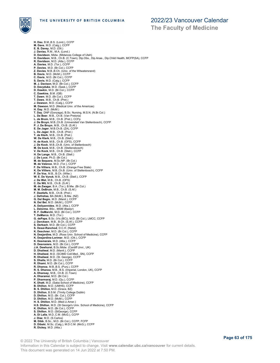

**The Faculty of Medicine**

**H. Dau**, B.M.,B.S. (Lond.), CCFP M. Dave, M.D. (Calg.), CCFP<br>**E. B. Davey**, M.D. (Ott.)<br>**J. Daviau,** R.M., M.A. (Lond.)<br>**D. Davidson**, Midw. (Midwives College of Utah)<br>**H. Davidson**, M.B., Ch.B. (C.Town), Dip.Obs., Dip.Anae., Dip.Child Health, MCFP(SA), C **R. Davidson**, M.D. (Alta.), CCFP **A. Davies**, M.D. (Tor.), CCFP **P. Davies**, M.D. (Br.Col.), CCFP **Z. Davies**, M.B.,B.Ch. (Univ. of the Witwatersrand) **B. Davis**, M.D. (McM.), CCFP **C. Davis**, M.D. (Br.Col.), CCFP **S. Davis**, M.D. (Calg.), CCFP **M. J. Davison**, M.D. (Br.Col.), CCFP **D. Davyduke**, M.D. (Sask.), CCFP **D. Dawkin**, M.D. (Br.Col.), CCFP **C. Dawkins**, B.M. (GB) **T. Dawn**, M.D. (Br.Col.), CCFP<br>**T. Daws**, M.B., Ch.B. (Pret.)<br>**J. Dawson**, M.D. (Calg.), CCFP<br>**M. Dawson**, M.D. (Medical Univ. of the Americas)<br>**H. Day**, M.D. (McM.) **T. Day**, DNP (Gonzaga), B.Sc. Nursing, M.S.N. (N.Br.Col.) **L. De Beer**, M.B., Ch.B. (Van Pretoria) **L. de Bruin**, M.B., Ch.B. (Pret.), CCFp **J. De Bruyn**, M.B.,Ch.B. (Universiteit Van Stellenbosch), CCFP **P. J. De Bruyn**, M.B., Ch.B. (S.Af.) **E. De Jager**, M.B.Ch.B. (ZA), CCFP **L. De Jager**, M.B., Ch.B. (Pret.) **T. de Klerk**, M.B., Ch.B. (Pret.) **W. De Klerk**, M.B., Ch.B. (Stell.) **H. de Kock**, M.B., Ch.B. (OFS), CCFP **J. De Kock**, M.B.,Ch.B. (Univ. of Stellenbosch) **M. De kock**, M.B., Ch.B. (Stellensbosch) **V. De Kock**, M.B., Ch.B. (Stell.), CCFP **H. De Lange**, M.B., Ch.B. (Stell.) **J. De Luce**, Ph.D. (Br.Col.) **M. de Sequera**, M.Sc.NP. (Br.Col.) **M. de Valence**, M.D. (Tor.), CCFP **F. De Villiers**, M.B., Ch.B. (Orange Free State) **K. De Villiers**, M.B.,Ch.B. (Univ. of Stellenbosch), CCFP **P. De Vos**, M.B., B.Ch. (Witw.) **W. E. De Vynck**, M.B., Ch.B. (Stell.), CCFP **J. De Wet**, M.B., Ch.B. (OFS) **C. De Wit**, M.B., Ch.B. (S.Af.) **M. de Zwager**, B.A. (Tor.), B.Mw. (Br.Col.) **M. M. DeBruin**, M.B., Ch.B. (S.Af.) **F. Deetlefs**, M.B., Ch.B. (Pret.) **J. Defreitas**, BA (McM.), B.Mw. (NZ) **G. Del Begio**, M.D. (Manit.), CCFP **N. Del Bel**, M.D. (McM.), CCFP **A. Deliyannides**, M.D. (Alta.), CCFP **L. Delorme**, BSc., MSM (Bastyr) **R. F. DeMarchi**, M.D. (Br.Col.), CCFP **T. DeMarco**, M.D. (Tor.) **G. dePape**, B.Sc. (Vic.(BC)), M.D. (Br.Col.), LMCC, CCFP **J. Dercksen**, M.B., B.Ch. (S.Af.), CCFP **S. Derkach**, M.D. (Br.Col.), CCFP **S. Desai-Ranchod**, D.C.H. (Natal) **K. Deschner**, M.D. (Br.Col.), CCFP **N. Desjardins**, M.D. (Ross Univ. School of Medicine), CCFP **K. Desjardins-Lorimer**, M.D. (Ott.), CCFP **K. Desmarais**, M.D. (Alta.), CCFP **D. Desrosiers**, M.D. (Br.Col.), CCFP **J.A. Dewhurst**, B.Sc.Midw. (Cardiff Unvi., UK) **D. Dhaliwal**, M.D. (Manit.), CCFP **H. Dhaliwal**, M.D. (SCIMD Coll.Med., SN), CCFP **R. Dhaliwal**, M.D. (St. George), CCFP **S. Dhalla**, M.D. (Br.Col.), CCFP **R. Dhami**, M.D. (Br.Col.), CCFP **R. Dhanoa**, M.B.,B.S. (Punj.), CCFP **R. S. Dhanoa**, M.B., B.S. (Imperial, London, UK), CCFP **A. Dhansay**, M.B., Ch.B. (C.Town)<br>**A. Dharamsi**, M.D. (Br.Col.)<br>**P. Dharmaraj**, M.D. (Qu.), CCFP<br>**K. Dhatt**, M.D. (Saba School of Medicine), CCFP<br>**B. Dhillon**, M.D. (UMHS), CCFP **B. S. Dhillon**, M.D. (Grace, BZ) **D. Dhillon**, B.S.M. (Trinity College Dublin) **D. Dhillon**, M.D. (Br. Col.), CCFP **D. Dhillon**, M.D. (McM.), CCFP **H. S. Dhillon**, M.D. (Med.U.Amer.) **H.S. Dhillon**, M.D. (St George's Univ. School of Medicine), CCFP **K. Dhillon**, M.D. (Br.Col.), CCFP **S. Dhillon**, M.D. (StGeorge), CCFP **A. Di Lalla**, M.D.,C.M. (McG.), CCFP **J. Diaz**, M.D. (S.Carlos) **M. Dibb**, B.Sc., M.D. (Br.Col.), CCFP, FCFP **D. Dibski**, M.Sc. (Calg.), M.D.C.M. (McG.), CCFP **R. Dickey**, M.D. (Alta.)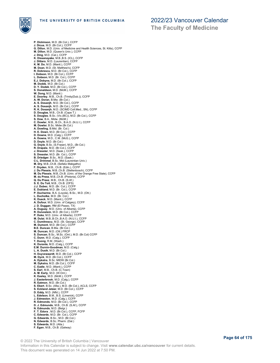

**The Faculty of Medicine**

**P. Dickinson**, M.D. (Br.Col.), CCFP **J. Dicus**, M.D. (Br.Col.), CCFP **G. Dillon**, M.D. (Univ. of Medicine and Health Sciences, St. Kitts), CCFP **M. Dillon**, M.D. (Queen's Univ.), CCFP **J. Ding**, M.D. (Cal.), CCFP **K. Dissanayake**, M.B.,B.S. (ICL), CCFP **J. Dittaro**, M.D. (Laurentian), CCFP **K. M. Do**, M.D. (Manit.), CCFP **M. Doan**, M.D. (St. Matthew's), CCFP **R. Dobrescu**, M.D. (Br.Col.), CCFP **I. Dobson**, M.D. (Br.Col.), CCFP **L. Dobson**, M.D. (Br. Col.), CCFP **E.J. Dobyns**, M.D. (Br.Col.), CCFP **M. Dodds**, M.D. (Br.Col.) **D. Y. Dodek**, M.D. (Br.Col.), CCFP **S. Donaldson**, M.D. (McM.), CCFP **W. Dong**, M.D. (Manit.) **E. Doorley**, M.B., Ch.B. (Trinity(Dub.)), CCFP **A. W. Doran**, B.Mw. (Br.Col.) **A. S. Dosanjh**, M.D. (Br.Col.), CCFP A. S. Dosanjh, M.D. (Br.Col.), CCFP<br>R. K. Dosanjh, M.D. (SCIMD Coll.Med., SN), CCFP<br>D. Douglas, M.B., Ch.B. (Cape T.)<br>S. Douglas, B.Sc. (Vic.(BC)), M.D. (Br.Col.), CCFP<br>S. Dow, B.A., Midw. (McM.) **C. Dowler**, M.B., B.Ch., B.A.O. (N.U.I.), CCFP **M. Dowler**, B.Sc. Midw (Br.Col.) **A. Dowling**, B.Mid. (Br. Col.) **H. E. Down**, M.D. (Br.Col.), CCFP **D. Downe**, M.D. (Calg.), CCFP **A. Downs**, M.D., C.M. (McG.), CCFP **D. Doyle**, M.D. (Br.Col.) **G. Doyle**, B.Sc. (S.Fraser), M.D., (Br.Col.) **R. Drapala**, M.D. (Br.Col.), CCFP **J. Dressler**, M.D. (Sask.), CCFP **S. Dressler**, M.D. (Br. Col.), CCFP **B. Driedger**, B.Sc., M.D. (Sask.) **C-L. Drimmel**, B.Sc. Mid (Laurentian Univ.) **M. Dry**, M.B.,Ch.B. (Sefako Makgatho) **F. Dryden**, M.B., Ch.B. (Edin.), CCFP **J. Du Plessis**, M.B.,Ch.B. (Stellenbosch), CCFP **M. Du Plessis**, M.B.,Ch.B. (Univ. of the Orange Free State), CCFP **M. du Preez**, M.B.,Ch.B. (Pretoria), CCFP **Q. Du Preez**, M.B., Ch.B. (S.Af.) **S. E. Du Toit**, M.B., Ch.B. (OFS) **J.J. Dubec**, M.D. (Br. Col.), CCFP **E. Dubland**, M.D. (Br. Col.), CCFP **P. Ducharme**, B.A. (Loyola), B.Sc., M.D. (Ott.) **L. Ducholke**, M.D. (Br. Col.) **K. Dueck**, M.D. (Manit.), CCFP **A. Dufour**, M.D. (Univ. of Calgary), CCFP **J. D. Duggan**, RM (El Paseo, TX) **A. Duguay**, M.D. (Univ. of Alberta), CCFP **R. Duivestein**, M.D. (Br.Col.), CCFP **P. Duke**, M.D. (Univ. of Alberta), CCFP **M. Dulai**, M.B.,B.Ch.,B.A.O. (N.U.I.), CCFP **C. Dumitrescu**, M.D. (St. George), CCFP **M. Dumont**, M.D. (Br.Col.), CCFP **B.E. Duncan**, B.Mw. (Br.Col.)<br>**M. Duncan**, M.D. (Ott.) FRCP<br>**S. Duncan**, B.Sc., M.Sc. (Ont.), M.D. (Br.Col) CCFP **C. Dunn**, M.D. (Calg.), CCFP **T. Duong**, R.M. (Wash.) **K. Durante**, M.D. (Calg.), CCFP **E.M. Durnin-Goodman**, M.D. (Calg.) **L. A. Dusik**, M.D. (Br.Col.) **H. Duyvewaardt**, M.D. (Br.Col.), CCFP **M. Dyck**, M.D. (Br.Col.), CCFP **A. Dykstra**, B.Sc. MIDW (Br.Col.) **M. Dykstra**, M.D. (Br.Col.), CCFP **C. Eadie**, M.D. (Manit.), CCFP **S. Earl**, M.B., Ch.B. (C.Town) **A. M. Early**, M.D. (W.Ont.) **K. Easley**, M.D. (McM.), CCFP **J. Easterbrook**, M.D. (Calg.), CCFP **R. Eatmon**, M.D. (Br.Col.) **S. Ebert**, B.Sc. (Alta.), M.D. (Br.Col.), ACLS, CCFP **S. Eckland Jetzer**, M.D. (Br.Col.), CCFP **D. Eddy**, M.D. (Nfld.), CCFP **L. Edelson**, B.M., B.S. (Limerick), CCFP **J. Edmeston**, M.D. (Calg.), CCFP **R. Edmonds**, M.D. (Br.Col.), CCFP **D. J. Edmunds**, M.B., Ch.B. (S.Af.), CCFP **N. Edmunds**, M.D. (Belgr.) **F. T. Edora** , M.D. (Br.Col.), CCFP, FCFP **C. Edwards**, M.D. (Br. Col.), CCFP **G. Edwards**, B.Sc., M.D. (Br.Col.) **N. Edwards**, B.Sc. Pharm. (Dal.) **S. Edwards**, M.D. (Alta.) **F. Egan**, M.B., Ch.B. (Galway)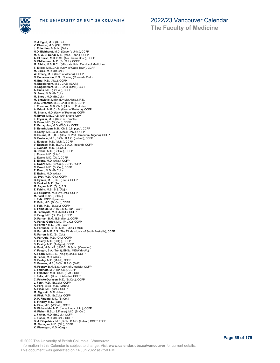

**R. J. Egolf**, M.D. (Br.Col.) **V. Ehasoo**, M.D. (Ott.), CCFP **J. Ehirchiou**, B.Sc.N. (Dal.) **N.O. Eichhorst**, M.D. (Queen's Univ.), CCFP **M. A. A. El Gendi**, M.D. (Med. Hann.), CCFP **A. El Karsh**, M.B.,B.Ch. (Ain Shams Univ.), CCFP **D. El-Zammar**, M.D. (Br. Col.), CCFP **M. Elbira**, M.B.,B.Ch. (Misurata Univ. Faculty of Medicine) **T. Elliott**, M.B.,Ch.B. (Univ. of Cape Town), CCFP **M. Elrick**, M.D. (Br.Col.) **W. Emery**, M.D. (Univ. of Alberta), CCFP **N. Encarnacion**, B.Sc. Nursing (Riverside Coll.) **H. Engelbrecht**, M.B., Ch.B. (S.Afr.)<br>**H. Engelbrecht**, M.B., Ch.B. (S.Afr.)<br>**R. Engelbrecht**, M.B., Ch.B. (Stell.), CCFP<br>**A. Enns**, M.D. (Br.Col.), CCFP<br>**G. Enns**, M.D. (Br.Col.) **M. Enos** , M.D. (Br.Col.) **M. Entwistle**, Midw. (Liv.Mat.Hosp.), R.N. **D. S. Erasmus**, M.B., Ch.B. (Pret.), CCFP **J. Erasmus**, M.B.,Ch.B. (Univ. of Pretoria) **A. Erlank**, M.B.,Ch.B. (Univ. of Pretoria), CCFP **M. Erlank**, M.D. (Univ. of Pretoria), CCFP **H. Eryan**, M.B.,Ch.B. (Ain Shams Univ.) **L. Eryuzlu**, M.D. (Univ. of Toronto) **D. Esau**, M.D. (Br.Col.), CCFP **R. Eshaghian**, M.D. (W.Ont.), CCFP **S. Esterhuizen**, M.B., Ch.B. (Limpopo), CCFP **R. Estey**, M.D.,C.M. (McGill Univ.), CCFP **C. Esume**, M.B.,B.S. (Univ. of Port Harcourtm, Nigeria), CCFP **D. Eustace**, M.B., B.Ch., B.A.O. (Ireland), CCFP **L. Eustace**, M.D. (McM.), CCFP **V. Eustace**, M.B., B.Ch., B.A.O. (Ireland), CCFP **J. Evancio**, M.D. (Br.Col.) **G. Evans**, M.D. (Br.Col.), CCFP **J. Evans**, M.D. (Alta.) **J. Evans**, M.D. (Ott.), CCFP **S. Evans**, M.D. (Alta.), CCFP **E. Ewart**, M.D. (Br.Col.), CCFP, FCFP **C. Ewert**, M.D. (Br.Col.), CCFP **T. Ewert**, M.D. (Br.Col.) **E. Ewing**, M.D. (Alta.) **G. Eydt**, M.D. (Ott.), CCFP **B. Eysele**, M.B., B.S. (Stell.), CCFP **D. Ezekiel**, M.D. (Tor.) **M. Fagan**, M.D. (Qu.), B.Sc. **Z. Fahim**, M.B., B.S. (Raj.) **C. Fairgrieve**, M.D. (W.Ont.), CCFP **M. Falat**, B.Sc. (Br.Col.) **J. Falk**, IMPP (Ryerson) **R. Falk**, M.D. (Br.Col.), CCFP **T. Falk**, M.D. (Br.Col.), CCFP **S. Famouri**, M.D. (S.B.M.U. Iran), CCFP **O. Famuyide**, M.D. (Manit.), CCFP **K. Fang**, M.D. (Br. Col.), CCFP **D. Farhan**, B.M., B.S. (Nott.), CCFP **A. Farias-Godoy**, M.D. (P.U.C.), CCFP **R. Farmer**, M.D. (Dal.), CCFP **A. Farquhar**, B.Ch., M.B. (Edin.), LMCC **N. Farrell**, M.B.,B.S. (The Flinders Univ. of South Australia), CCFP **R. Farren**, M.D. (Br. Col.) **A. Farrugia**, M.D. (Ott.), CCFP<br>**E. Fasihy**, M.D. (Calg.), CCFP<br>**S. Fasihy**, M.D. (Antigua), CCFP<br>**A. Fast,** M.Sc.NP. (UNBC), B.Sc.N. (Kwantlen)<br>**Y. Faught,** B.A. (Trent), BHSc. MIDW (McM.) **A. Fearn**, M.B.,B.S. (King's(Lond.)), CCFP **G. Fedor**, M.D. (Alta.) **C. Feeley**, M.D. (McM.), CCFP C. Feenan, M.B., B.Ch., B.A.O. (Belf.)<br>N. Feeney, B.M.,B.S. (Univ. of Limerick), CCFP<br>L. Feldhoff, M.D. (Br. Col.), CCFP<br>T. Felhaber, M.B., Ch.B. (S.Af.), CCFP<br>J. Felix, M.D. (Univ. of Alberta), CCFP<br>C. Felske-Durksen, M.D J. Fenn, M.D. (Br.Col.), CCFP<br>A. Ferg, B.Sc., M.D. (Manit.)<br>A. Fidai, M.D. (Cal.), CCFP<br>M. Fidai, M.D. (Man.)<br>H. Filek, M.D. (Br.Col.), CCFP<br>D. P. Finding, M.D. (Br.Col.)<br>S. Findlay, M.D. (W.Ont.), CCFP<br>A. Fine, M.D. (W.On **B. Finkelstein**, M.D. (Loma Linda Univ.), CCFP **H. Fisher**, B.Sc. (S.Fraser), M.D. (Br.Col.) **J. Fisher**, M.D. (Br.Col.), CCFP **J. Fisher**, M.D. (Br.Col.), CCFP **D. J. Fitzpatrick**, M.B.,B.Ch., B.A.O. (Ireland) CCFP, FCFP **M. Flanagan**, M.D. (Ott.), CCFP **K. Flannigan**, M.D. (Calg.)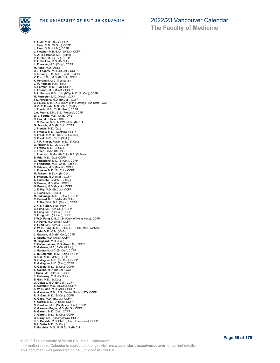

**The Faculty of Medicine**

**T. Flath**, M.D. (Alta.), CCFP **J. Flear**, M.D. (W.Ont.), CCFP **J. Fleet**, M.D. (McM.), CCFP **J. Fletcher**, M.B.,B.Ch. (Witw.), CCFP **K. A. H. Fletcher**, M.D. (S'ton)<br>**P. E. Fluit**, M.D. (Tor.), CCFP<br>**P. L. Fockler**, M.D. (Br.Col.)<br>**L. Foerster**, M.D. (Calg.), CCFP M. Fofie, M.D. (Alta.)<br>D.C. Fogarty, M.D. (Br.Col.), CCFP<br>K. L. Fong, B.S., M.B. (Lond.), LMCC<br>V. Foo, B.Sc., M.D. (Br.Col.), CCFP<br>K. Forghani, M.D. (Tex.)<br>J. M. Forman, R.M. (Tex.) **K. Forman**, M.D. (NM), CCFP **F. Foroodi**, M.D. (McM.), CCFP **S. L. Forrest**, B.Sc. (Vic.(BC)), M.D. (Br.Col.), CCFP **M. Forrester**, M.D. (McM.), CCFP **T.L. Forsberg**, M.D. (Br.Col.), CCFP **C. Fourie**, M.B.,Ch.B. (Univ. of the Orange Free State), CCFP **H. C. E. Fourie**, M.B., Ch.B. (S.Af.) **J. Fourie**, M.B., Ch.B. (Pret.), CCFP **J.A. Fourie**, B.M., B.S. (Pretoria), CCFP **W. J. Fourie**, M.B., Ch.B. (OFS) **R. Fox**, M.D. (Alta.), CCFP **J. C. Frame**, B.Sc. MIDW, M.Sc. (Br.Col.) **G. Francis**, M.D. (Br.Col.), CCFP **J. Francis**, M.D. (Qu.) **T. Francis**, M.D. (Western), CCFP **S. Frank**, B.M.B.S (Univ. of Limerick) **S. Frank**, M.B., Ch.B. (Stell.) **C.R.R. Fraser**, Fraser, M.D. (Br.Col.) **G. Fraser**, M.D. (Qu.), CCFP **P. Frazee**, M.D. (Br.Col.) **J. Freed**, B.Mw. (Br.Col.) **J. Freeman**, B.Mw. (Br.Col.), B.A. (S.Fraser) **B. Frid**, M.D. (Qu.), CCFP **G. Friderichs**, M.D. (Br.Col.), CCFP **P. Friedrichs**, M.B., Ch.B. (Cape T.) **C. Friesen**, M.D. (Manit.), CCFP **L. Friesen**, M.D. (Br. Col.), CCFP **M. Friesen**, B.Sc.N. (Br.Col.) **S. Friesen**, M.D. (Alta.), CCFP **A. Fritzsche**, B.M.W. (Br.Col.) **D. Froese**, M.D. (Qu.), CCFP **N. Froese**, M.D. (Manit.), CCFP **J. E. Fry**, M.D. (Br.Col.), CCFP **J. Fuchs**, M.D. (Stell.) **M. Fukunaga**, M.D. (Br.Col.), CCFP **R. Fulford**, B.Sc. Midw. (Br.Col.) **J. Fuller**, B.M., B.S. (Manc.), CCFP **C.K-Y. Fulton**, B.Sc. Midw. **C. Fung**, M.D. (Br. Col.), CCFP **C. Fung**, M.D. (Br.Col.), CCFP **S. Fung**, M.D. (Br.Col.), CCFP **T-W.D. Fung**, M.B.,Ch.B. (Univ. of Hong Kong), CCFP **T.J. Fung**, M.D. (Alta.), CCFP **V. Fung**, M.D. (Br.Col.), CCFP **V. W. H. Fung**, M.D. (Br.Col.), RCPSC (Med Biochem) **J. Fyfe**, M.D., C.M. (McG.) **L. Gadsen**, M.D. (Br. Col.), CCFP **L. Gaede**, M.D. (Alta.), CCFP **M. Gagliardi**, M.D. (Dal.) **P. Galanopoulos**, M.D. (Ross, NJ), CCFP **C. Galanos**, M.B., B.Ch. (S.Afr.) **L. Galbraith**, M.D. (Br.Col.), CCFP **L. D. Galbraith**, M.D. (Calg.), CCFP **B. Gall**, M.D. (McM.), CCFP **B. Gallagher**, M.D. (Br. Col.), CCFP **R. Gallagher**, M.D. (Alta.), CCFP **K. Gallins**, M.D. (Br.Col.), CCFP **S. Gallins**, M.D. (Br.Col.), CCFP **I. Gallo**, M.D. (Br.Col.), CCFP **E. Galloway**, M.D. (Br.Col.) **E. Galt**, M.D. (Br.Col.) **G. Galway**, M.D. (Br.Col.), CCFP **S. Gambhir**, M.D. (Br.Col.), CCFP **S. W. H. Gan**, M.D. (Alta.), CCFP **A. Ganesan**, B.M., B.S. (Walter Sisulu UST), CCFP **R. J. Gant**, M.D. (Br.Col.), CCFP **K. Gapp**, M.D. (Br.Col.), CCFP **Y. Garcia**, M.D. (U. East), CCFP **C. Gardner**, M.D. (McMaster Univ.), CCFP **K. Garneau-Begin**, M.D. (McG.), CCFP **B. Garrett**, M.D. (Dal.), CCFP **C. Garrett**, M.D. (Br.Col.), CCFP **B. Garry**, M.D. (Georgetown), CCFP **K.B. Garside**, M.B.,Ch.B. (Univ. of Leicester), CCFP **B.J. Gatto**, M.D. (Br.Col.) **T. Gauthier**, M.Sc.N., B.Sc.N. (Br.Col.)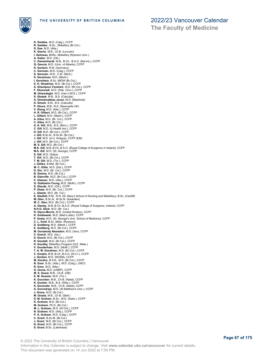

**The Faculty of Medicine**

**K. Geddes**, M.D. (Calg.), CCFP **R. Geddes** , B.Sc., Midwifery (Br.Col.) **D. Gee**, M.D. (Alta.) **K. Geerts**, M.B., Ch.B. (Louvain) **I. Gelineau**, BHSc. Midwifery (Ryerson Univ.) **A. Geller**, M.D. (Ott.) **C. Gemeinhardt**, M.B., B.Ch., B.A.O. (Nat.Ire.), CCFP **Q. Genuis**, M.D. (Univ. of Alberta), CCFP **K. Gerlach**, R.M. (Germany) **C. Germain**, M.D. (Calg.), CCFP **S. Germain**, M.D., C.M. (McG.) **S. Gershman**, M.D. (Manit.) **I. Gershtein**, B.Sc. MIDW (Br.Col.) **S. H. Ghadirian**, M.D. (Br.Col.), CCFP **A. Ghanipour Farahani**, M.D. (Br.Col.), CCFP **F. Ghannadi**, M.D. (Deb. Orvo.), CCFP **M. Gharedaghi**, M.D. (Iran U.M.S.), CCFP **S. Ghatak**, M.B., B.S. (Calcutta) **A. Gholamabbas Javan**, M.D. (Mashhad) **D. Ghosh**, B.M., B.S. (Calcutta) **P. Ghura**, M.B., B.S. (Newcastle UK) **V. Giang**, M.D. (Alta.), CCFP **H. R. Gilbert**, M.D. (Br.Col.), CCFP **L. Gilbert**, M.D. (Manit.), CCFP **A. Giles**, M.D. (Br. Col.), CCFP **C. Giles**, M.D. (Br.Col.) **A. K. Gill**, M.B., B.S. (Birm.), CCFP **C. Gill**, M.D. (U.Health Ant.), CCFP **H. Gill**, M.D. (Br.Col.), CCFP **J. Gill**, B.Sc.N., B.Sc.M. (Br.Col.) **J. Gill**, M.D. (A.U. Antigua), CCFP (EM) **J. Gill**, M.D. (Br.Col.), CCFP **M. S. Gill**, M.D. (Br.Col.) **M.K. Gill**, M.B.,B.Ch.,B.A.O. (Royal College of Surgeons in Ireland), CCFP **M.S. Gill**, M.D. (St. George), CCFP **S. Gill**, M.D. (Saba) **T. Gill**, M.D. (Br.Col.), CCFP **T. M. Gill**, M.D. (Tor.), CCFP **J. Gillies**, B.Mid. (Br.Col.) **M. C. Gillis**, M.D. (Dal.), CCFP **D. Gin**, M.D. (Br. Col.), CCFP **B. Giolma**, M.D. (Br.Col.) **B. Glanville**, M.D. (Br.Col.), CCFP **C. Glasner**, M.D. (Alta.), CCFP **G. Glattstein-Young**, M.D. (McM.), CCFP **S. Glaude**, M.D. (Ott.), CCFP **P. Glaze**, M.D. (Br. Col.), CCFP **L. Glazier**, M.D. (Br. Col.) **E. Gledhill**, R.M., R.N. (St. Mary's School of Nursing and Midwifery), B.Sc. (Cardiff) **M. Glen**, B.Sc.N., M.Sc.N. (Kwantlen) **M. C. Glen**, M.D. (Br.Col.), CCFP **A. Glesby**, M.B.,B.Ch.,B.A.O. (Royal College of Surgeons, Ireland), CCFP **N.H.G. Glick**, M.D. (Br. Col.) **R. Glynn-Morris**, M.D. (United Kindom), CCFP **K. Godlewski**, M.D. (Med.Lublin), CCFP **P. Goetz**, M.D. (St. George's Univ. School of Medicine), CCFP **C. L. Gold**, B.Sc. Midw. (Ryerson) **D. Goldberg**, M.D. (Manit.), CCFP **E. Goldberg**, M.D. (Br.Col.), CCFP **M. Gonabody Namadon**, M.D. (Iran), CCFP **C. Gooch**, M.D. (Qu.) **S. Gooch**, M.D. (Br.Col.), CCFP **R. Goodall**, M.D. (Br.Col.), CCFP **K. Goodby**, Midwifery Program (Q.E. Midw.) **V. Gooderham**, M.D. (McM.), CCFP **T. A. M. Goodman**, M.D. (Br.Col.), CCFP **C. Goojha**, M.B.,B.Ch.,B.A.O. (N.U.I.), CCFP **J. Gordon**, M.D. (NOSM), CCFP **M. Gordon**, B.S.N., M.D. (Br.Col.), CCFP B. Gore, B.Sc. (Alta.), M.D. (Calg.), LMCC<br>R. Gore, M.D. (Alta.)<br>G. Gorea, M.D. (USMF), CCFP<br>G. Gorea, M.D. (USMF), CCFP<br>M. S. Gosal, M.B., Ch.B. (GB)<br>K. Gounden, M.B., Ch.B. (Natal), CCFP<br>K. Gounden, M.B., Ch.B. (Nitw.), **D. M. Graham**, B.Sc., M.D. (Sask.), CCFP **K. Graham**, M.D. (Br.Col.) **M. Graham**, Ph.D. (Br.Col.) **M. L. Graham**, M.D. (W.Ont.), CCFP **N. Graham**, M.D. (Alta.), CCFP **P. A. Graham**, M.D. (Calg.), CCFP **C. Grant**, B.Sc.M. (Br.Col.) **J. Grant**, M.D. (Br.Col.), CCFP **N. Grant**, M.D. (Br.Col.), CCFP **S. Grant**, B.Sc. (Lakehead)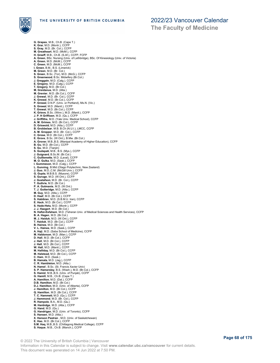

**The Faculty of Medicine**

**G. Grapes**, M.B., Ch.B. (Cape T.) **K. Grar**, M.D. (Montr.), CCFP **S. Gray**, M.D. (Br. Col.), CCFP **M. Greatheart**, M.D. (McM.), CCFP **H. Greeff**, M.B., Ch.B. (S.Af.), CCFP, FCFP **A. Green**, BSc. Nursing (Univ. of Lethbridge), BSc. Of Kinesiology (Univ. of Victoria) **A. Green**, M.D. (McM.), CCFP **C. Green**, M.D. (McM.), CCFP **I. Green**, B.M., B.S. (Limerick)<br>**M. Green**, M.D. (Br. Col.)<br>**S. Green,** B.Sc. (Tor), M.D. (McG.), CCFP<br>**S. Greenwood**, B.Sc. Midwifery (Br.Col.) **J. Greggain**, M.D. (Calg.), CCFP **E. Gregory**, M.D. (Calg.), CCFP **T. Gregory**, M.D. (Br.Col.) **M. Greidanus**, M.D. (Alta.) **M. Grenier**, M.D. (Br.Col.), CCFP **J. Grewal**, M.D. (Br. Col.), CCFP **K. Grewal**, M.D. (Br.Col.), CCFP **P. Grewal**, D.N.P. (Univ. or Portland), Ms.N. (Vic.) **S. Grewal**, M.D. (Manit.), CCFP **T. Grewal**, M.D. (Br.Col.), CCFP **K. Grieve**, B.Sc. (Winn.), M.D. (Manit.), CCFP **J. P. H Griffioen**, M.D. (Qu.), CCFP **J. Griffiths**, M.D. (Yale Univ. Medical School), CCFP **A. M. Grimes**, M.D. (Br.Col.), CCFP **D. Griswold**, M.D. (Alta.), CCFP **B. Grobbelaar**, M.B. B.Ch (N.U.I.), LMCC, CCFP **A. M. Gropper**, M.D. (Br. Col.), CCFP **C. Grose**, M.D. (Br.Col.), CCFP **E. Grove**, B.Sc. (W.Ont.), B.Mw. (Br.Col.) **A. Grover**, M.B.,B.S. (Manipal Academy of Higher Education), CCFP **B. Gu**, M.D. (Br.Col.), CCFP **S. Gu**, M.D. (Tianjin) **S. Gudapati**, M.B., B.S. (Mys.), CCFP **J. Guignard**, B.Sc.M. (Br.Col.) **C. Guillemette**, M.D. (Laval), CCFP **M. O. Gulka**, M.D. (Sask.), CCFP **I. Gummeson**, M.D. (Calg.), CCFP **L. Gunning**, B.Mid (Otago Polytechnic, New Zealand) **J. Guo**, M.D.,C.M. (McGill Univ.), CCFP **G. Gupta**, M.B.B.S. (Mysore), CCFP **S. Guruge**, M.D. (W.Ont.), CCFP **J. Gustafson**, M.D. (Br. Col.), CCFP **T. Guthrie**, M.D. (Br.Col.) **P. A. Gutmanis**, M.D. (W.Ont.) **T. J. Gutteridge**, M.D. (Alta.), CCFP **M. Guy**, M.D. (Atla.), CCFP **D. Haaf**, M.D. (Br.Col.), CCFP **S. Habibian**, M.D. (S.B.M.U. Iran), CCFP **E. Hack**, M.D. (Br.Col.), CCFP **S. Hade-Hetu**, M.D. (Montr.), CCFP **J. J. Haegert**, M.D. (Br.Col.) **N. Hafizi-Esfahani**, M.D. (Teheran Univ. of Medical Sciences and Health Services), CCFP **B. A. Hagen**, M.D. (Br.Col.) **M. J. Haiduk**, M.D. (W.Ont.), CCFP **T. Haiduk**, M.D. (Br.Col.), CCFP **B. Haines**, M.D. (Br.Col.) **V. L. Haines**, M.D. (Sask.), CCFP **A. Haji**, M.D. (Saba School of Medicine), CCFP **M. Haldorson**, M.D. (Man.), CCFP **D. Hall**, M.D. (Br.Col.), CCFP **J. Hall**, M.D. (Br.Col.), CCFP **J. Hall**, M.D. (Br.Col.), CCFP **W. Hall**, M.D. (Manit.), CCFP **M. Halliday**, M.D. (Br.Col.), CCFP **M. Halstead**, M.D. (Br.Col.), CCFP C. Ham, M.D. (Sask.)<br>B. Hamata, M.D. (Jag.), CCFP<br>C. R. Hambleton, M.D. (Alta.)<br>N. Hamel , B.Sc. (St. Francis Xavier Univ)<br>S. P. Hamersley, B.S. (Wash.), M.D. (Br.Col.), CCFP<br>S. Hamilt, M.B., Ch.B. (Cape T.)<br>A. Hamilton, M **D.B. Hamilton**, M.D. (Br.Col.) **D.J. Hamilton**, M.D. (Univ. of Alberta), CCFP **J. Hamilton**, M.D. (Br.Col.), CCFP **Q. Hamilton**, M.D. (Br.Col.), CCFP **T. C. Hammett**, M.D. (Qu.), CCFP **J. Hammond**, M.D. (Br. Col.), CCFP<br>**R. Hampole**, B.A., M.D. (Qu.)<br>**G. Hanbidge**, M.D. (Alta.), CCFP<br>**G. Hand**, M.D. (Qu.)<br>**G. Handrigan**, M.D. (Univ. of Toronto), CCFP **S. Hansen**, M.D. (Alta.) **X. Hanson Pastran** , M.D. (Univ. of Saskatchewan) **E. Hao**, M.D. (Br.Col.), CCFP **S.M. Haq**, M.B.,B.S. (Chittagong Medical College), CCFP **S. Haque**, M.B., Ch.B. (Manch.), CCFP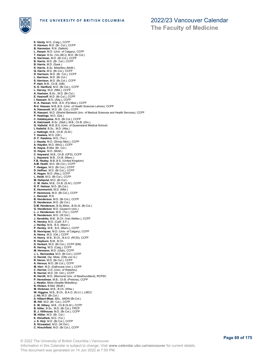

**E. Hardy**, M.D. (Calg.), CCFP **H. Harmon**, M.D. (Br. Col.), CCFP **B. Harmston**, R.N. (Selkirk) **L. Harper**, M.D. (Univ. of Calgary), CCFP **T. Harper**, B.Sc. (Vic.(BC)), M.D. (Br.Col.) **K. Harriman**, M.D. (Br.Col.), CCFP **B. Harris**, M.D. (Br. Col.), CCFP **B. Harris**, M.D. (Sask.)<br>**K. Harris**, B.Sc. Midwifery (McM.)<br>**Q. Harris**, M.D. (Br.Col.), CCFP<br>**D. Harrison**, M.D. (Br. Col.), CCFP **L. Harrison**, M.D. (Br.Col.) **S. Harrison**, M.D. (Br.Col.), CCFP **P. Hart**, M.B., Ch.B. (GB) **S. D. Hartford**, M.D. (Br.Col.), CCFP **L. Harvey**, M.D. (Nfld.), CCFP **A. Hasham**, B.Sc., M.D. (Br.Col.) E. Hasinoff, M.D. (Br.Col.), CCFP<br>I**. Hassam**, M.D. (Alta.), CCFP<br>**H. A. Hassan**, M.B., B.S. (Fiji Med.), CCFP<br>**R-U. Hassan**, M.B.,B.S. (Univ. of Health Sciences Lahore), CCFP<br>**A. Hassanali**, M.D. (Br. Col.), CCFP **R. Hassani**, M.D. (Shahid Beheshti Univ. of Medical Sciences and Health Services), CCFP **P. Hastings**, M.D. (Dal.) **C. Hatakeyama**, M.D. (Br.Col.), CCFP **A. Hatchwell**, B.Sc. (Stell.), M.B., Ch.B. (Zim.) **G. Hatlelid**, M.B.,B.S. (Univ. of Queensland Medical School) **L Hatlelid**, B.Sc., M.D. (Alta.) **J. Hattingh**, M.B., Ch.B. (S.Af.) **T. Hawkes**, M.D. (Ott.) **D. F. Hawkins**, M.D. (Tor.) **J. Hayaty**, M.D. (Shiraz Med.), CCFP **A. Hayden**, M.D. (McG.), CCFP **K. Hayes**, B.Mid. (Br. Col.) **O. Hayes**, M.D. (McM.) **C. Hayward**, M.B., Ch.B. (OFS), CCFP **L. Hayward**, M.B., Ch.B. (Manc.) **F.B. Healey**, M.B.,B.S. (United Kingdom) **A.M. Heath**, M.D. (Br.Col.), CCFP **T. Hedges**, M.D. (Br.Col.), CCFP **D. Heffner**, M.D. (Br.Col.), CCFP **K. Hegan**, M.D. (Alta.), CCFP **L. Heidt**, M.D. (Br.Col.), CCFP **M. Hellqvist**, M.D. (Br.Col.) **C. W. Helm**, M.B., Ch.B. (S.Af.), CCFP **R. P. Helmer**, M.D. (Br.Col.) **E. Hemmerich**, M.D. (Nfld.) **P. Hemmons**, M.D. (Br.Col.), CCFP **L. Henczel**, R.N. **B. Henderson**, M.D. (Br.Col.), CCFP **D. Henderson**, M.D. (Br.Col.) **D.M. Henderson**, B.Sc.Midw., B.Sc.N. (Br.Col.) **G. Henderson**, M.D. (Queen's Univ.) **L. J. Henderson**, M.D. (Tor.), CCFP **R. Henderson**, M.D. (W.Ont.) **J. Hendriks**, M.B., B.Ch. (Van.Stellen.), CCFP **K. Hendry**, M.D. (Calif. S.F.) **J. Henley**, M.B., B.S. (Manc.) **P. Henley**, M.B., B.S. (Manc.), CCFP **B. Henriquez**, M.D. (Univ. of Calgary), CCFP **A. Henry**, M.D. (Ott.), CCFP **H. Henry**, M.B., B.Ch., B.A.O. (RCSI), CCFP **R. Hepburn**, B.M., B.Ch. **D. Herbert**, M.D. (Br.Col.), CCFP (EM) **R. Hering**, M.D. (Calg.), CCFP **M. Hermann**, M.D. (Utah), CCFP **J. L. Hernandez**, M.D. (Br.Col.), CCFP **U. Herold**, Dip. Midw. (Otto von G.) **R. Heron**, M.D. (Br.Col.), CCFP **A. Heroux**, M.D. (Br.Col.), CCFP **M. Herr**, M.D. (Dalhousie Univ.), CCFP<br>**C. Herriot**, O.D. (Univ. of Waterloo)<br>**R. Herriot**, M.D. (W. Ont.), CCFP<br>**B. Herritt**, M.D. (Memorial Univ. of Newfoundland), RCPSC<br>**P. Herselman**, M.B., Ch.B. (Pretoria), CCFP **J. Hewko**, Midw (Seattle Midwifery)<br>**N. Hicken**, B.Mid. (McM.)<br>**M. Hickman,** M.B., B.Ch. (Witw.)<br>**W. Higgins**, M.B., B.Ch., B.A.O. (N.U.I.), LMCC<br>**J. Hii**, M.D. (Br.Col.) **S. Hilbert-West**, BSc., MIDW (Br.Col.) **M. Hill**, M.D. (Br. Col.), CCFP **E. W. Hillary**, M.B., Ch.B (S.Af.), CCFP **B. Hiller**, B.Sc., M.D. (Br.Col.), FRCP **B. J. Hillhouse**, M.D. (Br.Col.), CCFP **M. Hillier**, M.D. (Br. Col.) **E. Himelfarb**, M.D. (Tor.) **J. S. Hirji**, M.D. (Br.Col.), CCFP **S. Hirowatari**, M.D. (W.Ont.) **C. Hirschfield**, M.D. (Br.Col.), CCFP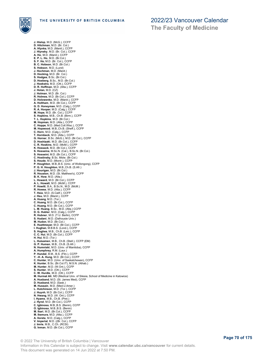

**J. Hislop**, M.D. (McG.), CCFP **D. Hitchman**, M.D. (Br. Col.) **A. Hlynka**, M.D. (Manit.), CCFP **J. Hlynsky**, M.D. (Br. Col.), CCFP **A. Ho**, M.D. (Manit.), CCFP **E. P. L. Ho**, M.D. (Br.Col.) **S. F. Ho**, M.D. (Br. Col.), CCFP **B. C. Hobson**, M.D. (Br.Col.) **S. Hobson**, M.D. (Lund) **J. Hochman**, M.D. (Manit.)<br>**D. Hocking**, M.D. (Br. Col.)<br>**S. Hodges**, B.Sc. (Br.Col.)<br>**D. Hoeberg**, B.Sc., M.D. (Br.Col.)<br>**J. Hoekstra**, M.D. (Ott.), CCFP D. R. Hoffman, M.D. (Alta.), CCFP<br>J. Holan, M.D. (CZ)<br>J. Holman, M.D. (Br. Col.)<br>R. Holman, M.D. (Br. Col.)<br>R. Holmen, M.D. (Br.Col.), CCFP<br>D. Holowenko, M.D. (Rac.O.), CCFP<br>G. D. Honeyman, M.D. (Calg.), CCFP<br>R. A. Hooper, **M. Hopman**, M.D. (Alta.), CCFP **C. Hoppe**, M.D. (Med.Coll.Wisc.), CCFP **M. Hopwood**, M.B.,Ch.B. (Sheff.), CCFP **C. Horn**, M.D. (Calg.), CCFP **T. Hornbeck**, M.D. (Alta.), CCFP **G. Horner**, B.Sc. (McG.), M.D. (Br.Col.), CCFP **D. Hoshizaki**, M.D. (Br.Col.), CCFP **C. R. Hoskins**, M.D. (McM.), CCFP **K. Hossack**, M.D. (Br.Col.), CCFP **S. Hosseina**, M.Sc.N. (Cal.), B.Sc.N. (Br.Col.) **S. Hosseini**, M.D. (Br.Col.), CCFP **C. Hostinsky**, B.Sc. Midw. (Br.Col.) **S. Houde**, M.D. (Montr.), CCFP<br>**P. Houghton**, M.B.,B.S. (Univ. of Wollongong), CCFP<br>**P. G. H. Houghton**, M.B.,Ch.B. (S.Afr.) **J. Hourigan**, M.D. (Br.Col.) **R. Houston**, M.D. (St. Matthew's), CCFP **B. K. How**, M.D. (Alta.) **L. Howard**, M.D. (Br.Col.), CCFP **A. L. Howatt**, M.D. (McM.), CCFP **P. Howitt**, B.A., B.Sc.N., M.D. (McM.) **R. Howse**, M.D. (Alta.), CCFP **T. Hsia**, M.D. (S.Calif.), CCFP **J. Hsu**, M.D. (Manit.), CCFP **A. Huang**, M.D. (Tor.) **C. Huang**, M.D. (Br.Col.), CCFP **C. Huang**, M.D. (Br.Col.), CCFP **L. M. Huang**, B.Sc., M.D. (Alta.) CCFP **D. G. Hubler**, M.D. (Calg.), CCFP **R. Hubner**, M.D. (T.U. Berlin), CCFP **S. Hudani**, M.D. (Dalhousie Univ.) **M. Hudon**, M.D. (Br.Col.) **E. Huettmeyer**, M.D. (Br.Col.), CCFP **I. Hughan**, M.B.B.S. (Lond.), CCFP **S. Hughes**, M.B., Ch.B. (Leic.), CCFP **C. C. Hui**, M.D. (Br.Col.), CCFP **H. Hui**, M.D. (Tor.) **L. Huisamen**, M.B., Ch.B. (Stell.), CCFP (EM) G. P. Human, M.B., Ch.B. (S.Afr.)<br>N. Humniski, M.D. (Univ. of Manitoba), CCFP<br>A. Humphrey, R.M. (Laur.)<br>P. Hundal, B.M., B.S. (Flin.), CCFP<br>Y. H. A. Hung, M.D. (Br.Col.), CCFP<br>C. Hunter, M.D. (Univ. of Saskatchewan), CCFP K. Hunter, B.Sc. (Br.Col.IT), M.S.N. (Athab.)<br>M. Hunter, M.D. (W.Ont.), CCFP<br>S. Hunter, M.D. (Ott.), CCFP<br>C. W. Hurdle, M.D. (Ott.), CCFP<br>M. Hurmat Ali, MD (Medical Univ. of Silesia, School of Medicine in Katowice) **A. Husband**, M.D. (St. James Med), CCFP<br>**D. Husband**, M.D. (Sask.)<br>**M. Hussain**, M.D. (Med.U.Amer.)<br>**L. Hutchinson**, M.D. (Tor.), CCFP **J. Huynh**, M.D. (Br.Col.), CCFP **N. Hwang**, M.D. (W. Ont.), CCFP **I. Hyams**, M.B., Ch.B. (Pret.) **J. Hynd**, M.D. (Br.Col.), CCFP **C. Igbinosa**, M.B.,B.S. (Benin), CCFP **O. Igbinosa**, M.B.,B.S. (Benin) **M. Ikari**, M.D. (Br.Col.), CCFP **M. Ikemura**, M.D. (Alta.), CCFP **A. Iloreta**, M.D. (Calg.), CCFP **V. Imperial**, M.D. ((Br. Col.), CCFP **J. Imrie**, M.B., C.Ch. (RCSI) **G. Inman**, M.D. (Br.Col.), CCFP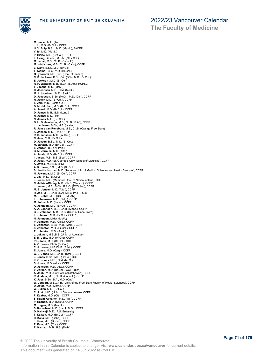

M. Inniss, M.D. (Tor.)<br>J. Ip, M.D. (Br.Col.), CCFP<br>U. Y. B. Ip, B.Sc., M.D. (Manit.), FACEP<br>V. Ip, M.D. (Manit.)<br>P. Iriarte, M.D. (Br.Col.), CCFP<br>L. Irving, B.Sc.N., M.S.N. (N.Br.Col.)<br>M. Ismail, M.B., Ch.B. (Cape T.)<br>M. I **C. S. Jackson**, B.Sc. (Vic.(BC)), M.D. (Br.Col.) **E. Jackson** , M.D. (Br.Col.) **R. P. Jackson**, M.B., B.Ch. (S.Afr.), RCPSC **T. Jacobs**, M.D. (McM.) **C. Jacobsen**, M.D., C.M. (McG.) **M. J. Jacobsen**, M.D. (Sask.) **D. Jacobson**, B.Sc. (McG.), M.D. (Dal.), CCFP **H. Jaffer**, M.D. (Br.Col.), CCFP **S. Jain**, M.D. (Boston U.) **D. M. Jakubec**, M.D. (Br.Col.), CCFP **A. Jamal**, M.D. (Br.Col.), CCFP **D. James**, M.B., B.S. (Lond.) **H. James**, M.D. (Tor.) **N. James**, M.D. (Br. Col.) **B. H. D. Jamieson**, M.B., Ch.B. (S.Af.), CCFP **J. Jamieson**, B.Ch, M.B. (Wales) **R. Janse van Rensburg**, M.B., Ch.B. (Orange Free State) **K. Jansen**, M.D. (Ott.), CCFP **R. S. Janssen**, M.D. (W.Ont.), CCFP **C. Janz**, M.D. (Br.Col.) **D. Janzen**, B.Sc., M.D. (Br.Col.) **M. Janzen**, M.D. (Br.Col.), CCFP **S. Janzen**, B.Sc.N. (Vic.) **B. M. Jarmula**, M.D. (Alta.) **A. Jarvie**, M.D. (Br.Col.), CCFP **I. Jassal**, M.B., B.S. (Syd.), CCFP **D. Jassi**, M.D. (St. George's Univ. School of Medicine), CCFP **A. Javed**, M.B.B.S. (PK) **A. K. Javer**, B.Sc., M.D. (Br.Col.) **S. Javidanbardan**, M.D. (Teheran Univ. of Medical Sciences and Health Services), CCFP **N. Jawanda**, M.D. (Br.Col.), CCFP **J. Jay**, M.D. (Br.Col.) **J. Jeans**, M.D. (Memorial Univ. of Newfoundland), CCFP **C. Jeffries-Chung**, M.B., Ch.B. (Manch.), CCFP **J. Jensen**, M.B., B.Ch., B.A.O. (RCS, Ire.), CCFP **M. B. Jensen**, M.D. (Alta.), CCFP **R. Joe**, M.B., Ch.B. (NZ), M.Sc. (Vic.(B.C.)) **M. S. Johal**, M.D. (USESOM, AN) **L. Johannson**, M.D. (Calg.), CCFP **M. Johns**, M.D. (Ibero.), CCFP **A. Johnson**, M.D. (Br.Col.), CCFP **A. A. Johnson**, M.B., Ch.B. (Manc.), CCFP **B.B. Johnson**, M.B.,Ch.B. (Univ. of Cape Town) **L. Johnson**, M.D. (Br.Col.), CCFP **N. Johnson**, Midw. (McM.) **P. Johnson**, M.D. (Calg.), CCFP **S. Johnston**, B.Sc., M.D. (Mem.), CCFP **S. Johnston**, M.D. (Br.Col.), CCFP **T. Johnston**, M.D. (Sask.) **J. Jokinen**, M.B.,B.S. (Univ. of Adelaide) **E. M. Jolly**, M.D. (W.Ont), CCFP **P.L. Jone**, M.D. (Br.Col.), CCFP **A. C. Jones**, BMW (Br.Col.) **C. A. Jones**, M.B.Ch.B. (Brist.), CCFP **E. Jones**, M.D. (Calg.), CCFP **G. C. Jones**, M.B, Ch.B., (Stell.), CCFP **J. Jones**, B.Sc., M.D. (Br.Col.) CCFP **K. G. Jones**, M.D., C.M. (McG.) **S. Jones**, M.D. (Alta.), CCFP **D. Joneson**, M.D. (Alta.), CCFP **V. Jordan**, M.D. (Br.Col.), CCFP (EM) A. Joshi, M.D. (Univ. of Saskatchewan), CCFP<br>**R. Joshua**, M.B., Ch.B. (Cape T.), CCFP<br>**K. Joss,** B.Sc., B.A., M.D. (Ont.)<br>**W. Joubert**, M.B.,Ch.B. (Univ. of the Free State Faculty of Health Sciences), CCFP<br>**D. Jovic**, M.D. **W. Julien**, M.D. (Br.Col.) **C. Just** , M.D. (Univ. of Saskatchewan), CCFP<br>**F. Kaabar**, M.D. (Ott.), CCFP<br>**S. Kabiri-Abyaneh**, M.D. (Iran), CCFP<br>**P. Kachan**, M.D. (Sask.), CCFP **M. Kagan**, M.D. (Manit.) **S. Kahrobaei**, M.D. (Iran U.M.S.), CCFP **D. Kahwaji**, M.D. (F.U. Brussels) **T. Kaikov**, M.D. (Br.Col.), CCFP **D. Kalia**, M.D. (Saba), CCFP **J. Kam**, M.D. (Br.Col.), CCFP **T. Kam**, M.D. (Tor.), CCFP **R. Kamath**, M.B., B.S. (Delhi)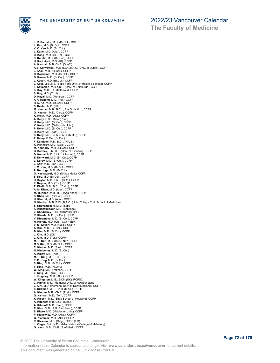

**The Faculty of Medicine**

**J. R. Kamstra**, M.D. (Br.Col.), CCFP **L. Kan**, M.D. (Br.Col.), CCFP **V. C. Kan**, M.D. (Br. Col.) **L. Kane**, M.D. (Alta.), CCFP **D. Kang**, M.D. (Br. Col.), CCFP **S. Karalic**, M.D. (Br. Col.), CCFP **H. Karimirad**, M.D. (IR), CCFP **A. Karmali**, M.B.,Ch.B. (Sheff.) **A.S. Karwowski**, M.B.,B.Ch.,B.A.O. (Univ. of Dublin), CCFP **J. Kask**, M.D. (Br.Col.), CCFP **C. Kaskamin**, M.D. (Br.Col.), CCFP **D. Kason**, M.D. (Br.Col.), CCFP **J. Kason**, M.D. (Br.Col.), CCFP<br>**J. Kaur**, M.B.,B.S. (Baba Farid Univ. of Health Sciences), CCFP **F. Kavosian**, M.B.,Ch.B. (Univ. of Edinburgh), CCFP **K. Kay**, M.D. (St. Matthew's), CCFP **S. Kay**, M.D. (Tuzli) **D. Kayal**, M.D. (Montreal), CCFP **A-R. Kazemi**, M.D. (Iran), CCFP **R. S. Ke**, M.D. (Br.Col.), CCFP **S. Keeler**, M.D. (Nfld.) **M. Keenan**, M.B., B.Ch., B.A.O. (N.U.I.), CCFP **O. Keenan**, M.D. (Calg.), CCFP<br>**K. Keith**, M.D. (Alta.), CCFP<br>**A. Kelly**, B.Sc. Midw (L'tian)<br>**H. Kelly**, M.D. (Br.Col.), CCFP **K. Kelly**, M.D. (Dalhousie Univ.) **P. Kelly**, M.D. (Br.Col.), CCFP **R. Kelly**, M.D. (Ott.), CCFP **S. Kelly**, M.B.,B.Ch.,B.A.O. (N.U.I.), CCFP **T. Kemp**, B.Mw. (Br.Col.) **F. Kennedy**, M.B., B.Ch. (N.U.I.) **K. Kennedy**, M.D. (Calg.), CCFP **M. Kennedy**, M.D. (Br.Col.), CCFP **B. Kenney**, B.M.,B.S. (Univ. of Limerick), CCFP **D. Kenny**, M.D. (Univ. of Toronto), CCFP **E. Kenward**, M.D. (Br. Col.), CCFP **L. Kerby**, M.D. (Br.Col.), CCFP **J. Kerr**, M.D. (Tor.), CCFP **J. M. Kerr**, M.D. (Br.Col.), CCFP **P. Kerridge**, M.D. (Br.Col.) **G. Keshavarzi**, M.D. (Shiraz Med.), CCFP **S. Key**, M.D. (Br.Col.), CCFP **H. Keyter**, M.B., Ch.B. (S.Af.), CCFP **Y. Keyzer**, M.D. (Tor.), CCFP **T. Khalil**, M.B., B.Ch. (Cairo), CCFP **A. M. Khan**, M.D. (Alta.), CCFP **M. M. Khan**, M.B., B.S. (Aga Khan), CCFP **S. Khan**, M.D. (Br.Col.), CCFP **H. Kharrat**, M.D. (Alta.), CCFP **N. Khatkar**, M.B.,B.Ch.,B.A.O. (Univ. College Cork School of Medicine) **S. Khayambashi**, M.D. (Saba) **K. Khazamipour**, M.D. (Santiago) **Z. Khoddamy**, B.Sc. MIDW (Br.Col.) **R. Khosla**, M.D. (Br.Col.), CCFP **V. Khramova**, M.D. (Br.Col.), CCFP **N. Kienitz**, M.D. (Ott.), CCFP (EM) **V. M. Kilvert**, M.D. (Calg.), CCFP **A. Kim**, M.D. (Br. Col.), CCFP **B. Kim**, M.D. (Br.Col.), CCFP **J. Kim**, M.D. (Ott.) **J. Kim**, M.D. (Tor.), CCFP **M. H. Kim**, M.D. (Seoul Nat'l), CCFP **M.S. Kim**, M.D. (Br.Col.), CCFP **C. Kimber**, M.D. (Sask.), CCFP **N. Kimberley**, M.D. (Br.Col.) **A. Kindy**, M.D. (Atla.) M. H. King, M.B., B.S. (GB)<br>P. B. King, M.D. (Br.Col.)<br>S. King, M.D. (Br.Col.)<br>V. King, M.D. (Br.Col.), CCFP<br>V. King, M.D. (Poznan), CCFP<br>J. Kingston, M.B., B.Ch. (UK), RCPSC<br>W. Kingston, M.B., B.Ch. (UK), RCPSC C. Kipnis, M.D. (Memorial Univ. of Newfoundland)<br>J. Kirk, M.D. (Memorial Univ. of Newfoundland), CCFP<br>S. Kirkman, M.B., Ch.B. (S.Afr.), CCFP<br>A. Kirsten, M.B., Ch.B. (Pret.), CCFP<br>G. Kisman, M.D. (Tor.), CCFP<br>K. Kisser , M. **A. Kitshoff**, M.D. (Pret.), CCFP **R. Klair**, M.D. (A.U. Caribbean), CCFP **S. Klaire**, M.D. (McMaster Univ.), CCFP **P. Klakowicz**, M.D. (Alta.), CCFP **G. Klammer**, M.D. (Alta.), CCFP **R. Klassen**, M.D. (Calg.), CCFP (EM) **J. Kleger**, B.A., N.D., Midw (National College of Midwifery) **G. Klein**, M.B., Ch.B. (S.Af.Med.), CCFP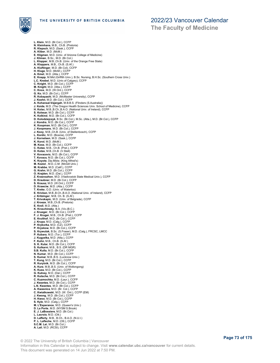

**The Faculty of Medicine**

**L. Klein**, M.D. (Br.Col.), CCFP **N. Kleinhans**, M.B., Ch.B. (Pretoria) **R. Klepsch**, M.D. (Sask.), CCFP **A. Kliber**, M.D. (McM.) **E. Kligman**, M.D. (Univ. of Arizona College of Medicine) **J. Kliman**, B.Sc., M.D. (Br.Col.) L. Klopper, M.B.,Ch.B. (Univ. of the Orange Free State)<br>A. Kloppers, M.B., Ch.B. (S.Af.)<br>A. Klorpers, M.B., Ch.B. (S.Af.)<br>H. Klutinger, M.D. (McM.), CCFP<br>H. Kluge, M.D. (McM.), CCFP<br>L. Knapbel, M.D. (Univ.of Calgary), CCFP **M. Knight**, M.D. (Alta.), CCFP **C. Knox**, M.D. (W.Ont.), CCFP **G. Ko**, M.D. (Br.Col.), CCFP **R. Kobayashi**, M.D. (McMaster University), CCFP **J. Koehn**, M.D. (Br.Col.), CCFP **A. Kohansal-Vajargah**, M.B.B.S. (Flinders (S.Australia)) **J. Koide**, M.D. (The Oregon Health Sciences Univ. School of Medicine), CCFP **H. Kolac**, M.B.,B.Ch.,B.A.O. (National Univ. of Ireland), CCFP **S. Kolesar**, M.D. (Br.Col.), CCFP **K. Kolkind**, M.D. (Br.Col.), CCFP<br>**D. Kolodziejczyk,** B.Sc. (Br.Col.), M.Sc. (Alta.), M.D. (Br.Col.), CCFP<br>**J. Kondra**, M.D. (Br.Col.), CCFP **K. Koopman**, M.D. (Br.Col.), CCFP **J. Koopmans**, M.D. (Br.Col.), CCFP **J. Kooy**, M.B.,Ch.B. (Univ. of Stellenbosch), CCFP **L. Kordic**, M.D. (Bosnia), CCFP **J. Kornelsen**, M.D. (Sask.), CCFP **K. Korol**, M.D. (McM.) **M. Koss**, M.D. (Br.Col.), CCFP **C. Kotze**, M.B., Ch.B. (Pret.), CCFP **D. Kotze**, M.B.,Ch.B. (V.Stell) **V. Kovacevic**, M.D. (Br.Col.), CCFP **T. Kovacs**, M.D. (Br.Col.), CCFP **K. Koyote**, Dip.Midw. (King Alfred's) **M. Koziol** , M.D.,C.M. (McGill Univ.) **M. Krabbe**, M.D. (Calif.), CCFP **G. Krahn**, M.D. (Br.Col.), CCFP **O. Krajden**, M.D. (Dal.), CCFP **Z. Krasnozhon**, M.D. (Vladivostok State Medical Univ.), CCFP **D. Kraubner**, M.D. (Br.Col.), CCFP **S. Krausz**, M.D. (W.Ont.), CCFP **D. Krawciw**, M.D. (Alta.), CCFP **T. Kreke**, O.D. (Univ. of Waterloo) **E. Krickan**, M.B.,B.Ch.,B.A.O. (National Univ. of Ireland), CCFP **J. Kritzinger**, M.B. Ch. B. (S.Af.) **T. Krivokapic**, M.D. (Univ. of Belgrade), CCFP **J. Kroeze**, M.B.,Ch.B. (Pretoria) **E. Kroll**, M.D. (Alta.) **K. Kroschinsky**, B.A. (Vic.(B.C.) **J. Krueger**, M.D. (Br.Col.), CCFP **F. J. Kruger**, M.B., Ch.B. (Pret.), CCFP **E. Kruithof**, M.D. (Br.Col.), CCFP **J. Krupa**, M.D. (Calg.), CCFP **P. Krykorka**, M.D. (CZ), CCFP **P. Kryskow**, M.D. (Br.Col.), CCFP **S. Krywulak**, B.Sc. (S.Fraser), M.D. (Calg.), FRCSC, LMCC **P. Kubara**, M.D. (Tor.), CCFP **J. Kugyelka**, M.D. (Alta.), CCFP **F. Kuhn**, M.B., Ch.B. (S.Af.) **S. K. Kular**, M.D. (Br.Col.), CCFP **S. Kulkarni**, M.B., B.S. (DR MGR) **S.B. Kulla**, M.D. (Br.Col.), CCFP **N. Kumar**, M.D. (Br.Col.), CCFP **S. Kumar**, M.B.,B.S. (Lucknow Univ.) **T. Kung**, M.D. (Br.Col.), CCFP **R. Kurytnik**, M.D. (Br.Col.), CCFP **A. Kurz**, M.B.,B.S. (Univ. of Wollongong) **K. Kuss**, M.D. (Br.Col.), CCFP G. Kutney, M.D. (Dal.), CCFP<br>R. Kutsche, M.D. (Br.Col.), CCFP<br>C. Kutsche, M.D. (Br.Col.), CCFP<br>J. Kwantes, M.D. (Br.Col.), CCFP<br>L.N. Kwantes, M.D. (Br.Col.), CCFP<br>A. Kwasnica, M.D. (Br. Col.), CCFP<br>J. Kwasnica, M.D. (Br. C **S. Kyle**, M.D. (Calg.), CCFP **M. L'Esperance**, M.D. (Queen's Univ.) **D. La Porte**, M.D. (NYSM S.Brook) **E. J. LaBossiere**, M.D. (Br.Col.) **L. Lacroix**, M.D. (Ott.) **D. Lafferty**, M.B., B.Ch., B.A.O. (N.U.I.) **P. L. Lafleche**, M.D. (Ott.), CCFP **S.C.M. Lai**, M.D. (Br.Col.) **A. Lail**, M.D. (RCSI), CCFP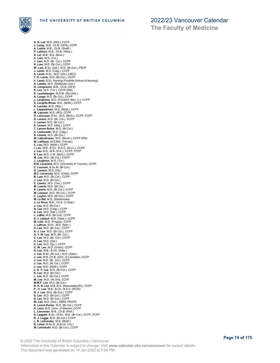

**The Faculty of Medicine**

**H. S. Lail**, M.D. (Alta.), CCFP **J. Laing**, M.B., Ch.B. (OFS), CCFP **A. Lakha**, M.B., Ch.B. (Sheff.) **P. Lakhoo**, M.B., Ch.B. (Witw.) **S. Lal**, M.B., B.S. (Bom.) **C. Lam**, M.D. (Tor.) J. Lam, M.D. (Br. Col.), CCFP<br>K. Lam, M.D. (Br.Col.), CCFP<br>W. Lam, B.Sc. (Dal.), M.D. (Br.Col.), FRCP<br>J. Lamb, M.D. (Calg.), CCFP<br>S. Lamb, B.Sc., M.D. (Ott.), LMCC<br>T. H. Lamb, M.D. (Br.Col.), CCFP **V. Lamb**, B.Sc. Nursing (Foothills School of Nursing) **A. Lamba**, M.D. (McMaster Univ.) **G. Lamprecht**, M.B., Ch.B. (OFS) **S. Lan**, M.D. (Tor.), CCFP (EM) **E. Landsbergen**, M.S.M. (Rij.Limb.) **A. Lange**, M.D. (Br.Col.), CCFP **J. Langhans**, M.D. (Friedrich Alex. U.), CCFP **S. Langille-Rowe**, M.D. (McM.), CCFP **K. Lanuke**, M.D. (Alta.) **L. Lappalainen**, M.D. (McM.), CCFP **M. Lapuste**, M.D. (RO), CCFP **D. Larocque**, B.Sc., M.D. (McG.), CCFP, FCFP **D. Larsen**, M.D. (Br. Col.), CCFP **J. Larsen**, M.D. (Br.Col.) **S. Larsen**, M.D. (Alta.), CCFP **T. Larsen-Soles**, M.D. (Br.Col.) **A. Laskowski**, M.D. (Calg.) **S. Lasuta**, M.D. (Br.Col.) **M. Latendresse**, M.D. (Montr.), CCFP (EM) **M. Latifiyan**, M.S.Mid. (Tehran) **C. Lau**, M.D. (McM.), CCFP **I. Lau**, M.B., B.Ch., B.A.O. (N.U.I.), CCFP **J. Lau**, B.S., M.B. (H.K.), CCFP, FCFP **K. Lau**, M.D.,C.M. (McG.), CCFP **M. Lau**, M.D. (Br.Col.), CCFP **J. Laughren**, M.D. (Tor.) **B.R. Laupland**, M.D. (University of Toronto), CCFP **C. Laursen**, B.Sc.M. (Br.Col.) **G. Lauzon**, M.D. (Ott.) **M.C. Lavanchy**, M.D. (Chile), CCFP **B. Law**, M.D. (Br.Col.), CCFP **J. Law**, M.D. (Br.Col.) **C. Lawlor**, M.D. (Tex.), CCFP **M. Lawrie**, M.D. (Br.Col.) **S. Lawrie**, M.D. (Br.Col.), CCFP **M. Lawson**, M.D. (Br.Col.), CCFP **C. Layton**, M.D. (Br.Col.), CCFP **M. Le Bel**, M.D. (Sherbrooke) **J. Le Roux**, M.B., Ch.B. (V.Stell.) **J. Lea**, M.D. (Br.Col.) **N. Lea**, M.D. (Calg.), CCFP **S. Lea**, M.D. (Dal.), CCFP **L. LeBel**, M.D. (Br.Col), CCFP **S. J. Lebeuf**, M.D. (Sask.), CCFP **M. Lebl**, M.D. (Prague), CCFP **J. Lebrun**, B.Sc., M.D. (Man.) **A. Lee**, M.D. (Br.Col.), CCFP **A. J. Lee**, M.D. (Br.Col.), CCFP **A. Y. M. Lee**, M.D. (Br. Col.) **C. Lee**, M.D. (Br. Col.), CCFP **C. Lee**, M.D. (Dal.) **C. Lee**, M.D. (Qu.), CCFP **C. W. Lee**, M.D. (Union), CCFP **H. Lee**, M.B., B.Ch. (Witw.) **J. Lee**, B.Sc. (Br.Col.), M.D. (Sask.) **J. Lee**, M.B.,Ch.B. (Univ. of Leicester), CCFP **J. Lee**, M.D. (Br. Col.), CCFP **J. Lee**, M.D. (Br.Col.), CCFP **J. Lee**, M.D. (McM.), CCFP **J. H. Y. Lee**, M.D. (Br.Col.), CCFP **K. Lee**, M.D. (Br.Col.) **L. Lee**, M.D. (Br.Col.), CCFP **M. Lee**, M.D. (W.Ont), CCFP **M.M.F. Lee**, M.D. (Br.Col.) **N. K. N. Lee**, M.B.,B.S. (Newcastle(UK)), CCFP **P. -Y. Lee**, M.B., B.Ch., B.A.O. (RCSI) **R. J. Lee**, M.D. (Br.Col.), CCFP **S. Lee**, M.D. (Br.Col.), CCFP **S. Lee**, M.D. (Br.Col.), CCFP **W. Lee**, M.D. (Ont.), ABIM, FRCPC **K. Leech-Porter**, M.D. (Br.Col.), CCFP **A. Lees**, M.D. (Univ. of Alberta), CCFP **L. Leeuwner**, M.B., Ch.B. (Pret.) **S. Leggatt**, B.Sc., M.Sc., M.D. (Br.Col.), CCFP, FCFP **R. J. Legge**, M.D. (Br.Col.), CCFP **L. B. LeGresley**, M.D. (McM.) **R. Lehal**, M.Sc.N., B.Sc.N. (Vic.) **M. Lehmkuhl**, M.D. (Br.Col.), CCFP

© 2022 The University of British Columbia | Vancouver Information in this Calendar is subject to change. Visit **www.calendar.ubc.ca/vancouver** for current details. This document was generated on 14 Jun 2022 at 7:50 PM.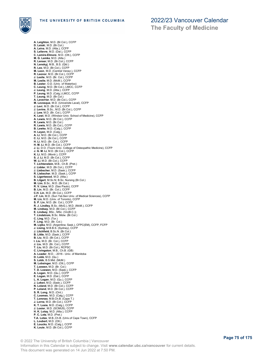

**A. Leighton**, M.D. (Br.Col.), CCFP **D. Leiski**, M.D. (Br.Col.) **A. Leiva**, M.D. (Alta.), CCFP **S. Lelievre**, M.D. (Dal.), CCFP **C. Lemire-Elmore**, M.D. (Ott.), CCFP **M. G. Lemke**, M.D. (Alta.) **R. Lenser**, M.D. (Br.Col.), CCFP **N. Lenskyj**, M.B., B.S. (Qld.) **R. Leo**, M.D. (Br.Col.), CCFP **M. Leon**, M.D. (Central Venez.), CCFP **R. Leonor**, M.D. (Br.Col.), CCFP **J. Leslie**, M.D. (Br. Col.), CCFP **M. Leslie**, M.D. (McM.), CCFP **B. Lester**, O.D. (Univ. of Waterloo) **C. Leung**, M.D. (Br.Col.), LMCC, CCFP **J. Leung**, M.D. (Alta.), CCFP **P. Leung**, M.D. (Calg.) LMCC, CCFP **T. Leung**, M.D. (Br.Col.) **A. Leverrier**, M.D. (Br.Col.), CCFP **M. Levesque**, M.D. (Universite Laval), CCFP **J. Levi**, M.D. (Br.Col.), CCFP **J. Levins**, B.Sc., M.D. (Br.Col.), CCFP **J. Lew**, M.D. (Br. Col.), CCFP **K. Lewi**, M.D. (Windsor Univ. School of Medicine), CCFP **A. Lewis**, M.D. (Br.Col.), CCFP **R. Lewis**, M.D. (Br.Col.) **R. Lewis**, M.D. (Br.Col.), CCFP **B. Lewke**, M.D. (Calg.), CCFP **H. Leyen**, M.D. (Calg.) **A. Li**, M.D. (Br.Col.), CCFP **C. Li**, M.D. (Br.Col.), CCFP **H. Li**, M.D. (Br. Col.), CCFP **H. M. Li**, M.D. (Br.Col.), CCFP **J. Li**, D.O. (Touro Univ. College of Osteopathic Medicine), CCFP **J. G. M. Li**, M.D. (Br.Col.), CCFP **K. Li**, M.D. (Montr.), CCFP **S. J. Li**, M.D. (Br.Col.), CCFP **W. Li**, M.D. (Br.Col.), CCFP **T. Lichtenstein**, M.B., Ch.B. (Pret.) **J. Lidder**, M.D. (Br.Col.), CCFP **J. Liebscher**, M.D. (Sask.), CCFP **R. Liebscher**, M.D. (Sask.), CCFP **S. Ligertwood**, M.D. (Alta.) **B. Lilgert**, M.Sc.N; B.Sc. Nursing (Br.Col.) **M. Lim**, B.Sc., M.D. (Br.Col.) **R. V. Lima**, M.D. (Sao Paulo), CCFP **B. Lin**, M.D. (Br. Col.), CCFP **C.H. Lin**, M.D. (Br.Col.), CCFP **J.F. Lin**, M.D. (Sun Yat-Sen Univ. of Medical Sciences), CCFP **M. Lin**, M.D. (Univ. of Toronto), CCFP **S. P. Lin**, M.D. (Br. Col.), CCFP **R. J. Lindley**, B.Sc. (McG.), M.D. (McM.), CCFP **M. Lindsay**, M.D. (Br.Col.), CCFP **E. Lindsey**, BSc., MSc. (Vic(B.C.)) **T. Lindstrom**, B.Sc. Midw. (Br.Col.) **C. Ling**, M.D. (Tor.) **F. Ling**, M.D. (Br. Col.) **M. Lipka**, M.D. (Argentina; Sask.), CFPC(EM), CCFP, FCFP **J. Lising**, M.B.B.S. (Sydney), CCFP **J. Litchfield**, B.Sc.N. (Br.Col.) **B. Little**, M.D. (Sask.), CCFP **B. Liu**, M.D. (Br.Col.), CCFP **I. Liu**, M.D. (Br. Col.), CCFP **J. Liu**, M.D. (Br. Col.), CCFP **T. Liu**, M.D. (Br.Col.), RCPSC **C. Livingston**, M.B., Ch.B. (GB) **A. Loader**, M.D. - 2016 - Univ. of Manitoba **D. Lobb**, M.D. (Qu.) **S. Lobb**, B.S.Mid. (McM.) **M. Lobsinger**, M.D. (Ott.), CCFP **T. Loewen**, M.D. (Br. Col.) **T. D. Loewen**, M.D. (Sask.), CCFP **A. Logan**, M.D. (Qu.), CCFP **E. Logan**, M.D. (Dal.), CCFP **L. A. Logan**, M.D. (Qu.), CCFP **J. Loken**, M.D. (Sask.), CCFP **N. Loland**, M.D. (Br.Col.), CCFP **P. Loland**, M.D. (Br.Col.), CCFP **S. R. Long**, M.D. (Ont.) **C. Loomes**, M.D. (Calg.), CCFP **T. Lorenzo**, M.B.Ch.B. (Cape T.) **J. Lorne**, M.D. (Br.Col.), CCFP **K. T. Losie**, M.D. (Calg.), CCFP **J. Losier**, M.D. (SCMUS), CCFP **H. K. Lotay**, M.D. (Alta.), CCFP **P. C. Lotz**, M.D. (Pret.) **T.A. Lotze**, M.B.,Ch.B. (Univ.of Cape Town), CCFP **L. Loubert**, M.D. (Ott.) **E. Loucks**, M.D. (Calg.), CCFP **K. Louie**, M.D. (Br.Col.), CCFP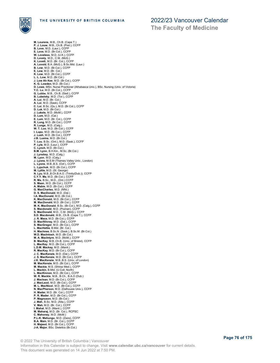

**The Faculty of Medicine**

**M. Lourens**, M.B., Ch.B. (Cape T.) **P. J. Louw**, M.B., Ch.B. (Pret.), CCFP **B. Love**, M.D. (Laur.), CCFP **E. Love**, M.D. (Br.Col.), CCFP **W. Loveless**, M.D. (U.K.), CCFP **D. Lovely**, M.D., C.M. (McG.)<br>**K. Lovett**, M.D. (Br. Col.), CCFP<br>**A. Lovold**, B.A. (McG.), B.Sc.Mid. (Laur.)<br>**B. Low,** M.D. (Br.Col.), CCFP **E. Low**, M.D. (Br. Col.) **K. Low**, M.D. (Br.Col.), CCFP **L. L. Low**, M.D. (Br.Col.) **J. Low Ah Kee**, M.D. (Br.Col.), CCFP **K. G. Lowden**, M.D. (Br.Col.) **D. Lowe**, MSn. Nurse Practioner (Athabasca Univ.), BSc. Nursing (Univ. of Victoria) **Y.C. Lu**, M.D. (Br.Col.), CCFP **G. Lubbe**, M.B., Ch.B. (Stell.), CCFP **B. Lubelsky**, M.D. (Tor.), CCFP<br>**A. Lui**, M.D. (Br. Col.)<br>**A. Lui**, M.D. (Sask), CCFP<br>**C. Lui**, B.Sc. (Qu.), M.D. (Br.Col.), CCFP<br>**D. Luk**, M.D. (Br.Col.) **J. Luksts**, M.D. (McM.), CCFP **D. Lum**, M.D. (Cal.) **E. Lum**, M.D. (Br. Col.), CCFP **R. Lung**, M.D. (Br.Col.), CCFP **R. Lunge**, M.D. (Calg.) **W. T. Luo**, M.D. (Br.Col.), CCFP **I. Lupu**, M.D. (Br.Col.), CCFP **J. Lush**, M.D. (Br.Col.), CCFP **J.B. Lusina**, M.D. (Br.Col.) **T. Luu**, B.Sc. (Ont.), M.D. (Sask.), CCFP **P. Lyle**, M.D. (Laur.), CCFP **C. Lynch**, M.D. (Br.Col.) **B.M. Lynn**, B.H.Kin., M.Sc. (Br.Col.) **J. Lynskey**, M.D. (Calg.) **M. Lyon**, M.D. (Calg.) **J. Lyons**, M.S.M (Thames Valley Univ., London) **L. Lyons**, M.B.,B.S. (Oxf.), CCFP **L. Lypchuk**, M.D. (Br.Col.), CCFP **M. Lyttle**, M.D. (St. George)<br>**N. Lyu**, M.B.,B.Ch.B.A.O. (Trinity(Dub.)), CCFP<br>**C.Y.Y. Ma**, M.D. (Br.Col.), CCFP **R. Ma**, B.Sc., M.D., (Ont.) CCFP **S. Maan**, M.D. (Br.Col.), CCFP **A. Mabie**, M.D. (Br.Col.), CCFP **G. MacCharles**, M.D. (Nfld.) **D. S. MacDonald**, M.D. (Dal.) **I.A. MacDonald**, M.D. (Br.Col.) **K. MacDonald**, M.D. (Br.Col.), CCFP **M. MacDonald**, M.D. (Br.Col.), CCFP **M. K. MacDonald**, B.Sc. (Br.Col.), M.D. (Calg.), CCFP **S. Macdonald**, M.D. (Poznan), CCFP **S. MacDonald**, M.D., C.M. (McG.), CCFP **S.D. Macdonald**, M.B., Ch.B. (Cape T.), CCFP **J. R. Mace**, M.D. (Br.Col.), CCFP **D. Macfillivray**, M.D. (Dal.), CCFP **S. MacGregor**, M.D. (Br.Col.), CCFP **L. MacHattie**, B.Mid. (Br. Col.) **H. Machnee**, B.Sc.N. (Sask.), B.Sc.M. (Br.Col.) **W.D. MacIntosh**, M.D. (Br.Col.) **M. A. MacIntyre**, M.D. (McM.), CCFP **B. MacKay**, M.B.,Ch.B. (Univ. of Bristol), CCFP **L. MacKay**, M.D. (Br.Col.), CCFP **L.D.M. Mackay**, M.D. (Manit.) **R. MacKay**, M.D. (Br.Col.), CCFP **J. C. MacKenzie**, M.D. (Dal.), CCFP **J. S. MacKenzie**, M.D. (Br.Col.), CCFP **J.K. MacKenzie**, M.B.,B.S. (Univ. of London) **M. MacKenzie**, M.D. (Br.Col.), CCFP **M. Mackie**, M.S. (Shiraz Med.), CCFP **L. Mackin**, B.Mid. (U.Coll. North) **L. MacKinnon**, M.D. (Br.Col.), CCFP **W. R. Mackle**, M.B., B.Ch., B.A.O (Dub.) **J. Maclean**, M.D. (Br.Col.), CCFP **J. MacLeod**, M.D. (Br.Col.), CCFP **M. L. MacNicol**, M.D. (Br.Col.), CCFP **N. MacPherson**, M.D. (Dalhousie Univ.), CCFP **H. Mader**, M.D. (Br. Col.), CCFP **P. R. Mader**, M.D. (Br.Col.), CCFP **P. Magnuson**, M.D. (Br.Col.) J. Mah, B.Sc. M.D. (Alta.), CCFP<br>V. Mah, M.D. (Br. Col.), CCFP<br>I. Mahal, M.D. (Manit.), CCFP<br>M. Maharaj, M.D. (Br. Col.), RCPSC<br>**C. Mahoney**, M.D. (McM.)<br>P.**L-K. Mahn, M.D. (Br. Col.), CCFP<br><b>B.A. Main,** M.D. (Br. Col.), CC **H. Majeed**, M.D. (Br.Col.), CCFP **J-A. Major**, BSc. Dietetics (Br.Col.)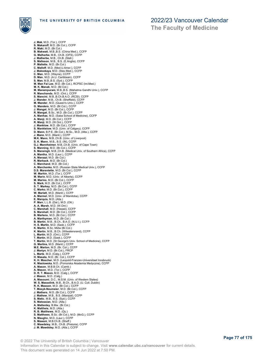

**J. Mak**, M.D. (Tor.), CCFP **S. Makaroff**, M.D. (Br.Col.), CCFP **R. Maki**, M.D. (Br.Col.) **B. Makwati**, M.B.,B.S. (China Med.), CCFP **G. Malherbe**, M.B., Ch.B. (OFS), CCFP **J. Malherbe**, M.B., Ch.B. (Stell.) **S. Malleson**, M.B., B.S. (E.Anglia), CCFP **P. Mallette**, M.D. (Br.Col.) **C. Malloff**, M.D. (Med.U.Amer.), CCFP **J. Malookaya**, M.D. (Stav.Med.), CCFP<br>**C. Man**, M.D. (Wayne), CCFP<br>**D. Man**, M.D. (A.U. Caribbean), CCFP<br>**S. Man,** M.B.,B.S. (Syd.), CCFP<br>**M. Man Fai Lee**, M.D. (Br.Col.), RCPSC (Int.Med.) **M. K. Manak**, M.D. (Br.Col.) **M. Manampuram**, M.B.,B.S. (Mahatma Gandhi Univ.), CCFP **R. Manchanda**, M.D. (Ont.), CCFP **S. Mancini**, M.B.,B.Ch.B.A.O. (RCSI), CCFP **J. Mander**, M.B., Ch.B. (Sheffield), CCFP **M. Mander**, M.D. (Queen's Univ.), CCFP **G. Manders**, M.D. (Br.Col.), CCFP **J. Mangat**, M.D. (Br.Col.), CCFP **R. Mangat**, B.Sc., M.D. (Br.Col.), CCFP **A. Manhas**, M.D. (Saba School of Medicine), CCFP **A. Manji**, M.D. (Br.Col.), CCFP **R. Manji**, M.D. (W.Ont.), CCFP **J. Manklow**, M.D. (Br.Col.), CCFP **S. Manktelow**, M.D. (Univ. of Calgary), CCFP **D. Mann**, B.P.E. (Br.Col.), M.Sc., M.D. (Alta.), CCFP **J. Mann**, M.D. (Manit.), CCFP **M.K. Mann**, M.B.,Ch.B. (Univ. of Liverpool) **S. K. Mann**, M.B., B.S. (IN), CCFP **G.J. Mannheimer**, M.B.,Ch.B. (Univ. of Cape Town) **S. Manning**, M.D. (Br.Col.), CCFP **S. Mansingh**, M.B.,Ch.B. (Medical Univ. of Southern Africa), CCFP **A. Mantha**, M.D. (Laur.), CCFP **A. Marazzi**, M.D. (Br.Col.) **R. Marback**, M.D. (Br.Col.) **C. Marchand**, M.D. (Br.Col.) **A. Marchenko**, M.D. (Russian State Medical Univ.), CCFP **D.S. Marentette**, M.D. (Br.Col.), CCFP **W. Marhin**, M.D. (Tor.), CCFP **M. Marin**, M.D. (Univ. of Alberta), CCFP **M. Marino**, M.D. (Br.Col.), CCFP **S. Mark**, M.D. (Br.Col.), CCFP **S. T. Markey**, M.D. (Br.Col.), CCFP **C. Marko**, M.D. (Br.Col.), CCFP **W. Marlatt**, M.D. (Manit.), CCFP **A. Marmel**, M.D. (Univ. of Manitoba), CCFP **E. Marquis**, M.D. (Alta.) **P. Marr**, L.L.B. (Dal.), M.D. (Ott.) **A. A. Marsh**, M.D. (W.Ont.) **C. Marshall**, M.D. (Hawaii), CCFP **S. Marshall**, M.D. (Br.Col.), CCFP **B. Martens**, M.D. (Br.Col.), CCFP **A. Marthyman**, M.D. (Br.Col.) **B. Martin**, M.B., B.Ch., B.A.O. (N.U.I.), CCFP **H. S. Martin**, M.D. (Sask.), CCFP **K. Martin**, B.Sc. Midw (Br.Col.) **K. Martin**, M.B., B.Ch. (Witwatersrand), CCFP **L. Martin**, M.D. (Ont.), CCFP **T. Martin**, M.D. (Sask.), CCFP **T. Martin**, M.D. (St George's Univ. School of Medicine), CCFP **G. Martins**, M.D. (Manit.), CCFP **M.E. Marton**, M.D. (Br. Col.), CCFP **J. Martyn**, M.D. (Br.Col.), FRCP **L. Martz**, M.D. (Calg.), CCFP **H. Masata**, M.D. (Br. Col.), CCFP **K. H. Mascher**, M.D. (Leopold-Franzen-Universitaet Innsbruck) **K. Maslowska**, M.D. (Pomorska Akademia Medyczna), CCFP **A. Mason**, M.B.B.Ch. (Camb.) **A. Mason**, M.D. (Tor.), CCFP **D. R. T. Mason**, M.D. (Calg.), CCFP **J. Mason**, M.D. (Calg.)<br>**A. Masoumi**, D.C., M.S.M. (Univ. of Western States)<br>**W. S. Masselink**, M.B., B.Ch., B.A.O. (U. Coll. Dublin)<br>**R. K. Masson**, M.D. (Br.Col.), CCFP<br>**T. Masyk-Neumeier**, M.D. (Br.Col.), CCFP **J. Mathers**, M.D. (Br.Col.), CCFP **J. Mathew**, M.B., B.S. (Manipal), CCFP **S. Matic**, M.B., B.S. (Syd.), CCFP **S. Matossian**, M.D. (Alta.) **A. Mattenley**, B.Mw. (Br.Col.) **K. Mattheis**, M.D. (Alta.) **R. B. Matthews**, M.D. (Qu.) **S. Matthews**, B.Sc. (Br.Col.), M.D. (McG.), CCFP **N. Maughn**, M.D. (Laur.), CCFP **S. Mawani**, M.B.Ch.B. (Sheff.) **C. Mawdsley**, M.B., Ch.B. (Pretoria), CCFP **J. M. Mawdsley**, M.D. (Alta.), CCFP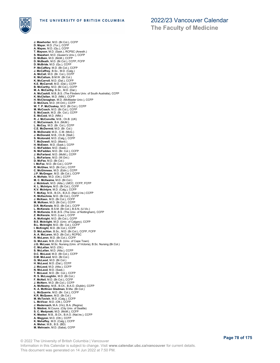

**J. Mawhorter**, M.D. (Br.Col.), CCFP **D. Mayer**, M.D. (Tor.), CCFP **A. Mayes**, M.D. (Qu.), CCFP **T. Mayson**, M.D. (Sask.), RCPSC (Anesth.) **S. Mazaheri**, M.D. (Queen's Univ.), CCFP **D. McBain**, M.D. (McM.), CCFP **D. McBeath**, M.D. (Br.Col.), CCFP, FCFP **D. McBride**, M.D. (Qu.), CCFP **P. McCaffery**, M.D. (Br.Col.), CCFP **J. McCaffrey**, B.Sc., M.D. (Calg.) **A. McCall**, M.D. (Br. Col.), CCFP **K. McCallum**, B.M.W. (Br.Col.) **K. McCarroll**, M.D. (Dal.), CCFP **K.E. McCarroll**, M.D. (Dal.), CCFP **B. McCarthy**, M.D. (Br.Col.), CCFP **M. A. McCarthy**, B.Sc., M.D. (Dal.). **A. McCaskill**, M.B.,B.S. (The Flinders Univ. of South Australia), CCFP **K. McClellan**, M.D. (Nfld.), CCFP **H. McClenaghan**, M.D. (McMaster Univ.), CCFP **D. McClure**, M.D. (W.Ont.), CCFP **W. T. P. McCluskey**, M.D. (Br.Col.), CCFP **M. McCoach**, M.D. (Br.Col.), CCFP **S. McCoach**, M.D. (Br. Col.), CCFP **E. McCoid**, M.D. (Nfld.) **R. J. McConville**, M.B., Ch.B. (UK) **C. McCormack**, B.A. (McM.) **L. McCoy**, M.D. (Br. Col.), CCFP **C.E. McDermid**, M.D. (Br. Col.) **B. McDonald**, M.D., C.M. (McG.) **J. McDonald**, M.B., Ch.B. (Stell.) **S. Mcdonald**, M.D. (Calg.), CCFP **T. McDowell**, M.D. (Manit.) **H. McEwen**, M.D. (Sask.), CCFP **C. McFadden**, M.D. (Sask.) **N. McFadden**, M.D. (Br. Col.), CCFP **J. McFarland**, M.D. (McM.), CCFP **L. McFarlane**, M.D. (W.Ont.) **D. McFee**, M.D. (Br.Col.) **I. McFee**, M.D. (Br.Col.), CCFP **R. McGhee**, M.D. (Br.Col.), CCFP **C. McGinness**, M.D. (Edin.), CCFP **J.P. McGregor**, M.D. (Br.Col.), CCFP **A. McHale**, M.D. (Ott.), CCFP **M. C. McIlwaine**, M.D. (Br.Col.)<br>**J. McIntosh**, M.D. (Alta.), LMCC, CCFP, FCFP<br>**K. L. McIntyre**, M.D. (Br.Col.), CCFP **K.V. McIntyre**, M.D. (Calg.), CCFP **T. McKay**, M.B., B.Ch., B.A.O. (Nat.U.Ire.) CCFP **K. McKechnie**, M.D. (Br.Col.), CCFP **J. McKeen**, M.D. (Br.Col.), CCFP **M. McKeen**, M.D. (Br.Col.), CCFP **D.R. McKenzie**, M.D. (Br.Col.), CCFP **L. McKenzie**, B.S.M. (Br.Col.), B.S.N. (U.Vic.) **R. McKenzie**, B.M.,B.S. (The Univ. of Nottingham), CCFP **Z. McKenzie**, M.D. (Laur.), CCFP **A. McKnight**, M.D. (Br.Col.), CCFP **B.E. Mcknight**, M.D. (Univ. of Calgary), CCFP **B.L. Mcknight**, M.D. (Br. Col.), CCFP **I. McKnight**, M.D. (Br.Col.), CCFP **D. McLachlan**, B.Sc., M.D. (Br.Col.), CCFP, FCFP **A. A. McLaren**, M.D. (Br.Col.), RCPSC **R. McLaren**, M.D. (Br.Col.), CCFP **G. McLean**, M.B.,Ch.B. (Univ. of Cape Town) **J.G. McLean**, M.Sc. Nursing (Univ. of Victoria), B.Sc. Nursing (Br.Col.) **C. McLellan**, M.D. (Ott.) **S. McLellan**, M.D. (Alta.), CCFP **D.C. McLeod**, M.D. (Br.Col.), CCFP **D.M. McLeod**, M.D. (Br.Col.) **G. McLeod**, M.D. (Br.Col.) **H. McLeod**, M.D. (Dal.), CCFP **J. McLeod**, M.D. (Alta.), CCFP **N. McLeod**, M.D. (Sask.) **T. McLeod**, M.D. (Br. Col.), CCFP **R. S. McLoughlin**, M.D. (Br.Col.) **F. McNeil**, M.D. (Br.Col.), CCFP **J. McNern**, M.D. (Br.Col.), CCFP **A. McNestry**, M.B., B.Ch., B.A.O. (Dublin), CCFP **K. A. McNiven Gladman**, B.Mw. (Br.Col.) **L. McQuarrie**, M.D. (Br. Col.), CCFP **K.R. McQueen**, M.D. (Br.Col.) M. McTavish, M.D. (Calg.), CCFP<br>L. McVicar, M.D. (Ott.), CCFP<br>J. Medernach, M.A. (Vic), B.A. (Regina)<br>**S. Médiné,** M.Couns. (City Univ. of Seattle)<br>**S. C. Medynski,** M.D. (McM.), CCFP<br>**K. Meeker,** M.B., B.C.h., B.A.O. (Nat **A. Megyesi**, M.D. (Ott.), CCFP **K. Mehaffey**, M.D. (Calg.), CCFP **A. Meher**, M.B., B.S. (BD) **M. Mehraein**, M.D. (Saba), CCFP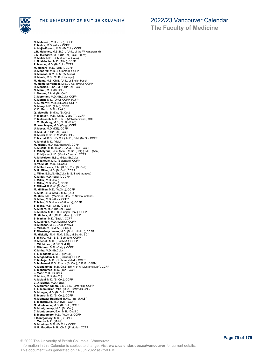



**J.B. Melamed**, M.B.,B.Ch. (Univ. of the Witwatersrand) **J-M. Melegrito**, M.D. (Br.Col.), CCFP (EM) **R. Melek**, M.B.,B.Ch. (Univ. of Cairo) **H. Mentz**, M.B., Ch.B. (Limpopo) **M. Mentz**, M.B.,Ch.B. (Univ. of Stellenbosch) **M. Mentz-Serfontein**, M.B., Ch.B. (Pret.), CCFP **P. Methven**, M.B., Ch.B. (Cape T.), CCFP **P. Metrowich**, M.B., Ch.B. (Witwatersrand), CCFP **J. M. Meyburg**, M.B., Ch.B. (S.Af.)

- **M. Wm. Meyer**, M.D. (Calg.),CCFP **U. Meyer**, M.D. (DE), CCFP **R. Mia**, M.D. (Br.Col.), CCFP **C. Miceli**, B.Sc., B.M.W (Br.Col.) **P. Michal**, B.Sc. (Br.Col.), M.D., C.M. (McG.), CCFP **A. Michel**, M.D. (McM.) **M. Michel**, M.D. (St.Andrews), CCFP **K. Mieske**, M.B., B.Ch., B.A.O. (N.U.I.), CCFP **T. Mihalynuk**, B.Sc. (Alta.), M.Sc. (Calg.), M.D. (Alta.)
- **J. R. Mijares**, M.D. (Manila Central), CCFP **A. Mikkelson**, B.Sc. Midw. (Br.Col.)
- **S. Milanovic**, M.D. (Belgrade), CCFP

**N. Mehraein**, M.D. (Tor.), CCFP **P. Mehta**, M.D. (Alta.), CCFP **A. Mejia-French**, M.D. (Br.Col.), CCFP

**L. N. Meloche**, M.D. (Alta.), CCFP **P. Memar**, M.D. (Br.Col.), CCFP **M. Menard**, M.D. (McM.), CCFP **D. Mendrek**, M.D. (St.James), CCFP **B. Mensah**, R.M., R.N. (W.Africa)

**R. Menzies**, B.Sc., M.D. (Br.Col.), CCFP **N. Merali**, M.D. (Br.Col.)

**L. Mercer**, B.Mid. (Br. Col.) **C. Merchant**, M.D. (Br.Col.), CCFP **K. Merritt**, M.D. (Ont.), CCFP, FCFP **K. D. Merritt**, M.D. (Br.Col.), CCFP **D. Merry**, M.D. (Alta.), CCFP **K. D. Merth**, M.D. (Sask.) **Q. Metcalfe**, B.M.W. (Br.Col.)

- **R. W. Milde**, M.D. (Br.Col.) **K. Millar-Lewis**, R.M. (U.S.), R.N. (Br.Col.)
- 
- **D. R. Miller**, M.D. (Br.Col.), CCFP **J. Miller**, B.Sc.N. (Br.Col.), M.S.N. (Athabasca) **K. Miller**, M.D. (Sask.), CCFP
- **L. Miller**, M.D. (Dal.) **L. Miller**, M.D. (Dal.), CCFP
- **F. Millerd**, B.M.W. (Br.Col.)
- **M. Milliken**, M.D. (W.Ont.), CCFP **K. Mills**, B.Sc. (Alta.), M.D. (Qu.)
- **M. Mills**, M.D. (Memorial Univ. of Newfoundland)
- **D. Milne**, M.D. (Alta.), CCFP **E. Milne**, M.D. (Univ. of Alberta), CCFP **S. Milne**, M.B., Ch.B. (Cape T.)
- 
- **A. Miners**, M.D. (Br.Col.), CCFP **K. Minhas**, M.B.,B.S. (Punjab Univ.), CCFP
- **M. Minhas**, M.B.,Ch.B. (Manc.), CCFP
- **S. Minhas**, M.D. (Sask.), CCFP **K. L. Minish**, M.D. (Manit.), CCFP
- **R. Minnaar**, M.B., Ch.B. (Witw.)
- **J. Mirashiro**, B.M.W. (Br.Col.) **Z. Miroshnychenko**, M.D. (D.H.L.N.M.U.), CCFP
- **M. Miskelly**, R.N., R.M. B.Sc., M.Sc. (N. BC.)
- **S. Mistry**, M.B., B.S. (Bombay), CCFP **R. Mitchell**, M.D. (Ural M.A.), CCFP
- **J. Mitchinson**, M.B.B.S. (UK)
- 
- **L. Mitchner**, M.D. (Calg.), CCFP **K. Mitha**, M.D. (Br.Col.)
- 
- **T. L. Mogentale**, M.D. (Br.Col.) **A. Moghadam**, M.D. (Poznan), CCFP **P. Mohajer**, M.D. (St. James Med.), CCFP
- **S. Mohamed**, B.Sc.Pharm (Br.Col.), D.P.M. (CSPM)
- **A. Mohammad**, M.B.,Ch.B. (Univ. of Al-Mustansiriyah), CCFP **S. Mohammed**, M.D. (Tor.), CCFP
- 
- 
- 
- J. Mohr, M.D. (Br.Col.)<br>R. Moise, M.D. (McM.)<br>A. Moise, M.D. (McM.)<br>C. J. Molder, M.D. (Sr.Col.), CCFP<br>C. J. Molder, M.D. (Sask.)<br>A. Mommen-Smith, B.M., B.S. (Limerick), CCFP<br>D. Mongar, M.D. (Br.Col.), CCFP<br>D. Mongar, M.D.
- 
- 
- 
- 
- 
- 
- **B. Montgomery**, M.D. (Br. Col.)<br>**C. Montgomery**, B.A., M.B. (Dublin)<br>**E. Montgomery**, M.D. (W.Ont.), CCFP<br>**I. Montgomery**, M.D. (Br. Col.)<br>**J. Montis**, M.D. (McM.)
- 
- 
- **D. Montoya**, M.D. (Br.Col.), CCFP **N. P. Moodley**, M.B., Ch.B. (Pretoria), CCFP
- © 2022 The University of British Columbia | Vancouver Information in this Calendar is subject to change. Visit **www.calendar.ubc.ca/vancouver** for current details. This document was generated on 14 Jun 2022 at 7:50 PM.

# 2022/23 Vancouver Calendar

**The Faculty of Medicine**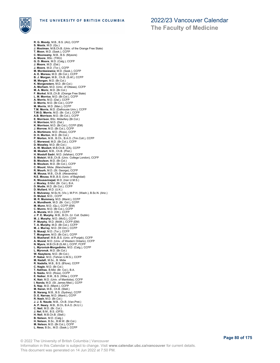

**R. G. Moody**, M.B., B.S. (AU), CCFP **S. Moola**, M.D. (Qu.) **J. Moolman**, M.B,Ch.B. (Univ. of the Orange Free State) **T. Moon**, M.D. (Sask.), CCFP **C. Moonsamy**, M.B., B.S. (Mysore) **A. Moore**, BSc. (TWU) G. D. Moore, M.D. (Calg.), CCFP<br>J. Moore, M.D. (Dal.)<br>J. Moore, M.D. (Tor.), CCFP<br>M. Mordasiewicz, M.D. (Sask.), CCFP<br>A. E. Moreau, M.D. (Br.Col.), CCFP<br>B. J. Morgan, M.B. (Ch.B. (S.Af.), CCFP<br>M. Morganstern, M.D. (Br.Col. **A. Morham**, M.D. (Univ. of Ottawa), CCFP<br>**M. A. Moric**. M.D. (Br.Col.) **M. A. Moric**, M.D. (Br.Col.)<br>**F. Morkel**, M.B.,Ch.B. (Orange Free State)<br>**L. M. Morrice**, M.D. (Br.Col.), CCFP<br>**A. Morris**, M.D. (Br.Col.), CCFP<br>**D. Morris**, M.D. (Br.Col.), CCFP **M. Morris**, M.D. (Man.), CCFP **T.M. Morris**, M.D. (Dalhousie Univ.), CCFP **T.W.G. Morris**, M.D. (Br. Col.), CCFP **A.B. Morrison**, M.D. (Br.Col.), CCFP **E. Morrison**, BSc. Midwifery (Br.Col.) **H. Morrison**, M.D. (Dal.) **K. Morrison**, M.D. (Br.Col.), CCFP (EM) **J. Morrow**, M.D. (Br.Col.), CCFP **A. Mortimore**, M.D. (Ross), CCFP **D. H. Morton**, M.D. (Br.Col.) **P. Morton**, M.B., B.Ch., B.A.O. (Trin.Coll.), CCFP **C. Morwood**, M.D. (Br.Col.), CCFP **D. Moseley**, M.D. (Br.Col.) **A. W. Mostert**, M.B.Ch.B. (ZA), CCFP **M. Mostert**, M.B., Ch.B. (Pret.) **H. Mostofi Sadri**, M.D. (Isfahan), CCFP **S. Motsiri**, M.B.,Ch.B. (Univ. College London), CCFP **B. Moulson**, M.D. (Br.Col.) **B. Moulson**, M.D. (Br.Col.), CCFP **C. Mount**, Midw. (Manchester) **R. Mourh**, M.D. (St. George), CCFP **M. Mousa**, M.B., Ch.B. (Alexandria) **N.E. Mousa**, M.B.,B.S. (Univ. of Baghdad) **K. Mousavinejad**, M.D. (Iran U.M.S.) **J. Moxley**, B.Mid. (Br. Col.), B.A. **D. Mudie**, M.D. (Br.Col.), CCFP **D. Mullard**, M.D. (U.K.) **E. Mulvaney**, M.Sc.N. (Vic.), M.P.H. (Wash.), B.Sc.N. (Ariz.) **D. Mulzet**, M.D., CCFP **M. R. Mummery**, M.D. (Manit.), CCFP **A. Mundhenk**, M.D. (Br. Col.), CCFP **M. Munn**, M.D. (Qu.), CCFP (EM) **C. Munro**, M.D. (Br.Col.), CCFP **A. Murata**, M.D. (Ott.), CCFP **J. P. E. Murphy**, M.B., B.Ch. (U. Coll. Dublin) **M. J. Murphy**, M.D. (McG.), CCFP **P. Murphy**, M.D. (McM.), CCFP (EM) **T. A. Murphy**, M.D. (Br.Col.), CCFP **M. J. Murray**, M.D. (W.Ont.), CCFP **S. Musaji**, M.D. (Tor.), CCFP **T. Musgrave**, M.D. (Br.Col.), CCFP **S. Musharaf**, M.B.,B.S. (Univ. of Punjab), CCFP **A. Musial**, M.D. (Univ. of Western Ontario), CCFP **N. Myers**, M.B.Ch.B (S.Afr.), CCFP, FCFP **L. Myroniuk-Morgadinho**, M.D. (Calg.), CCFP **L. Myronuk**, M.D. (Br.Col.) **W. Naaykens**, M.D. (Br.Col.) **P. Nabai**, M.D. (Tehran U.M.S.), CCFP **M. Nadafi**, M.Sc., B. Midw **R. Nadella**, M.B., B.S. (B'lore), CCFP **C. Nagle**, M.D. (Br.Col.) **T. Nahhas**, B.Mid. (Br. Col.), B.A. **S. Naidu**, M.D. (Ross), CCFP **E. Naiker**, B.M., B.S. (Witw.), CCFP **K. Nair**, M.D. (Univ. of Manitoba), CCFP **I. Nanda**, M.D. (St. James Med.), CCFP **S. Nap**, M.D. (Manit.), CCFP **M. Naran**, M.B., Ch.B. (Stell.) **B. Narang**, M.B., B.S. (Sydney), CCFP **D. E. Narvas**, M.D. (Manit.), CCFP **R. Nash**, M.D. (Br.Col.) **J. J. S. Naude**, M.B., Ch.B. (Van.Pret.) **A. P. Neary**, M.B., B.Ch, B.A.O. (N.U.I.) **C. Neil**, M.D. (Br. Col.) **J. Nel**, B.M., B.S. (OFS) **H. Nell**, M.B.Ch.B. (Stell.) **B. Nelson**, M.D. (Calg.) **H. Nelson**, B.Sc., B.M.W. (Br.Col.) **M. Nelson**, M.D. (Br.Col.), CCFP **L. Ness**, B.Sc., M.D. (Sask.), CCFP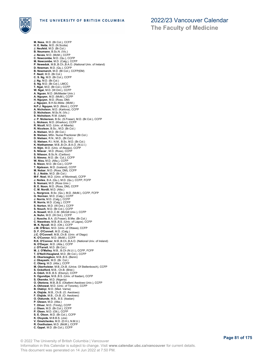

**The Faculty of Medicine**

**M. Ness**, M.D. (Br.Col.), CCFP **H. E. Nette**, M.D. (N.Scotia) **J. Neufeld**, M.D. (Br.Col.) **B. Neumann**, B.Sc.N. (Vic.) **J. Neves**, M.D. (McM.), CCFP **C. Newcombe**, M.D. (Qu.), CCFP **M. Newcombe**, M.D. (Calg.), CCFP **P. Neweduk**, M.B.,B.Ch.,B.A.O. (National Univ. of Ireland) **D. Newman**, M.D. (Qu.), CCFP **B. Newmarch**, M.D. (Br.Col.), CCFP(EM) **F. Nezil**, M.D. (Br.Col.) **C. S. Ng**, M.D. (Br.Col.), CCFP **J. Ng**, M.D. (Br.Col.) **S. Ng**, M.D. (Br.Col.), LMCC **T. Ngai**, M.D. (Br.Col.), CCFP **W. Ngai**, M.D. (W.Ont.), CCFP **A. Nguan**, M.D. (McMaster Univ.) **A. Nguyen**, M.D. (McM.), CCFP **H. Nguyen**, M.D. (Ross, DM) **J. Nguyen**, B.H.Sc.Midw. (McM.) **N.P.J. Nguyen**, M.D. (Mont.), CCFP **A. Nicholson**, M.D. (Karlova), CCFP **D. Nicholson**, M.Sc.N. (Vic.) **S. Nicholson**, R.M. (Utah) **J. P. Nickerson**, B.Sc. (S.Fraser), M.D. (Br.Col.), CCFP **L. Nickson**, M.D. (Kharkov), CCFP **R. Nicoll**, M.D. (Univ. of Alberta) **R. Nicolson**, B.Sc., M.D. (Br.Col.) **A. Nielsen**, M.D. (Br.Col.) **B. Nielsen**, MSn. Nurse Practioner (Br.Col.) **D. Nielsen**, R.N., M.D., (Br.Col.) **G. Nielsen**, R.I. N.M., B.Sc, M.D. (Br.Col.) **K. Niethammer**, M.B.,B.Ch.,B.A.O. (N.U.I.) **H. Nijm**, M.D. (Univ. of Aleppo), CCFP **S. Nilavar** , M.D. (Ross), CCFP **S. Nilsson**, B.Sc.N. (Cariboo) **S. Nimmo**, M.D. (Br. Col.), CCFP **W. Niou**, M.D. (Alta.), CCFP **S. Nixon**, M.D. (Br.Col.), CCFP **T. Njalsson**, M.D. (Iceland), CCFP **M. Nobar**, M.D. (Ross, DM), CCFP **S. J. Noble**, M.D. (Br.Col.) **M-F. Noel**, M.D. (Univ. of Montreal), CCFP **J. Noiles**, B.A. (Qu.), M.D. (Qu.), CCFP, FCFP **S. Nomani**, M.D. (Ross Univ.) **B. E. Noon**, M.D. (Ross, DM), CCFP **C. M. Nordli**, M.D. (Alta.) **L. Norgrove**, B.Sc. (Qu.), M.D. (McM.), CCFP, FCFP **G. Norman**, M.D. (Calg.), CCFP **J. Norris**, M.D. (Calg.), CCFP **R. Norris**, M.D. (Calg.), CCFP **S. Norton**, M.D. (W.Ont.), CCFP **S. Nouch**, M.D. (Br.Col.), CCFP **A. Nowell**, M.D.,C.M. (McGill Univ.), CCFP **A. Nuhn**, M.D. (W.Ont.), CCFP **J. Nusche**, B.A. (S.Fraser), B.Mw. (Br.Col.) **C. Nwankwo**, M.B.,B.S. (Univ. of Lagos), CCFP **M. K. Nyvall**, M.D. (Ott.), CCFP **J.M. O'Brien**, M.D. (Univ. of Ottawa), CCFP **D. F. O'Connell**, M.D. (Calg.) **J.C. O'Connell**, M.B.,Ch.B. (Univ. of Otago) **K. O'Connor**, M.D. (McM.), CCFP **R.K. O'Connor**, M.B.,B.Ch.,B.A.O. (National Univ. of Ireland) **N. O'Dwyer**, M.D. (Alta.), CCFP **J. O'Farrell**, M.D. (Br.Col.) **M. J. O'Malley**, M.B., B.Ch (N.U.I.), CCFP, FCFP **T. O'Neill-Haugland**, M.D. (Br.Col.), CCFP **E. Obarisiagbon**, M.B.,B.S. (Benin) **J. Obayashi**, M.D. (Br. Col.) **C. Oberg**, M.D. (Alta.), CCFP **M. Oberholster**, M.B.,Ch.B. (Unive. Of Stellenbosch), CCFP **S. Ockelford**, M.B., Ch.B. (Brist.) A. Odoh, M.B.,B.S. (Ebonyi), CCFP<br>S. Ogundipe, M.B.,B.S. (Univ. of Ibadan), CCFP<br>S. Okereke, M.D. (Nigeria)<br>O. Oketona, M.B.,B.S. (Obafemi Awolowo Univ.), CCFP<br>A. Okhowat, M.D. (Univ. of Toronto), CCFP<br>B. Olajide, M.B., Ch **O. Olatunde**, M.B., B.S. (Ibadan) **P. Olesen**, M.D. (Alta.) **T. Oliver**, M.D. (Trinity), CCFP **J. Olsen**, M.D. (Br.Col.), CCFP **P. Olsen**, M.D. (Ott.), CCFP **S. E. Olson**, M.D. (Br.Col.), CCFP **K. Oluyede**, M.B.B.S. (Jos) **V. Omelchenko**, M.D. (D.H.L.N.M.U.) **R. Oosthuizen**, M.D. (McM.), CCFP **C. Oppel**, M.D. (Br.Col.), CCFP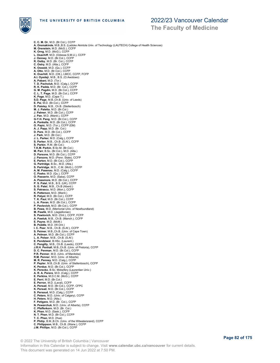

**The Faculty of Medicine**

**C. C. M. Or**, M.D. (Br.Col.), CCFP **A. Oremakinde**, M.B.,B.S. (Ladoke Akintola Univ. of Technology (LAUTECH) College of Health Sciences) **M. Orenstein**, M.D. (McG.), CCFP **K. Orng**, M.D. (McG.), CCFP **L. Osachiff**, M.D. (Odessa S.M.U.), CCFP J. Osiowy, M.D. (Br.Col.), CCFP<br>R. Ostby, M.D. (Br. Col.), CCFP<br>C. Ostry, M.D. (Alta.), CCFP<br>K. Oswald, M.D. (Qu.), CCFP<br>K. Oswald, M.D. (Qr.Col.), CCFP<br>K. Overhill, M.D. (Ott.), LMCC, CCFP, FCFP<br>A.I. Oyedeji, M.B., B.S. ( **S.D. Page**, M.B.,Ch.B. (Univ. of Leeds)<br>**E. Pai**, M.D. (Br.Col.), CCFP<br>**D. Paisley**, M.B., Ch.B. (Stellenbosch)<br>**M. J. Paletta**, M.D. (Br.Col.) **J. Palmer**, M.D. (Br.Col.), CCFP **J. Pan**, M.D. (Manit.), CCFP **G-Y.H. Pang**, M.D. (Br.Col.), CCFP **A. Pankalla**, M.D. (Br.Col.), CCFP **O. Papic**, M.D. (Tor.), CCFP (EM) **A. J. Papp**, M.D. (Br. Col.) **D. Pare**, M.D. (Br.Col.), CCFP **J. Park**, M.D. (Br.Col.) **J. L. Parker**, M.D. (Calg.), CCFP **S. Parker**, M.B., Ch.B. (S.Af.), CCFP **S. Parkin**, R.M. (Br.Col.) **T.K.M. Parkin**, B.Sc.M. (Br.Col.) **M. Parr**, B.Sc. (Br.Col.), M.D. (Alta.) **D. Parsons**, M.D. (Br.Col.), CCFP **J. Parsons**, M.D. (Penn. State), CCFP **E. Parton**, M.D. (Br.Col.), CCFP **G. Partridge**, B.Sc., M.D. (Alta.) **S. Partridge**, M.D., C.M. (McG.), CCFP **A. M. Pasenau**, M.D. (Calg.), CCFP **C. Pasko**, M.D. (Qu.), CCFP **O. Passerin**, M.D. (Saba), CCFP **A. Passmore**, M.D. (Br.Col.), CCFP **P. S. Patel**, M.B., B.S. (UK), CCFP **S. G. Patel**, M.B., Ch.B (Aberd.) **S. Patrascu**, M.D. (Mon.), CCFP **K. Patterson**, M.D. (Manit.) **R. Patyal**, M.D. (Br.Col.), CCFP **T. K. Paul**, M.D. (Br.Col.), CCFP **L. A. Pavan**, M.D. (Br.Col.), CCFP **P. Pavlovich**, M.D. (Br.Col.), CCFP **B. Pawa**, M.D. (Memorial Univ. of Newfoundland) **M. Pawlik**, M.D. (Jagiellonian) **S. Pawlovich**, M.D. (Ont.), CCFP, FCFP **A. Pawluk**, M.B., Ch.B. (Manch.), CCFP **E. Payne**, M.D. (McM.) **B. Peddle**, M.D. (W.Ont.) **I. C. Peer**, M.B., Ch.B. (S.Af.), CCFP **S. Peimer**, M.B.,Ch.B. (Univ. of Cape Town) **A. Pelman**, M.D. (Br.Col.), CCFP **L. A. Pelser**, M.B., Ch.B. (S.Af.) **E. Pendziwol**, B.HSc. (Laurent.) **C. Pengilly**, M.B., Ch.B. (Leeds), CCFP **J.R.H. Penhall**, M.B.,Ch.B. (Univ. of Pretoria), CCFP **D. C. Penman**, M.D. (Br.Col.), CCFP **P.R. Penner**, M.D. (Univ. of Manitoba) **R.M. Penner**, M.D. (Univ. of Alberta) **M. R. Penney**, M.D. (Calg.), CCFP **P. Pepler**, M.B.,Ch.B. (Univ. of Stellenbosch), CCFP **K. Perdue**, M.D. (Br.Col.), CCFP **K. Perecko**, B.Sc. Midwifery (Laurentian Univ.) **A. R. A. Perera**, M.D. (Calg.), CCFP **E. Perkins**, M.D.C.M. (McG.), CCFP **E. Perri**, M.D. (Br.Col.) **E. Perron**, M.D. (Laval), CCFP **A. Persad**, M.D. (Br.Col.), CCFP, CFPC **K. Persad**, M.D. (Br.Col.), CCFP **S. Persaud**, M.D. (Calg.), CCFP<br>**C. Peters**, M.D. (Univ. of Calgary), CCFP<br>**H. Peters**, M.D. (Ata.)<br>**F. Petigara**, M.D. (Br. Col.), CCFP **N. Pewarchuk**, M.D. (Univ. of Alberta), CCFP **C. Pfefferkorn**, M.D. (Br. Col.) **K. Phan**, M.D. (Sask.), CCFP **N. T. Phan**, M.D. (Br.Col.), CCFP **T. C. Phan**, M.D. (Hue) **P. Philip**, B.M.,B.Ch. (Univ. of the Witwatersrand), CCFP **C. Philippson**, M.B., Ch.B. (Warw.), CCFP **J.M. Phillips**, M.D. (Br.Col.), CCFP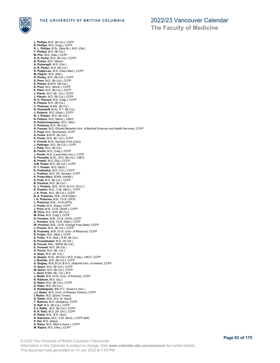

**L. Phillips**, M.D. (Br.Col.), CCFP **R. Phillips**, M.D. (Calg.), CCFP **R. L. Phillips**, B.Sc. (New Br.), M.D. (Dal.) **T. Phillips**, M.D. (Br.Col.)<br>**M. Pho,** M.D. (Alta.), CCFP<br>**D. R. Pichie**, M.D. (Br.Col.), CCFP<br>**B. Picken,** M.D. (Manit.)<br>**A. Rickersgil**l, M.D. (Br.Col.)<br>**A. R. Picton**, M.D. (Br.Col.) **R. Pilapil-Lee**, M.D. (Cebu Med.), CCFP **M. Pilgrim**, M.D. (Alta.) **R. Pinsky**, M.D. (Br.Col.), CCFP **S. Pires**, M.D. (Br.Col.), CCFP **E. Pitman**, B.M.W. (Br.Col.) **A. Piver**, M.D. (Montr.), CCFP **E. Plant**, M.D. (Br.Col.), CCFP **J. Plante**, M.D. (Br. Col.), CCFP **J. Plavsic**, M.D. (Br.Col.), CCFP **B. G. Plecash**, M.D. (Calg.), CCFP **A. Plessis**, M.D. (Br.Col.) **C. Plohman**, B.Mw. (Br.Col.) **N. Plotnikoff**, M.Sc. P.T. (Br.Col.) **J. Podavin**, M.D. (Sask.), CCFP **B. J. Poelzer**, M.D. (Br.Col.) **N. Pollock**, M.D. (Manit.), LMCC **S. Polyhronopoulos**, M.D. (Alta.) **C. Pomeroy**, M.D. (Br.Col.) **N. Pooyan**, M.D. (Shahid Beheshti Univ. of Medical Sciences and Health Services), CCFP **C. Popa**, M.D. (Bucharest), CCFP **A. Porter**, B.M.W. (Br.Col.) **K. Porter**, M.D. (Br. Col.), CCFP **V. Portnik**, B.Sc. Nursing (York (Can)) **J. Pottinger**, M.D. (Br.Col.), CCFP **J. Potts**, M.D. (Br.Col.) **B. Poulin**, M.D. (Calg.), CCFP **J. Poulin**, M.D. (Laurentian Univ.), CCFP **A. Pousette**, B.Sc., M.D. (Br.Col.), LMCC **R. Powell**, M.D. (Dal.), CCFP **A.M. Power**, M.D. (Br.Col.), CCFP **D. T. Powter**, M.D. (McG.) **K. Prabhakar**, M.D. (Tor.), CCFP **L. Pradhan**, M.D. (St. George), CCFP **K. Prass-Aksu**, B.Mid. (Heidel.) **A. Pratt**, M.D. (Br.Col.), CCFP **B. Prentice**, M.D. (Br.Col.) **A. J. Preston**, M.B., B.Ch.,B.A.O. (N.U.I.) **E. Preston**, M.D., C.M. (McG.), CCFP **J. K. Preto**, M.D. (Br.Col.), CCFP **B. A. Pretorius**, M.B., Ch.B (Stell.) **I. G. Pretorius**, M.B., Ch.B. (OFS) **L. Pretorius**, M.B., Ch.B (OFS) **C. Pretto**, M.D. (Saba), CCFP **J. Price**, M.B., Ch.B. (Sheff.), CCFP **M. Price**, B.A., B.M. (Br.Col.) **M. Prins**, M.D. (Calg.), CCFP **G. Prinsloo**, M.B., Ch.B. (OFS), CCFP **L. Prinsloo**, M.B. Ch.B. (Stell.), CCFP **W. Prinsloo**, M.B., Ch.B. (Orange Free State), CCFP **J. Proctor**, M.D. (Br.Col.), CCFP **B. Prozesky**, M.B.,Ch.B. (Univ. of Medunsa), CCFP **R. Pullan**, M.D. (Man.), CCFP **S. Pullin**, R.N. (Alta.), R.M. (Br.Col.) **R. Punambolam**, M.D. (W.Ont.) **B. Purcell**, BSc., MIDW (Br.Col.) **E. Purssell**, M.D. (Br.Col.) **A. Purvis**, M.D. (Br. Col.) **A. Quan**, M.D. (Br. Col.) **A. Quayle**, M.Sc. (Br.Col.), M.D. (Calg.), LMCC, CCFP **J. Querido**, M.D. (Br.Col.), CCFP **S. Quigley**, M.B.,B.Ch.,B.A.O. (National Univ. of Ireland), CCFP **H. Quinn**, M.D. (Br.Col.), CCFP **M. Quinn**, M.D. (Br.Col.), CCFP **L. Quirt**, B.Mid. (Br. Col.), B.A. **J. Raath**, M.B.,Ch.B. (Univ. of Pretoria), CCFP **N. Rabbani**, M.D. (Qu.) **S. Raber**, M.D. (Br.Col.), CCFP **G. Rabu**, M.D. (Br.Col.) **S. Raddalgoda**, BSc.P.T. (Queen's Univ.) **J.J. Rader**, M.D. (Univ. of Western Ontario), CCFP **I. Radev**, M.D. (Santo Tomas) **G. Radhi**, M.B., B.S. (K. Saud) **T. Radovic**, M.D. (Sarajevu), CCFP **D. Raff**, M.D. (Br.Col.), CCFP **V.J. Raffle** , M.D. (Br.Col.), CCFP **N. R. Rafo**, M.D. (W. Ont.), CCFP **K. Rahal**, M.B., B.S. (Syd.) **N. Rahnema**, M.D., C.M. (McG.), CCFP (EM) **P. Rai**, M.D. (Saba) **S. Raina**, M.D. (Med.U.Amer.), CCFP **M. Rajora**, M.D. (Alta.), CCFP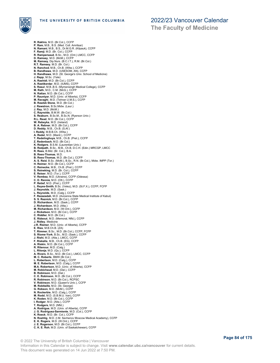

**R. Rakhra**, M.D. (Br.Col.), CCFP **P. Ram**, M.B., B.S. (Med. Coll. Amritsar) **N. Ramani**, M.B., B.S., Dr.M.G.R. (Kilpauk), CCFP **F. Ramji**, M.D. (Br. Col.), CCFP **R. Rampersaud**, B.Sc., M.D. (Ont.) LMCC, CCFP D. Ramsey, M.D. (McM.), CCFP<br>M. Ramsey, Dip.Nurs. (B.C.I.T.), R.M. (Br.Col.)<br>R.T. Ramsey, M.D. (Br. Col.)<br>N. Ranchod, M.B., Ch.B. (Witw.), CCFP<br>B. Randhawa, M.D. (USESOM, AN), CCFP<br>H. Randhawa, M.D. (St. George's Univ. Sch **J. Rapp**, M.Sc. (Yale) **A. Rashidi**, M.D. (Br.Col.), CCFP **A. Rastikerdar**, M.D. (IUMS), CCFP **S. Rasul**, M.B.,B.S. (Mymensingh Medical College), CCFP **M. Rath**, M.D., C.M. (McG.), CCFP **N. Rattan**, M.D. (Br.Col.), CCFP **P. Rauniyar**, M.D. (Univ. of Alberta), CCFP **M. Ravaghi**, M.D. (Tehran U.M.S.), CCFP **B. Rawlek Stone**, M.D. (Br.Col.) **J. Rawstron**, B.Sc.Midw. (Laur.) **J. Ray**, M.D. (McM.) **C. Raynolds**, B.M.W. (Br.Col.) **S. Reaburn**, B.Sc.M., B.Sc.N. (Ryerson Univ.) **R.L. Read**, M.D. (Br.Col.), CCFP **W. Rebeyka**, M.D. (Ireland) **B. A. Rebner**, M.D. (Br.Col.), CCFP **D. Reddy**, M.B., Ch.B. (S.Af.) **I. Reddy**, M.B.B.Ch. (Witw.) **A. Redel**, M.D. (Manit.), CCFP **T. Redelinghuys**, M.B., Ch.B. (Pret.), CCFP **Z. Redenbach**, M.D. (Br.Col.) **K. Redgers**, B.S.M. (Laurentian Univ.) **B. Redpath**, B.Sc., M.B., Ch.B, D.C.H. (Edin.) MRCGP, LMCC **R. Rees**, B.Mid. (Br. Col.), B.A. **B. Rees-Thomas**, M.D. **B. Rees-Thomas**, M.D. (Br.Col.), CCFP **A. S. Reid**, B.Sc. (McM.), B.Sc., R.N. (Br.Col.), Midw. IMPP (Tor.) **H. Reimer**, M.D. (Br.Col.), CCFP **C. Reinecke**, M.B., Ch.B. (Pret.), CCFP **S. Reineking**, M.D. (Br. Col.), CCFP **E. Reiser**, M.D. (Tor.), CCFP **V. Rembez**, M.D. (Ukraine), CCFP (Odessa) **C. D. Rennie**, M.D. (Ott.), CCFP **P. Retief**, M.D. (Pret.), CCFP **L. Reyes-Smith**, B.Sc. (Velez), M.D. (St.F.X.), CCFP, FCFP **J. Reynolds**, M.D. (Sask.) **L. Reynolds**, M.D. (Calg.), CCFP **F. Rezazadah**, M.D. (Avicenna State Medical Institute of Kabul) **S. S. Reznick**, M.D. (Br.Col.), CCFP **D. Richardson**, M.D. (Sask.), CCFP **J. Richardson**, M.D. (Alta.) **M. Richardson**, M.D. (W.Ont.), CCFP **J. Ricketson**, M.D. (Br.Col.), CCFP **C. Riddler**, M.D. (Br.Col.) **E. Rideout**, M.D. (Memoral, Nfld.), CCFP **J. Ridley**, Medicine **J.R. Riemer**, M.D. (Univ. of Alberta), CCFP **E. Ries**, M.B.Ch.B. (ZA) **T. Rimmer**, B.Sc., M.D. (Br.Col.), CCFP, FCFP **S. Riome-York**, B.Sc., M.D. (Sask.), CCFP **J. Rishi**, M.D. (Alta.), LMCC, CCFP **F. Riskalla**, M.B., Ch.B. (EG), CCFP **A. Riskin**, M.D. (Br.Col.), CCFP R. Ritenour, M.D. (Calg.)<br>L. Ritonja, M.D. (Qu.), CCFP<br>A. Rivers, B.Sc., M.D. (Br.Col.), LMCC, CCFP<br>M. C. Roberts, BMW (Br.Col.)<br>L. Robertson, M.D. (Calg.), CCFP<br>M. E. Robertson, M.D. (Calg.), CCFP<br>M. Robichaud, M.D. (Dal. **B. Robinson**, M.D. (Dal.)<br>**C. E. Robinson**, M.D. (Br.Col.), CCFP<br>**R. Robinson**, M.D. (Br.Col.), RCPSC<br>**V. Robinson**, M.D. (Queen's Univ.), CCFP<br>**M. Robitaille**, M.D. (St. George) **G. Robson**, M.D. (McM.), CCFP **N. Rockerbie**, M.D. (Calg.), CCFP **M. Rodd**, M.D. (S.B.M.U. Iran), CCFP **K. Roden**, M.D. (Br.Col.), CCFP **I. Rodger**, M.D. (Alta.), CCFP **T. Rodgers**, M.D. (Nfld.) **A. Rodrigue**, M.D. (Univ. of Alberta), CCFP **J. G. Rodriguez-Sarmiente**, M.D. (Col.), CCFP **K. Roeck**, M.D. (Br. Col.), CCFP **N. Roehlig**, M.D. (I.M. Sechenov Moscow Medical Academy), CCFP **E. K. Rogers**, M.D. (W.Ont.), CCFP **J. E. Rogerson**, M.D. (Br.Col.), CCFP **C. K. E. Roh**, M.D. (Univ. of Saskatchewan), CCFP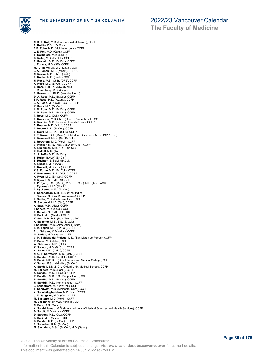

**C. K. E. Roh**, M.D. (Univ. of Saskatchewan), CCFP **P. Rohlfs**, B.Sc. (Br.Col.) **S.E. Rohn**, M.D. (McMaster Univ.), CCFP **J. E. Roll**, M.D. (Calg.), CCFP **S. Rollheiser**, M.D. (Sask.) **D. Rollo**, M.D. (Br.Col.), CCFP **R. Romain**, M.D. (Br.Col.), CCFP **J. Romey**, M.D. (SE), CCFP **M. -C. Romulus**, M.D. (Laval), CCFP **J. A. Ronald**, M.D. (Manit.), RCPSC **C. Rooke**, M.B., Ch.B. (Stell.) **E. Rooke**, M.D. (Sask.), CCFP **H. Roos**, M.B., Ch.B. (OFS), CCFP **A. Rose**, M.D. (Br.Col.), CCFP **L. Rose**, B.H.Sc. Midw. (McM.) **J. Rosenberg**, M.D. (Calg.) **C. Rosenblatt**, Ph.D. (Yeshiva Univ. ) **D. A. Ross**, M.D. (Br.Col.), CCFP **E.P. Ross**, M.D. (W.Ont.), CCFP **J. A. Ross**, M.D. (Qu.), CCFP, FCFP **K. Ross**, M.D. (Br.Col.) **L. M. Ross**, M.D. (Br.Col.), CCFP **L. M. Ross**, M.D. (Br.Col.), CCFP **T. Ross**, M.D. (Dal.), CCFP **P. Rossouw**, M.B.,Ch.B. (Univ. of Stellenbosch), CCFP **A. Rounis** , M.D. (Rosalind Franklin Univ.), CCFP **S. Rourke**, M.D. (Nfld.), CCFP **T. Routtu**, M.D. (Br.Col.), CCFP **E. Roux**, M.B., Ch.B. (OFS), CCFP **L. T. Rowat**, B.A. (Mass.), CPM Mdw. Dip. (Tex.), Midw. IMPP (Tor.) **K. Rowswell**, M.Sc. (Nor.Br.Col.) **L. Rowthorn**, M.D. (McM.), CCFP **C. Rucker**, B.I.S. (Wat.), M.D. (W.Ont.), CCFP **A. Ruddiman**, M.B., Ch.B. (Witw.) **D. Ruffell**, M.D. (Tor.) **C. J. Ruffo**, M.D. (Br.Col.) **S. Ruley**, B.M.W. (Br.Col.) **E. Rushton**, B.Sc.M. (Br.Col.) **A. Russell**, M.D. (Alta.) **P. Russell**, M.D. (Tor.), CCFP **K.S. Ruthe**, M.D. (Br. Col.), CCFP **K. Rutherford**, M.D. (McM.), CCFP **A. Ryan**, M.D. (Br. Col.), CCFP **C. Ryan**, B.Sc., M.D. (Br.Col.) **P. P. Ryan**, B.Sc. (McG.), M.Sc. (Br.Col.), M.D. (Tor.), ACLS **J. Ryckman**, M.D. (Manit.) **T. Rypkema**, M.Ed. (Br.Col.) **S. Sabanathan**, M.B., B.S. (West Indies) **J. Saczek**, M.D. (A.M. Warszawie), CCFP **L. Sadler**, M.D. (Dalhousie Univ.), CCFP **M. Sadouski**, M.D. (Qu.), CCFP **A. Sadr**, M.D. (Alta.), CCFP **I. Sahota**, M.D. (Calg.), CCFP **P. Sahota**, M.D. (Br.Col.), CCFP **H. Said**, M.D. (McM.), CCFP **K. Saif**, M.B., B.S. (Bah. Zak. U., PK) **A. Saincher**, M.B., B.S. (S. Guj.) **I. Sainchuk**, M.D. (Alma Atinskij State) **K. K. Sajjan**, M.D. (Br.Col.), CCFP **T. J. Sakaluk**, M.D. (Alta.), CCFP **N. Sakian**, M.D. (Saba), CCFP **C. K. Saldana del Pielago**, M.D. (San Martin de Porres), CCFP **R. Sales**, M.D. (Man.), CCFP **W. Salmaniw**, M.D. (Ont.) **K. Salmon**, M.D. (Br.Col.), CCFP **A. Salter**, M.D. (Calg.), CCFP **N. C. P. Salvaterra**, M.D. (McM.), CCFP **K. Sambor**, M.D. (Br. Col.), CCFP **N. Samir**, M.B.B.S. (Dow International Medical College), CCFP **V. Samur**, B.Sc. Midwifery (Br.Col.) **A. Sandell**, B.M.,B.Ch. (Oxford Univ. Medical School), CCFP **M. Sanders**, M.D. (Sask.), CCFP **A. Sandhu**, M.D. (Br.Col.), CCFP **R. Sandhu**, M.B.,B.S. (Punjabi Univ.), CCFP **R. Sandhu**, M.D. (Br.Col.), CCFP **H. Sandrik**, M.D. (Komenskeho), CCFP **J. Sandstrom**, M.D. (W.Ont.), CCFP **S. Sandwith**, M.D. (McMaster Univ.), CCFP **A. Sanei-Moghaddam**, M.D. (Iran), CCFP **J. E. Sangster**, M.D. (Qu.), CCFP **M. Santerre**, M.D. (McM.), CCFP **M. Sapozhnikov**, M.D. (Vinnica), CCFP **N. Sara**, R.M. (Wash.) **A. Sarabi Jamab**, M.D. (Mashhad Univ. of Medical Sciences and Health Services), CCFP **D. Sarbit**, M.D. (Alta.), CCFP **D. Sargent**, M.D. (Qu.), CCFP **A. Sasi**, M.D. (Alfateh), CCFP **D. Sauder**, M.D. (Br.Col.), CCFP **C. Saunders**, R.M. (Br.Col.) **M. Saunders**, B.Sc., (Br.Col.), M.D. (Sask.)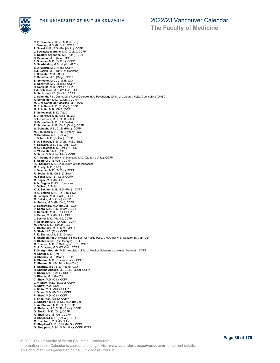

**The Faculty of Medicine**

**R. D. Saunders**, B.Sc., M.B. (Lond.) **J. Saunier**, M.D. (Br.Col.), CCFP **P. Sawal**, M.B., B.S. (Punjabi U.), CCFP **J. Sawatsky-Martens**, M.D. (Calg.), CCFP **S. Scaffidi Argentina**, M.D. (Ott.), CCFP **D. Scaman**, M.D. (Alta.), CCFP **F. Scanlan**, M.D. (Br.Col.), CCFP **S. Scarisbrick**, M.Sc.N. (Vic. (B.C.)) **B. J. Scarth**, M.D. (Tor.), CCFP **S.J. Scarth**, M.D. (Univ. of Manitoba) **L. Schaefer**, M.D. (Alta.) E. Schaffer, M.D. (Calg.), CCFP<br>B. Schecter, M.D., C.M. (McG.)<br>E. Scheffler, M.D. (Sask.), CCFP<br>R. Schielke, M.D. (Alta.), CCFP<br>T.A. Schissler, M.D. (W.Ont.), CCFP<br>B. Schlatter, M.D. (Manit.), CCFP **L. Schmidt**, R.N. Dip. (Mount Royal College), B.A. Psychology (Univ. of Calgary), M.Ed. Counselling (UNBC)<br>**K. Schneider,** M.D. (W.Ont.), CCFP<br>**M. L. N. Schneider-MacRae**, M.D. (Alta.) **M. Scholtens**, M.D. (Br.Col.), CCFP **M. Scholtz**, M.B., Ch.B. (OFS) **S. Schovanek**, M.D. (Alta.) **E. J. Schreve**, M.B., Ch.B. (Stell.) **S. E. Schreve**, M.B., Ch.B. (Stell.) **H. Schriefers**, M.D. (F.U.Berlin) **R. Schriemer**, M.B., Ch.B. (Stell.), CCFP **W. Schuch**, M.B., Ch.B. (Pret.), CCFP **M. Schulson**, M.B., B.S. (Sydney), CCFP **N. Schulson**, M.D. (Br.Col.) **J. Schulz**, M.D. (Br.Col.), CCFP **S. A. Schwab**, B.Sc. (York), M.D. (Sask.) **F. Schwarz**, M.B., B.S. (Qld.), CCFP **N. E. Schwarz**, M.D. (Ont.) RCPSC **K. W. Sclater**, M.D. (Alta.) **D. Scott**, M.D. (Mem.Nfld.), CCFP **K.A. Scott**, M.D. (Univ. of Manitoba)M.D. (Queen's Univ.), CCFP **S. Scott**, M.D. (Br.Col.), CCFP **I.G. Scrooby**, M.B.,Ch.B. (Univ. of Stellenbosch) **M. Scully**, M.D. (U.S.) **L. Seaman**, M.D. (Br.Col.), FCFP **R. Sebba**, M.B., Ch.B. (C.Town) **M. Segal**, M.D. (Br. Col.), CCFP **M. Seger**, M.D. (Br.Col.)<br>**A. N. Seguin**, B.HSc. (Ryerson)<br>**L. Seibert**, B.Sc.M **K. S. Sekhon**, M.B., B.S. (Punj.), CCFP **R. C. Seldon**, M.B., Ch.B. (C.Town) **G. Selinger**, M.D. (Sask.), CCFP **M. Seliske**, M.D. (Tor.), CCFP **A. Sellars**, M.D. (Br. Col.), CCFP **L. Sennewald**, M.D. (Br.Col.), CCFP **P. Senra**, M.B., B.S. (B'lore), CCFP **S. Sereacki**, M.D. (Ott.), CCFP **K. Serwa**, M.D. (Br.Col.), CCFP **J. Seshia**, M.D. (Manit.), CCFP **P. Seymour**, M.D. (W.Ont.), CCFP **M. Shafie**, M.D. (Tehran), CCFP **E. Shafonsky**, M.D., C.M. (McG.) **S. Shah**, M.D. (Tor.), CCFP **T. K. Shaha**, M.B, B.S. (Dhaka) **S. Shahban**, Ph.D. (Medicine & the Sch. Of Public Policy), M.A. (Univ. of Seattle), B.A. (Br.Col.) **S. Shahram**, M.D. (St. George), CCFP **M. Shamsi**, M.D. (S.Sadoughi U., IR), CCFP **C. A. Shapiro**, M.D. (W. Ont.), CCFP **Z. Sharghi Gourabi**, M.D. (Kurdistan Univ. of Medical Sciences and Health Services), CCFP **N. Sharifi**, M.D. (Dal.) **B. Sharkey**, M.D. (Man.), CCFP **A. Sharma**, M.D. (Queen's Univ.), CCFP **R. Sharma**, B.H.Sc. Midwifery (Tor.)<br>**S. Sharma**, M.B., B.S. (Poona), CCFP<br>**R. Sharma Aucone**, M.B., B.S. (MDU), CCFP **S. Sharp**, M.D. (Sask.), CCFP **S. Shaver**, M.D. (McM.) **C. Shaw**, M.D. (Ott.), CCFP **J. P. Shaw**, M.D. (Br.Col.), CCFP **K. Shaw**, M.D. (Sask.) **L. Shaw**, M.D. (Alta.), CCFP **L. Shaw**, M.D. (Br.Col.), CCFP **P. Shaw**, M.D. (Ott.), CCFP **T. Shea**, M.D. (Calg.), CCFP **C. Shearer**, B.Sc., M.Sc,, M.D. (Br.Col.) **L. -A. Shearer**, M.D. (Ott.), CCFP **H. Shehata**, M.B.,Ch.B. (Cairo), CCFP **O. Sheikh**, M.D. (Ott.), CCFP **A. Shen**, M.D. (Br.Col.), CCFP **D. Shepherd**, M.D. (Br.Col.), CCFP **M. Shepherd**, M.D. (Br.Col.) **R. Shepherd**, M.D., C.M. (McG.), CCFP **G. Sheppard**, B.Sc., M.D. (Alta.), CCFP, FCFP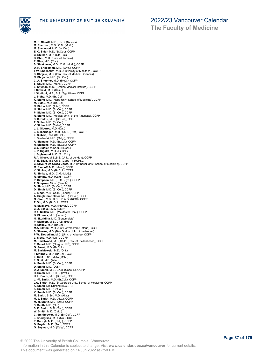

**M. K. Sheriff**, M.B., Ch.B. (Nairobi) **M. Sherman**, M.D., C.M. (McG.) **M. Sherwood**, M.D. (W.Ont.) **E. C. Shier**, M.D. (Br.Col.), CCFP **C. Shilhan**, M.D. (Ott.), CCFP **D. Shiu**, M.D. (Univ. of Toronto) **P. Shiu**, M.D. (Tor.) **S. Shivkumar**, M.D., C.M. (McG.), CCFP **D. R. Shoesmith**, M.D. (Griff.), CCFP **T.W. Shoesmith**, M.D. (University of Manitoba), CCFP **S. Shojaie**, M.D. (Iran Univ. of Medical Sciences) **N. Shojania**, M.D. (Br. Col.) **C. A. Shooner**, M.D. (McG.), CCFP **S. Shuel**, M.D. (Manit.), CCFP **L. Shyman**, M.D. (Grodno Medical Institute), CCFP **I. Sibbald**, M.D. (Sask.) **I. Siddiqui**, M.B., B.S. (Aga Khan), CCFP **J. Sidhu**, M.D. (Br. Col.) **K. Sidhu**, M.D. (Hope Univ. School of Medicine), CCFP **M. Sidhu**, M.D. (Br. Col.) **N. Sidhu**, M.D. (Alta.), CCFP **N. Sidhu**, M.D. (Br.Col.), CCFP **P. Sidhu**, M.D. (Br.Col.), CCFP **R. Sidhu**, M.D. (Medical Univ. of the Americas), CCFP **S. S. Sidhu**, M.D. (Br.Col.), CCFP **T. Sidhu**, M.D. (Br.Col.) **V. Sidhu**, M.D. (Saba), CCFP **J. L. Sidorov**, M.D. (Dal.) **J. Sieberhagen**, M.B., Ch.B. (Pret.), CCFP **L. Siebert**, R.M. (Br.Col.) **J. Siedlecki**, M.D. (Calg.), CCFP **A. Siemens**, M.D. (Br.Col.), CCFP **H. Siemens**, M.D. (Br.Col.), CCFP **C.J. Sigalet**, M.Sc.N. (Br.Col.) **J. P. Sigalet**, M.D. (Br.Col.) **J. Sigismund**, M.D. (Br. Col.) **R.A. Silcox**, M.B.,B.S. (Univ. of London), CCFP **V. E. Silva**, M.B.Ch.B. (Cape T), RCPSC **C. Silveira Da Graca Costa**, M.D. (Windsor Univ. School of Medicine), CCFP **M. Simcoff**, M.D. (Manit), CCFP **Y. Simice**, M.D. (Br.Col.), CCFP **R. Simkus**, M.D., C.M. (McG.) **R. Simms**, M.D. (Calg.), CCFP **P. Simpson**, M.B., B.S. (Syd.), CCFP **T. Simpson**, Midw. (Seattle) **D. Sims**, M.D. (Br.Col.), CCFP **D. Singh**, M.D. (Br.Col.), CCFP **J. Singh**, M.B., Ch.B. (Leeds), CCFP **A. Singleton-Polster**, M.D. (Br.Col.), CCFP **G. Siren**, M.B., B.Ch., B.A.O. (RCSI), CCFP **T. Siu**, M.D. (Br.Col.), CCFP **R. Sivakova**, M.D. (Plovdiv), CCFP **C. X. Skala**, BMW (Laur.) **R.A. Skillen**, M.D. (McMaster Univ.), CCFP **B. Skrenes**, M.D. (Johan.) **N. Skuridina**, M.D. (Bogomolets) **P. Slabbert**, M.B., Ch.B. (Pret.) **H. Slakov**, M.D. (Br.Col.) **M.A. Slatnik**, M.D. (Univ. of Western Ontario), CCFP **S. Slemko**, M.D. (Ben Gurion Univ. of the Negev) **P.W. Slobodian**, M.D. (Univ. of Alberta), CCFP **L. Sloss**, M.D. (Dal.), CCFP **M. Smallwood**, M.B.,Ch.B. (Univ. of Stellenbosch), CCFP **E. Smart**, M.D. (Oregon H&S), CCFP **G. Smart**, M.D. (Br.Col.) **M. Smialowski**, M.D. (Ont.) **I. Smirnov**, M.D. (Br.Col.), CCFP **E. Smit**, B.Sc., Midw (McM.) **F. Smit**, M.D. (Alta.) **A. Smith**, M.D. (Br.Col.), CCFP **D. Smith**, M.D. (Dal.) **D. J. Smith**, M.B., Ch.B. (Cape T.), CCFP **H. Smith**, M.B., Ch.B. (Pret.) **H. L. Smith**, M.D. (Br.Col.), CCFP **J. -M. Smith**, M.D. (Br.Col.), CCFP **J.G. Smith**, M.D. (St George's Univ. School of Medicine), CCFP<br>**K. Smith**, Dip.Nursing (B.C.I.T.)<br>**K. Smith**, M.D. (Br.Col.)<br>**K. Smith**, M.D. (Br.Col.), CCFP<br>**M. Smith**, B.Sc., M.D. (Alta.) **M. J. Smith**, M.D. (Alta.), CCFP **M. M. Smith**, M.D. (Dal.), CCFP **S. Smith**, M.D. (Qu.) **S. D. Smith**, M.D. (Tor.), CCFP **W. Smith**, M.D. (Calg.) **C. Smithbower**, M.D. (Br.Col.), CCFP **J. Snodgrass**, M.D. (Qu.), CCFP **P. Snozyk**, M.D. (Calg.), CCFP **D. Snyder**, M.D. (Tor.), CCFP **G. Snyman**, M.D. (Calg.), CCFP

© 2022 The University of British Columbia | Vancouver Information in this Calendar is subject to change. Visit **www.calendar.ubc.ca/vancouver** for current details. This document was generated on 14 Jun 2022 at 7:50 PM.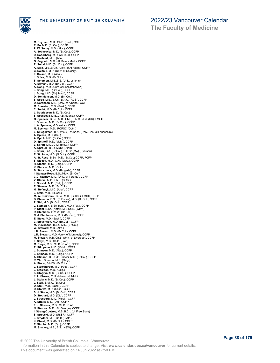

**M. Snyman**, M.B., Ch.B. (Pret.), CCFP **R. So**, M.D. (Br.Col.), CCFP **P. W. Sobey**, M.D. (Alta.), CCFP **A. Sobkowicz**, M.D. (Br.Col.), CCFP **D. Soderberg**, M.D. (Aureus), CCFP **S. Soetaert**, M.D. (Alta.) **O. Sogbein**, M.D. (All Saints Med.), CCFP **R. Sohal**, M.D. (Br. Col.), CCFP **A. Sola**, M.B.,B.Ch. (Univ. of Al Fateh), CCFP **C. Solanki**, M.D. (Univ. of Calgary) **E. Solano**, M.D. (Alta.) **J. Soles**, M.D. (Br.Col.)<br>**S. Solomon**, M.B.,B.S. (Univ. of Ilorin)<br>**A. Somani**, M.D. (Br.Col.), CCFP **A. Song**, M.D. (Univ. of Saskatchewan)<br>**J. Song**, M.D. (Br.Col.), CCFP<br>**D. Song**, M.D. (Fuj. Med.), CCFP<br>**D. Sonnichsen**, M.D. (Br. Col.)<br>**S. Sood**, M.B., B.Ch., B.A.O. (RCSI), CCFP **D. Sorensen**, M.D. (Univ. of Alberta), CCFP **M. Sorestad**, M.D. (Sask.), CCFP **C. Soriat**, M.D. (Br.Col.), CCFP **L. Sourisseau**, M.D. (Br.Col.) **S. Spassova**, M.B.,Ch.B. (Manc.), CCFP **G. Spencer**, B.Sc., M.B., Ch.B, F.R.C.S.Ed. (UK), LMCC **J. Spencer**, M.D. (Br.Col.), CCFP **J. A. Spencer**, M.D. (Atla.), CCFP **M. Spencer**, M.D., RCPSC (Opth.) **L. Spiegelman**, B.A. (McG.), M.Sc.M. (Univ. Central Lancashire) **A. Spiess**, M.D. (Dal.) **A. Spink**, M.D. (Br.Col.) CCFP **D. Spithoff**, M.D. (McM.), CCFP **L. Spratt**, M.D., C.M. (McG.), CCFP **A. Sproule**, B.Sc. Midw (L'tian) **J. Spurr**, B.A. (Br.Col.), B.H.Sc.(Mw) (Ryerson) **E. St. John**, M.D. (N.Ont.), CCFP **A. St. Rose**, B.Sc., M.D. (Br.Col.) CCFP, FCFP **S. Stacey**, M.D., C.M. (McG.), CCFP **H. Stamm**, M.D. (Calg.), CCFP **K. Stancer**, M.D. (Ont.) **B. Stancheva**, M.D. (Bulgaria), CCFP **I. Stanger-Ross**, B.Sc.Midw. (Br.Col.) **C.C. Stanley**, M.D. (Univ. of Toronto), CCFP **V. Starke**, M.B., Ch.B. (S.Afr.) **L. Stasiak**, M.D. (Calg.), CCFP **E. Steeves**, M.D. (Br. Col.) **H. Stefanyk**, M.D. (Alta.), CCFP<br>**J. Stein,** M.D. (Br.Col.)<br>**M. W. Steinruck**, B.Sc., M.D. (Br.Col.), LMCC, CCFP **D. Steinson**, B.Sc. (S.Fraser), M.D. (Br.Col.), CCFP **P. Stel**, M.D. (Br.Col.), CCFP **J. Stempien**, B.Sc. (Ont.), M.D. (Tor.), CCFP **P. Stent**, B.Sc. (Natal), M.B.Ch.B. (Witw.) **R. Stephens**, B.M.W. (Br.Col.) **C. J. Stephenson**, M.D. (Br. Col.), CCFP **E. Steve**, M.D. (Sask.), CCFP **C. Stevenson**, M.D. (Br.Col.), CCFP **M. Stevenson**, B.Sc., M.D. (Br.Col.) **W. Steward**, M.D. (Alta.) **J.N. Stewart**, M.D. (Br.Col.), CCFP **J.R. Stewart** , M.D. (Univ. of Montreal), CCFP **M. Stewart**, M.B.,Ch.B. (Univ. of Liverpool), CCFP<br>**F. Stey**n, M.B., Ch.B. (Pret.)<br>**M. Stey**n, M.B., Ch.B. (S.Afr.), CCFP<br>**R. Stimpson**, M.D. (McM.), CCFP<br>**J. Stimson**, M.D. (Alta.), CCFP **J. Stimson**, M.D. (Calg.), CCFP **A. Stinson**, B.Sc. (S.Fraser), M.D. (Br.Col.), CCFP **R. Wm. Stinson**, M.D. (Calg.) **A. Stobo**, B.M.W. (Br.Col.) **J. Stockburger**, M.D. (Alta.), CCFP **J. Stockton**, M.D. (Calg.) **K. Stogryn**, M.D. (Br.Col.), CCFP **E. L. Stokes**, M.D. (Memorial, Nfld.) **L. Stokvis**, M.D. (Br.Col.), CCFP **J. Stolk**, B.M.W. (Br.Col.) **D. Stoll**, M.D. (Sask.), CCFP **D. Stoltze**, M.D. (Calif.), CCFP **S. J. Stone**, M.D. (Br.Col.), CCFP **D. Stothart**, M.D. (Ott.), CCFP **J. Strasberg**, M.D. (McM.), CCFP **A. Stratis**, M.D. (Dal.),CCFP **F. J. Strauss**, M.B., Ch.B. (S.Af.) **N. Strauss**, M.D. (St. George), CCFP<br>**I. Streng-Coetzee**, M.B.,B.Ch. (U. Free State)<br>**S. Strovski**, M.D. (USSR), CCFP<br>**J. Strydom**, M.B.,Ch.B (S.Afr.)<br>**K. Stuart**, M.D. (Br.Col.), CCFP **E. Stubbs**, M.D. (Qu.), CCFP **M. Stuckey**, M.B., B.S. (NSW), CCFP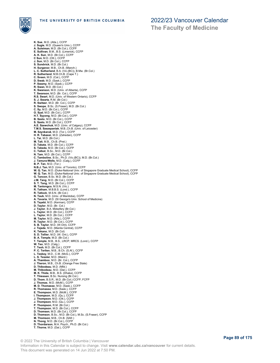

**K. Sue**, M.D. (Atla.), CCFP **J. Sugie**, M.D. (Queen's Univ.), CCFP **A. Suleiman**, M.D. (Br.Col.), CCFP **E. Sullivan**, B.M., B.S. (Limerick), CCFP **A. K. Sun**, M.D. (Br.Col.), CCFP **C Sun**, M.D. (Ott.), CCFP **J. Sun**, M.D. (Br.Col.), CCFP **S. Sundvick**, M.D. (Br.Col.) **H. Surgenor**, M.B., Ch.B. (Manch.) **L. C. Sutherland**, B.A. (Vic.(BC)), B.Mw. (Br.Col.) **R. Sutherland**, M.B.Ch.B. (Cape T.) **C. Sveen**, M.D. (Cal.), CCFP **D. Swab**, M.D. (Sask.), CCFP **P. Swamy**, M.D. (Sask.), CCFP **R. Swan**, M.D. (Br.Col.) **K. Swanson**, M.D. (Univ. of Alberta), CCFP **T. Swanson**, M.D. (Br. Col.), CCFP **R.S. Swart**, M.D. (Univ. of Western Ontario), CCFP **S. J. Swartz**, R.M. (Br.Col.) **R. Switzer**, M.D. (Br. Col.), CCFP **S. Swope**, B.Sc. (S.Fraser), M.D. (Br.Col.) **C. Sy**, M.D. (Br.Col.), CCFP **O. Syal**, M.D. (Br.Col.), CCFP **H.T. Syyong**, M.D. (Br.Col.), CCFP **B. Szeto**, M.D. (Br.Col.), CCFP **S. Szeto**, M.D. (Br.Col.), CCFP **A.E. Szewchuk**, M.D. (Univ. of Calgary), CCFP **T.M.S. Szezepaniak**, M.B.,Ch.B. (Univ. of Leicester) **M. Szynkaruk**, M.D. (Tor.), CCFP **H. R. Tabassi**, M.D. (Zahedan), CCFP **L. Tai**, M.D. (Br.Col.) **M. Tait**, M.B., Ch.B. (Pret.) **D. Takata**, M.D. (Br.Col.), CCFP **S. Takeda**, M.D. (Br.Col.), CCFP **C. Talbot**, B.Sc., M.D. (Br.Col.) **N. Tam**, M.D. (Br.Col.), CCFP **C. Tamboline**, B.Sc., Ph.D. (Vic.(BC)), M.D. (Br.Col.) **J. Tamura-Wells**, M.D. (Calg.), CCFP **B. P. Tan**, M.D. (Tor.)<br>**N.B.J. Tan**, M.D. (Univ. of Toronto), CCFP **W. Q. Tan**, M.D. (Duke-National Univ. of Singapore Graduate Medical School), CCFP **W. Q. Tan**, M.D. (Duke-National Univ. of Singapore Graduate Medical School), CCFP **G. Tancon**, B.Sc. M.D. (Br.Col.) **J.M. Tang**, M.D. (Br.Col.), CCFP **S. T. Tang**, M.D. (Br.Col.), CCFP **M. Tantongco**, M.S.N. (Vic.) **R. Tatham**, M.B.B.S. (Lond.), CCFP **R. Tatlock**, M.S.N. (Br.Col.) **N. Taub**, M.D. (Univ. of Manitoba), CCFP **A. Tavaria**, M.D. (St George's Univ. School of Medicine) **S. Tayebi**, M.D. (Kerman), CCFP **D. Taylor**, M.D. (Br. Col.) **J. Taylor**, B.A. Midwifery (Br.Col.) **L. Taylor**, M.D. (Br.Col.), CCFP **L. Taylor**, M.D. (Br.Col.), CCFP **M. Taylor**, M.D. (Alta.), CCFP **R. Taylor**, M.D. (Br.Col.), CCFP **S. B. Taylor**, M.D. (W.Ont), CCFP **J. Tejada**, M.D. (Manila Central), CCFP **K. Tekano**, M.D. (Br.Col) **S. D. Tellier**, M.D. (W. Ont.), CCFP **B. A. Temple**, M.D. (Br.Col.) **T. Temple**, M.B., B.S., LRCP, MRCS. (Lond.), CCFP **W. Teo**, M.D. (Calg.) **T. Teoh**, M.D. (Br.Col.), CCFP **P. C. Terlien**, M.B., B.Ch. (S.Af.), CCFP **L. Teskey**, M.D., C.M. (McG.), CCFP **L. S. Tessler**, M.D. (Manit.) **A. Thamboo**, M.D. (Br. Col.), CCFP **J. Theron**, M.B., Ch.B. (Orange Free State) **D. Thibodeau**, M.D. (Nfld.) **M. Thibodeau**, M.D. (Dal.), CCFP **M. K. Thida**, M.B., B.S. (Dhaka), CCFP **T. Thiessen**, B.Sc. Nursing (Br.Col.) **D. Thom**, B.S.R., M.D. (Br.Col.) CCFP, FCFP **J. Thomas**, M.D. (McM.), CCFP **M. D. Thomasse**, M.D. (Sask.), CCFP **R. Thomasse**, M.D. (Sask.), CCFP **E. Thompson**, M.D. (McM.), CCFP **I. Thompson**, M.D. (Qu.), CCFP **J. Thompson**, M.D. (Ott.), CCFP **J. Thompson**, M.D. (Qu.), CCFP **P. Thompson**, R.M. (Br.Col.) **T. Thompson**, M.D. (Br.Col.), CCFP **D. Thomsen**, M.D. (Br.Col.), CCFP **D. Thomson**, B.Sc., M.D. (Br.Col.), M.Sc. (S.Fraser), CCFP **M. Thomson**, M.B., Ch.B. (SAfr.) **N. Thong**, M.D. (Br.Col.), CCFP **D. Thordarson**, M.A. Psych., Ph.D. (Br.Col.) **T. Thorne**, M.D. (Dal.), CCFP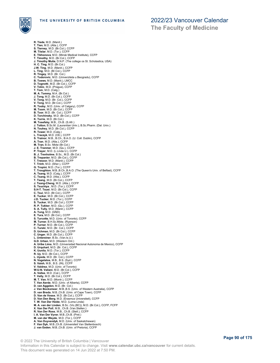

**The Faculty of Medicine**

**R. Tiede**, M.D. (Manit.) **T. Tien**, M.D. (Alta.), CCFP **S. Tierney**, M.D. (Br.Col.), CCFP **M. Tiislar**, M.D. (Tor.), CCFP **E. Tikhonova**, M.D. (Minsk Medical Institute), CCFP **T. Timothy**, M.D. (Br.Col.), CCFP J. Timothy Mutie, D.N.P. (The college os St. Scholastica, USA)<br>H. C. Ting, M.D. (Br.Col.)<br>J.W. Ting, M.D. (Manit.), CCFP<br>L. Ting, M.D. (Br.Col.), CCFP<br>R. Tingey, M.D. (Br. Col.)<br>C. Todorovic, M.D. (Univerziteta u Beogradu) **V. Tokic**, M.D. (Prague), CCFP **T. Tom**, M.D. (Calg.) **M. A. Tommy**, M.A. (Br.Col.) **J. Tong**, M.D. (Br.Col.), CCFP **V. Tong**, M.D. (Br. Col.), CCFP **V. Tong**, M.D. (Br.Col.), CCFP **R. Tooby**, M.D. (Univ. of Calgary), CCFP **M. Toom**, M.D. (Br.Col.), CCFP **B. Toor**, M.D. (Br. Col.), CCFP **D. Torchinsky**, M.D. (Br.Col.), CCFP **K. Torrie**, M.D. (Br.Col.) **M. Tosefsky**, M.B., Ch.B. (S.Afr.)<br>**J. Totton**, B.Sc.M. (Laurentian Univ.), B.Sc.Pharm. (Dal. Univ.)<br>**N. Touhey,** M.D. (Gr.Col.), CCFP<br>**R. Tower**, M.D. (Calg.) **L. Traczyk**, M.D. (Ott.), CCFP **S. Trainor**, M.B., B.Ch., B.A.O. (U. Coll. Dublin), CCFP **A. Tran**, M.D. (Alta.), CCFP **M. Tran**, B.Sc. Midw (Br.Col.) **J. E. Tranmer**, M.D. (Qu.), CCFP **P. Trayer**, M.D. (L.Linda U.), CCFP **B. J. Trenholme**, B.Sc., M.D. (Br.Col.) **B. Trepanier**, M.D. (Br.Col.), CCFP **T. Tresoor**, M.D. (Manit.), CCFP **T. Trinh**, M.D. (Sher.), CCFP **G. Tropini**, M.D. (Tor.), CCFP **T. Troughton**, M.B.,B.Ch.,B.A.O. (The Queen's Univ. of Belfast), CCFP **A. Tsang**, M.D. (Calg.), CCFP **C. Tsang**, M.D. (Alta.), CCFP **T. Tsang**, M.D. (Br.Col.), CCFP **J. Tsang-Cheng**, M.D. (Alta.), CCFP **S. Tsuchiya** , M.D. (Tor.), CCFP **S.H-T. Tsuei**, M.D. (Br.Col.), CCFP **C. Tsui**, M.D. (Br.Col.), CCFP **E. Tucker**, M.D. (Br.Col.), CCFP **J.D. Tucker**, M.D. (Tor.), CCFP **S. Tucker**, M.D. (Br.Col.), CCFP **R. P. Tukker**, M.D. (Qu.), CCFP **S. A. Tully**, M.D. (Manit.), CCFP **A. Tung**, M.D. (GND) **E. Tura**, M.D. (Br.Col.), CCFP **S. Turcotte**, M.D. (Univ. of Toronto), CCFP **M. Turner**, B.H.Sc.Midw. (Ryerson) **P. Turner**, M.D. (Br.Col.), CCFP **C. Turski**, M.D. (Br. Col.), CCFP **D. Uchman**, M.D. (Br.Col.), CCFP **C. Unger**, M.D. (Br.Col.), CCFP **L. Untereiner**, B.Sc. (Van.Is.U.) **G.D. Urban**, M.D. (Western Ont.) **A. Uribe Lima**, M.D. (Universidad Nacional Autonoma de Mexico), CCFP **D. Urquhart**, M.D. (Br. Col.), CCFP **K. Uunila**, M.D. (Tor.), CCFP **R. Uy**, M.D. (Br.Col.), CCFP **L. Uyeda**, M.D. (Br. Col.), CCFP **N. Vagelatos**, M.B., B.S. (Syd.), CCFP **S. Vaish**, M.B., B.S. (IN), CCFP **V. Valdrez**, M.D. (Univ. of Toronto) **W-U-N. Valiani**, M.D. (Br.Col.), CCFP **A. Vallee**, M.D. (Cal.), CCFP **T. Vally**, M.D. (Br.Col.), CCFP **M. T. Van**, M.D. (Montr.), CCFP T. Van Aerde, M.D. (Univ. of Alberta), CCFP<br>D. van Aggelen, M.D. (Br. Col.)<br>**J. Van Bockxmeer**, M.B.,B.S. (Univ. of Western Australia), CCFP<br>**D. van Breda**, M.B.,Ch.B. (Univ. of Cape Town), CCFP<br>**D. Van de Vosse**, M.D. (Br **T. W. Van Der Heide**, M.D. (Loma Linda)<br>**M. A. van der Linden**, B.Sc. (Vic.(BC)), M.D. (Br.Col.), CCFP, FCFP<br>**X. Van Der Poll,** M.B., Ch.B. (Van.Stellen.)<br>**R. Van Der Ross**, M.B., Ch.B. (Stell.), CCFP **I. A. Van Der Vyver**, M.B.,Ch.B. (Pret.) **M. van der Weyde**, M.D. (Tor.), CCFP **A. Van Duyvendyk**, M.D. (Univ. of Saskatchewan) **F. Van Dyk**, M.B.,Ch.B. (Universiteit Van Stellenbosch) **J. van Eeden**, M.B.,Ch.B. (Univ. of Pretoria), CCFP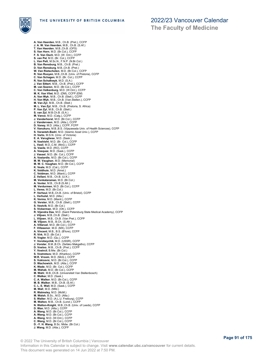

**A. Van Heerden**, M.B., Ch.B. (Pret.), CCFP **J. A. W. Van Heerden**, M.B., Ch.B. (S.Af.) **T. Van Heerden**, M.B.,Ch.B. (OFS) **S. Van Horn**, M.D. (Br.Col.), CCFP **F. S. Van Osch**, M.D. (W. Ont.), CCFP **S. van Pel**, M.D. (Br. Col.), CCFP **L. Van Pelt**, M.Sc.N., F.N.P. (N.Br.Col.) **B. Van Rensburg**, M.B., Ch.B. (Pret.) **D. Van Rensburg**, M.B.,Ch.B. (Pret.) W. Van Rietschoten, M.D. (Br.Col.), CCFP<br>R. Van Rooyen, M.B.,Ch.B. (Univ. of Pretoria), CCFP<br>C. Van Schagen, M.D. (Br. Col.), CCFP<br>R. Van Schalkwyk, M.D. (S.A.)<br>J. Van Sittert, M.B., Ch.B. (Pret.), CCFP **M. van Soeren**, M.D. (Br.Col.), CCFP **C. Van Valkenburg**, M.D. (W.Ont.), CCFP **M. K. Van Vliet**, M.D. (DM), CCFP (EM) **A. Van Wyk**, M.B., Ch.B. (Stell.), CCFP **H. Van Wyk**, M.B., Ch.B. (Van.Stellen.), CCFP **M. Van Zyl**, M.B., Ch.B. (Stell.) **M. L. Van Zyl**, M.B., Ch.B. (Pretoria, S. Africa) **P. Van Zyl**, M.B., Ch.B. (Stell.) **S. van Zyl**, M.B.Ch.B. (S.A.) **M. Vance**, M.D. (Calg.), CCFP **J. Vanderhorst**, M.D. (Br.Col.), CCFP **J. Vanderveen**, M.D. (Alta.), CCFP **D. Vaney**, M.D. (Alta.), CCFP, FCFP **V. Vanukuru**, M.B.,B.S. (Vijayawada Univ. of Health Sciences), CCFP **S. Varasteh-Badri**, M.D. (Islamic Azad Univ.), CCFP **H. Varto**, M.S.N. (Univ. of Victoria) **E. A. Varughese**, M.D. (Sask.) **N. Vashisht**, M.D. (Br. Col.), CCFP **L. Vasil**, M.D.,C.M. (McG.), CCFP **G. Vasile**, M.D. (RO), CCFP **A. Vasquez**, M.D. (Sask.), CCFP **J. Vassel**, M.D. (Br. Col.), CCFP **A. Vastardis**, M.D. (Br.Col.), CCFP **M. W. Vaughan**, M.D. (Memorial) **M. W. C. Vaughan**, M.D. (Br.Col.), CCFP **K. Veale**, M.D. (Cal.), CCFP **K. Veldhuis**, M.D. (Amst.) **C. Veldman**, M.D. (Manit.), CCFP **Z. Vellani**, M.B., Ch.B. (U.K.) **M. Venkataraman**, M.D. (Br.Col.) **A. Venter**, M.B., Ch.B (S.Afr.) **M. Verdurmen**, M.D. (Br.Col.), CCFP **L. Veres**, M.D. (Br.Col.) **P. Verheul**, M.B.,Ch.B. (Univ. of Bristol), CCFP **L. Verhulst**, M.D. (Alta.) **K. Verma**, M.D. (Manit.), CCFP **G. Verster**, M.B., Ch.B. (Stell.), CCFP **S. Vestvik**, M.D. (Br.Col.) **S. Vickerman**, M.D. (Ott.), CCFP **R. Vijendra Das**, M.D. (Saint Petersburg State Medical Academy), CCFP **J. Viljoen**, M.B.,Ch.B. (Stell.) **L. Viljoen**, M.B., Ch.B. (Van Pret.), CCFP **M. Viljoen**, M.B., B.Ch. (S.Afr.) **A. Villaruel**, M.D. (Br.Col.), CCFP **F. Villasenor**, M.D. (MX), CCFP **A. Vincent**, M.B., B.S. (B'lore), CCFP **R. Virk**, M.D. (Br.Col.) **R. Vogler**, M.D. (Qu.), CCFP **Y. Vorobeychik**, M.D. (USSR), CCFP **J. Vorster**, B.M.,B.Ch. (Sefako Makgatho), CCFP **D. Vosloo**, M.B., Ch.B. (Pret.), CCFP **Y. Vostrcil**, B.Mw. (Br.Col.) **S. Vostretsov**, M.D. (Kharkov), CCFP **W.R. Vroom**, M.D. (McG.), CCFP **S. Vukicevic**, M.D. (Br.Col.), CCFP **D. Wachowich**, M.D. (Alta.), CCFP **K. Wade**, M.D. (Br. Col.), CCFP **M. Wahab**, M.D. (Br.Col.), CCFP **M. Wahl**, M.B.,Ch.B. (Universiteit Van Stellenbosch)<br>**C. Walker**, M.D. (Sask.)<br>**C. A. Walker**, M.D. (Br.Col.), CCFP<br>**M. B. Walker**, M.B., Ch.B. (S.Af.)<br>**C. L. E. Wall**, M.D. (Sask.), CCFP **M. Wall**, M.D. (Nfld.) **R. Walmsley,** M.D. (McM.)<br>**M. Walsh**, B.Sc., M.D. (Alta.)<br>**S. Walter**, M.D. (A.L.U. Freiburg), CCFP<br>**M. Walton**, M.B., Ch.B. (Lond.), CCFP **N. Walton-Knight**, M.B.,Ch.B. (Univ. of Leeds), CCFP **D. Wan**, M.D. (Alta.), CCFP **A. Wang**, M.D. (Br.Col.), CCFP **A. Wang**, M.D. (Br.Col.), CCFP **A. Wang**, M.D. (W.Ont.), CCFP **C. Wang**, M.D. (Br.Col.), CCFP **D. -Y. H. Wang**, B.Sc. Midw. (Br.Col.) **J. Wang**, M.D. (Alta.), CCFP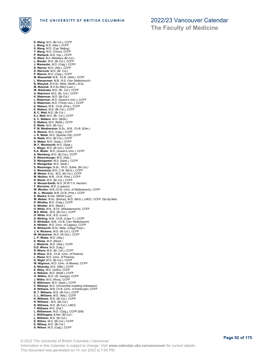

**K. Wang**, M.D. (Br.Col.), CCFP **L. Wang**, M.D. (Atla.), CCFP **S. Wang**, M.D. (Cap. Beijing) **Y. Wang**, M.D. (China), CCFP **P. Warbeck**, M.D. (Qu.), CCFP **K. Ward**, B.A. Midwifery (Br.Col.) **L. Warder**, M.D. (Br.Col.), CCFP **J. Warkentin**, M.D. (Calg.), CCFP<br>**D. Warner**, M.D. (Alta.), CCFP<br>**P. Warnock**, M.D. (Br. Col.)<br>**P. Warren**, M.D. (Calg.), CCFP<br>**M. Wasserfall**, M.B., Ch.B. (Stell.), CCFP **L. Wasserman**, M.B., B.S. (Van Stellenbosch) **B. Wasyluk**, B.H.Sc. Midw. (McM.), B.Sc. **M. Wasyluk**, B.H.Sc.(Mw) (Laur.) **W. Watanabe**, M.D. (Br. Col.), CCFP **A. Watchorn**, M.D. (Br. Col.), CCFP **K. Waterman**, M.D. (Br.Col.) **L. Waterman**, M.D. (Queen's Univ.), CCFP **S. Waterman**, M.D. (Trinity Univ.), CCFP **A. Watson**, M.B., Ch.B. (Pret.), CCFP **E. Watson**, M.D. (Br.Col.), CCFP **B. C. Watt**, M.D. (Br.Col.) **E.J. Watt**, M.D. (Br. Col.), CCFP **E. C. Watters**, M.D. (McM.) **S. Watters**, M.D. (McM.), CCFP **E. Watts**, M.D. (Br.Col.) **P. M. Weatherston**, B.Sc., M.B., Ch.B. (Edin.) **A. Weaver**, M.D. (Calg.), CCFP **J. R. Webb**, M.D. (Spartan HS), CCFP **N. Webb**, M.D. (Br.Col.), CCFP **K. Weber**, M.D. (Sask.), CCFP **M. F. Weckworth**, M.D. (Sask.) **L. Weger**, M.D. (Br.Col.), CCFP **K.A. Weiler**, M.D. (Queen's Univ.), CCFP **A. Weinberg**, M.D. (Br.Col.), CCFP **E. Weisenburger**, M.D. (Alta.) **D. Weisgarber**, M.D. (Sask.), CCFP **K. Weisgerber**, M.D. (Sask.) **S. Weissinger**, B.Sc., Ph.D., B.Mw. (Br.Col.) **C. Weisstock**, M.D.,C.M. (McG.), CCFP **M. Weizel**, B.Sc., M.D. (Br.Col.), CCFP **M. Weldon**, M.B., Ch.B. (Pret.), CCFP **R. Welsh**, M.D. (Br.Col.), CCFP **G. Wenzel-Smith**, M.D. (R.W.T.H. Aachen) **F. Wernicke**, M.D. (Luebeck) **W. Wertlen**, M.B.,Ch.B. (Univ. of Stellenbosch), CCFP **M. -L. Wessels**, M.B.,Ch.B. (Pret.), CCFP **S. Westra**, B.Hsc. MIDW (Laur) **W. Wetzer**, B.Sc. (Bishop), M.D. (McG.), LMCC, CCFP, Dip.Sp.Med.<br>**D. Whalley**, M.D. (Calg.), CCFP<br>**K. Whetter**, M.D. (Manit.) **D. White**, M.B., B.Ch. (Witwatersrand), CCFP **M.S. White** , M.D. (Br.Col.), CCFP **O. White**, M.B., B.S. (Lond.) **D. Whiting**, M.B., Ch.B. (Cape T.), CCFP **D. Whittaker**, M.B., Ch.B. (Van Stellenbosch) **A. Whitten**, M.D. (Univ. of Calgary), CCFP **K. Whitworth**, B.Sc. Midw. (Otago Polyt.) **J. K. Wickens**, M.D. (Br.Col.), CCFP **W. Wickstrom**, M.D. (W.Ont.), CCFP **L. P. Wiebe**, M.D. (Alta.) **S. Wiebe**, M.D. (Manit.) **J. Wiedrick**, M.D. (Alta.), CCFP **D.D. Wiens**, M.D. (Calg.)<br>**R. Wiens**, M.D. (Br. Col.), CCFP<br>**B. Wiese**, M.B., Ch.B. (Univ. of Pretoria)<br>**L. Wiese**, M.D. (Univ. of Pretoria)<br>**K. Wight**, M.D. (Br.Col.), CCFP **W. Wigmore**, M.D. (Univ. of Alberta), CCFP **S. Wilansky**, M.D. (Nfld.), CCFP **E. Wiley**, M.D. (GWU), CCFP A. Wilhelm, M.D. (McM.), CCFP<br>**G. Wilkhu,** M.D. (St. George), CCFP<br>**J. Wilkhu,** M.D. (Ross), CCFP<br>**E. Wilkinson**, M.D. (Sask.), CCFP<br>**V. Willaens,** M.D. (Universitair Instelling Antwerpen)<br>**A. Williams**, M.B.,Ch.B. (Univ. **B. T. Williams**, M.D. (Br.Col.), CCFP **C. L. Williams**, M.D. (Alta.), CCFP **K. Williams**, M.D. (Br.Col.), CCFP **R. Williams** , M.D. (Br.Col.) **R. Williams**, M.D. (Br.Col.), LMCC **T. Williams**, M.D. (Dal.) **L. Williamson**, M.D. (Calg.), CCFP (EM) **L. Willihnganz**, B.Mw. (Br.Col.) **L. Williston**, M.D. (Br.Col.) **E. Willms**, M.D. (Br.Col.), CCFP **E. Willsey**, M.D. (Br.Col.) **A. Wilson**, M.D. (Calg.), CCFP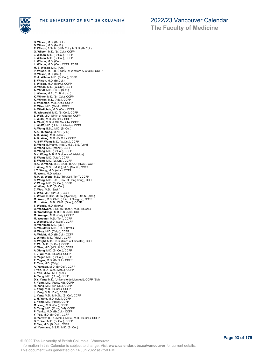

**The Faculty of Medicine**

**B. Wilson**, M.D. (Br.Col.) **D. Wilson**, M.D. (McM.) **E. Wilson**, B.Sc.N. (N.Br.Col.), M.S.N. (Br.Col.) **G. Wilson**, M.D. (Br. Col.), CCFP **J. Wilson**, M.D. (Br.Col.), CCFP **J. Wilson**, M.D. (Br.Col.), CCFP **L. Wilson**, M.D. (Qu.) **L. Wilson**, M.D. (Qu.), CCFP, FCFP **M. S. Wilson**, M.D. (Alta.)<br>**P. Wilson**, M.B.,B.S. (Univ. of Western Australia), CCFP **R. Wilson**, M.D. (Dal.) **R. A. Wilson**, M.D. (Br.Col.), CCFP **S. Wilson**, M.D. (Br.Col.) **T. Wilson**, M.D. (McM.), CCFP **D. Wilton**, M.D. (W.Ont.), CCFP **A. Windt**, M.B., Ch.B. (S.Af.) **J. Winner**, M.B., Ch.B. (Lond.) **K. Winter**, M.D. (Br. Col.), CCFP **K. Winton**, M.D. (Atla.), CCFP **S. Wiseman**, M.D. (Ott.), CCFP **R. Wiss**, M.D. (McM.), CCFP **A. Wladichuk**, M.D. (Qu.), CCFP **M. Wlodarski**, M.D. (Br.Col.), CCFP **Z. Wolf**, M.D. (Univ. of Alberta), CCFP **J. Wolfe**, M.D. (Br.Col.), CCFP **A. Wolff**, M.D. (LMU Munich), CCFP **J. Wolff**, M.D. (Univ. of Alberta), CCFP<br>**A. Wong**, B.Sc., M.D. (Br.Col.)<br>**A. G. H. Wong**, M.N.P. (Vic.)<br>**A. K. Wong**, M.D. (Man.)<br>**A. R. Wong**, M.D. (Br.Col.), CCFP **A. S-W. Wong**, M.D. (W.Ont.), CCFP **B. Wong**, B.Pharm. (Nott.), M.B., B.S. (Lond.) **B. Wong**, M.D. (Manit.), CCFP **C. Wong**, M.D. (Br.Col.), CCFP **D.K. Wong**, M.B.,B.S. (Univ. of Adelaide) **E. Wong**, M.D. (Alta.), CCFP **E. Wong**, M.D. (W.Ont.), CCFP **H. C. D. Wong**, M.B., B.Ch., B.A.O. (RCSI), CCFP **J. Wong**, M.Sc. (McG.), M.D. (Manit.), CCFP **L.T. Wong**, M.D. (Atla.), CCFP **M. Wong**, M.D. (Alta.) **R. K. W. Wong**, M.D. (Trin.Coll.(Tor.)), CCFP **S. Wong**, M.B.,B.S. (Univ. of Hong Kong), CCFP **V. Wong**, M.D. (Br.Col.), CCFP **W. Wong**, M.D. (Br.Col.) **C. Woo**, M.D. (Sask.) **L. Woo**, M.D. (Br.Col.), CCFP **L. Wood**, B.HSc. MIDW (Ryerson), B.Sc.N. (Alta.) **M. Wood**, M.B.,Ch.B. (Univ. of Glasgow), CCFP **M. L. Wood**, M.B., Ch.B. (Glas.), CCFP **T. Woods**, M.D. (McM.) **B. Woodward**, B.Sc. (S.Fraser), M.D. (Br.Col.) **G. Wooldridge**, M.B.,B.S. (Qld), CCFP **M. Woolgar**, M.D. (Calg.), CCFP **M. Woolner**, M.D. (Tor.), CCFP **J. Woolsey**, M.D. (Calg.), CCFP **H. Workman**, M.D. (Qu.) **K. Woudstra**, M.B., Ch.B. (Pret.) **H. Wray**, M.D. (Calg.), CCFP **A. Wright**, M.D. (Br.Col.), CCFP **J. Wright**, M.D. (McM.), CCFP **S. Wright**, M.B.,Ch.B. (Univ. of Leicester), CCFP **E. Wu**, M.D. (Br.Col.), CCFP **Y. Xiao**, M.D. (W.U.H.S.), CCFP **A. Xiong**, M.D. (Br.Col.), CCFP **F. J. Xu**, M.D. (Br.Col.), CCFP **S. Yager**, M.D. (Br.Col.), CCFP **T. Yagos**, M.D. (Br.Col.), CCFP P. Yam, M.D. (Calg.)<br>A. Yamada, M.D. (Br.Col.), CCFP<br>L. Yan, M.D., C.M. (McG.), CCFP<br>L. Yan, M.D., C.M. (McG.), CCFP<br>D.Y. Yang, M.D. (Ross), CCFP<br>D.Y. Yang, M.D. (Universite de Montreal), CCFP (EM)<br>F. Yang, M.D. (Br. Col.) **B. T. Yarrow**, B.Sc. (McG.), M.Sc., M.D. (Br.Col.), CCFP<br>**B. T. Yau**, M.D. (Br.Col.), CCFP **R. Yee**, M.D. (Br.Col.), CCFP **W. Yeomans**, B.S.R., M.D. (Br.Col.)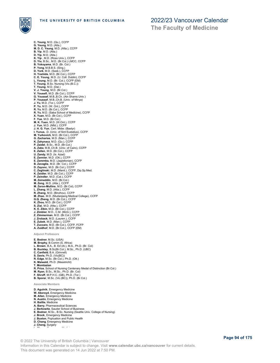

**C. Yeung**, M.D. (Qu.), CCFP **G. Yeung**, M.D. (Alta.) **M. D. C. Yeung**, M.D. (Alta.), CCFP **B. Yip**, M.D. (Alta.) **D. Yip**, M.D. (Alta.) **K. Yip** , M.D. (Ross Univ.), CCFP **D. Yiu**, B.Sc., M.D. (Br.Col.) LMCC, CCFP **B. Yokoyama**, M.D. (Br. Col.) P. Yong, M.B.B.S. (Sing.)<br>D. York, M.D. (Sask.), CCFP<br>H. Yoshida, M.D. (Br.Col.), CCFP<br>C. E. Young, M.D. (Br.Col.), CCFP (EM)<br>L. Young, M.D. (Br. Col.), CCFP (EM)<br>T. Young, B.Sc. Nursing (Vic.(B.C.))<br>V. Yousefi, M.D. (Br.C **G. Youssef**, M.B.,B.Ch. (Ain Shams Univ.) **P. Youssef**, M.B.,Ch.B. (Univ. of Minya) **J. Yu**, M.D. (Tor.), CCFP **P. Yu**, M.D. (W. Ont.), CCFP **R. Yu**, M.D. (Br.Col.), CCFP **R. Yu**, M.D. (Saba School of Medicine), CCFP **X. Yuan**, M.D. (Br.Col.), CCFP **F. Yue**, M.D. (Br.Col.) **M. K. Yuen**, M.D. (W.Ont.), CCFP **J. Yun**, M.D. (Nfld.), CCFP **J. H. G. Yun**, Cert. Midw. (Bastyr) **I. Yunus**, .D. (Univ. of Sint Eustatius), CCFP **M. Yurkovich**, M.D. (Br.Col.), CCFP **G. Zacharias**, M.D. (Man.), CCFP **K. Zahynacz**, M.D. (Qu.), CCFP **P. Zaidel**, B.Sc., M.D. (Br.Col.) **A. Zake**, M.B.,Ch.B. (Univ. of Cairo), CCFP **E. Zallen**, M.D. (Br.Col.), CCFP **U. Zandy**, M.D. (Is. Azad) **E. Zannier**, M.D. (Ott.), CCFP **E. Zaremba**, M.D. (Jagiellonian), CCFP **B. Zavaglia**, M.D. (Br. Col.), CCFP **D. Zayonc**, M.D. (Br.Col.), CCFP **C. Zeglinski**, M.D. (Manit.), CCFP, Dip.Sp.Med. **K. Zeidler**, M.D. (Br.Col.), CCFP **P. Zeindler**, M.D. (Cal.), CCFP **M. Zeineddin**, M.D. (Br.Col.) **M. Zeng**, M.D. (Alta.), CCFP **M. Zeron-Mullins**, M.D. (Br.Col), CCFP **L. Zhang**, M.D. (Alta.), CCFP **R. Zhang**, M.D. (Binzhou), CCFP **M. Zhao**, M.D. (Mudanjiang Medical College), CCFP **G.Q. Zheng**, M.D. (Br.Col.), CCFP **K. Zhou**, M.D. (Br.Col.), CCFP **S. Ziai**, M.D. (Alta.), CCFP **K. E. Zibin**, M.D. (Br.Col.), CCFP **J. Zimbler**, M.D., C.M. (McG.), CCFP **Z. Zimmerman**, M.D. (Br.Col.), CCFP **J. Zroback**, M.D. (Lauren.), CCFP **E. Zubek**, M.D. (Man.), CCFP **T. Zuccaro**, M.D. (Br.Col.), CCFP, FCFP **A. Zuidhof**, M.D. (Br.Col.), CCFP (EM) **Adjunct Professors**

**E. Bodner**, M.Sc. (USA) M. Brophy, B.Comm (S. Africa)<br>L. Brown, B.A., B. Ed (Al.), M.A., Ph.D. (Br. Col)<br>B. Buckley, B.Sc(Br.Col.), M.Sc., Ph.D. (UBC)<br>C. Canfield, B.A. (Grinnell)<br>S. Davis, Ph.D. (Vic(BC))<br>R. Maiwald, Ph.D. (Masstricht)<br>K. Maiwal **T. Momtazian R. Price**, School of Nursing Centenary Medal of Distinction (Br.Col.) **M. Ryan**, B.Sc., M.Sc., Ph.D. (Br. Col) **F. Shroff**, M.P.H.C. (GB), Ph.D. (Tor.) **B. Sporer**, M.Sc. (Vic.(BC)), Ph.D. (Br.Col.) **Associate Members**

**D. Agulnik**, Emergency Medicine

- **W. Akeroyd**, Emergency Medicine
- 
- **M. Allan**, Emergency Medicine **N. Austin**, Emergency Medicine
- **H. Baillie**, Medicine
- 
- **A. Barry**, Pharmaceutical Sciences **J. Berkowitz**, Sauder School of Business
- **E. Bodner**, M.Sc., B.Sc. Nursing (Seattle Univ. College of Nursing)
- **J. Brock**, Emergency Medicine **J. Buxton**, Popluation and Public Health
- **D. Chang**, Emergency Medicine
- 
- **J. Cheng**, Surgery **L. Cheng**, Emergency Medicine

© 2022 The University of British Columbia | Vancouver Information in this Calendar is subject to change. Visit **www.calendar.ubc.ca/vancouver** for current details. This document was generated on 14 Jun 2022 at 7:50 PM.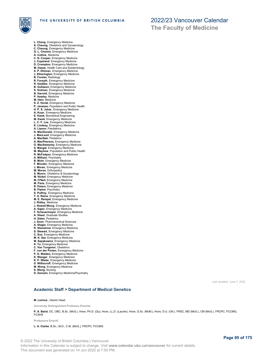

- **L. Cheng**, Emergency Medicine
- **A. Cheung**, Obstetrics and Gynaecology **C. Cheung**, Emergency Medicine
- 
- **G. L. Chomin**, Emergency Medicine **A. Collins**, Medicine **C. N. Cooper**, Emergency Medicine
- 
- **J. Copeland**, Emergency Medicine
- 
- **D. Crompton**, Emergency Medicine **M. Dawar**, Health Care and Epidemiology
- **S. P. Dhiman**, Emergency Medicine
- **J. Etherington**, Emergency Medicine **B. Forster**, Radiology
- **R. Forsyth**, Emergency Medicine
- 
- **R. Geddes**, Emergency Medicine **B. Gullason**, Emergency Medicine
- **S. Gutman**, Emergency Medicine **B. Harrold**, Emergency Medicine
- 
- **P. Hawley**, Medicine **M. Hein**, Medicine
- **S. Z. Horak**, Emergency Medicine
- **P. Janssen**, Population and Public Health
- **H. P. S. Johar**, Emergency Medicine **A. Kuan**, Emergency Medicine
- **E. Kwok**, Biomedical Engineering
- **M. Kwok**, Emergency Medicine
- **L. C. F. Lee**, Emergency Medicine
- **K. Lindsay**, Emergency Medicine **A. Lipson**, Paediatrics
- 
- **D. MacDonald**, Emergency Medicine
- **J. MacLeod**, Emergency Medicine **A. MacNab**, Pediatrics
- **A. MacPherson**, Emergency Medicine
- 
- **O. MacSweeney**, Emergency Medicine **S. Mangal**, Emergency Medicine
- **M. Mayhew**, Population and Public Health
- **R. McFadyen**, Emergency Medicine **A. Mithani**, Psychiatry
- 
- **B. Mohr**, Emergency Medicine
- **F. Mondor**, Emergency Medicine **J. Moran**, Emergency Medicine
- **M. Moran**, Orthopedics
- 
- **S. Munro**, Obstetrics & Gynaecology **M. Nickel**, Emergency Medicine
- **M. O'Neil**, Emergency Medicine **M. Paris**, Emergency Medicine
- **R. Peters**, Emergency Medicine
- **B. Pipher**, Psychiatry
- 
- **S. Pulfrey**, Emergency Medicine **T. A. Raine**, Emergency Medicine
- **M. E. Rempel**, Emergency Medicine **J. Ridley**, Medicine
- 
- **J. Rowell-Wong**, Emergency Medicine
- **A. Sajan**, Emergency Medicine **F. Scheuermeyer**, Emergency Medicine
- **A. Sheel**, Graduate Studies
- 
- **H. Siden**, Pediatrics **J. Soon**, Pharmaceutical Sciences
- **A. Stager**, Emergency Medicine
- **R. Stenstrom**, Emergency Medicine **S. Stewart**, Emergency Medicine
- 
- **C. Sun**, Emergency Medicine
- **M. K. Sze**, Emergency Medicine **M. Szpakowicz**, Emergency Medicine
- **K. Tu**, Emergency Medicine
- 
- **C. Van Tongeren**, Obstetrics **F. von der Porten**, Emergency Medicine
- **P. D. Walden**, Emergency Medicine
- **K. Wanger**, Emergency Medicine **K. P. Wiebe**, Emergency Medicine
- 
- **D. Williscroft**, Emergency Medicine
- **M. Wong**, Emergency Medicine **S. Wong**, Nursing
- 
- **D. Zanozin**, Emergency Medicine/Psychiatry

Last updated: June 7, 2022

### **Academic Staff > Department of Medical Genetics**

#### **M. Lorincz** , Interim Head

**University Distinguished Professor Emerita**

**P. A. Baird**, OC, OBC, B.Sc. (McG.), Hons. Ph.D. (Qu), Hons. LL.D. (Laurier), Hons. D.Sc. (McM.), Hons. D.U. (Ott.), FRSC, MD (McG.), CM (McG.), FRCPC, FCCMG, FCAHS

**Professors Emeriti**

**L. A. Clarke**, B.Sc., M.D., C.M. (McG.), FRCPC, FCCMG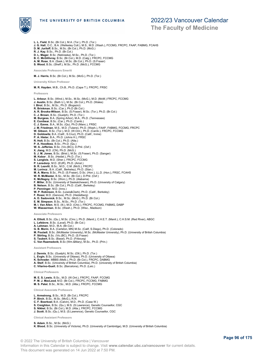

THE UNIVERSITY OF BRITISH COLUMBIA

**L. L. Field**, B.Sc. (Br.Col.), M.A. (Tor.), Ph.D. (Tor.)

### 2022/23 Vancouver Calendar

**The Faculty of Medicine**

**J. G. Hall**, O.C., B.A. (Wellesley Coll.), M.S., M.D. (Wash.), FCCMG, FRCPC, FAAP, FABMG, FCAHS **D. M. Juriloff**, B.Sc., M.Sc. (Br.Col.), Ph.D. (McG.) **R. J. Kay**, B.Sc., Ph.D. (Br.Col.) **D. L. Mager**, B.Sc. (Nebraska), M.Sc., Ph.D. (Tor.) **B. C. McGillivray**, B.Sc. (Br.Col.), M.D. (Calg.), FRCPC, FCCMG **A. M. Rose**, B.A. (Sask.), M.Sc. (Br.Col.), Ph.D. (S.Fraser) **S. Wood**, B.Sc. (Sheff.), M.Sc., Ph.D. (McG.), FCCMG **Associate Professors Emeriti M. J. Harris**, B.Sc. (Br.Col.), M.Sc. (McG.), Ph.D. (Tor.) **University Killam Professor M. R. Hayden**, M.B., Ch.B., Ph.D. (Cape T.), FRCPC, FRSC **Professors L. Arbour**, B.Sc. (Wind.), M.Sc., M.Sc. (McG.), M.D. (McM.) FRCPC, FCCMG<br>**J. Austin**, B.Sc. (Bath U.), M.Sc. (Br.Col.), Ph.D. (Wales)<br>**I. Birol,** B.Sc., M.Sc., Ph.D. (Bogazici) **R. Brinkman**, B.Sc. (Car.), Ph.D (Br.Col.)<br>**A. R. Brooks-Wilson**, B.Sc. (S.Fraser), M.Sc. (Tor.), Ph.D. (Br.Col.)<br>**C. J. Brown**, B.Sc. (Guelph), Ph.D. (Tor.) **M. Burgess**, B.A. (Spring Arbor), M.A., Ph.D. (Tennessee) **E. Conibear**, B.Sc. (Car.), Ph.D. (Camb.) **C. J. Eaves**, B.A., M.Sc. (Qu), Ph.D (Manc.), FRSC **J. M. Friedman**, M.S., M.D. (Tulane), Ph.D. (Wash.), FAAP, FABMG, FCCMG, FRCPC<br>**W. Gibson**, B.Sc. (Tor.), M.D. (W.Ont.), Ph.D. (Camb.), FRCPC, FCCMG **D. Goldowitz**, B.A. (Calif., S.Cruz), Ph.D. (Calif., Irvine) **P. A. Hieter**, B.A., Ph.D. (Johns H.), FRSC **R. Holt**, B.Sc. (Br.Col.), Ph.D. (Alta.) **P. A. Hoodless**, B.Sc., Ph.D. (Qu.) **W. A. Jefferies**, B.Sc. (Vic.(BC)), D.Phil. (Oxf.) **X. Jiang**, M.D. (CN), Ph.D. (McG.) **S. J. M. Jones**, B.Sc. (Brist.), M.Sc. (S.Fraser), Ph.D. (Sanger) **M. Kobor** , B.Sc. (Heidel.), Ph.D. (Tor.) **S. Langlois**, M.D. (Sher.), FRCPC, FCCMG **P. Lansdorp**, M.D. (EUR), Ph.D. (Amst.) **B. R. Leavitt**, B.Sc., M.D., C.M. (McG.), FRCPC **M. Lorincz** , B.A. (Calif., Berkeley), Ph.D. (Stan.) M. A. Marra, B.Sc., Ph.D. (S.Fraser), D.Sc. (Hon.), LL.D. (Hon.), FRSC, FCAHS<br>W. R. McMaster, B.Sc., M.Sc. (Br.Col.), D.Phil. (Oxf.)<br>K. McNagny, B.Sc. (Worc.), Ph.D. (Alabama)<br>F. Miller, B.Sc. (University of Saskatchewan), **P. Penninger**, M.D. (Inns.) W. P. Robinson, B.Sc. (Lewis&Clark), Ph.D. (Calif., Berkeley)<br>F. Rossi, M.D. (Genova), Ph.D. (Heidelberg)<br>A. D. Sadovnick, B.Sc., M.Sc. (McG.), Ph.D. (Br.Col.)<br>**E. M. Simpson**, B.Sc., M.Sc., Ph.D. (Tor.)<br>**M. I. Van Allen**, **Associate Professors A. Elliott**, B.Sc. (Qu.), M.Sc. (Cinc.), Ph.D. (Manit.), C.H.E.T. (Manit.), C.H.S.M. (Red River), ABGC

**L. Lefebvre**, B.Sc. (Laval), Ph.D. (Br.Col.)

**A. Lehman**, M.D., M.A. (Br.Col.) **G. B. Morin**, B.A. (Carleton, MN) M.Sc. (Calif, S.Diego), Ph.D. (Colorado)

**M. Pouladi**, B.Sc. (McMaster University), M.Sc. (McMaster University), Ph.D. (University of British Columbia)

**P. Stirling**, B.Sc. (Vic.(BC), Ph.D. (S.Fraser) **S. Taubert**, B.Sc. (Basel), Ph.D. (Fribourg)

**C. Van Raamsdonk**, B.Sc (Wm.&Mary), M.Sc., Ph.D. (Prin.)

**Assistant Professors**

**J. Dennis**, B.Sc. (Guelph), M.Sc. (Ott.), Ph.D. (Tor.) **L. Evgin**, B.Sc. (University of Ottawa), Ph.D. (University of Ottawa)

- **K. Schrader**, MBBS (Melb.), Ph.D. (Br.Col.), FRCPC, DABMG
- **A. Steif**, B.Sc. (University of British Columbia), Ph.D. (University of British Columbia) **C. Vilarino-Guell**, B.Sc. (Barcelona), Ph.D. (Leic.)

**Clinical Professors**

**M. E. S. Lewis**, B.Sc., M.D. (W.Ont.), FRCPC, FAAP, FCCMG **P. M. J. MacLeod**, M.D. (Br.Col.), FRCPC, FCCMG, FABMG

**M. S. Patel**, B.Sc., M.Sc., M.D. (Alta.), FRCPC, FCCMG

**Clinical Associate Professors**

**L. Armstrong**, B.Sc., M.D. (Br.Col.), FRCPC **P. Birch**, B.Sc., M.Sc. (McG.), R.N.

**C. F. Boerkoel**, B.A. (Calvin), M.D., Ph.D. (Case W.)<br>**S. Creighton**, B.Sc. (Qu.), M.S. (S.Lawrence), Genetic Counsellor, CGC<br>**S. Nikkel**, B.Sc. (Br.Col.), M.D. (Alta.), FRCPC, FCCMG

**J. Scott**, B.Sc. (Qu.), M.S. (S.Lawrence), Genetic Counsellor, CGC

**Clinical Assistant Professors**

**S. Adam**, B.Sc., M.Sc. (McG.) **K. Blood**, B.Sc. (University of Victoria), Ph.D. (University of Cambridge), M.D. (University of British Columbia)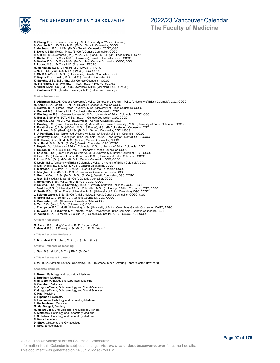#### THE UNIVERSITY OF BRITISH COLUMBIA

## 2022/23 Vancouver Calendar

**The Faculty of Medicine**

- 
- 
- 
- **C. Cremin, B.Sc. (Queen's University), M.D. (University of Western Ontario)**<br>C. Cremin, B.Sc. (Br.Col.), M.Sc. (McG.), Genetic Counsellor, CCGC<br>C. du Souich, B.Sc. (McG.), M.Sc. (Reclie Counsellor, CCGC, GCC<br>E. Dwosh, B.E
- 
- 
- 
- 
- 
- **R. Rupps**, B.Sc. (Sask.), M.Sc. (McG.), Genetic Counsellor, CGC
- 
- 
- **K. Sangha,** M.Sc., B.Sc. (Br.Col.), Genetic Counsellor, CCGC<br>**M. Steinraths**, B.Sc. (Vic. (B.C.)), M.D. (Br.Col.), FRCPC, FCCMG<br>**A. Virani,** M.Am. (Ox.), M.Sc. (S.Lawrence), M.PH. (Mailman), Ph.D. (Br.Col.)<br>**J. Zambonin**,
- 

**Clinical Instructors**

- **E. Alderman**, B.Sc.H. (Queen's University), M.Sc. (Dalhousie University), M.Sc. (University of British Columbia), CGC, CCGC
- **M. Asrat**, B.Sc. (Vic.(B.C.)), M.Sc. (Br.Col.), Genetic Counsellor, CCGC<br>**K. Bartels**, B.Sc. (Simon Fraser Univesity), M.Sc. (University of British Columbia), CCGC
- **A. Bedard**, B.Sc. (Manit.), M.S. (Cincinnati), Genetic Counsellor, CGC
- 
- **K. Binnington**, B.Sc. (Queen's University), M.Sc. (University of British Columbia), CCGC, CGC<br>**R. Butler**, B.Sc. (Vic.(BC)), M.Sc. (Br.Col.), Genetic Counsellor, CGC, CCGC
- **C. Chijiwa**, B.Sc. (McG.), M.S. (S.Lawrence), Genetic Counsellor, CGC
- **E. Crosley**, B.Sc. (Simon Fraser University), M.Sc. (Simon Fraser University), M.Sc. (University of British Columbia), CGC, CCGC<br>**E. Freeth (Leach)**, B.Sc. (W.Ont.), M.Sc. (S.Fraser), M.Sc. (Br.Col.), Genetic Counsellor,
- 
- **C. Guimond**, B.Sc. (Guelph), M.Sc. (Br.Col.), Genetic Counsellor, CGC, MSCS
- **S. J. Hamilton**, B.Sc. (Lakehead University), M.Sc. (University of British Columbia), CCGC **J. Hathaway**, B.Sc. (University of British Columbia), M.Sc. (University of Toronto), CGC, CCGC
- **H. K. Heran** , B.Sc., B.Ed., M.Sc. (Br.Col), Genetic Counsellor, CCGC
- 
- **G. K. Hulait**, B.Sc., M.Sc. (Br.Col.), Genetic Counsellor, CGC, CCGC **S. Huynh**, .Sc. (University of British Columbia), M.Sc. (University of British Columbia), CGC
- **P. Kaurah**, B.Sc. (U.A.), M.Sc. (McG.), Research Genetic Counsellor, CCGC
- **S. Lauson**, B.Sc. (Simon Fraser University), M.Sc. (University of British Columbia), CGC, CCGC **H. Lee**, B.Sc. (University of British Columbia), M.Sc. (University of British Columbia), CCGC
- 
- 
- **Z. Lohn**, B.Sc. (Qu.), M.Sc. (Br.Col.), Genetic Counsellor, CGC, CCGC<br>**K. Louie,** B.Sc. (University of British Columbia), M.Sc. (University of British Columbia), CGC<br>**H. MacRitchie,** B.Sc., M.Sc. (Br.Col.), Genetic Counse
- 
- 
- **S. McIntosh**, B.Sc. (Vic.(BC)), M.Sc. (Br.Col.), Genetic Counsellor, CCGC<br>**K. Meagher,** B.Sc. (Br.Col.), M.S. (S.Lawrence), Genetic Counsellor, CGC<br>**C. Portigal-Todd**, B.Sc. (McG.), M.Sc. (Br.Col.), Genetic Counsellor, CG
- 
- 
- **J. Rice**, B.Sc. (Alta.), M.Sc. (Br.Col.), Genetic Counsellor, CCGC<br>**T. Romanuik,** B.Sc., M.Sc., Ph.D. (Br.Col.), CGC, CCGC<br>**D. Salema,** B.Sc. (McGill University), M.Sc. (University of British Columba), CGC, CCGC
- 
- **J. Sawkins**, B.Sc. (University of British Columbia), M.Sc. (University of British Columbia), CGC, CCGC<br>**K. Seath,** B.Sc. (Simon Fraser University), M.Sc. (University of British Columbia), CGC, CCGC<br>**J. Sekhon-Warren**, B.S
- 
- **H. Sroka**, B.Sc., M.Sc. (Br.Col.), Genetic Counsellor, CGC, CCGC,<br>**A. Swenerton**, B.Sc. (University of Western Ontario), CGC<br>**C. Tan**, B.Sc. (Wat.), M.Sc. (S.Lawrence), CGC
- 
- 
- **J. Thompson**, B.Sc. (McGill University), M.Sc. (University of British Columbia), Genetic Counsellor, CAGC, ABGC<br>**E. K. Wong**, B.Sc. (University of Toronto), M.Sc. (University of British Columbis), Genetic Counsellor, CGC<br>
- 

**Affiliate Professors**

**M. Farrer**, B.Sc. (King's(Lond.)), Ph.D. (Imperial Coll.) **S. Gorski**, B.Sc. (S.Fraser), M.Sc. (Br.Col.), Ph.D. (Wash.)

**Affiliate Associate Professor**

**S. Mostafavi**, B.Sc. (Tor.), M.Sc. (Qu.), Ph.D. (Tor.)

#### **Affiliate Professor of Teaching**

**J. Gair**, B.Sc. (McM.; Br.Col.), Ph.D. (Br.Col.)

**Affiliate Assistant Professor**

**L. Vu**, B.Sc. (Vietnam National University), Ph.D. (Memorial Sloan Kettering Cancer Center, New York)

#### **Associate Members**

- **L. Brown**, Pathology and Laboratory Medicine
- **L. Brunham**, Medicine
- **H. Bruyere**, Pathology and Laboratory Medicine
- **B. Carleton**, Pediatrics
- 
- **C. Gregory-Evans**, Ophthalmology and Visual Sciences **K. Gregory-Evans**, Ophthalmology and Visual Sciences **K. Hay**, Medicine
- 
- 
- **C. Hippman**, Psychiatry **D. Huntsman**, Pathology and Laboratory Medicine
- **F. Kuchenbauer**, Medicine
- **M. MacDougall**, Dentistry **M. MacDougall**, Oral Biological and Medical Sciences
- **A. Matthews**, Pathology and Laboratory Medicine
- **T. N. Nelson**, Pathology and Laboratory Medicine
- **C. Ross**, Pediatrics
- **D. Shaw**, Obstetrics and Gynaecology
- **S. Sirrs**, Endocrinology<br> **C. Tyson, Pathology** Medicines Medicines Medicines Medicines Medicines Medicines Medicines Medicines Medicines

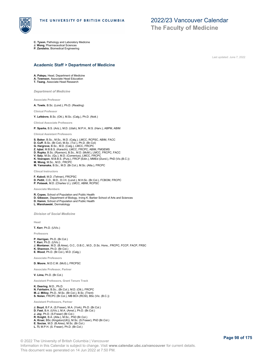

**The Faculty of Medicine**

**C. Tyson**, Pathology and Laboratory Medicine

**J. Wong**, Pharmaceutical Sciences

**P. Zandstra**, Biomedical Engineering

Last updated: June 7, 2022

#### **Academic Staff > Department of Medicine**

**A. Palepu**, Head, Department of Medicine **A. Townson**, Associate Head Education

**T. Tsang**, Associate Head Research

*Department of Medicine*

**Associate Professor**

**A. Towle**, B.Sc. (Lond.), Ph.D. (Reading)

**Clinical Professor**

**Y. Lefebvre**, B.Sc. (Ott.), M.Sc. (Calg.), Ph.D. (Nott.)

**Clinical Associate Professors**

**P. Sparks**, B.S. (Ariz.), M.D. (Utah), M.P.H., M.S. (Harv.), ABPM, ABIM

**Clinical Assistant Professors**

**S. Baker**, B.Sc., M.Sc., M.D. (Calg.), LMCC, RCPSC, ABIM, FACC

- **D. Cuff**, B.Sc. (Br.Col), M.Sc. (Tor.), Ph.D. (Br.Col)<br>**G. Hargrove**, B.Sc., M.D. (Calg.), LMCC, FRCPC<br>**Z. Iqbal**, M.B.B.S. (Karachi), LMCC, FRCPC, ABIM, FMGEMS
- **D. Rupka**, B.Sc. (Ryerson), B.Sc., M.D. (McM.), LMCC, FRCPC, FACC
- 
- **V. Saly,** M.Sc. (Qu.), M.D. (Comenius), LMCC, FRCPC<br>**K. Veerapen,** M.B.B.S. (Punj.), FRCP (Edin.), MMEd (Dund.), PhD (Vic.(B.C.))<br>**M. Wong**, M.Sc., M.D., FRCPC
- **M. Yamanaka**, B.Sc., M.D. (Br.Col.), M.Sc. (Alta.), FRCPC

**Clincal Instructors**

- **F. Kaboli**, M.D. (Tehran), FRCPSC
- **D. Pettit**, C.D., M.D., D.I.H. (Lond.), M.H.Sc. (Br.Col.), FCBOM, FRCPC **P. Polasek**, M.D. (Charles U.), LMCC, ABIM, RCPSC

**Associate Members**

**R. Copes**, School of Population and Public Health

- **D. Gibsson**, Department of Biology, Irving K. Barber School of Arts and Sciences **D. Hamm**, School of Population and Public Health
- 

**L. Warshawski**, Dermatology

*Division of Social Medicine*

**Head**

**T. Kerr**, Ph.D. (UVic.)

**Professors**

- **P. Harrigan**, Ph.D. (Br.Col.)
- **T. Kerr**, Ph.D. (UVic.) **J. Montaner**, M.D. (B.Aires), O.C., O.B.C., M.D., D.Sc. Hons., FRCPC, FCCP, FACP, FRSC **K. Shannon**, Ph.D. (Br.Col.) **E. Wood**, Ph.D. (Br.Col.), M.D. (Calg.)
- 

**Associate Professors**

**D. Moore**, M.D.C.M. (McG.), FRCPSC

**Associate Professor, Partner**

**V. Lima**, Ph.D. (Br.Col.)

**Assistant Professors, Grant Tenure Track**

**K. Deering**, M.D., Ph.D. **N. Fairbairn**, B.Sc., (Br.Col.), M.D. (Ott.), FRCPC **M.-J. Milloy**, Ph.D., M.Sc. (Br.Col.), B.Sc. (Trent) **S. Nolan**, FRCPC (Br.Col.), MB BCh (RCSI), BSc (Vic. (B.C.))

**Assistant Professors, Partner**

- **J. Boyd**, B.F.A. (S.Fraser), M.A. (York), Ph.D. (Br.Col.)
- **D. Fast**, B.A. (UVic.), M.A. (Amst.), Ph.D. (Br.Col.)
- **J. Joy**, Ph.D. (S.Fraser) (Br.Col.)
- **R. Knight**, B.A. (Alta.), M.Sc., PhD (Br.Col.)
- **A. Krusi**, BSc (Kingston(UK)), M.Sc. (S.Fraser), PhD (Br.Col.) **E. Socias**, M.D. (B.Aires), M.Sc. (Br.Col.)
- **L. Ti**, M.P.H. (S. Fraser), Ph.D. (Br.Col.)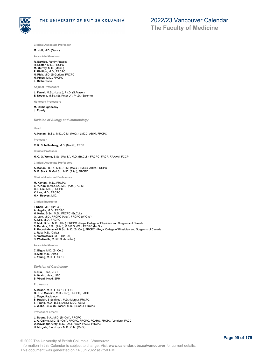

**Clinical Associate Professor**

#### **M. Hull**, M.D. (Sask.)

#### **Associate Members**

**R. Barrios**, Family Practice

- **R. Lester**, M.D., FRCPC **M. Murray**, M.D. (Manit.)
- **P. Phillips**, M.D., FRCPC
- **N. Pick**, M.D. (B.Gurion), FRCPC **N. Press**, M.D., FRCPC
- **L. Richardson**

**Adjunct Professors**

**L. Farrell**, M.Sc. (Lake.), Ph.D. (S.Fraser) **E. Nosova**, M.Sc. (St. Peter U.), Ph.D. (Salerno)

**Honorary Professors**

**M. O'Shaughnessy J. Ruedy**

*Division of Allergy and Immunology*

#### **Head**

**A. Kanani**, B.Sc., M.D., C.M. (McG.), LMCC, ABIM, FRCPC

**Professor**

**R. R. Schellenberg**, M.D. (Manit.), FRCP

**Clinical Professor**

**H. C. G. Wong**, B.Sc. (Manit.), M.D. (Br.Col.), FRCPC, FACP, FAAAAI, FCCP

**Clinical Associate Professors**

# **A. Kanani**, B.Sc., M.D., C.M. (McG.), LMCC, ABIM, FRCPC **D. F. Stark**, B.Med.Sc., M.D. (Alta.), FRCPC

**Clinical Assistant Professors**

**M. Kaviani**, M.D., FRCPC **S. Y. Kim**, B.Med.Sc., M.D. (Alta.), ABIM **C.S. Lee**, M.D., FRCPC **K. Lee**, M.D., FRCPC **H.N. Reeves**, M.D.

**Clinical Instructor**

**I. Chair**, M.D. (Br.Col.) **A. Jagdis**, M.D., FRCPC **H. Kular**, B.Sc., M.D., FRCPC (Br.Col.) **G. Lam**, M.D., FRCPC (Alta.), FRCPC (W.Ont.) **K. Lee**, M.D., FRCPC<br>**R. Mak,** B.Sc., M.D. (Alta.), FRCPC - Royal College of Physician and Surgeons of Canada<br>**S. Perkins,** B.Sc. (Alta.), M.B.B.S. (WI), FRCPC (McG.) **P. Pourshahnazari**, B.Sc., M.D. (Br.Col.), FRCPC - Royal College of Physician and Surgeons of Canada<br>**J. Ruiz,** M.D. (Calg.)<br>**K. Vostretsova**, M.D. (Br.Col.) **S. Wadiwalla**, M.B.B.S. (Mumbai)

**Associate Member**

**C. Biggs**, M.D. (Br.Col.) **R. Mak**, M.D. (Alta.) **J. Yeung**, M.D., FRCPC

*Division of Cardiology*

**K. Gin**, Head, VGH **A. Krahn**, Head, UBC **S. Vlrani**, Head, SPH

**Professors**

- 
- **A. Krahn**, M.D., FRCPC, FHRS **G. B. J. Mancini**, M.D. (Tor.), FRCPC, FACC
- **J. Mayo**, Radiology
- 
- **S. Rabkin**, B.Sc.(Med), M.D. (Manit.), FRCPC **T. Tsang**, M.D., B.Sc. (Alta.), MCC, ABIM **J. Webb**, B.Sc. (S.Fraser), M.D. (Br.Col.), FRCPC
- 

**Professors Emeriti**

**J. Boone**, B.A., M.D. (Br.Col.), FRCPC **J. A. Cairns**, M.D. (Br.Col.), FRCPC, FRCPC, FCAHS, FRCPC (London), FACC

**D. Kavanagh-Gray**, M.D. (Ott.), FACP, FACC, FRCPC

**H. Mizgala**, B.A. (Loy.), M.D., C.M. (McG.)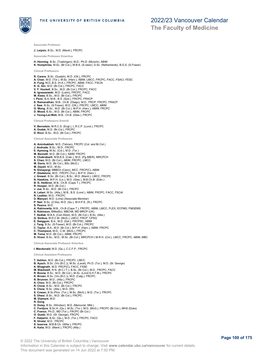

**The Faculty of Medicine**

**Associate Professor**

#### **J. Leipsic**, B.Sc., M.D. (Manit.), FRCPC

**Associate Professor Emeritus**

**H. Henning**, B.Sc. (Tuebingen), M.D., Ph.D. (Munich), ABIM **K. Humphries**, M.Sc. (Br.Col.), M.B.A. (S.raser), D.Sc. (Netherlands), B.G.S. (S.Fraser)

#### **Clinical Professors**

- **R. Carere**, B.Sc. (Guelph), M.D. (Ott.), FRCPC
- **A. Chan**, M.D. (Tor.), M.Sc. (Harv.), ABIM, LMCC, FRCPC, FACC, FSACI, FESC<br>**A. Fung**, M.D.,B.S. (H.K.), FRCPC, ABIM, FACC, FSCAI<br>**K. G. Gin**, M.D. (Br.Col.), FRCPC, FACC
- 
- **V. F. Huckell**, B.Sc., M.D. (Br.Col.), FRCPC, FACC
- 
- **A. Ignaszewski**, M.D. (Lubin), FRCPC, FACC **M. Kiess**, B.Sc., M.D. (Br.Col.), FRCPC
- **I. Penn**, B.A, M.B., B.S. (Syd.), FRCPC, FRACP
- **K. Ramanathan**, M.B., Ch.B. (Otago), M.D., FRCP, FRCPC, FRACP **J. Saw**, B.Sc. (S.Fraser), M.D. (Ott.), FRCPC, LMCC, ABIM
- 
- **G. Wong**, B.Sc., M.D. (Br.Col.), M.P.H. (Harv.), ABIM, FRCPC **D. Wood**, B.Sc., M.D. (Br.Col.), ABIM, FRCPC **J. Yeung-Lai-Wah**, M.B., Ch.B. (Glas.), FRCPC
- 

**Clinical Professors Emeriti**

- **V. Bernstein**, M.R.C.S. (Engl.), L.R.C.P. (Lond.), FRCPC **A. Dodek**, M.D. (Br.Col.), FRCPC
- 
- **D. Ricci**, B.Sc., M.D. (Br.Col.), FRCPC

**Clinical Associate Professors A. Aminbakhsh**, M.D. (Tehran), FRCPC (Col. and Br.Col.) J. Andrade, B.Sc., M.D., FRCPC<br>**E. Aymong**, M.Sc. (Col.), M.D. (Tor.)<br>**M. Bennett**, M.D. (Br.Col.), ABIM, FRCPC<br>**S. Chakrabarti**, M.B.B.S. (Calc.), M.D. (Pg.IMER), MRCPCH<br>**S. Chan**, M.D. (Br.Col.), ABIM, FRCPC, LMCC M. Davis, M.D. (Br.Col.), BSc (McG.)<br>M. Deyell, M.D., M.Sc.<br>N. Elmayergi, MBBCh (Cairo), MCC, FRCP(C), ABIM<br>P. Gladstone, M.D., FRCPC (Tor.), M.P.H. (Harv.)<br>J. Grewal, B.Sc. (Br.Col.), B.Sc., M.D. (Manit.), LMCC, FRCPC<br>N. **R. Hooper**, M.D. (Br.Col.) **J. Jue**, B.Sc., M.D. (Br.Col.), FRCPC **A. Lalani**, M.Sc. (Alta.), M.B., B.S. (Lond.), ABIM, FRCPC, FACC, FSCAI<br>**R. Leather**, M.D., FRCPC<br>**D. Manyari**, M.D. (Lima) (Associate Member) **P. Nair**, B.Sc. (C'dia), M.D. (Qu.), M.H.P.E. (Ill.), FRCPC **S. Pearce**, M.D. **A. Rabinowitz**, M.B., Ch.B (Cape T.), FRCPC, ABIM, LMCC, FLEX, ECFMG, FMGEMS **S. Robinson**, BMedSci, MBChB, MD MRCP (UK) **T. Sedlak**, M.B.A. (Can.West), M.D. (Br.Col.), B.Sc. (Alta.) **G. Simkus**, M.D.C.M. (McG.), LMCC, FRCP, CPSQ **E. Swiggum**, B.A., M.D. (Dal.), FRCPSC, ABIM **J. Tang**, B.Sc. (S.Fraser), M.D. (Br.Col.), FRCPC **C. Taylor**, B.A., M.D. (Br.Col.), M.P.H. (Harv.), ABIM, FRCPC **C. Thompson**, M.D., C.M. (McG.), FRCPC **M. Toma**, M.D. (Br.Col.), ABIM, FRCPC **S. Virani**, B.Sc., M.D., M.Sc. (Br.Col.), MRCPCH ( M.R.H. (Col.), LMCC, FRCPC, ABIM, MBC **Clinical Associate Professor Emeritus I. Macdonald**, M.D. (Qu.), C.C.F.P., FRCPC **Clinical Assistant Professors T. Ashton**, M.D. (Br.Col.), FRCPC, LMCC **B. Ayach**, B.Sc. (Vic.(B.C.)), M.Sc. (Laval), Ph.D. (Tor.), M.D. (St. George)<br>**K. Bhagirath**, M.D. FRCP(C), FACC, FASE<br>**M. Blackwell**, R.N. (B.C.I.T.), B.Sc. (Br.Col.), M.D., FRCPC, FACC R. Boone, B.Sc., M.D. (Br.Col.), M.Sc. (Lond.S.H.T.M.), FRCPC<br>K. Brown, B.Sc. (Vic.(B.C.)), M.D. (Calg.), FRCPC<br>N. Brunner, M.D., (Alta.), FRCPC<br>A. Chou, M.D. (Br.Col.), FRCPC<br>R. Chow, B.Sc., M.D. (Br.Col.), FRCPC<br>S. Chow,

- 
- 
- **S. Dhesi**, B.Sc., M.D. (Br.Col.), FRCPC
- **M. Diamant**, M.D.
- **R. Dong**
- 
- **D. Dulay**, B.Sc. (Windsor), M.D. (Memorial, Nfld.)<br>**C. Fordyce,** B.Sc.H. (Qu.), M.Sc. (Tor.), M.D. (McG.), FRCPC (Br.Col.), MHS (Duke)<br>**C. Franco**, Ph.D., MD (Tor.), FRCPC (Br.Col.)<br>**O. Gusbi**, M.D. (St. George), FRCPC
- 
- 
- **F. Halperin**, B.Sc. (Qu.), M.D. (Tor.), FRCPC, FACC **R. Hiralal**, M.D , FRCPC
- 
- **S. Isserow**, M.B.B.Ch. (Witw.), FRCPC **K. Kaila**, M.D. (Manit.), FRCPC (Alta.)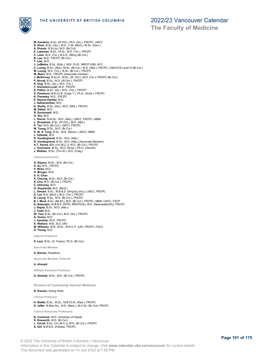

**The Faculty of Medicine**

**M. Kanakos**, B.Sc. (W.Ont.), M.D. (Qu.), FRCPC, LMCC **R. Khan**, B.Sc. (Qu.), M.D., C.M. (McG.), M.Sc. (Harv.) **A. Khosla**, B.Sc.(p), M.D. (Br.Col) **Z. Laksman**, B.Sc., M.Sc., M.D. (Tor.), FRCPC **C. Lane**, M.D. (Tor.), B.A.S., MEng (Br.Col.) **B. Lau**, M.D., FRCPC (Br.Col.) **T. Law**, M.D. **J. LeMaitre**, B.Sc. (Edin.), M.B. Ch.B., MRCP (GB), M.D.<br>**C. Luong**, B.Sc. (Alta.), M.Sc. (Br.Col.), M.D. (Alta.), FRCPC, CSE/CCS Level III (Br.Col.)<br>**M. Luong**, M.D. (Tor.), B.Sc. (Br.Col.), FRCPC<br>**M. Mann**, M.D., FRCPC **J. McKinney**, B.Sc.H., M.Sc. (W. Ont.), M.D. (Tor.), FRCPC (Br.Col.)<br>**P. Novak,** B.Sc., M.D. (W.Ont.), FRCPC<br>**K. Ong**, B.Sc. (Qu.), M.D. (Tor.)<br>**T. Orenstein-Lyall**, M.D., FRCPC<br>**D. Patton,** B.Sc. (Qu.), M.D. (Tor.), FRCP **K. Pistawka**, M.D., FRCPC **E. Rayner-Hartley**, M.D. **J. Sathananthan**, M.D. **K. Shetty**, B.Sc. (Dal.), M.D. (Nfld.), FRCPC **M. Sikkel**, M.D. **R. Sochowski**, M.D. **G. Sra**, M.D. **L. Sterns**, B.M.Sc., M.D. (Alta.), LMCC, FRCPC, ABIM L. Straatman, B.Sc. (W.Ont.), M.D. (Alta.)<br>P. Tan, M.D. (Br.Col.), LMCC, FRCPC<br>**M. Tsang**, B.Sc., M.D. (Br.Col.)<br>**K. W. S. Tung**, B.Sc., M.D. (Manit.), LMCC, ABIM<br>**L. Vatrdergriend,** B.Sc., M.D. (Alta.)<br>**R. Vandergriend, R. Vandergriend**, B.Sc., M.D. (Alta.) (Associate Member) **A.T. Verma**, BSc (Vic.(B.C.)), M.D. (Br.Col.), FRCPC **J. Vuurmans**, M.Sc., M.D. (Amst.), Ph.D. (Utrecht) **J. Webber**, B.Sc. (Trin.W.), M.D. (Calg.) **Clinical Instructor S. Alipour**, M.Sc., M.D. (Br.Col.) **S. Au**, M.D., FRCPC **V. Bhan**, M.D. **H. Bhugra**, M.D. **S. H. Chan S. Cheung**, B.Sc., M.D. (Br.Col.) **K. Chu**, M.D. (Br.Col.), FRCPC **C. Dehoney**, M.D. **O. Desplantie**, M.D. (McG.) **L. Dewart**, B.Sc., M.B.B.S. (King's(Lond.)), LMCC, FRCPC **D. Lee**, B.A. (McG.), M.D. (Tor.), FRCPC **B. Leung**, B.Sc., M.D. (Br.Col.), FRCPC **B. I. Munt**, B.Sc. (Mt.All.), M.D. (Br.Col.), FRCPC, ABIM, LMCC, FACP **A. Natarajan**, M.B.B.S. (NTR), MRCP(UK), M.D. (Newcastle(UK)), FRCPC **J. Rajala**, B.Sc., M.D. (Alta.) **J. Todd**, M.D. **W. Tsui**, B.Sc. (Br.Col.), M.D. (Qu.), FRCPC **A. Verma**, M.D. **J. Vyselaar**, M.D., FRCPC **K. Wallace**, M.B., B.S. (WI) **M. Williams**, M.B., B.Sc., M.R.C.P. (UK), FRCPC, FACC **A. Yeung**, M.D. **Adjunct Professor S. Lear**, B.Sc. (S. Fraser), Ph.D. (Br.Col.) **Associate Member**

#### **A. Barlow**, Pediatrics

**Associate Member, External**

#### **A. Ahmadi**

**Affiliate Assistant Professor**

#### **A. Ahmadi**, B.Sc., M.D. (Br.Col.), FRCPC

*Division of Community Internal Medicine*

#### **B. Kassen**, Acting Head

**Clinical Professor**

**H. Baillie**, B.Sc., M.Sc., M.B.Ch.B. (Glas.), FRCPC **S. Jaffer**, B.Med.Sci., M.D. (Mem.), M.H.Sc. (Br.Col), FRCPC

**Clinical Associate Professors**

- **N. Cummins**, M.D. University of Hawaii
- 
- **S. Ensworth**, M.D. (Br.Col.) **L. Farrell**, B.Sc. (Vic.(B.C.)), M.D. (Br.Col.), FRCPC **S. Gill**, M.B.B.S. (Patiala), FRCPC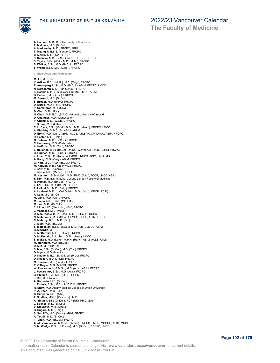

**A. Hamour**, M.B., B.S. University of Khartoum **P. Malpass**, M.D. (Br.Col.) **A. Markanday**, M.D., FRCPC, ABIM **T. Maung**, M.B.B.S. (Yangon), FRCPC **C. Morris**, M.D. (Tor.), FRCPC **S. Sullivan**, M.D. (Br.Col.), MRCP, FRCPC, FRCPL **S. Taylor**, B.Sc. (Wat.), M.D. (McM.), FRCPC **S. Walker**, B.Sc., M.D. (Br.Col.), FRCPC **S. Wong**, B.Sc., M.D. (Calg.), FRCPC **Clinical Assistant Professors M. Ali**, M.B., B.S. **Y. Arikan**, B.Sc. (McG.), M.D. (Calg.), FRCPC **E. Auersperg**, M.Sc., M.D. (Br.Col.), ABIM, FRCPC, LMCC **N. Baradaran**, M.D. (Iran U.M.S.), FRCPC **K. Bashir**, M.B., B.S. (Dow), ECFMG, LMCC, ABIM **B. Behesti**, M.D. (Tor.), FRCPC **M. Bernard**, M.D. (Br.Col.) **S. Broder**, M.D. (McM.), FRCPC **D. Burke**, M.D. (Tor.), FRCPC **P. Camateros**, M.D. (Calg.) **B. Chai**, M.D. (Alta.) **N. Chan**, M.B.,B.Ch.,B.A.O. National University of Ireland **D. Chandler**, M.D. (Manchester) **P. Chang**, M.D. (W.Ont.), FRCPC **J. Dunne**, M.B. (Ireland), FRCPC **C. L. Dyck**, B.Sc. (McM.), B.Sc., M.D. (Manit.), FRCPC, LMCC **A. Elekiaby**, M.B.Ch.B., ABIM, ABPM<br>**D. Ervin**, M.D. (Dal.), ABRM, ACLS, ATLS, ACCP, LMCC, ABIM, FRCPC<br>**R. Foster**, M.D. (Calg.) **G. Gabana**, M.D. (Br.Col.), FRCOC **C. Hennessy**, M.D. (Dalhousie) **A. Hoffman**, M.D. (Tor.), FRCPC **L. Hollands**, B.Sc. (Br.Col.), M.Sc. (W.Wash.U.), M.D. (Calg.), FRCPC<br>**B. Hughes**, M.D. (Br.Col.), FRCPC<br>**Z. Iqbal**, M.B.B.S. (Karachi), LMCC, FRCPC, ABIM, FMGEMS **A. Kang**, M.D. (Calg.), ABIM, FRCPC **G. Karr**, M.D., Ph.D. (Br.Col.), FRCPC **M. Kenyon**, M.B.B.Ch. (Witw.), FRCPC **J. Kerr**, M.D. (Queen's)<br>**J. Kerrie**, M.D. (Manit.), FRCPC<br>**M. Keshmiri**, B.Sc.(Med.), M.D., Ph.D. (Alta.), FCCP, LMCC, ABIM **E. Kim**, M.B.,B.S. Imperial College London Faculty of Medicine **R. Kumar**, M.D. (Br.Col.), FRCPC **E. Lai**, B.Sc., M.D. (Br.Col.), FRCPC **P. Lail**, M.Sc., M.D. (Calg.), FRCPC **A. Lakhani**, M.D. (U.Coll.Dublin), M.Sc. (NUI), MRCP (RCPI) **A. Lam**, M.D. (Br.Col.) **M. Lang**, M.D. (Col.), FRCPC **M. Lapin**, M.D., C.M., (1981 McG) **M. Lee**, M.D., (Br.Col.) **C. Little**, M.D. (Memorial, Nfld.), FRCPC **J. MacIsaac**, M.D. (McM.) **D. MacRitchie**, B.Sc. Hons., M.D. (Br.Col.), FRCPC **N. Mahmoudi**, M.D. (Shiraz), LMCC, CCFP, ABIM, FRCPC **C. Mahony**, B.Sc., M.D. (Ott.) **C. Main**, M.D. (Br.Col.) **S. Matossian**, B.Sc. (Br.Col.), M.D. (Alta.), LMCC, ABIM **B. McArdle**, M.D. **K. McDermid**, M.D. (Br.Col.), FRCPC **D. McDonald,** B.A. (Tor.), M.D. (Manit.), LMCC<br>**S. McKee**, M.D. (Duke), M.P.H. (Harv.), ABIM, ACLS, ATLS<br>**M. McKnight,** M.D. (Br.Col.)<br>**D. Min,** M.D. (Br.Col.)<br>**S. Min**, B.Sc. (Br.Col.), M.D. (Tor.), FRCPC **D. Myers**, M.D. (Manit.) **D. Naude**, M.B.Ch.B., M.Med. (Pret.), FRCPC **D. Negash**, M.D. (JTSE), FRCPC **M. Nezerali**, M.B. (Lond.), FRCPC **R. O'Dwyer**, M.B., MRCPI, FRCPC **W. Pewarchuck**, B.M.Sc., M.D. (Alta.), ABIM, FRCPC **J. Pewarchuk**, B.Sc., M.D. (Alta.), FRCPC **B. Phillips**, B.A., M.D. (Qu.), FRCPC **J. Rai**, M.D. (Alta.) **A. Rizzardo**, M.D. (Br.Col.) **J. Rudnik**, B.Sc., M.Sc., M.D.C.M., FRCPC **R. Shaw**, M.D. Albany Medical College of Union University **P. A. Sherk**, M.D. (Tor.) **C. Simpson**, M.D. (Alta.) **T. Sindhar**, MBBS (Kasturba) , M.D. **A. Singh**, MBBS (GND), MRCP (UK), Ph.D. (Exe.) **J. Spence**, M.D. (Br.Col.) **V. Stoynova**, M.D. (McG.) **B. Sugars**, M.D. (Calg.) **S. Sutcliffe**, M.D. (Sask.), ABIM, FRCPC **A. Tothill**, M.D. (Br.Col.) **I. Tynan**, M.D. (Br.Col.), FRCPC **A. -A. Varadarasa**, M.B.B.S. (Jaffna), FRCPC, LMCC, MCCQE, ABIM, MCCEE **S. M. Wadge**, B.Sc. (S.Fraser), M.D. (Br.Col.), FRCPC, LMCC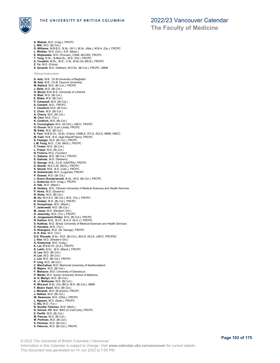

THE UNIVERSITY OF BRITISH COLUMBIA

### 2022/23 Vancouver Calendar

**The Faculty of Medicine**

**A. Walzak**, M.D. (Calg.), FRCPC **L. Wik**, M.D. (Br.Col.) **D. Williams**, M.B.B.S., B.Sc. (W.I.), M.Sc. (Alta.), M.B.A. (Qu.), FRCPC **L. Winkler**, M.D. (Ont.), S.B. (Mass.) **E. Wojtowska**, M.D. (Poznan), CSIM, MCCEE, FRCPC **T. Yang**, B.Sc., B.Med.Sc., M.D. (Ott.), FRCPC **S. Youakim**, M.Sc., M.D., C.M., M.Sc.(A) (McG.), FRCPC **Z. Yu**, M.D. (China) **S. Zavareh**, M.D. (Isfahan), M.H.Sc. (Br.Col.), FRCPC, ABIM **Clinical Instructors A. Aziz**, M.B., Ch.B.University of Baghdad **M. Aziz**, M.B., Ch.B. Fayoum University **M. Ballard**, M.D. (Br.Col.), FRCPC **J. Belle**, M.D. (Br.Col.) **G. Bhurji**, B.M.,B.S. University of Limerick **H. Blair**, M.D. (Br.Col.) **E. Blake**, M.D. (Br.Col.) **P. Campsall**, M.D. (Br.Col.) **S. Caswell**, M.D., FRCPC **T. Cessford**, M.D. (Br.Col.) **C. Chan**, M.D. (Br.Col.) **A. Cherry**, M.D. (Br.Col.) **M. Choi**, M.D. (Tor.) **K. Cindrich**, M.D. (Br.Col.) **K. Cunningham**, M.D. (W.Ont.), LMCC, FRCPC **O. Drouin**, M.D. (Lom.Linda), FRCPC **M. Eddy**, M.D. (Br.Col.) **E. Fam**, M.B.B.Ch., M.Sc. (Cairo), USMLE, ATLS, ACLS, ABIM, AMCC **M. Fazil**, M.B., B.S. (Aga Khan(P'stan)), FRCPC **S. Fazlagic**, M.D. (Br.Col.), FRCPC **L.M. Fong**, M.D., C.M. (McG.), FRCPC **C. Foster**, M.D. (Br.Col.) **L. Fraser**, M.D. (Br.Col.) **N. Frolova**, M.D. (Tyumen) **C. Gabana**, M.D. (Br.Col.), FRCPC **S. Galindo**, M.D. (Western) **D. George**, M.B., Ch.B. (UNITRA), FRCPC **S. Gharbi**, M.D.C.M. (McG.), FRCPC **S. Ghosh**, M.B., B.S. (Calc.), FRCPC **N. Golishevski**, M.D. (Lugansk), FRCPC **P. Gosset**, M.D. (Br.Col.) **J. Grace (Sunderwood)**, B.Sc., M.D. (Br.Col.), FRCPC **L. Gutierrez**, M.D. (Calg.), FRCPC **A. Hak**, M.D. (Manit.) **B. Heidary**, M.D. Teheran University of Medical Sciences and Health Services<br>**P. Herta**, M.D. (Queen's)<br>**R. Hicks**, M.D. (Br.Col.) **M. Ho**, M.H.S.C. (Br.Col.), M.D. (Tor.), FRCPC **R. Holden**, M.D. (Br.Col.), FRCPC **K. Humphreys**, M.D. (Manit.) **T. Jankowski**, M.D. (Br.Col.) **M. Jansz**, M.D. (Western Ont.) **D. Jaworsky**, M.D. (Tor.), FRCPC **K. Jongewaard (Kelly)**, M.D. (Br.Col.), FRCPC<br>**R. Kahlon**, M.B., B.Ch., B.A.O. (N.U.I.), FRCPC<br>**S. Kalikias**, M.D. Shiraz University of Medical Sciences and Health Services **A. Kecskes**, M.D. (Tor.)<br>**H. Khangura**, M.D. (St. George), FRCPC<br>**H. R. Kim**, M.D. (Tor.)<br>**D.D. Kincade**, B.Sc., M.D. (Br.Col.), BCLS, ACLS, LMCC, FRCPSC<br>**J. Kler**, M.D. (Western Ont.) **A. Kostyniuk**, M.D. (Calg.) **K. Lai**, M.B.B.Ch. (S.A.), FRCPC **S. Lakhi**, B.Sc., M.D. (Manit.), FRCPC **G. Lea**, M.D. (Br.Col.) **H. Lee**, M.D. (Br.Col.) **J. Lim**, M.D. (Br.Col.), FRCPC **P. Ling**, M.D. (Br.Col.) **C. MacCallum**, M.D. Memorial University of Newfoundland **R. Majere**, M.D. (Br.Col.) **F. Mansour**, M.D. University of Damascus **P. Martin**, M.D. Xavier University School of Medicine **A. H. Martyn**, M.D. (Br.Col.) **K. -J. McKenzie**, M.D. (Br.Col.) **K. McLeod**, B.Sc. (Vic.(BC)), M.D. (Br.Col.), ABIM **F. Moein Vaziri**, M.D. (Br.Col.) **J. Morantz**, M.D. (B.Gurion), FRCPC **J. Nathan**, M.D. (Br.Col.) **W. Newsome**, M.D. (Okla.), FRCPC **L. Nguyen**, M.D. (Sask.), FRCPC **C. Niu**, M.D. (Tor.) **B. Nouthe Tietchou**, M.D. (McG.) **D. Ortved**, MB. Bch. BAO (U.Coll.Cork), FRCPC **E. Parfitt**, M.D. (Br.Col.) **M. Pascas**, M.D. (Br.Col.) **M. Perlman**, M.D. (Br.Col.) **S. Perlman**, M.D. (Br.Col.) **V. Petrovic**, M.D. (Br.Col.), FRCPC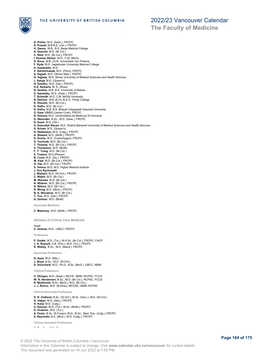

**The Faculty of Medicine**

**G. Polley**, M.D. (Sask.), FRCPC **S. Prasad**, M.B.B.S. (Jiw.), FRCPC **H. Qamar**, M.B., B.S. Baqai Medical College **N. Quershi**, M.D. (Br.Col.) **C. Reid**, M.D. (Br.Col.), FRCPC **I. Roshan Afshar**, M.D., C.M. (McG) **D. Roux**, M.B.,Ch.B. Universiteit Van Pretoria **F. Rydz**, M.D. Jagiellonian University Medical College **A. Saadeddin**, M.D. **V. Sahiholnasab**, M.D. (Pécs), FRCPC **S. Sajjadi**, M.D. (Shiraz Med.), FRCPC<br>**G. Sajjady**, M.D. Shiraz University of Medical Sciences and Health Services<br>**J. Saluja,** M.D. (Queen's)<br>**N. Sandhu**, M.D. (Dal.), FRCPC **H.S. Sarkaria**, M. D. (Ross) **N. Saukila**, M.B.,B.S. University of Malawi **E. Sawatsky**, M.D. (Sask.), FRCPC **T. Schmidt**, M.D.,C.M. McGill University **B. Sehmer**, M.B.,B.Ch.,B.A.O. Trinity College **K. Shoults**, M.D. (Br.Col.) **K. Sidhu**, M.D. (Br.Col.) **N. Sidhu**, M.B.,B.S. Bharati Vidyapeeth Deemed University **D. Siew**, MBBS (James Cook), FRCPC **B. Simona**, M.D. Universitatea de Medicina Si Farmacie **D. Skinnider**, B.Sc., M.D. (Sask.), FRCPC **N. Sood**, M.D. (Ott.) **H. Sotoudeh Ravan**, M.D. Shahid Beheshti University of Medical Sciences and Health Services **S. Sriram**, M.D. (Queen's) **H. Stefanison**, M.D. (Calg.), FRCPC **A. Stewart**, M.D. (McM.), FRCPC **S. Svarta**, M.D. (Copenhagen), FRCPC **D. Teichrob**, M.D. (Br.Col.) **T. Thomas**, M.D. (Br.Col.), FRCPC **X. Thompson**, M.D. (McM) **F. Y. Trang**, M.D. (Br.Col.) **Z. Trutsov**, M.D.(Pleven) **B. Tuvel**, M.D. (Qu.), FRCPC **M. Vaid**, M.D. (Br.Col.), FRCPC<br>**G. Vaz**, M.D. (Br.Col.), FRCPC<br>**V. Veleva**, M.D. M.D. Higher Medical Institute **J. Von Sychowski J. Wallach**, M.D. (W.Ont.), FRCPC **C. Walsh**, M.D. (Br.Col.) **M. Warwas**, M.D. (Br.Col.) **N. Widmer**, M.D. (Br.Col.), FRCPC **A. Wilson**, M.D. (Br.Col.) **R. Wong**, M.D. (Minn.), FRCPC **B. A. Woodrow**, M.D. (Br.Col.) **Y. You**, M.D. (Dal.), FRCPC **A. Zentner**, M.D. (McM) **Associate Members C. Mahoney**, M.D. (McM.), FRCPC *Division of Critical Care Medicine* Head

**C. Holmes**, M.D., LMCC, FRCPC

**Professors**

**P. Dodek**, M.D. (Tor.), M.H.Sc. (Br.Col.), FRCPC, FACP **J. A. Russell**, A.B. (Prin.), M.D. (Tor.), FRCPC **K. Walley**, B.Sc., M.D. (Manit.), FRCPC

**Associate Professors**

**N. Ayas**, M.D. (Alta.)<br>**J. Boyd**, B.Sc., M.D. (W.Ont.)<br>**D. Dorscheid**, M.D., Ph.D., B.Sc. (McG.), LMCC, ABIM

**Clinical Professors**

**V. Dhingra**, M.D. (Sask.), MCCE, ABIM, RCPSC, FCCS<br>**W. R. Henderson**, B.Sc., M.D. (Br.Col.), RCPSC, FCCS<br>**R. McDermid**, B.Sc. (McG.), M.D. (Br.Col.)<br>**J. J. Ronco**, M.D. (B.Aires), MCCEE, ABIM, RCPSC

**Clinical Associate Professors**

**D. R. Chittock**, B.Sc. (W.Ont.), M.Sc. (Harv.), M.D. (W.Ont.) **G. Haljan**, M.D. (Alta.), FRCPC **H. Kanji**, M.D. (Calg.)<br>**S. Keenan**, M.D. (Tor.), M.Sc. (McM.), FRCPC<br>**D. Ovakrim**, M.D. (Tor.)

**A. Peets**, B.Sc. (S.Fraser), M.D., M.Sc., Med. Edu. (Calg.), FRCPC **S. Reynolds**, B.A. (McG.), M.D. (Calg.), FRCPC

**Clinical Assistant Professors**

**N. Bradley**, M.D. (Tor.)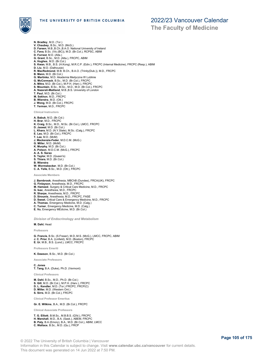

**The Faculty of Medicine**

**N. Bradley**, M.D. (Tor.) **V. Chaubey**, B.Sc., M.D. (McG.) **D. Fareen**, M.B.,B.Ch.,B.A.O. National University of Ireland **C. Fava**, B.Sc. (Vic.(BC)), M.D. (Br.Col.), RCPSC, ABIM **D. Forrest**, M.D. (Alta.) **G. Grant**, B.Sc., M.D. (Alta.), FRCPC, ABIM **A. Hughes**, M.D. (Br.Col.) **S. Kwan**, M.B., B.S. (H.Kong), M.R.C.P. (Edin.), FRCPC (Internal Medicine), FRCPC (Resp.), ABIM **D. Liu**, M.D. (Dalhousie) **R. MacRedmond**, M.B. B.Ch., B.A.O. (Trinity(Dub.)), M.D., FRCPC **B. Mann**, M.D. (Br.Col.) **G. Martinka**, M.D. Akademia Medyczna W Lublinie **G. McCormack**, B.Sc., M.D. (Br.Col.), FRCPC **A. Mitra**, M.D. (Br.Col.), M.P.H. (Harv.), FRCPC **S. Mountain**, B.Sc., M.Sc., M.D., M.D. (Br.Col.), FRCPC **A. Nazerali-Maitland**, M.B.,B.S. University of London **T. Paul**, M.D. (Br.Col.) **M. Sekhon**, M.D., FRCPC **B. Wierstra**, M.D. (Ott.) **J. Wong**, M.D. (Br.Col.), FRCPC **T. Yerman**, M.D., FRCPC **Clinical Instructors A. Babuk**, M.D. (Br.Col.) **H. Brar**, M.D., FRCPC **K. Craig**, B.Sc., M.D., M.Sc. (Br.Col.), LMCC, FRCPC **D. Jaswal**, M.D. (Br.Col.) **L. Khara**, M.D. (N.Y.State), M.Sc. (Calg.), FRCPC **E. Lau**, M.D. (Br.Col.), FRCPC **T. Lee**, M.D. (McM) **J. Mackenzie-Feder**, M.D.C.M. (McG.) **G. Miller**, M.D. (McM) **K. Murphy**, M.D. (Br.Col.) **A. Polson**, M.D.C.M. (McG.), FRCPC **A. A. S. Sarao S. Taylor**, M.D. (Queen's) **S. Thiara**, M.D. (Br.Col.) **B. Wierstra W. Wormsbecker**, M.D. (Br.Col.)

**C. A. Yelle**, B.Sc., M.D. (Ott.), FRCPC

**Associate Members**

- **J. Barnbrook**, Anesthesia, MBChB (Dundee), FRCA(UK), FRCPC
- **G. Finlayson**, Anesthesia, M.D., FRCPC
- **M. Hameed**, Surgery & Critical Care Medicine, M.D., FRCPC **G. Isac**, Anesthesia, M.D., FRCPC
- 
- **R. Sharpe**, Anesthesia, M.D., FRCPC
- **D. Sirounis**, Anesthesia, M.D., FRCPC, FASE
- **D. Sweet**, Critical Care & Emergency Medicine, M.D., FRCPC
- **A. Thomas**, Emergency Medicine, M.D. (Calg.)
- **C. Turner**, Emergency Medicine, M.D. (Calg.) **E. Vu**, Emergency MEdicine, M.D. (Br.Col.)
- 

*Division of Endocrinology and Metabolism*

#### **M. Dahl**, Head

**Professors**

**G. Francis**, B.Sc. (S.Fraser), M.D.,M.S. (McG.), LMCC, FRCPC, ABIM **J. C. Prior**, B.A. (Linfield), M.D. (Boston), FRCPC **E. Ur**, M.B., B.S. (Lond.), LMCC, FRCPC

**Professors Emeriti**

**K. Dawson**, B.Sc., M.D. (Br.Col.)

**Associate Professors**

**C. Jones T. Tang**, B.A. (Duke), Ph.D. (Vermont)

**Clinical Professors**

**M. Dahl**, B.Sc., M.D., Ph.D. (Br.Col.) **S. Gill**, M.D. (Br.Col.), M.P.H. (Harv.), FRCPC **D. L. Kendler**, M.D. (Tor.) FRCPC, FRCP(C) **D. Miller**, M.D. (Western Ont.) **S. Sirrs**, M.D. (Br.Col.), FRCPC

**Clinical Professor Emeritus**

**Gr. E. Wilkins**, B.A., M.D. (Br.Col.), FRCPC

**Clinical Associate Professors**

**T. G. Elliott**, B.M.Sc., M.B.B.S. (Q'ld.), FRCPC **H. Marshall**, M.D., B.A. (Sask.), ABEM, FRCPC **B. Paty**, B.A (Emory), B.A., M.D. (Br.Col.), ABIM, LMCC **C. Wallace**, B.Sc., M.D. (Qu.), FRCP

**Page 105 of 175**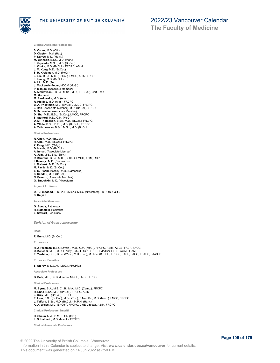

**Clinical Assistant Professors**

- **S. Capes**, M.D. (Ott.) **D. Clayton**, M.d. (Hal.) **P. Darras**, M.D. (Manit.) **M. Johnson**, B.Sc., M.D. (Man.) **J. Kapeluto**, M.Sc., M.D. (Br.Col.) **J. Klinke**, M.D. (Br.Col.), FRCPC, ABIM **J. M. Kong**, M.D. (Br.Col.) **S. H. Kreisman**, M.D. (McG.) **J. Lee**, B.Sc., M.D. (Br.Col.), LMCC, ABIM, FRCPC **J. Leung**, M.D. (Br.Col.) **A. Liu**, M.D. (Tor.) **J. Mackenzie-Feder**, MDCM (McG.) **P. Manjoo**, (Associate Member) **A. Moldoveanu**, B.Sc., M.Sc., M.D., FRCP(C), Cert Endo **M. Moosavi M. Pawlowska**, M.D. (Alta.) **R. Phillips**, M.D. (Alta.), FRCPC **B. A. Priestman**, M.D. (Br.Col.), LMCC, FRCPC **J. Ren**, (Associate Member), M.D. (Br.Col.), FRCPC **B. Schroeder**, (Associate Member) **D. Shu**, M.D., B.Sc. (Br.Col.), LMCC, FRCPC **S. Stafford**, M.D., C.M. (McG.) **D. M. Thompson**, B.Sc., M.D. (Br.Col.), FRCPC **A. White**, B.Sc., B.Ed., M.D. (Br.Col.), FRCPC **A. Zelichowska**, B.Sc., M.Sc., M.D. (Br.Col.) **Clinical Instructors R. Chen**, M.D. (Br.Col.) **H. Choi**, M.D. (Br.Col.), FRCPC **X. Feng**, M.D. (Calg.) **D. Harris**, M.D. (Br.Col.) **A. Inman**, (Associate Member) **A. Jain**, M.B., B.S. (Shiv.) **R. Khurana**, B.Sc., M.D. (Br.Col.), LMCC, ABIM, RCPSC **I. Ksseiry** , M.D. (Damascus) **L. Materek**, M.D. (Br.Col.)
- 
- **M. Pavlic**, M.D. (Br.Col.)<br>**S. R. Pisani**, Ksseiry, M.D. (Damascus)
- **S. Sandhu**, M.D. (Br.Col.)
- **N. Severin**, (Associate Member) **G. Smushkin**, M.D. (N'western)
- **Adjunct Professor**

**D. T. Finegood**, B.S.Ch.E. (Mich.), M.Sc. (N'western), Ph.D. (S. Calif.) **S. Kalyan**

**Associate Members**

**G. Bondy**, Pathology **R. Rothstein**, Pediatrics **L. Stewart**, Pediatrics

*Division of Gastroenterology*

**Head**

**R. Enns**, M.D. (Br.Col.)

**Professors**

H. J. Freeman, B.Sc. (Loyola), M.D., C.M. (McG.), FRCPC, ABIM, ABGE, FACP, FACG<br>**D. Kelleher**, M.B., M.D. (Trinity(Dub)),FRCPI, FRCP, FMedSci, FTCD, AGAF, FIAMS<br>**E. Yoshida**, OBC, B.Sc. (West), M.D. (Tor.), M.H.Sc. (Br.Col

**Professor Emeritus**

**S. Stordy**, M.D.C.M. (McG.), FRCP(C)

**Associate Professors**

**B. Salh**, M.B., Ch.B. (Leeds), MRCP, LMCC, FRCPC

**Clinical Professors**

**M. Byrne**, B.A., M.B. Ch.B., M.A., M.D. (Camb.), FRCPC **R. Enns**, B.Sc., M.D. (Br.Col.), FRCPC, ABIM **J. Gray**, M.D. (Br.Col.), FRCPC **E. Lam**, B.Sc. (Br.Col.), M.Sc. (Tor.), B.Med.Sc., M.D. (Mem.), LMCC, FRCPC **J. Telford**, B.Sc., M.D. (Br.Col.), M.P.H. (Harv.) **A. A. Weiss**, M.D. (Br.Col.), FRCPC, CME Director, ABIM, FRCPC

**Clinical Professors Emeriti**

#### **H. Chaun**, M.A., B.M., B.Ch. (Oxf.) **L. S. Halparin**, M.D. (Manit.), FRCPC

**Clinical Associate Professors**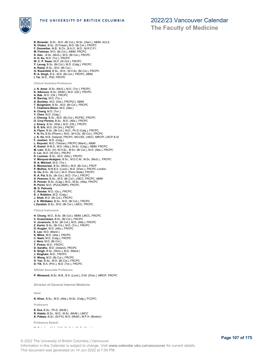

**The Faculty of Medicine**

**B. Bressler**, B.Sc., M.D. (Br.Col.), M.Sc. (Harv.), ABIM, ACLS **N. Chatur**, B.Sc. (S.Fraser), M.D. (Br.Col.), FRCPC **F. Donnellan**, M.B., B.Ch., B.A.O., M.D., M.R.C.P.I M. Fishman, M.D. (Br.Col.), ABIM, FRCPC<br>S. Gan., B.Sc. (McG.), M.D. (Br.Col.), FRCPC<br>H. H. Ko, M.D. (Tor.), FRCPC<br>W. C. P. Kwan, M.D. (W.Ont.), FRCPC<br>Y. Leung, B.Sc. (Br.Col.), M.D. (Calg.), FRCPC<br>A. Ramji, B.Sc., M.D. (Br **G. Rosenfeld**, B.Sc., M.D., M.H.Sc. (Br.Col.), FRCPC **R. A. Singh**, B.S., M.D. (Br.Col.), FRCPC, ABIM **I. Tai**, M.D., PhD, FRCPC **Clinical Assistant Professors J. N. Amar**, B.Sc. (McG.), M.D. (Tor.), FRCPC **K. Atkinson**, B.Sc. (McM.), M.D. (Ott.), FRCPC **A. Bak**, M.D. (Ott.), FRCPC **R. Barclay**, M.D. (Tor.) **A. Buckley**, M.D. (Dal.), FRCP(C), ABIM **T. Burgmann**, B.Sc., M.D. (Br.Col.), FRCPC **T. Chalmers-Nixon**, M.D. (Alta.) **A. Chang**, M.D. (Tor.) **Y. Chen**, M.D. (Calg.) **J. Cheung**, B.Sc., M.D. (Br.Col.), RCPSC, FRCPC O. Cruz Pereira, B.Sc., M.D. (Alta.), FRCPC<br>J. Emery, B.Sc. (Wat.), M.D. (Ott.), FRCPC<br>S. R. Erb, M.D. (W.Ont.), FRCPC<br>A. Flynn, B.Sc. (Br.Col.), M.D., Ph.D (Calg.), FRCPC<br>Y. N. Fu, B.Sc. (Pharm.), M.D., M.H.Sc. (Br.Col.), **F. Jowhari**, M.D. (Calg.)<br>**L. Keyvani**, M.D. (Tehran), FRCPC (Manit.), ABIM<br>**K. Koziol**, B.M.S., M.D. (Alta.), M.Sc. (Calg.), ABIM, FRCPC **M. Lam**, B.Sc. (H), M.H.Sc., M.Sc. (Br.Col.), M.D. (Alta.), FRCPC **C. Lin**, M.D. (W.Ont.), FRCPC **D. Loomes**, B.Sc., M.D. (Alta.), FRCPC **V. Marquez-Azalgara**, B.Sc., M.D.C.M., M.Sc. (McG.)., FRCPC **R. A. Mitchell**, M.D. (Tor.) **S. Moosaviasi**, B.Sc. (McG.), M.D. (Br.Col.), FRCP **P. Mullins**, M.B.B.S. (Lond.), M.D. (S'ton.), FRCPC London **G. Ou**, B.Sc. (Br.Col.), M.D. (Penn.State), FRCPC **R. A. Pai**, B.Sc. (Br.Col.), M.D. (Tor.), FRCPC **D. Pearson**, B.Sc., M.D. (Br.Col.), LMCC, FRCPC, ABIM **R. Penner**, B.Sc. (Calg.), M.D., M.Sc. (Alta), FRCPC **R. Perini**, M.D. (PUUCAMP), FRCPC **M. D. Petrunia C. Render**, M.D. (Qu.), FRCPC **S. J. Robbins**, M.D. (Calg.) **J. Shah**, M.D. (Br.Col.), FRCPC **J. S. Whittaker**, B.Sc., M.D. (Br.Col.), FRCPC **I. Zandieh**, B.Sc., M.D. (Br.Col.), LMCC, FRCPC **Clinical Instructors H. Chung**, M.D., B.Sc. (Br.Col.), ABIM, LMCC, FRCPC<br>**C. Evaschesen**, B.Sc. (Br.Col.), FRCPC<br>**V. Jovanovic**, B.Sc. (Br.Col.), M.D. (Alta.), FRCPC<br>**Z. Karim**, B.Sc. (Br.Col.), M.D. (Tor.), FRCPC **D. Krygier**, M.D. (Alta.), FRCPC **E. Lee**, M.D. (Manit.) **K. Milne**, M.D. (Alta.), FRCPC

- 
- **C. Nash**, M.D. (Calg.), FRCPC **J. Nero**, M.D. (Br.Col.)
- **T. Picton**, M.D., FRCPC
- **D. Sandhu**, M.D. (Ireland), FRCPC **S. Singh**, B.Sc. (Winn.), M.D. (Manit.)
- **J. Singham**, M.D., FRCPC
- **V. Wong**, M.D. (Br.Col.), FRCPC **H. Yau**, B.Sc., M.D. (Br.Col.), FRCPC
- **D. Yik**, B.A. (Prin.), M.D. (Tor.), FRCPC

**Affiliate Associate Professors**

**P. Winwood**, B.Sc. M.B., B.S. (Lond.), D.M. (S'ton.), MRCP, FRCPC

*Division of General Internal Medicine*

**Head**

**N. Khan**, B.Sc., M.D. (Alta.), M.Sc. (Calg.), FCCPC,

**Professors**

#### **K. Eva**, B.Sc., Ph.D. (McM.) **R. Hatala**, B.Sc., M.D., M.Sc. (McM.), LMCC **A. Palepu**, B.Sc. (St.FX), M.D. (McM.), M.P.H. (Boston)

**Professors Emeriti**

**M. Schulzer**, M.A., M.D. (Br.Col.), Ph.D. (Wash.)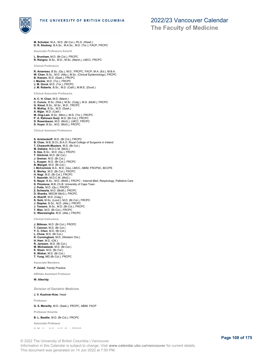

**M. Schulzer**, M.A., M.D. (Br.Col.), Ph.D. (Wash.) **D. R. Studney**, B.A.Sc., M.A.Sc., M.D. (Tor.), FACP, FRCPC

**Associate Professors Emeriti**

**L. Brunham**, M.D. (Br.Col.), FRCPC **R. Rangno**, B.Sc., M.D., M.Sc. (Manit.), LMCC, FRCPC

**Clinical Professors**

**R. Arseneau**, B.Sc. (Qu.), M.D., FRCPC, FACP, M.A. (Ed.), M.B.A. **W. Chan**, B.Sc., M.D. (Alta.), M.Sc. (Clinical Epidemiology), FRCPC **B. Kassen**, M.D. (Sask.), FRCPC **I. Mackie**, M.D. (Tor.), FRCPC **J. M. Onrot**, M.D. (Tor.), FRCPC **J. M. Roberts**, B.Sc., M.D. (Calif.), M.M.E. (Dund.)

**Clinical Associate Professors**

**A. C. H. Chan**, M.D. (Manit.) **C. Cuncic**, B.Sc. (Wat.), M.Sc. (Calg.), M.D. (McM.), FRCPC **G. Kimel**, B.Sc., M.Sc., M.D., FRCPC **R. McKay**, B.Sc., M.D. (Sask.) **A. Nijjar**, M.D. (Calif.) **M. Ong-Lam**, B.Sc. (Minn.), M.D. (Tor.), FRCPC **P. A. Rahmani Gorji**, M.D. (Br.Col.), FRCPC **D. Rosenbaum**, M.D. (McG.), LMCC, FRCPC **S. Voyer**, B.Sc., M.D. (McG.), FRCPC

**Clinical Assistant Professors**

**S. Arishenkoff**, M.D. (Br.Col.), FRCPC **B. Chan**, M.B.,B.Ch.,B.A.O. Royal College of Surgeons in Ireland **T. Chaworth-Musters**, M.D. (Br.Col.) **M. Dallaire**, M.D.C.M. (McG.) **S. Das**, B.Sc., M.D. (Qu.), FRCPC **T. Gilchrist**, M.D. (Br.Col.) **J. Greiner**, M.D. (Br.Col.) **L. Kuyper**, M.D. (Br.Col.), FRCPC<br>**B. Mangat**, M.D. (Br.Col.)<br>**I. McCormick**, B.A., M.D. (Qu), LMCC, ABIM, FRCPSC, BCCPS<br>**E. Morley**, M.D. (Br.Col.), FRCPC<br>**H. Nagi**, M.D. (Br.Col.), FRCPC **T. Nasmith**, M.D.C.M. (McG.)<br>**S. Nayar,** B.Sc., M.D. (McM.), FRCPC - Internal Med, Respirology, Palliative Care<br>**S. Pimstone,** M.B.,Ch.B. University of Cape Town **J. Potts**, M.D. (Qu.), FRCPC **Z. Schwartz**, M.D. (McM.), FRCPC **D. Shanks**, MDCM (McG.), FRCPC **A. Shariff**, M.D. (Calg.)<br>**S. Sohi**, M.Sc. (Lond.), M.D. (Br.Col.), FRCPC<br>**J. Staples,** B.Sc., M.D. (Alta.), FRCPC<br>**J. Tessaro**, B.Sc., M.D. (Br.Col.), FRCPC<br>**T. Wan**, M.D. (Br.Col.), FRCPC **C. Weerasinghe**, M.D. (Alta.), FRCPC

**Clinical Instructors**

**J. Bittman**, M.D. (Br.Col.), FRCPC **T. Cannon**, M.D. (Br.Col.) **Y. C. Chen**, M.D. (Br.Col.) **L. Chow**, M.D. (Br.Col.) **K. Cunningham**, M.D. (Western Ont.)

- **H. Ham**, M.D. (Ott.)
- 
- **R. Janssen**, M.D. (Br.Col.) **M. Michaeleski**, M.D. (Br.Col.)
- **E. Sloan**, M.D. (Br.Col.) **K. Wiskar**, M.D. (Br.Col.) **T. Yung**, MD (Br.Col.), FRCPC
- 

**Associate Members**

**P. Zaidel**, Family Practice

**Affiliate Assistant Professor**

**W. Alkeridy**

*Division of Geriatric Medicine*

**J. V. Kushner-Kow**, Head

**Professor**

**G. S. Meneilly**, M.D. (Sask.), FRCPC, ABIM, FACP

**Professor Emerita**

**B. L. Beattie**, M.D. (Br.Col.), FRCPC

**Associate Professor**

**K. Madden**, M.Sc., M.D. (Qu.), FRCPC

© 2022 The University of British Columbia | Vancouver Information in this Calendar is subject to change. Visit **www.calendar.ubc.ca/vancouver** for current details. This document was generated on 14 Jun 2022 at 7:50 PM.

# 2022/23 Vancouver Calendar

**The Faculty of Medicine**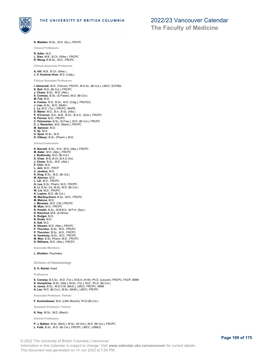

**K. Madden**, M.Sc., M.D. (Qu.), FRCPC

**Clinical Professors**

**R. Adler**, M.D. **L. Dian**, M.B., B.Ch. (Witw.), FRCPC **R. Wong**, B.M.Sc., M.D., FRCPC

**Clinical Associate Professors**

**A. Hill**, M.B., B.Ch. (Witw.) **J. V. Kushner-Kow**, M.D. (Calg.)

**Clinical Assistant Professors**

**I. Alimoradi**, M.D. (Tehran), FRCPC, M.H.Sc. (Br.Col.), LMCC, ECFMG **K. Bell**, M.D. (Br.Col.), FRCPC **J. Chase**, B.Sc., M.D. (Alta.) **S. Comeau**, B.Sc. (S.Fraser), M.D. (Br.Col.) **M. Fok**, M.D. **A. Forbes**, R.N., B.Sc., M.D. (Calg.), FRCP(C) **J. Liao**, B.Sc., M.D. (McM.) **L. Lo**, M.D. (Tor.), FRCPC, MHPE **D. Maher**, M.D., B.A., B.Sc. (Alta.) **P. O'Connor**, B.A., M.B., B.Ch., B.A.O., (Dub.), FRCPC **N. Parmar**, M.D., FRCPC **C. Petrossian**, B.Sc. (S.Fran.), M.D. (Br.Col.), FRCPC **C. J. Rauscher**, M.D. (Manit.), FRCPC **M. Spencer**, M.D. **S. Sy**, M.D. **H. Syed**, M.Sc., M.D. **D. Villanyi**, B.Sc. (Pharm.), M.D.

**Clinical Instructors**

**K. Barnett**, B.Sc., R.N., M.D. (Alta.), FRCPC **M. Bater**, M.D. (Alta.), FRCPC **J. Budlovsky**, M.D. (Br.Col.) **D. Chan**, M.B.,B.Ch.,B.A.O (Ire) **J. Chase**, B.Sc., M.D. (Alta.) **P. Chin**, M.D. **L. Jain**, M.D., FRCP **C. Jenkins**, M.D. **K. King**, B.Sc., M.D. (Br.Col.) **M. Kjorven**, M.D. **L. Lai**, M.D., FRCPC **G. Lee**, B.Sc. Pharm, M.D., FRCPC **A. Li**, B.Sc. (H), M.Sc. M.D. (Br.Col.) **W. Lin**, M.D., FRCPC **K. Lupton**, M.D. (Br.Col.) **M. MacKay-Dunn**, B.Sc., M.D., FRCPC **M. Malone**, M.D. **J. Menezes**, M.D. (Ott.) FRCPC **M. Mian**, M.D., FRCPC **R. Parekh**, B.Sc., M.B.B.S., M.P.H. (Syd.) **H. Ranchod**, M.B. (S.Africa) **S. Rodger**, M.D. **B. Rodis**, M.D. **K. Sall**, M.D. **N. Stewart**, M.D. (Alta.), FRCPC **P. Thornton**, B.Sc., M.D., FRCPC **P. Thornton**, B.Sc., M.D., FRCPC **N. Varshney**, B.Sc., M.D., FRCPC **M. Wan**, B.Sc. Pharm, M.D., FRCPC **D. Williams**, M.D. (Alta.), FRCPC **Associate Members**

**L. Sheldon**, Psychiatry

*Division of Haematology*

### **S. H. Nantel**, Head

**Professors**

**E. Conway**, B.A.Sc., M.D. (Tor.), M.B.A. (H-W), Ph.D. (Leuven), FRCPC, FACP, ABIM **K. Humphries**, B.Sc. (Alta.), M.Sc. (Tor.), M.D., Ph.D. (Br.Col.)<br>**A. Jones**, B.Sc., M.D.C.M. (McG.), LMCC, FRCPC, ABIM<br>**A. Lee**, M.D. (Br.Col.), M.Sc. (McM.), LMCC, FRCPC

**Associate Professor, Partner**

**F. Kuchenbauer**, M.D. (LMU Munich), Ph.D (Br.Col.)

**Assistant Professor, Partner**

**K. Hay**, M.Sc., M.D. (Manit.)

**Clinical Professors**

**P. J. Ballem**, B.Sc. (McG.), M.Sc. (W.Ont.), M.D. (Br.Col.), FRCPC **L. Foltz**, B.Sc., M.D. (Br.Col.), FRCPC, LMCC, USMLE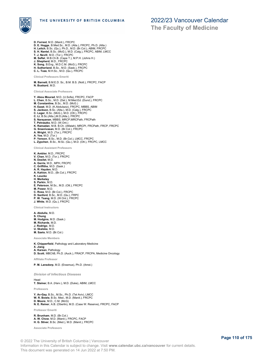

**The Faculty of Medicine**

- **D. Forrest**, M.D. (Manit.), FRCPC
- 
- D. E. Hogge, B.Med.Sc., M.D. (Alta.), FRCPC, Ph.D. (Alta.)<br>H. Leitch, B.Sc. (Qu.), Ph.D., M.D. (Er.Col.), ABIM, FRCPC<br>S. H. Nantel, B.Sc. (McG.), M.D. (Calg.), FRCPC, ABIM, FRCPC<br>T. J. Nevill, M.D. (Tor.), FRCPC<br>M. Seffel,
- 
- 
- 
- 
- 
- 

**Clinical Professors Emeriti**

**M. Barnett**, B.M.E.D. Sc., B.M. B.S. (Nott.), FRCPC, FACP **N. Buskard**, M.D.

#### **Clinical Associate Professors**

**Y. Abou Mourad**, M.D. (U.Sofia), FRCPC, FACP **L. Chen**, B.Sc., M.D. (Dal.), M.Med.Ed. (Dund.), FRCPC **M. Constantine**, B.Sc., M.D. (McG.) **H. Ezzat**, M.D. (K.Abdulaziz), FRCPC, MBBS, ABIM **S. Jackson**, B.Sc. (Alta.), M.D. (Calg.), FRCPC **C. Leger**, B.Sc. (McG.), M.D. (Ott.), FRCPC **C. Li**, B.Sc.(Alta.),M.D.(Alta.), FRCPC **S. Narayanan**, MBBS, MRCP,MRCPath, FRCPath **T. Petraszko**, M.D. (W.Ont.) **K. Ramadan**, M.B. B.Ch. (Alfatah), MRCPI, FRCPath, FRCP, FRCPC **G. Sreenivasan**, M.D. (Br.Col.), FRCPC **A. Wright**, M.D. (Tor.), FRCPC **A. Yee**, M.D. (Tor.) **P. Yenson**, B.Sc., M.D. (Br.Col.), LMCC, FRCPC **L. Zypchen**, B.Sc., M.Sc. (Qu.), M.D. (Ott.), FRCPC, LMCC **Clinical Assistant Professors**

- **K. Ambler**, M.D., FRCPC
- **V. Chan**, M.D. (Tor.), FRCPC
- **N. Desilet**, M.D.
- **A. Gerrie**, M.D., MPH, FRCPC
- **C. Griffiths**, M.D. (Sask.) **A. R. Hayden**, M.D.
- **A. Kahlon**, M.D., (Br.Col.), FRCPC
- **K. Leucke**
- **H. Merkeley**
- **S. Parkin**, M.D.
- **E. Peterson**, M.Sc., M.D. (Ott.), FRCPC
- 
- **M. Power**, M.D. **C. Ross**, M.D. (Br.Col.), FRCPC **D. Sanford**, B.Sc., M.D. (Qu.), FRPC
- 
- **P. W. Tsang**, M.D. (W.Ont.), FRCPC **J. White**, M.D. (Qu.), FRCPC

**Clinical Instructors**

- **A. Abdulla**, M.D. **S. Chung M. Hodgins**, M.D. (Sask.)
- **M. Richards**, M.D.
- **J. Rodrigo**, M.D. **U. Skalska**, M.D.
- **M. Szeto**, M.D. (Br.Col.)

**Associate Members**

- **K. Chipperfield**, Pathology and Laboratory Medicine
- **X. Jiang**
- **A. Karsan**, Pathology **D. Scott**, MBChB, Ph.D. (Auck.), FRACP, FRCPA, Medicine Oncology
- **Affiliate Professor**

**P. M. Lansdorp**, M.D. (Erasmus), Ph.D. (Amst.)

#### *Division of Infectious Diseases*

Head

**T. Steiner**, B.A. (Harv.), M.D. (Duke), ABIM, LMCC

**Professors**

**Y. Av-Gay**, B.Sc., M.Sc., Ph.D. (Tel Aviv), LMCC **W. R. Bowie**, B.Sc. Med., M.D. (Manit.), FRCPC **D. Moore**, M.D., C.M. (McG) **N. E. Reiner**, A.B. (Oberlin), M.D. (Case W. Reserve), FRCPC, FACP

**Professor Emeriti**

**R. Brunham**, M.D. (Br.Col.) **A. W. Chow**, M.D. (Manit.), FRCPC, FACP **H. G. Stiver**, B.Sc. (Med.), M.D. (Manit.), FRCPC

**Associate Professors**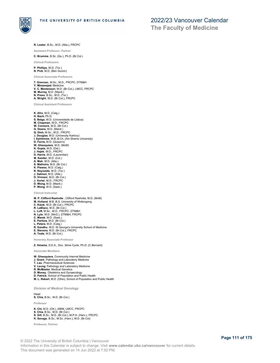

**R. Lester**, B.Sc., M.D. (Alta.), FRCPC

**Assistant Professor, Partner**

**C. Brumme**, B.Sc. (Qu.), Ph.D. (Br.Col.)

**Clinical Professors**

**P. Phillips**, M.D. (Tor.) **N. Pick**, M.D. (Ben Gurion)

**Clinical Associate Professors**

**T. Grennan**, M.Sc., M.D., FRCPC, DTM&H **Y. Mirzanejad**, Medicine **V. C. Montessori**, M.D. (Br.Col.), LMCC, FRCPC **M. Murray**, M.D. (Manit.) **N. Press**, B.Sc., M.D. (Tor.) **A. Wright**, M.D. (Br.Col.), FRCPC

**Clinical Assistant Professors**

**K. Afra**, M.D. (Calg.) **H. Bach**, Ph.D. **S. Belga**, M.D. (Universidade de Lisboa) **M. Chapman**, M.D., FRCPC **W. Connors**, M.D. (Br.Col.) **G. Deans**, M.D. (Manit.) **Q. Dinh**, M.Sc., M.D., FRCPC **J. Douglas**, M.D. (Univerzity Karlovy) **I. Ephtimios**, M.B.,B.Ch. (Ain Shams University) **D. Ferris**, M.D. (Queen's) **W. Ghesquiere**, M.D. (McM) **K. Gupta**, M.D. (Dal.) **J. Hajek**, M.D., FRCPC **D. Harris**, M.D. (Laurentian) **M. Kestler**, M.D. (Col.) **A. Mah**, M.D. (Alta.) **S. Malhotra**, M.D. (Br.Col.) **K. Plewes**, M.D. (Calg.) **R. Reynolds**, M.D. (Tor.) **J. Salmon**, M.D. (Alta.) **D. Virmani**, M.D. (Br.Col.) **J. Vortel**, M.D., FRCPC **D. Wong**, M.D. (Manit.) **P. Wong**, M.D. (Sask.)

**Clinical Instructor**

**M. P. Clifford Rashotte** , Clifford Rashotte, M.D. (McM) **M. Holland**, M.B.,B.S. University of Wollongong **C. Kwok**, M.D. (Br.Col.), FRCPC **R. LeBlanc**, M.D. (Br.Col.) **L. Luft**, M.Sc., M.D., FRCPC, DTM&H **N. Lyle**, M.D. (McG.), DTM&H, FRCPC **C. Marek**, M.D. (Sask.) **E. Partlow**, M.D. (Br.Col.) **L. Peters**, M.D. (Calg.) **R. Sandhu**, M.D. St George's University School of Medicine **E. Stevens**, M.D. (Br.Col.), FRCPC **A. Teale**, M.D. (Br.Col.)

**Honorary Associate Professor**

**Z. Hmama**, D.E.A., Doc. 3ème Cycle, Ph.D. (C.Bernard)

**Associate Members**

- **W. Ghesquiere**, Community Internal Medicine
- **J. Grant**, Pathology and Laboratory Medicine
- **T. Lau**, Pharmaceutical Sciences **V. Leung**, Pathology and Laboratory Medicine
- 
- 
- **R. McMaster**, Medical Genetics **D. Money**, Obstetrics and Gynaecology **D. Patrick**, School of Population and Public Health
- **M. L. Rekart**, M.D. (Ohio), School of Population and Public Health

*Division of Medical Oncology*

Head

**S. Chia**, B.Sc., M.D. (Br.Col.)

**Professor**

**K. Chi**, M.D. (Ott.), ABIM, LMCC, FRCPC **S. Chia**, B.Sc., M.D. (Br.Col.) **S. Gill**, B.Sc., M.D. (Br.Col.), M.P.H. (Harv.), FRCPC **K. Savage**, B.Sc., M.Sc. (Harv.), M.D. (Br.Col)

**Professor, Partner**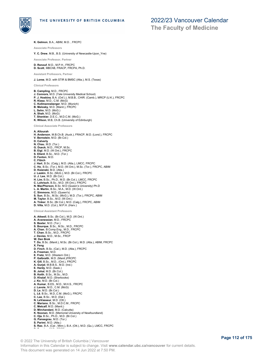

**The Faculty of Medicine**

**K. Gelmon**, B.A., ABIM, M.D. , FRCPC

**Associate Professors**

**Y. C. Drew**, M.B., B.S. (University of Newcastle-Upon\_Yne)

**Associate Professor, Partner**

**D. Renouf**, M.D., M.P.H., FRCPC **D. Scott**, MBChB, FRACP, FRCPA, Ph.D.

**Assistant Professors, Partner**

**J. Loree**, M.D. with STIR & BMSC (Alta.), M.S. (Texas)

**Clinical Professors**

**B. Campling**, M.D., FRCPC **J. Connors**, M.D. (Yale University Medical School) **P. J. Hoskins**, B.A. (Oxf.).), M.B.B., CHIR. (Camb.), MRCP (U.K.), FRCPC **R. Klasa**, M.D., C.M. (McG) **C. Kollmannsberger**, M.D. (Munich) **B. Melosky**, M.D. (Manit.), FRCPC **L. Sehn**, M.D. (McG.) **A. Shah**, M.D. (McG) **T. Shenkier**, D.E.C., M.D.C.M. (McG.) **K. Wilson**, M.B, Ch.B. (University of Edinburgh)

**Clinical Associate Professors**

#### **A. Altourah**

**H. Anderson**, M.B.Ch.B. (Auck.), FRACP, M.D. (Lond.), FRCPC **V. Bernstein**, M.D. (Br.Col.) **D. Calverly N. Chau**, M.D. (Tor.) **G. Dueck**, M.D., FRCP, M.Sc. **B. Eigl**, M.D. (W.Ont.), FRCPC **S. Ellard**, B.Sc., M.D. (Tor.) **D. Fenton**, M.D. **C. Fibich J. Hart**, B.Sc. (Calg.), M.D. (Alta.), LMCC, FRCPC **C. Ho**, B.Sc. (Tor.), M.D. (W.Ont.), M.Sc. (Tor.), FRCPC, ABIM **D. Ksienski**, M.D. (Alta.) **J. Laskin**, B.Sc. (McG.), M.D. (Br.Col.), FRCPC **U. J. Lee**, M.D. (Br.Col.) **H. Lim**, B.Sc., Ph.D., M.D. (Br.Col.), LMCC, FRCPC **C. Lohrisch**, B.Sc., M.D. (W.Ont.), FRCPC **N. MacPherson**, B.Sc. M.D (Queen's University) Ph.D **L. A. Martin**, B.Sc., M.A., M.D. (W.Ont.) **C. Simmons**, M.D. (Queen's) **S. Sun**, B.Sc., M.Sc. (McG.), M.D. (Tor.), FRCPC, ABIM **M. Taylor**, B.Sc., M.D. (W.Ont.) **A. Tinker**, B.Sc. (Br.Col.), M.D. (Calg.), FRCPC, ABIM **D. Villa**, M.D. (Col.), M.P.H. (Harv.) **Clinical Assistant Professors A. Attwell**, B.Sc. (Br.Col.), M.D. (W.Ont.) **A. Avanessian**, M.D., FRCPC **S. Baxter**, M.D. (Tor.) **S. Bourque**, B.Sc., M.Sc., M.D., FRCPC **A. Chan**, B.Comp.Eng., M.D., FRCPC **T. Chan**, B.Sc., M.D., FRCPC **J. Davies**, M.D., M.Sc., FRCP **W. Den Brok T. Do**, B.Sc. (Manit.), M.Sc. (Br.Col.), M.D. (Alta.), ABIM, FRCPC **X. Feng D. Finch**, B.Sc. (Cal.), M.D. (Alta.), FRCPC **A. Freeman**, M.D. **E. Fretz**, M.D. (Western Ont.) **P. Galbraith**, M.D. (Manit.)FRCPC **K. Gill**, B.Sc., M.D., (Ont.), FRCPC **A. Gurjal**, M.B.B.S., M.D. (Ind.) **E. Hardy**, M.D. (Sask.) **B. Johal**, M.D. (Br.Col.) **B. Keith**, B.Sc., M.Sc., M.D. **D. Khalaf**, M.D. (Sherbooke) **J. Ko**, M.D. (Br.Col.) **A. Kumar**, B.ES., M.D., M.H.S., FRCPC **J. Lavoie**, M.D., C.M. (McG) **D. Le**, M.D. (Br.Col.) **L. Lê**, B.Sc., M.D.,C.M. (McG.), FRCPC **C. Lee**, B.Sc., M.D. (Dal.) **N. LeVasseur**, M.D. (Ott.) **C. Mariano**, B.Sc., M.D.C.M., FRCPC **C. Metcalf**, M.D. (Manit.) **D. Mirchandani**, M.D. (Calcutta) **K. Noonan**, M.D. (Memorial University of Newfoundland) **C. Oja**, B.Sc., Ph.D., M.D. (Br.Col.)

**S. Rao**, B.A. (Car., Minn.), B.A. (Ott.), M.D. (Qu.), LMCC, FRCPC<br>————————————————————

© 2022 The University of British Columbia | Vancouver Information in this Calendar is subject to change. Visit **www.calendar.ubc.ca/vancouver** for current details. This document was generated on 14 Jun 2022 at 7:50 PM.

**G. Pansegrau**, M.D. (Tor.) **S. Parimi**, M.D. (Alta.)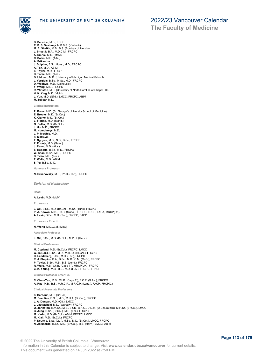

**The Faculty of Medicine**

- **D. Sauciuc**, M.D., FRCP **R. P. S. Sawhney**, M.B.B.S. (Kashmir) **M. A. Shaikh**, M.B., B.S. (Bombay University) **J. Shustik**, B.A., M.D.C.M., FRCPC **A. Smrke**, M.D. (McM) **C. Solas**, M.D. (Alta.) **A. Srikantha J. Sulpher**, B.Sc. Hons., M.D., FRCPC **A. Tan**, M.D., ABIM **S. Taylor**, M.D., FRCP **D. Topic**, M.D. (Tor.) **D. Uhlman**, M.D. (University of Michigan Medical School) **J. Vergidis**, B.Sc., M.Sc., M.D., FRCPC **D. Wadhwa**, M.D. (Dalhousie) **Y. Wang**, M.D., FRCPC
- **R. Winston**, M.D. (University of North Carolina at Chapel Hill)
- **H. K. Xing**, M.D. (McM)
- **J. Yun**, M.D. (Nfld.), LMCC, FRCPC, ABIM **M. Zuiiqar**, M.D.

**Clinical Instructors**

**P. Bains**, M.D. (St. George's University School of Medicine) **E. Brooks**, M.D. (Br.Col.) **K. Clarke**, M.D. (Br.Col.) **L. Fiorino**, M.D. (Manit.) **G. Geller**, M.D. (Br.Col.) **J. Ho**, M.D., FRCPC **M. Humphreys**, M.D. **J. P. McGhie**, M.D. **S. Miltrovic T. Nguyen**, M.D., N.D., B.Sc., FRCPC **Z. Poonja**, M.D. (Sask.) **J. Rauw**, M.D. (Alta.) **S. Roberts**, B.Sc., M.D., FRCPC **W. Shan**, B.Sc., M.D., FRCPC **D. Telio**, M.D. (Tor.) **T. Walia**, M.D., ABIM **S. Yu**, B.Sc., M.D.

**Honorary Professor**

**N. Bruchovsky**, M.D., Ph.D. (Tor.), FRCPC

*Division of Nephrology*

**Head**

**A. Levin**, M.D. (McM)

**Professors**

**J. Gill**, B.Sc., M.D. (Br.Col.), M.Sc. (Tufts), FRCPC **P. A. Keown**, M.B., Ch.B. (Manc.), FRCPC, FRCP, FACA, MRCP(UK) **A. Levin**, B.Sc., M.D. (Tor.), FRCPC, FACP

**Professors Emeriti**

**N. Wong**, M.D.,C.M. (McG)

**Associate Professor**

**J. Gill**, B.Sc., M.D. (Br.Col.), M.P.H. (Harv.)

**Clinical Professors**

**M. Copland**, M.D. (Br.Col.), FRCPC, LMCC **G. da Roza**, B.Sc., M.D., M.H.Sc. (Br.Col.), FRCPC **D. Landsberg**, B.Sc., M.D. (Tor.), FRCPC **R. J. Shapiro**, B.A., B.Sc., M.D., C.M. (McG.), FRCPC **P. Taylor**, B.Sc., M.B., B.S. (Lond.), FRCPC **R. Werb**, M.B., Ch.B. (Cape T.), MRCP(UK), FRCPC **C. K. Yeung**, M.B., B.S., M.D. (H.K.), FRCPC, FRACP

**Clinical Professor Emeritus**

**C. Chan-Yan**, M.B., Ch.B. (Cape T.), F.C.P. (S.Afr.), FRCPC **A. Rae**, M.B., B.S., M.R.C.P., M.R.C.P. (Lond.), FACP, FRCP(C)

**Clinical Associate Professors**

- **S. Barbour**, M.D. (Br.Col.)
- **M. Beaulieu**, B.Sc., M.D., M.H.A. (Br.Col.), FRCPC **J. A. Duncan**, M.D. (Ott.), LMCC
- 
- **J. Jastrzebski**, M.D. (Warsaw), FRCPC **O. Johnston**, B.M.Sc., M.B., B.Ch., B.A.O., D.D.M. (U.Coll.Dublin), M.H.Sc. (Br.Col.), LMCC **B. Jung**, B.Sc. (Br.Col.), M.D. (Tor.), FRCPC
- 
- **M. Karim**, M.D. (Br.Col.), ABIM, FRCPC, LMCC
- 
- **M. Kiaii**, M.D. (Br.Col.), FRCPC **P. Neufeld**, B.Sc. (Qu.), M.Sc., M.D. (Br.Col.), LMCC, FRCPC
- **N. Zalunardo**, B.Sc., M.D. (Br.Col.), M.S. (Harv.), LMCC, ABIM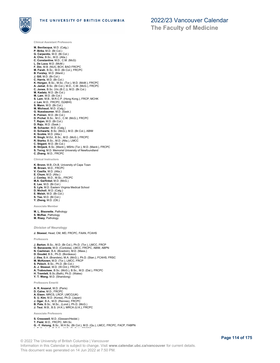

**The Faculty of Medicine**

**Clinical Assistant Professors**

**M. Bevilacqua**, M.D. (Calg.) **P. Birks**, M.D. (Br.Col.) **G. Carpenito**, M.D. (Br.Col.) **A. Chiu**, B.Sc., M.D. (Alta.) **C. Constantine**, M.D., C.M. (McG) **L. De Luca**, M.D. (McM.) **F. Din**, M.B. (NUI), BCH, BAO FRCPC **M. Farah**, B.Sc., M.D. (Br.Col.), FRCPC **B. Forzley**, M.D. (Manit.) **J. Gill**, M.D. (Br.Col.) **C. Harris**, M.D. (Br.Col.) **K. Horgan**, B.Sc., M.Sc. (Tor.), M.D. (McM.), FRCPC **A. Jamal**, B.Sc. (Br.Col.), M.D., C.M. (McG.), FRCPC **C. Jones**, B.Sc. (Vic.(B.C.)), M.D. (Br.Col.) **M. Kadatz**, M.D. (Br.Col.) **M. Lam**, M.D. (Br.Col.) **S. Lam**, M.B., M.R.C.P. (Hong Kong.), FRCP, MCHK **J. Lan**, M.D., FRCPC, D(ABHI) **S. Mann**, M.D. (Br.Col.) **M. Michaud**, M.D. (Calg.) **G. Nussbaumer**, M.D. (Sask.) **K. Poinen**, M.D. (Br.Col.) **D. Prchal**, B.Sc., M.C., C.M. (McG.), FRCPC **T. Rajan**, M.D. (Br.Col.) **D. Raju**, M.D. (Sask.) **M. Schacter**, M.D. (Calg.) **D. Schwartz**, B.Sc. (McG.), M.D. (Br.Col.), ABIM **K. Scobie**, M.D. (Alta.) **R. Singh**, M.Ed., B.Sc., M.D. (McG.), FRCPC **R. Starko**, B.Sc., M.D. (Alta.), LMCC **C. Stigant**, M.D. (Br.Col.) **B. Strijack**, B.Sc. (Manit.), MSHc (Tor.), M.D. (Manit.), FRCPC **S. Torng**, M.D. Memorial University of Newfoundland **C. Zhang**, M.D., FRCPC

**Clinical Instructors**

**K. Bronn**, M.B.,Ch.B. University of Cape Town **M. Brown**, M.D., FRCPC **V. Casilla**, M.D. (Alta.) **E. Chum**, M.D. (Alta.) **J. Conley**, M.D., M.Sc., FRCPC **M.A. Garfinkel**, M.D. (McG.) **E. Lee**, M.D. (Br.Col.) **S. Lyle**, M.D. Eastern Virginia Medical School **D. Nicholl**, M.D. (Calg.) **E. Welsh**, M.D. (Br.Col.) **S. Yao**, M.D. (Br.Col.) **Y. Zheng**, M.D. (Ott.)

**Associate Member**

**M. L. Bisonette**, Pathology **S. McRae**, Pathology **M. Riazy**, Pathology

### *Division of Neurology*

**J. Stoessl**, Head, CM, MD, FRCPC, FAAN, FCAHS

**Professors**

- **J. Barton**, B.Sc., M.D. (Br.Col.), Ph.D. (Tor.), LMCC, FRCP
- **O. Benavente**, M.D. (Cordoba), LMCC, FRCPC, ABIM, ABPN **N. Cashman**, B.A. (Bowdoin), M.D. (Mass.)
- **D. Doudet**, B.S., Ph.D. (Bordeaux)
- **J. Illes**, B.A. (Brandeis), M.A. (McG.), Ph.D. (Stan.), FCAHS, FRSC **M. McKeown**, M.D. (Tor.), LMCC, FRCP
- 
- **S. Pelech**, B.Sc., Ph.D. (Br.Col.)
- 
- **A. J. Stoessl**, M.D. (W.Ont.), FRCPC **A. Traboulsee**, B.Sc. (McG.), B.Sc., M.D. (Dal.), FRCPC
- **H. Tremlett**, B.Sc.(Bath), Ph.D. (Wales)
- **Y. T. Wang**, M.D. (Shandong)

**Professors Emeriti**

- **A. R. Anzarut**, M.D. (Paris)
- 
- **D. Calne**, M.D., FRCPC **A. Eisen**, MRCS, LRCP, LMCC(UK) **S. U. Kim**, M.D. (Korea), Ph.D. (Japan)
- 
- **J. Oger**, B.A., M.D. (Rennes), FRCPC **B. Pate**, B.Sc., M.Sc., (Lond.), Ph.D. (McG.)
- **J. Tsui**, M.B., B.S. (H.K.), MRCA (U.K.), FRCPC

**Associate Professors**

#### **S. Cresswell**, M.D. (Giessen/Heidel.) **T. Field**, M.D., FRCPC, MH.Sc.

- **G. -Y. Hsiung**, B.Sc., M.H.Sc. (Br.Col.), M.D. (Qu.), LMCC, FRCPC, FACP, FABPN
- **L. F. Kastrukoff**, B.Sc., M.D. (Br.Col.), FRCPC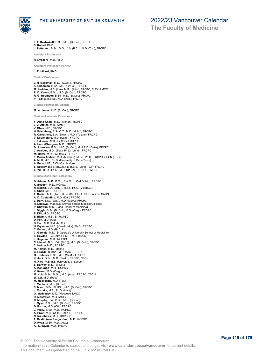

**The Faculty of Medicine**

**L. F. Kastrukoff**, B.Sc., M.D. (Br.Col.), FRCPC

**S. Kolind**, Ph.D. **J. Pettersen**, B.Sc., M.Sc. (Vic.(B.C.)), M.D. (Tor.), FRCPC

**Assistant Professors**

**H. Nygaard**, M.D. Ph.D.

**Assistant Professor, Partner**

**J. Robillard**, Ph.D.

**Clinical Professors**

**J. H. Beckman**, M.D. (W.Ont.), FRCPC **K. Chapman**, B.Sc., M.D. (Br.Col.), FRCPC **M. Javidan**, M.D. (Iran), M.Sc. (Alta.), FRCPC, FLEX, LMCC **R. D. Keyes**, B.Sc., M.D. (Br.Col.), FRCPC **R. G. Robinson**, B.Sc., M.D. (Br.Col.), FRCPC

**P. Teal**, B.M.E.Sc., M.D. (Alta.), FRCPC

**Clinical Professors Emeriti**

**M. W. Jones**, M.D. (Br.Col.), FRCPC

**Clinical Associate Professors**

- **Y. Agha-Khani**, M.D. (Isfahan), RCPSC
- **E. J. Atkins**, M.D. (McM.)
- **V. Bhan**, M.D., FRCPC
- **H. Briemberg**, B.Sc.O.T., M.D. (McM.), FRCPC
- 
- 
- 
- 
- R. Carruthers, B.A. (Brown), M.D. (Tulane), FRCPC<br>V. Devonshire, M.D. (Calg.), FRCPC<br>J. Falconer, M.D. (Br.Col.), FRCPC<br>A. Henri-Bhargava, M.D., FRCPC<br>D. Johnston, B.Sc., M.D. (Br.Col.), M.H.S.C. (Duke), FRCPC<br>C. Krieger,
- 
- 
- **F. Moien Afshari**, M.D. (Mashad), M.Sc., Ph.D., FRCPC, CSCN (EEG) **A. Moll**, M.B., Ch.B. (University of Cape Town)
- 
- **A. Penn**, M.B., B.Ch (Cambridge)<br>**S. Spacey**, B.Sc. (Br.Col.), M.B.B.S. (Lond.), CIP, FRCPC<br>**S. Yip**, B.Sc., Ph.D., M.D. (Br.Col.), FRCPC, LMCC
- 

**Clinical Assistant Professors**

- **D. Adams**, M.B., B.Ch., B.A.O. (U.Coll.Dublin), FRCPC
- **K. Beadon**, M.D., RCPSC **N. Bogod**, B.A. (McM.), M.Sc., Ph.D. (Vic.(B.C.))
- 
- 
- **S. Chen**, M.D., RCPSC **T. Collier**, M.D. (Tor.), B.Sc. (Br.Col.), FRCPC, ABPN, CACN **A. D. Costantino**, M.D. (Dal.) FRCPC
- 
- **L. Daly**, B.Sc. (Wat.), M.D. (McM.), FRCPC
- **H. Dhaliwal**, M.B, B.S. (Armed Forces Medical College) **P. Dhawan**, M.D. (Saba School of Medicine)
- 
- **J. Diggle**, B.Sc. (Br.Col.), M.D. (Calg.), FRCPC **E. Dilli**, M.D., FRCPC **E. Elamin**, M.B., B., RCPSC
- 
- 
- 
- **D. Fok**, M.D. (Alta.) **D. Foti**, M.D.C.M. (McG.) **H. Frykman**, M.D. (Karolinkska), Ph.D., FRCPC
- 
- **C. Funnel**, M.D. (Br.Col.) **C. Gervais**, M.D. (St George's University School of Medicine) **S. Hayden**, B.A. (Alta.), Ph.D., M.S. (Miami)
- 
- **J. Hegedus**, M.D., RCPSC **C. Hinnell**, B.Sc. (Vic.(B.C.)), M.D. (Br.Col.)), FRCPC **C. Holtby**, M.D., RCPSC
- 
- 
- **M. Horton**, M.D. (Manit.) **C. Hrazdil**, B.MSc., M.D. (Alta.), FRCPC **O. Hrebicek**, B.Sc., M.D. (McM.), FRCPC
- 
- **K. Jack**, B.Sc., M.D. (Sask.), FRCPC, CSCN **N. Jiwa**, M.B, B.S. (University of London)
- **S. Kaiway**, M.D. (Br.Col.)
- 
- **A. Kanungo**, M.D., RCPSC **K. Kowal**, M.D. (Calg.) **M. Kula**, B.Sc., M.Sc., M.D. (Alta.), FRCPC, CSCN
- 
- **W. Lai**, M.D. (Ross) **M. Mackenzie**, M.D. (Tor.)
- **J. Madhani**, M.D. (Br.Col.)
- 
- **S. Mann**, B.Sc., M.HSc., M.D. (Br.Col.), FRCPC **J. Martzke**, M.A., Ph.D. (Iowa)
- **G. Medvedev**, M.D. (Moscow), LMCC
- 
- **R. Mosewich**, M.D. (Alta.) **C. Murphy**, B.A., B.Sc., M.D. (Br.Col.) **J. Oyler**, B.Sc., M.D. (Br.Col.), FRCPC
- 
- 
- **D. Parton**, M.D. (Ott.), FRCPC **J. Percy**, B.Sc., M.D., RCPSC **A. Prout**, M.B., Ch.B. (Cape T.), FRCPC **N. Randhawa**, M.D., RCPSC
- **T. Rastin (nee Rasgardani)**, M.D., RCPSC
- **D. Rydz**, M.Sc., M.D. (Alta.)
- **A.- L. Sayao**, M.D., FRCPC **A. Schabas**, M.D., RCPSC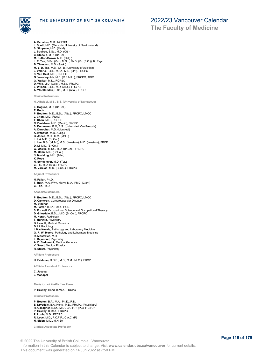

- **A. Schabas**, M.D., RCPSC **J. Scott**, M.D. (Memorial University of Newfounland) **S. Simpson**, M.D. (McM) **J. Squires**, B.Sc., M.D. (Ott.) C. Stabels, M.D. (Br.Col.)<br>M. Sutton-Brown, M.D. (Calg.)<br>J. E. Tan, B.Sc. (Vic.), M.Sc., Ph.D. (Vic.(B.C.)), R. Psych.<br>B. Thiessen, M.D. (Sask.)<br>M. Y. D. Tse, M.B., Ch. B. (University of Auckland)<br>J. Valerio, B.Sc., M.Sc., **G. Vorobeychik**, M.D. (R.S.M.U.), FRCPC, ABIM **G. Walker**, M.D., RCPSC **D. Wile**, M.D. (Calg.), M.Sc., FRCPC **L. Wilson**, B.Sc., M.D. (Alta.), FRCPC **A. Woolfenden**, B.Sc., M.D. (Alta.), FRCPC
- 

**Clinical Instructors**

- **N, Alhalabi, M.B., B.S. (University of Damascus)**
- 
- **E. Bogusz**, M.D. (Br.Col.) **E. Book P. Boulton**, M.D., B.Sc. (Alta.), FRCPC, LMCC **J. Chan**, M.D. (Ross) **T. Chen**, M.D., RCPSC **N. Davidson**, M.D. (Manit.), FRCPC **S. Dommann**, B.M, B.S. (Universiteit Van Pretoria) **A. Durocher**, M.D. (Montreal) **A. Ivanovic**, M.D. (Calg.) **B. Jones**, M.D., C.M. (McG.) **J. Lai**, M.D. (Br.Col.) **J. Lee**, B.Sc (McM.), M.Sc (Western), M.D. (Western), FRCP **D. Li**, M.D. (Br.Col.) **G. Mackie**, M.Sc., M.D. (Br.Col.), FRCPC **M. Mann**, M.D. (Br.Col.)
- **S. Meckling**, M.D. (Alta.)
- **K. Pope**
- 
- **N. Schepmyer**, M.D. (Tor.) **C. Tai**, M.D. (Alta.), FRCPC **M. Varelas**, M.D. (Br.Col.), FRCPC
- **Adjunct Professors**

### **N. Fallah**, Ph.D.

- **T. Ruth**, M.A. (Wm. Mary), M.A., Ph.D. (Clark) **C. Tan**, Ph.D.
- 
- **Associate Members**
- **P. Boulton**, M.D., B.Sc. (Alta.), FRCPC, LMCC
- **D. Cameron**, Cerebrovascular Disease
- **M. Etminan**
- **M. Farrer**, B.Sc. Hons., Ph.D.
- **S. Forwell**, Occupational Science and Occupational Therapy **D. Griesdale**, B.Sc., M.D. (Br.Col.), FRCPC **M. Heran**, Radiology
- 
- **T. Hurwitz**, Psychiatry
- **B. Leavitt**, Medical Genetics
- **D. Li**, Radiology
- **I. MacKenzie**, Pathology and Laboratory Medicine
- **G. R. W. Moore**, Pathology and Laboratory Medicine
- **R. Mosewich**, M.D.
- 
- **L. Raymond**, Psychiatry **A. D. Sadovnick**, Medical Genetics
- **V. Sossi**, Medical Physics

**R. Stowe**, Psychiatry **Affiliate Professors**

**H. Feldman**, D.C.S., M.D., C.M. (McG.), FRCP

**Affiliate Assistant Professors**

**C. Jacova**

**J. Mohapel**

*Division of Palliative Care*

**P. Hawley**, Head, B.Med., FRCPC

**Clinical Professors**

**P. Boston**, B.A., M.A., Ph.D., R.N. **E. Drysdale**, B.A. Hons., M.D., FRCPC (Psychiatry) **R. Gallagher**, B.Sc., M.D., C.C.F.P. (PC), F.C.F.P. **P. Hawley**, B.Med., FRCPC **P. Louie**, M.D., FRCPC **R. Love**, M.D., F.C.F.P., C.A.C. (P) **H. Siden**, M.D., M.H.Sc.

**Clinical Associate Professor**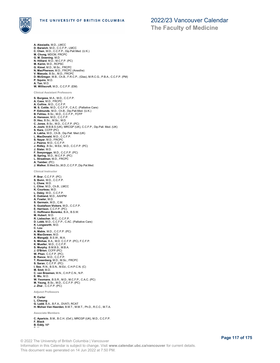

**A. Alexiadis**, M.D., LMCC **D. Barwich**, M.D., C.C.F.P., LMCC **C. Chen**, M.D., C.C.F.P., Dip.Pall.Med. (U.K.) **M. Chung**, MDCM, FRCPC **G. M. Downing**, M.D. **N. Hilliard**, M.D., M.C.F.P. (PC) **M. Karim**, M.D., RCPSC **G. Kimel**, M.D., M.Sc., FRCPC **N. MacPherson**, M.D., FRCPC (Anesthe) **V. Masuda**, B.Sc., M.D., FRCPC **D. McGregor**, M.B., Ch.B., F.R.C.P., (Glas), M.R.C.G., P.B.A., C.C.F.P. (PM) **P. Squire**, M.D. **A. Tan**, M.D. **W. Williscroft**, M.D., C.C.F.P. (EM) **Clinical Assistant Professors S. Burgess**, M.A., M.D., C.C.F.P. **A. Cass**, M.D., FRCPC **A. Collins**, M.D., C.C.F.P. **M. S. Cottle**, M.D., C.C.F.P., C.A.C. (Palliative Care) **P. Edmunds**, M.D., Ch.B., Dip.Pall.Med. (U.K.) **B. Fehlau**, B.Sc., M.D., C.C.F.P., FCFP **A. Hansson**, M.D., C.C.F.P. **D. Hsu**, B.Sc., M.Sc., M.D. **C. Jones**, B.Sc., M.D., C.C.F.P. (PC) **A. Joshi**, M.B.B.S (UK), MRCGP (UK), C.C.F.P., Dip.Pall. Med. (UK)<br>**S. Kara**, CCFP (PC)<br>**A. Lakha**, M.D., Ch.B., Dip.Pall. Med (UK) **L. MacDonald**, M.D., C.C.F.P. **S. Nayar**, M.D., FRCPC **J. Pearce**, M.D., C.C.F.P. **J. Ridley**, B.Sc., M.Ed., M.D., C.C.F.P. (PC) **J. Slater**, M.D. **F. Soeyonggo**, M.D., C.C.F.P. (PC) **B. Spring**, M.D., M.C.F.P. (PC) **L. Straatman**, M.D., FRCPC **A. Tamber**, (PC) **J. Walker**, B.Med.Sc.,M.D.,C.C.F.P.,Dip.Pal.Med. **Clinical Instructor P. Brar**, C.C.F.P. (PC) **S. Bunn**, M.D., C.C.F.P. **L. Chew**, M.D. **L. Cline**, M.D., Ch.B., LMCC **K. Courteau**, M.D. **L. Daley**, M.D., C.C.F.P. **E. Dubland**, M.D., AAHPM **A. Fowler**, M.D. **S. Germain**, M.D., C.M. **S. Gustafson Vickers**, M.D., C.C.F.P. **E. Harrison**, C.C.F.P. (PC) **C. Hoffmann Borenko**, B.A., B.S.W. **M. Hubert**, M.D. **R. Liebscher**, M.C., C.C.F.P. **D. Lobb**, M.D., C.C.F.P., C.AC. (Palliative Care) **K. Longworth**, M.D. **C. Lou A. Mabie**, M.D., C.C.F.P. (PC) **N. MacGowan**, M.D. **A. Mangalji**, B.S.W., M.A. **S. Minhas**, B.A., M.D. C.C.F.P. (PC), F.C.F.P. **K. Mueller**, M.D., C.C.F.P. **S. Murphy**, B.M.B.S., M.B.A. **J. O'Brien**, CCFP (PC) **W. Phan**, C.C.F.P. (PC) **B. Rance**, M.D., C.C.F.P. **T. Rosenberg**, M.D., M.Sc., FRCPC **S. Saran**, C.C.F.P. (PC) **I. See**, R.N., B.S.N., M.Ed., C.H.P.C.N. (C) **M. Smit**, M.D. **C. van Breemen**, M.N., C.H.P.C.N., N.P. **E. Wu**, M.D. **W. Yeomans**, B.S.R., M.D., M.C.F.P., C.A.C. (PC) **M. Yeung**, B.Sc., M.D., C.C.F.P. (PC) **J. Zhai** , C.C.F.P. (PC) **Adjunct Professors R. Carter L. Cheung G. Ladd**, B.A., B.F.A., DVATI, RCAT **H. Mohan Van Heerden**, B.M.T., M.M.T., Ph.D., R.C.C., M.T.A. **Associate Members C. Aparicio**, B.M., B.C.H. (Oxf.), MRCGP (UK), M.D., C.C.F.P. **F. Black B. Eddy**, NP **E. Hassen**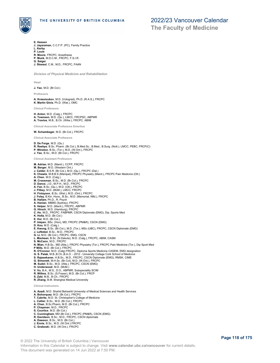

**The Faculty of Medicine**

- **E. Hassen J. Jayaraman**, C.C.F.P. (PC), Family Practice **L. Kerby P. Louie**
- **R. Moore**, FRCPC, Anesthesia **P. Munk**, M.D.C.M., FRCPC, F.S.I.R.
- **G. Saiger**
- **J. Stoessl**, C.M., M.D., FRCPC, FAAN

*Division of Physical Medicine and Rehabilitation*

**Head**

**J. Yao**, M.D. (Br.Col.)

**Professors**

**A. Krassioukov**, M.D. (Volograd), Ph.D. (R.A.S.), FRCPC **K. Martin Ginis**, Ph.D. (Wat.), OMC

**Clinical Professor** 

**H. Anton**, M.D. (Calg.), FRCPC **A. Townson**, M.D. (Qu.), LMCC, FRCPSC, ABPMR **A. Travlos**, M.B., B.Ch. (Witw.), FRCPC, ABIM

**Clinical Associate Professors Emeritus**

### **W. Schambeger**, M.D. (Br.Col.), FRCPC

**Clinical Associate Professors**

- **D. De Forge**, M.D. (Qu.)
- **R. Reebye**, B.Sc. Pharm. (Br.Col.), B.Med.Sc., B.Med., B.Surg. (Nott.), LMCC, PEBC, FRCP(C) **P. Winston**, B.Sc. (Tor.), M.D. (W.Ont.), FRCPC **J. Yao**, B.Sc., M.D. (Br.Col.), FRCPC

**Clinical Assistant Professors**

**M. Adrian**, M.D. (Manit.), CCFP, FRCPC

- 
- **M. Berger**, M.D. (Western Ont.) **J. Calder**, B.S.R. (Br.Col.), M.D. (Qu.), FRCPC (Dal.) **K. Chawla**, M.B.B.S (Manipal), FRCPC Physiatry (Manit.), FRCPC Pain Medicine (Ott.)
- 
- **A. Chen**, M.D. (Calg.) **M. Crossman**, B.Sc., M.D. (Br.Col.), FRCPC **D. Dance**, J.D., M.P.H., M.D., FRCPC
- 
- 
- **A. Fan**, B.Sc. (Qu.), M.D. (Ott.), FRCPC **J. Filbey**, M.D. (McM.), LMCC, FRCPC
- **H. Finlayson**, B.Sc. (Wat.), M.D. (Ont.), FRCPC
- **J. Foley**, B.Kin. Hons., B.Sc., M.D. (Memorial, Nfld.), FRCPC **B. Hallam**, Ph.D., R. Psych
- 
- **A. Hanlan**, MBBS (Sydney), FRCPC
- 
- **S. Helper**, M.D. (Manit.), FRCPC, ABPMR **G. Hirsch**, M.D. (Hamburg), FRCPC **C. Ho**, M.D., FRCPC. FABPMR, CSCN Diplomate (EMG), Dip. Sports Med
- **K. Holtz**, M.D. (Br.Col.)
- **E. Hui**, M.D. (Br.Col.)
- **P. Inkpen**, BSc. (Hon), MD, FRCPC (PM&R), CSCN (EMG)
- **D. Koo**, M.D. (Calg.)<br>**E. Kwong,** B.Sc. (Br.Col.), M.D. (Tor.), MSc (UBC), FRCPC, CSCN Diplomate (EMG)<br>**J. LeNobel,** B.Sc., M.D., FRCPC<br>**G. Li,** M.D. (Br.Col.), FRCPC, EMG, CSCN
- 
- 
- **L. Mackean**, B.Sc. (N.Dakota), M.D. (Calg.), FRCPC, ABIM, CASM **S. McCann**, M.D., FRCPC
- 
- **N. Mian**, H.B.Sc., MD (Alta.), FRCPC Physiatry (Tor.), FRCPC Pain Medicine (Tor.), Dip Sport Med
- **P Mills**, M.D. (Br.Col.), FRCPC **R. O'Connor**, M.D. (Calg) FRCPC, Diploma Sports Medicine CASEM, EMG designation
- 
- G. S. Palak, M.B.,B.Ch.,B.A.O. 2012 University College Cork School of Medicine<br>S. Rajasekaran, H.B.Sc., M.D., FRCPC, CSCN Diplomate (EMG), RMSK, CIME<br>G. Simonett, M.H.Sc. (Br.Col), M.D. (W.Ont.), FRCPC
- 
- **M. Sudol**, B.Sc., M.D. (Alta.), FRCPC, CSCN (EMG)
- 
- **H. Underwood**, M.D. (McM.) **V. Vu**, B.A., M.S., D.O., ABPMR, Subspeciality SCIM
- **R. Willms**, B.Sc. (S.Fraser), M.D. (Br.Col.), FRCP
- 
- **S. Zaki**, M.B., B.Ch., FRCPC **R. Zhang**, B.M. Shanghai Medical University

**Clinical Instructors**

- **A. Azadi**, M.D. Shahid Beheshti University of Medical Sciences and Health Services
- 
- **A. Bohorquez**, M.D. (Br.Col.), FRCPC **T. Cabrita**, M.D. St. Christopher's College of Medicine
- **L. Callier**, B.Sc., M.D. (Br.Col.), FRCPC **A. Chan**, B.Sc.Pharm, M.D. (Br.Col.), FRCPC
- **P. Chapman**, M.D., FRCPC
- **S. Courtice**, M.D. (Br.Col.)
- **C. Cunningham**, MD (Br.Col.), FRCPC (PM&R), CSCN (EMG)
- **R. Davidson**, B.Sc., M.D., FRCPC, CSCN diplomate
- **A. Dawson**, B.Sc., M.D. (Br.Col.) **J. Ennis**, B.Sc., M.D. (W.Ont.) FRCPC
- **C. Graboski**, M.D. (W.Ont.), FRCPC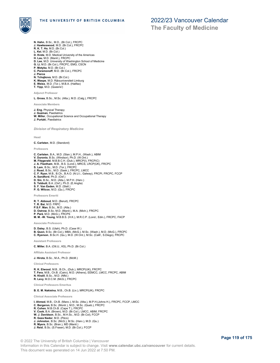

**The Faculty of Medicine**

- **N. Hahn**, B.Sc., M.D., (Br.Col.), FRCPC
- **J. Hawkeswood**, M.D. (Br.Col.), FRCPC **R. K. T. Ho**, M.D. (Br.Col.)
- 
- **L. Kei**, M.D. (Br.Col.)
- **D. Krete**, M.D. Medical University of the Americas **H. Lau**, M.D. (Manit.), FRCPC
- 
- **D. Lee**, M.D. University of Washington School of Medicine **G. Li**, M.D. (Br.Col.), FRCPC, EMG, CSCN
- **P. Motyka**, M.D. (Br.Col.)
- **C. Paramonoff**, M.D. (Br.Col.), FRCPC
- **J. Pierce**
- **N. Tchajkova**, M.D. (Br.Col.)
- 
- **K. Waspe**, M.D. Rijksuniversiteit Limburg **E. Weiss**, M.D. (Tor.), M.B.A. (Halifax)
- **T. Yipp**, M.D. (Queens')

**Adjunct Professor** 

**L. Gross**, B.Sc., M.Sc. (Alta.), M.D. (Calg.), FRCPC

**Associate Members**

### **J. Eng**, Physical Therapy

**J. Guzman**, Paediatrics

**W. Miller**, Occupational Science and Occupational Therapy **J. Purtzki**, Paediatrics

*Division of Respiratory Medicine*

**Head**

**C. Carlsten**, M.D. (Standord)

**Professors**

**C. Carlsten**, B.A., M.D. (Stan.), M.P.H., (Wash.), ABIM **V. Duronio**, B.Sc. (Windsor), Ph.D. (W.Ont.) **M. Fitzgerald**, M.B.B.C.H. (Dub.), MRCP(I), FRCP(C) **J. A. Fleetham**, M.B., B.S. (Lond.), MRCS, LRCP(UK), FRCPC **S. Lam**, B.Sc., M.D. (Tor.), FRCPC **J. Road**, B.Sc., M.D. (Sask.), FRCPC, LMCC **C. F. Ryan**, M.B., B.Ch., B.A.O. (N.U.I., Galway), FRCPI, FRCPC, FCCP **A. Sandford**, Ph.D. (Oxf.) **D. Sin**, B.Sc., M.D. (Alta.), M.P.H. (Harv.) **S. Tebbutt**, B.A. (Oxf.), Ph.D. (E.Anglia) **S. F. Van Eeden**, M.D. (Stell.) **P. G. Wilcox**, M.D. (Qu.), FRCPC

**Professors Emeriti**

**R. T. Abboud**, M.D. (Beruit), FRCPC **T. R. Bai**, M.D. FRPC **P.S.F. Man**, B.Sc., M.D. (Alta.) **D. Ostrow**, B.Sc, M.D. (Manit.), M.A. (Mich.), FRCPC **P. Paré**, M.D. (McG.), FRCPS **M. M. -W. Yeung**, M.B.B.S. (H.K.), M.R.C.P. (Lond.; Edin.), FRCPC, FACP

**Associate Professors**

- **D. Daley**, B.S. (Utah), Ph.D. (Case W.) **B. Quon**, B.Sc. (Br.Col.), MBA, (McG.), M.Sc. (Wash.), M.D. (McG.), FRCPC **C. Ryerson**, B.Sc.H. (Qu.), M.D. (W.Ont.), M.Sc. (Calif., S.Diego), FRCPC
- **Assistant Professors**

**C. Miller**, B.A. (Ott.U., KS), Ph.D. (Br.Col.)

**Affiliate Assistant Professor**

**J. Hirota**, B.Sc., M.A., Ph.D. (McM.)

**Clinical Professors**

**R. K. Elwood**, M.B., B.Ch., (Dub.), MRCP(UK), FRCPC **T. Fera**, M.B., Ch.B. (Cairo), M.D. (Athens), EEMCC, LMCC, FRCPC, ABIM **N. Khalil**, B.Sc., M.D. (Nfld.) **R. Levy**, M.D.C.M. (McG.), FRCPC

**Clinical Professors Emeritus**

**B. E. M. Nakielna**, M.B., Ch.B. (Liv.), MRCP(UK), FRCPC

**Clinical Associate Professors**

- **I. Ahmed**, M.B., Ch.B. (Manc.), M.Sc. (Alta.), M.P.H.(Johns H.), FRCPC, FCCP, LMCC
- 
- **C. Bergeron,** B.Sc. (Montr.), M.D., M.Sc. (Queb.), FRCPC<br>**R. Cohen**, M.B.Ch.B. (Cape T.), FRCPC<br>**V. Cook,** B.A. (Brown), M.D. (Br.Col.), LMCC, ABIM, FRCPC<br>**W. J. Davidson,** B.Sc., M.H.Sc., M.D. (Br.Col), FCCP
- 
- 
- **R. Geza Nador**, M.D. (Pécs) **J. Johnston**, B.Sc. (McG.), M.Sc. (Harv.), M.D. (Qu.)
- **R. Myers**, B.Sc. (Bran.), MD (Manit.)
- **J. Reid**, B.Sc. (S.Fraser), M.D. (Br.Col.), FCCP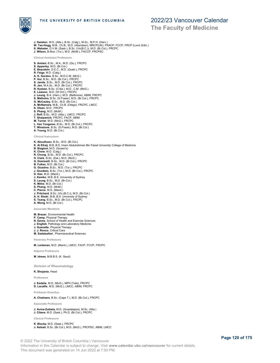

**The Faculty of Medicine**

- **J. Swiston**, M.D. (Alta.), B.Sc. (Calg.), M.Sc., M.P.H. (Harv.) **W. Tan-Hogg**, M.B., Ch.B., M.D. (Aberdeen), MRCP(UK), FRACP, FCCP, FRCP (Lond.;Edin.)<br>**S. Webster**, D.V.M. (Sask.), B.Sc. (Vic(B.C.)), M.D. (Br.Col.), FRCPC **J. Wilson**, B.Mus. (Tor.), M.D. (McM.), FACCP, FRCPSC **Clinical Assistant Professors S. Amlani**, B.Sc., M.A., M.D. (Qu.), FRCPC **S. Apperley**, M.D. (Br.Col.) **E. Beaudoin**, D.E.C., M.D. (Queb.), FRCPC
- **R. Feige**, M.D. (Calg.) **A. K. Gordon**, B.Sc., M.D.C.M. (McG.) **P. Hui**, B.Sc., M.D. (Br.Col.), FRCPC
- 
- **S. Janda**, B.Sc., M.D. (Br.Col.), FRCPC
- **R. Jen**, M.A.Sc., M.D. (Br.Col.), FRCPC **R. Kyskan**, B.Sc. (C'dia.), M.D., C.M. (McG.)
- **E. Lawson**, M.D. (W.Ont.), FRCPC
- 
- **J. Leung**, B.A. (Harv.), M.D. (Baltimore), ABIM, FRCPC **S. Malhotra**, B.Sc. (S.Fraser), M.D. (Br.Col.), FRCPC
- **G. McCauley**, B.Sc., M.D. (Br.Col.) **A. McNamara**, M.B., Ch.B. (Otago), FRCPC, LMCC **S. Olsen**, M.D., FRCPC
- 
- **S. Phang**, M.D. (McM.)
- 
- **J. Rolf**, B.Sc., M.D. (Alta.), LMCC, FRCPC **T. Shaipanich**, FRCPC, FACP, ABIM
- **M. Turner**, M.D. (McG.), FRCPC
- **L. Van Tongeren**, B.Sc., M.D. (Br.Col.), FRCPC **T. Winstone**, B.Sc. (S.Fraser), M.D. (Br.Col.)
- 
- **A. Young**, M.D. (Br.Col.)
- **Clinical Instructors**
- **K. Aboulhosn**, B.Sc., M.D. (Br.Col.) **K. Al Efraij**, M.B.,B.S. Imam Abdulrahman Bin Faisal University College of Medicine **B. Biagioni**, M.D. (Queen's) **K. Chow**, M.D. (Calg.) **R. Chung**, B.Sc., M.D. (Br.Col.), FRCPC **H. Clark**, B.Sc. (Dal.), M.D. (McG.) **G. Dominelli**, B.Sc., M.D. (Br.Col.), FRCPC **B. Fulton**, M.D. (Br.Col.) **G. Giustino**, B.Sc., M.D. (Tor.), FRCPC **J. Goodwin**, B.Sc. (Tor.), M.D. (Br.Col.), FRCPC **D. Han**, M.D. (Manit.) **J. Kambo**, M.B.,B.S. University of Sydney<br>**S. Leung**, B.Sc., M.D. (Br.Col.)<br>**K. Milne**, M.D. (Br.Col.) **S. Phang**, M.D. (McM.) **C. Pierce**, M.D. (Manit.) **J. Pritchard**, B.Sc. (Vic.(B.C.)), M.D. (Br.Col.) **A. H. Shoki**, M.B.,B.S. University of Sydney **S. Tsang**, B.Sc., M.D. (Br.Col.), FRCPC **A. Wong**, M.D. (Br.Col.)

#### **Associate Members**

- **M. Brauer**, Environmental Health
- **P. Camp**, Physical Therapy
- **N. Eaves**, School of Health and Exercise Sciences **J. English**, Pathology and Laboratory Medicine
- 
- **J. Guenette**, Physical Therapy **J. J. Ronco**, Critical Care
- **M. Sadatsafavi** , Pharmaceutical Sciences
- **Honorary Professors**

**M. Lertzman**, M.D. (Manit.), LMCC, FACP, FCCP, FRCPC

**Adjunct Professors**

**M. Idrees**, M.B.B.S. (K. Saud)

*Division of Rheumatology*

**K. Shojania**, Head

**Professors**

**J. Esdaile**, M.D. (McG.), MPH (Yale), FRCPC **D. Lacaille**, M.D. (McG.), LMCC, ABIM, FRCPC

**Professor Emeritus**

**A. Chalmers**, B.Sc. (Cape T.), M.D. (Br.Col.), FRCPC

**Associate Professors**

## **J. Avina-Zubieta**, M.D. (Guadalajara), M.Sc. (Alta.) **J. Cibere**, M.D. (Sask.), Ph.D. (Br.Col.), FRCPC

**Clinical Professors**

**K. Blocka**, M.D. (Sask.), FRCPC **J. Kelsall**, B.Sc. (Br.Col.), M.D. (McG.), FRCPSC, ABIM, LMCC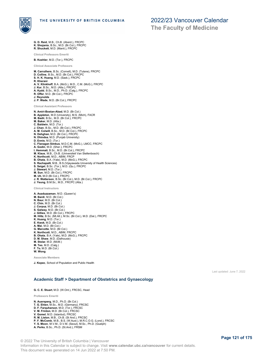

**G. D. Reid**, M.B., Ch.B. (Aberd.), FRCPC

**The Faculty of Medicine**

**K. Shojania**, B.Sc., M.D. (Br.Col.), FRCPC **R. Shuckett**, M.D. (Manit.), FRCPC **Clinical Professors Emeriti B. Koehler**, M.D. (Tor.), FRCPC **Clinical Associate Professors M. Carruthers**, B.Sc. (Cornell), M.D. (Tulane), FRCPC **D. Collins**, B.Sc., M.D. (Br.Col.), FRCPC **S. H. K. Huang**, M.D. (Sask.), FRCPC **R. Kherani A. V. Klinkhoff**, B.A. (McG.), M.D., C.M. (McG.), FRCPC **J. Kur**, B.Sc., M.D. (Alta.), FRCPC **A. Kydd**, B.Sc., M.D., Ph.D. (Calg.), FRCPC **R. Offer**, M.D. (Br.Col.), FRCPC **J. Reynolds J. P. Wade**, M.D. (Br.Col.), FRCPC **Clinical Assistant Professors N. Amiri-Bostan-Abad**, M.D. (Br.Col.) **B. Appleton**, M.D (University), M.S. (Mich), FACR **M. Badii**, B.Sc., M.D. (Br.Col.), FRCPC **M. Baker**, M.D. (Alta.) **C. Baldwin**, M.D. (Tor.) **J. Chan**, B.Sc., M.D. (Br.Col.), FRCPC **A. M. Colwill**, B.Sc., M.D. (Br.Col.), FRCPC **N. Dehghan**, M.D. (Br.Col.), FRCPC **N. Dhindsa**, M.D. (Punjab University) **D. Ennis**, M.D. (Tor.) **C. Flanagan Simkus**, M.D.C.M. (McG.), LMCC, FRCPC **A. Godin**, M.D. (Sher.), FRCPC **I. Hemmati**, B.Sc., M.D. (Br.Col.), FRCPC **M. Klaus**, M.B., Ch.B. (Universiteit Van Stellenbosch) **K. Northcott**, M.D., ABIM, FRCP **B. Ohata**, B.A. (Yale), M.D. (McG.), FRCPC **S. Rachapalli**, M.B., B.S.(Vijayawada University of Health Sciences) **S. Seigel**, B.Sc. (Tor.), M.D. (Qu.), FRCPC **J. Stewart**, M.D. (Tor.) **M. Sun**, M.D. (Br.Col.), FRCPC **M. Uh**, M.D (Br.Col.), FRCPC **J. R. Watterson**, B.Sc. (Br.Col.), M.D. (Br.Col.), FRCPC **J. Yeung**, B.M.Sc., M.D., FRCPC (Alta.) **Clinical Instructors A. Asaduzzaman**, M.D. (Queen's) **M. Bardi**, M.D. (Br.Col.) **N. Baur**, M.D. (Br.Col.) **C. Chin**, M.D. (Br.Col.) **J. Corpuz**, M.D. (Br.Col.) **S. Galway**, M.D. (Br.Col.) **J. Gillies**, M.D. (Br.Col.), FRCPC **M. Hiltz**, B.Sc. (Mt.All.), M.Sc. (Br.Col.), M.D. (Dal.), FRCPC **K. Huang**, M.D. (Tor.) **E. Kwok**, M.D. (Br.Col.) **A. Mai**, M.D. (Br.Col.) **G. Marcotte**, M.D. (Br.Col.) **K. Northcott**, M.D., ABIM, FRCPC **B. Ohata**, B.A. (Yale), M.D. (McG.), FRCPC **D. M. Shaw**, M.D. (Dalhousie) **M. Stolar**, M.D. (McM.) **M. Teo**, M.D. (Calg.) **F. To**, M.D. (Br.Col.) **W. Wong Associate Members**

**J. Kopec**, School of Population and Public Health

Last updated: June 7, 2022

## **Academic Staff > Department of Obstetrics and Gynaecology**

**G. C. E. Stuart**, M.D. (W.Ont.), FRCSC, Head

**Professors Emeriti**

**N. Auersperg**, M.D., Ph.D. (Br.Col.) **T. G. Ehlen**, M.Sc., M.D. (Germany), FRCSC **D. F. Farquharson**, M.D. (Tor.), FRCSC **V. M. Frinton**, M.D. (Br.Col.), FRCSC **V. Gomel**, M.D. (Istanbul), FRCSC **R. M. Liston**, M.B., Ch.B. (St And.), FRCSC<br>**P. F. McComb**, M.B., B.S. (W.Aust.), M.R.C.O.G. (Lond.), FRCSC<br>**Y. S. Moon**, M.V.M., D.V.M. (Seoul), M.Sc., Ph.D. (Guelph) **A. Perks**, B.Sc., Ph.D. (St.And.), FRSM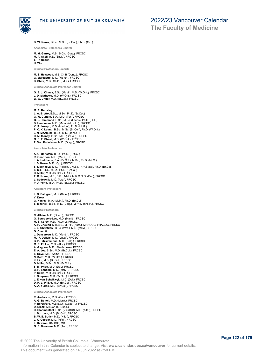

**The Faculty of Medicine**

**D. W. Rurak**, B.Sc., M.Sc. (Br.Col.), Ph.D. (Oxf.)

**Associate Professors Emeriti**

**M. M. Garrey**, M.B., B.Ch. (Glas.), FRCSC **M. A. Skoll**, M.D. (Sask.), FRCSC **S. Thomson H. Woo**

**Clinical Professors Emeriti**

**M. S. Heywood**, M.B, Ch.B (Dund.), FRCSC **G. Marquette**, M.D. (Montr.), FRCSC

**D. Shaw**, M.B., Ch.B. (Edin.), FRCSC

**Clinical Associate Professor Emeriti**

**G. E. J. Kinney**, B.Sc. (McM.), M.D. (W.Ont.), FRCSC **J. D. Mathews**, M.D. (W.Ont.), FRCSC **W. G. Unger**, M.D. (Br.Col.), FRCSC

**Professors**

**M. A. Bedaiwy L. A. Brotto**, B.Sc., M.Sc., Ph.D. (Br.Col.) **G. W. Cundiff**, B.A., M.D. (Tex.), FRCSC **G. L. Hammond**, B.Sc., M.Sc. (Leeds), Ph.D. (Oulu) **D. Huntsman**, M.D. (Memorial, Nfld.), FRCPC **K. S. Joseph**, M.D. (Madras), Ph.D. (McG.) **P. C. K. Leung**, B.Sc., M.Sc. (Br.Col.), Ph.D. (W.Ont.) **J. N. McAlpine**, B.Sc., M.D. (Johns H.) **D. M. Money**, B.Sc., M.D. (Br.Col.), FRCSC **G. C. E. Stuart**, M.D. (W.Ont.), FRCSC **P. Von Dadelszen**, M.D. (Otago), FRCSC

**Associate Professors**

**A. G. Beristain**, B.Sc., Ph.D. (Br.Col.) **R. Geoffrion**, M.D. (McG.), FRCSC **J. A. Hutcheon**, B.A. (Br.Col.), M.Sc., Ph.D. (McG.) **J. S. Kwon**, M.D. (Qu.), FRCSC **S. Lisonkova**, M.D. (Palacky), M.Sc. (N.Y.State), Ph.D. (Br.Col.) **S. Ma**, B.Sc., M.Sc., Ph.D. (Br.Col.) **D. Miller**, M.D. (Br.Col.), FRCSC **T. C. Rowe**, M.B., B.S. (Adel.), M.R.C.O.G. (Dal.), FRCSC **L. Sadownik**, M.D. (Alta.), FRCSC **P. J. Yong**, M.D., Ph.D. (Br.Col.), FRCSC

**Assistant Professors**

- **L. S. Dahlgren**, M.D. (Sask.), FRSCS
- **Y. Drew G. Hanley**, M.A. (McM.), Ph.D. (Br.Col.)
- **S. Mitchell**, B.Sc., M.D. (Calg.), MPH (Johns H.), FRCSC

**Clinical Professors**

- **C. Allaire**, M.D. (Queb.), FRCSC **G. Bourgeois-Law**, M.D. (Manit.), FRCSC **M. S. Carey**, M.D. (W.Ont.), FRCSC **A. P. Cheung**, M.B.B.S., M.P.H. (Aust.), MRACOG, FRACOG, FRCSC **J. E. Christilaw**, B.Sc. (Wat.), M.D. (McM.), FRCSC **G. Cundiff J. Dansereau**, M.D. (Montr.), FRCSC **M. -F. Delisle**, M.D. (Laval), FRCSC **B. P. Fitzsimmons**, M.D. (Calg.), FRCSC **M. R. Fluker**, M.D. (Alta.), FRCSC **A. Gagnon**, M.D. (Sherbrooke), FRCSC **E. A. Joa**, B.Sc., M.D. (Br.Col.), FRCSC **S. Kaye**, M.D. (Witw.), FRCSC **N. Kent**, M.D. (W.Ont.), FRCSC **K. Lim**, M.D. (Br.Col.), FRCSC **D. Millar**, B.Sc., M.D. (Br.Col.) **S. M. Pride**, M.D. (Dal.), FRCSC **B. H. Sanders**, M.D. (McM.), FRCSC **P. Selke**, M.D. (Br.Col.), FRCSC **L. Simpson**, M.D. (W.Ont.), FRCSC **J. E. van Schalkwyk**, M.D. (Dal.), FRCSC **D. H. L. Wilkie**, M.D. (Br.Col.), FRCSC **A. A. Yuzpe**, M.D. (Br.Col.), FRCSC **Clinical Associate Professors**
- **R. Anderson**, M.D. (Qu.), FRCSC **A. G. Benoit**, M.D. (Manit.), FRCSC **P. Beresford**, M.B.B.Ch. (Cape T.), FRCSC **D. Black**, M.B.Ch.B. (Dund.) **D. Bloomenthal**, B.Sc. (Vic.(BC)), M.D. (Alta.), FRCSC **J. Burrows**, M.D. (Br.Col.), FRCSC **B. W. E. Butler**, M.D. (Nfld.), FRCSC **J. K. Cooper**, M.D. (Nfld.), FRCSC **L. Dawson**, BA, BSc, MD **G. B. Doersam**, M.D. (Tor.), FRCSC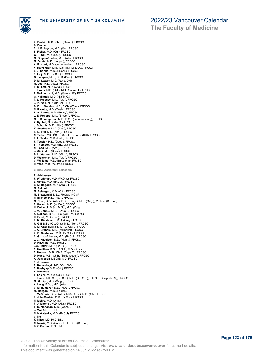

**K. Duckitt**, M.B., Ch.B. (Camb.), FRCSC **C. Dunne S. J. Finlayson**, M.D. (Qu.), FRCSC **S. Fisher**, M.D. (Qu.), FRCSC **G. H. Gill**, M.D. (Dal.), FRCSC **M. Gogela-Spehar**, M.D. (Alta.) FRCSC **M. Gupta**, M.B. (Kanpur), FRCSC **A. P. Hunt**, M.D. (Johannesburg), FRCSC **Y. Kalyanpur**, M.B., B.S. (IN), MRCOG, FRCSC **L. J. Kanke**, M.D. (Br.Col.), FRCSC **S. Lalji**, M.D. (Br.Col.), FRCSC **O. Lampen**, M.B., Ch.B. (Pret.), FRCSC **D. M. Lazare**, M.D. (Ross, DM) **M. Lee**, M.D. (Alta.), FRCSC **P. M. Lott**, M.D. (Alta.), FRCSC **J. Lyons**, M.D. (Dal.), MPH (Johns H.), FRCSC **F. Mohtashami**, M.D. (Qazvin, IR), FRCSC **G. Nakhuda**, M.D. (N.Y.M.C.) **T. L. Pressey**, M.D. (Alta.), FRCSC **J. Purcell**, M.D. (Br.Col.), FRCSC **D. D. J. Quinlan**, M.B., B.Ch. (Witw.), FRCSC **N. Racette**, M.D. (Queb.), FRCSC **S. A. Rhone**, M.D. (Emory), FRCSC **J. E. Roberts**, M.D. (Br.Col.), FRCSC **M. I. Rosengarten**, M.B., B.Ch. (Johannesburg), FRCSC **V. Rychel**, M.D. (McG.), FRCSC **J. Schouls**, M.D. (Alta.), FRCSC **K. Seethram**, M.D. (Alta.), FRCSC **K. D. Still**, M.D. (Alta.), FRCSC **N. Tallon**, MB., BCh , BAO, LRCP & SI (NUI), FRCSC **E. L. Taylor**, M.D. (Dal.), FRCSC **F. Tessier**, M.D. (Queb.), FRCSC **S. Thomson**, M.D. (Br.Col.), FRCSC **N. Todd**, M.D. (Alta.), FRCSC **J. Ubhi**, M.D. (Sask.), FRCSC **B. L. Wagner**, M.D. (Mich.), FRSCS **D. Waterman**, M.D. (Alta.), FRCSC **C. Williams**, M.D. (Barcelona), FRCSC **H. Woo**, M.D. (W.Ont.), FRCSC **Clinical Assistant Professors R. Adelasoye F. W. Ahman**, M.D. (W.Ont.), FRCSC **L. Almas**, M.D. (Br.Col.), FRCSC **B. M. Bagdan**, M.D. (Alta.), FRCSC **M. Bakhet M. Belanger** , M.D. (Ott.), FRCSC **M. Bleszynski**, M.D., FRCSC, NCMP **N. Branco**, M.D. (Alta.), FRCSC<br>**M. Chan,** B.Sc. (Alb.), B.Sc. (Otago), M.D. (Calg.), M.H.Sc. (Br. Col.)<br>**T. Cohen**, M.D. (W.Ont.), FRCSC **U. Dehaeck**, B.Sc., M.Sc., M.D. (Calg.) **J. M. Dennie**, M.D. (Br.Col.), FRCSC **A. Dobson**, B.A., B.Sc. (Qu.), M.D. (Ott.) **H. Ezzat**, M.D. (Tor.), FRCSC<br>**E. M. Giesbrecht**, M.D. (Calg.), FCSC<br>**R. Gill**, B.Sc. (Qu. Ont.), M.D. (Tor.), FRCSC **K. M. Grabowska**, M.D. (W.Ont.), FRCSC **J. A. Graham**, M.D. (Memorial), FRCSC **K. D. Gustafson**, M.D. (Br.Col.), FRCSC **C. Guzzo-Arkuran**, M.D. (Br.Col.), FRCSC **J. C. Havelock**, M.D. (Manit.), FRCSC **D. Hawkins**, M.D., FRCSC **J.A. Hitkari**, M.D. (Br.Col.), FRCSC **S. Houlihan**, B.Sc., B.S.P., M.D. (Alta.) **S. Hudson**, M.B., Ch.B. (Cape T.), FRCSC **D. Hugo**, M.B., Ch.B. (Stellenbosch), FRCSC **A. Jamieson**, MBChB, MD, FRCSC **S. Johnson E. Karacabeyli**, MD, BSc, PhD **S. Kashyap**, M.D. (Ott.), FRCSC A. Kennedy<br>S. Lalani, M.D. (Calg.), FRCSC<br>J. Liauw, M.H.Sc. (Br. Col.), M.D. (Qu. Ont.), B.H.Sc. (Guelph-McM), FRCSC<br>M. M. Lipp, M.D. (Calg.), FRCSC<br>A. Long, B.Sc., M.D. (Alta.)<br>C. M. H. Mayer , M.D. (McG.), FRCSC<br>M. Mazga **J. McGinnis**, B.Sc. (Alb.), M.Sc. (Tor.), M.D. (Alb.), FRCSC **E. J. McMurtrie**, M.D. (Br.Col.), FRCSC **N. Mehra**, M.D. (Alta.) **P. J. Mitchell**, M.D. (Alta.), FRCSC **S. K. Monahan**, M.D. (Wash.), FRCSC **J. Mui**, MD, FRCSC **N. Nakatsuka**, M.D. (Br.Col), FRCSC **C. Ng K. Niles**, MD, PhD, BSc **C. Nowik**, M.D. (Qu. Ont.), FRCSC (Br. Col.) **D. O'Connor**, B.Sc., M.D.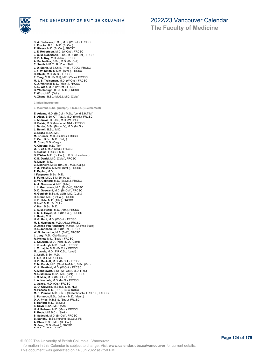

THE UNIVERSITY OF BRITISH COLUMBIA

**S. A. Pedersen**, B.Sc., M.D. (W.Ont.), FRCSC

**L. Proctor**, B.Sc., M.D. (Br.Col.) **R. Rivera**, M.D. (Br.Col.), FRCSC **J. E. Robertson**, M.D. (W.Ont.), FRCSC

# 2022/23 Vancouver Calendar

**The Faculty of Medicine**

**J. G. M. Robertson**, B.Sc., M.D. (Br.Col.), FRCSC **R. P. A. Roy**, M.D. (Man.), FRCSC **A. Sachedina**, B.Sc., M.D. (Br. Col.) **C. Smith**, M.B.Ch.B., D.A. (Stell.) **J. D. Smith**, M.B.Ch.B. (Pret.), FCOG, FRCSC **J. d. W. Smith**, M.Med. (Stell.), FRCSC **D. Steele**, M.D. (N.S.), FRCSC **F. Teng**, M.D. (Br.Col), MPH (Yale), FRCSC **M. J. B. Treissman**, M.D. (W.Ont.), FRCSC **K. J. Whitehill**, M.D. (Manit.), FRCSC **K. E. Wise**, M.D. (W.Ont.), FRCSC **B. Woolnough**, B.Sc., M.D., FRCSC **T. Wroz**, M.D. (Dal.) **A. Zhang**, B.Sc. (McG.), M.D. (Calg.) **Clinical Instructors L. Mourant, B.Sc. (Guelph), F.R.C.Sc. (Guelph-McM) E. Adams**, M.D. (Br.Col.), M.Sc. (Lond.S.H.T.M.) **S. Alger**, B.Sc. OT (Alta.), M.D. (McM.), FRCSC **J. Andrews**, H.B.Sc., M.D. (W.Ont.) **H. Baikie**, M.D. (Memorial, Nfld.), FRCSC **J. Baxter**, B.Sc. (Bishop's), M.D. (McG.) **L. Benoit**, B.Sc., M.D. **C. Brace**, B.Sc., M.D. **M. Brunner**, M.D. (Br.Col.), FRCSC **E. Catt**, B.Sc., M.D. (Calg.) **M. Chan**, M.D. (Calg.) **A. Cheung**, M.D. (Tor.) **O. P. Coll**, M.D. (Alta.), FRCSC **K. Collins**, FRCSC, M.D. **D. D'Aleo**, M.D. (Br.Col.), H.B.Sc. (Lakehead) **K. B. Daniel**, M.D. (Calg.), FRCSC **R. Dayan**, M.D. **C. Donnelly**, M.Sc. (Br.Col.), M.D. (Calg.) **P. du Plessis**, M.Med. (Stell.), FRCSC **P. Espino**, M.D. **I. Ferguson**, B.Sc., M.D. **S. Fung**, M.D., B.M.Sc. (Albe.) **B. W. Galliford**, M.D. (Br.Col.), FRCSC **A. A. Golosinski**, M.D. (Alta.) **J. L. Goncalves**, M.D. (Br.Col.), FRCSC **D. D. Goswami**, M.D. (Br.Col.), FRCSC **H. Gottlieb**, B.Sc. (McGill), M.D. (Calif.) **H. Grant**, M.D. (Br.Col.), FRCSC **K. B. Hale**, M.D. (Alta.), FRCSC **N. Half**, M.D. (Br. Col.) **V. Han**, B.Sc., M.D. **L. A. M. Heslip**, M.D. (Alta.), FRCSC **E. M. L. Hoyer**, M.D. (Br. Col.), FRCSC **L. Hsaio**, M.D. **H. G. Hunt**, M.D. (W.Ont.), FRCSC **M. T. Hyakutake**, M.D. (Alta.), FRCSC **D. Janse Ven Rensburg**, M.Med. (U. Free State) **R. L. Johnson**, M.D. (Br.Col.), FRCSC W. G. Johnston, M.B. (Belf.), FRCSC **L. Jony**, M.D. (Cluj-Napoca) **R. Kellett**, M.D. (Sask.), FRCSC **L. Knutzen**, M.D., (Nott.) M.A. (Camb.) **J. Kowalczyk**, M.S. (Sask.), FRCSC **J. M. Lajoie**, M.D. (Br.Col.), FRCSC **M. Lavoie**, M.D., F.R.C.Sc. (Laval) **C. Lepik**, B.Sc., M.D. **T. Lin**, MD, MSc, BHSc **H. P. Mackoff**, M.D. (Br.Col.), FRCSC **E. McComb**, M.D. (Guelph-McM.), B.Sc. (Vic.) **K. A. Meathral**, M.D. (W.Ont.), FRCSC **A. Mendlowitz**, B.Sc. (W. Ont.), M.D. (Tor.) **N. L. Mitenko**, B.Sc., M.D. (Calg), FRCSC **J. C. Muir**, M.D. (Br.Col.), FRCSC **L. A. Neapole**, M.D. (McG.), FRCSC **J. Oakes**, M.D. (Qu.), FRCSC **G. O. Oluyede**, M.B.B.S. (Jos, NG) **N. Pascas**, M.D. (UBC), B.Sc. (UBC) **M. P. Pienaar**, M.B., Ch.B. (Stellenbosch), FRCPSC, FACOG **L. Porteous**, B.Sc. (Winn.), M.D. (Manit.) **D. A. Price**, M.B.B.S. (Engl.), FRCSC **S. Raffard**, M.D. (Br.Col.) **S. Ravn**, B.Sc., M.D. (Alta.) **H. J. Robson**, M.D. (Man.), FRCSC **P. Rode**, M.B.B.Ch. (Stell.) **S. Sadeghi**, M.D. (Br.Col.), FRCSC **B. Sandhu**, B.Sc. Nursing (Br.Col.), RN **A. Shan**, B.Sc., M.D. (Br. Col.) **G. Song**, M.D. (Sask.), FRCSC **P. Sriram**, B.Sc., M.D.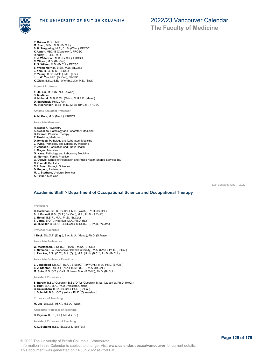

- **P. Sriram**, B.Sc., M.D.
- **M. Suen**, B.Sc., M.D. (Br.Col.) **S. K. Tregoning**, M.B., Ch.B. (Witw.), FRCSC
- **K. Upton**, MBChB (Capetown), FRCSC
- **R. Vilayil** , B.Sc., M.D.
- **E. J. Waterman**, M.D. (Br.Col.), FRCSC
- 
- **C. Wilson**, M.D. (Br. Col.)<br>**P. S. Wilson**, M.D. (Br.Col.), FRCSC<br>**S. Wong-Merrick**, B.Sc., M.D. (Br.Col.)<br>**J. Yam,** B.Sc., M.D. (Br.Col.)<br>**P. Yeung**, M.D. (Br.Col.), FRCSC<br>**J. J. W. Yue**, M.D. (Br.Col.), FRCSC
- 
- 
- 
- **K. Ziola**, B.Sc., B.Ed. (Vic.(Br.Col.)), M.D. (Sask.)

**Adjunct Professor**

- **Y. -M. Lin**, M.D. (NTNU, Taiwan)
- 
- **S. Mortimer H. Mubarak**, M.B, B.Ch. (Cairo), M.H.P.E. (Maas.)
- **D. Sawchuck**, Ph.D., R.N. **M. Stephenson**, B.Sc., M.D., M.Sc. (Br.Col.), FRCSC

**Affiliate Assistant Professor**

**A. M. Cote**, M.D. (Mont.), FRCPC

**Associate Members**

- **R. Basson**, Psychiatry **K. Cebellos**, Pathology and Laboratory Medicine **B. Everett**, Physical Therapy **P. Hoskins**, Medicine **D. Ionescu**, Pathology and Laboratory Medicine **J. Irving**, Pathology and Laboratory Medicine **P. Janssen**, Population and Public Health **L. Magee**, Medicine **G. Naus**, Pathology and Laboratory Medicine **W. Norman**, Family Practice **G. Ogilvie**, School of Population and Public Health Shared Services BC **C. Overall**, Dentistry **C. I. Poon**, Urologic Sciences **D. Pugash**, Radiology **M. L. Stothers**, Urologic Sciences **A. Tinker**, Medicine
- 

Last updated: June 7, 2022

## **Academic Staff > Department of Occupational Science and Occupational Therapy**

**Professors**

**C. Backman**, B.S.R. (Br.Col.), M.S. (Wash.), Ph.D. (Br.Col.) **S. J. Forwell**, B.Sc.(O.T.) (W.Ont.), M.A., Ph.D. (S.Calif.) **L. Holsti**, B.S.R., M.A., Ph.D. (Br.Col.) **T. Jarus**, B.O.T. (Hebrew), M.A., Ph.D. (N.Y.) **W. H. Miller**, B.Sc.(O.T.) (Br.Col.), M.Sc.(O.T.), Ph.D. (W.Ont.)

**Professor Emeritus**

**I. Dyck**, Dip.O.T. (Engl.), B.A., M.A. (Manc.), Ph.D. (S.Fraser)

**Associate Professors**

**W. Mortenson**, B.Sc.(O.T.) (Alta.), M.Sc. (Br.Col.) **L. Nimmon**, B.A. (Vancouver Island University), M.A. (UVic.), Ph.D. (Br.Col.) **J. Zwicker**, B.Sc.(O.T.), B.A. (Qu.), M.A. (U.Vic.(B.C.)), Ph.D. (Br.Col.)

**Associate Professor Emeritus**

**L. Jongbloed**, Dip.O.T. (S.A.), B.Sc.(O.T.) (W.Ont.), M.A., Ph.D. (Br.Col.) **S. J. Stanton**, Dip.O.T. (N.Z.), B.S.R.(O.T.), M.A. (Br.Col.) **M. Suto**, B.S.(O.T.) (Calif., S.Jose), M.A. (S.Calif.), Ph.D. (Br.Col.)

**Assistant Professors**

**S. Barbic**, B.Sc. (Queen's), B.Sc.(O.T.) (Queen's), M.Sc. (Queen's), Ph.D. (McG.) **S. Huot**, B.A., M.A., Ph.D. (Western Ontario) **B. Sakakibara**, B.Sc. (Br.Col.), Ph.D. (Br.Col.) **J. Schmidt**, B.Sc.(O.T.), (Alta.), Ph.D. (Queensland)

**Professor of Teaching**

**M. Lee**, Dip.O.T. (H.K.), M.B.A. (Wash.)

**Associate Professor of Teaching**

**D. Drynan**, B.Sc.(O.T.), M.Ed. (Tor.)

**Assistant Professor of Teaching**

**K. L. Bunting**, B.Sc. (Br.Col.), M.Sc.(Tor.)

© 2022 The University of British Columbia | Vancouver Information in this Calendar is subject to change. Visit **www.calendar.ubc.ca/vancouver** for current details. This document was generated on 14 Jun 2022 at 7:50 PM.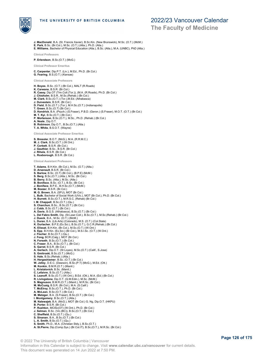

### THE UNIVERSITY OF BRITISH COLUMBIA

## 2022/23 Vancouver Calendar

**The Faculty of Medicine**

**J. MacDonald**, B.A. (St. Francis Xavier), B.Sc.Kin. (New Brunswick), M.Sc. (O.T.) (McM.)

- **E. Park**, B.Sc. (Br.Col.), M.Sc. (O.T.) (Alta.), Ph.D. (Alta.)
- **E. Williams**, Bachelor of Physical Education (Alta.), B.Sc. (Alta.), M.A. (UNBC), PhD (Alta.)

**Clinical Professors**

**P. Erlendson**, B.Sc.(O.T.) (McG.)

**Clinical Professor Emeritus**

**C. Carpenter**, Dip.P.T. (Liv.), M.Ed., Ph.D. (Br.Col.) **G. Fearing**, B.S.(O.T.) (Kansas)

**Clinical Associate Professors**

**H. Boyes**, B.Sc. (O.T.) (Br.Col.), MALT (R.Roads) **K. Carwana**, B.S.R. (Br.Col.) **R. Casey**, Dip.OT (Trin.Coll.(Tor.)), (M.A. (R.Roads), Ph.D. (Br.Col.) **J. Chisholm**, B.S.R., M.Sc.(Rehab.) (Br.Col.) **M. Clark**, B.Sc.(O.T.) (Tor.),M.Ed. (Athabasca) **J. Duivestein**, B.S.R. (Br.Col.) **D. Field**, B.Sc.(O.T.) (Tor.), M.H.Sc.(O.T.) (Indianapolis) **T. Green**, B.Sc.(O.T) (Br.Col.)<br>**D. Kendrick**, B.A. (Psych.) (S.Fraser), P.B.D. (Geron.) (S.Fraser), M.O.T. (O.T.) (Br.Col.)<br>**M. T. Kyi**, B.Sc.(O.T.) (Br.Col.) **P. Mortenson**, B.Sc.(O.T.), M.Sc., Ph.D. (Rehab.) (Br.Col.) **A. Neale**, Dip.O.T. **B. Robinson**, Dip.O.T., B.Sc.(O.T.) (Alta.)

**T. A. White**, B.S.O.T. (Wayne)

**Clinical Associate Professor Emeritus**

**S. Bressler**, B.O.T. (McG.), M.A. (R.R.M.C.) **M. J. Clark**, B.Sc.(O.T.) (W.Ont.) **P. Corbett**, B.S.R. (Br.Col.) **J. Gauthier**, B.Sc., B.S.R. (Br.Col.)

- **J. Rihela**, B.S.R. (Br.Col.)
- **L. Roxborough**, B.S.R. (Br.Col.)

**Clinical Assistant Professors**

**T. Adams**, B.H.Kin. (Br.Col.), M.Sc. (O.T.) (Alta.) **D. Arsenault**, B.S.R. (Br.Col.) **S. Barlow**, B.Sc. (O.T) (Br.Col.), (B.P.E) (McM.) **S. Berg**, B.Sc.(O.T.) (Alta.), M.Sc. (Br.Col.)<br>**B. Borry**, B.Sc. (Alta.), M.Sc. (Alta.)<br>**B. Boniface,** B.Sc. (O.T.), B.Sc. (Br.Col.)<br>**J. Boniface**, B.P.E., B.H.Sc.(O.T.) (McM.)<br>**M. Bozzer**, B.S.R. (Br.Col.) **M. G. Brown**, B.A. (SFU), MOT (Br.Col.) **L. Bulk**, Bachelor of Social Work (UVic.), MOT (Br.Col.), Ph.D. (Br.Col.) **H. Burrett**, B.Sc.(O.T.), M.R.S.C. (Rehab) (Br.Col.) **I. M. Chappell**, B.Sc.(O.T.) (Qu.) **S. Charchun**, B.Sc., B.Sc.(O.T.) (Br.Col.) **J. Cobb**, B.Sc (O.T.) (Br.Col.) **A. Davis**, B.G.S. (Athabasca), B.Sc.(O.T.) (Br.Col.)<br>**L. Del Fabro Smith**, Dip. (St.Lawr.Coll.), B.Sc.(O.T.), M.Sc.(Rehab.) (Br.Col.)<br>**J. Dueck**, B.A., M.Sc. (O.T.) (McM.) **L. Duran**, B.A. (Lib.Arts) (Colorado), M.S. (O.T.) (Col.State)<br>**K. Durlacher**, B.P.E.(Ex.Sci.), B.Sc.(O.T.), G.C.R.(Rehab.) (Br.Col.)<br>**K. Elissat**, B.H.Kin. (Br.Col.), M.Sc.(O.T.) (W.Ont.) **S. Epp**, B.H.Kin. (Ex.Sci.) (Br.Col.), M.S.I.Sc. (O.T.) (W.Ont.) **J. Fischer**, B.Sc.(O.T.) (Qu.) **J. Fong**, BCR (Calg.), MOT (Br.Col.) **N. Forseth**, B.Sc.(O.T.) (Br.Col.) **C. Fraser**, B.A., B.Sc.(O.T.), (Br.Col.) **S. Garret**, B.S.R. (Br.Col.) **A. Gerlach**, Dip.O.T. (St Loyes), M.Sc.(O.T.) (Calif., S.Jose) **S. Gmitroski**, B.Sc.(O.T.) (McG.) **S. Hale**, B.Sc.(Rehab.) (Alta.) **H. Hergeshiemer**, B.Sc. (O.T.) (Br.Col.) **W. Jelley**, D.E.C. (Dawson), B.Sc.(P.T) (McG.), M.Ed. (Ott.) **M. Konkin**, B.M.R.(O.T.) (Manit.) **L. Kristalovich**, B.Sc. (Manit.) **C. Lefaivre**, B.Sc.(O.T.) (Alta.) **S. Leznoff**, B.Sc.(O.T.) (W.Ont.), B.Ed. (Ott.), M.A. (Ed.) (Br.Col.) **R. Livingstone**, Dip.O.T. (Q.M.Edin.), M.Sc. (McM.) **S. Magnuson**, B.M.R.(O.T.) (Manit.), M.R.Sc. (Br.Col.) **M. McCuaig**, B.S.R. (Br.Col.), M.A. (S.Calif.) **T. McElroy**, B.Sc.(O.T.), Ph.D. (Br.Col.) **A. McLean**, B.Sc.(O.T.) (Br.Col.) **M. Metzger**, B.A. (S.Fraser), B.Sc.(O.T.) (Br.Col.) **I. Montgomery**, B.Sc.(O.T.) (Alta.) **M. Nalewajek**, B.A. (McG.), MOT (Br.Col.) G. Ng, Dip.O.T. (HKPU) **B. Porter**, B.S.R. (Br.Col.) **P. Rushton**, MClSc(OT) (W.Ont.), Ph.D. (Br.Col.) **J. Selman**, B.Sc. (Vic.(BC)), B.Sc.(O.T.) (Br.Col.) **C. Sheffield**, B.Sc.(O.T.) (Qu.) **S. Sinanan**, B.A., B.Sc.(O.T.) (Br.Col.) **L. A. Smith**, B.Sc.(O.T.) (Qu.) **S. Smith**, Ph.D., M.A. (Christian Stdy.), B.Sc.(O.T.)

© 2022 The University of British Columbia | Vancouver Information in this Calendar is subject to change. Visit **www.calendar.ubc.ca/vancouver** for current details. This document was generated on 14 Jun 2022 at 7:50 PM.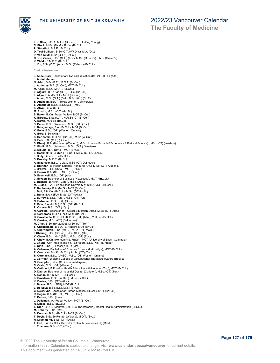

**L. J. Stan**, B.S.R., M.Ed. (Br.Col.), Ed.D. (Brig.Young) **C. Stock**, M.Sc. (McM.), B.Kin. (Br.Col.) **P. Straathof**, B.S.R. (Br.Col.) **D. Toal-Sullivan**, B.Sc.(O.T.) (W.Ont.), M.A. (Ott.)<br>**P. Van Kuyk**, B.Sc.(O.T.) (Br.Col.)<br>**C. von Zweck**, B.Sc. (O.T.) (Tor.), M.Sc. (Queen's), Ph.D. (Queen's) **K. Waldorf**, M.O.T. (Br.Col.) **J. Yiu**, B.Sc.(O.T.) (Alta.), M.Sc.(Rehab.) (Br.Col.) **Clinical Instructors J. Abdel-Barr**, Bachelor of Physical Education (Br.Col.), B.O.T (Alta.) **J. Abdulrahman N. Adab**, B.Sc.(P.T.), M.O.T. (Br.Col.) **J. Adderley**, B.A. (Br.Col.), MOT (Br.Col.) **M. Agon**, B.Sc., M.O.T. (Br.Col.) **L. Alguire**, B.Sc. Vic.(B.C.), B.Sc. (Br.Col.) **L. Allyn**, B.A. (Br.Col.), MOT (Br.Col.) **J. Amell**, M.Sc.(O.T.) (Dal.), B.Sc.(Kin.) (St. FX) **E. Ancheim**, BSOT (Texas Women's University) **S. Arsenault**, B.Sc., B.Sc.(O.T.) (McG.) **S. Atwal**, B.Sc. (OT) **M. Austin**, M.Sc. (O.T.) (McM.) **S. Baker**, B.Kin (Fraser Valley), MOT (Br.Col.) **K. Barclay**, B.Sc.(O.T.), M.R.Sc.(C.) (Br.Col.) **A. Barrie**, M.R.Sc. (Br.Col.) **S. Bates**, B.Sc. (Waterloo), M.Sc. (OT) (Tor.) **L. Belagamage**, B.A. (Br.Col.), MOT (Br.Col.) **K. Belle**, B.Sc. (OT) (Western Ontario) **A. Berg**, B.Sc. (Alta.) **S. Berinstein**, B.H.Kin. (Br.Col.), M.Sc.(W.Ont.) **D. Betz**, B.Sc.(O.T.) (Br.Col.) **S. Bhanji**, B.A. (Honours) (Western), M.Sc. (London School of Economics & Political Science) , MSc. (OT) (Western) **C. Bialik**, B.Sc. (Waterloo), M.Sc. (O.T.) (Western) **C. Billups**, B.A. (UVic.), MOT (Br.Col.)<br>**E. Bocknek**, B.Sc. (Kin.) (Br.Col.), M.Sc. (OT) (Queen's)<br>**J. Boily**, B.Sc.(O.T.) (Br.Col.) **S. Bossley**, M.O.T. (Br.Col.) **A. Braunizer**, B.Sc. (UVic.), M.Sc. (OT) Dalhousie **E. Brennan**, B. Health Science (Honours) (Ott.), M.Sc. (OT) (Queen's) **J. Brower**, B.Sc. (UVic.), MOT (Br.Col.) **B. Brown**, B.A. (SFU), MOT (Br.Col.) **D. Brumwell**, B.Sc. (OT) (Alta.) **C. Bryden**, Bachelor of Business (Newcastle), MOT ((Br.Col.) **L. Buckell** , B.H.Kin. (Calg.), M.Sc. (Alta.) **M. Budac**, B.A. (Lucian Blaga University of Sibiu), MOT (Br.Col.) **T. Budlovsky**, B.A. (McG.), MOT (Br.Col.) **J. Bull**, B.H.Kin. (Br.Col.), M.Sc. (OT) McM.) **L. Bunn**, B.A. (SFU), M.Sc. (OT) (Alta.) **J. Burrows**, B.Sc. (Alta.), M.Sc. (OT) (Alta.) **N. Butzelaar**, B.Sc. (OT) (Br.Col.) **T. Cain**, B.A. (McM.), B.Sc. (OT) (Br.Col.) **P. Capern,** B.Sc.(O.T.) (Qu.)<br>**N. Cardina**l, Bachelor of Physical Education (Alta.), M.Sc. (OT) (Alta.)<br>**C. Carncross**, B.H.K.(Tor.), MOT (Br.Col.) **D. Cavalcante**, B.Sc. (SFU), B.Sc. (OT) (Alta.), M.R.Sc. (Br.Col.) **C. Cawker**, M.Sc. (OT) (Dalhousie) **M. Chan**, B.Sc. ((Waterloo), M.Sc. (OT (Tor.)) **S. Chapdelaine**, B.B.A. (S. Fraser), MOT (Br.Col.) **K. Cherrington**, B.Sc. (McG.), M.Sc. (OT) McM.) **I. Cheung**, B.Sc. (Br.Col.), B.Sc. (O.T.) (Qu.) K. Chow, B.Sc. (Kin.) (SFU), M.Sc. (OT) (Tor.)<br>S. Chow, B.Kin. (Honours) (S. Fraser), MOT (University of British Columbia)<br>**J. Chung**, Cert. Health and Fit. (S.Fraser), B.Sc. (Kin.) (S.Fraser)<br>**Z. Ciric**, B.Sc. (S.Fraser); **R. Corcoran,** B.H.K. (Br.Col.), M.Sc. (OT) (Tor.)<br>**B. Cormack**, B.Sc. (UNBC), M.Sc. (OT) Western Ontario)<br>**J. Corrigan**, Diploma College of Occupational Therapists (Oxford-Brookes) **N. Crampton**, B.Sc. (OT) (Queen Margaret) **C. Crate**, M.Sc. (OT) (Western) **D. Cuthbert**, B.Physical Health Education with Honours (Tor.), MOT (Br.Col.) **D. Dabros**, Bachelor of Industrial Design (Carleton), M.Sc. (OT) (Tor.) **A. Danko**, B.Kin, M.O.T. (Br.Col.) K. Davidson, B.Sc. (W.Ont,), M.Sc.(Br.Col.)<br>K. Davies, B.Sc. (OT) (Alta.)<br>L. Dawes, B.Sc. (SFU), MOT (Br.Col.)<br>L. De Silva, B.Sc, B.Sc.(O.T.) (Br.Col.)<br>C. DeBruyne, Bachelor of Human Kinetics (Br.Col.), MOT (Br.Col.) **R. Degan**, B.A. (Br.Col.), MOT (Br.Col.) **E. Delisle**, B.Sc. (Laval) **J. Delleman**, .A. (Fraser Valley), MOT (Br.Col.) **R. Dhalla**, B.Sc. (Br.Col.) **S. Dion**, B.O.T. (Montreal), M.R.Sc. (Sherbrooke), Master Health Administration (Br.Col.) **M. Doherty**, B.Sc. (McG.) **S. Dornian**, B.Sc. (Br.Col.), MOT (Br.Col.) **T. Doyle**, B.Ex.Sc.Rehab. (W'gong), M.O.T. (Syd.) **H. Drummond**, B.Sc. (OT) (Alta.)

- **T. Earl**, B.A. (Br.Col.), Bachelor of Health Sciences (OT) (McM.)
- **J. Edamura**, B.Sc.(O.T.) (Tor.)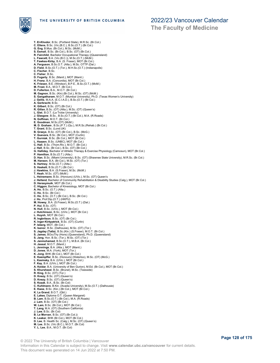

**T. El-Khodor**, B.Sc. (Portland State), M.R.Sc. (Br.Col.) **C. Ellens**, B.Sc. (Vic.(B.C.), B.Sc.(O.T.) (Br.Col.) **G. Eng**, B.Mus. (Br.Col.), M.Sc. (McM.) **S. Esmail**, B.Sc. (Br.Col.), B.Sc. (OT) (Br.Col.) **R. Fairchild**, Bachelor Occupational Therapy ((Queensland)<br>**L. Fawkest,** B.A. (Vic.(B.C.)), M.Sc.(O.T.) (McM.)<br>T**. Fawkes-Kirby,** B.A. (S. Fraser), MOT (Br.Col.)<br>**A. Ferguson,** B.Sc.O.T. (Alta.), M.Sc. OTTP (Dal.) **D. Field**, B.Sc.(O.T.) (Tor.), M.H.Sc.(O.T.) (Indianapolis) **C. Fischer**, B.Sc. **C. Fisher**, B.Sc. **D. Fogarty**, B.Sc. (Manit.), MOT (Manit.)<br>**H. Franz**, B.A. (Concordia), MOT (Br.Col.)<br>**K. Friesen,** B.E. (Windsor), B.P.E., B.Sc.(O.T.) (McM.) M. Frost, B.A., M.O.T. (Br.Col.)<br>**D. Fullerton**, B.A., M.O.T. (Br.Col.)<br>**M. Gagnon,** B.Sc. (Kin) (Br.Col.), M.Sc. (OT) (McM.)<br>**S. Gangatharam**, M.O.T. (Mumbai University), Ph.D. (Texas Women's University)<br>**J. Gellis**, M.A. **A. Gerbracht**, B.Sc. K. Gilbert, B.Sc. (OT) (Br.Col.)<br>R. Gillan, B.Sc. (OT) (Alta.), M.Sc. (OT) (Queen's)<br>L. Gist, B.O.T. (La Trobe University)<br>J. Glasgow, B.Sc., B.Sc.(O.T.) (Br.Col.), M.A. (R.Roads)<br>N. Goffman, M.O.T. (Br.Col.) **E. Goodman**, M.Sc.(OT) (McM.) **M. D. Graham** , B.Sc.(P.T.) (Qu.), M.R.Sc.(Rehab.) (Br.Col.) **T. Grant**, B.Sc. (Lond.UK) **B. Grazys**, B.Sc. (OT) (Br.Col.), B.Sc. (McG.) **V. Guevara**, B.Sc. (Br.Col.), MOT (Curtin) **T. Gurniak**, B.Sc. (Br.Col.), MOT (Br.Col.) **L. Haazen**, B.Sc. (UNBC), MOT (Br.Col.) **C. Hall**, B.Sc. (Thom.Riv.), M.O.T. (Br.Col.) **J. Hall**, B.Sc. (Br.Col.), B.Sc. (OT) (Br.Col.) **G. Halliday**, Bachelor of Athletic Therapy & Exercise Physiology (Camosun), MOT (Br.Col.) **P. Hamilton**, B.Sc.(O.T.) (Alta.) **D. Han**, B.Sc. (Miami University), B.Sc. (OT) (Shawnee State University), M.R.Sc. (Br.Col.) **M. Hansen**, B.A. (Br.Col.), M.Sc. (OT) (Tor.) **S. Hartney**, M.Sc.(O.T.) (Alta.) **S. Haskett**, B.Sc.(O.T.) (Br.Col.) **J. Hawkins**, B.A. (S.Fraser), M.Sc. (McM.) **T. Heah**, M.Sc. (OT) (McM.) **L. Heinemann**, B.Sc. (Honours) (UVic.), M.Sc. (OT) Queen's **J. Helland**, Bachelor of Community Rehabilitation & Disability Studies (Calg.), MOT (Br.Col.)<br>**D. Herasymuik**, MOT (Br.Col.)<br>**C. Higgon**, Bachelor of Kinesiology, MOT (Br.Col.) **A. Ho**, B.Sc. (O.T.) (Alta.) **C. Ho**, B.Sc. (Br.Col.) **C. Ho**, B.Sc. (O.T.) (Br.Col.), B.Sc. (Br.Col.) **J. Ho**, Prof.Dip.(O.T.) (HKPU) **M. Howey**, B.A. (S.Fraser), M.Sc.(O.T.) (Dal.) **P. Hui**, B.Sc. (OT) **N. Hull**, B.Sc, (UVic.), MOT (Br.Col.) **J. Hutchinson**, B.Sc. (UVic.), MOT (Br.Col.) **L. Huynh**, MOT (Br.Col.) **R. Ingbritson**, B.Sc. (OT) (Br.Col.) **K. Inger-Kirkpatrick**, B.Sc. (OT) (Curtin) **P. Isberg**, MOT, (Br.Col.) **K. Isenor**, B.Sc. (Dalhousie), M.Sc. (OT) (Tor.) **S. Jagday (Tatla)**, B.Sc.(Kin.) (S.Fraser), M.O.T. (Br.Col.) **S. James**, BOccThy (Hons) (Queensland), Ph.D. (Queensland) **S. Jang**, Hon. B.Sc. (Tor.), M.Sc. (OT) (Tor.) **S. Janmohamed**, B.Sc.(O.T.), M.B.A. (Br.Col.) **H. Jassal**, M.O.T. (Manit.) **L. Jennings**, B.A. (Alta.), MOT (Manit.) **D. Jones**, M.A. (York), MOT (Tor.) K. Jong, BHK (Br.Col.), MOT (Br.Col.)<br>E. Kaempffer, B.Sc. (Honours) (Waterloo), M.Sc. (OT) (McG.)<br>L. Kasinsky, B.A. (UVic.), MOT (Br.Col.)<br>**A. Keidar,** B.A. (UVic.), MOT (Br.Col.)<br>**A. Keidar,** B.A. (University of Ben Gurio **R. King**, B.Sc. (OT) (Tor.) **D. Knezy**, B.Sc. (OT) (Queen's) **D. Knezy**, B.Sc. (OT) (Queen's) S. Kozak, B.A., B.Sc. (Br.Col)<br>C. Kuhlmann, B.Kin. (Acadia University), M.Sc.(O.T.) (Dalhousie)<br>E. Kwee, B.Sc. (Kin.) (Br.Col.), MOT (Br.Col.)<br>K. La Grand, B.O.T. (Qld.)<br>B. Lakes, Diploma O.T. (Queen Margaret)<br>B. Lam, B.Sc **J. Lam**, B.Sc. (OT) (Br.Col.)<br>**W. Lam**, B.Sc. (Br.Col.), MOT (Br.Col.)<br>**T. Lang**, M.A. (OT) (Southern California)<br>**J. Law**, B.Sc. (Br.Col) **B. Le Morvan**, B.Sc. (OT) (Br.Col.)) **K. Leaker**, BHK (Br.Col.), MOT (Br.Col.) **D. Lee**, B. Health Sc. (Calg.), M.Sc. (OT) (Queen's) **M. Lee**, B.Sc. (Vic (B.C.), M.O.T. (Br.Col) **Y. L. Lee**, B.A., M.O.T. (Br.Col)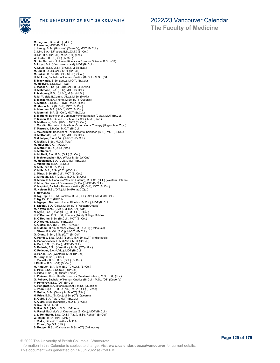

THE UNIVERSITY OF BRITISH COLUMBIA

## 2022/23 Vancouver Calendar

**The Faculty of Medicine**

**M. Legrand**, B.Sc. (OT) (McG.) **T. Lermitte**, MOT (Br.Col.) **J. Leung**, B.Sc. (Honours) (Queen's), MOT (Br.Col.) **C. Lim**, B.A. (S.Fraser), B.Sc.(O.T.) (Br.Col.) **H. Lin**, B.A. (Br.Col.), M.Sc. (OT) (Tor.) **W. Lintott**, B.Sc.(O.T.) (W.Ont.) **G. Liu,** Bachelor of Human Kinetics in Exercise Science, B.Sc. (OT)<br>**S. Lloyd,** B.A. (Vancouver Island), MOT (Br.Col.)<br>**A. Louie**, B.Sc.(O.T.) (Br.Col.), M.Sc. (Dal.)<br>**M. Lui,** B.Sc, (Br.Col.), MOT (Br.Col.)<br>**M. Lukas**, B E. MacKay, B.Sc. (Que.), M.O.T. (Br.Col.)<br>M. MacKay, B.Sc. (O.T.) (Qu.)<br>L. Madsen, B.Sc. (O.T.) (Qu.)<br>L. Madsen, B.Sc. (OT) (Br.Col.), B.Sc. (UVic.)<br>H. Mahmood, B.A. (SFU), MOT (Br.Col.)<br>P. Mahoney, B.Sc. (UVic.), M.Sc. (M **M. Maron**, MHK (Br.Col.), MOT (Br.Col.) **A. Marsden**, B.A. (UVic.), MOT (Br.Col.) **A. Marshall**, B.A. (Br.Col.), MOT (Br.Col.) **E. Martens**, Bachelor of Community Rehabilitation (Calg.), MOT (Br.Col.) **P. Mason**, B.A., B.Sc.(O.T.), M.A. (Br.Col.), M.A. (Cinc.) **B. Matheson**, B.Sc. (UVic.), MOT (Br.Coi.) **J. Mauritz**, Bachelor of Health for Occupational Therapy (Hogeschool Zuyd) **T. Mazurek**, B.H.Kin., M.O.T. (Br.Col.) **J. McCormick**, Bachelor of Environmental Sciences (SFU), MOT (Br.Col.) **H. McDonald**, B.A. (SFU), MOT (Br.Col.)<br>**C McIntyre**, B.A. (UVic.), M.O.T. (Br.Col.)<br>**K. McKall**, B.Sc., M.O.T. (Alta.)<br>**M. McLean**, C.O.T. (QMU)<br>**B. McNair**, B.Sc.(O.T.) (Alta.) **K. McNamara A. McNeill**, B.A., B.Sc.(O.T.) (Br.Col.) **S. Mehlenbacher**, B.A. (Wat.), M.Sc. (W.Ont.) **M. Meuleman**, B.A. (UVic.), MOT (Br.Col.) **J. Middleton**, B.Sc. (Br.Col.) **D. Mills**, B.S.R. (Br.Col.) **K. Mills**, B.A., B.Sc.(O.T.) (W.Ont.) **L. Minor**, B.Sc. (Br.Col.), MOT (Br.Col.) **C. Mireault**, B.Kin (Calg.), M.O.T. (Br.Col.) **C. Morin**, B.A. Honours (Western Ontario), M.Cl.Sc. (O.T.) (Western Ontario) **K. Mow**, Bachelor of Commerce (Br.Col.), MOT (Br.Col.) **K. Naphtali**, Bachelor Human Kinetics (Br.Col.), MOT (Br.Col.) **M. Nelson**, B.Sc.(O.T.), M.Sc.(Rehab.) (Qu.) **T. Newlands C. Ng**, Dip.O.T. (Oxf.Brookes), B.Sc.(O.T.) (Alta.), M.Ed. (Br.Col.) **E. Ng**, Dip.O.T. (HKPU) **A. Nguyen**, Bachelor Human Kinetics (Br.Col.), MOT (Br.Col.) **S. Nicolai**, B.A. (Calg.), M.Sc. (OT) (Western Ontario) **M. Noyes**, B.sC. (UVic.), MHSc. (OT) (Ott.)<br>**N. Nybo**, B.A. (U.Vic.(B.C.)), M.O.T. (Br.Col.)<br>**K. O'Connor**, B.Sc. (OT) honours (Trinity College Dublin) **B. O'Rourke**, B.Sc. (Br.Col.), MOT (Br.Col.) **D O'Young**, B.Sc.(OT) (Br.Col.) **K. Oldale**, B.A. (SFU), MOT (Br.Col.) **C. Oldham**, B.Kin. (Fraser Valley), M.Sc. (OT) (Dalhousie) **J. Olson**, B.A. (Vic.(B.C.)), M.O.T. (Br.Col.) **G. Olund**, B.Sc. , B.Sc.(O.T.) (Br.Col.) **K. Pandey**, B.Sc. (O.T.) (Bom.), M.H.Sc. (O.T.) (Indianapolis) **A. Parker-Jervis**, B.A. (UVic.), MOT (Br.Col.) **A. Paul**, B.Sc. (Br.Col.), MOT (Br.Col.) **S. Pedrola**, B.Sc. (Kin) (Alta.), M.Sc. (OT) (Alta.) **K. Pelletier**, B.A. (UVic.), MOT (Br.Col.) **B. Perler**, B.A. (Western), MOT (Br.Col.) **M. Perry**, B.Sc. (Br.Col.) **J. Persello**, B.Sc., B.Sc.(O.T.) (Br.Col.) **I. Phillips**, B.Sc. (OT) (Br.Col.) **M. Pidduck**, B.A. (Vic. (B.C.)), M.O.T. (Br.Col.) **S. Pike**, B.Sc., B.Sc.(O.T.) (Br.Col.) **K. Pitao**, B.Sc. (OT) (Santo Tomas) **L. Plaisant**, Hons. Health Sciences (Western Ontario), M.Sc. (OT) (Tor.) **G. Pollock**, Bachelor of Human Kinetics (Br.Col.), M.Sc. (OT) (Queen's) P. Pomeroy, B.Sc. (OT) (Br.Col.)<br>K. Pongratz, B.A. (Honours) (Ott.), M.Sc. (Queen's)<br>J. Poon, Dip.O.T., B.Sc.(Kin.), M.Sc.(O.T.) (S.Jose)<br>C. Potter, B.Sc. (Sask.), M.Sc.(OT) (Alta.)<br>H. Price, B.Sc. (Br.Col.), M.Sc. (OT) (Q **K. Quirk**, B.Sc. (Gonzaga), M.O.T. (Br.Col.) **D. Rae**, B.Ed., MOT B. Rak, B.A. (UVic.), M.Sc. (OT) Alta.)<br>A. Rangi, Bachelor's of Kinesiology (Br.Col.), MOT (Br.Col.)<br>L**. L. Reinhardt**, B.Sc. (O.T.) (Alta.), M.Sc.(Rehab.) (Br.Col.)<br>W. Repta, B.Sc., BPE (McM.)<br>**J. Riske**, B.Sc.(O.T.) (Alt **J. Ritson**, Dip.O.T. (U.K.)

**S. Rodger**, B.Sc. (Dalhousie), B.Sc. (OT) (Dalhousie)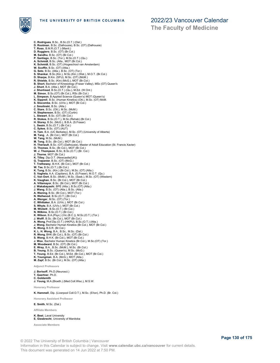

**C. Rodrigues**, B.Sc., B.Sc.(O.T.) (Dal.) **D. Rootman**, B.Sc. (Dalhousie), B.Sc. (OT) (Dalhousie) **T. Ross**, B.M.R.(O.T.) (Manit.) **D. Ruggiero**, B.Sc. (OT) (Br.Col.) M. Sandhu, B.Sc. (OT) (Br.Col.)<br>P. Santiago, B.Sc. (Tor.), M.Sc.(O.T.) (Qu.)<br>A. Schmidt, B.Sc. (Alta., MOT (Br.Col.)<br>K. Schmidt, B.Sc. (OT) (Hogeschool van Amsterdam)<br>W. Scoffin, B.Sc. (OT) (Alta.) G. Seto, B.Sc. (Alta.), B.Sc. (OT) (Tor.)<br>S. Shankar, B.Sc.(Kin.), M.Sc.(Kin.) (Wat.), M.O.T. (Br.Col.)<br>D. Sharpe, B.Kin. (SFU), M.Sc. (OT) (McM.)<br>R. Shields, B.Sc. (Kin) (McG.), MOT (Br.Col.)<br>B. Short, Bachelor of Kinesio **L. Simpson**, B.Applied Science (Queen's) MOT (Queen's)<br>**K. Sipprell,** B.Sc. (Human Kinetics) (Ott.), M.Sc. (OT) McM.<br>**S. Slocombe**, B.Sc. (UVic.), MOT (Br.Col.) **J. Smolinski**, B.Sc. (Alta.) **C. Stare**, B.Sc. (Ott.), M.Sc. (McM.) **H. Stephenson**, B.Sc. (OT) (Curtin) **L. Stewart**, B.Sc. (OT) (Br.Col.) **R. Stokes**, B.Sc.(O.T.), M.Sc.(Rehab) (Br.Col.) **H. Storey**, B.Sc. (McG.), B.B.A. (S.Fraser) **L. Swain**, B.Sc.(O.T.) (Br.Col.) **C. Sykes**, B.Sc. (OT) (AUT) **H. Tam**, B.A. (UC Berkeley), M.Sc. (OT) (University of Alberta)<br>**M. Tang**, .A. (Br.Col.), MOT (Br.Col.)<br>**W. Tang**, M.Sc. (McM.) **M. Teng**, B.Sc. (Br.Col.), MOT (Br.Col.)<br>**H. Theriault**, B.Sc. (OT) (Dalhousie), Master of Adult Education (St. Francis Xavier)<br>**O. Thomas,** B.Sc, (Br.Col.), MOT (Br.Col.) **W. J. Thompson**, B.Sc, B.Sc.(O.T.) (Br. Col.) **J. Thorne**, MOT (Br.Col.) **K. Tilley**, Dip.O.T. (Newcastle(UK)) **G. Trapanier**, B.Sc. (OT) (McG.)<br>**T. Trethewey**, B.H.K. (Br.Col.), MOT (Br.Col.)<br>**W. Tse**, B.Sc.(O.T.) (Br.Col.) **K. Tung**, B.Sc. (Kin.) (Br.Col.), M.Sc. (OT) (Alta.)<br>**S. Vaghela**, A.A. (Capilano), B.A. (S.Fraser), M.O.T. (Qu.)<br>**C. Van Oort**, B.Sc. (McM.), M.Sc. (Sask.), M.Sc. (OT) (Western) **K. Vaughan**, B.Sc. (Br.Col.), MOT (Br.Col.) **A. Villamayor**, B.Sc. (Br.Col.), MOT (Br.Col.) **J. Wakabayashi**, BPE (Alta.), B.Sc.(OT) (Alta.) **J. Wang**, B.Sc. (OT) (Alta.), B.Sc. (Alta.)<br>**A. Waning**, B.Sc. (Br.Col.), MOT (Tor.)<br>**N. Wellwood**, B.Sc.(O.T.) (Br.Col.) **A. Wenger**, M.Sc. (OT) (Tor.) **C. Whittaker**, B.A. (UVic.), MOT (Br.Col.) **S. Whyte**, B.A. (UVic.), MOT (Br.Col.) **M. Wickett** , B.Sc.(O.T.) (Br.Col.) **N. Wilkins**, B.Sc.(O.T.) (Br.Col.) **K. Wilson**, B.A.(Psyc.) (Vic.(B.C.)), M.Sc.(O.T.) (Tor.) **J. Wolff**, B.Sc. (Br.Col.), MOT (Br.Col.) **A. Wong**, Prof.Dip.(O.T.) (HKPU), B.Sc.(O.T.) (Alta.) **J. Wong**, Bachelor Human Kinetics (Br.Col.), MOT (Br.Col.) **K. Wong**, B.S.R. (Br.Col.)<br>**K. L. H. Wong**, B.A., B.Sc., M.Sc. (Dal.)<br>**R. Wong**, BHK (Br.Col.), B.Sc. (OT) (Br.Col.) **S. Wong**, B.H.K. (Br.Col.), MOT (Br.Col.) **J. Woo**, Bachelor Human Kinetics (Br.Col.), M.Sc.(OT) (Tor.) **M. Woodward**, B.Sc. (OT) (Br.Col.) **E. Wray**, B.A., B.Sc. (McM.), M.Sc. (Br.Col.) **B. Yeung**, B.Sc. (Queen's), M.Sc. (McG.) **T. Young**, B.Ed. (Br.Col.), M.Ed. (Br.Col.), MOT (Br.Col.) **K. Youngman**, B.A. (McG.), MOT (Alta.) **M. Zapf**, B.Sc. (Br.Col.), M.Sc. (OT) (Alta.) **Adjunct Professors J. Borisoff**, Ph.D.(Neurosci.) **T. Gaertner**, Ph.D. **C. Goldsmith J. Young**, M.A.(Bioeth.) (Med.Coll.Wisc.), M.S.W. **Honorary Professor**

**K. Hammell**, Dip. (Liverpool Coll.O.T.), M.Sc. (S'ton), Ph.D. (Br. Col.)

**Honorary Assistant Professor**

**E. Smith**, M.Sc. (Dal.)

**Affiliate Members**

### **K. Best**, Laval University **E. Giesbrecht**, University of Manitoba

**Associate Members**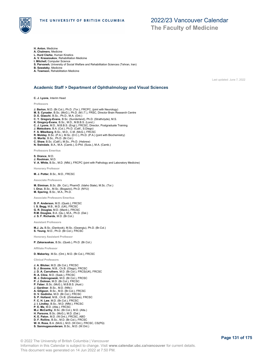

**The Faculty of Medicine**

- **H. Anton**, Medicine
- **A. Chalmers**, Medicine
- **L. Hurd Clarke**, Human Kinetics **A. V. Krassioukov**, Rehabilitation Medicine
- **I. Mitchell**, Computer Science
- **S. Parvaneh**, University of Social Welfare and Rehabilitation Sciences (Tehran, Iran)
- 
- **B. Sawatzky**, Medicine **A. Townson**, Rehabilitation Medicine

Last updated: June 7, 2022

### **Academic Staff > Department of Ophthalmology and Visual Sciences**

**C. J. Lyons**, Interim Head

**Professors**

- **J. Barton**, M.D. (Br.Col.), Ph.D. (Tor.), FRCPC, (joint with Neurology)
- **M. S. Cynader**, B.Sc. (McG.), Ph.D. (M.I.T.), FRSC, Director Brain Research Centre
- 
- 
- **D. E. Giaschi,** B.Sc., Ph.D., M.A. (Ont.)<br>**C. Y. Gregory-Evans**, B.Sc. (Sunderland), Ph.D. (Strathclyde), M.S.<br>**K. Gregory-Evans**, B.Sc., M.D., M.B.B.S. (Lond.)<br>**C. J. Lyons,** M.D., M.B.B.S. (Engl.), FRCSC, Director, Post
- 
- **F. S. Mikelberg**, B.Sc., M.D., C.M. (McG.), FRCSC
- **R. Molday**, B.Sc. (P.A.), M.Sc. (D.C.), Ph.D. (P.A.) (joint with Biochemistry) **O. Moritz**, B.Sc., Ph.D. (Br.Col.)
- 
- 
- **C. Shaw**, B.Sc. (Calif.), M.Sc., Ph.D. (Hebrew) **N. Swindale**, B.A., M.A. (Camb.), D.Phil. (Suss.), M.A. (Camb.)
- **Professors Emeritus**
- **S. Drance**, M.D.
- 
- **J. Rootman**, M.D. **V. A. White**, B.Sc., M.D. (Nfld.), FRCPC (joint with Pathology and Laboratory Medicine)

**Honorary Professor**

**M. J. Potter**, B.Sc., M.D., FRCSC

**Associate Professors**

**M. Etminan**, B.Sc. (Br. Col.), PharmD. (Idaho State), M.Sc. (Tor.) **I. Oruc**, B.Sc., M.Sc. (Bogazici), Ph.D. (NYU) **M. Spering**, B.Sc., M.A., Ph.D.

**Associate Professors Emeritus**

**D. P. Anderson**, M.D. (Queb.), FRCSC **I. S. Begg**, M.B., M.D. (UK), FRCSC **G. R. Douglas**, M.D. (Manit.), FRCSC **R.M. Douglas**, B.A. (Qu.), M.A., Ph.D. (Dal.) **J. S. F. Richards**, M.D. (Br.Col.)

**Assistant Professors**

**M.J. Ju**, B.Sc. (Dankook), M.Sc. (Gwangiu), Ph.D. (Br.Col.) **S. Yeung**, M.D., Ph.D. (Br.Col.), FRCSC

**Honorary Assistant Professor**

**P. Zakarauskas**, B.Sc. (Queb.), Ph.D. (Br.Col.)

**Affiliate Professor**

**D. Maberley**, M.Sc. (Ont.), M.D. (Br.Col.), FRCSC

### **Clinical Professors**

**J. A. Blicker**, M.D. (Br.Col.), FRCSC **S. J. Broome**, M.B., Ch.B. (Otago), FRCSC **J. D. A. Carruthers**, M.D. (Br.Col.), FRCS(UK), FRCSC **R. A. Cline**, M.D. (Sask.), FRCSC **M. J. Dobrogowski**, M.D. (Br.Col.), FRCSC **P. J. Dolman**, M.D. (Br.Col.), FRCSC **P. Faber**, B.Sc. (McG.), M.B.B.S. (Aust.) **J. Gardiner**, B.Sc., M.D. (Nfld.) **A. Giligson**, B.Sc., M.D. (Br.Col.), FRCSC **D. V. Godinho**, M.D. (Br.Col.), FRCSC **S. P. Holland**, M.B., Ch.B. (Zimbabwe), FRCSC **F. C. H. Law**, M.D. (Br.Col.), FRCSC J. I. Lindley, B.Sc., M.D. (Nfid.), FRCSC<br>P. E. Ma, M.D. (Alta.), FRCSC<br>M.J. McCarthy, B.Sc. (Br.Col.), M.D. (Alta.)<br>H. Parsons, B.Sc. (McG.), M.D. (Dal.)<br>K. E. Paton, M.D. (W.Ont.), FRCSC, ABO<br>D. F. Rollins, B.Sc., M.D. ( **W. H. Ross**, B.A. (McG.), M.D. (W.Ont.), FRCSC, CS(PQ) **S. Sanmugasunderam**, B.Sc., M.D. (W.Ont.)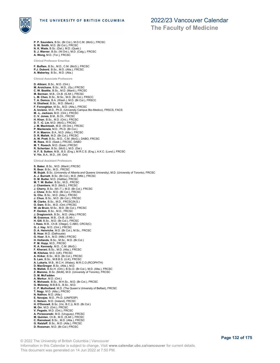

**P. P. Saunders**, B.Sc. (Br.Col.), M.D.C.M. (McG.), FRCSC

- **S. W. Smith**, M.D. (Br.Col.), FRCSC **N. K. Wade**, B.Sc. (Dal.), M.D. (Queb.) **S. J. Warner**, B.Sc. (W.Ont.), M.D. (Calg.), FRCSC
- 
- **A. Wong**, M.D. (Tor.), FRCSC

**Clinical Professor Emeritus**

**F. Buffam**, B.Sc., M.D., C.M. (McG.), FRCSC **P.J. Dubord**, B.Sc., M.D. (Alta.), FRCSC **A. Maberley**, B.Sc., M.D. (Alta.)

**Clinical Associate Professors**

**D. Albiani**, B.Sc., M.D. (Ont.) **M. Aroichane**, B.Sc., M.D., (Qu.) FRCSC **C. W. Beattie**, B.Sc., M.D. (Manit.), FRCSC **M. Berman**, M.B., Ch.B. (S.Afr.), FRCSC **L. M. Chen**, B.Sc., M.Sc., M.D. (Br.Col.), FRSCC **T. A. Demco**, B.A. (Wash.), M.D. (Br.Col.), FRSCC **H. Dhaliwal**, B.Sc., M.D. (Manit.) **F. Forooghian**, M.Sc., M.D. (Alta.), FRCSC **A. Iovieno**, M.D., Ph.D. (University Campus Bio-Medico), FRSCS, FACS **M. -L. Jackson**, M.D. (Ont.), FRCSC **C. V. Jones**, B.M., B.Ch., FRCSC **H. Khan**, B.Sc., M.D. (Ont.), FRCSC **D. T. -C. Lin**, M.D. (McG.), FRCSC **J. M. MacIntosh**, M.D. (W.Ont.), FRCSC **P. Mackenzie**, M.D., Ph.D. (Br.Col.) **P. H. Maerov**, B.A., M.D. (Alta.), FRCSC **D. R. Mallek**, M.D. (Br.Col.), FRCSC **A. W. Pratt**, B.Sc., M.D., C.M. (McG.), DABO, FRCSC **M. Rees**, M.D. (Sask.), FRCSC, DABO **M. T. Roesch**, M.D. (Sask.) FRCSC **R. Schertzer**, B.Sc. (McG.), M.D. (Dal.) **H. F. S. Sutton**, M.B., B.S. (Eng.), M.R.C.S. (Eng.), A.K.C. (Lond.), FRCSC **V. Yin**, B.A., M.D., (W. Ont)

**Clinical Assistant Professors**

**S. Baker**, B.Sc., M.D. (Manit.) FRCSC **R. Bear**, B.Sc., M.D., FRCSC **M. Bujak**, B.Sc. (University of Alberta and Queens University), M.D. (University of Toronto), FRCSC<br>**A. J. Burnett**, B.Sc. (Br.Col.), M.D. (Nfld.), FRCSC<br>**D. M. Butler**, M.D. (Halifax), FRCSC **M. T. W. Butler**, B.Sc., M.D., FRCSC **J. Chambers**, M.D. (McG.), FRCSC **J. Cherry**, B.Sc. (M.I.T.), M.D. (Br.Col.), FRCSC **J. Chew**, B.Sc. M.D. (Br.Col.), FRCSC **G. Chu**, B.Sc., M.D. (Alta.), FRCSC **J. Chuo**, B.Sc., M.D. (Br.Col.), FRCSC **M. Clarke**, B.Sc., M.D., FRCSC(N.S.) **O. Dam**, B.Sc., M.D. (Ont.) FRCSC **W. de Bruin**, M.Sc., M.D. (Br.Col.), FRCSC **P. Denton**, B.Sc., M.D., FRCSC **J. Dragicevich**, B.Sc., M.D. (Alta.) FRCSC **M. Erasmus**, M.B., Ch.B. (S.Afr.)<br>**H. Gill**, B.Sc., M.D. (Br.Col.), FRCSC<br>**I. Hass**, M.B., Ch.B. (Otago), C.ABO, CRCS(C) **G. J. Hay**, M.D. (Ont.), FRCSC **D. A. Heinrichs**, M.D. (Br.Col.), M.Sc., FRCSC **B. Hoar**, M.D. (Dalhousie) **G. Hoar**, B.A., M.D. (Nfld.) FRCSC **H. Hollands**, B.Sc., M.Sc., M.D. (Br.Col.) **P. M. Hopp**, M.D., FRCSC **R. A. Kennedy**, M.D., C.M. (McG.) **F. Kherani**, B.Sc., M.D. (Alta.), FRCSC **M. Kilshaw**, M.D. (UK), FRCSC **A. Kirker**, B.Sc., M.D. (Br.Col.), FRCSC **S. Lam**, B.Sc., M.B.B.S. (U.K), FRCSC **A. Lukaris**, M.B., M.C.H. (Wales), M.R.C.O.(RCOPHTH) **D. MacGregor**, B.Sc. (Alta.), M.D. **N. Mallek**, B.Sc.H. (Ont.), B.Sc.D. (Br.Col.), M.D. (Alta.), FRCSC **Z. Mammo**, B.Sc. (McM), M.D. (University of Toronto), FRCSC **D. M. McFadden A. Merkur**, M.D. (Ont.) **K. Mohaseb**, B.Sc., M.H.Sc., M.D. (Br.Col.), FRCSC **G. Moloney**, M.B.B.S., B.Sc., M.D. **C. P. Mulholland**, M.D. (The Queen's University of Belfast), FRCSC **T. Nagy**, M.D. (Alta.), FRCSC **N. Nathoo**, M.D. (Alta.) **E. Navajas**, M.D., Ph.D. (UNIFESP) **C. Nelson**, M.D. (Ireland), FRCSC **H. O'Donnell**, B.Sc. (Vic. B.C.)), M.D. (Br.Col.) **M. Orr**, M.D. (Ont.), FRCSC **V. Pegado**, M.D. (Ont.), FRCSC **A. Porzecanski**, M.D. (Uruguay), FRCSC **M. Quinlan**, Ch.B., M.D. (S.Afr.), FRCSC **C. Ramstead**, B.Sc., M.D. (Alta.), FRCSC **G. Ratzlaff**, B.Sc., M.D. (Alta.), FRCSC **D. Rossman**, M.D. (Br.Col.) FRCSC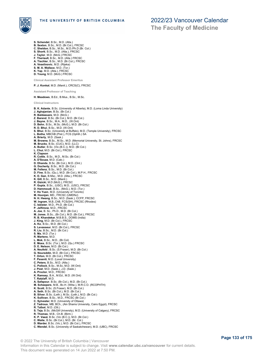

- **S. Schendel**, B.Sc., M.D. (Alta.)
- **B. Sexton**, B.Sc., M.D. (Br.Col.), FRCSC **C. Sheldon**, B.Sc., M.Sc., M.D./Ph.D (Br. Col.)
- 
- **S. Shortt**, B.Sc., M.D. (Alta.), FRCSC **J. Taylor**, M.D. (McG.) FRCSC
- **F. Theriault**, B.Sc., M.D. (Alta.) FRCSC
- **A. Tischler**, B.Sc., M.D. (Br.Col.), FRCSC
- **A. Veselinovic**, M.D. (Rijeka)
- **S. M. A. Wallace**, M.D. (Tor.)
- **K. Yap**, M.D. (Alta.), FRCSC
- **D. Young**, M.D. (McG.) FRCSC

**Clinical Assistant Professor Emeritus**

**P. J. Konkal**, M.D. (Manit.), CRCS(C), FRCSC

**Assistant Professor of Teaching**

**H. Meadows**, B.Ed., B.Mus., B.Sc., M.Sc.

**Clinical Instructors B. K. Adante**, B.Sc. (University of Alberta), M.D. (Loma Linda University) **J. Aghajanian**, B.Sc. (Br.Col.) **R. Baldassare**, M.D. (McG.) **Z. Barend**, B.Sc. (Br.Col.), M.D. (Br.Col.)<br>**J. Bayne**, B.Sc., M.A., M.D., (W.Ont)<br>**D. Behn**, B.Sc., M.Sc. (McG.), M.D. (Br.Col.) **R. D. Bhui**, B.Sc., M.D. (W.Ont)<br>**S. Bhui**, B.Sc. (University at Buffalo), M.D. (Temple University), FRCSC<br>**L. Botha**, MBChB (Pret.), FCS (Ophth.) SA **A. Brierly**, M.D. (Sask.) **M. Browne**, B.Sc., M.Sc., M.D. (Memorial University, St. Johns), FRCSC **M. Brucks**, B.Sc. (CUC), M.D. (LLC) **A. Butler**, B.Sc. (Vic.(B.C.)), M.D. (Br.Col.) **L. Chui**, M.D. (Br.Col.), FRCSC **K. Clapson R. Cottle**, B.Sc., M.D., M.Sc. (Br.Col.) **A. D'Souza**, M.D. (Calc.) **D. Dhanda**, B.Sc. (Br.Col.), M.D. (Ont.) **G. Docherty**, B.Sc., M.D. (Br.Col.) **M. Fellenz**, B.Sc., M.D. (Br.Col.) **D. Fine**, B.Sc. (Qu.), M.D. (Br.Col.), M.P.H., FRCSC<br>**K. D. Gan**, B.Msc., M.D. (Alta.), FRCSC<br>**K. Gill**, B.Sc., M.D. (Manit.) **R. Gizicki**, M.D (McG.), FRCSC **P. Gupta**, B.Sc., (USC), M.D., (USC), FRCSC **D. Hammoudi**, B.Sc., (McG.), M.D. (Tor.) **V. Ho Yuen**, M.D. (University of Toronto) **M. Hoonjan**, MD., FRCSC (UMDNJ) **N. H. Hwang**, B.Sc., M.D. (Sask.), CCFP, FRCSC **W. Ingram**, M,B.,ChB, FCS(SH), FRCSC (Rhodes) **C. Isbister**, M.D., Ph.D. (Br.Col.) **P. Jelfimow**, M.D., FRCSC **A. Joe**, B. Sc., Ph.D., M.D. (Br.Col.) **M. Jones**, B.Sc., (Br.Col.), M.D. (Br.Col.), FRCSC **R. B. Khandekar**, M.B.B.S., DOMS (India) **J. King**, M.D. (Br.Col.), FRCSC **A. Ko**, B.Sc., M.D. (Br.Col.) **S. Levasseur**, M.D. (Br.Col.), FRCSC **R. Liu**, B.Sc., M.D. (Br.Col.) **S. Ma**, M.D. (Tor.) **R. Martens**, M.D. **L. Mok**, B.Sc., M.D., (Br.Col) **E. Moss**, B.Sc. (Tor.), M.D. (Qu.) FRCSC **D. E. Nelson**, M.D. (Br.Col.) **A. Neufeld** , B.Sc. (S.Fraser), M.D. (Br.Col.) **G. Noureddin**, M.D. (Br.Col.), FRCSC **T. Orton**, M.D. (Br.Col.), FRCSC **F. Pesenti**, M.D. (Laval University) **C. Peters**, B.Sc., M.D. (Alta.) **C. Pollock**, B.Sc., M.Sc, M.D. (W.Ont) **J. Post**, M.D. (Sask.), J.D. (Sask.) **A. Proctor**, M.D., FRCSC **K. Ramsey**, B.A., M.Ed., M.D. (W.Ont) **T. Ratzlaff**, M.D. **A. Safapour**, B.Sc. (Br.Col.), M.D. (Br.Col.)<br>**M. Scheepers**, M.B., Bc.H. (Witw.), M.R.C.O. (RCOPHTH)<br>**K. Scott**, B.Sc. (S.Fraser), M.D. (Br.Col.) **A. Seth**, B.Sc. (Br.Col.), M.D. (Br.Col.) **B. Silver**, B.Sc. (Leth.), M.Sc. (Leth.), M.D. (Br.Col.) **K. Sullivan**, B.Sc., M.D., FRCSC (Br.Col.) **C. Sylvester**, M.D. (University of Ottawa) **Z. Tadrous**, MB, BCh., (Ain Shams University, Cairo Egypt), FRCSC **R. Talbot**, M.D. (Ott.) **S. Teja,** B.Sc. (McGill University), M.D. (University of Calgary), FRCSC<br>**R. Thomas,** M.B., Ch.B. (Birm.)<br>**K. P. Vaezi**, B.Sc. (Vic (B.C.)), M.D. (Br.Col.) **C. Waite**, B.Sc. (Br.Col.), M.D. (Br. Col.)<br>**D. Warder**, B.Sc. (Vic.), M.D. (Br.Col.), FRCSC<br>**C. Wendel**, B.Sc. (University of Saskatchewan), M.D. (UBC), FRCSC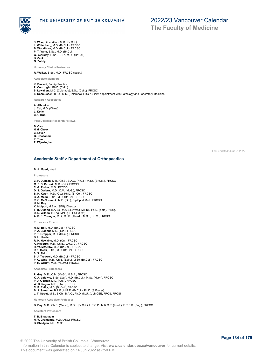

**S. Wise**, B.Sc. (Qu.), M.D. (Br.Col.) **L. Wittenberg**, M.D. (Br.Col.), FRCSC **B. Woodburn**, M.D. (Br.Col.), FRCSC **P. T. Yang**, B.Sc., M.D. (Br.Col.) **G. Yearsley**, B.Sc., B. Ed, M.D., (Br.Col.)

**B. Zack**

**G. Zohdy**

**Honorary Clinical Instructor**

**R. Walker**, B.Sc., M.D., FRCSC (Sask.)

**Associate Members**

**K. Bassett**, Family Practice

**P. Courtright**, Ph.D. (Calif.)

**S. Lewallen**, M.D. (Colorado), B.Sc. (Calif.), FRCSC

**S. Rasmussen**, B.Sc., M.D. (Colorado), FRCPC, joint appointment with Pathology and Laboratory Medicine

**Research Associates**

**A. Albonico J. Cui**, M.D. (China) **L. Kojic**

**C-K. Kuo**

**Post Doctoral Research Fellows**

**B. Carr**

**H.M. Chow C. Laver**

- **G. Obasanmi Y. Tian**
- **P. Wijesinghe**

Last updated: June 7, 2022

### **Academic Staff > Department of Orthopaedics**

### **B. A. Masri**, Head

**Professors**

**C. P. Duncan**, M.B., Ch.B., B.A.O. (N.U.I.), M.Sc. (Br.Col.), FRCSC **M. F. S. Dvorak**, M.D. (Ott.), FRCSC **C. G. Fisher**, M.D., FRCSC **D. S. Garbuz**, M.D., C.M. (McG.), FRCSC **B. K. Kwon**, M.D. (Qu.), Ph.D. (Br.Col), FRCSC **B. A. Masri**, B.Sc., M.D. (Br.Col.), FRCSC **R. G. McCormack**, M.D. (Qu.), Dip.Sport.Med., FRCSC **H. McKay K. Mulpuri**, M.B.A. (SFU), Director **T. R. Oxland**, B.A.Sc., M.A.Sc. (Wat.), M.Phil., Ph.D. (Yale), P.Eng. **D. R. Wilson**, B.Eng (McG.), D.Phil. (Oxf.) **A. S. E. Younger**, M.B., Ch.B. (Aberd.), M.Sc., Ch.M., FRCSC **Professors Emeriti H. M. Bell**, M.D. (Br.Col.), FRCSC **P. A. Blachut**, M.D. (Tor.), FRCSC **P. T. Gropper**, M.D. (Sask.), FRCSC **D. H. Harder R. H. Hawkins**, M.D. (Qu.), FRCSC **A. Hepburn**, M.B., Ch.B., L.M.C.C., FRCSC **R. W. McGraw**, M.D. (Br.Col.), FRCSC **R.N. Meek**, B.Sc., M.D. (Br.Col.), FRCSC **S. S. Shim S. J. Tredwell**, M.D. (Br.Col.), FRCSC **P. C. Wing**, M.B., Ch.B. (Edin.), M.Sc. (Br.Col.), FRCSC **P. H. Wright**, M.D. (W.Ont.), FRCSC. **Associate Professors P. Guy**, M.D., C.M. (McG.), M.B.A., FRCSC **K. A. Lefaivre**, B.Sc. (Qu.), M.D. (Br.Col.), M.Sc. (Harv.), FRCSC **P. J. O'Brien**, M.D. (Alta.), FRCSC **W. D. Regan**, M.D., (Tor.), FRCSC **C. S. Reilly**, M.D. (Br.Col.), FRCSC **B. J. Sawatzky**, B.P.E., M.P.E. (Br.Col.), Ph.D. (S.Fraser) **J. T. Street**, M.B., B.Ch., B.A.O., Ph.D. (N.U.I.), LMCEE, FRCS, FRCSI **Honorary Associate Professor B. Day**, M.D., Ch.B. (Manc.), M.Sc. (Br.Col.), L.R.C.P., M.R.C.P. (Lond.), F.R.C.S. (Eng.), FRCSC **Assistant Professors T. B. Bhatnagar N. V. Greidanus**, M.D. (Alta.), FRCSC **B. Shadgan**, M.D. M.Sc **Clinical Professors** © 2022 The University of British Columbia | Vancouver

Information in this Calendar is subject to change. Visit **www.calendar.ubc.ca/vancouver** for current details. This document was generated on 14 Jun 2022 at 7:50 PM.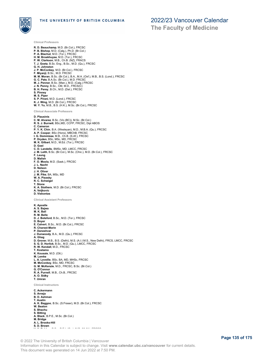

**Clinical Professors**

THE UNIVERSITY OF BRITISH COLUMBIA

**The Faculty of Medicine**

**R. D. Beauchamp**, M.D. (Br.Col.), FRCSC **P. B. Bishop**, M.D. (Calg.), Ph.D. (Br.Col.) **P. A. Blachut**, M.D. (Tor.), FRCSC **H. M. Broekhuyse**, M.D. (Tor.), FRCSC **P. W. Clarkson**, M.B., Ch.B. (NZ), FRACS **T. J. Goetz**, B.Sc. Eng., B.Sc., M.D. (Qu.), FRCSC **G. H. Johnston J. P. McConkey**, M.D. (Br.Col.), FRCSC **F. Miyanji**, B.Sc., M.D. FRCSC **M. M. Moran**, B.Sc. (Br.Col.), B.A., M.A. (Oxf.), M.B., B.S. (Lond.), FRCSC **G. C. Pate**, B.A.Sc. (Br.Col.), M.D. FRCSC **M. J. Penner**, B.Sc. (Man.), M.D. (Calg.) FRCSC **J. N. Penny**, B.Sc., CM, M.D., FRCS(C) **B. H. Perey**, B.Ch., M.D. (Dal.), FRCSC **S. Pinney M. S. Piper S. P. Pirani**, M.D. (Lond.), FRCSC **K. J. Wing**, M.D. (Br.Col.), FRCSC **W. Y. Yu**, M.B., B.S. (H.K.), M.Sc. (Br.Col.), FRCSC **Clinical Associate Professors D. Plausinis C. M. Alvarez**, B.Sc. (Vic.(BC)), M.Sc. (Br.Col.) **R. S. J. Burnett**, BSc,MD, CCFP, FRCSC, Dipl ABOS **C. Cameron P. Y. K. Chin**, B.A. (Wesleyan), M.D., M.B.A. (Qu.), FRCSC **A. P. Cooper**, BSc (Hons), MBChB, FRCSC **I. G. Dommisse**, M.B., Ch.B. (S.Af.), FRCSC **P. Dryden**, BSc, MSc, MD, FRCSC **M. K. Gilbart**, M.D., M.Ed. (Tor.), FRCSC **D. Goel C. D. Landells**, BMSc, MD, LMCC, FRCSC **J. M. Leith**, B.Sc. (Br.Col.), M.Sc. (Chic.), M.D. (Br.Col.), FRCSC **F. Leung D. Malish F. O. Moola**, M.D. (Sask.), FRCSC **J. L. Nacht D. Nelson J. H. Oliver J. M. Pike**, BA, MSc, MD **W. A. Pisesky R. C. Schwigel T. Stone K. A. Stothers**, M.D. (Br.Col.), FRCSC **A. Veljkovic D. Viskontas Clinical Assistant Professors K. Apostle A. S. Bajwa M. K. Ball R. M. Belle D. J. Botsford**, B.Sc., M.D. (Tor.), FRCSC **D. Boyer E. Calvert**, B.Sc., M.D. (Br.Col.), FRCSC **R. Charest-Morin P. Daneshvar J. Dunwoody**, B.A., M.D. (Qu.), FRCSC **A. Ghag D. Grover**, M.B., B.S. (Delhi), M.S. (A.I.I.M.S., New Delhi), FRCS, LMCC, FRCSC **S. G. D. Horlick**, B.Sc., M.D. (Qu.), LMCC, FRCSC **R. W. Kendall**, M.D., FRCSC **T. Kostamo K. Kousaie**, M.D. (Ott.) **M. Lemke L. A. Leveille**, BSc, BA, MD, MHSc, FRCSC **M. McConkey**, BSc, MD, FRCSC **G. M. McKenzie**, M.D., FRCSC, B.Sc. (Br.Col.) **G. O'Connor R. A. Purnell**, M.B., Ch.B., FRCSC **A. O. Sidky T. Umran Clinical Instructors C. Ackermann S. Arneja B. D. Ashman T. Austin A. K. Baggoo**, B.Sc. (S.Fraser), M.D. (Br.Col.), FRCSC **W. Beaton S. Bhachu S. Bitting A. Black**, B.P.E., M.Sc. (Br.Col.) **M. Bridge A. L. Brooks-Hill S. D. Brown V. K. Bubbar**, B.Sc., B.Ed. (Qu.), M.D. (McM.), FRCSC

© 2022 The University of British Columbia | Vancouver Information in this Calendar is subject to change. Visit **www.calendar.ubc.ca/vancouver** for current details. This document was generated on 14 Jun 2022 at 7:50 PM.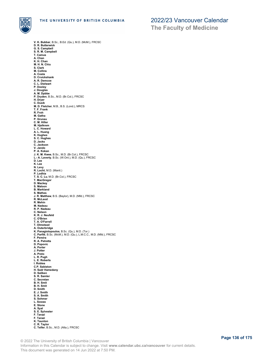

**V. K. Bubbar**, B.Sc., B.Ed. (Qu.), M.D. (McM.), FRCSC **D. R. Butterwick G. S. Campbell S. R. M. Campbell T. Camus A. Chan K. H. Chan M. H. N. Chiu S. Clark M. Collins A. Costa D. Cruickshank A. R. Demcoe C. L. Dielwart P. Dooley J. Douglas A. M. Dpbbe P. Dryden**, B.Sc., M.D. (Br.Col.), FRCSC **H. Dryer C. Dusik M. D. Fletcher**, M.B., B.S. (Lond.), MRCS **T. F. Frank R. Froh M. Gatha P. Grunau C. M. Hiller M. Hjelkrem L. C. Howard A. L. Huang K. Hughes S. C. Hughes D. Jacks C. Jackson V. Jando P. A. Kokan J. K. M. Kwee**, B.Sc., M.D. (Br.Col.), FRCSC **L.- A. Laverty**, B.Sc. (W.Ont.), M.D. (Qu.), FRCSC **D. Lee K. Lee N. Levy R. Locht**, M.D. (Manit.) **P. Lodhia T. S. C. Lu**, M.D. (Br.Col.), FRCSC **T. MacGregor D. Mackey S. Maloon B. Markland S. Mathes J. R. Matthew**, B.S. (Baylor), M.D. (Nfld.), FRCSC **R. McLeod R. Mehin M. Nadeau R. P. Nadeau C. Nelson K. R. J. Neufeld C. O'Brien T. A. O'Farrell T. Olmstead A. Outerbridge K. Panagiotopoulos**, B.Sc. (Qu.), M.D. (Tor.) **C. Parfitt**, B.Sc. (McM.), M.D. (Qu.), L.M.C.C., M.D. (Nfld.), FRCSC **F. Pereira R. A. Petretta D. Popovic A. Porter J. Potter A. Preto L. R. Pugh L. E. Roberts I. Robles C.P. Sabiston H. Sadr Hamedany D. Saliken S. R. Samler C. Secretan B. H. Smit B. H. Smit D. Smith E. J. Smith S. A. Smith S. Sohmer L. Soswa E. Stone A. Syal S. E. Sylvester F. Tarazi F. Tarazi K. Taunton C. R. Taylor C. Telfer**, B.Sc., M.D. (Alta.), FRCSC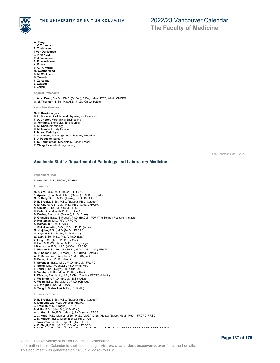

**W. Terry J. V. Thompson E. Tostensen I. Van Der Merwe J. P. Van Zyl R. J. Velazquez P. D. Voorhoeve A. E. Wahl C. C.- K. Wang M. Weatherhead D. M. Wickham B. Yoneda P. Zarkadas Z. Zarzour L. Zeznik**

**The Faculty of Medicine**

**Adjunct Professors**

**J. A. McEwen**, B.A.Sc., Ph.D. (Br.Col.), P.Eng., Mem. IEEE, AAMI, CMBES **G. M. Thornton**, B.Sc., M.S.M.E., Ph.D. (Calg.), P.Eng.

**Associate Members**

- **M. C. Boyd**, Surgery **B. H. Bressler**, Cellular and Physiological Sciences
- **P. A. Cripton**, Mechanical Engineering **G. Fernlund**, Biomedical Engineering
- **K. M. Khan**, Kinesiology
- **H. M. Lemke**, Family Practice
- 
- **P. Munk**, Radiology **T. O. Nielsen**, Pathology and Laboratory Medicine
- 
- **S. J. Paquette**, Surgery **S. N. Robinovitch**, Kinesiology, Simon Fraser
- **R. Wang**, Biomedical Engineering

Last updated: June 7, 2022

### **Academic Staff > Department of Pathology and Laboratory Medicine**

**Department Head**

#### **Z. Gao**, MD, PhD, FRCPC, FCAHS

#### **Professors**

- **M. Allard**, B.Sc., M.D. (Br.Col.), FRCPC **S. Aparicio**, B.A., M.A., Ph.D. (Camb.), B.M.B.Ch. (Oxf.) M. B. Bally, B.Sc., M.Sc. (Texas), Ph.D. (Br.Col.)<br>D. E. Brooks, B.Sc., M.Sc. (Br.Col.), Ph.D. (Oregon)<br>A. M. Churg, A.B. (Col.), M.D., Ph.D. (Chic.), FRCPC<br>N. Cimolai, B.Sc., M.D. (Alta.), FRCPC<br>H. Cote, B.Sc. (Laval), Ph **D. Granville**, B.Sc. (S.Fraser), Ph.D. (Br.Col.), PDF (The Scripps Research Institute)<br>**D. Huntsman**, M.D. (Nfld.), FRCPC<br>**A. Karsan**, B.A., M.D. (Qu.) **J. Kizhakkedathu**, B.Sc., M.Sc. , Ph.D. (India) **M. Krajden**, B.Sc., M.D. (McG.), FRCPC **G. Krystal**, B.Sc., M.Sc., Ph.D. (McG.) **W. Lam**, B.Sc., M.Sc. (Alta.), Ph.D. (Dal.) **V. Ling**, B.Sc. (Tor.), Ph.D. (Br.Col.) **H. Luo**, M.S. (W. China), M.D. (Chong-qing) **I. Mackenzie**, B.Sc., M.D. (W.Ont.), FRCPC **T. Nielsen**, B.Sc. (Br.Col.), Ph.D., M.D., C.M. (McG.), FRCPC **M. D. Sadar**, B.Sc. (S.Fraser), Ph.D. (Brad./Gotbrg.) **W. E. Schreiber**, B.A. (Oberlin), M.D. (Baylor) **C. Seow**, B.Sc., Ph.D. (Manit.) **P. Sorensen**, B.Sc., M.D., Ph.D. (Br.Col.), FRCPC **C. Steidl**, M.D. (Muenster), Ph.D. (Witt./Herd.) **F. Takei**, B.Sc. (Tokyo), Ph.D. (Br.Col.) **B. Verchere**, B.Sc., M.Sc., Ph.D. (Br.Col.) **P. Watson**, B.A., M.A., M.B., B.Chir. (Camb.), FRCPC (Manit.) **C. Wellington**, Ph.D. (Br.Col.), B.Sc. (Alta) **A. Weng**, B.Sc. (Stan.), M.D., Ph.D. (Chicago) **J. L. Wright**, B.Sc., M.D. (Alta.), FRCPC, FCAP **D. Yang**, B.S. (Nankai), M.Sc., Ph.D. (Ill.) **Professors Emeriti D. E. Brooks**, B.Sc., M.Sc. (Br.Col.), Ph.D. (Oregon) **K. Dorovino-Zis**, M.D. (Athens), FRCPC **J. Frohlich**, M.D. (Prague), FRCPC **B. Gilks**, B.Sc. (New Br.), M.D. (Dal.)<br>**W. J. Godolphin**, B.Sc. (Manit.), Ph.D. (Alta.), FACB<br>**J. C. Hogg**, M.D. (Manit.), M.Sc., Ph.D. (McG.), D.Sc. (Hons.) (Br.Col, McM., McG.), FRCPC, FRSC **J. B. Hudson**, B.Sc., M.Sc. (Lond.), Ph.D. (Alta.) **J. Isaac-Renton**, M.D., Dip.P.H. (Tor.), FRCPC
- 
- **A. B. Magil**, B.Sc. (McG.), M.D. (Qu.), FRCPC **B. McManus**, B.A. (Sask.), M.Sc. (Penn.), Ph.D. (Toledo), M.D. (Sask.), FRCPC, FACP, FACC, FRSC, FCAHS
- © 2022 The University of British Columbia | Vancouver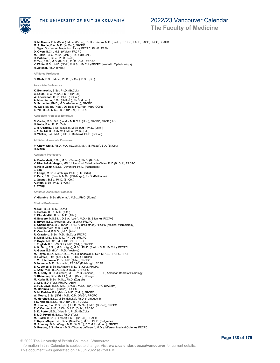

### THE UNIVERSITY OF BRITISH COLUMBIA

## 2022/23 Vancouver Calendar

**The Faculty of Medicine**

**B. McManus**, B.A. (Sask.), M.Sc. (Penn.), Ph.D. (Toledo), M.D. (Sask.), FRCPC, FACP, FACC, FRSC, FCAHS

- **M. A. Noble**, B.A., M.D. (W.Ont.), FRCPC **J. Oger**, Docteur en Mèdecins (Paris). FRCPC, FANA, FAAN
- 
- **D. Owen**, B.Ch., M.B. (Wales), FRCPC **M. Petric**, B.Sc., M.Sc. (McM.), Ph.D. (Br.Col.)
- **H. Pritchard**, B.Sc., Ph.D. (Nott.)
- **R. Tan**, B.Sc., M.D. (Br.Col.), Ph.D. (Oxf.), FRCPC
- **V. White**, B.Sc., M.D. (Nfld.), M.H.Sc. (Br.Col.) FRCPC (joint with Opthalmology) **H. Ziltener**, Ph.D. (Freib.)

**Affiliated Professor** 

**S. Shah**, B.Sc., M.Sc., Ph.D. (Br.Col.), B.Sc. (Qu.)

**Associate Professors**

- **K. Bennewith**, B.Sc., Ph.D. (Br.Col.) **C. Laule**, B.Sc., M.Sc., Ph.D. (Br.Col.) **W. Lockwood**, B.Sc., Ph.D. (Br.Col.)
- 
- **A. Minchinton**, B.Sc. (Hatfield), Ph.D. (Lond.) **D. Schaeffer**, Ph.D., M.D. (Gutenberg), FRCPC **M. Wale**, BM BS (Nott.), Dp Bact, FRCPath, MBA, CCPE
- **S. Yip**, B.Sc., M.D., Ph.D. (Br.Col.), FRCPC

**Associate Professor Emeritus**

**C. Carter**, M.B., B.S. (Lond.), M.R.C.P. (U.K.), FRCPC, FRCP (UK)

- **N. Kelly**, B.A., Ph.D. (Dub.)
- 
- **J. R. O'Kusky**, B.Sc. (Loyola), M.Sc. (Ott.), Ph.D. (Laval) **J. Y. C. Tai**, B.Sc. (McM.), M.Sc., Ph.D. (Dal.)
- **D. Walker**, B.A., M.A. (Calif., S.Barbara), Ph.D. (Br.Col.)

**Affiliated Associate Professor**

**P. Chow-White**, Ph.D., M.A. (S.Calif.), M.A. (S.Fraser), B.A. (Br.Col.)

**R. Morin**

**Assistant Professors**

- **A. Bashashati**, B.Sc., M.Sc. (Tehran), Ph.D. (Br.Col) **V. Hirsch-Reinshagen**, MD (Universidad Catolica de Chile), PhD (Br.Col.), FRCPC
- **R. Klein Geltink**, B.Sc. (Deventer), Ph.D. (Rotterdam)
- **J. Lan**
- **P. Lange**, M.Sc. (Hamburg), Ph.D. (F.U.Berlin) **Y. Park**, B.Sc. (Seoul), M.Sc. (Pittsburgh), Ph.D. (Baltimore) **J. Quandt**, B.Sc., Ph.D. (Br.Col.)
- 
- 
- **A. Roth**, B.Sc., Ph.D (Br.Col.) **Y. Wang**

**Affiliated Assistant Professor**

**V. Giambra**, B.Sc. (Palermo), M.Sc., Ph.D. (Rome)

**Clinical Professors**

- **N. Ball**, B.Sc., M.D. (St.M.) **K. Berean**, B.Sc., M.D. (Alta.) **E. Blondel-Hill**, B.Sc., M.D. (Alta.) **H. Bruyere**, M.S.B.M., D.E.A. (Lyon), M.D. (St.-Etienne), FCCMG<br>**E. Bryce**, B.Sc., (Regina), M.D. (Sask.), FRCPC<br>**S. Champagne,** M.D. (Sher.), FRCPC (Pediatrics), FRCPC (Medical Microbiology) **K. Chipperfield**, M.D. (Sask.), FRCPC **R. Coupland**, B.M.Sc., M.D. (Alta.) **R. Crawford**, B.Sc., M.D. (Br.Col.), FRCPC **B. Dalal**, M.B., B.S., M.D. (IN), DS, FRCPC **P. Doyle**, M.H.Sc., M.D. (Br.Col.), FRCPC **J. English**, B.Sc. (W.Ont.), M.D. (Calg.), FRCPC **A. K. Garg**, B.Sc., M.Sc. (Agra), M.Sc., Ph.D. (Sask.), M.D. (Br.Col.), FRCPC **A. Gown**, B.S. (N.Y.), M.D. (Yeshiva) **M. Hayes**, B.Sc., M.B., Ch.B., M.D. (Rhodesia), LRCP, MRCS, FRCPC, FRCP **D. Holmes**, B.Sc. (Tor.), M.D. (Br.Col.), FRCPC **J. M. Hutchinson**, B. Sc, M.D. (Alta.), FRCPC **D. Ionescu**, M.D. (Romania), FRCPC (Pittsburgh), FCAP **E. C. Jones**, B.Sc. (S.Fraser), M.D. (Br.Col.), FRCPC **J. Kelly**, M.B., B.Ch., B.A.O. (N.U.I.), FRCPC **M. T. Kelly,** B.Sc. (Purdue), M.D., Ph.D. (Indiana), FRCPC, American Board of Pathology<br>**S. Kleinman,** B.Sc. (M.I.T.), M.D. (Calif., S.Diego)<br>**M. Korbelik**, B.Sc., M.Sc., Ph.D. (Zagreb) **C. Lee**, M.D. (Tor.), FRCPC, ABIM **C. F. J. Lowe**, B.Sc., M.D. (Br.Col), M.Sc. (Tor.), FRCPC D(ABMM) **M. Martinka**, M.D. (Lublin), FRCPC **D. McFadden**, B.A. (Minn.), M.D. (Calg.), FRCPC<br>**W. Moore**, B.Sc. (Nfld.), M.D., C.M. (McG.), FRCPC<br>**M. Morshed,** B.Sc., M.Sc. (Dhaka), Ph.D. (Yamaguchi)<br>T.**N. Nelson**, B.Sc., Ph.D. (Br.Col.), FCCMG<br>**M. Nimmo**, B.A., B.Sc **R. O'Connor**, M.B., B.Ch., B.A.O. (Dub.), FRCPC **S. D. Porter**, B.Sc. (New Br.), Ph.D. (Br.Col.) **E. L.G. Pryzdial**, B.Sc., Ph.D. (Tor.) **M. Pudek**, B.Sc. (S.Fraser), Ph.D. (Br.Col.), FCACB **E. Rajcan-Separovic**, B.Sc. (Novi Sad), M.Sc., Ph.D. (Belgrade)
- 
- **M. Romney**, B.Sc. (Calg.), M.D. (W.Ont.), D.T.M.&H (Lond.), FRCPC **D. Roscoe**, B.S. (Penn.), M.S. (Thomas Jefferson), M.D. (Jefferson Medical College), FRCPC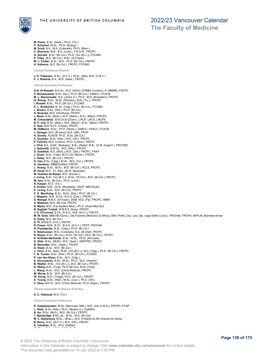

**M. Rosin**, B.Sc. (Sask.), Ph.D. (Tor.) **P. Schubert**, M.Sc., Ph.D. (Erlang.) **M. Scott**, B.A., M.A. (Colorado), Ph.D. (Minn.) **C. Sherlock**, M.B., B.S. (Lond.), F.R.S.M., FRCPC **G. Sinclair**, B.Sc. (Br.Col.), Ph.D. (Vic.(B.C.)), FCCMG **P. Tilley**, M.D. (Br.Col.), B.Sc. (S.Fraser) **M. J. Trotter**, B.Sc., M.D., Ph.D. (Br.Col.), FRCPC **H. Vallance**, M.D. (Br.Col.), FRCPC, FCCMG **Clinical Professors Emeriti J. D. Filipenko**, B.Sc., (S.F.U.), M.Sc. (Alta), M.D. (U.B.C.) **F. J. Roberts**, B.A., M.D. (Sask.), FRCPC **Clinical Associate Professors G.N. Al-Rawahi**, B.H.Sc., M.D. (SQU), DTM&H (London), D (ABMM), FRCPC **V. Barakauskas**, B.Sc. (Qu.), Ph.D. (Br.Col.), DABCC, FCACB **M. L. Bissonnette**, B.A. (Johns H.), Ph.D., M.D. (N'western), FRCPC **G. Bondy**, B.Sc., M.Sc. (Windsor), M.D. (Tor.), FRCPC **I. Bosdet**, B.Sc., Ph.D. (Br.Col.), FCCMG **K. L. Bretherick**, B. Sc. (Calg.), Ph.D. (Br.Col.), FCCMG **L. Brown**, B.Sc. (Wat.), Ph.D. (Br.Col.) **A. Bruecks**, M.D. (Hamburg), FRCPC **J. Bush**, B.Sc. (Bran.), M.D. (Manit.), B.Sc. (Manit.) FRCPC **M. Chhanabhai**, M.B.Ch.B (Z'bwe.), LRCP, LRCS, LRCPS **B. P. Coe**, B.Sc. (Bran.), M.D. (Manit.), B.Sc. (Manit.) FRCPC **Z. Daw**, M.B. B.Ch. (Tripoli), FRCPC **M. DeMarco**, B.Sc., Ph.D. (Wash.), DABCC, FAACC, FCACB **J. Denegri**, M.D. (B.Aires), M.S. (AR), FRCP **K. Dooley**, FCACB, Ph.D., B.Sc. (Br.Col.) **C. Dunham**, B.Sc. (Alta.), M.D. (Ott.), FRCPC<br>**P. Farinha**, M.D. (Lisbon), Ph.D. (Lisbon), FRCPC<br>**J. Flint,** B.A. (Calif., Berkeley), B.Sc. (Natal), M.B., Ch.B. (CapeT.), FRCP(BC **J. Galbraith**, B.M.Sc., M.D. (Alta.), FRCPC **D. Goldfarb**, B.S. (McG.), M.D. (Dal.), FRCPC, FAAP **J. Grant**, B.Sc. (Yale), M.D.C.M. (Montr.), FRCP **L. Haley**, M.D. (Br.Col.), FRCPC **G. Han**, B.Sc. (Calg.), M.Sc., M.D. (Tor.), FRCPC **G. Hendson**, MBBCh(Wits), FRCPC **L. Hoang**, B.Sc., M.Sc., M.D. (Br.Col.), ACLS, FRCPC **B. Horst**, M.D., Dr. Med. (W.W. Muenster) **M. Hudoba de Badyn**, M.D. (Komen.) **J. Irving**, B.Sc. (Vic.(B.C.)), M.Sc. (W.Ont.), M.D. (Br.Col.), FRCPC **M. Issa**, B.Sc. (Br.Col.), Ph.D. (Lond.) **R. Kasper**, M.D. (Tor.) **S. Krikler**, M.B., Ch.B. (Rhodesia), LRCP, MRCS(UK) **V. Leung**, B.Sc., M.D. (Br.Col), FRCPC **C. E. MacAulay**, B.Sc., M.Sc. (Dal.), Ph.D. (Br.Col.) **J. Maguire**, M.B., B.Ch., B.A.O. (Dub.), FRCPC **A. Mangal**, M.B.A. (S.Fraser), DSM, M.D. (Fiji), FRCPC, ABIM **A. Mattman**, M.D. (Br.Col), FRCPC **N. Myles**, M.D. (Far-Eastern Med.), Ph.D. (Acad.Med.Sci) **B. Naghibi Torbati**, M.B.B.S. (Dow), FRCPC **J. X. O'Connell**, B.Ch., B.A.O., M.B. (N.U.I.), FRCPC **M. M. Orde**, MBChB (Dund.), Dip.Forensic Medicine (S.Africa), DMJ (Path), Dip. Law, Dip. Legal Skills (Lond.), FRCPath, FRCPA, MFFLM, Barrister-at-law **A. Ostry**, M.D. (Br.Col.) **D. Pi**, M.B.B.S. (H.K.), FRCPC **R. Power**, M.B., B.Ch., B.A.O. (N.U.I.), FRCP, FRCPath N. Prystajecky, B.Sc. (Calg.), Ph.D. (Br.Col.)<br>S. Rasmussen, M.D. (Colorado), B.A. (St.Olaf), FRCPC<br>R. Reyes, B.Sc. (Br.Col.), M.Sc. (W.Ont.), M.D. (Br.Col.), FRCPC<br>K. Shihade-Bartusiak, B.Sc., M.Sc., Ph.D. (Wroclaw)<br>A. Sh G. Slack, B.Sc., M.D. (Br.Col.)<br>**J. Terry**, B.Sc. (Alta), M.Sc. (Vic.(B.C.)), M.D. (Calg.), Ph.D. (Br.Col.), FRCPC<br>**T. B. Tucker,** B.Sc. (Wat.), Ph.D. (Br.Col.), FCCMG<br>**P. van den Elzen**, B.Sc., M.D. (Calg.)<br>**S. Vercautere B. Walker**, B.Sc., (Vic.(B.C.)), M.D. (Br.Col.), FRCPC **G. Wang**, M.D. (Tonji), Ph.D (Br,Col), M.Sc (Tonji) **L. Wang**, M.Sc., M.D. (China Medical), FRCPC **M. Wong**, B.Sc., M.D. (Br.Col.) **W. Xiong**, M.D. (Tongji), Ph.D. (Br.Col.), FRCPC **S. Young**, B.Sc. (Wat.), M.Sc. (Laur.), Ph.D. (Ott.) **C. Zhou**, M.P.H., M.D. (China Medical), Ph.D. (Sask.), FRCPC **Clinical Associate Professor Emeritus A. C. Halstead**, M.D. (Tor.) **Clinical Assistant Professors R. Alaghebandan**, M.Sc. (Memorial, Nfld.), M.D. (Iran U.M.S.), FRCPC, FCAP

**L. Allan**, B.Sc. (Alta.), Ph.D. (Boston U.), D(ABHI)<br>**N. Au**, B.Sc. (McG.), M.D. (Br.Col.), FRCPC<br>**T. Bainbridge**, B.M.L.Sc., M.Sc., M.D. (Br.Col)

- 
- **M. C. Ballantyne**, M.Sc., (Braz.), M.D. (Federal do Rio Grande do Norte) **B. Berry**, B.Sc. (St.F.X.), M.D. (Ott.), FRCPC

**K. Ceballos**, B.Sc., M.D. (Halifax)

**M. Chen**, B.Sc., M.Sc., M.D. (McG.)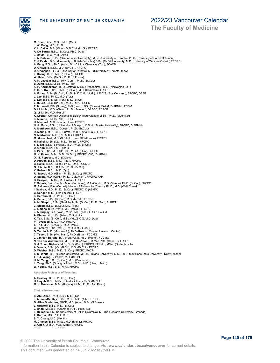

## **The Faculty of Medicine**

**M. Chen**, B.Sc., M.Sc., M.D. (McG.) **J. W. Craig**, M.D., Ph.D. **K. L. Dallas**, B.A. (Minn.), M.D.C.M. (McG.), FRCPC **A. De Souza**, B.Sc. (Br.Col.), Ph.D. (Alta.) **J. Doyle**, B.Sc., M.D. (Alta.) **J. A. Dubland**, B.Sc. (Simon Fraser University), M.Sc. (University of Toronto), Ph.D. (University of British Columbia) **E. J. Eckbo**, B.Sc. (University of British Columbia) B.Sc. (McGill University) M.D. (University of Western Ontario) FRCPC **A. Fung**, B.Sc., Ph.D. (Alta.), Dip. Clinical Chemistry (Tor.), FCACB **D. Griswold**, B.Sc., M.D. (Br.Col.), FRCPC **D. Grynspan**, HBSc (University of Toronto), MD (University of Toronto) (new)<br>**L. Hoang**, B.Sc., M.D. (Br.Col.), FRCPC<br>**W. Hsiao**, B.Sc. (McG.), Ph.D. (S.Fraser) **A. N. Jassem**, B.Sc. (York (Can.)), Ph.D. (Br.Col.)<br>**B. Jung**, B.Sc., M.Sc., Ph.D. (Tor.)<br>**K. P. Karunakaran**, B.Sc. (Jaffna), M.Sc. (Trondheim), Ph. D. (Norwegian S&T)<br>**Y. C. K. Ko**, B.Sc., D.M.D. (Br.Col.), M.D. (Columb **J. Lee**, B.Sc., Ph.D., M.D. (Tor.) **L. Lee**, B.Sc., M.Sc. (Tor.), M.D. (Br.Col) **L. H. Lee**, B.Sc. (Br.Col.), M.D. (Tor.), FRCPC **P. N. Levett**, BSc (Surrey), PhD (Luton), DSc (Surrey), FAAM, D(ABMM), FCCM **D. Li**, M.Sc., M.D. (China), Ph.D. (Sweden), DABCC, FCACB **Q. Li**, M.Sc., M.D. (Harbin) **K. Locher**, German Diploma in Biology (equivalent to M.Sc.), Ph.D. (Muenster) **K. Marcon**, BMLSc, MD, FRCPC **H. Masoudi**, M.D. (Isfahan, Iran), FRCPC N. A. Matic, B.Sc. (University of Guelph), M.D. (McMaster University), FRCPC, D(ABMM)<br>A. Matthews, B.Sc. (Guelph), Ph.D. (Br.Col.)<br>R. Maung, M.B., B.S., (Burma), M.B.A. (Vic.(B.C.)), FRCPC<br>N. Medvedev, M.D. (R.S.M.U.), FRC **H. Nafisi**, M.Sc. (Ott.) M.D. (Tehran), FRCPC **T. L. Ng**, B.Sc. (S.Fraser), M.D., Ph.D.(Br.Col.) **D. Orton**, B.Sc., Ph.D. (Dal.) **S. Park**, B.Sc., M.D. (Br.Col.), M.B.A. (H-W), FRCPC **M. K. Payne**, B.Sc., M.D. (W.Ont.), FRCPC, CIC, (D)ABMM **O. -E. Popescu**, M.D. (Craiova) **D. Purych**, B.Sc., M.D. (Alta.), FRCPC **B. Rakic**, B.Sc. (Belgr.), Ph.D. (Ott.), FCCMG **G. Ritchie**, B.Sc., B.A.Sc., Ph.D. (Br.Col) **K. Roland**, B.Sc., M.D. (Qu.)<br>**R. Saeedi**, M.D. (Gilan), Ph.D. (Br.Col.), FRCPC<br>**D. Salina**, M.D. (Calg.), Ph.D. (Calg*.l*Flor.), FRCPC, FAP **D. Sawyer,** B.M.Sc., M.D. (Alta.), FRCPC<br>**P. Schutz**, B.A. (Camb.), M.A. (Sorbonne), M.A.(Camb.), M.D. (Vienna), Ph.D. (Br.Col.), FRCPC<br>**M. Seidman**, B.A. (Cornell), Master of Philosophy (Camb.), Ph.D., M.D. (Weill Cornel **I. Sekirov**, M.D., Ph.D. (Br.Col.), FRCPC, D (ABMM) **C. Senger**, M.D. (J.Maximilian), FRCPC **K. Serrano**, B.Sc., Ph.D. (Br.Col.) **A. Setiadi**, B.Sc. (Br.Col.), M.D. (MCM.), FRCPC **A. M. Shapiro**, B.Sc. (Guelph), M.Sc. (Br.Col.) Ph.D. (Tor.), F-ABFT **C. Shiau**, B.Sc. (Br.Col.), M.D. (Tor.) **J. Simons**, B.Sc. (Wat.), M.D. (McM.), FRCPC **J. A. Srigley**, B.A. (Wat.), M.Sc., M.D. (Tor.), FRCPC, ABIM **A. Stefanovic**, B.Sc. (Alta.), M.D. (Ott.) **K. Tan**, B.Sc. (Br.Col.), M.Sc. (Vic.(B.C.)), M.D. (Alta.) **P. Tavassoli**, M.D., Ph.D. FRCPC **S. Tha**, M.D., (Br.Col.), Ph.D., (McG.) **C. Tomalty**, B.Sc. (McG.), Ph.D. (Ott.), FCACB **D. Turbin**, M.D. (Moscow S.), Ph.D.(Russian Cancer Research Center) **C. Tyson**, B.Sc. (Vict. Man.), Ph.D. (Birm.), FCCMG **J. van den Berghe**, B.A. (York (UK)), Ph.D. (Manc.), FCCMG **N. van der Westhuizen**, M.B., Ch.B. (Z'bwe.), M.Med.Path. (Cape T.), FRCPC **D. J. T. van Niekerk**, M.B., Ch.B. (Pret.), FRCPC, FFPath., MMed (Stellenbosch) **A. Vawda**, B.Sc. (Vic. (B.C.)), M.D. (Br.Col.), FRCPC **D. Webber**, B.Sc., M.D. (Br.Col.), FRCPC, FACP **S. M. White**, B.S. (Tulane University), M.P.H. (Tulane University), M.D., Ph.D. (Louisiana State University - New Orleans) **T. T-T. Wong**, B. Pharm, M.D. (Br.Col.) **H. M. Yang**, B.Sc. (Br.Col.), M.D. (Vanderbilt) **L. Yang**, Ph.D. (Shanghai Med.), M.Sc., M.D. (Jiangxi Med.) **W. Yeung**, M.B., B.S. (H.K.), FRCPC **Associate Professor of Teaching A. Bradley**, B.Sc., Ph.D. (Br.Col.) **H. Huynh**, B.Sc., M.Sc., Interdisciplinary Ph.D. (Br.Col.) **M. V. Monsalve**, B.Sc. (Bogota), M.Sc., Ph.D. (Sao Paulo) **Clinical Instructors S. Abu-Abed**, Ph.D. (Qu.), M.D. (Tor.) **J. Ahmed-Bentley**, B.Sc., M.Sc., M.D. (Alta), FRCPC **B. Allen Bradshaw**, FRCP, M.D. (Alta.), B.Sc. (S.Fraser) **L. Argatoff**, B.Sc., M.D. (Br.Col.) **J. Bhan**, M.B.B.S. (Kashmir), F.R.C.Path. (Dal.) **F. Bilimoria**, BMLSc (University of British Columbia), MD (St. George's University, Grenada) **T. Burton**, MSc PhD FCACB

**S. Y. Chang**, M.D. (Montr.)

**D. Chercover**, MD (UBC)

- **M. Charles**, B.Sc., M.Sc., M.D. (Montr.), FRCPC
- **C. Chen**, D.M.D., M.D. (Montr.), FRCPC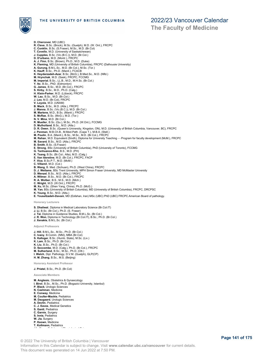

**The Faculty of Medicine**

**D. Chercover**, MD (UBC) **R. Cleve**, B.Sc. (Brock), M.Sc. (Guelph), M.D. (W. Ont.), FRCPC **C. Conklin**, B.Sc. (S.Fraser), M.Sc., M.D. (Br.Col) **T. Covello**, M.D. (University of Saskatchewan) J. Cupples, B.Sc. (Vic.(B.C.), M.D. (Br.Col.)<br>D. D'urbano, M.D. (Montr.), FRCPC<br>A. J. Finn, B.Sc. (Brown), Ph.D., M.D. (Duke)<br>K. Fleming, MD (University of British Columbia), FRCPC (Dalhousie University)<br>A. Gurung, B.M.L.S **G. James**, B.Sc., M.D. (Br.Col.), FRCPC **S. Kirby**, B.Sc., M.D., Ph.D. (Calg.) **H. Klein-Parker**, M.D. (Lübeck), FRCPC **W. Lau**, B.Sc., M.D. (Br.Col.) **J. Leo**, M.D. (Br.Col), FRCPC **V. Loyola**, M.D. (UNAM) **B. Mack**, B.Sc., M.D. (Alta.), FRCPC **J. Manna**, B.Sc. (Vic.(B.C.)), M.D. (Br.Col.) **M. Martens**, M.D., B.Sc. (Manit.), FRCPC **S. McRae**, B.Sc. (McG.), M.D. (Tor.) **N. V. Mina**, M.D. (Br.Col.) **R. Mueller**, B.Sc. (Qu.), M.Sc., Ph.D. (W.Ont.), FCCMG **D. Mulholland**, B.Sc., M.D. (Alta.) **D. R. Owen**, B.Sc. (Queen's University, Kingston, ON), M.D. (University of British Columbia, Vancouver, BC), FRCPC **J. Penman,** M.B.Ch.B., M.Med.Path. (Cape T.), M.B.A. (Stell.)<br>**M. Poulin**, B.A. (Manit.), B.Sc., M.Sc., M.D. (Br.Col.), FRCPC<br>**M. Rehan**, M.D. Equivalent (Sindh), Diploma for University Teaching - - Program for faculty de **M. Savard**, B.Sc., M.D. (Alta.), FRCPC **B. Smith**, B.Sc. (S.Fraser) **E. Strong**, BSc (University of British Columbia), PhD (University of Toronto), FCCMG **G. Tanhuanco-Kho**, B.S., M.D. (PH) **K. Tsang**, B.Sc. (Br.Col.; Alta), M.D. (Calg.) **E. Van Iderstine**, M.D. (Br.Col.), FRCPC, FACP **F. Vice**, B.Sc.P.T., M.D. (McM.) **C. Villamil**, M.D. (Col.) **B. Wang**, B. Med. (Sichuan), Ph.D. (West China), FRCPC **D. J. Wellams**, BSc Trent University, MPH Simon Fraser University, MD McMaster University **D. Wenzel**, B.Sc., M.D. (Alta.), FRCPC **A. Wilmer**, B.Sc., M.D. (Br.Col.), FRCPC **R. A. Wolber**, B.S., M.S., M.D. (Mich.) **C. Wright**, M.D. (W.Ont.), FRCPC **M. Xu**, M.Sc. (Shen Yang, China), Ph.D. (McG.) M. Yan, BSc (University of British Columbia), MD (University of British Columbia), FRCPC, DRCPSC<br>**K. Yeung,** B.Sc., M.D. (Alta.)<br>**E. Yousefzadeh-Davani**, MD (Esfahan, Iran) MSc (UBC) PhD (UBC) FRCPC.American Board of patho **Honorary Lecturers S. Dhaliwal**, Diploma in Medical Laboratory Science (Br.Col.IT) **J. Li**, B.Sc. (Br.Col.), Ph.D. (S. Fraser) **J. Tai**, Diploma in Guidance Studies, B.M.L.Sc. (Br.Col.) **J. R. Won**, Diploma in Technology (Br.Col.IT), B.Sc., Ph.D. (Br.Col.) **J. Xenakis**, B.M.L.Sc. (Br.Col.) **Adjunct Professors J. Hill**, B.M.L.Sc., M.Sc., Ph.D. (Br.Col.) **C. Ivany**, B.Comm. (Nfld), MBA (Br.Col)<br>**S. Kalloger**, B.Sc. (Humb. State), M.Sc. (Liv.)<br>**K. Lam**, B.Sc., Ph.D. (Br.Col.)<br>**K. Liu**, B.Sc., Ph.D. (Br.Col.) **D. Seccombe**, M.D. (Calg.), Ph.D. (Br.Col.), FRCPC **M. Sutherland**, B.Sc., M.Sc., Ph.D. (Ott.) **I. Welch**, Dipl. Pathology, D.V.M. (Guelph), GLP(CP) **H. M. Zhang**, B.Sc., M.S. (Beijing) **Honorary Assistant Professor J. Priatel**, B.Sc., Ph.D. (Br.Col) **Associate Members M. Anglesio**, Obstetrics & Gynaecology **I. Birol**, B.Sc., M.Sc., Ph.D. (Bogazici University, Istanbul) **P. Black**, Urologic Sciences

**N. Cashman**, Medicine

- 
- **E. Conway**, Medicine **M. Coulter-Mackie**, Pediatrics
- **M. Daugaard**, Urologic Sciences
- **A. Devlin**, Pediatrics
- **C. J. Eaves**, Medical Genetics
- **S. Gantt**, Pediatrics **C. Garnis**, Surgery
- **S. Innis**, Pediatrics
- 
- **W. Jia**, Surgery **P. Keown**, Medicine
- 
- **T. Kollmann**, Pediatrics

© 2022 The University of British Columbia | Vancouver Information in this Calendar is subject to change. Visit **www.calendar.ubc.ca/vancouver** for current details. This document was generated on 14 Jun 2022 at 7:50 PM.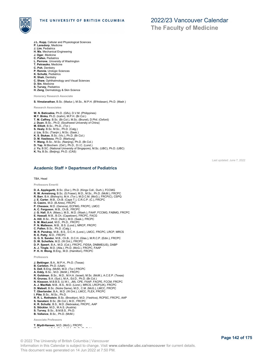

- **J.L. Kopp**, Cellular and Physiological Sciences
- 
- **P. Lansdorp**, Medicine **J. Lim**, Pediatrics
- **H. Ma**, Mechanical Engineering
- **J. Oger**, Medicine **C. Pallen**, Pediatrics
- **L. Perrone**, University of Washington
- **T. Petraszko**, Medicine
- **C. Poh**, Dentistry
- **P. Rennie**, Urologic Sciences
- **K. Schultz**, Pediatrics
- **R. Shah**, Dentistry
- **C. Shaw**, Ophthalmology and Visual Sciences **D. Sin**, Medicine
- 
- 

**S. Turvey**, Pediatrics **H. Zeng**, Dermatology & Skin Science

**Honorary Research Associate**

**S. Vimalanathan**, B.Sc. (Madur.), M.Sc., M.P.H. (B'thidasan), Ph.D. (Madr.)

**Research Associates**

- **W. N. Baticados**, Ph.D. (Gifu), D.V.M. (Philippines) **M.Y. Binka**, Ph.D. (Icahn), M.P.H. (Br.Col.)
- **T. M. Caffrey**, B.Sc. (Br.Col.), M.Sc. (Brunel), D.Phil. (Oxford) **J. Duan**, B.Sc., Ph.D. (Southwest University of China) **M. Elliott**, B.Sc., Ph.D., (Tor.)
- 
- 
- 
- **S. Healy**, B.Sc. M.Sc., Ph.D. (Calg.)<br>**J. Liu**, B.Sc. (Tianjin.), M.Sc. (Sask.)<br>**K. S. Stukas**, B.Sc. (Vic.), Ph.D. (Br.Col.)
- 
- 
- **D. M. Vasilescu**, Ph.D. (Marburg) **Y. Wang**, B.Sc., M.Sc. (Nanjing), Ph.D. (Br.Col.) **D. Yap**, M.Biochem. (Oxf.), Ph.D., D.I.C. (Lond.)
- **J. Yu**, B.SC. (National University of Singapore), M.Sc. (UBC), Ph.D. (UBC) **K. Yu**, B.Sc. (Beijing), Ph.D. (CAS)
- 

### **Academic Staff > Department of Pediatrics**

### TBA, Head

#### **Professors Emeriti**

- 
- 
- **D. A. Applegarth**, B.Sc. (Dur.), Ph.D. (Kings Coll., Durh.), FCCMG<br>**R. W. Armstrong**, B.Sc. (S.Fraser), M.D., M.Sc., Ph.D. (McM.), FRCPC<br>**R. Barr**, B.A. (Bishop's), M.A. (Tor.), M.D.C.M. (McG.), FRCP(C), CSPQ<br>**J. E. Carte**
- 
- 
- 
- P. Chessex, M.D. (Geneva), ECFMG, FRCPC, LMCC<br>A. C. Ferguson, M.B., Ch.B., FRCPC<br>J. G. Hall, B.A. (Mass.), M.S., M.D. (Wash.), FAAP, FCCMG, FABMG, FRCPC<br>E. Hassall, M.B., B.Ch. (Capetown), FRCPC, FACG<br>A. Hill, B.Sc., Ph.D.
- 
- 
- 
- 
- 
- **C. Pallen**, B.Sc., Ph.D. (Calg.) **M. R. Pendray**, M.B., B.S., D.C.H. (Lond.), LMCC, FRCPC, LRCP, MRCS **R. E. Petty**, M.D., FRCPC
- 
- 
- G. G. S. Sandor, M.B., Ch.B., D.C.H. (Glas.), M.R.C.P. (Edin.), FRCPC<br>D. W. Scheifele, M.D. (W.Ont.), FRCPC<br>D. P. Speert, B.A., M.D. (Col.), FRCPC, FIDSA, DNBME(US), DABP<br>**A. J. Tingle**, M.D. (Alta.), Ph.D. (McG.), FRCPC,
- 
- 

#### **Professors**

- **J. Bettinger**, B.A., M.P.H., Ph.D. (Texas)
- 
- **B. Carleton**, Ph.D. (Utah) **S. Dell**, B.Eng. (McM), M.D. (Tor.) FRCPC
- 
- **A. Eddy**, B.Sc., M.D. (McM.), FRCPC<br>**R. Goldman,** B.Sc., M.D., M.H.A. (Israel), M.Sc. (McM.), A.C.E.P. (Texas)<br>**R. Grunau,** B.A. (Syd.), M.A., Ed.D., Ph.D. (Br.Col.)
- 
- **N. Kissoon**, M.B.B.S. (U.W.I., JM), CPE, FAAP, FACPE, FCCM, FRCPC
- **A. J. MacNab**, M.B., B.S., M.D. (Lond.), MRCS, LRCP(UK), FRCPC **D. Matsell**, B.Sc. (Notre Dame), M.D., C.M. (McG.), LMCC, FRCPC
- **T. Oberlander**, B.A., M.D. (W.Ont.), LMCC, FLEX, FRCPC
- **I. Pike**, B.Sc., M.Sc., Ph.D.
- **R. R. L. Rothstein**, B.Sc. (Brooklyn), M.D. (Yeshiva), RCPSC, FRCPC, AAP
- 
- **S. Sanatani**, B.Sc. (Br.Col.), M.D., FRCPC **K. R. Schultz**, B.S., M.D. (Nebraska), FRCPC, AAP
- **S. Stöckler**, M.D., M.A.S. (Austria)
- **S. Turvey**, B.Sc., B.M.B.S., Ph.D. **B. Vallance**, B.Sc., Ph.D. (McM.)
- 

**Associate Professors**

**T. Blydt-Hansen**, M.D. (McG.), FRCPC<br>**M.B.A. (Br.Col.), Ph.D. (Calg.), M.A.** 

### Last updated: June 7, 2022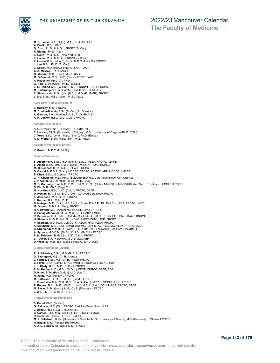

- **M. Brussoni**, B.A. (Calg.), M.A., Ph.D. (Br.Col.) **A. Devlin**, B.Sc., Ph.D. **Q. Doan**, Ph.D., M.H.Sc., FRCPC (Br.Col.)
- 
- 
- **R. Elango**, Ph.D. (Alta.) **S. Gantt**, Ph.D., M.D. (New York (U.)) **K. Harris**, M.D., M.H.Sc., FRCPC (Br.Col.)
- **P. Lavoie**, B.Sc. (Montr.), Ph.D., M.D.C.M. (McG.), FRCPC
- 
- **J. Lim**, B.Sc., Ph.D. (Br.Col.) **C. Loock**, M.D. (Harv.), FRCPC, FAAP, DAAP
- **C. A. Maxwell**, Ph.D. (Alta.) **G. Meckler**, M.D. (Harv.), MSHS (Calif.)
- **M. O'Donnell**, M.Sc., M.D. (Sask.), FRCPC, ABP
- 
- 
- 
- 
- A. Rauscher, Ph.D. (TU Wien)<br>G. Reid, B.Sc. (Glas.), Ph.D. (Br.Col.)<br>E. H. Roland, M.D. (W.Ont.), LMCC, DNBME (U.S.), FRCPC<br>**M. Sadarangani,** B.A. (Camb.), B.M. B.Ch., D.Phil. (Oxf.)<br>**S. Shivananda,** M.Sc. (Wic. (B.C.)), M
- 

**Associate Professors Emeriti**

### **S. Buckley**, M.D., FRCPC

- **M. Coulter-Mackie**, B.Sc. (Br.Col.), Ph.D. (Alta.)
- **A. George**, B.A. (Acadia), M.L.S., Ph.D. (Br.Col.) **A. K. Junker**, B.Sc., M.D. (Calg.), FRCPC
- 

#### **Assistant Professors**

- **K. L. Brown**, B.Sc. (S.Fraser), Ph.D. (Br.Col.)<br>**C. Loucks**, B.HSc.(University of Calgary), M.Sc. (University of Calgary), Ph.D. (SFU)<br>**C. Voss**, B.Sc. (Lond.), M.Sc. (Brun.), Ph.D. (Essex)
- **A. M. Weber**, B.Sc., M.Sc. (Tor.), Ph.D (McM)

**Assistant Professors Emeriti**

**K. Poskitt**, M.D.C.M. (McG.)

#### **Clinical Professors**

- **S. Albersheim**, B.Sc., M.D. (Manit.), LMCC, FLEX, FRCPC, ABNPM
- **S. Amed**, B.Sc. (McG.), M.D. (Calg.), M.Sc.P.H. (UK), RCPSC **M. M. Bennett**, B.Sc., M.D. (Br.Col.), FRCPC
- 
- 
- 
- 
- D. Cabral, M.B.B.S. (Aust.), MCCEE, FRCPC, ABPWE, ABP, MCCQE, LMCCE<br>E. Chan, B.Sc., M.D. (Alta.), FRCPC<br>J. -P. Chanoine, M.D., Ph.D. (Belgium), ECFMG, Cert.Parasitology, Cert.Clin.Res.<br>J. P. Collet, M.D. (France), B.Sc., P
- 
- 
- 
- **K. Jacobson**, M.B., B.Ch., FRCPC **L. Kuttner**, B.A., M.A., Ph.D.
- 
- **D. Metzger**, M.D. (Ohio), U.S. Fed.Lic.Exam, D.A.B.P., Dip.Ped.End., ABP, FRCPC, LMCC
- **M. Ogborn**, M.B.B.S. (Aus.), FRCPC **H. Osiovich**, M.D. (Argentina), MCCEE, LMCC, FRCPC
- **C. Panagiotopoulos**, B.Sc., M.D. (Qu.), DABP, LMCC
- 
- **R. Schreiber**, B.Sc., M.D., C.M. (McG.), L.M.C.C. (M.C.C.), FRCPC, FSMQ, DAAP, DNBME **H. Siden**, A.B., M.D., M.H.Sc., NBME, LMCC, BCML, ABP, FRCPC
- **P. Skippen**, M.D. (Aust.), LMCC, FANZCA, FFICANZCA, FRCPC
- 
- **A. Solimano**, M.D., B.Sc. (Lima), ECFMG, ABNPM, ABP, ECFMG, FLEX, FRCPC, LMCC **C. Strahlendorf**, M.B.Ch. (Witw.), F.C.P. (Br.Col.), Fellowship (Ped.Hem./Onc./BMT)
- 
- **A. Synnes**, M.D.C.M. (McG.), M.H.Sc. (Br.Col.), FRCPC **P. N. Thiessen**, B.Med.Sc., M.D. (Alta.), FRCPC **L. Tucker**, B.A. (Hartwick), M.D. (Tufts), ABP
- 
- **D. Wensley**, M.B., B.S. (Lond.), FRCPC, MRCP(UK)

**Clinical Professors Emeriti**

- 
- **R. J. Adderley**, B.Sc., M.D. (Br.Col.), FRCPC **G. Baumgard**, M.B., Ch.B. (Manc.)
- 
- **J. Forbes**, B.Sc., M.B., Ch.B. (Natal), FRCPC<br>**C. Fryer**, LRCP (Lond.), MRCS (Middx.), FRCP(C), FRCP(C) Rad<br>**L. J. Hlady**, B.Sc., M.D. (Br.Col.), FRCPC
- 
- **R. M. Hurley**, M.D., M.Sc. (W.Ont.), FRCP, FMRCC, DABP, AOA **D. Israel**, B.Sc. (Ben Gurion), M.D. (Alta.). **N. Jetha**, M.D. (Pahlavi), FRCPC
- 
- 
- 
- **M. Patterson**, D.C.H., F.R.C.P. (Lond.), FRCPC<br>**J. Prendiville**, B.A., M.B., B.Ch., B.A.O. (Dub.), MRCPI, MCCEE, MCC, FRCPC<br>**P. Rogers**, B.Sc., M.B. , Ch.B., (Lond.), M.B.A. (Bath), DCH, MRCP, FRCPC, FRCP
- 
- **M. Seear**, B.Sc. (Lond.), M.B., Ch.B. (Rhodesia), FRCPC **J. Wu**, B.M., B.Sc. (H.D.), FRCPC
- 

**Clinical Associate Professors**

### **S. Babul**, Ph.D. (Br.Col.)

- **G. Baldwin**, M.D. (Ott.), FRCPC, Cert.Ped.Emerg.Med., ABP<br>**J. Balfour**, B.Sc. (Dal.), M.D. (Alta.)<br>**C. Barker**, B.Sc, M.D., (Alta.), FRCPC, DABP, LMCC<br>**R. Beck**, M.D. (Israel), FRCPC, LMCC
- 
- 
- **M. J. Belletrutti**, B. Sc. (University of Guelph), M. Sc. (Univesity of Alberta), M.D. (University of Ottawa, FRCPC
- **N. Bhanji**, M.D. (Pahlavi, IR), FRCPC
- **K. J. L. Black**, M.Sc. (Dal.), M.D. (Br.Col.)<br>**C. Brunel, B.Sc., M.Sc., M.D. (Br.Col.)**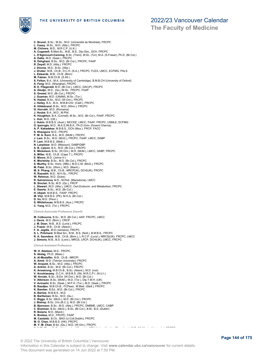

**C. Brunel**, B.Sc., M.Sc., M.D. (Université de Montréal), FRCPC

**The Faculty of Medicine**

| L. Casey, M.Sc., M.D. (Alta.), FRCPC                                                 |
|--------------------------------------------------------------------------------------|
| $M.$ Chilvers, M.D., M.R.C.P. (U.K.)                                                 |
| A. Cogswell, B.Med.Sc., M.B., B.S., Dip.Obs., DCH, FRCPC                             |
| L. D'Agincourt-Canning, B.Sc. (Trent), M.Sc. (Tor), M.A. (S.Fraser), Ph.D. (Br.Col.) |
| A. Datta, M.D. (Sask.), FRCPC                                                        |
| N. Dehghani, B.Sc., M.D. (Br.Col.), FRCPC, FAAP                                      |
| R. Deyell, M.D. (Alta.), FRCPC                                                       |
| J. Dionne, M.D., B.Sc. (Alta.)                                                       |
|                                                                                      |
| J. Druker, M.B., Ch.B., D.C.H. (S.A.), FRCPC, FLEX, LMCC, ECFMG, PALS                |
| L. Edwards, M.B., Ch.B. (Birm)                                                       |
| M. Fabian, M.B.Ch.B. (S.Afr.)                                                        |
| S. Felton, B.A., M.A. (University of Cambridge), B.M.B.CH (University of Oxford)     |
| A. Feng, M.D. (Shanghai), FRCPC                                                      |
| B. E. Fitzgerald, M.D. (Br.Col.), LMCC, DAC(P), FRCPC                                |
| A. Glodjo, M.D., (Qu.) M.Sc., FRCPC, FAAP                                            |
| S. Grewal, M.D. (Br.Col.), FRCPC                                                     |
| J. Guzman, M.D. (UNAM), M.Sc. (Tor.)                                                 |
| K. Hadad, B.Sc., M.D. (W.Ont.), FRCPC                                                |
| J. Hailey, B.A., M.A., M.B.B.Chir. (Calif.), FRCPC                                   |
| K. Hildebrand, B.Sc., M.D. (Winn.), FRCPC                                            |
| G. Horvath, M.D. (Romania)                                                           |
| J. Hoube, B.A., M.D., M.Phil.                                                        |
| K. Houghton, B.A. (Cornell), M.Sc., M.D. (Br.Col.), FAAP, FRCPC                      |
| L. Huh, M.D. (Ott.)                                                                  |
| J. Hukin, M.B.B.S. (Aust.), MCCEE, LMCC, FAAP, FRCPC, USMLE, ECFMG                   |
| O. Ipsiroglu, M.D., M.A.S./M.B.A., Ph.D./Univ.-Dozent (Vienna)                       |
| A. P. Kakadekar, M.B.B.S., DCH (Mys.), FRCP, FACC                                    |
| S. Khangura, M.D., FRCPC                                                             |
| P. M. A. Korn, B.A., M.D. (McM.), FRCPC                                              |
| J. Lam, B.Sc., M.D. (McG.), FRCPC, FAAP, LMCC, DABP                                  |
| P. Lam, M.B.B.S. (Melb.)                                                             |
| N. Lanphear, M.D. (Missouri), DABP/DBP                                               |
| A. B. Lipson, B.A., M.D. (Br.Col.), FRCPC                                            |
| E. Mickelson, B.Sc. (W.Ont.), M.D. (McM.), LMCC, DABP, FRCPC                         |
|                                                                                      |
| A. Miller, M.B., Ch.B. (Cape T.), FRCPC                                              |
| E. Moore, M.D. (Johns H.)                                                            |
| K. Morishita, B.Sc., M.D. (Br.Col.), FRCPC                                           |
| S. Murthy, B.Sc. Hons. (Nfld.), M.D.C.M. (McG.), FRCPC                               |
| M. Patel, B.Sc. (Winn.), M.D. (Manit.)                                               |
| M. S. Phang, M.B., Ch.B., MRCPUK), DCH(UK), FRCPC                                    |
| R. Rassekh, M.D., M.H.Sc., FRCPC                                                     |
| W. Rehmus, M.D. (Duke)                                                               |
| R. Salvarinova, M.D., M.Ped. (Macedonia), LMCC                                       |
| B. Sinclair, B.Sc, M.D. (Qu.), FRCP                                                  |
| L. Stewart, M.D. (Alta.), LMCC, Cert. Endocrin. and Metabolism, FRCPC                |
| E. Swartz, B.Sc., M.D. (Br.Col.)                                                     |
| H. Ukpeh, M.B.B.S., FAAP, FRCPC                                                      |
| M. Virji, M.B.B.S. (PK), M.H.A. (Br.Col.)                                            |
| <b>D. Vo, M.D. (Penn.)</b>                                                           |
| S. Whitehouse, M.B.B.S. (Aus.), FRCPC                                                |
| C. Yang, M.D. (Tor.), FRCPC                                                          |
|                                                                                      |
| Clinical Associate Professors Emeriti                                                |
| M. Colbourne, B.Sc., M.D. (Br.Col.), AAP, FRCPC, LMCC                                |
| J. Davis, M.D. (Birm.), CRCP                                                         |
| J. M. Dean, M.B., B.S. (Lond.), FRCPC                                                |
| J. Fraser, M.B., Ch.B. (Aberd.)                                                      |
| F. A. Jagdis, M.D (Jamaica), FRCPC                                                   |
| S. L. Pritchard, B.Med.Sci., B.M., B.S. (Nott.), B.M.B.S., FRCPC                     |
| R. A. Saunders, M.B., Ch.B. (Birm.), L.R.C.P. (Lond.), MRCS(UK), FRCPC, LMCC         |
| J. Simons, M.B., B.S. (Lond.), MRCS, LRCP, DCH(UK), LMCC, FRCPC                      |
|                                                                                      |

**Clinical Assistant Professors**

**W. H. Abelson**, M.D., FRCPC **S. Akdag**, Ph.D. (Mass.) **A. Al-Mudaffer**, M.B., Ch.B., MRCPI **A. Amid**, M.D. (Tehran University), FRCPC **W. Anquist**, B.Sc., M.D. (Alta.), FRCPC A. Antrim, B.Sc., M.D. (Br.Col.), FRCPC<br>K. Armstrong, M.B.C.h.B., B.Sc. (Aberd.), M.D. (rcsi)<br>V. Arockiasamy, D.C.H., M.B.B.S. (IN), M.R.C.P.I. (N.U.I.)<br>W. Arruda, B.Sc., B.Ed. (W.Ont.), M.D. (Br.Col.)<br>V. Atkinson, B.Sc. ( **A. Barlow**, M.B.B.S., M.D. **B. Bartleman**, B.Sc., M.D. (Qu.) **C. Biggs**, B.Sc. (McG.), M.D. (Br.Col.), FRCPC **J. Bishop**, B.Sc. (Vic.(B.C.)), M.D. (Br.Col.) **B. Bjornson**, B.Sc., M.D. (Alta.), FRCPC, DNBME, LMCC, CABP **C. Boelman**, B.Sc. (McG.), B.Sc. (Br.Col.), B.M., B.S. (Dublin) **R. Bolaria**, M.D. (Manit.) **K. Breikss**, M.D., FRCPC, FAAP **M. Castaldo**, B.Ch., BAO (U.Coll.Dublin), FRCPC **M. O. Chan**, M.B.B.S. (HK), FRCPC **M. Y- M. Chan,** B.Sc. (Qu.), M.D. (W.Ont.), FRCPC **N. H. And Toronto, M.D. (McMaster University), FRCPC**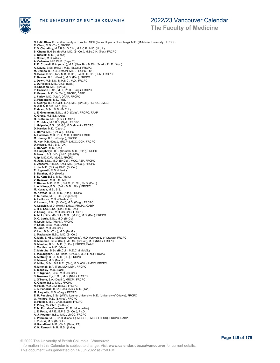

**The Faculty of Medicine**

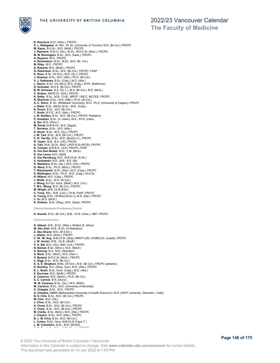

**The Faculty of Medicine**

**N. Ranchod**, M.D. (Witw.), FRCPC **S. L. Rathgeber**, B. HSc., M. Sc. (University of Toronto), M.D. (Br.Col.), FRCPC **M. Rayar**, B.H.Sc., M.D. (McM.), FRCPC **J. Rayment**, B.Sc.H. (Qu.), M.Sc., M.D.C.M. (McG.), FRCPC **M. M. Remington**, B.Sc., M.D. (Sask.), FRCPC **H. Reysner**, M.D., FRCPC **A. Richardson**, B.Sc., B.Ed., M.D. (Br. Col.) **M. Riley**, M.D., FRCPC **A. Roberts**, M.D. (McM.), FRCPC G. Robertson, B.Sc., M.D. (Br.Col.), FRCPC, FAAP<br>S. Rose, B.Sc. (W.Ont.), M.D. (Qu.), FRCPC<br>J. Rozmus, B.Sc., M.D. (Alta.), Ph.D. (Br.Col.)<br>V. J. Sabhaney, B.Sc. (Calg.), M.D. (Alta.)<br>L. Sauve, B.Sc. (Vic.(BC)), M.D. (Calg **J. Slater**, B.Sc. (McG), M.Sc., M.D., (Calg.) **K. Smart**, B.Sc., M.D. (Br.Col.) **T. Smith**, B.P.E., M.D. (Alta.), FRCPC **J. M. Smitten**, B.Sc., M.D. (Br.Col.), FRCPC Pediatrics **P. Sneddon**, B.Sc. (U. Idaho), M.S., Ph.D. (Utah) **S. Sor**, M.D. (Penn.) **M. Sorial**, M.B.B.Ch., M.D. (Egypt) **T. Sorokan**, B.Sc., M.D. (Alta.) **S. Stock**, B.Sc., M.D. (Qu.), FRCPC **J. M. Tam**, B.Sc., M.D. (Br.Col.), FRCPC **C. R. Tan-Dy**, B.Sc., M.D. (Boston U.), FRCPC **R. Taylor**, M.B., B.S. (UK), FRCPC **A. Tiah**, M.B., B.Ch., BAO, LRCP & SI (RCSI), FRCPC **S. Tuisiani**, M.B.B.S., DCH, FRCPC, FAAP **A. Van Den Brekel**, M.D., C.M. (McG.) **K. Van Leeve**, M.D. (Stell) **E. Van Rensburg**, M.D., M.B.Ch.B. (S.Afr.) **V. Venkatesh**, M.D., M.B., B.S. (IN) **K. Wambera**, B.Sc. (Qu.), M.D. (Ott.), FRCPC **G. Ward**, B.Sc., Ph.D. (McG.), FRCPC **T. Warshawski**, B.Sc. (Alta.), M.D. (Calg.), FRCPC **S. Wellington**, B.Sc., Ph.D., M.D. (Calg.), M.H.Sc. **R. Wilson**, M.D. (Calg.), FRCPC **J. Wolfe**, B.Sc., M.D. (W.Ont.) **J. Wong**, B.H.Sc. Hons. (McM.), M.D. (Tor.) **T. M-L. Wong**, M.D. (Br.Col.), FRCPC **M. Wright**, M.B. Ch.B (Edin) **C. Yong**, BSc., M.B. (Leic.), Ch.B, FAAP, FRCPC **A. Young**, B.Sc. (St Mary's(Can.)), M.D. (Dal.), FRCPC **J. Yu**, M.D. (McG.) **K. Zinkiew**, B.Sc. (Reg.), M.D. (Sask), FRCPC **Clinical Assistant Professors Emeriti K. Asante**, B.Sc. (Br.Col.), M.B., Ch.B. (Glas.), ABP, FRCPC **Clinical Instructor S. Abbott**, M.B., B.Ch. (Witw.), M.Med (S. Africa) **M. Abu Aish**, M.B., B.Ch. (K.Abdulaziz) **Z. Abu Sharar**, M.D. (M.S.M.I.) **J. Allaire**, M.D. (McG.), FRCPC **C. W. -M. Ang**, M.B.Ch.B. (Glas), MRCP (UK), M.MED.Sc. (Leeds), FRCPC<br>**J. W. Archer,** M.B., Ch.B. (Sheff.)<br>**V. K. Bal**, M.D. (Gov. Med. Coll.), FRCPC **N. Bansal**, B.Sc. (Winn.), M.D. (Manit.) **A. Barclay**, B.A., M.D. (Hamilton) **A. Beck**, B.Sc. (McG.), M.D. (Harv.) **V. Bedard**, M.D.C.M. (McG.), FRCPC **C. Bigg**, B.Sc., M.D. (Br.Col.) **A. A. E. Bingham**, B.Ms. (W.Ont.), M.D. (Br.Col.), FRCPC pediatrics **K. Buckley**, B.A. (Simp. Coll.), M.D. (Alta.), FRCPC **E. L. Budd**, B.Sc. Hons. (Calg.), M.D. (Alta.) **K. Burrows**, M.D. (McM.), FRCPC **S. Cameron**, M.D. (Manit.), Ph.D. (Br.Col.) **E. C. Carrick**, B.N. (Dund.) **W. M. Carwana**, B.Sc. (Qu.), M.D. (McM.) **M. Caudron**, B.Sc., M.D. (University of Montreal) **D. Chapple**, B.Sc., M.D., FRCPC **A. Chhabra**, MBBS (Maharashtra University of health Science's), M.D. (HIHIT university, Dehradun , India) **B. S. Chin**, B.Sc., M.D. (Br.Col.), FRCPC **M. Choi**, M.D. (Ott.)

**J. Chou**, B.Sc., M.D. (Br.Col.) **K. Chow**, B.Sc., M.D. (Br.Col.), FRCPC **V. Chow**, B.Sc., M.D. (Br.Col.), FRCPC **M. Clarke**, B.Sc. (McG.), M.D. (Dal.), FRCPC **J. Clayton**, B.Sc., M.D. (Alta.), FRCPC **B. L. M. Clive**, B.Sc., M.D. (Br.Col.) **L. Cohen**, B.Sc. Hons, M.B.Ch.B (Cape T.) **L. M. Colombini**, B.Sc., M.D. (McGill)<br>————————————————————

© 2022 The University of British Columbia | Vancouver Information in this Calendar is subject to change. Visit **www.calendar.ubc.ca/vancouver** for current details. This document was generated on 14 Jun 2022 at 7:50 PM.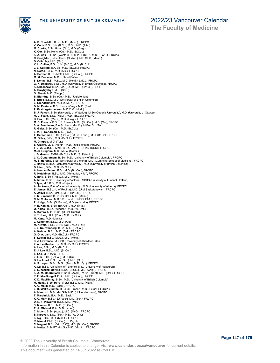

### 2022/23 Vancouver Calendar

**The Faculty of Medicine**

**A. S. Condello**, B.Sc., M.D. (Manit.), FRCPC **V. Cook**, B.Sc. (Vic.(B.C.)), M.Sc., M.D. (Alta.) **M. Cooke**, B.Sc. Hons. (Qu.), M.D. (Calg.) **K. Cox**, B.Sc. Hons. (Qu.), M.D. (Br.Col.)<br>**K. A. Cox,** B.H.Sc. (Western U), M.P.H. (SFU), M.D. (U of T), FRCPC<br>**C. Creighton**, B.Sc. Hons. (St And.), M.B.Ch.B. (Manc.) **D. Critchley**, M.D. (Qu.) **K. L. Cullen**, B.Sc. (Vic. (B.C.)), M.D. (Br.Col.)<br>**J. L. Cutting**, B.A.Sc., M.D. (Br.Col.), FRCPC<br>**N. Datoo**, B.Sc., M.D. (Qu.), FRCPC<br>**A. Dedhar**, B.Sc. (McG.), M.D. (Br.Col.), FRCPC **M. M. Deevska**, M.D. (U.Med.Sofia) **S. Denny**, B.S., M.Sc., M.D. (McM.), LMCC, FRCPC **G. K. Dhaliwal**, B.Sc., M.D. (University of British Columbia), FRCPC **K. Dheensaw**, B.Sc. (Vic. (B.C.)), M.D. (Br.Col.), FRCP **A. Dmytryshyn**, M.D. (St.G.) **O. Ebesh**, M.D. (Aleppo) **B. Eldridge**, B.Sc. (Qu.), M.D. (Jagiellonian) **S. Erdle**, B.Sc., M.D. (University of British Columbia) **E. Erendzhinova**, M.D. (OMSK), FRCPC **D. M. Eustace**, B.Sc. Hons. (Calg.), M.D. (Sask.) **P. Faaborg-Andersen**, M.D.C.M. (McG.) **B. J. Falcón**, B.Sc. (University of Waterloo), M.Sc.(Queen's University), M.D. (University of Ottawa) M. V. Fazio, B.Sc. (McM.), M.D. (Br.Col.), FRCPC<br>D. Fox, B.Sc. (McG.), M.D. (Calg.), FRCPC<br>M. C**. Francis,** B.Sc. (S. Fraser), M.Sc. (Br. Col.), M.D. (Qu.), FRCPC<br>**S. A. Freedman**, B.A.Sc. Hons. (McM.), M.Env.Sc. (Tor.)<br>**R L. M. F. Gendreau**, M.D. (Laval) **T. Gerschman**, B.Sc. (Br.Col.), M.Sc. (Lond.), M.D. (Br.Col.), FRCPC **M. Gilley**, B.Sc., M.D. (Br.Col.), FRCPC **M. Gingras**, M.D. (Tor.) **E. Gizicki**, LL.B. (Montr.), M.D. (Jagiellonian), FRCPC **T. J. A. Glass**, B.Med., B.Ch. BAO, FRCPI/SI (RCSI), FRCPC **M.-C. Grégoire**, M.D., M.Sc. (Montr.)<br>**J. S. Grewal, EMBA (Br.Col.), M.D. (St.Peter.U.)<br><b>L. C. Gunaratnam**, B. Sc., M.D. (University of British Columbia), FRCPC **M. S. Harding**, B.Sc. (University of Victoria), M.D. (Cumming School of Medicine), FRCPC **J. Harris**, B.HSc. (McMaster University), M.D. (University of British Columbia) **D. Hirsh**, B.Sc., M.D. (Br.Col.) **A. Human Fraser**, B.Sc. M.D. (Br. Col.), FRCPC<br>**R. Hutchings**, B.Sc., M.D. (Memorial, Nfld.), FRCPC<br>**K. Inrig**, B.Sc. (Trin.W.), M.D. (McM.) **A. Irvine**, B.Sc. (University of Victoria), MBBS (University of Limerick, Ireland)<br>**S. Iyer,** M.B.B.S., M.D. (Gujar.)<br>**A. Jackman**, B.A. (Carleton University), M.D. (University of Alberta), FRCPC **E. James**, B.Sc. (U of Regina), M.D. (U of Saskatchewan), FRCPC **A. Jekyll**, B.Sc. (McG.), M.D. (Br.Col.), FRCPC **E. M. Jimenez**, B.Sc. (Br.Col.), M.D. (Manit.) **C. M. V. Jones**, M.B.B.S. (Lond.), LMCC, FAAP, FRCPC **P. Judge**, B.Sc. (S. Fraser), M.D. (Australia), FRCPC **P. E. Kahlke**, B.Sc. (Br. Col.), M.D. (Alta.) **O. Kalaci**, B.Sc. (Windsor), M.D. (W. Ont.) **A. Kamra**, M.B., B.Ch. (U.Coll.Dublin) **K. T. Kang**, B.A. (Prin.), M.D. (Br.Col.) **M. Kang**, M.D. (Manit.) **J. Kanungo**, B.Sc., M.D. (Alta.) **M. Kilvert**, B.Sc., BPHE (Qu.), M.D. (Tor.) **J. L. Kouwenberg**, B.Sc., M.D. (Br.Col.) **A. Kubow**, B.Sc., M.D. (Dal.), FRCPC **G. O. A. Lam**, M.D. (Br.Col.), FRCPC **S. Laskin**, B.Sc. (McG.), M.D. (McM.) **S. J. Lawrence**, MBChB (University of Aberdeen, UK) **Z. A. Leatherbarrow**, M.D. (Br.Col.), FRCPC **A. Lee**, B.Sc., M.D. (Br.Col.) **E. J. Lee**, B.Sc., M.D. (Br.Col.) **S. Leo**, M.D. (Alta.), FRCPC **Z. Lim**, B.Sc. (Br.Col.), M.D. (Qu.) **B. Lockhart**, B.Sc. (W. Ont.), M.D. (Qu.) **A. S. Lopez**, B.Sc., M.Sc. (Tor.), M.D. (Qu.), FRCPC **A. Lu**, B.Sc. (University of Toronto), M.D. (University of Pittsburgh) **E. Lunaczek-Motyka**, B.Sc. (Br.Col.), M.D. (Calg.), FRCPC **K. A. M. MacCulloch**, B.Sc.H. (Acad.), M.Sc. (Trent), M.D. (Dal.), FRCPC<br>**P. E. MacDougall**, B.Sc., M.D. (Br.Col.), FRCPC<br>**K. D. MacKinlay**, B.Sc., M.D. (University of British Columbia) **M. Mahal**, B.Sc. Hons. (Tor.), B.Sc., M.D. (Manit.)<br>**A. C. Malik**, M.D. (Sask.), FRCPC<br>**L. R. Malks-Jjumba**, B.Sc. (S. Fraser), M.D. (Br.Col.), FRCPC **A. Manouzi**, B.Sc. (McGill), M.D. (Université Laval), FRCPC **T. Marciniuk**, B.A., M.D. (Sask.) **K. C. Marr**, B.Sc. (S.Fraser), M.D. (Tor.), FRCPC **D. N. F. McGuffin**, B.Sc., M.D. (McG.) **S. Minnes**, B.Sc., M.D. (Br.Col.) R. A. Mishaal, B.A., M.D. (Israel)<br>C. Mutch, B.Sc. (Acad.), M.D. (McG.), FRCPC<br>B. Narayan, B.Sc. (Tor.), M.D. (W. Ont.)<br>K. Ng, B.Sc., M.D. (Manit.), FRCPC<br>R. Nirmal, Ph.D. (Br.Col.), R. Psych **C. Nugent**, B.Sc. (Vic. (B.C)), M.D. (Br. Col.), FRCPC **A. Nutter**, B.Sc.PT. (McG.), M.D. (Montr.), FRCPC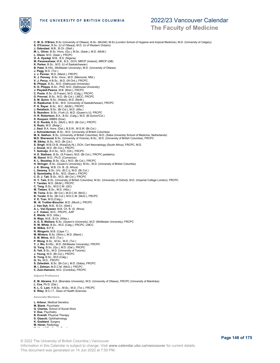

### **The Faculty of Medicine**

**C. M. G. O'Brien**, B.Sc (University of Ottawa), B.Sc. (McGill), M.Sc.(London School of Hygiene and tropical Medicine), M.D. (University of Calgary) **S. O'Connor**, B.Sc. (U of Ottawa), M.D. (U of Western Ontario) **J. Odendaal**, M.B., B.Ch. (Stell.) **M. L. Oliver**, B.Sc. Hons. (Qu.), M.Sc. (Sask.), M.D. (McM.) **L. Olson**, M.D. (Sask.), FRCPC **O. A. Oyedeji**, M.B., B.S. (Nigeria)<br>**M. Parameshwar,** M.B., B.S., DCH, MRCP (Ireland), MRCP (GB)<br>**K. Parker**, B.Sc., M.D. (U of Saskatchewan)<br>**B. Patel**, B.HSc. (McMaster University), M.D. (University of Ottawa) J. Pegg, M.D. (Tor.)<br>J. J. Penner, M.D. (Manit.), FRCPC<br>K. J. Penney, B.Sc. Hons., M.D. (Memorial, Nfld.)<br>V. J. Percy, H.B.Sc., M.D. (W.Ont.), FRCPC<br>B. Phipps, B.Sc., M.D. (Dalhousie University) K. D. Phipps, B.Sc., PhD, M.D. (Dalhousie University)<br>J. Pleydell-Pearce, M.B. (Erist.), FRCPC<br>C. Poole, B.Sc. (S.Fraser), M.D. (Calg.), FRCPC<br>D. Prevost, B.Sc., M.D. (Br.Col.), LMCC, FRCPC<br>S. M. Quinn, B.Sc., M.D. (Univer **P. K. Rayar**, B.Sc., M.C. (McM.), FRCPC<br>**J. Retallack**, B.Sc. (Br.Col.), M.D. (Alta.)<br>**S. Reznikov**, B.Sc. (York U), M.D. (Queen's U), FRCPC<br>**H. R. Robertson**, B.A., B.Sc. (Calg.), M.D. (B.Gurion/Col.)<br>**S. Roopani**, MBBS **K. D. Runkle**, B.Sc. (McG.), M.D. (Br.Col.), FRCPC **S. Ruzic**, M.D. (Belgr.) **J. Saul**, B.A. Hons. (Dal.), B.S.W., M.S.W. (Br.Col.) **J. Schneiderman**, B.Sc., M.D. (University of British Columbia) **M. K. Sekhon**, B.Sc. (University of British Columbia), M.D. (Saba University School of Medicine, Netherlands) **M.D. Sherwood**, B.Sc. (University of Victoria), B.Sc., M.D. (University of British Columbia), FRCPC **M. Sibley**, B.Sc., M.D. (Br.Col.) **S. Singh**, M.B.Ch.B. (KwaZulu-N.), DCH, Cert Neonatology (South Africa), FRCPC, M.D. **J. Snook**, M.D. (Br.Col.), FRCPC **T. Sotindjo**, B.H.Sc., M.D. (Ott.), FRCPC **H. E. Statham**, B.Sc. (S.Fraser), M.D. (Br.Col.), FRCPC pediatrics **M. Stavel**, M.D., Ph.D. (Comenius) **K. L. Stockley,** B.Sc. (Qu.), M.D. (Br.Col.), FRCPC<br>**H. Stringer**, B.Sc. (Queen's University), M.Sc., M.D. (University of British Columbia)<br>**J. K. Strong**, M.B. Ch. B. (S. Africa) **L. Swaney**, B.Sc. (Vic. (B.C.)), M.D. (Br.Col.) **S. Szombathy**, B.Sc., M.D. (Sask.), FRCPC **C. D. J. Tait**, B.Sc., M.D. (Br.Col.), FRCPC **H. Y. Tam**, B.Sc. (University of British Columbia), M.Sc. (University of Oxford), M.D. (Imperial College London), FRCPC **T. Tandan**, M.D. (McM.), FRCPC **C. Tang**, B.Sc., M.D.C.M. (QC) **M. Tietzen**, B.Sc., M.D. (Alta.)<br>**W. Toma,** B.Sc. (Br.Col.), M.D.C.M. (McG.)<br>**B. Torabi**, B.Sc. (Br.Col.), M.D.C.M. (McG.), FRCPC **V. E. Tran**, M.D.(Calg.) **M. -N. Trottier-Boucher**, M.D. (Montr.), FRCPC **J. Van Dyk**, M.B., B.Ch. (Stell.) **A. L. Van Eyssen**, M.B. Ch. B. (S. Africa) **J. F. Vuksic**, M.D., FRCPC, AAP **E. Waida**, M.D. (Alta.) **N. Waja**, M.B., B.Ch. (Witw.) **A. G. S. Wallace**, B.Sc. (Queen's University), M.D. (McMaster University), FRCPC **R. W. White**, B.Sc., M.D. (Calg.), FRCPC, LMCC **B. Wilkie**, B.P.E. **R. Wingerin**, M.B. (Cape T.) **M. Winters**, B.Sc. (Winn.), M.D. (Manit.) **S. M. Wires**, M.D. (Tor.) **P. Wong**, B.Sc., M.Sc., M.D. (Tor.) **Y. J. Wu**, B.HSc., M.D. (McMaster University), FRCPC **G. Yang**, B.Sc. (Qu.), M.D. (Dal.), FRCPC **S. Yeh**, B.Sc., M.D. (University of Toronto) **J. Yeung**, M.D. (Br.Col.), FRCPC **S. Yong**, B.Sc., M.D (Calg.) **G. Yu**, M.D., FRCPC **S. Zahedieh**, B.Sc. (Br.Col.), M.D. (Saba), FRCPC **M. I. Zelman**, M.D.C.M. (McG.), FRCPC **C. Zuin-Hamann**, M.D. (Cordoba), FRCPC **Adjunct Professors E. M. Abrams**, B.A. (Brandeis University), M.D. (University of Ottawa), FRCPC (University of Manitoba) **L. Cox**, Ph.D. (Dal.) **K. L. C. Lam**, H.B.Sc., M.Sc., M.D. (Tor.), FRCPC **E. Riley**, B.C.I.T., Dean of Health Sciences **Associate Members L. Arbour**, Medical Genetics **M. Blank**, Psychiatry **G. Charles**, School of Social Work **V. Dua**, Psychiatry **B. Everett**, Physical Therapy **D. Giaschi**, Ophthalmology **K. Goddard**, Surgery

- **M. Heran**, Radiology
- **M. Hinchliffe**, Family Practice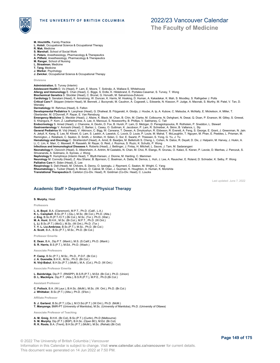

**The Faculty of Medicine**

- **M. Hinchliffe**, Family Practice
- **L. Holsti**, Occupational Science & Occupational Therapy **R. Mak**, Medicine
- **S. Marshall**, School of Social Work
- **C. Peters**, Anesthesiology, Pharmacology & Therapeutics
- **A. Pitfield**, Anesthesiology, Pharmacology & Therapeutics
- **M. Ranger**, School of Nursing
- **L. Straatman**, Medicine
- **T. Tang**, Medicine
- **J. Werker**, Psychology

**J. Zwicker**, Occupational Science & Occupational Therapy

**Divisions**

**Administration**, S. Turvey (Interim) **Adolescent Health** D. Vo (Head), P. Lam, E. Moore, T. Sotindjo, A. Wallace S. Whitehouse

- **Allergy and Immunology** E. Chan (Head), C. Biggs, S. Erdle, K. Hildebrand, E. Portales-Casamar, S. Turvey, T. Wong
- 
- **Biochemical Genetics** S. Stockler (Head), C. Brunel, G. Horvath, M. Salvarinova-Zivkovic<br>**Cardiology** S. Sanatani (Head), K. Armstrong, W. Duncan, K. Harris, M. Hosking, D. Human, A. Kakadekar, K. Mah, S. Moodley, S. Rath

**Critical Care** P. Skippen (Interim Head), M. Bennett, J. Burzynski, M. Caudron, A. Cogswell, L. Edwards, N. Kissoon, P. Judge, A. Macnab, S. Murthy, M. Patel, V. Tan, D. Wensley

**Dermatology** W. Rehmus (Head), S. Felton

**Developmental Pediatrics** N. Lanphear (Head), G. Dhaliwal, B. Fitzgerald, A. Glodjo, J. Hoube, A. Ip, A. Kubow, C. Matsuba, A. McNally, E. Mickelson, A. Miller, T.

Oberlander, M. O'Donnell, P. Rayar, E. Van Rensburg<br>**Emergency Medicine** G. Meckler (Head), J. Allaire, K. Black, M. Chan, B. Chin, M. Clarke, M. Colbourne, N. Dehghani, N. Desai, Q. Doan, P. Enarson, M. Gilley, S. Grewal,

S. Khangura, P. Korn, Z. Leatherbarrow, A. Lee, A. Manouzi, S. Noseworthy, B. Phillips, V. Sabhaney, C. Tait<br>**Endocrinology** S. Amed (Head), J. Chanoine, A. Devlin, D. Fox, B. Hursh, P. Lam, D. Metzger, D. Panagiotopoulos,

**General Pediatrics** M. Virji (Head), V. Atkinson, C. Bigg, W. Carwana, T. Dewan, A. Dmytryshyn, R. Ebbeson, R. Everett, A. Feng, S. George, E. Grant, J. Greenman, N. Jain<br>A. Jekyll, K. Kang, E. Lee, M. Kilvert, G. Lam, S.

**Hematology and Oncology** C. Strahlendorf (Head), A. Amid, B. Baadjes, M. Belletrutti S. Cheng, L. Cohen, N. Datoo, R. Deyell, D. Dix, J. Halparin, M. Harvey, J. Hukin, A. Li, C. Lim, K. Marr, C. Maxwell, R. Rassekh, M. Rayar, G. Reid, J. Rozmus, S. Ruzic, K. Schultz, P. Wong<br>**Infectious and Immunological Diseases** A. Roberts (Head), J. Bettinger, J. Finlay, H. Mitchell, L. Sauve, J. Tam, M.

**Neonatology** H. Osiovich (Head), S. Albersheim, A. Antrim, M Castaldo, N. Chan, M. Choi, R. Elango, R. Grunau, O. Kalaci, E. Kieran, P. Lavoie, D. Manhas, J. Panczuk, S. Shivananda, A. Solimano, A. Synnes, J. Wong **Nephrology** R. Humphreys (Interim Head), T. Blydt-Hansen, J. Dionne, M. Harding, C. Mammen

**Neurology** M. Connolly (Head), Z. Abu Sharar, B. Bjornson, C. Boelman, A. Datta, M. Demos, L. Huh, J. Lee, A. Rauscher, E. Roland, D. Schrader, K. Selby, P. Wong **Palliative Care** H. Siden (Head), E. Lee **Respirology** S. Dell (Head), M. Chilvers, S. Denny, O. Ipsiroglu, J. Rayment, C. Seaton, M. Wright, C. Yang

**Rheumatology** L. Tucker (Head), K. Brown, D. Cabral, M. Chan, J. Guzman, K. Houghton, A. Human, K. Morishita<br>**Translational Therapeutics** B. Carleton (Co-Div. Head), R. Goldman (Co-Div. Head), C. Loucks

Last updated: June 7, 2022

### **Academic Staff > Department of Physical Therapy**

#### **S. Murphy**, Head

**Professors**

**L. A. Boyd**, B.A. (Claremont), M.P.T., Ph.D. (Calif., L.A.) **K. L. Campbell**, B.Sc.(P.T.) (Qu.), M.Sc. (Br.Col.), Ph.D. (Alta.) **J. Eng**, B.Sc.R.(P.T./O.T.) (Br.Col.), M.Sc. (Tor.), Ph.D. (Wat.). **M. A. Hunt**, B.H.K., M.Sc. (Br.Col.), M.P.T., Ph.D. (W.Ont.)

**L. Li**, B.Sc.(P.T.) (McG.), M.Sc. (W.Ont.), Ph.D. (Tor.) **T. Y. L. Liu-Ambrose**, B.Sc.(P.T.), M.Sc., Ph.D. (Br.Col.) **A. Scott**, B.A., B.Sc.(P.T.), M.Sc., Ph.D. (Br.Col.)

**Professor Emerita**

**E. Dean**, B.A., Dip.P.T. (Manit.), M.S. (S.Calif.), Ph.D. (Manit.) **S. R. Harris**, B.S.(P.T.), M.Ed., Ph.D. (Wash.)

#### **Associate Professors**

**P. Camp**, B.Sc.(P.T.), M.Sc., Ph.D., P.D.F. (Br.Col.) **J. A. Guenette**, B.H.K., M.Sc., Ph.D. (Br.Col.) **N. Virji-Babul**, B.H.Sc.(P.T.) (McM.), M.A. (Col.), Ph.D. (W.Ont.)

**Associate Professor Emerita**

**L. Bainbridge**, Dip.P.T. (RNSPP), B.S.R.(P.T.), M.Ed. (Br.Col.), Ph.D. (Union) **D. L. MacIntyre**, Dip.P.T. (Alta.), B.S.R.(P.T.), M.P.E., Ph.D.(Br.Col.)

**Assistant Professor**

**C. Pollock**, B.A. (W.Laur.), B.H.Sc. (McM.), M.Sc. (W. Ont.), Ph.D. (Br.Col.) **J. Whittaker**, B.Sc.(P.T.) (Alta.), Ph.D. (S'ton.)

**Affiliate Professor**

**S. J. Garland**, B.Sc.(P.T.) (Qu.), M.Cl.Sci.(P.T.) (W.Ont.), Ph.D. (McM.) **T. Manyanga**, BMR-PT (University of Manitoba), M.Sc. (University of Manitoba), Ph.D. (University of Ottawa)

**Associate Professor of Teaching**

**A. M. Greig**, B.H.K. (Br.Col), B.Sc.(P.T.) (Curtin), Ph.D (Melbourne) **S. M. Murphy**, Dip.(P.T.) (BSP), B.H.Sc. (Open BC), M.Ed. (Br.Col)

**R. K. Roots**, B.A. (Trent), B.H.Sc.(P.T.) (McM.), M.Sc. (Rehab) (Br.Col)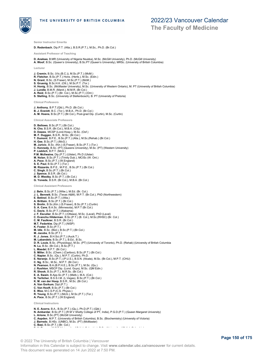

### 2022/23 Vancouver Calendar

**The Faculty of Medicine**

**Senior Instructor Emerita D. Redenbach**, Dip.P.T. (Alta.), B.S.R.(P.T.), M.Sc., Ph.D. (Br.Col.) **Assistant Professor of Teaching D. Anekwe**, B.MR (University of Nigeria Nsukka), M.Sc. (McGill University), Ph.D. (McGill University) **A. Woof**, B.Sc. (Queen's University), B.Sc.PT (Queen's University), MRSc. (University of British Columbia) **Lecturer J. Cremin**, B.Sc. (Vic.(B.C.)), M.Sc.(P.T.) (McM.) **R. Fletcher**, B.Sc.(P.T.) Hons. (Herts.), M.Sc. (Edin.)<br>**N. Grant**, B.Sc. (S.Fraser), M.Sc.(P.T.) (McM.)<br>**S. Gruenig**, B.Sc.H.K. (Ott.), M.Sc.P.T. (Tor.) **H. Honig**, B.Sc. (McMaster University), M.Sc. (University of Western Ontario), M. PT (University of British Columbia) **J. Lundie**, B.M.R. (Manit.), M.M.R. (Br.Col.) **A. Reid**, B.Sc.(P.T.) (Br. Col.), M.Sc.(P.T.) (Ont.) **S. Stelling**, B.Sc. (University of Stellenbosch), B. PT (University of Pretoria) **Clinical Professors J. Anthony**, B.P.T.(Qld.), Ph.D. (Br.Col.)<br>**B. J. Everett**, B.C. (Tor.), M.B.A., Ph.D. (Br.Col.)<br>**A. M. Hoens**, B.Sc.(P.T.) (Br.Col.), Post-grad Dip. (Curtin), M.Sc. (Curtin) **Clinical Associate Professors D. Bellows**, B.Sc.(P.T.) (Br.Col.) **N. Cho**, B.S.R. (Br.Col.), M.B.A. (City) **D. Dawes**, MCSP (Lond.Hosp.), M.Sc. (Oxf.) **M. F. Duggan**, B.S.R., M.Sc. (Br.Col.) **T. Dumont**, B.P.E., B.Sc.(P.T.) (Alta.), M.Sc.(Rehab.) (Br.Col.) **H. Gee**, B.Sc.(P.T.) (McG.) **M. Juricic**, B.Sc. (Kin.) (S.Fraser), B.Sc.(P.T.) (Tor.) **C. Kennedy**, B.Sc. (PT) (Queens University), M.Sc. (PT) (Western University) **P. Lieblich**, B.P.T. (McG.) **P.M. McIlwaine**, Dip.(P.T.) (Ulster), Ph.D (Ulster) **M. Nolan**, B.Sc.(P.T.) (Trinity Dub.), MCISc (W. Ont.) **A. Pace**, B.Sc.(P.T.) (W.England) **S. E. Paul**, B.Sc.(P.T.) (Tor.) **M. Rizzardo**, B.P.E., M.P.E., B.Sc.(P.T.) (Br.Col.) **C. Singh**, B.Sc.(P.T.) (Br.Col.) **J. Spence**, B.S.R. (Br.Col.) **M. D. Westby**, B.Sc (P.T.) (Br.Col.) **G. Yoneda**, B.S.R. (Br.Col.), M.B.A. (Br.Col.) **Clinical Assistant Professors J. Behr**, B.Sc.(P.T.) (Witw.), M.Ed. (Br. Col.) **J. L. Bennett**, B.Sc. (Texas A&M), M.P.T. (Br.Col.), PhD (Northwestern) **E. Betinol**, B.Sc.(P.T.) (Alta.) **A. Brittain**, B.Sc.(P.T.) (Br.Col.) **S. Brolin**, B.Sc.(Kin.) (S.Fraser), B.Sc.(P.T.) (Curtin) **S. A. Cave**, B.A.Sc. (Minnesota), M.P.T (Br.Col.) **C. Davis**, B.Sc.(P.T.) (Alabama) **J. F. Esculier**, B.Sc.(P.T.) (Ottawa), M.Sc. (Laval), PhD (Laval) **C. Evanchu Hilderman**, B.Sc.(P.T.) (B. Col.), M.Sc.(RHSC) (Br. Col.) **C. M. Faulkner**, B.S.R. (Br.Col.)

**M.T. Fedorkiw**, Dip.(P.T.) (NISP) **K. Foster**, B.Sc.(P.T.)<br>**M. Idle**, B.Sc. (Biol.), B.Sc.(P.T.) (Br.Col.)<br>**R. J. Jones**, B.Sc.(P.T.)<br>**R. J. Jones**, B.H.Sci.(P.T.) (Auck.T.)<br>**M. Labandelo**, B.Sc.(P.T.), B.Ed., B.Sc. **D. R. Louie**, B.Sc. (Physiology), M.Sc. (PT) (University of Toronto), Ph.D. (Rehab) (University of British Columbia **N. Lu**, B.Sc. (Br.Col.), B.Sc.(P.T.) L. Maedel, B.P.T. (Br.Col.)<br>S. Miller, B.Sc. (Chem.) (Cariboo), B.Sc.(P.T.) (Br.Col.)<br>C. Napier, B.Sc. (Qu.), M.P.T. (Curtin), Ph.D.<br>E. Naranjo, B.Sc. (Qu.), M.P.T. (Curtin), Ph.D.<br>C. Ng B.Sc., M.Sc., M.P.T. (Br.Col.)<br>N. P **C. Van Hooft**, B.Sc.(P.T.) (Br.Col.)<br>**E. Woo**, M.C.S.P.(C.S. Physio.) **R. Yeung**, B.Sc.(P.T.) (McG.), M.Sc.(P.T.) (Tor.) **A. Pace**, B.Sc.(P.T.) (W.England) **Clinical Instructors N. E. Acerra**, B.A., B.Sc.(P.T.) (Qu.), Ph.D.(P.T.) (Qld.) **N. Ambardar**, B.Sc.(P.T.) (R M V Shetty College of PT, India), P.G.D.(P.T.) (Queen Margaret University)

**L. Arione**, B.Sc.(PT) (McGill University) **C. Aspden**, M.P.T. (University of British Columbia), B.Sc. (Biochemistry) (University of Victoria)

- **J. Barredo**, B.HSc. (UNBC), M.Sc. (PT) (McMaster)
- **C. Basi**, B.Sc.(P.T.) (Br. Col.)<br>— H. Bergen, M.P.T (University of British Columbia), B.S. (University of British Columbia), B.Sc. (University o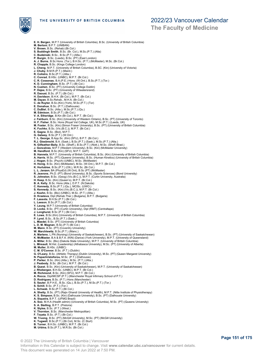## 2022/23 Vancouver Calendar

### **The Faculty of Medicine**

**E. H. Bergen**, M.P.T (University of British Columbia), B.Sc. (University of British Columbia) **M. Bertoni**, B.P.T. (UNIBAN) **V. Brown**, B.Sc. (Rehab) (Br.Col.) **S. Buddingh Smith**, B.Sc. (Br. Col.), M.Sc.(P.T.) (Alta) **C. Budzinski**, B.Sc., B.Sc.(P.T.) (Alta.) **P. Burgin**, B.Sc. (Leeds), B.Sc. (PT) (East London) **A. J. Burns**, B.Sc Hons. (Tor.), B.H.Sc. (P.T.) (McMaster), M.Sc. (Br.Col.) **R. Chapple**, B.Sc. (Kings College London) **L. Cheng**, M.P.T. (University of British Columbia), B.SC. (Kin) (University of Victoria) J. Chuby, B.M.R.(P.T.) (Manit.)<br>R. Colistro, B.Sc.(P.T.) (Alta.)<br>C. Conrad, B.HSc. (UNBC), M.P.T. (Br.Col.)<br>C. R. Cossenas, B.A.(P.E.) Hons. (W.Ont.), B.Sc.(P.T.) (Tor.)<br>K. D. Cunningham, B.Sc. (P.T.) (Br.Col.) **N. Cushen**, B.Sc. (PT) (University College Dublin) **P. Dajee**, B.Sc. (PT) (University of Witwatersrand) **R. Daoust**, B.Sc. (P.T.) (Br.Col.) **H. Davidson**, B.H.K. (Br.Col.), M.P.T. (Br.Col.) **M. Dayan**, B.Sc.Rehab., M.H.A. (Br.Col.) **C. de Ruyter**, B.Sc.(Kin) (York), M.Sc.(P.T.) (Tor) **E. Donahue**, B.Sc. (P.T.) (Dalhousie) **C. DuBiel**, B.Sc. (Alta.), M.Sc.(P.T.) (Qu.) **M. Edmison**, B.Sc.(P.T.) (Br.Col.) **V. A. Etheridge,** B.Kin (Br.Col.), M.P.T. (Br.Col.)<br>**J. Fairburn**, B.Sc. (Kin) (University of Western Ontario), B.Sc. (PT) (University of Toronto)<br>**H. F. Fisher,** B.Sc. Hons (Royal Vet College, UK), M.Sc (P.T.) (Leeds, UK **M. Foster**, B.Sc. (Kin) (Simon Fraser University), B.Sc. (PT) (University of British Columbia) **K. Fuchko**, B.Sc. (Vic.(B.C.)), M.P.T. (Br.Col.) **E. Gagne**, B.Sc. (Biol), M.P.T. **G. Galway**, B.Sc.(P.T.) (W.Ont.) **T. L. George**, B.App.Sc. (Kin) (SFU), B.P.T. (Br.Col.) **R.J. Giesbrecht**, B.A. (Sask.), B.Sc.(P.T.) (Sask.), M.Sc.(P.T.) (Alta.) **N. Gilfeather-Baily**, B.Sc. (Sheff.), B.Sc.(P.T.) (Nott.), M.Sc. (Sheff./Brad.) **J. Goncalves**, M.P.T (Western University), B.Sc. (Kin) (McMaster University) **M. Handford**, B.Sc (Kin) (SFU), M.P.T. UofT) **B. Hannela**, M.P.T. (University of British Columbia), B.Sc. (Kin) (University of British Columbia) **A. Harris**, M.Sc. (PT) (Queens University), B.Sc. (Human Kinetics) (University of British Columbia) **J. Hogan**, B.Sc. (Psych) (UNBC), M.Sc. (McMaster) **H. Honig**, B.Sc. (Kin) (McMaster), M.Sc. (W.Ont.), M.P.T. (Br.Col.) **K. Hurtubise**, B.Sc.(P.T.) (Ott.), M.R.Sc. (Br.Col.) L. L. J**anzen**, BA (PhysEd) (W.Ont), B.Sc (PT) (McMaster)<br>**R. Jeavons**, Ph.D. (PT) (Bond University), B.Sc. (Sports Sciences) (Bond University)<br>**S. Johnston**, B.Sc. (Geog) (Vic.(B.C.)), M.P.T. (Curtin University, Australia **H. Keep**, B.Sc. (Kin) (Queen's), M.P.T. (Br.Col.) **B. A. Kelly**, B.Sc. Hons (Alta.), D.P.T. (N.Dakota) **C. Kennedy**, B.Sc.(P.T.) (Qu.), MClSc. (UWO.) **S. Kennedy**, B.Sc. (Kin) (Vic.(B.C.)), M.P.T. (Br.Col.) **J. Koehn**, B.Sc. (Bio) (UNBC), M.Sc. (P.T.) (Alta.) **D. Krasteva**, Dipl (Rehab.Ther.) (Bulgaria), B.P.T. (Bulgaria) **F. Lassota**, B.H.Sc.(P.T.) (Br.Col.) **L. Leeson**, B.Sc.(P.T.) (Br.Col.) **Y. Leung**, M.P.T (University of British Columbia) **D. Locke**, B.Sc. (PT) (Curtin University), Dipl (RMT) (Centraltape) **J. Longhurst**, B.Sc (P.T.) (Br.Col.) **E. Lowe**, B.Sc (Kin) (University of British Columbia), M.P.T. (University of British Columbia) **P. Lynd**, B.Sc., B.Sc.(P.T.) (Sask.) **L. Maedel**, B.Sc. (PT) (University of British Columbia) **L. D. M. Magnan**, B.Sc.(P.T) (Br.Col.) **M. Mann**, B.Sc. (PT) (Coventry University) **W. Marchlewitz**, B.Sc.(P.T.) (Manc.) **A. Martens**, L.PN (Nursing) (University of Saskatchewan), B.Sc. (PT) (University of Saskatchewan) **K. McMaster**, B.A & B.F.A. (KIN) (Dance) (York University), M.P.T. (University of Queensland) **A. Miller**, B.Sc. (Bio) (Dakota State University), M.P.T. (University of British Columbia) **L. Mireault**, M.Hst. (Leadership) (Athabasca University), M.Sc. (PT) (University of Alberta) **M. Muller**, B.HSc. (UNBC) **C. M. O'Connor**, B.Sc. (P.T.) (Dublin) **G. O'Leary,** B.Sc. (Athletic Therapy) (Dublin University), M.Sc. (PT) (Queen Margaret University)<br>**N. Papachristoforou,** M.Sc. (P.T.) (Dalhousie)<br>**P. Parker,** B.Sc. (Kin) (Alta.), M.Sc. (P.T.) (Alta.)<br>**J. Peabody,** B.Sc. M. Richmond, B.Sc. (Kin) (SFU), M.P.T. (Br.Col.)<br>A. Rocca, Dipl/MCSP (P.T.) (Manchester Royal Infirmary School of P.T.)<br>D. Rodrigues, B.Sc. (P.T.) Hons (Manchester)<br>S. Schill, B.Sc. (P.T.) Hons (Manchester)<br>S. Schill, B.Sc **A. Shetty**, B.Sc. (PT) (Rajiv Ghandi University of Health), M.P.T. (Nitte Institute of Physiotherapy) **K. S. Simpson**, B.Sc. (Kin) (Dalhousie University), B.Sc. (PT) (Dalhousie University) **A. Siqueira**, B.P.T. (UFMG Brazil) **A. Soo**, M.H.A (Health admin) (University of British Columbia), M.Sc. (PT) (Queens University) **S. A. Stelling**, B.P.T. (Pretoria)<br>**K. Styles**, B.Sc. (P.T.) (West.)<br>**V. Thornton**, B.Sc. (Manchester Metropolitan) **F. Toyata**, B.Sc. (P.T.) (Br.Col.) **W. Truong**, B.Sc. (PT) (McGill University), M.Sc. (PT) (McGill University) **K. Tugwell**, B.Sc.(P.T.) (Br.Col), M.Sc. (C.Sturt) **B. Turner**, B.H.Sc. (UNBC), M.P.T. (Br.Col.) **M. Urbina**, B.Sc.(P.T.), M.R.Sc. (Br.Col.)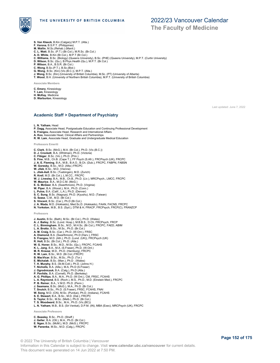

### 2022/23 Vancouver Calendar

### **The Faculty of Medicine**

- **S. Van Kleeck**, B.Kin (Calgary) M.P.T. (Alta.)
- **F. Varona**, B.S.P.T. (Philippines) **M. Wallin**, M.Sc.(Rehab.) (Manit.)
- 
- 
- 
- C. L. Watt, B.Sc. (P.T.) (Br.Col.), M.R.Sc. (Br.Col.)<br>A. D. White, B.Kin (Br.Col.), M.P.T (Br.Col.)<br>C. Williams, B.Sc. (Biology) (Queens University), B.Sc. (PHE) (Queens University), M.P.T. (Curtin University)<br>D. Wilson, B
- 
- 
- 
- 
- **C. Wong,** B.Sc.(P.T.), B.Sc.(Biol.)<br>**G. Wong**, B.Sc. (Kin) (Vic.(B.C.)), M.P.T. (Alta.)<br>**J. Wong**, B.Sc. (Kin) (University of British Columbia), M.Sc. (PT) (University of Alberta)<br>**T. Wood**, B.H. (University of Northern B

**Associate Members**

- **C. Emery**, Kinesiology
- **T. Lam**, Kinesiology
- **H. McKay**, Medicine
- **D. Warburton**, Kinesiology

Last updated: June 7, 2022

### **Academic Staff > Department of Psychiatry**

- **L. N. Yatham**, Head
- **P. Dagg**, Associate Head, Postgraduate Education and Continuing Professional Development
- **S. Frangou**, Associate Head, Research and International Affairs
- **A. Koo**, Associate Head, Clinical Affairs and Partnerships **R. W. Lam**, Associate Head, Graduate and Undergraduate Medical Education

**Professors Emeriti**

- **C. Clark**, B.Sc. (McG.), M.A. (Br.Col.), Ph.D. (Vic.(B.C.)) **D. J. Crockett**, B.A. (Whitman), Ph.D. (Victoria) **C. Fibiger**, B.Sc. (Vic.), Ph.D. (Prin.) **S. Fine**, M.B., Ch.B. (Cape T.), FF Psych (S.Afr.), FRCPsych (UK), FRCPC **J. A. E. Fleming**, B.A., M.B., B.A.O., B.Ch. (Dub.), FRCPC, FABPN, FABSN **W. Goresky**, B.Sc., M.D. (Alta.) FRCPC **W. Jilek**, B.Sc., M.D. (Vienna) **L. Jilek-Aall**, B.Sc. (Tuebingen), M.D. (Zurich) **R. Krell**, M.D. (Br.Col.), L.M.CC., FRCPC **W. J. Livesley**, B.A., M.B., Ch.B., Ph.D. (Liv.), MRCPsych., LMCC, FRCPC **W. Maurice**, B.A., M.D.C.M. (McG.) **E. G. McGeer**, B.A. (Swarthmore), Ph.D. (Virginia) **W. Piper**, B.A. (Woost.), M.A., Ph.D. (Conn.) **L. Pulos**, B.A. (Calif., L.A.), Ph.D. (Denver) **S. C. Sung**, B.Sc. (Nagoya), Ph.D. (Kyushu), M.D. (Taiwan) **G. Szasz**, C.M., M.D. (Br.Col.) **S. Vincent**, B.Sc. (Car.), Ph.D (Br.Col.) **J. A. Wada**, M.D. (Hokkaido), Med.Sc.D. (Hokkaido), FAAN, FACNS, FRCPC **N. Yorkston**, M.B., B.S. (Syd.), DTM & H, FRACP, FRCPsych, FRCP(C), FRANZCP **Professors** J. Austin, B.Sc. (Bath), M.Sc. (Br.Col.), Ph.D. (Wales)<br>A. J. Balley, B.Sc. (Lond. Hosp.), M.B.B.S., D.Ch. FRCPsych, FRCP<br>C. L. Birmingham, B.Sc., M.D., M.H.Sc. (Br.Col.), FRCPC, FAED, ABIM<br>L. A. Brotto, B.Sc., M.Sc., Ph.D **S. Frangou**, M.D. (Ath.), Ph.D. (Lond. (UK)), FRCPsych (UK) **R. Holt**, B.Sc. (Br.Col.), Ph.D. (Alta.) **W. G. Honer**, B.Sc., M.D., M.Sc. (Qu.), FRCPC, FCAHS **K. L. Jang**, B.A., M.A. (S.Fraser), Ph.D. (W.Ont.) **M. R. Krausz**, M.D., Ph.D. (Hamburg), FRCPC **R. W. Lam**, B.Sc., M.D. (Br.Col.) FRCPC **B. MacVicar**, B.Sc., M.Sc., Ph.D. (Tor.) **E. Michalak**, B.Sc. (Man.), Ph.D . (Wales) **T. H. Murphy**, B.S. (St.M.Coll.), Ph.D. (Johns H.) T. Nicholls, B.A. (Alta.), M.A, Ph.D (S.Fraser)<br>**J. Ogrodniczuk**, B.A. (Calg.), Ph.D (Alta.)<br>**P. Pavildis**, B.A. (Comell), Ph.D. (Berkeley)<br>**A. G. Phillips**, B.A., M.A., Ph.D. (W.Ont.), CM, FRSC, FCAHS<br>**L. A. Raymond**, B.S **P. B. Reiner**, B.A., V.M.D. Ph.D. (Penn.)
- **J. Seamans**, B.Sc. (McG.), M.A., Ph.D. (Br.Col.) **T. Snutch**, B.Sc., Ph.D. (S.Fraser), FRSC, FCAHS, FNAI
- 
- **W. Song**, M.D. (CN), M.Sc. (Purdue), Ph.D. (Indiana), FCAHS
- 
- **S. E. Stewart**, B.A., B.Sc., M.D. (Dal.), FRCPC **S. Taylor**, B.Sc., M.Sc. (Melb.), Ph.D. (Br.Col.) **T. S. Woodward**, B.Sc., M.A., Ph.D. (Vic.(BC))
- **L. N. Yatham**, M.B., B.S. (Sri Venkat), D.P.M. (IN), MBA (Exec), MRCPsych (UK), FRCPC

**Associate Professors**

**C. Beasley**, B.Sc., Ph.D. (Sheff.)

- **J. Geller**, B.A. (Ott.), M.A., Ph.D. (Br.Col.) **E. Ngan**, B.Sc. (McM.), M.D. (McG.), FRCPC
- **W. Panenka**, M.Sc., M.D. (Calg.), FRCPC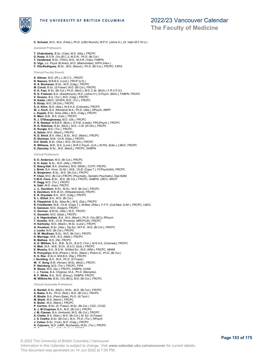

# 2022/23 Vancouver Calendar

**The Faculty of Medicine**

**C. Schuetz**, M.D., M.A. (Freib.), Ph.D. (LMU Munich), M.P.H. (Johns H.), Dr. habil (R.F.W.U.)

- **Assistant Professors T. Chakrabarty**, B.Sc. (Yale), M.D. (Alta.), FRCPC **D. Kealy**, B.S.W. (Vic.(B.C.)), M.S.W., Ph.D. (Br.Col.) **T. Vanderwal**, B.Sc. (TWU), M.D., M.A.R. (Yale), FABPN **D. Vigo**, Lic. Psych (B.Aires), M.D. (Maimonides), DrPH (Harv.) **F. Vila-Rodriguez**, M.Sc., M.D. (Barcel.), Ph.D. (Br.Col.), FRCPC, FAPA **Clinical Faculty Emeriti S. Altman**, M.D. (PL), L.M.C.C., FRCPC **R. Basson**, M.B.B.S. (Lond.), FRCP (U.K.) **R. A. Buchanan**, B.Sc., M.D. (Calg.), FRCPC **M. Corral**, B.Sc. (S.Fraser), M.D. (Br.Col.), FRCPC **D. K. Fast**, B.Sc. (Br.Col.); Ph.D. (McG.); M.D.,C.M. (McG.); F.R.C.P.(C) **R. D. Freeman**, B.A. (Swarthmore), M.D. (Johns H.), D.Psych. (McG.), FABPN, FRCPC **V. Gruson**, B.A. (Tor.), M.D. (Calg.), FRCPC **R. Kalda**, LMCC, DFAPA, M.D. (Tor.), FRCPC **S. Kiraly**, M.D. (W.Ont.), FRCPC **S. A. Kline**, M.D. (Alta.), M.S.H.A. (Colorado), FRCPC **W. J. Koch**, B.A. (Montana) M.A., Ph.D. (Alta.), RPsych, ABPP **L. Kopala**, B.Sc. Hons (Alta.), M.D. (Calg.), FRCPC **S. Misri**, M.B., B.S. (Calc.), FRCPC **R. J. O'Shaughnessy**, M.D. (Ott.), FRCPC<br>**P. N. Reebye**, M.B.B.S. (Bom.), D.P.M. (Leeds), FRC(Psych.), FRCPC<br>**R. O. Robinow**, B.Sc. (McG.), M.D., C.M. (W.Ont.), FRCPC **K. Rungta**, M.D. (Tor.), FRCPC **A. Sehon**, M.D. (Manit.), FRCPC **R. D. Shick**, B.A. (Wis.), B.Sc., M.D. (Manit.), FRCPC **R. Shulman**, M.B., Ch.B. (Glas.), FRCPC **D.H. Smith**, B.Sc. (Wat.), M.D. (W.Ont.), FRCPC **R. Williams**, M.B., B.S. (Lond.), M.R.C.Psych. (U.K.), M.Phil. (Edin.), LMCC, FRCPC **S. Zipursky**, B.Sc., M.D. (Manit.), FRCPC, DABPN **Clinical Professors S. D. Anderson**, M.D. (Br.Col.), FRCPC **A. H. Axler,** B.Sc., M.D. (Alta.), FRCPC<br>**E. Baerg Hall**, B.A. (Goshen), M.D. (McM.), CCFP, FRCPC<br>**J. Brink**, B.A. Hons. (S.Afr.). M.B., Ch.B. (Cape.T.), FCPsych(SA), FRCPC **A. Burgmann**, B.Sc., M.D. (Br.Col.), FRCPC<br>**P. Chan**, M.D. (Br.Col.) FRCPC (Psychiatry, Geriatric Psychiatry), Dipl.ISAM<br>**C.W.H. Choo**, B.Sc., M.D. (Br.Col.), FRCPC, DABPN, LMCC, MACP **P. Dagg**, M.D. (Tor.), FRCPC<br>**A. Dahi**, M.D. (Iran), FRCPC<br>**J. -L. Davidson**, B.Sc., M.Sc., M.D. (Br.Col.), FRCPC<br>**S. Davidson**, M.B.,B.Ch. (Witwatersrand), FRCPC<br>**E. R. Drysdale**, B.A., M.D. (Calg.), FRCPC S. L. Elliott, B.A., M.D. (Br.Col.)<br>**S. Fitzpatrick**, B.Sc. (New Br.), M.D. (Dal.), FRCPC<br>**R. Friedlander**, M.B., Ch.B. (Cape T.), M.Med. (Witw.), F.F.P. (Coll.Med. S.Afr.), FRCPC, LMCC<br>**S. Ganesan**, M.D. (Saigon), FRCPC **C. Gorman**, B.M.Sc. (Alta.), M.D., FRCPC<br>**C. Gosselin**, M.D. (Sask.), FRCPC<br>**J. A. Higenbottam**, B.A., M.A. (Manit.), Ph.D. (Vic.(BC)), RPsych T. Hurwitz, M.B., Ch.B. (Pretoria), MRCP(UK), FRCPC<br>H. Karlinsky, M.D. (Manit.), M.Sc. (Lond.), FRCPC<br>G. Knudson, B.Sc. (Alta.), Dip.Ed., M.P.E., M.D. (Br.Col.), FRCPC<br>J. Locke, M.D. (Br.Col.), FRCPC<br>G. W. MacEwan, B.Sc., **A. D. Milliken**, B.A., M.B., B.Ch., B.A.O. (Trin.), M.S.H.A. (Colorado), FRCPC<br>**H. Mok,** M.A., M.B., B.Ch., B.A.O. (Dub.), FRCPC<br>**E. Murphy**, B.A., B.S.W., M.Med.Sci., M.D. (Nfld.), FRCPC, ABAM **R. Procyshyn**, B.Sc.(Pharm.), M.Sc. (Manit.), Pharm.D., Ph.D. (Br.Col.)<br>**K. S. Riar**, B.Sc.II, M.B.B.S. (Raj.), FRCPC<br>**I. Sochting**, B.A., M.A., Ph.D. (S.Fraser) **W. -Y. Song**, B.M. (Hunan), M.Sc. (McG.), FRCPC **P. Steinberg**, M.D. (Tor.), FRCPC, FIPA **R. Stowe**, M.D. (Qu.), FRCPC, DABPN, UCNS **I . J. Torres**, B.A. (Virginia), M.A., Ph.D. (Memphis) **R. F. White**, B.A., M.D. (Emory), DABPN, FRCPC **M. Wilkins-Ho**, B.Sc. (Vic.(BC)), M.D. (Br.Col.), FRCPC **Clinical Associate Professors A. Bardell**, B.Sc. (McG.), M.Sc., M.D. (Br.Col.), FRCPC **A. Bates**, B.Sc., Ph.D. (Nott.), M.D. (Br.Col.), FRCPC **R. Bhalla**, B.A. (Penn.State), Ph.D. (Ill.Tech.) **M. Blank**, M.D. (Manit.), FRCPC<br>**K. Buller**, M.D. (Manit.), FRCPC<br>**P. Carrion**, B.Sc. (S. Fraser), M.Sc. (Br.Col.), CGC, CCGC
- 
- **A. J. M Chapman**, B.A., M.D. (Br.Col.), FRCPC **J. M. Claman**, B.A. (Amherst), M.D. (Br.Col.), FRCPC
- **A. Clarke**, B.S. (Stan.), M.D. (Br.Col.), M. Ed. (S.Fraser)
- 
- **J. S. Coelho**, B.Sc. (Br.Col.), M.A., Ph.D. (Tor.), RPsych **J. Cohen**, B.Sc. (York), M.D. (Calg.), FRCPC
- **A. Cojocaru**, M.D. (UMP, Bucharest), M.Sc. (Tor.), FRCPC
- **M. Cooper**, B.Sc., M.D. (Br.Col.), FRCPC

© 2022 The University of British Columbia | Vancouver Information in this Calendar is subject to change. Visit **www.calendar.ubc.ca/vancouver** for current details. This document was generated on 14 Jun 2022 at 7:50 PM.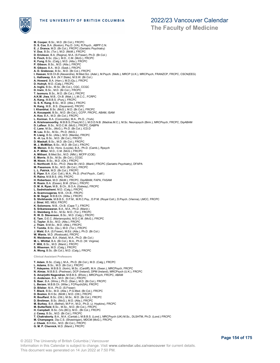**The Faculty of Medicine**

**M. Cooper**, B.Sc., M.D. (Br.Col.), FRCPC **D. S. Cox**, B.A. (Boston), Psy.D. (VA), R.Psych., ABPP.C.N. **E. J. Drance**, M.D. (Br.Col.), FRCPC (Geriatric Psychiatry) **V. Dua**, B.Sc. (Tor.), M.D. (McM.), FRCPC **D. Erickson**, B.A. (Regina), M.A. (S.Fraser), Ph.D. (Br.Col.) **S. Finch**, B.Sc. (Qu.), M.D., C.M. (McG.), FRCPC **K. Fung**, B.Sc. (Calg.), M.D. (Alta.), FRCPC<br>**P. Gibson**, B.Sc., M.D. (Alta.), FRCPC<br>**R. Gibson**, B.A., M.D. (Sask.), FRCPC<br>**A. D. Grabovac,** B.Sc., M.D. (Br.Col.), FRCPC<br>**A. D. Grabovac**, B.Sc., M.D. (Br.Col.), FRCPC<br>**I. L. Hathaway**, B.A. (N.Y.State), M.S.W. (Br.Col.)<br>**A. Howard**, B.A. (Harv.), M.D.(Qu.), FRCPC<br>**D. Hutnyk**, M.D. (Calg.), FRCPC<br>**A. Inglis**, B.Sc., M.Sc. (Br.Col.), CGC, CCGC D. Irwin, B.Sc., M.D. (Br.Col.), FRCPC<br>T. Isomura, B.Sc., M.D. (Br.Col.), FRCPC<br>A.K.M. Jiwa, M.B., Ch.B. (Mak.), L.M.C.C., FCRPC<br>A. Kang, M.B.B.S. (Punj.), FRCPC<br>G. S. K. Kang, B.Sc., M.D. (Alta.), FRCPC<br>I. Khanbhai, B.S.c A. Koo, B.A., M.D. (Br.Col.), FRCPC<br>**L. Korman,** B.A. (Concordia), M.A., Ph.D., (York)<br>**A. Krishnamoorthy**, M.B.B.S.(Thanj.M.C.), M.D.D.N.B. (Madras.M.C.), M.Sc. Neuropsych (Birm.), MRCPsych, FRCPC, DipABAM<br>**D. Lafleur,** B **M. Lau**, B.Sc., M.Sc., Ph.D. (McG.) **R. Liang**, B.Sc. (Alta.), M.D. (Manila), FRCPC **S. -H. Lu**, B.Sc., M.D. (Br.Col.), FRCPC **D. Maskall**, B.Sc., M.D. (Br.Col.), FRCPC **M. J. McMillan**, B.Sc., M.D. (Br.Col.), FRCPC **M. Menon**, B.Sc. Hons. (Loyola), B.A., Ph.D. (Camb.), Rpsych **A. P. Miller**, M.D., C.M. (McG.), FRCPC **A. Mithani**, B.Med.Sci., M.D. (Nfld.), MCFP (COE) **E. Morris**, B.Sc., M.Sc. (Br.Col.), CCGC **M. Nixon**, B.Sc., M.D. (Ott.), FRCPC **C. Northcott**, B.Sc., Ph.D. (New Br.) M.D. (Manit.) FRCPC (Geriatric Psychiatry), DFAPA **M. Passmore**, B.Sc., M.D. (Br.Col.), FRCPC **L. L. Patrick**, M.D. (Br.Col.), FRCPC **E. Piper**, B.A. (Col. Coll.), M.A., Ph.D. (Prof.Psych., Calif.) **R. Raina**, M.B.B.S. (IN), FRCPC **H. Robertson**, M.D. (McM.), FRCPC, DipABAM, FAPA, FASAM<br>**R. Rosin**, B.A. (Essex), B.M. (S'ton.), FRCPC<br>**D. M. A. Ryan**, M.B., B.Ch., B.O.A. (Galway), FRCPC **L. Sadrehashemi**, M.D. (Calg.), FRCPC **A. Scamvougeras**, M.B., Ch.B., FRCPC **B. M. Segal**, M.B.B.Ch. (Witw.), FRCPC **S. Shrikhande**, M.B.B.S., D.P.M., M.R.C.Psy., D.P.M. (Royal Coll.), D.Psych. (Vienna), LMCC, FRCPC **J. Sinai**, MD, MEd, FRCPC **K. Solomons**, M.B., Ch.B. (Cape T.), FRCPC **S. Srikameswaran**, B.A., M.A., Ph.D. (Manit.) **C. Steinberg**, B.Sc., M.Sc. M.D. (Tor.), FRCPC **R. W. D. Stevenson**, B.Sc., M.D. (Calg.), FRCPC **E. Tam**, D.E.C. (Marianopolis), M.D.C.M. (McG.), FRCPC **C. Taylor**, B.Sc., M.D. (Alta.), FRCPC **J. Tham**, B.M.Sc., M.D. (Alta.), FRCPC **T. Tomita**, B.Sc. (Qu.), M.D. (Tor.), FRCPC **J. Wald**, B.A. (S.Fraser), M.Ed. (Alta.), Ph.D. (Br.Col.) **W. Wanis**, M.D. (Rostouski), FRCPC **R. Weideman**, B.A. (Natal), M.A., Ph.D. (Br.Col.) **M. L. Whittal**, B.A. (Br.Col.), M.A., Ph.D. (W. Virginia) **F. Wilt**, B.Sc., M.D. (Manit.), FRCPC **S. Wiseman**, M.D. (Calg.), FRCPC **A. Wong**, B.Sc. (Br.Col.), M.D. (Calg.), FRCPC **Clinical Assistant Professors** T. Adam, B.Sc. (Calg.), M.A., Ph.D. (Br.Col.), M.D. (Calg.), FRCPC<br>L. Adams, B.Sc., M.D. (Br.Col.), FRCPC<br>T. Adeyemo, M.B.B.S. (Ilorin), M.Sc. (Cardiff), M.A. (Swan.), MRCPsych, FRCPC<br>N. Almas, M.B.B.S. (Peshwar), DCP (Ire **D. Bilsker**, M.A., Ph.D. (S.Fraser) **T. Black**, B.Sc., M.D. (Alta.), P.G.Med. (Br.Col.), FRCPC **D. Boston**, B.H.Sc. (McM.), M.D. (Ott.), FRCPC R. Bouffard, B.Sc. (Ott.), M.Sc., M.D. (Br.Col.), FRCPC<br>D. Breitman, B.Sc. (McG.), M.D. (Alta.), FRCPC<br>**M. Burkey**, B.A. (Bethel), M.P.H., M.D., Ph.D. (J. Hopkins), FRCPC<br>**M. Butterfield**, B.Sc., M.Sc., M.D. (Br.Col.), FRC **J. Casey**, B.Sc., M.D. (Br.Col.), FRCPC **T. Chakraborty**, B.A., M.A. (Cantab.), M.B.B.S. (Lond.), MRCPsych (UK) M.Sc., DLSHTM, Ph.D. (Lond.) FRCPC **M. Champagne**, Dip.C.S. (Shawinigan), MDCM (McG.), FRCPC **J. Cheek**, B.H.Kin., M.D. (Br.Col.), FRCPC **G. M. P. Chernick**, M.D. (Manit.), FRCPC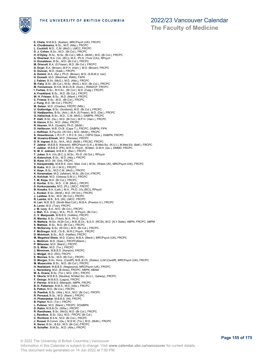

## 2022/23 Vancouver Calendar

**The Faculty of Medicine**

**E. Chete**, M.B.B.S. (Ibadan), MRCPsych (UK), FRCPC **A. Chodkiewicz**, B.Sc., M.D. (Alta.), FRCPC **L. Cockhill**, M.D., C.M. (McG.), LMCC, FRCPC **D. J. Cohen**, B.Sc., M.D., (Br.Col.), FRCPC **H. D'Oyley**, B.Sc., M.Sc. (Br.Col.), MB.A. (McM.), M.D. (Br.Col.), FRCPC **A. Dhariwal**, B.A. (Vic. (BC)), M.A., Ph.D. (York (CA)), RPsych H. Donaldson, B.Sc., M.D. (Br.Col.), FRCPC<br>M. Driscoll, B.A. (S.Fraser), M.D. (Br.Col.), FRCPC<br>D. Dryer, B.A. (Brown), M.P.H. (Harv.), M.D. (Brown), FRCPC<br>D. Duncan, M.D. (Sask.), FRCPC<br>A. Eslami, M.A. (Syr.), Ph.D. (Brown **J. Fabian**, B.Sc. (McG.), M.D. (Alta.), FRCPC **M. Fahy**, B.Sc. (Br.Col.), M.Sc. (McG.), M.D. (Br.Col.), FRCPC **M. Fennemore**, B.H.B, M.B.Ch.B. (Auck.), RANZCP, FRCPC I. Forbes, B.Sc., M.H.Sc., (Br.Col.), M.D. (Calg.), FRCPC<br>A. Frankland, B.Sc., M.D. (Br.Col.), FRCPC<br>W. H. Friesen, B.Sc., M.D. (Manit.), FRCPC<br>C. Froese, B.Sc., M.D., (Br.Col.), FRCPC<br>J. Fung, M.D. (Br.Col.), FRCPC **M. Geizer**, M.D. (Charles), FRCPC (Nfld.)<br>**U. Gutteridge**, B.Sc. (Scotland), M.D. (Br.Col.), FRCPC<br>**G. Hadjipavlou**, B.Sc. (Ariz.), M.A. (S.Fraser), M.D. (Dal.), FRCPC **G. Halischuk**, B.Sc., M.D., C.M. (McG.), DABPN, FRCPC **P. Halli**, B.Sc. (Qu.), M.D. (Br.Col.), M.P.H. (Harv.), FRCPC **N. Hanon**, B.Sc., M.D. (Alta), FRCPC **R. Heaven**, M.A. (Guelph), Ph.D. (McM.) **D. Helibrunn**, M.B. Ch.B. (Cape T.), FRCPC, DABPN, FIPA **J. Hoffman,** B.Psy.Ed. (W.Ont.), M.D. (McM.), FRCPC<br>**S. Hosenbocus,** L.R.C.P., L.R.C.S. (Ire.), CSPQ (Que.), DABPN, FRCPC<br>**M. Ilcewicz-Klimek**, M.D. (Warsaw), FRCPC **D. R. Ingram**, B.Sc., M.A., M.D. (McM.), FRCSC, FRCPC **F. Jabbar**, M.B.B.S. (Karachi), MRCPsych (U.K.), M.Med.Sci. (N.U.I.), M.Med.Ed. (Belf.), FRCPC **F. Jabbar**, M.B.B.S. (PK), M.R.C. Psych., M.Med., D.M.H. (Qu.), DMMD, FRCPC **K. M. V. Jokhani**, M.B.B.S. (Ban.), FRCPC **T. Jukes**, B.A. (Vic.(B.C.)), M.Sc., Ph.D. (W.Ont.), RPsych **A. Kalenchuk**, B.Sc., M.D. (Alta.), FRCPC **B. Kane**, M.D. (W. Ont), FRCPC<br>**V. Karapareddy,** M.B.B.S. (Gov. Med. Coll.), M.Sc. (Wales UK), MRCPsych (UK), FRCPC<br>**B. Katta**, M.D. (A.I.I.M.S.), FRCPC **V. Kaye**, B.Sc., M.D.C.M. (McG.), FRCPC **K. Keramatian**, M.D. (Isfahan), M.Sc. (Br.Col.) FRCPC **A. Kolchak**, M.D. (Odessa S.M.U.), FRCPC **T. M. Kope**, M.D. (Br.Col.), FRCPC **E. Koritar**, B.Sc., M.D., C.M. (McG.), FRCPC **S. Korkuczanska**, M.D. (PL), LMCC, FRCPC **B. Kosaka**, B.A. (Leth.), M.A., Ph.D. (Vic.(BC)), RPsych **L. Kunkel**, B.Sc. (McM.), M.D. (W.Ont.), FRCPC **J. Laidlaw**, B.Sc., M.D. (Br.Col.), FRCPC **R. Lamba**, M.B., B.S. (IN), LMCC, FRCPC **H. Lari**, M.B. B.S. (Sindh Med.Coll.), M.B.A. (Preston U.), FRCPC **A. Levin**, M.D. (Tver), FRCPC **J. M. Levy**, B.A., M.D. (Br.Col.), FRCPC **J. Mah**, B.A. (Calg.), M.A., Ph.D., R.Psych. (Br.Col.) **C. V. Manjunath**, M.B.B.S. (Velldre), FRCPC **R. Manley**, B.Sc. (Trent), M.A., Ph.D. (Qu.) **N. Mathew**, M.Sci. (N.Br.Col.), M.B.,B.Ch., B.A.O. (RCSI), M.D. (N.Y.State), ABPN, FRCPC, ABPM **S. Mathias**, B.Sc., M.D. (Br.Col.), FRCPC **K. McGarvey**, B.Sc. (W.Ont.), M.D. (Br.Col.), FRCPC **F. McGregor**, M.B., Ch.B., M.R.C.Psych., FRCPC **D. McIntosh**, B.Sc., M.D. (Halifax), FRCPC **M. Megahed Gheis**, M.D. (Cairo), M.B.A. (Manit.), MRCPsych (UK), FRCPC **L. Meldrum**, M.D. (Sask.), FRCPC(Manit.) **P. Milanese**, M.D. (Manit.), FRCPC **D. S. Miller**, M.D. (Tor.), FRCPC **J. Mirmiram**, M.B.B.S. (Karachi), FRCPC **C. Molgat**, M.D. (RO), FRCPC **E. Moniwa**, B.Sc., M.D. (Br.Col.), FRCPC **D. Morgan**, B.Sc. Hons. (Cardiff), M.B.,B.Ch. (Wales), LLM (Cardiff), MRCPsych (UK), FRCPC **M. Musacchio**, B.Sc., M.D. (Br.Col.), FRCPC **H. Neelakant**, M.B.B.S. (Nagarjuna), MRCPsych (UK), FRCPC **L. Nerenberg**, M.D. (B.Aires), FRCPC, ABPN, ABAM M. A. Ocana, B.Sc. (Tor.), M.D. (Ott.), FRCPC<br>E. Okorie, M.B.B.S. (Nsukka), M.Med.Sci. (N.U.I., Galway), FRCPC<br>**F. Osiogo**, M.B.B.S. (Lagos), FRCPC<br>**V. Parmar**, M.B.B.S. (Manipal), ABPN, FRCPC<br>**B. D. Patterson**, B.M.S., M. S. Patton, M.D. (Br.Col.), FRCPC<br>G. Pawliuk, B.Sc. (Alta.), M.A., M.D. (Br.Col.), FRCPC<br>R. Persaud, B.Sc., M.D. (Manit.), FRCPC<br>H. Pinterpekar, M.B.B.S. (IN), FRCPC<br>B. Pipher, M.D. (Tor.), FRCPC<br>L. Pullmer, M.D. (Manit.), **D. Rabin**, M.B.B.Ch. (Witw.), FRCPC **R. Randhawa**, B.Sc. (McG), M.D. (Br.Col.), FRCPC **J. Raudzus**, B.Sc. (Qu), M.D., FRCPC (Br.Col.) **C. Richford**, B.S.N., M.D. (Br.Col.), FRCPC **J. Russel**, B.Comm. (Qu.), M.S.W. (Tor.), M.D. (McM.), FRCPC **K. Saran**, B.Sc., B.Ed., M.D. (Br.Col.) FRCPC **N. Schaffer**, B.M.Sc., M.D. (Alta.), FRCPC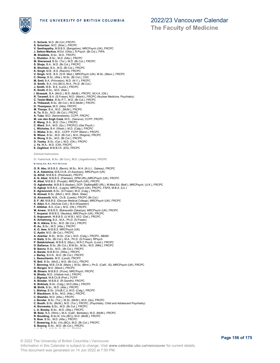

**The Faculty of Medicine**

- **C. Schenk**, M.D. (Br.Col.) FRCPC **S. Schertzer**, M.D. (Sher.), FRCPC **V. Seethapathy**, M.B.B.S. (Bangalore), MRCPsych (UK), FRCPC **J. Setton-Markus**, M.Ed. (Okla.), R.Psych. (Br.Col.), FIPA<br>**M. Shabbits**, B.Sc., M.D., FRCPC<br>**L. Sheldon**, B.Sc., M.D. (Atta.), FRCPC<br>**M. Sherwood**, B.Sc. (Tor.), M.D. (Br.Col.), FRCPC<br>**S. Shoja**, B.A., M.D. (Br.Col.), FR B. Shulman, B.A., M.D. (Br.Col.), FRCPC<br>K. Singh, M.B., B.S. (Ranchi), FRCPC<br>V. Singh, M.B., B.S. (G.R. Med.), MRCPsych (UK), M.Sc. (Manc.), FRCPC<br>C. Slomp, B.Sc. (Alta.), M.Sc. (Br.Col.), CGC<br>M. Smith, B.A. (Princeton), M K. Smith, B.Sc., M.D. (Neb.)<br>I. Straszak, B.A. (McG.), M.D. (McM.), FRCPC, M.H.A. (Ott.)<br>**R. Tarzwell**, B.A. (S.Fraser), M.D. (Manit.), FRCPC (Nuclear Medicine, Psychiatry)<br>**C. Tesler-Mabe**, B.Sc.P.T., M.D. (Br.Col.), FRCP **D. Thompson**, M.D. (Alta), FRCPC<br>**M. Thorpe**, B.A., M.D., (McM.), FRCPC<br>**A. To**, B.Sc., M.D. (Br.Col.), FRCPC<br>**A. Tuka**, M.D. (Semmelweis), CCFP, FRCPC<br>**M. van den Engh Cook**, M.D., (Geneva), CCFP, FRCPC<br>**E. Wang**, B.A., **C. Wiebe**, B.Sc., M.D., CCFP, FCFP (Manit.), FRCPC **B. Wiese**, B.Sc., M.D. (Br.Col.), M.A. (Regina), FRCPC **A. Wong**, B.Sc., M.D. (Br.Col.), FRCPC **D. Yaxley**, B.Sc. (Car.), M.D. (Ott.), FRCPC **J. Ye**, M.A., M.D. (CN), FRCPC **E. Zaghloul**, M.B.B.Ch. (EG), FRCPC **Clinical Instructors O. Yashchuk, B.Sc. (Br.Col.), M.D. (Jagiellonian), FRCPC M. Haring, B.A., M.A., Ph.D. (Br.Col.)bi, O. R. Abu**, M.B.B.S. (Benin), M.Sc., M.A. (N.U.I., Galway), FRCPC **A. A. Adeshina**, M.B.Ch.B, (O.Awolowo), MRCPsych (UK) **Q. Afridi**, M.B.B.S. (Peshawar), FRCPC **A. N. Afzal**, M.B.B.S. (Pakistan), DPM (IRL),MRCPsych (UK), FRCPC **N. Afzal**, M.B.B.S. (Punjab), MRCPsych (UK), FRCPC<br>**O. Agbahovbe**, M.B.B.S.(Ibadan), DCP, DipMngtMD (IRL), M.Med.Ed. (Belf.), MRCPsych. (U.K.), FRCPC<br>**H. Agboji,** M.B.B.S., (Lagos), MRCPsych (UK), FRCPC, FAPA, M.B.A. (Liv **E. Agranovich**, B.Sc. (S.Fraser), M.D. (Calg.), FRCPC **N. Ahmad**, B.Sc. (Mich.), M.D. (Mich. State) **G. Ainsworth**, M.B., Ch.B. (Leeds), FRCPC (Br.Col.) **S. F. Ali**, M.B.B.S. (Deccan Medical College), MRCPsych (UK), FRCPC **K. Allen**, B.A. (Nichols Coll.), M.A (N'eastern) **F. Allibhai**, B.A. (Car.), M.D. (Ott.), FRCPC **M. Anwar**, M.B.B.S. (Bahauddin Zakariya), MRCPsych (UK), FRCPC<br>**T. Anyansi**, M.B.B.S. (Nsukka), MRCPsych (UK), FRCPC<br>**S. Argouarch**, M.B.B.S. (U.W.B.), M.D. (Dal.), FRCPC **K. Armstrong**, B.A., M.A., Ph.D. (S.Fraser) **M. H. Atkins**, B.Sc., M.D. (Br.Col.), FRCPC **R. Au**, B.Sc., M.D. (Alta.), FRCPC **A. O. Awe**, M.B.B.S. MRCPsych (UK) **C. Aydin**, M.D. (Br.Col.), FRCPC **A. Azarbar**, B.Sc., M.Sc. (Car.), M.D. (Calg.), FRCPC, ABAM **H. Baitz**, B.Sc. (Br.Col.), M.A., Ph.D. (S.Fraser), RPsych<br>**P. Balakrishnan**, M.B.B.S. (Mys.), M.R.C.Psych. (Lond.), FRCPC<br>**D. Ballance**, B.Sc. (Br.Col.), B.M.Sc., M.Sc., M.D. (Nfld.), FRCPC **B. Banno**, B.Sc., M.D., (Br.Col.), FRCPC **A. Barale**, M.B.B.Ch. (Witw.), FRCPC **J. Barley**, B.H.K., M.D. (Br.Col.), FRCPC **L. Beauchemin**, M.D. (Laval), FRCPC<br>**R. Bell,** B.Sc. (McG.), M.D. (Br.Col.), FRCPC<br>**T. Benning**, M.B.,Ch.B. (Manc.), M.Sc. (Birm.), Ph.D. (Calif., IS), MRCPsych (UK), FRCPC **D. Bergen**, M.D. (Manit.), FRCPC **M. Bhasin**, M.B.B.S. (Pune), MRCPsych, FRCPC **N. Bhatia**, M.D. (Vitebsk Inst.), FRCPC **J. Bignaut**, M.B.Ch.B (Pret.), FCFP **A. Biradar**, M.B.B.S. (R.Gandhi), FRCPC **K. Birkholz**, B.Sc. (Calg.), M.D (Alta.), FRCPC M. Birlik, B.Sc., M.D. (Alta.), FRCPC<br>L. Bishop, B.Sc. (Vic(B.C.)), M.D. (Calg.), FRCPC<br>P. Blackburn, B.Sc., M.D. (Alta.), FRCPC<br>C. Blashko, M.D. (Alta.), FRCPC<br>J. Bondar, B.Sc. (Tor.), M.Sc. (McM.), M.D. (Qu), FRCPC<br>C. Bo **L. A. Bosley,** B.Sc., M.D. (Alta.), FRCPC<br>**M. Bota**, B.A. (Wms.), M.A. (Calif., Berkeley), M.D. (McM.), FRCPC<br>**R. Boulding**, B.Sc.N. (Vic.(BC)), M.D. (McM.), FRCPC<br>**S. Bow**, B.Sc., M.D. (Alta.), FRCPC
	- **T. Bowering**, B.Sc. (Vic.(BC)), M.D. (Br.Col.), FRCPC
	- **S. Bozorg**, B.Sc., M.D. (Br.Col.), FRCPC **J. A. Brink**, M.B.Ch.B. (Stell.), FRCPC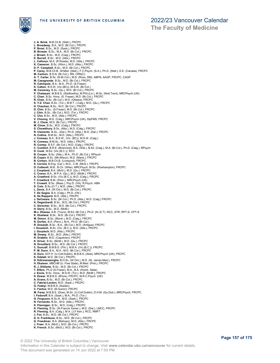

**The Faculty of Medicine**

**J. A. Brink**, M.B.Ch.B. (Stell.), FRCPC **L. Broadway**, B.A., M.D. (Br.Col.), FRCPC **P. Brost**, B.Sc., M.D. (Sask.), FRCPC **B. Broster**, B.Sc., M.A., M.D. (Br.Col.), FRCPC **J. Brown**, B.Sc., M.D. (Calg.), FRCPC **E. Burrell**, B.Sc., M.D. (Alta.), FRCPC **L. Calhoun**, M.A. (R.Roads), M.D. (Alta.), FRCPC **K. Cameron**, B.Sc. (Winn.), M.D. (Alta.), FRCPC **D. P. Campbell**, B.Sc., M.D. (Br.Col.), FRCPC<br>**P. Carey,** M.B.Ch.B., M.Med. (Stell.), F.C.Psych. (S.A.), Ph.D. (Stell.), E.E. (Canada), FRCPC<br>**M. Carlson**, B.S.N. (Br.Col.), RN, CRN(C) **A. T. Carter**, B.Sc. (N.Br.Col.), M.D. (Ross, DM), ABPN, AAGP, FRCPC, CAGP<br>**M. Casagrande,** B.Sc., M.D. (Br.Col.), FRCPC<br>**R. Catchpole**, B.A., M.A., Ph.D. (S.Fraser) K. Catton, B.S.W. (Vic.(BC)), M.S.W. (Br.Col.)<br>M. Ceresney, B.S.C. (Qu.), M.D. (Br.Col.), FRCPC<br>P. Chalasani, M.B.B.S. (Su.), M.D. (Br.Col.), FRCPC<br>C. Chan, B.Sc. (Br.Col.), M.D. (Ottawa), FRCPC<br>R. Chan, B.Sc. (Br.Col.), M S. Chowdhury, B.Sc. (Alta.), M.D. (Calg.), FRCPC<br>**R. Clements** , B.Sc., (Dal.), Ph.D. (Alta.), M.D. (Dal.), FRCPC<br>**N. Collins**, B.M.Sc., M.D. (Alta.), FRCPC<br>**J. Comeau**, B.A., B.S.W., (Vic. (BC)), M.S.W. (Calg.) **K. Comeau**, B.M.Sc., M.D. (Alta.), FRCPC **R. Comey**, B.S.F. (Br.Col.), M.D. (Calg.), FRCPC **C. Comfort**, B.R.E. (Briercrest), B.A. (Wat.), B.Ed. (Calg.), M.A. (Br.Col.), Ph.D. (Calg.), RPsych **D. Cook**, M.Ed. (Vic.(B.C.)), RCC **B. Cooper**, B.Sc. (Alta.), M.A., Ph.D. (Br.Col.), RPsych **B. Copen**, B.Sc. (Mt.Allison), M.D. (Manit.), FRCPC **B. Corbyn,** M.B.Ch.B. (Liverpool), FRCPC<br>**S. Correia,** B.Eng. (Car.), M.D., C.M. (McG.), FRCPC<br>**D. Cotterell**, M.B., B.Ch. (Witw), MRCPsych, M.Sc. (Roehampton), FRCPC **J. Coupland**, B.A. (McG.), M.D. (Qu.), FRCPC **C. Coxon**, B.A., M.P.A. (Qu.), M.D. (McM.), FRCPC **A. Crawford**, B.Sc. (Vic.(B.C.)), M.D. (Calg.), FRCPC **T. Crawford**, B.M. (S'ton.), MRCPsych (UK) **T. Crowell**, B.Sc. (Mass.), Psy.D. (VA), R.Psych, ABN **S. Culo**, B.Sc.(O.T.), M.D. (Alta.), FRCPC **L. Davis**, B.A. (W.Ont.), M.D. (Br.Col.), FRCPC **T. De Gagne**, B.A. (Calg.), Ph.D. (Ott.) **S. De Rappard**, M.D. (Alta.), FRCPC **J. DeCesare**, B.Sc. (Br.Col.), Ph.D. (Alta.), M.D. (Calg.) FRCPC **A. Degenhardt**, B.Sc., M.D. (Br.Col.), FRCPC **C. Derocher**, B.Sc., M.D. (Br.Col.), FRCPC **H. Derry,** B.Sc., M.D. (McM.)<br>**M-J. Dhaese,** A.B. (Tours), M.Ed. (Br.Col.), Ph.D. (N.I.E.T), RCC, ATR, RPT-S, CPT-S<br>**K. Dhaliwal**, B.Sc., M.D. (Br.Col.), FRCPC **M. Dimov**, B.Sc. (Montr.), M.D. (Calg.), FRCPC<br>**N. Dorfan**, B.A. (Penn.), M.A., Ph.D. (Br.Col.)<br>**R. Dosanjh**, B.Sc., B.A., (Br.Col.), M.D. (Antigua), FRCPC **I. Douziech**, B.Sc. (Vic. (B.C.)), M.D. (Alta.), FRCPC **J. Douziech**, M.D. (Alta.), FRCPC **M. Dowey**, B.Sc., M.D. (Alta.), FRCPC R. Drabkin, M.D. (Capetown), FRCPC<br>K. Driver, B.Sc. (McM.), M.D. (Qu.), FRCPC<br>N. Drouillard, B.Sc., M.D. (Br.Col.), FRCPC<br>C. Duncalf, B.M.B.S. (Flin.), M.B.A. (Vic.(B.C.)), FRCPC<br>P. M. Dunn, B.A., M.A., M.D. (Br.Col.), FRC D. Duru, M.P.H. (U.Coll.Dublin), M.B.B.S. (Abia), MRCPsych (UK), FRCPC<br>
K. Edalati, M.D. (Br.Col.), FRCPC<br>
K. Edalati, M.D. (St.Col.), FRCPC<br>
H. Eksteen, MBCHB (U. Free State), M.M.D. (St. James Med.), FRCPC<br>
H. Eksteen, M **G. Freedman**, B.A. (Bishops), M.D. (Alta.), FRCPC **J. Freer**, B.A. (McG.), M.D. (Br.Col.), FRCPC **K. French**, B.Sc. (McG.), M.D. (Br.Col.), FRCPC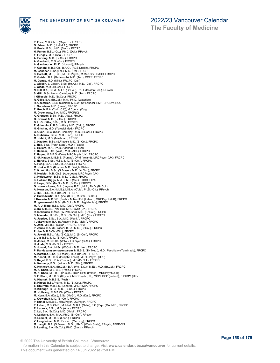

**The Faculty of Medicine**

**P. Frew**, M.B. Ch.B. (Cape T.), FRCPC **O. Frizen**, M.D. (Ural.M.A.), FRCPC **N. Frolic**, B.Sc., M.D. (Sask.), FRCPC **H. Fulton**, B.Sc. (Qu.), Ph.D. (Dal.), RPsych Y. Furigay, M.D. (Alta.), FRCPC<br>A. Furlong, M.D. (Br.Col.), FRCPC<br>A. Gambetti, M.D. (Qu.), FRCPC<br>A. Gambouras, Ph.D. (Howard), RPsych<br>**P. Gandhi**, M.B.B.Ch., B.A.O., (RCS Dublin), FRCPC<br>**M. Gansner**, B.S.C(Tor.), M.D. (Da! **R. Geisler**, B.A. (Dartmouth), M.D. (Tor.), CCFP, FRCPC **M. Genge**, M.D. (Nfld.), FRCPC (Dal.) **J. Gibson**, J. Gibson, B.Sc. (Mt.All.), M.D. (Dal.), FRCPC **J. Giede**, M.D. (Br.Col.), FRCPC **N. Gill**, B.A., B.Ed., M.Ed. (Br.Col.), Ph.D. (Boston Coll.), RPsych **S. Gill** , B.Sc. Hons (Carleton), M.D. (Tor.), FRCPC **I. Gillespie**, M.D. (Br.Col.), FRCPC **R. Gillis**, B.A. (Br.Col.), M.A., Ph.D. (Waterloo) **R. Goepfrich**, B.Sc. (Guelph), M.S.W. (W.Laurier), RMFT, RCSW, RCC **J. Gourdeau**, M.D. (Laval), FRCPC **T. Grech**, B.A. (York (CA)), M.Couns. (Calg.) **M. Greenaway**, B.A., M.D., FRCP(C) **A. Gregson**, B.Sc., M.D. (Alta.), FRCPC **G. Grewal**, M.D. (Br.Col.), FRCPC **B. L. Griffiths**, B.Sc., M.D., FRCPC **R. Grimminck**, B.Sc. (Alta.), M.D. (Calg.), FRCPC **N. Grishin**, M.D. (Yaroslvl Med.), FRCPC **B. Guan**, B.Sc. (Calif., Berkeley), M.D. (Br.Col.), FRCPC **A. Gubanov**, B.Sc., M.D. (Tor.), FRCPC **M. Habibi**, M.D. (Mashhad), FRCPC **C. Haddon**, B.Sc. (S.Fraser), M.D. (Br.Col.), FRCPC **L. Hall**, B.Sc. (Penn State), M.D. (Texas) **E. Hallam**, M.A., Ph.D. (Vienna), RPsych **F. Hameer,** B.Sc. (Wat.), M.D. (Alta.), FRCPC<br>**F. Haque,** M.B.B.S. (Dow), MRCPsych (UK), FRCPC<br>**Z. -U. Haque**, M.B.B.S. (Punjab), DPM (Ireland), MRCPsych (UK), FRCPC **L. Harvey**, B.Sc., M.Sc., M.D. (Br.Col.), FRCPC **K. Heng**, B.A., B.Sc., M.D.(Calg.), FRCPC **M. Hinkle**, B.S. (Boston), M.D. (Wright State) **C. K. -W. Ho**, B.Sc. (S.Fraser), M.D. (W.Ont.), FRCPC **N. Hodelet**, M.B.,Ch.B. (Aberdeen), MRCPsych (UK) **C. Holdsworth**, B.Sc., M.D. (Calg.), FRCPC **K. Holland Biggs**, M.A., Ph.D. (McG.), RCC, FIPA **K. Hope**, B.Sc. (McG.), M.D. (Br.Col.), FRCPC **G. Howell-Jones**, B.A. (Loyola), B.Ed., M.A., Ph.D. (Br.Col.) **A. Howson**, B.A. (McG.), M.B.A. (C'dia), Ph.D. (Ott.), RPsych<br>**J. Hui**, B.Sc., M.D. (Br.Col.), FRCPC<br>**V. Hurst-Martin**, B.A. (Vic. (B.C.)), M.S.W. (Br.Col.) **I. Hussain,** M.B.B.S. (Pesh.), M.Med.Ed. (Ireland), MRCPsych (UK), FRCPC<br>**M. Ignaszewski,** B.Sc. (Br.Col.), M.D. (Jagiellonian), FRCPC<br>**M. A. J. Illing**, B.Sc., M.D. (Ott.), FRCPC **C. Iro**, M.B.B.S. (Nsukka), MRCPsych (UK), FRCPC **R. Ishkanian**, B.Mus. (W.Paterson), M.D. (Br.Col.), FRCPC **S. Iskander**, H.B.Sc., M.Sc. (W.Ont.), M.D. (Tor.), FRCPC **A. Jagdeo**, B.Sc., B.A., M.D. (Manit.), FRCPC **I. Jakovljevic**, B.A. (S.Fraser), M.D. (McM.), FRCPC **A. Jani**, M.B.B.S. (Gujar.), FRCPC, FAPA **P. Janke**, B.A. (S.Fraser), B.Sc., M.D. (Br.Col.), FRCPC **P. Jee**, M.B.B.Ch. (Wit.), FRCPC **A. Jewett**, B.Sc. (Vic. (B.C.)), M.D. (Br.Col.), FRCPC **L. Jia**, B.Sc., M.D. (Br.Col.), FRCPC **C. Jones**, M.B.B.Ch. (Witw.), FCPsych (S.Af.), FRCPC **H. Joshi**, M.D. (Br.Col.), FRCPC **S. Junaid**, B.A., M.Sc. (W.Ont.), M.D. (Ire.), FRCPC **P. Kandasamysomasundaram**, M.B.B.S. (TN Med.), M.D., Psychiatry (Tamilnadu), FRCPC **A. Karakoc**, B.Sc. (S.Fraser), M.D. (Br.Col.), FRCPC **M. Kashif**, M.B.B.S. (Punjab Lahore), M.R.C.Psych. (U.K.) **S. Kegel**, B.Sc., B.A. (Trin.W.), M.D.(Br.Col.), FRCPC A. Kennedy, B.Sc. (Winn.), M.D. (Alta.), FRCPC<br>K. Kennedy, B.A. (Br.Col.), B.A. (Vic.(B.C.)), M.Ed., M.D. (Br.Col.), FRCPC<br>**M. A. Khan**, M.B. B.S. (Pesh.), FRCPC<br>**M. N. Khan**, M.B.B.S. (Khyber), DCP, DPM (Ireland), MRCPsyc **B. Khosa**, B.Sc.Pharm., M.D. (Br.Col.), FRCPC **S. Khurram**, M.B.B.S. (Lahore), MRCPsych, FRCPC R. Killough, B.Sc., M.D. (Br.Col.), FRCPC<br>M. Kolisang, M.B.B.Ch. (Witw.), FRCPC<br>M. Korn, B.A. (Dal.), B.Sc. (McG.), M.D. (Dal.), FRCPC<br>**J. Krawchuk**, M.D. (Br.Col.), FRCPC<br>**P. Kundi,** M.B.B.S., MRCPsych, DCPsych, FRCPC<br>**P. R. Lacroix**, B.Sc., M.D. (Alta.), FRCPC **C. Lai**, B.A. (Br.Col.), M.D. (McM.), FRCPC **A. LaMarre**, B.A., M.A., Ph.D. (Br.Col.), RPsych **R. Lament**, M.B.B.S. (Lond.), FRCPC **V. Langheimer**, M.D., Dr.med. (Marburg), FRCPC **M. Langill**, B.A. (S.Fraser), M.Sc., Ph.D. (Wash.State), RPsych, ABPP-CN **S. Lanting**, B.A. (Br.Col.), Ph.D. (Sask.), RPsych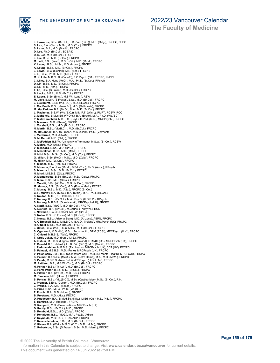

**The Faculty of Medicine**

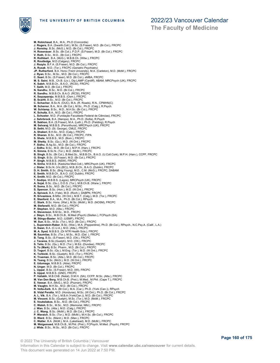THE UNIVERSITY OF BRITISH COLUMBIA

**The Faculty of Medicine**

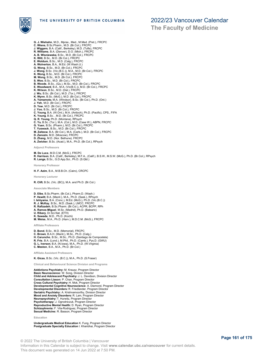

**The Faculty of Medicine**

- **G. J. Wiehahn**, M.D., Mprax., Med., M.Med. (Pret.), FRCPC **C. Wiens**, B.Sc.Pharm., M.D. (Br.Col.), FRCPC **J. Wiggers**, B.A. (Calif., Berkeley), M.D. (Tufts), FRCPC **R. Williams**, B.A. (Denver), D.O. (Mich.), FRCPC **A. B. Wisniewska**, B.Sc., M.D. (Br.Col.), FRCPC **K. Witt**, B.Sc., M.D. (Br.Col.), FRCPC **E. Woldum**, B.Sc., M.D. (Calg.), FRCPC **A. Wolverton**, B.A., M.Ed. (W.Wash.U.) **G. Wong**, B.Sc., M.D. (Br.Col.), FRCPC **J. Wong**, B.Sc. (Vic.(B.C.)), M.A., M.D. (Br.Col.), FRCPC<br>**K. Wong**, B.Sc., M.D. (Br.Col.), FRCPC<br>**M. Wong**, B.Sc., M.D. (Br.Col.), FRCPC<br>**S. Woo,** B.Sc., M.D. (Br.Col.), FRCPC<br>**B. Woods**, B.Sc., (Qu.), M.Sc., M.D. (Br.Co **E. Woodward**, B.A., M.A. (Vic(B.C.)), M.D. (Br.Col.), FRCPC **K. Wrixon**, B.Sc., M.D. (Dal.), FRCPC **J. Wu**, B.Sc. (Br.Col.), M.D. (Tor.), FRCPC **K. Wynn**, B.Sc. (McG.), M.D. (Br.Col.), FRCPC **A. Yamamoto**, M.A. (Windsor), B.Sc. (Br.Col.), Ph.D. (Ont.) **J. Yeh**, M.D. (Br.Col.), FRCPC **D. Yew**, M.D. (Br.Col.), FRCPC<br>**J. Yoo**, B.Sc., M.D. (Br.Col.), FRCPC J. Yoo, B.Sc., M.D. (Br.Col.), FRCPC<br>C. Young, B.A. (W.Ont.), M.A. (Anticoch), Ph.D. (Pacific), CPS., FIFA<br>K. Young, B.Sc. , M.D. (Br.Col.), FRCPC<br>Q. R. Young, Ph.D. (Montana), RPsych<br>C. Yu, B.Sc. (Tor.), M.A. (Col.), M.D.
- 
- 
- 
- 
- **M. Zaitzow**, B.A. (Br.Col.), M.A. (Carls.), M.D. (Br.Col.), FRCPC
- **D. Zanozin**, M.D. (Moscow), FRCPC **D. Zhang**, M.D. (Nor. Bethune). FRCPC
- **A. Zwicker**, B.Sc. (Acad.), M.A., Ph.D. (Br.Col.), RPsych

**Adjunct Professors**

**M. De Luca**, M.D.C.M. (McG.), FRCPC **R. Harrison**, B.A. (Calif., Berkeley), M.F.A., (Calif.), B.S.W., M.S.W. (McG.), Ph.D. (Br.Col.), RPsych **R. Lange**, B.Sc., G.D.App.Sci., Ph.D. (S.Qld.)

**Honorary Professor**

**H. F. Azim**, B.A., M.B.B.Ch. (Cairo), CRCPC

#### **Honorary Lecturer**

**R. Clift**, B.Sc. (Vic. (BC)), M.A. and Ph.D. (Br.Col.)

#### **Associate Members**

**D. Elbe**, B.Sc.Pharm. (Br.Col.), Pharm.D. (Wash.)

- **P. Hewitt**, B.A. (Manit.), M.A., Ph.D. (Sask.), RPsych **I. Ishiyama**, B.A. (Conc.), M.Ed. (McG.), Ph.D. (Vic.(B.C.))
- 
- **R. J. McKay**, B.Sc., M.D. (Sask.), LMCC, FRCPC
- **R. Rafizadeh**, B.Sc.Pharm. (Br.Col.), ACPR, BCPP, RPh **A. Ramos-Miguel**, M.Sc. (Madrid), Ph.D. (Balearic) **U. Ribary**, Dr.Sci.Nat. (ETH)
- 
- 
- **K. Sawada**, M.D., Ph.D. (Kochi) **M. Weiss**, M.A., Ph.D. (Harv.), M.D.C.M. (McG.), FRCPC

#### **Affiliate Professors**

**D. Bond**, B.Sc., M.D. (Memorial), FRCPC

- **C. Brown**, B.A.H. (Manit.), M.Sc., Ph.D. (Calg.) **H. Caruncho**, B.Sc., M.Sc., Ph.D. (Santiago de Compostela)
- **R. Frie**, B.A. (Lond.), M.Phil., Ph.D. (Camb.), Pys.D. (GWU)
- **G. L. Iverson**, B.A. (N.Iowa), M.A., Ph.D. (W.Virginia) **C. Meston**, B.A., M.A., Ph.D. (Br.Col.)

### **Affiliate Assistant Professors**

#### **K. Gicas**, B.Sc. (Vic. (B.C.)), M.A., Ph.D. (S.Fraser)

**Clinical and Behavioural Science Division and Programs**

**Addictions Psychiatry:** M. Krausz, Program Director **Basic Neuroscience:** W. Song, Division Director **Child and Adolescent Psychiatry:** J. L. Davidson, Division Director **Consultation Liason:** P. Chan, Program Director **Cross Cultural Psychiatry:** H. Mok, Program Director **Developmental Cognitive Neuroscience:** A. Diamond, Program Director **Developmental Disorders:** R. Friedlander, Program Director **Geriatric Psychiatry:** A. Krishnamoorthy, Division Director **Mood and Anxiety Disorders:** R. Lam, Program Director **Neuropsychiatry:** T. Hurwitz, Program Director **Psychotherapy:** J. Ogrodniczuk, Program Director **Reproductive Mental Health:** D. Ryan, Program Director **Schizophrenia:** F. Vila-Rodriguez, Program Director **Sexual Medicine:** R. Basson, Program Director

**Education**

**Undergraduate Medical Education** K. Fung, Program Director **Postgraduate Specialty Education** I. Khanbhai, Program Director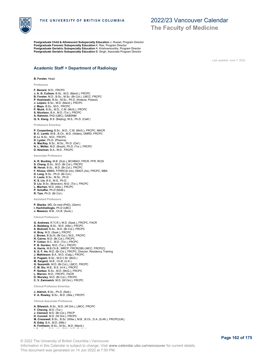

**Postgraduate Child & ADolescent Subspecialty Education** J. Russel, Program Director **Postgraduate Forensic Subspecialty Education** K. Riar, Program Director **Postgraduate Geriatric Subspecialty Education** A. Krishnamoorthy, Program Director **Postgraduate Geriatric Subspecialty Education** B. Singh, Associate Program Director

# 2022/23 Vancouver Calendar **The Faculty of Medicine**

Last updated: June 7, 2022

### **Academic Staff > Department of Radiology**

#### **B. Forster**, Head

**Professors**

**F. Benard**, M.D., FRCPC **J. A. G. Culham**, B.Sc., M.D. (Manit.), FRCPC **B. Forster**, M.D., B.Sc., M.Sc. (Br.Col.), LMCC, FRCPC **P. Kozlowski**, B.Sc., M.Sc., Ph.D. (Krakow, Poland) **J. Leipsic**, B.Sc., M.D. (Manit.), FRCPC **J. Mayo**, B.Sc., M.D., FRCPC **P. Munk**, B.Sc., M.D., C.M. (McG.), FRCPC **S. Nicolaou**, B.A., M.D. (Tor.), FRCPC **A. Rahmim**, PhD (UBC), DABSNM **Q. S. Xiang**, B.S. (Beijing), M.S., Ph.D. (Calif.)

**Professors Emeritus**

**P. Cooperberg**, B.Sc., M.D., C.M. (McG.), FRCPC, MACR **B. C. Lentle**, M.B., B.Ch., M.D. (Wales), DMRD, FRCPC **D. Li**, B.Sc., M.D., FRCPC **D. Lyster**, Ph.D. (Pharma) **A. MacKay**, B.Sc., M.Sc., Ph.D. (Oxf.) **N. L. Müller**, M.D. (Brazil), Ph.D. (Tor.), FRCPC **D. Newman**, B.A., M.D., FRCPC

**Associate Professors**

**A. R. Buckley**, M.B. (Dub.), BCHBAO, FRCR, FFR, RCSI **S. Chang**, B.Sc., M.D. (Br.Col.), FRCPC **M. Heran**, B.Sc., M.D. (Br.Col.), FRCPC **F. Khosa**, MBBS, FFRRCSI (Ire), DMGT,(Ire), FRCPC, MBA **D. Lang**, B.Sc., Ph.D. (Br.Col.) **C. Laule**, B.Sc., M.Sc., Ph.D. **K. S. Lin**, B.S., M.S., Ph.D. **D. Liu**, B.Sc. (Brandon), M.D. (Tor.), FRCPC **L. Machan**, M.D. (Alta.), FRCPC **P. Schaffer**, Ph.D (McM.) **R. Tam**, Ph.D. (Br.Col.)

**Assistant Professors**

**P. Blanke**, MD, Dr.med (PhD), (Germ) **I. Hachihaliloglu**, Ph.D (UBC) **J. Mawson**, M.B., Ch.B. (Auck.)

**Clinical Professors**

**G. Andrews**, R.T(.R.), M.D. (Sask.), FRCPC, FACR **A. Belzberg**, B.Sc., M.D. (Alta.), FRCPC **S. Bicknell**, B.Sc., M.D. (Br.Col.), FRCPC **H. Bray**, M.D. (Sask.), FRCPC **J. Brown**, B.Sc.N. (Br.Col.), M.D., FRCPC **R. Cairns**, M.D. (Br.Col.), FRCPC **P. Cohen**, B.C., M.D. (Tor.), FRCPC **P. B. Gordon**, M.D. (Tor.), FRCPC **A. Harris**, M.B.Ch.B., MRCP, FRCR(GB) LMCC, FRCP(C) **S. G. F. Ho**, M.D. (Br.Col.), FRCPC, Director, Residency Training **J. Mathieson**, B.A., M.D. (Calg.), FRCPC **D. Pugash**, B.Sc., M.D.C.M. (McG.) **M. Sargent**, M.B., Ch.B. (U.K.) **G. Sexsmith**, M.D. (Br.Col.), LMCC, FRCPC **C. M. Siu**, M.B., B.S. (H.K.), FRCPC **P. Switzer**, B.Sc., M.D. (McG.), FRCPC **L. Warren**, M.D., FRCPC, FACR **D. Worsley**, M.D. (Br.Col.), FRCPC **C. V. Zwirewich**, M.D. (W.Ont.), FRCPC **Clinical Professor Emeritus**

**J. Aldrich**, B.Sc., Ph.D. (Nott.)

**V. A. Rowley**, B.Sc., M.D. (Alta.), FRCPC

**Clinical Associate Professors**

**A. Bilawich**, B.Sc., M.D. (W.Ont.), LMCC, FRCPC **Y. Cheong**, M.D. (Tor.) **J. Clement**, M.D. (Br.Col.), FRCP **D. Connell**, M.D. (W.Ont.), FRCPC **M. Cresswell**, B.Sc., B.Sc. (Witw.), M.B., B.Ch., D.A. (S.Afr.), FRCPC(UK), **R. Eddy**, B.A., M.D. (Nfld.) **K. Forkheim**, B.Sc., M.Sc., M.D. (Manit.) **I. Gardiner**, B.Sc. (Vic.(BC)), M.D. (Br.Col.)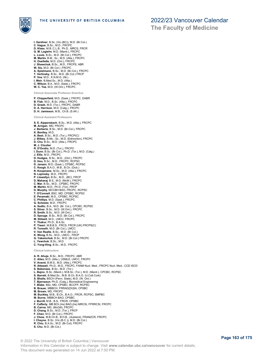

**The Faculty of Medicine**

**I. Gardiner**, B.Sc. (Vic.(BC)), M.D. (Br.Col.) **C. Hague**, B.Sc., M.D., FRCPC **D. Klass**, M.B.,C.L.B., Ph.D., MRCS, FRCR **G. M. Legiehn**, M.D. (Manit.), FRCPC **L. Louis**, B.Sc., M.D. (Br.Col.), FRCPC **M. Martin**, B.M., Sc., M.D. (Alta.), FRCPC **H. Ouellette**, M.D. (Ont.), FRCPC J. Shewchuk, B.Sc., M.D., FRCPS, ABR<br>W. Siu, M.D. (Br.Col.), FRCPC<br>A. Spielmann, B.Sc., M.D. (Br.Col.), FRCPC<br>T. Vertinsky, B.Sc., M.D. (Br.Col.) FRCP<br>P. Vos, M.D., K.N.M.G. (NL)<br>L. Weir, B.Med.Sc., M.D. (Alta.)<br>C. Vilson,

**Clinical Associate Professor Emeritus**

**P. Chipperfield**, M.D. (Sask.), FRCPC, DABR **B. Flak**, M.D., B.Sc. (Alta.), FRCPC **D. Graeb**, M.D. (Tor.), FRCPC, DABR **D. A. Harrison**, M.D. (Calg.), FRCPC **D. H. Jamieson**, M.B., Ch.B. (S.Afr.)

**S. E. Aippersbach**, B.Sc., M.D. (Alta.), FRCPC

**Clinical Assistant Professors**

- **M. Arrigan**, MD, FRCPC **J. Barberie**, B.Sc., M.D. (Br.Col.), FRCPC **K. Bentley**, M.D. **A. Best**, B.Sc., M.D. (Tor.), FRCP(C) **J. Bilbey**, B.Mc., Sc., M.D. (Edmonton), FRCPC **D. Chu**, B.Sc., M.D. (Alta.), FRCPC **M. J. Cloutier R. D'Ovidio**, M.D. (Tor.), FRCPC **I. Dunn**, B.Sc. (Br.Col.), Ph.D. (Tor.), M.D. (Calg.) **J. Ellis**, M.D., FRCPC **D. Hodges**, B.Sc., M.D., (Ont.), FRCPC **D. Hou**, B.Sc., M.D., FRCPC, RCPSC **D. Janzen**, M.D. (Sask.), CPSBC, RCPSC **C. Keogh**, B.A.O., M.B., B.Ch. (Dub.) **R. Koopmans**, M.Sc., M.D. (Alta.), FRCPC **N. Lapinsky**, M.D., FRCPC **P. Llewellyn**, B.Sc., M.D., (BC), FRCP **D. Maharaj**, B.S., M.D. (McM.), FRCPC **C. Mar**, B.Sc., M.D., CPSBC, FRCPC **M. Martin**, M.D., Ph.D. (Tor), FRCP **D. Murphy**, MCCBH BAO, FRCPC, RCPSC **T. O'Connell**, BSC, MD, CPSBC, RCPSC **E. Peramaki**, M.D., CPSBC, RCPSC **C. Phillips**, M.D. (Sask.), FRCPC G. Scheske, M.D., FRCPC<br>A. Sedlic, B.A., M.D. (Br. Col.), CPCBC, RCPSC<br>S. Silver, B.Sc., M.D. (W.Ont.), FRCPC<br>R. Smith, B.Sc., M.D. (W.Ont.)<br>D. Spouge, B.Sc., M.D. (W.Ont.)<br>M. Stiiwell, M.D., LMCC, FRCPC<br>Y. Thakur, Ph.D., **P. Tiwari**, M.B.B.S., FRCS, FRCR (UK) FRCPS(C) **R. Tonseth**, M.D. (Br.Col.), LMCC **V. Van Raalte**, B.Sc., M.D. (Br.Col.) **K. Wong**, B.Sc., M.D., LMCC., FRCP **G. Yakemchuk**, B.Sc., M.D. (Br.Col.) FRCPC **L. Yewchuk**, B.Sc., M.D. **C. Yong-Hing**, B.Sc., M.D., FRCPC **Clinical Instructors A. R. Ahuja**, B.Sc., M.D., FRCPC, ABR **C. Allen**, M.D. (Alta.), USMLE, LMCC, FRCPC **V. Anand**, B.M.S., M.D. (Alta.), FRCPC **R. Attawali**, Ph.D., M.D., FRCPC, FANM Nucl. Med., FRCPC Nucl. Med., CCD ISCD **S. Babensee**, B.Sc., M.D. (Tor.) **L. Bajno**, B.Sc. (Manit.), M.B.Sc. (Tor.), M.D. (Manit.), CPCBC, RCPSC **S. Barrett**, B.Med.Sc., M.B. B.Ch. B.A.O. (U.Coll.Cork) **S. Bhalla**, BSCH (Penn. State), M.D. (W. Ont.) **T. Bjarnason**, Ph.D. (Calg.), Biomedical Engineering **T. Blake**, BSc, MD, CPSBC, BCCFP, RCPSC **B. Brauer**, MBBCH, FRRAD(DI)SA, CPSBC **M. Brown**, MD, FRCPC **M. Buckley**, M.B., B.Ch., B.A.O., FRCR, RCPSC, SMPBC **M. Burns**, MBBCH BAO, CPSBC **J. Burrill**, M.B., B.S., FRCR, CPSBC **F. Cafferty**, MB BCh (Ire) BAO,(Ire) MRCSI, FFRRCSI, FRCPC **B. Cairns**, MD, (McGill), FRCPC **D. Chang**, B.Sc., M.D. (Tor.), FRCP **F. Chen**, M.D. (Br.Col.), FRCPC **J. Chew**, M.B.Ch.B., B.H.B., (Aukland), FRANZCR, FRCPC
- **I. Cheyne**, B.Sc. (Vic.(B.C.)), M.D. (Br.Col.) **R. Chiu**, B.A.Sc., M.D. (Br.Col), FRCPC
- **S. Chu**, M.D. (Br.Col.)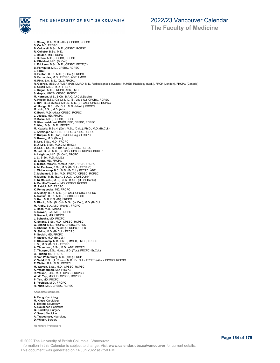

**The Faculty of Medicine**

**J. Chung**, B.A., M.D. (Alta.), CPCBC, RCPSC **S. Co**, MD, FRCPC **B. Coldwell**, B.Sc., M.D., CPSBC, RCPSC **R. Colistro**, B.Sc., M.D. **J. Dolden**, MD, FRCPC **J. Dufton**, M.D., CPSBC, RCPSC **A. Eftekhari**, M.D. (Br.Col.) **L. Erickson**, B.Sc., M.D., CPSBC, FRCE(C) **B. Farnquist**, M.D., CPSBC, RCPSC J**. Farrell**<br>**D. Fenton**, B.Sc., M.D. (Br.Col.), FRCPC<br>**D. Fernandes**, M.D., FRCPC, ABR, LMCC<br>**N. Finn,** B.A., M.D. (Qu.), FRCPC<br>**R. George**, MBBD-JIPMER (PU), DMRD, M.D. Radiodiagnosis (Calicut), M.MEd. Radiology (Stell.) **S. Greek**, M.D., Ph.D., FRCPC **J. Guijon**, M.D., FRCPC, ABR, LMCC **S. Gupta**, MBCB, CPSBC, RCPSC M. Harmon, M.B., B.Ch., B.A.O. (U.Coll.Dublin)<br>A. Hegde, B.Sc. (Calg.), M.D. (St. Louis U.), CPCBC, RCPSC<br>Z. Hirji, B.Sc. (McG.), M.H.A., M.D. (Br. Col.), CPSBC, RCPSC<br>W. Huk, B.Sc. (Br. Col.), M.D. (Manit.), FRCPC<br>M. Huk, **J. Jessup**, MD, FRCPC **R. Kalke**, M.D., CPSBC, RCPSC **N. Khorrani-Arani**, BMBS, BSC, CPSBC, RCPSC **C. King**, B.Sc., M.D., FRCPC **M. Kozoriz**, B.Sc.H. (Qu.), M.Sc. (Calg.), Ph.D., M.D. (Br.Col.) **J. Kritzinger**, MBCHB, FRCPC, CPSBC, RCPSC **P. Kurjian**, M.D. (Tor.), LMCC (Calg.), FRCPC **S. Kwong**, M.D. (Sask.) **B. Lee**, B.Sc., M.D., FRCPC **B. J. Lee**, B.Sc., M.D.C.M. (McG.) **D. Lee**, B.Sc., M.D. (Br. Col.), CPSBC, RCPSC **M. Lee**, B.Sc., M.D. (Br. Col.), CPSBC, RCPSC, BCCFP **A. Leighton**, M.D. (Br.Col.), FRCPC **J. Li**, B.Sc., M.D. (McG.) **W. Lister**, MD, FRCPC **S. Maroo**, MBChB, M.MED (Nair.), FRCR, FRCPC **A. McEachern**, B.Sc., M.D. (Br.Col.), FRCP(C) **J. Middelkamp**, B.C., M.D. (Br.Col.), FRCPC, ABR **C. Mohamed**, B.Sc., M.D., FRCPC, CPSBC, RCPSC **N. Murray**, M.B., B.Ch., B.A.O. (U.Coll.Dublin) **E. Ni Mhurchu**, M.B., B.Ch., B.A.O. (U.Coll.Dublin) **A. Padilla-Thornton**, MD, CPSBC, RCPSC **M. Patrick**, MD, FRCPC **K. Pennycooke**, MD, FRCPC **B. Quiney**, B.Sc., M.D. (Br. Col.), CPCBC, RCPSC **A. Rankin**, B.Sc., M.D., CPSBC, RCPSC **S. Rao**, M.B, B.S. (IN), FRCPC **S. Riccio**, B.Sc. (Br.Col), M.Sc. (W.Ont.), M.D. (Br.Col.) **M. Rigby**, B.A., M.D. (Manit.), FRCPC **J. Ross**, M.D. (Manit.) **K. Rowan**, B.A., M.D., FRCPC **D. Russell**, MD, FRCPC **J. Scheske**, MD, FRCPC **K. Seland**, B.Sc., M.D., CPSBC, RCPSC **G. Shand**, M.D., FRCPC, CPSBC, RCPSC **K. Sharma**, M.D. (W.Ont.), FRCPC, CCFD **G. Sidhu**, M.D. (Br.Col.), FRCPC **P. Sobkin**, MD, FRCPC **P. Stacey**, M.D. (Br.Col.) **E. Steenkamp**, M.B., Ch.B., MMED, LMCC, FRCPC **J. Su**, M.D. (Br.Col.), FRCPC **A. Thompson**, B.Sc., M.D., ABR, FRCPC **C. Thurgur**, B.Sc. Hons., M.D. (Tor.), FRCPC (Br.Col.) **B. Truong**, MD, FRCPC **R. Van Wiltenburg**, M.D. (Alta.), FRCP **V. Vedd**, B.Sc. (T. Rivers), M.D. (Br. Col.), FRCPC (Alta.), CPCBC, RCPSC **R. Walter**, B.A., M.D., FRCPC **M. Warren**, B.Sc., M.D., CPSBC, RCPSC **A. Weathermon**, MD, FRCPC **R. Wilson**, B.Sc., M.D., CPSBC, RCPSC **W. W. Yap**, MBCHB, CPSBC, RCPSC **P. Yen**, MD, FRCPC **S. Yoshida**, M.D., FRCPC **R. Yuan**, M.D., CPSBC, RCPSC **Associate Members A. Fung**, Cardiology **M. Kiess**, Cardiology **S. Kolind**, Neurology **A. Rauscher**, Pediatrics **G. Redekop**, Surgery **V. Sossi**, Medicine

**A. Traboulsee**, Neurology **D. Wilson**, Surgery

**Honorary Professors**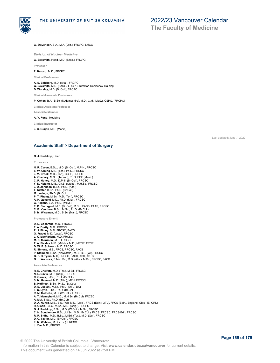

**The Faculty of Medicine**

**G. Stevenson**, B.A., M.A. (Oxf.), FRCPC, LMCC

*Division of Nuclear Medicine*

**G. Sexsmith**, Head, M.D. (Sask.), FRCPC

**Professor**

**F. Benard**, M.D., FRCPC

**Clinical Professors**

**A. S. Belzberg**, M.D. (Alta.), FRCPC **G. Sexsmith**, M.D. (Sask.), FRCPC, Director, Residency Training **D. Worsley**, M.D. (Br.Col.), FRCPC

**Clinical Associate Professors**

**P. Cohen**, B.A., B.Sc. (N.Hampshire), M.D., C.M. (McG.), CSPQ, (FRCPC)

**Clinical Assistant Professor**

**Associate Member**

**A. Y. Fung**, Medicine

**Clinical Instructor**

**J. C. Guijon**, M.D. (Manit.)

Last updated: June 7, 2022

### **Academic Staff > Department of Surgery**

### **G. J. Redekop**, Head

**Professors**

- **N. R. Caron**, B.Sc., M.D. (Br.Col.), M.P.H., FRCSC **S. W. Chung**, M.D. (Tor.), Ph.D., FRCSC **J. M. Crook**, M.D. (Tor.), CCFP, FRCPC **A. Ghahary**, M.Sc. (Tehran), Ph.D, PDF (Manit.) **C. R. Honey**, M.D., D.Phil. (Br.Col.), FRCSC **Y. N. Hsiang**, M.B., Ch.B. (Otago), M.H.Sc., FRCSC **J. D. Johnson**, B.Sc., Ph.D. (Alta.) **T. Kieffer**, B.Sc., Ph.D. (Br.Col.) **M. Levings**, Ph.D. (Br.Col.) P. T. Phang, M.Sc., M.D. (Tor.), FRCSC<br>A. K. Qayumi, M.D., Ph.D. (Kiev), FRCSC<br>G. Regehr, B.A., Ph.D. (McM.)<br>E. D. Skarsgard, M.D. (Br.Col.), M.Sc., FACS, FAAP, FRCSC<br>C. B. Verchere, B.Sc., M.Sc., Ph.D. (Br.Col.)<br>S. M. Wis **Professors Emeriti D. D. Cochrane**, M.D., FRCSC **F. A. Durity**, M.D., FRCSC **R. J. Finley**, M.D. FRCSC, FACS **G. Fradet**, M.D. (Laval), FRCSC
- **J. K. MacFarlane**, M.D. FRCSC **M. D. Morrison**, M.D. FRCSC **T. A. Pickles**, M.B. (Middx.), M.D., MRCP, FRCP **D. W. F. Schwarz**, M.D. FRCSC **R. Simons**, M.B., FRCS, FRCSC, FACS **P. Steinbok**, B.Sc. (Newcastle), M.B., B.S. (WI), FRCSC **G. F. O. Tyers**, M.D, FRCSC, FACS, ABS, ABTS **G. L. Warnock**, B.Med.Sc., M.D. (Alta.), M.Sc., FRCSC, FACS

- **Associate Professors R. E. Cheifetz**, M.D. (Tor.), M.Ed., FRCSC **N. L. Davis**, M.D. (Calg.), FRCSC **C. Garnis**, B.Sc., Ph.D. (Br.Col.) **S. M. Hameed**, M.D. (Alta.), MPH, FRCSC **B. Hoffman**, B.Sc., Ph.D. (Br.Col.) **D. S. Luciani**, M.Sc., Ph.D. (DTU, DK) **F. C. Lynn**, B.Sc., Ph.D. (Br.Col.) **R. M. Meloche**, M.D. (W.Ont.), FRCSC **A. T. Meneghetti**, M.D., M.H.Sc. (Br.Col), FRCSC **A. Mui**, B.Sc., Ph.D. (Br.Col)<br>**D. A. Nunez**, M.B., B.S. (WI), M.D. (Leic.), FRCS (Edin.; OTL), FRCS (Edin., England, Glas., IE; ORL)<br>**R. Olson,** B.Sc., M.Sc., M.D. (Calg.), FRCPC **G. J. Redekop,** B.Sc., M.D. (W.Ont.), M.Sc., FRCSC<br>**C. H. Scudamore**, B.Sc., M.Sc., M.D. (Br.Col.), FACS, FRCSC, FRCS(Ed.), FRCSC<br>**R. R. Sidhu,** M.D., B.Sc., M.Ed. (Tor.), M.D. (Qu.), FRCSC **D. C. Taylor**, M.D. (Br.Col.), FRCSC **E. M. Webber**, M.D. (Tor.), FRCSC
- **J. Yee**, M.D., FRCSC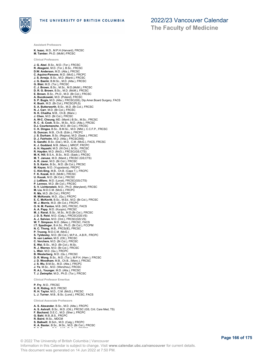

**Assistant Professors**

**Clinical Professors**

**K. Isaac**, M.D., M.P.H (Harvard), FRCSC **M. Tamber**, Ph.D. (McM.) FRCSC

**The Faculty of Medicine**

**J. G. Abel**, B.Sc., M.D. (Tor.), FRCSC **R. Akagami**, M.D. (Tor.), B.Sc., FRCSC **D.W. Anderson**, M.D. (Alta.), FRCSC **C. Aquino-Parsons**, M.D. (McG.), FRCPC **J. S. Arneja**, B.Sc., M.D. (Manit.), FRCSC **J. G. Bashir**, B.M.Sc., M.D. (Alta.), FRCSC **G. Blair**, M.D. (Tor.), FRCSC **C. J. Brown**, B.Sc., M.Sc., M.D.(McM.), FRCSC **D. R. G. Brown**, B.Sc., M.D. (McM.), FRCSC **E. Brown**, B.Sc., Ph.D., M.D. (Br.Col.), FRCSC **A. Buczkowski**, M.D. (Poland), FRCSC **S. P. Bugis**, M.D. (Alta.), FRCSC(GS), Dip.Amer.Board Surgery, FACS<br>**K. Bush,** M.D. (Br.Col.), FRCSC(PLS)<br>**S. A. Butterworth**, B.Sc., M.D. (Br.Col.), FRCSC **N. J. Carr**, M.D. (Br.Col.), FRCSC **N. K. Chadha**, M.B., Ch.B. (Manc.) **J. Chen**, M.D. (Br.Col.), FRCSC **A. W-C. Cheung**, MD. (Manit.) B.Sc., M.Sc., FRCSC **R. C. -S. Cook**, B.Sc., M.Sc., M.D. (Alta.), FRCSC **D.J. Courtemanche**, M.D. (Br.Col.), FRCSC **C. K. Dingee**, B.Sc., B.M.Sc., M.D. (Nfld.), C.C.F.P., FRCSC **G. Duncan**, M.B., Ch.B. (Edin.), FRCPC **J. S. Durham**, B.Sc. (Regina), M.D. (Sask.), FRCSC **D. J. Fairholm**, M.D. (Alta.), FRCSC(NS) **S. Gandhi**, B.Sc. (Dal.), M.D., C.M. (McG.), FACS, FRCSC **K. J. Goddard**, M.B. (Manc.), MRCP, FRCPC **A. H. Hayashi**, M.D. (W.Ont.), M.Sc., FRCSC **R. Hayden**, M.D. (McG.), FRCSC(GS;CTS) **M. K. Hill**, B.S.A., B.Sc., M.D. (Sask.), FRCSC **M. T. Janusz**, M.D. (Manit.), FRCSC (GS;CTS) **A. R. Javer**, M.D. (Br.Col.), FRCSC **S. S. Karim**, B.Sc., M.D. (Br.Col.), FRCSC **M. Keyes**, M.D. (Yugoslavia), FRCPC **C. Kim-Sing**, M.B., Ch.B. (Cape T.), FRCPC **F. K. Kozak**, M.D. (McM.), FRCSC **U. Kuusk**, M.D. (Br.Col.), FRCSC **J. LeBlanc**, M.D. (Laval), FRCSC(GS;CTS) **P. Lennox**, M.D. (Br.Col.), FRCSC **S. V. Lichtenstein**, M.D., Ph.D. (Maryland), FRCSC **M. Liu**, M.D.C.M. (McG.), FRCPC **R. Ma**, M.D. (Br.Col.), FRCPC **M. McKenzie**, M.D., (Qu.), FRCPC **E. C. McKevitt**, B.Sc., M.Ed., M.D. (Br.Col.), FRCSC **W. J. Morris**, M.D. (Br.Col.), FRCPC **O. N. M. Panton**, M.B. (WI), FRCSC, FACS<br>**A. A. Papp**, M.D. (Kuopio), FRCSC<br>**M. J. Raval**, B.Sc., M.Sc., M.D.(Br.Col.), FRCSC<br>**J. D. S. Reid**, M.D. (Calg.), FRCSC(GS;VS)<br>**A. J. Salvian**, M.D. (Ont.), FRCSC(GS;VS) **W. T. Simpson**, M.D. (Manc.), FRCSC, FACS **I.T. Spadinger**, B.A.Sc., Ph.D. (Br.Col.), FCCPM N. C. Thong, M.B., FRCS(IE), FRCSC<br>P. Truong, M.D.C.M. (McG.)<br>**S. Tyldesley**, M.D. (Br.Col.), M.P.A., A.B.R., FRCPC<br>**N. van Laeken**, M.D. (Ott.), FRCSC<br>**C. Verchere,** M.D. (Br.Col.), FRCSC<br>**E. Wai**, B.Sc., M.D. (Br.Col.), **R. J. Warren**, M.D. (Br.Col.), FRCSC **L. Weir**, M.D. (Qu.), FRCPC **B. Westerberg**, M.D. (Qu.), FRCSC **D. R. Wong**, B.Sc., M.D. (Tor.), M.P.H. (Harv.), FRCSC **J. D. Woodham**, M.B., Ch.B., (Manc.), FRCSC **J. S. Wu**, B.M.Sc., M.D. (Alta.), FRCPC **J. Ye**, M.Sc., M.D. (Wenzhou), FRCSC **R. A.L. Younger**, M.D. (Alta.), FRCSC **T. J. Zwimpfer**, M.D., Ph.D. (Tor.), FRCSC **Clinical Professor Emeritus**

**P. Fry**, M.D., FRCSC

**K. R. Riding**, M.D. FRCSC **R. H. Taylor**, M.D., C.M. (McG.), FRCSC **L. J. Turner**, M.B., B.Sc. (Lond.), FRCSC, FACS

**Clinical Associate Professors A. S. Alexander**, B.Sc., M.D. (Alta.), FRCPC **A. S. Ashrafi**, B.Sc., M.D. (Ott.), FRCSC (GS, Crit. Care Med, TS) **F. Bachand**, D.E.C., M.D. (Sher.), FRCPC **G. Bahl**, M.B.,B.S., FRCPC **R. Baird**, M.Sc., MDCM<br>**S. Balkwill**, B.Sch., M.D. (Calg.), FRCPC<br>**K. A. Baxter**, B.Sc., M.Sc., M.D. (Br.Col.), FRCSC<br>— A. B<mark>axter</mark>, B.Sc., M.Sc., M.D. (Br.Col.), FRCSC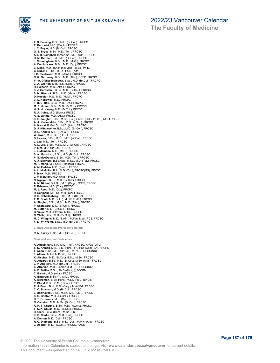



**The Faculty of Medicine**

**T. S. Berrang**, B.Sc., M.D. (Br.Col.), FRCPC **E. Berthelet**, M.D. (Montr.), FRCPC **J. C. Boyle**, M.D. (Br.Col.), FRCSC G. E. Bryce, B.Sc., M.D. (Tor.), FRCSC<br>A. I. M. Campbell, B.Med.Sc., M.D. (Ott.), FRCSC<br>H. M. Carolan, B.A., M.D. (Br.Col.), FRCPC<br>J. Cunningham, B.Sc., M.D. (McG.), FRCSC<br>A. Demianczuk, B.Sc., M.D. (Qu.), FRCSC<br>C. Dong, M P. -A. Gfeller-Ingledew, B.Sc., M.D. (Br.Col.), FRCPC<br>C. A. Grafton, M.B., B.S. (Lond.), FRCSC<br>R. Halperin, M.D. (Alta.), FRCPC<br>S. J. Hentschel, B.Sc., M.D. (Br.Col.), FRCSC<br>S. M. Hiscock, B.Sc., M.D. (Mem.), FRCSC D. Hoegler, M.S., M.D. (McM.), FRCPC<br>C. L. Holloway, M.D., FRCPC<br>F. H. C. Hsu, B.Sc., M.D. (Ott.), FRCPC<br>M. F. Humer, B.Sc., M.D. (Ott.), FRCSC<br>H. S. J. Hwine, M.D. (Sask.), FRCSC<br>R. A. Irvine, M.D. (Sask.), FRCSC **A. S. Janjua**, M.D. (Alta.), FRCSC **K. E. Joughin**, B.Sc., M.Sc. (Calg.), M.D. (Dal.), Ph.D. (Qld.), FRCSC **A. A. Karimuddin**, B.Sc., M.D.(W.Ont.), FRCSC **A. Karvat**, B.Med.Sc., M.D. (Alta.), FRCPC **D. J. Kibblewhite**, B.Sc., M.D. (Br.Col.), FRCSC **D. E. Konkin**, M.D. (Br.Col.), FRCSC **W. Kwan**, M.B., B.S. (HK), FRCPC **D. Lawlor**, B.Sc., M.Ed., M.D. (W.Ont.), FRCSC **J. Lea**, M.D. (Tor.), FRCSC **A. L. Lee**, B.Sc., M.Sc., M.D. (W.Ont.), FRCSC **P. Lim**, M.D. (Br.Col.), FRCPC **J. Ludemann**, M.D. (McG.), FRCSC **S. A. Macadam**, B.Sc., M.D. (Br.Col.), FRCSC **P. S. MacDonald**, B.Sc., M.D. (Tor.), FRCSC **A. J. MacNeill**, B.Sc.Hon., M.Sc., M.D. (Tor.), FRCSC **M. F. Manji**, M.B.Ch.B. (Makere), FRCPC **A. McFadden**, M.D. (Sask.), FRCSC **A. L. McGuire**, B.A., M.D. (Tor.), FRCSC(GS), FRCSC **P. Mick**, M.D., FRCSC **J. P. Moxham**, M.D. (Alta.), FRCSC **N. Nguyen**, B.SC, M.D. (Br.Col.), FRCSC **A. M. Nichol**, B.A.Sc., M.D. (Calg.), CCFP, FRCPC **E. Prisman**, M.D. (Tor.), FRCSC **M. J. Reed**, M.D. (Qu.), FRCPC **R. Sahjpaul**, M.H.Sc, M.D.(Tor), FRCSC **D. D. Schellenberg**, B.Sc., M.D. (Br.Col.), FRCPC **T. M. Scott**, M.D. (Nfld.), M.H.P.E. (Ill.), FRCSC **A. Singhal**, B.Sc., M.Sc., M.D. (Alta.), FRCSC **P. Skarsgard**, M.D. (Br.Col.), FRCSC **M. Sutter**, M.D. (Br.Col.), FRCSC **B. Valev**, M.D. (Pleven), M.Sc., FRCPC **N. Wells**, B.Sc., M.D. (Br.Col), FRCSC **M. C. Wiggins**, M.D. (S.Afr.), M.Fam.Med., FCS, FRCSC **F. L. -W. Wong**, B.Sc., M.D. (Br.Col.), FRCPC **Clinical Associate Professor Emeritus R. N. Fairey**, B.Sc., M.D. (Br.Col.), FRCPC **Clinical Assistant Professors A. Abdalkhani**, B.A., M.D. (Ind.), FRCSC, FACS (OTL) **S. N. Ahmed**, M.B., B.S. (Punj.), F.C.Rad (Onc) (SA), FRCPC **T. Ailon**, B.Sc., M.D. (Br.Col.), M.P.H., FRCSC(NS) **F. Alfaraj**, M.Ed, M.B.B.S, FRCPC **K. Alscher**, M.D. (Br.Col.), B.Sc., M.Sc., FRCSC **A. Anzarut**, B.Sc., M.D. (Br.Col.), M.Sc. (Alta.), FRCSC **J. P. Appleby**, M.D. (Br.Col.), FRCSC **S. Atrchian**, M.D. (Tehran U.M.S.), FRCPC(RO) **A. D. Baillie**, B.Sc., Ph.D.(Glasg.), FCCPM **C. Baliski**, M.D. (Alta.), FRCSC **A. Bazarelli**, B.Sc.PT., M.D., FRCSC **A. Bergman**, B.Sc. Hons., M.Sc., Ph.D. (Br.Col.)

- **P. Blood**, B.Sc., B.M. (S'ton.), FRCPC
- 
- **R. J. Bond**, B.N., M.D. (Calg.), M.Ad.Ed., FRCSC **C. C. Bowman**, M.D. (Br.Col.), FRCSC
- **J. Bozinovski**, B.Sc., M.Sc., M.D. (Qu.), FRCSC
- 
- **S. G. Bristol**, M.D. (Br.Col.), FRCSC **D. T. Brosseuk**, M.D. (Qu.), FRCSC
- **N. Causton**, M.D., M.Sc. (Br.Col.), FRCSC
- **A. K. T. Cheung**, B.Sc., M.D. (W.Ont.), FRCSC **T. K. K. Chuah**, M.D. (Br.Col.), FRCSC
- **H. Clark**, B.Sc. (Hons), M.Sc., Ph.D.
- 
- 
- **K. D. Clarke**, B.Sc., M.D. (Dal.), FRCSC **A. Denton**, M.D. (Dal.), FRCSC **R. C. Diamond**, B.Sc., M.D. (Dal.), M.P.H. (Alta.), FRCSC
- **J. Dooner**, M.D. (W.Ont.), FRCSC, FACS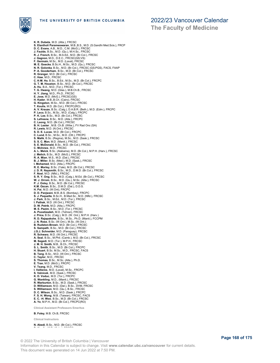

**The Faculty of Medicine**

**K. R. Dubeta**, M.D. (Alta.), FRCSC **S. Elantholi Parameswaran**, M.B.,B.S., M.D. (S.Gandhi Med.Scis.), FRCP **D. C. Evans**, A.B., M.D., C.M. (McG.), FRCSC **J. Faulds**, B.Sc., M.D. (Qu.), M.H.Sc., FRCSC **R. J. French**, B.Sc., M.A.Ed., M.D. (Br.Col.), FRCSC **J. Gagnon**, M.D., D.E.C., FRCSC(GS;VS) F. Germain, M.Sc., M.D. (Laval), FRCSC<br>M. E. Goecke, B.Sc.H., M.Sc., M.D. (Qu.), FRCSC<br>N. R. Golonka, B.Sc., M.D. (Br.Col.), FRCSC (GS;PGS), FACS, FAAP<br>P. A. Granger, M.D. (Br.Col.), FRCSC (GS;PGS), FACS, FAAP<br>R. Granger, **C. K-M. Ho**, B.Sc., B.Ed., M.Sc., M.D. (Br.Col.), FRCPC **G. T. M. Houston**, B.Sc., M.D. (Br.Col.), FRCSC **A. Hu,** B.A., M.D. (Tor.), FRCSC<br>**T. G. Hwang**, M.D. (Glas.), M.B.Ch.B., FRCSC<br>**H. Y. Jiang**, M.D., Ph.D., FRCSC<br>**E. Joos,** M.D. (McG.), FRCSC(GS) **H. Kader**, M.B.,B.Ch. (Cairo), FRCSC **G. Kingston**, M.Sc., M.D. (Br.Col.), FRCSC T. Koulis, M.D. (Br.Col.), FRCPC(RO)<br>A. V. Krauze, B.Sc. (Calg.), D.A.B.R. (Beth.), M.D. (Edm.), FRCPC<br>P**. Lec**o, B.Sc., M.Sc., M.D. (Calg.), FRCPC<br>P. K. Lee, B.Sc., M.D. (Br.Col.), FRCSC<br>**S. Lefresne**, B.Sc., M.D. (Alta.) **C. Leong**, M.D. (Br.Col.), FRCSC **B. H. Lester** , M.B. Ch.B. (Witw.), FV Rad Onc (SA) **R. Lewis**, M.D. (N.Ont.), FRCSC **S. D. E. Lucas**, M.D. (Br.Col.), FRCPC **C. Lund**, B.Sc., M.Sc., M.D. (Ott.), FRCPC **S. Malik**, B.Sc. (Regina), M.Sc., M.D. (Sask.), FRCSC **S. S. C. Man**, M.D. (Manit.), FRCSC **S. E. McDonald**, B.Sc., M.D. (Br.Col.), FRCSC **C. McInnes**, M.D., FRCSC **A. L. Melck**, B.Sc. (Alabama), M.D. (Br.Col.), M.P.H. (Harv.), FRCSC **J. Melich**, B.Sc., M.D. (McG.), FRCSC **R. A. Mian**, M.S., M.D. (Dal.), FRCSC **B. J. Miller**, B.Sc. (Med.), M.D. (Sask.), FRCSC **I. Mohamed**, M.D. (Atla.), FRCPC **R. E. Morley**, B.Sc. (Yale), M.D. (Br.Col.), FRCSC **J. D. R. Naysmith**, B.Sc., M.D., D.M.D. (Br.Col.), FRCSC **F. Noel**, M.D. (Nfld.), FRCSC **S. R. Y. Ong**, B.Sc., M.D. (Calg.), M.Ed. (Br.Col.), FRCSC **W. J. Orrom**, B.Sc., M.D. (Qu.), M.Sc. (Alta.), FRCSC **P. J. Oxley**, B.Sc., M.D. (Br.Col.), FRCSC **K.M. Ozcan**, B.Sc., D.M.D. (Dal.), D.D.S. **H. Pai**, M.D. (W.Ont), FRCPC **D. D. Panjwani**, M.B.,B.S. (Bombay), FRCPC **S. J. Paquette**, B.Sc.H., B.Med.Sc., M.D. (Nfld.), FRCSC **J. Park**, B.Sc., M.Ed., M.D. (Tor.), FRCSC **I. Pathak**, M.D. (W.Ont.), FRCSC **D. W. Petrik**, M.D. (Alta.), FRCPC **M. E. Pezim**, B.Sc., M.D. (Tor.), FRCSC **A. Poostizadeh**, M.D. (Tehran), FRCSC **J. Price**, B.Sc. (Calg.), M.D. (W. Ont.), M.P.H. (Harv.) **R. D. Rajapakshe**, B.Sc., M.Sc., Ph.D. (Manit.), FCCPM **J. N. Rose**, B.Sc. (W.Ont.), M.Sc. (W.Ont.) **B. Rudston-Brown**, M.D. (Br.Col.), FRCSC **S. Sampath**, B.Sc., M.D. (Br.Col.), FRCSC **J.S.J. Schneider**, M.D. (Paraguay), FRCSC **R. Schwarz**, M.D. (W.Ont.), FRCSC **A. Seal**, B.Sc., M.Phil. (Camb.), M.D. (Br.Col.), FRCSC **M. Segedi**, M.D. (Tor.), M.P.H., FRCSC **J. M. H. Smith**, M.B., B.Ch., FRCSC **S. L. Smith**, B.Sc., M.D. (Br.Col.), FRCPC **H. Stuart**, B.Sc. M.Sc., M.D., FRCSC, FACS **B. Tang**, B.Sc., M.D. (W.Ont.), FRCSC **C. Taylor**, M.D., FRCSC **S. Thomas**, B.Sc., M.Sc. (Alta.), Ph.D. **E. Tran**, M.D. (McG.), FRCPC **V. Tsang**, M.D., FRCSC **I. Vallieres**, M.D. (Laval), M.Sc., FRCPC **S. Valnicek**, M.D. (Sask.), FRCSC **K. D. Voduc**, M.D. (Tor.), FRCPC **G. Wankling**, M.D., (Manit.), FRCSC R. Warburton, B.Sc., M.D. (Sask.), FRCSC<br>D. Williamson, M.D. (Dal.), B.Sc., DVM, FRCSC<br>S. Williamson, M.D. (Qu.), B.Sc., FRCSC<br>D. C. Wilson, B.Sc., M.D. (Sask.), FRCPC<br>F. S. H. Woog, M.B. (Taiwan), FRCSC, FACS<br>E. C. H. Woo **Clinical Assistant Professors Emeritus B. Foley**, M.B. Ch.B, FRCSC

**Clinical Instructors**

**N. Abedi**, B.Sc., M.D. (Br.Col.), FRCSC<br>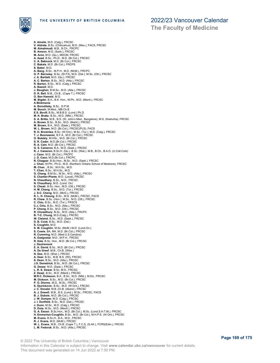

## 2022/23 Vancouver Calendar

**The Faculty of Medicine**

**S. Ainslie**, M.D. (Calg.), FRCSC **V. Aldrete**, B.Sc. (Chihuahua), M.D. (Mex.), FACS, FRCSC **M. Almahmudi**, M.B., B.Ch., FRCPC **B. Amson**, M.D. (Sask.), FRCSC **M. Aron**, M.D. (Qu.), MDCM, FRCSC **A. Azad**, B.Sc., Ph.D., M.D. (Br.Col.), FRCSC **C. A. Babcock**, M.D. (Br.Col.), FRCSC **C. Bakala**, M.D. (Br.Col.), FRCPS **S. Baker**, M.D. **A. Bang**, B.Sc., M.P.H., M.D. (McM.), FRCPC **G. P. Barnsley**, B.Sc. (St FX), M.D. (Dal.), M.Sc. (Ott.), FRCSC<br>**J. A. Bartlet**t, M.D. (Qu.), FRCSC<br>**A. C. Barton**, B.Sc., M.D. (Alta.), FRCSC<br>**R. Barton**, B.Sc., M.D. (Calg.), FRCSC **A. Bassili**, M.D. **J. Baughan**, B.M.Sc., M.D. (Alta.), FRCSC **D. R. Bell**, M.B., Ch.B., (Cape T.), FRCSC **O. Ben Hameid**, M.D. **M. Bigder**, B.A., B.K. Hon., M.Ph., M.D. (Manit.), FRCSC **A Blokmanis A. Boroditsky**, B.Sc., D.P.M. **M. Bosch**, M.Med., MB.Ch.B **E.S. Bovill**, B.Sc., M.B.B.S. (Lond.) Ph.D. M. K. Brake, B.Sc., M.D. (Nfld.), FRCSC<br>S. A. Britto, M.B., B.S. (St. John's Med., Bangalore), M.S. (Kasturba), FRCSC<br>A. Brown, B.Sc., B.Sc., M.D. (Manit.), FRCSC<br>M. Brown, B.A., M.D. (Sask.), FRCSC<br>W. L. Brown, M.D. (Br.C **R. D. Brownlee**, B.Sc. (W.Ont.), M.Sc. (Tor.), M.D. (Calg.), FRCSC<br>**T. J. Buonassisi**, B.F.A., M.D. (Br.Col.), FRCSC<br>**O. Butskiy**, M.HSc., M.D. (Br.Col.), FRCSC **S. R. Cader**, M.D.(Br.Col.), FRCSC **R. A. Cain**, M.D. (Br.Col.), FRCSC **G. S. Cameron**, B.A., M.D. (Sask.), FRCSC **R. J. Cameron**, B.Sc.H. (Qu.), B.Sc. (Wat.), M.B., B.Ch., B.A.O. (U.Coll.Cork) **J. Caon**, M.D. (Br.Col.), FRCPC **J. D. Caon**, M.D.(Br.Col.), FRCPC **R. Chagpar**, B.Sc.Hon., M.Sc., M.D. (Sask.), FRCSC<br>**J. Chan,** M.PH., Ph.D., M.D. (Northern Ontario School of Medicine), FRCSC<br>**M. Chan,** , B.Sc., M.H.Sc., M.D. **T. Chan**, B.Sc., M.H.Sc., M.D. **G. Chang**, B.M.Sc., M.Sc., M.D. (Alta.), FRCSC **S. Chartier-Plante**, M.D. (Laval), FRCSC **N. Chaudhary**, B.Sc., M.D., FRCSC **N. Chaudhary**, M.D. (Lond. On) **S. Cheah**, B.Sc. Hon., M.D. (Ott.), FRCSC **H. M. Cheng**, B.Sc., M.D. (Tor.), FRCSC **J. S-C. Cheng**, M.D. (McG.), FRCSC **R. L. H. Cheung**, B.Sc., M.D. (McM.), FRCSC, FACS **R. Chew**, B.Sc. (Hon.), M.Sc., M.D. (Ott.), FRCSC **C. Chiu**, B.Sc., M.D. (Tor.), FRSCS **C.J. Chiu**, B.Sc., M.D. (Alta.), FRCSC **P. Chong**, B.Sc., M.D. (Ott.), FRCSC **R. Chowdhury**, B.Sc., M.D. (Alta.), FRCPC **B. T-C. Chung**, M.D.(Calg.), FRCSC **W. Cleland**, B.Sc., M.D. (Sask.), FRCSC **D. B. Cook**, B.Sc., M.D. (Dal.) **S. Coughlin**, M.D. **S. M. Coughlin**, M.Sc. (McM.) M.D. (Lond.On.) **S. Cowie**, BA, MA, M.D. (Br.Col.), FRCSC **R. Cumming**, M.D. (Med.U.S.Carolina) **A. Dadgostar**, M.D., M.P.H., FRCSC **R. Dale**, B.Sc. Hon., M.D. (Br.Col.), FRCSC **J. Dautremont E. A. David**, B.Sc., M.D. (Br.Col.), FRCSC **A. De Greef**, M.B., Ch.B. (Witw.) **N. Dea**, M.D. (Sher.), FRCSC **A. Dear**, B.Sc., M.B. B.S. (WI), FRCSC **S. Deen**, B.Sc., M.D. (Alta.), FRCSC **J.S. Demetrick**, B.Sc., M.D. (Br.Col.), FRCSC **G. Dewar**, M.D. (Sask.), FRCSC **L. R. S. Dewar**, B.Sc, M.D., FRCSC **Z. Dewji**, B.Sc., M.D. (Manit.), FRCSC **M.R.C. Dickeson**, B.A., B.Sc., M.D. (Nfld.), M.Ed., FRCSC **M. Dickson**, B.Sc., M.D. (Br.Col.), FRCSC P. O. Dionne, M.D., M.Sc., FRCSC<br>S. Djurickovic, B.Sc., M.D. (W.Ont.), FRCSC<br>J. C. Donald, M.B., Ch.B. (Aberd.), FRCSC<br>A. J. Dowell, M.B., B.S. (Lond.), M.Sc., FRCSC, FACS<br>B. J. Dubois, M.D. (Br.Col.), FRCSC<br>J. W. Dumper, **H. Emmerton-Coughlin**, B.Sc., M.D. (Br.Col.), M.H.P.E. (W.Ont.), FRCSC<br>**M. Evans**, B.Sc.H., B.A., M.D., FRCSC<br>**R. J. Evans**, M.D. (McM.), FRCSC **W. L. Evans**, M.B., Ch.B. (Cape T.), F.C.S. (S.Afr.), FCRS(Edin.), FRCSC **L. M. Fedoruk**, B.Sc., M.D. (Alta.), FRCSC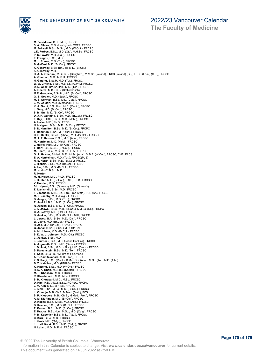

**The Faculty of Medicine**

**M. Fereidouni**, B.Sc. M.D., FRCSC **S. A. Filatov**, M.D. (Leningrad), CCFP, FRCSC **M. Follwell**, B.Sc., M.Sc., M.D. (W.Ont.), FRCPC **J.K. Forbes**, B.Sc., M.D. (Ott.), M.H.Sc., FRCSC **P. S. Fowler**, M.D. (Dal.), FRCSC **E. Frangou**, B.Sc., M.D. **M. L. Frimer**, M.D. (Tor.), FRCSC **B. Gelfant**, M.D. (Br.Col.), FRCSC **K. Genoway**, B.Sc. (Br.Col), M.D. (Br.Col.) K. Genoway, M.D.<br>H. A. A. Gheriani, M.B.Ch.B. (Benghazi), M.M.Sc. (Ireland), FRCS (Ireland) (GS), FRCS (Edin.) (OTL), FRCSC<br>A. Ghuman, M.D., M.P.H., FRCSC<br>N. Ginting, B.Sc.H, M.D. (Tor.), FRCSC<br>W. O. Gittens, B.Sc., M.B.B. **D. N. Glick**, BM.Sc.Hon., M.D. (Tor.), FRCPC **A. Goetze**, M.B.,Ch.B. (Stellenbosch) **M.E. Goodwin**, B.Sc.N., M.D. (Br.Col.), FRCSC **G. B. Goplen**, M.D. (Sask.), FRCSC **M. S. Gorman**, B.Sc., M.D. (Calg.), FRCSC **J. M. Goulart**, M.D. (Memorial), FRCPC **K. A. Grant**, B.Sc.Hon., M.D. (Manit.), FRCSC **J. Gray**, M.D. (Br.Col.), FRCSC **S. M. Gul,** M.D. (Br.Col), FRCSC<br>**D. J. R. Gunning**, B.Sc., M.D. (Br.Col.), FRCSC<br>**F. Haji**, B.HSc., Ph.D., M.D. (McM.), FRCSC<br>**A. Halka**, M.D., Ph.D., FRCS **N. Hallgren**, B.Sc., M.D. (Br.Col.), FRCSC **S. N. Hamilton**, B.Sc., M.D. (Br.Col.), FRCPC **T. Hamilton**, B.Sc., M.D. (Dal.), FRCSC **D. G. Hanks**, B.Sc.H. (UVic.), M.D. (Br.Col.), FRCSC **M. T. T. Hansen**, B.Sc., M.D. (Alta.), FRCSC **M. Harriman**, M.D. (McM.), FRCSC **J. Harris**, HBA, M.D. (W.Ont.), FRCSC **T. Hartl**, B.B.A.C.S. (Br.Col.), FRCSC **M. Hearn**, B.Sc., M.B., B.Ch., B.A.O., FRCSC **O. R. Heisler**, B.Med., M.D., M.Sc. (Alta.), M.B.A. (W.Ont.), FRCSC, CHE, FACS **E. A. Henkelman**, M.D. (Tor.), FRCSC(PLS) **N. S. Heran**, B.Sc., M.D. (Br.Col.), FRCSC **J. Hiebert**, B.Sc., M.D. (Br.Col.), FRCSC **A. Ho**, B.Sc., M.D. (Br.Col.), FRCSC **M. Horkoff**, B.Sc., M.D. **R. Horton M. M. Hsiao**, M.D., Ph.D., FRCSC **J. Hunter**, M.D. (Br.Col.), B.Sc., L.L.B., FRCSC **V. Hurdle**, , M.D., FRCSC **S.L. Hynes**, B.Sc. (Queen's), M.D. (Queen's) **Z. Ivanishvili**, B.Sc., M.D., FRCSC **F. Jacobsen**, M.B., Ch.B. (U. Free State), FCS (SA), FRCSC **M. E. Jacoby**, M.D. (Calg.), FRCSC **D. Jangra**, B.Sc., M.D. (Tor.), FRCSC **R. Janicki**, B.Sc., M.D. (Br.Col.), FRCSC **R. Janzen**, B.Sc., M.D. (Br.Col.), FRCSC **J. K. Jaswal**, B.Sc., M.D. (Br.Col.), MM.Sc. (NE), FRCPC **C. A. Jeffrey**, M.D. (Dal.), FRCSC **D. Jenkin**, B.Sc., M.D. (Br.Col.), MIH, FRCSC **L. Jewett**, B.A., B.Sc., M.D. (Dal.), FRCSC **W. Jiang**, M.D. (Br.Col.), FRCSC **H. Joe**, M.D. (Br.Col.), FRACR, FRCPC **G. Johal**, B.Sc. (Br.Col.) M.D. (Br.Col.) **A. M. Johner**, M.D. (Br.Col.), FRCSC **S. D. W. L. Johnson**, M.D. (Ott.), FRCSC **C. Jonker**, B.Sc., M.D. **J. Journeau**, B.A., M.D. (Johns Hopkins), FRCSC **A. Jugnauth**, B.Sc., M.D. (Sask.), FRCSC **J. D. Just**, B.Sc., M.Sc. (Alta.), M.D. (Sask.), FRCSC **S. Kalechstein**, B.Sc., M.D. (Tor.), FRCSC **T. Kalla**, B.Sc., D.P.M. (Penn.Pod.Med.) **A. T. Kamitakahara**, M.D. (Tor.), FRCSC **Z. S. Kanji**, B.Sc. (Mont.), B.Med.Sci. (Alta.), M.Sc. (Tor.) M.D. (Alta.) **B. Z. Katalinic**, M.D. (UNIZG), FRCSC **K. Kazemi**, B.Sc., M.D. (W.Ont.), FRCSC **R. S. A. Khan**, M.B.,B.S.(Karachi), FRCSC **M. H. Khoasani**, M.D., FRCSC **R. Kholdebarin**, M.D., MSc, FRCSC **S. H. Khorasani**, M.D., M.Sc., FRCSC **D. Kim**, M.D. (Alta.), B.Sc., RCPSC, FRCPC **J. M. Kim**, M.D., M.H.Sc., FRCSC **J. Klok**, B.Sc., M.Sc., M.D. (Br.Col.), FRCSC J. Klompje, M.B. Ch.B, M.Med. (Stell.), FCS<br>S. P. Kloppers, M.B., Ch.B., M.Med. (Pret.), FRCSC<br>A. M. Kluftinger, M.D. (Br.Col.), FRCSC<br>D. Kopac, B.Sc., M.Sc., M.D. (Alta.), FRCSC<br>D. Kramer, B.Sc., M.D. (Br.Col.), FRCSC<br>T. **P. M. Kuechler**, B.Sc., M.D. (Alta.), FRCSC **C. Kurz**, B.Sc., M.D., FRCSC **J. Kwak**, M.D. (Calg.), FRCSC **J. J. -H. Kwak**, B.Sc., M.D. (Calg.), FRCSC **N. Lalani**, M.D., M.P.H., FRCSC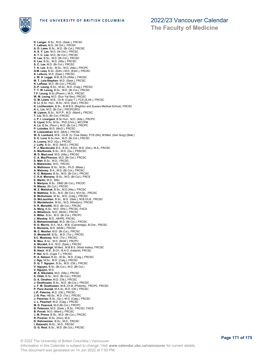

**The Faculty of Medicine**

**K. Langer**, B.Sc., M.D. (Sask.), FRCSC **T. Latham**, M.D. (W.Ont.), FRCSC **A. D. Lawe**, B.Sc., M.D. (Br.Col.), FRCSC **A. S. Y. Lee**, M.D. (W.Ont.), FRCSC **A. T. C. Lee**, M.D. (Br.Col.), FRCSC **K. Lee**, B.Sc., M.D. (Br.Col.), FRCSC **S. Lee**, B.Sc., M.D. (Alta.), FRCSC **S. C. Lee**, M.D. (Br.Col.), FRCSC **T. K. Lee**, B.Sc., M.Sc., M.D. (Alta.), FRCPC **G.M. Lees**, B.Sc. (Edm.) M.D. (Edm.), FRCSC **K. Lefevre**, M.D. (Sask.), FRCSC **J. W. H. Legge**, M.B.,B.Ch.(Witw.), FRCSC M. T. Leia-Stephen, M.D. (Sask.), FRCSC<br>K. LeRose, M.D. (Br.Col.), FRCSC<br>S.-P. Leung, B.Sc., M.Sc., M.D. (Calg.), FRCSC<br>T. T. W. Leung, B.Sc., M.D. (Br.Col.), FRCSC<br>T. T. W. Leung, B.Sc. (Pharm.), M.D., FRCSC<br>W. M. Leung, **K. Lichtenstein**, B.Sc., B.M.B.S. (Brighton and Sussex Medical School), FRCSC<br>**A. L. Lin, M**.D. (Br.Col.), FRCPC(RO)<br>**M. Lipson**, B.Sc., M.P.P., M.D. (Manit.), FRCSC **T. Liu**, M.D. (Br.Col.) FRCSC **J. P. I. Livergant**, B.Sc.Hon., M.D. (Alta.), FRCPC **S. Llyod**, B.Sc, M.Sc., PhD (UVic.), MCCPM **A. Lo**, B.Se. (Penn.), M.D. (Br.Col.), FRCPC **P. Loizides**, M.D. (McG.), FRCSC **R. Lokanathan**, M.D. (McG.), FRCSC **W. S. Lombard**, M.B., Ch.B. (U. Free State), FCS (SA), M.Med. (Gen Surg) (Stell.) **S. E. Lord**, B.Sc.Hon., M.D. (Br.Col.), FRCSC **A. Luoma**, M.D. (Qu.), FRCSC **J. Lutfy**, B.Sc., M.D. (McG.), FRCSC **P. J. Macdonald**, B.A., B.Sc., B.Ed., M.D. (Dal.), M.A., FRCSC **S. MacKenzie**, B.Sc., M.D. (Qu.), FRSCSC **M. D. MacLeod**, M.D. (Alta.), FRCSC **C. A. MacPherson**, M.D. (Br.Col.), FRCSC **S. Mah**, B.Sc., M.D., FRCSC **S. Makarenko**, M.D., FRCSC **A. Mallinson**, B.Sc., M.Sc., Ph.D. (Maas.) **A. Maloney**, B.A., M.D. (Br.Col.), FRCSC **K. G. Malpass**, B.Sc., M.D. (Br.Col.), FRCSC **C. R.A. Manarey**, B.Sc., M.D. (Br.Col.), FRCS **E. Martin**, M.D., MSc **S. Martyna**, B.Sc., DMD (Br.Col.), FRCDC **N. Massa**, (Br.Col.), FRCSC **M. Z. Matishak**, B.Sc., M.D.(Alta.), FRCSC **B. Matthew**, B.Sc., M.D. (Br.Col.), M.H.Sc., FRCSC **B. McGuiness**, M.Sc., M.D. (Calg.), FRCSC **G. McLauchlan**, B.Sc., M.D. (Glas.), M.B.Ch.B., FRCSC **D. Mendelsohn**, M.Sc., M.D. (Western), FRCSC **S. R. Meredith**, M.D. (Br.Col.), FRCSC **A. Merg**, B.Sc., M.D. (Wis.), FRCSC, FACS **A. Mihailovic**, M.D. (McM.), FRCSC **S. Miller**, B.Sc., M.D. (Br.Col.), FRCPC **J. Misskey**, M.D., MHPE, FRCSC **S. Mohammadnabi**, M.D. (Br.Col.), FRCSC **R. D. Morris**, B.A., M.A., M.B. (Cambridge), B.Chir., FRCSC **S. Morzaria**, M.D. (McM.), FRCSC **M. C. Mosher**, M.D. (Br.Col.), FRCSC **O. Mostachfi**, B.Sc., M.D. (Tor.), FRCSC **S.C. Mostowy**, M.D. (Tor.), FRCSC **B. Mou**, B.Sc., M.D. (McM.), FRCPC **A. Murabit**, B.A., M.D. (Sask.), FRCSC **D. Narinesingh**, M.Med., M.B.B.S. (West Indies), FRCSC **B. Nasir**, M.B., B.Ch., B.A.O. (Ireland), FRCSC **P. Nel**, M.D. (Cape T.), FRCSC **R. A. Nelson**, B.Sc., M.Sc., M.D. (Calg.), FRCSC **J. Ngu**, M.Sc., M.D. (Calg.), FRCSC **D. Q. T. Nguyen**, B.Sc., M.D. (Ott.), FRCSC **V. Nguyen**, B.Sc. (Br.Col.), M.D. (Br.Col.) **V. Nguyen**, M.D. **M. A. Nikolakis**, M.D. (Alta.), FRCSC **S. Ollek**, B.Sc., M.D. (Br.Col.), FRCSC **D. A. Omahen**, M.D. (Ott.), FRCSC **J. Oosthiuzen**, B.Sc., M.D. (Br.Col.), FRCSC **J. F. M. Oosthuizen**, M.B.,Ch.B. (Pretoria), FRCPC, FRCSC **P. Pace Asciak**, M.A.Sc, M.D. (Ott.), FRCSC **L-P. Palerme**, M.D. (Ott.), FRCSC **J.-S. Pao**, HB.Sc., M.D. (Tor.), FRCSC **J. Pasenau**, B.Sc. (Qu.), M.D. (Calg.), FRCSC **J. L. Peachell**, M.D. (Calg.), FRCSC **M. D. Peacock**, M.D.(Br.Col.), FRCPC **B. Peterson**, M.D. (Sask.), B.Sc., FRCSC, FACS **B. Povah**, M.D. (Manit.), FRCSC **J. M. Prince**, B.Sc., M.D. (Br.Col.), FRCSC **R. Purzner**, B.Sc. (Hon), M.D. **R. Rahmamian**, B.Sc., M.D., FRCSC **I. Ratanshi**, M.Sc., M.D., FRCSC **O. G. Reid**, B.Sc., M.D. (Br.Col.), FRCSC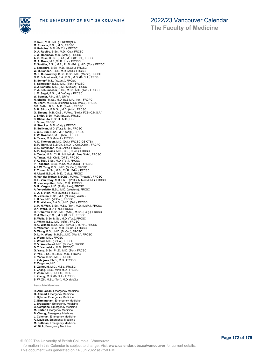

**The Faculty of Medicine**

**R. Reid**, M.D. (Nfld.), FRCSC(NS) **M. Rizkalla**, B.Sc., M.D., FRCSC **N. Robbins**, M.D. (Br.Col.), FRCSC **D. A. Robibo**, B.Sc., M.D. (Qu.), FRCSC **J. W. Robinson**, M.D. (McM.), FRCSC **A. C. Ross**, B.Ph.E., B.A., M.D. (Br.Col.), FRCPC **M. A. Ross**, M.B.,Ch.B. (Liv.), FRCSC **E. Saettler**, B.Sc., M.A., Ph.D. (Prin.), M.D. (Tor.), FRCSC **J. Samphire**, B.Sc., M.D. (Br.Col.), FRCSC **W. D. Sanden**, B.Sc., M.D. (Alta.), FRCSC<br>**M. E. C. Sawatzky**, B.Sc., B.Sc., M.D. (Manit.), FRCSC<br>**N. P. Schneidereit**, B.A., B.Sc, M.D. (Br.Col.), FRCS **B. Schopf**, M.D. (W.Ont.), FRCSC **T. Schroeder**, B.Sc., M.D. (Tor.), FRCSC **C. J. Schulze**, M.D. (LMU Munich), FRCSC **P. A. Schumacher**, B.Sc., M.Sc., M.D. (Tor.), FRCSC **J. M. Segal**, B.Sc., M.D.(Calg.), FRCSC **W. Senner**, R.N., M.A. (UVic.) **N. Shahid**, M.Sc., M.D. (S.B.M.U. Iran), FRCPC **M. Sharif**, M.B.B.S. (Punjab), M.Sc. (McG.), FRCSC **S.P. Sidhu**, B.Sc., M.D. (Sask.), FRCSC **S. K. Sikora**, B.M.Sc., M.D. (Alta.), FRCSC **G. Simons**, M.B.,Ch.B., M.Med. (Stell.), FCS (C.M.S.A.) **J. Smith**, B.Sc., M.D. (Br.Col., FRCSC **S. Stefanuto**, B.Sc.H., M.D., DDS **J. Stone**, FRCSC **H. Strecker**, M.D. (Calg.), FRCSC<br>**B. Sullivan**, M.D. (Tor.), M.Sc., FRCSC<br>**J. C. L. Sun**, B.Sc., M.D. (Calg.), FRCSC<br>**T. W. Swanson**, M.D. (Alta.), FRCSC<br>**A. Taves**, M.D. (Manit.), FRCSC **A. D. Thompson**, M.D. (Dal.), FRCSC(GS;CTS) **B. F. Tighe**, M.B.,B.Ch.,B.A.O (U.Coll.Dublin), FRCPC **C. L. Tomlinson**, M.D. (Alta.), FRCSC **A. P. Tregaskiss**, M.B.,B.S. (U.Coll.), FRCSC **A. Truter**, M.B., Ch.B., M.Med. (U. Free State), FRCSC **A. Truter**, M.B.,Ch.B. (OFS), FRCSC **V. C. Tsai**, B.Sc., M.D. (Tor.), FRCSC **P. Tsaparas**, B.Sc., M.Sc, M.D. (Calg.), FRCSC **A.S.W. Tung**, B.Sc., M.D. (Br.Col.), FRCSC **F. Turner**, M.Sc., M.B., Ch.B. (Edin.), FRCSC **H. Ukani**, B.Sc.H., M.D. (Calg.), FRCSC **H. Van der Merwe**, MBChB., M.Med. (Pretoria), FRCSC **C. H. Van Rooy**, M.B. Ch.B. (Pret.), M.Med (ORL), FRCSC **M. Vanderputten**, B.Sc., M.D., FRCSC **D. R. Vargas**, M.D. (Philippines), FRCSC **A. Versolatto**, B.Sc., M.D. (Western), FRCSC **E. A. T. Vikis**, M.D. (Manit.), FRCSC **M. Vizcaino**, B.Sc., M.A. (Nursing, Wash.) **L. H. Vu**, M.D. (W.Ont.); FRCSC **T. M. Wallace**, B.A.Sc., M.D. (Dal.), FRCSC **C. K. N. Wan**, B.Sc., M.Sc. (Tor.), M.D. (McM.), FRCSC **D.K. Ward**, M.D. (Tor.), FRCSC **D. T. Warren**, B.Sc., M.D. (Alta.), M.Sc. (Calg.), FRCSC **R. J. Watts**, B.Sc., M.D. (Br.Col.), FRCSC **B. Wells**, B.Sc, M.Sc., M.D. (Tor.), FRCSC **C. White**, B.Sc., M.D. (Nfld.), FRCSC **H. C. Wilson**, B.Sc., M.D. (Br.Col.), M.P.H., FRCSC **K. Wiseman**, B.Sc., M.D. (Br.Col.), FRCSC **D. Wong**, B.Sc., M.D. (Br.Col.), FRCSC **D. L. -H. Wong**, M.H.Sc., M.D. (Manit.), FRCSC **L. Wong**, M.D., FRCSC **L. Wood**, M.D. (Br.Col), FRCSC **R. V. Woodhead**, M.D. (Br.Col.), FRCSC **D. T. Yamashita**, M.D., FRCSC **G. Yang**, B.Sc., Ph.D., M.D. (Tor.), FRCSC **V. Yau**, B.Sc., M.B.B.S., M.D., FRCPC **E. Yorke**, B.Sc., M.D., FRCSC **J. Zabojova**, Ph.D., M.D., FRCSC **E. Zargaran**, M.D. **S. Zerhouni**, M.D., M.Sc., FRCSC **T. Zhang**, B.Sc., MPH M.D., FRCSC **Y. Zhao**, M.D., FRCPC, DABR **J. Zheng**, M.D. (Br.Col.), FRCSC **S. W. Zih**, M.Sc. (Tor.), M.D. (McG.) **Associate Members R. Abu-Laban**, Emergency Medicine

- **O. Ahmad**, Emergency Medicine
- 
- **J. Bijlsma**, Emergency Medicine **C. Birmingham**, Emergency Medicine **J. Brubacher**, Emergency Medicine
- 
- **B. Campana**, Emergency Medicine **M. Carter**, Emergency Medicine
- 
- **B. Chung**, Emergency Medicine
- **J. Coleman**, Emergency Medicine **A, Davison**, Emergency Medicine
- **M. Dettman**, Emergency Medicine
- **W. Dick**, Emergency Medicine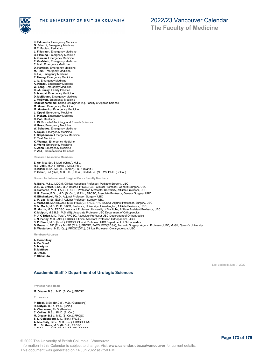

**The Faculty of Medicine**

- **K. Edmonds**, Emergency Medicine **G. Erhardt**, Emergency Medicine **M.C. Fabian**, Pediatrics **L. Filiatrault**, Emergency Medicine **B. Fleming**, Emergency Medicine **A. Gareau**, Emergency Medicine **E. Grafstein**, Emergency Medicine **C. Hall**, Emergency Medicine **D. Harrison**, Emergency Medicine **M. Hein**, Emergency Medicine
- **K. Ho**, Emergency Medicine
- 
- **P. Huang**, Emergency Medicine **J. Ip**, Emergency Medicine **A. Khazei**, Emergency Medicine
- **W. Lang**, Emergency Medicine
- **C. -A. Lucky**, Family Practice **S. Mangal**, Emergency Medicine
- **D. McElgunn**, Emergency Medicine
- **J. McEwen**, Emergency Medicine

### **Hadi Mohammadi**, School of Engineering, Faculty of Applied Science

- **M. Moser**, Emergency Medicine **M. Mostrenko**, Emergency Medicine
- 
- **L. Oppel**, Emergency Medicine **T. Pickett**, Emergency Medicine
- **C. Poh**, Dentistry
- **L. Qi**, School of Audiology and Speech Sciences
- 
- **H. Ross**, Emergency Medicine **W. Sabados**, Emergency Medicine
- **A. Sajan**, Emergency Medicine
- **T. Stephenson**, Emergency Medicine **P. Teal**, Medicine
- 
- **K. Wanger**, Emergency Medicine
- 
- **B. Wong**, Emergency Medicine **K. Zahn**, Emergency Medicine
- **P. Zed**, Pharmaceutical Sciences

**Research Associate Members**

**Z. Ao**, Med.Sc., B.Med. (China), M.Sc. **R.B. Jalili**, M.D. (Tehran U.M.S.), Ph.D. **R. Kilani**, B.Sc., M.P.H. (Tehran), Ph.D. (Manit.) **P. Orban**, B.A (Syd.) M.B.B.S. (N.S.W), B.Med.Sci. (N.S.W), Ph.D. (Br.Col.)

**Branch for International Surgical Care - Faculty Members**

**R. Baird**, M.Sc., MDCM, Clinical Associate Professor, Pediatric Surgery, UBC

**D. R. G. Brown**, B.Sc., M.D. (McM.), FRCSC(GS), Clinical Professor, General Surgery, UBC **B. Cameron**, M.D., FACS, FRCSC, Professor, McMaster University, Affiliate Professor, UBC

- 
- **N. R. Caron**, B.Sc., M.D. (Br.Col.), M.P.H., FRCSC, Associate Professor, General Surgery, UBC

- 
- 
- **H. Elksharkawi**, Ph.D., Adjunct Professor, Surgery, UBC<br>**L. M. Lee**, M.Sc. (Edin.) Adjunct Professor, Surgery, UBC<br>**J. MacLeod**, MD (Br.Col.), MSc, FRCS(C), FACS, FRC(ECSA), Adjunct Professor, Surgery, UBC<br>**C. N. Mock**, M
- **K. Mulpuri**, M.B.B.S., M.S. (IN), Associate Professor UBC Department of Orthopaedics
- 
- 
- 
- P. J. O'Brien, M.D. (Alta.), FRCSC, Associate Professor UBC Department of Orthopaedics<br>J. N. Penny, M.D. (Alta.), FRCSC, Clinical Assistant Professor, Orthopaedics, UBC<br>S. P. Pirani, M.D. (Lond.), FRCSC, Clinical Professor
- 

**Members-At-Large**

- **A. Boroditsky**
- **A. De Greef S. Martyna**
- **B. Matthew**
- **O. Ozcan**
- **P. Stefanuto**

Last updated: June 7, 2022

### **Academic Staff > Department of Urologic Sciences**

**Professor and Head**

**M. Gleave**, B.Sc., M.D. (Br.Col.), FRCSC

**Professors**

**P. Black**, B.Sc. (Br.Col.), M.D. (Gutenberg) **R. Butyan**, B.Sc., Ph.D. (Chic.) **A. Cherkasov**, Ph.D. (Russia) **C. Collins**, B.Sc., Ph.D. (Br.Col.) **M. Gleave**, B.Sc., M.D. (Br.Col.), FRCSC **S. L. Goldenberg**, M.D. (Tor.), FRCSC **A. MacNeily**, B.Sc., M.D. (Qu.), FRCSC, FAAP **M. L. Stothers**, M.D. (Br.Col.), FRCSC

**J. Teichman**, M.D. (McG.), SB, CM, FRCSC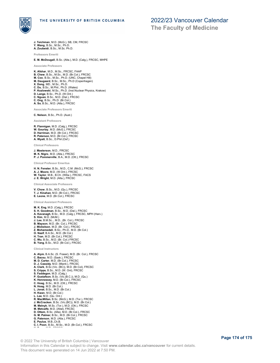

**The Faculty of Medicine**

**J. Teichman**, M.D. (McG.), SB, CM, FRCSC **Y. Wang**, B.Sc., M.Sc., Ph.D.

**A. Zoubeidi**, B.Sc., M.Sc. Ph.D.

**Professors Emeriti**

**E. M. McDougall**, B.Sc. (Alta.), M.D. (Calg.), FRCSC, MHPE

#### **Associate Professors**

**K. Afshar**, M.D., M.Sc., FRCSC, FAAP **B. Chew**, B.Sc., M.Sc., M.D. (Br.Col.), FRCSC **M. Cox**, B.Sc., M.Sc., Ph.D. (UNC, Chapel Hill) **M. Daugaard**, B.Sc., M.Sc., Ph.D (Copenhagen) **X. Dong**, MD., M.Sc., Ph.D. **C. Du**, B.Sc., M.Phil., Ph.D. (Wales) **P. Kozlowski**, M.Sc., Ph.D. (Inst.Nuclear Physics, Krakow) **D. Lange**, B.Sc., Ph.D. (W.Ont.) **C. Nguan**, B.Sc., M.D. (Dal.), FRCSC **C. Ong**, B.Sc., Ph.D. (Br.Col.) **A. So**, B.Sc., M.D. (Alta.), FRCSC

**Associate Professors Emeriti**

**C. Nelson**, B.Sc., Ph.D. (Aust.)

**Assistant Professors**

**R. Flannigan**, M.D. (Calg.), FRCSC **W. Gourlay**, M.D. (McG.), FRCSC **D. Harriman**, M.D. (Br.Col.), FRCSC **R. Paterson**, M.D. (Br.Col.), FRCSC **A. Wyatt**, B.Sc., D.Phil (Oxf.)

**Clinical Professors**

**J. Masterson**, M.D., FRCSC **M. K. Nigro**, M.D. (Alta.), FRCSC **P. J. Pommerville**, B.A., M.D. (Ott.), FRCSC

**Clinical Professor Emeritus**

**H. N. Fenster**, B.Sc., M.D., C.M. (McG.), FRCSC **A. J. Moore**, M.D. (W.Ont.), FRCSC **W. Taylor**, M.B., B.Ch. (Witw.), FRCSC, FACS **J. E. Wright**, M.D. (Alta.), FRCSC

**Clinical Associate Professors**

**V. Chow**, B.Sc., M.D. (Qu.), FRCSC **T. J. Kinahan**, M.D. (Br.Col.), FRCSC **E. Leone**, M.D. (Br.Col.), FRCSC

**Clinical Assistant Professors**

**M. K. Eng**, M.D. (Calg.), FRCSC<br>**S. H. Goodman**, B.Sc., M.D. (Dal.), FRCSC<br>**A. Kavanagh**, B.Sc., M.D. (Calg.), FRCSC, MPH (Harv.) **S. Kim**, M.D. (McM.) **J. Lee**, B.M.Sc.., M.D., (Br. Col.), FRCSC **B. Mayson**, M.D. (Br. Col.), FRCSC **J. Mickelson**, M.D. (Br. Col.), FRCSC **Z. Mohamedali**, B.Sc., Ph.D., M.D. (Br.Col.) **O. Nazif**, B.A.Sc., M.D. (Br.Col.)<br>**H. Tran**, M.D. (Br.Col.), FRCSC<br>**C. Wu**, B.Sc., M.D. (Br. Col.) FRCSC<br>**B. Yang**, B.Sc., M.D. (Br.Col.), FRCSC

**Clinical Instructors**

**A. Alym**, B.A.Sc. (S. Fraser), M.D. (Br. Col.), FRCSC **C. Bacsu**, M.D. (Sask.), FRCSC **M. D. Carter**, M.D. (Br.Col.), FRCSC **D. J. Cassidy**, M.D. (Manit.), FRCSC **A. Clark**, B.Sc (Vic. (BC)), M.D. (Br.Col), FRCSC **S. Cripps**, B.Sc., M.D. (W. Ont), FRCSC **S. Faddegon**, M.D. (Calg.) **P. Gustafson**, B.Sc. (Vic.(B.C.)), M.D. (Qu.) **K. Hennessey**, M.D. (Br.Col.), FRCSC **C. Hoag**, B.Sc., M.D. (Ott.), FRCSC **N. Hoag**, M.D. (Br.Col.) **L. Jonat**, B.Sc., M.D. (Br.Col.) **H. Kwan**, M.D. (Br.Col.) **L. Lee**, M.D. (Qu. Ont.) **R. MacMillan**, B.Sc. (McG.), M.D. (Tor.), FRCSC **J. McCracken**, B.Sc. (Vic.(BC)), M.D. (Br.Col.) **M. Melnyk**, M.Sc. (Tor.), M.D. (Ott.), FRCSC **M. Metcalfe**, M.D. (Altal), FRCSC **D. Ottem**, B.Sc. (Alta), M.D. (Br.Col.), FRCSC **G. M. Palmer**, B.Sc., M.D. (Br.Col.), FRCSC **G. Paterson**, M.D. (Alta.), FRCSC **E. Paulus**, M.B.,Ch.B.

**C. I. Poon**, B.Sc., M.Sc., M.D. (Br.Col.), FRCSC